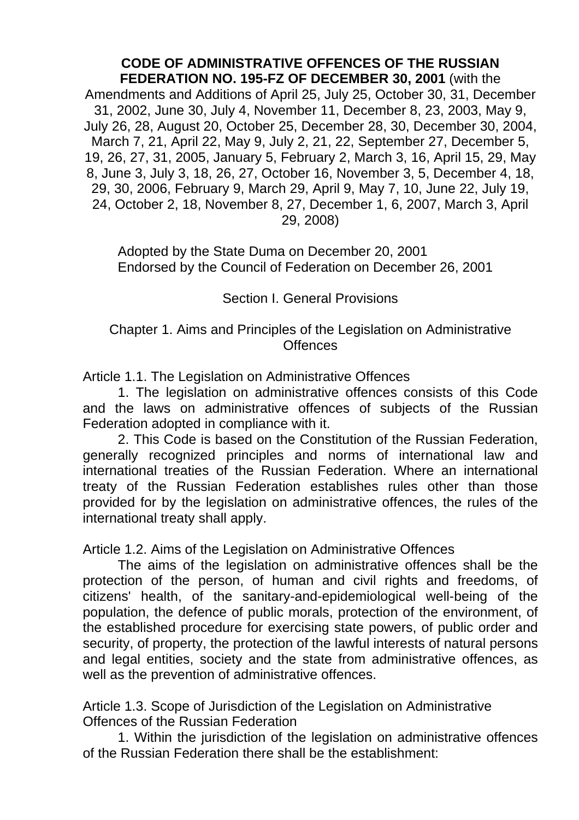#### **CODE OF ADMINISTRATIVE OFFENCES OF THE RUSSIAN FEDERATION NO. 195-FZ OF DECEMBER 30, 2001** (with the

Amendments and Additions of April 25, July 25, October 30, 31, December 31, 2002, June 30, July 4, November 11, December 8, 23, 2003, May 9, July 26, 28, August 20, October 25, December 28, 30, December 30, 2004, March 7, 21, April 22, May 9, July 2, 21, 22, September 27, December 5, 19, 26, 27, 31, 2005, January 5, February 2, March 3, 16, April 15, 29, May 8, June 3, July 3, 18, 26, 27, October 16, November 3, 5, December 4, 18, 29, 30, 2006, February 9, March 29, April 9, May 7, 10, June 22, July 19, 24, October 2, 18, November 8, 27, December 1, 6, 2007, March 3, April 29, 2008)

Adopted by the State Duma on December 20, 2001 Endorsed by the Council of Federation on December 26, 2001

Section I. General Provisions

### Chapter 1. Aims and Principles of the Legislation on Administrative **Offences**

Article 1.1. The Legislation on Administrative Offences

1. The legislation on administrative offences consists of this Code and the laws on administrative offences of subjects of the Russian Federation adopted in compliance with it.

2. This Code is based on the Constitution of the Russian Federation, generally recognized principles and norms of international law and international treaties of the Russian Federation. Where an international treaty of the Russian Federation establishes rules other than those provided for by the legislation on administrative offences, the rules of the international treaty shall apply.

Article 1.2. Aims of the Legislation on Administrative Offences

The aims of the legislation on administrative offences shall be the protection of the person, of human and civil rights and freedoms, of citizens' health, of the sanitary-and-epidemiological well-being of the population, the defence of public morals, protection of the environment, of the established procedure for exercising state powers, of public order and security, of property, the protection of the lawful interests of natural persons and legal entities, society and the state from administrative offences, as well as the prevention of administrative offences.

Article 1.3. Scope of Jurisdiction of the Legislation on Administrative Offences of the Russian Federation

1. Within the jurisdiction of the legislation on administrative offences of the Russian Federation there shall be the establishment: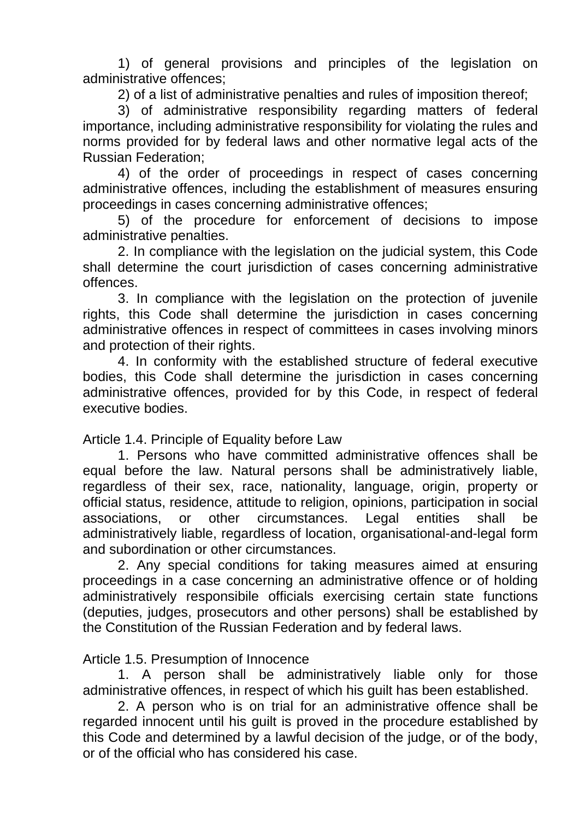1) of general provisions and principles of the legislation on administrative offences;

2) of a list of administrative penalties and rules of imposition thereof;

3) of administrative responsibility regarding matters of federal importance, including administrative responsibility for violating the rules and norms provided for by federal laws and other normative legal acts of the Russian Federation;

4) of the order of proceedings in respect of cases concerning administrative offences, including the establishment of measures ensuring proceedings in cases concerning administrative offences;

5) of the procedure for enforcement of decisions to impose administrative penalties.

2. In compliance with the legislation on the judicial system, this Code shall determine the court jurisdiction of cases concerning administrative offences.

3. In compliance with the legislation on the protection of juvenile rights, this Code shall determine the jurisdiction in cases concerning administrative offences in respect of committees in cases involving minors and protection of their rights.

4. In conformity with the established structure of federal executive bodies, this Code shall determine the jurisdiction in cases concerning administrative offences, provided for by this Code, in respect of federal executive bodies.

Article 1.4. Principle of Equality before Law

1. Persons who have committed administrative offences shall be equal before the law. Natural persons shall be administratively liable, regardless of their sex, race, nationality, language, origin, property or official status, residence, attitude to religion, opinions, participation in social associations, or other circumstances. Legal entities shall be administratively liable, regardless of location, organisational-and-legal form and subordination or other circumstances.

2. Any special conditions for taking measures aimed at ensuring proceedings in a case concerning an administrative offence or of holding administratively responsibile officials exercising certain state functions (deputies, judges, prosecutors and other persons) shall be established by the Constitution of the Russian Federation and by federal laws.

#### Article 1.5. Presumption of Innocence

1. A person shall be administratively liable only for those administrative offences, in respect of which his guilt has been established.

2. A person who is on trial for an administrative offence shall be regarded innocent until his guilt is proved in the procedure established by this Code and determined by a lawful decision of the judge, or of the body, or of the official who has considered his case.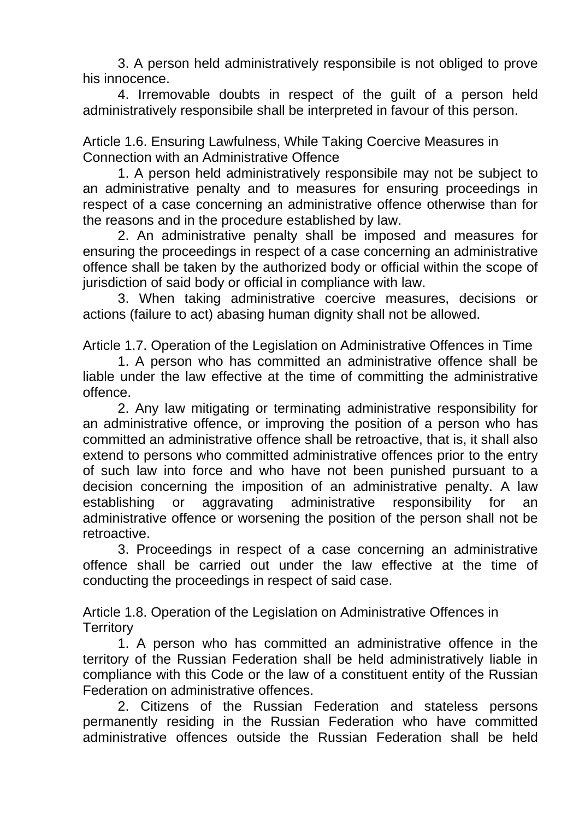3. A person held administratively responsibile is not obliged to prove his innocence.

4. Irremovable doubts in respect of the guilt of a person held administratively responsibile shall be interpreted in favour of this person.

Article 1.6. Ensuring Lawfulness, While Taking Coercive Measures in Connection with an Administrative Offence

1. A person held administratively responsibile may not be subject to an administrative penalty and to measures for ensuring proceedings in respect of a case concerning an administrative offence otherwise than for the reasons and in the procedure established by law.

2. An administrative penalty shall be imposed and measures for ensuring the proceedings in respect of a case concerning an administrative offence shall be taken by the authorized body or official within the scope of jurisdiction of said body or official in compliance with law.

3. When taking administrative coercive measures, decisions or actions (failure to act) abasing human dignity shall not be allowed.

Article 1.7. Operation of the Legislation on Administrative Offences in Time

1. A person who has committed an administrative offence shall be liable under the law effective at the time of committing the administrative offence.

2. Any law mitigating or terminating administrative responsibility for an administrative offence, or improving the position of a person who has committed an administrative offence shall be retroactive, that is, it shall also extend to persons who committed administrative offences prior to the entry of such law into force and who have not been punished pursuant to a decision concerning the imposition of an administrative penalty. A law establishing or aggravating administrative responsibility for an administrative offence or worsening the position of the person shall not be retroactive.

3. Proceedings in respect of a case concerning an administrative offence shall be carried out under the law effective at the time of conducting the proceedings in respect of said case.

Article 1.8. Operation of the Legislation on Administrative Offences in **Territory** 

1. A person who has committed an administrative offence in the territory of the Russian Federation shall be held administratively liable in compliance with this Code or the law of a constituent entity of the Russian Federation on administrative offences.

2. Citizens of the Russian Federation and stateless persons permanently residing in the Russian Federation who have committed administrative offences outside the Russian Federation shall be held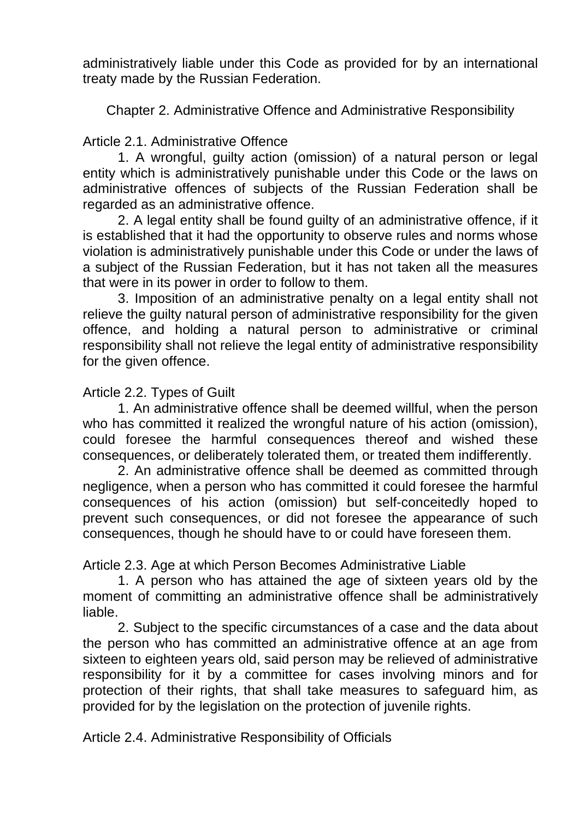administratively liable under this Code as provided for by an international treaty made by the Russian Federation.

Chapter 2. Administrative Offence and Administrative Responsibility

# Article 2.1. Administrative Offence

1. A wrongful, guilty action (omission) of a natural person or legal entity which is administratively punishable under this Code or the laws on administrative offences of subjects of the Russian Federation shall be regarded as an administrative offence.

2. A legal entity shall be found guilty of an administrative offence, if it is established that it had the opportunity to observe rules and norms whose violation is administratively punishable under this Code or under the laws of a subject of the Russian Federation, but it has not taken all the measures that were in its power in order to follow to them.

3. Imposition of an administrative penalty on a legal entity shall not relieve the guilty natural person of administrative responsibility for the given offence, and holding a natural person to administrative or criminal responsibility shall not relieve the legal entity of administrative responsibility for the given offence.

## Article 2.2. Types of Guilt

1. An administrative offence shall be deemed willful, when the person who has committed it realized the wrongful nature of his action (omission), could foresee the harmful consequences thereof and wished these consequences, or deliberately tolerated them, or treated them indifferently.

2. An administrative offence shall be deemed as committed through negligence, when a person who has committed it could foresee the harmful consequences of his action (omission) but self-conceitedly hoped to prevent such consequences, or did not foresee the appearance of such consequences, though he should have to or could have foreseen them.

Article 2.3. Age at which Person Becomes Administrative Liable

1. A person who has attained the age of sixteen years old by the moment of committing an administrative offence shall be administratively liable.

2. Subject to the specific circumstances of a case and the data about the person who has committed an administrative offence at an age from sixteen to eighteen years old, said person may be relieved of administrative responsibility for it by a committee for cases involving minors and for protection of their rights, that shall take measures to safeguard him, as provided for by the legislation on the protection of juvenile rights.

Article 2.4. Administrative Responsibility of Officials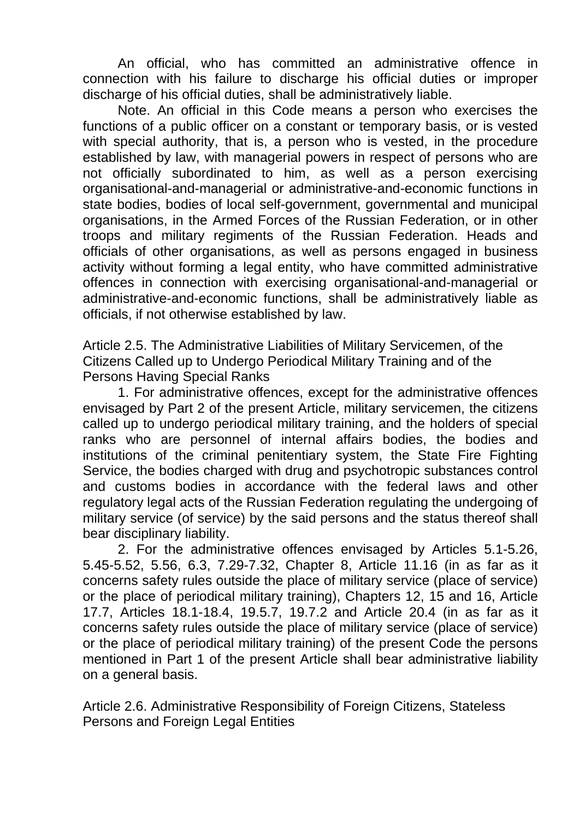An official, who has committed an administrative offence in connection with his failure to discharge his official duties or improper discharge of his official duties, shall be administratively liable.

Note. An official in this Code means a person who exercises the functions of a public officer on a constant or temporary basis, or is vested with special authority, that is, a person who is vested, in the procedure established by law, with managerial powers in respect of persons who are not officially subordinated to him, as well as a person exercising organisational-and-managerial or administrative-and-economic functions in state bodies, bodies of local self-government, governmental and municipal organisations, in the Armed Forces of the Russian Federation, or in other troops and military regiments of the Russian Federation. Heads and officials of other organisations, as well as persons engaged in business activity without forming a legal entity, who have committed administrative offences in connection with exercising organisational-and-managerial or administrative-and-economic functions, shall be administratively liable as officials, if not otherwise established by law.

Article 2.5. The Administrative Liabilities of Military Servicemen, of the Citizens Called up to Undergo Periodical Military Training and of the Persons Having Special Ranks

1. For administrative offences, except for the administrative offences envisaged by Part 2 of the present Article, military servicemen, the citizens called up to undergo periodical military training, and the holders of special ranks who are personnel of internal affairs bodies, the bodies and institutions of the criminal penitentiary system, the State Fire Fighting Service, the bodies charged with drug and psychotropic substances control and customs bodies in accordance with the federal laws and other regulatory legal acts of the Russian Federation regulating the undergoing of military service (of service) by the said persons and the status thereof shall bear disciplinary liability.

2. For the administrative offences envisaged by Articles 5.1-5.26, 5.45-5.52, 5.56, 6.3, 7.29-7.32, Chapter 8, Article 11.16 (in as far as it concerns safety rules outside the place of military service (place of service) or the place of periodical military training), Chapters 12, 15 and 16, Article 17.7, Articles 18.1-18.4, 19.5.7, 19.7.2 and Article 20.4 (in as far as it concerns safety rules outside the place of military service (place of service) or the place of periodical military training) of the present Code the persons mentioned in Part 1 of the present Article shall bear administrative liability on a general basis.

Article 2.6. Administrative Responsibility of Foreign Citizens, Stateless Persons and Foreign Legal Entities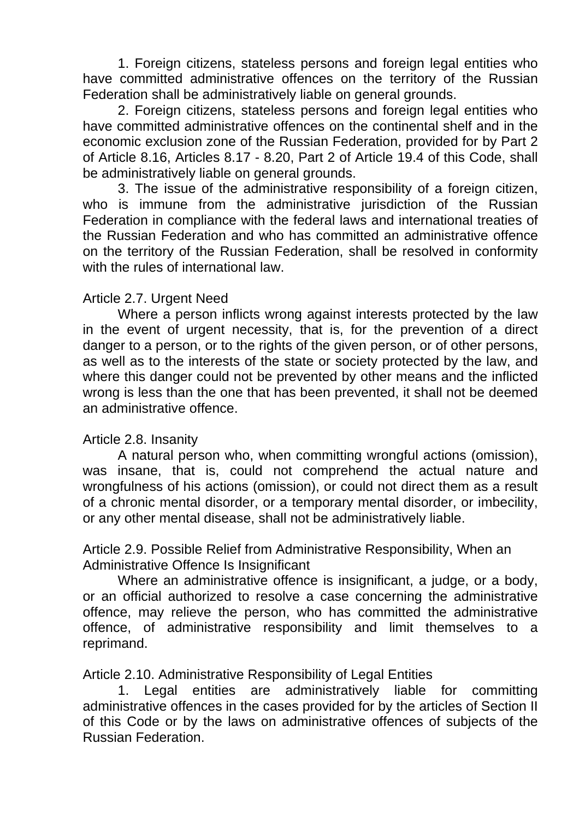1. Foreign citizens, stateless persons and foreign legal entities who have committed administrative offences on the territory of the Russian Federation shall be administratively liable on general grounds.

2. Foreign citizens, stateless persons and foreign legal entities who have committed administrative offences on the continental shelf and in the economic exclusion zone of the Russian Federation, provided for by Part 2 of Article 8.16, Articles 8.17 - 8.20, Part 2 of Article 19.4 of this Code, shall be administratively liable on general grounds.

3. The issue of the administrative responsibility of a foreign citizen, who is immune from the administrative jurisdiction of the Russian Federation in compliance with the federal laws and international treaties of the Russian Federation and who has committed an administrative offence on the territory of the Russian Federation, shall be resolved in conformity with the rules of international law.

#### Article 2.7. Urgent Need

Where a person inflicts wrong against interests protected by the law in the event of urgent necessity, that is, for the prevention of a direct danger to a person, or to the rights of the given person, or of other persons, as well as to the interests of the state or society protected by the law, and where this danger could not be prevented by other means and the inflicted wrong is less than the one that has been prevented, it shall not be deemed an administrative offence.

#### Article 2.8. Insanity

A natural person who, when committing wrongful actions (omission), was insane, that is, could not comprehend the actual nature and wrongfulness of his actions (omission), or could not direct them as a result of a chronic mental disorder, or a temporary mental disorder, or imbecility, or any other mental disease, shall not be administratively liable.

Article 2.9. Possible Relief from Administrative Responsibility, When an Administrative Offence Is Insignificant

Where an administrative offence is insignificant, a judge, or a body, or an official authorized to resolve a case concerning the administrative offence, may relieve the person, who has committed the administrative offence, of administrative responsibility and limit themselves to a reprimand.

Article 2.10. Administrative Responsibility of Legal Entities

1. Legal entities are administratively liable for committing administrative offences in the cases provided for by the articles of Section II of this Code or by the laws on administrative offences of subjects of the Russian Federation.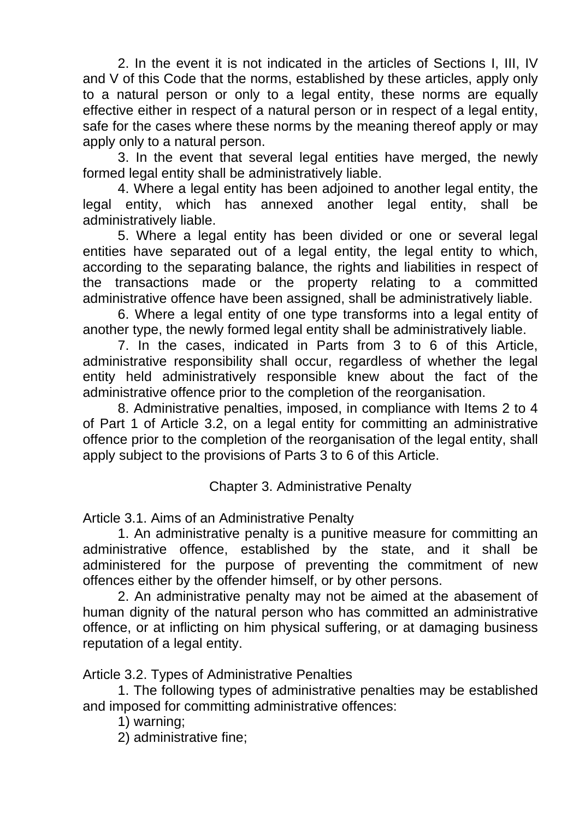2. In the event it is not indicated in the articles of Sections I, III, IV and V of this Code that the norms, established by these articles, apply only to a natural person or only to a legal entity, these norms are equally effective either in respect of a natural person or in respect of a legal entity, safe for the cases where these norms by the meaning thereof apply or may apply only to a natural person.

3. In the event that several legal entities have merged, the newly formed legal entity shall be administratively liable.

4. Where a legal entity has been adjoined to another legal entity, the legal entity, which has annexed another legal entity, shall be administratively liable.

5. Where a legal entity has been divided or one or several legal entities have separated out of a legal entity, the legal entity to which, according to the separating balance, the rights and liabilities in respect of the transactions made or the property relating to a committed administrative offence have been assigned, shall be administratively liable.

6. Where a legal entity of one type transforms into a legal entity of another type, the newly formed legal entity shall be administratively liable.

7. In the cases, indicated in Parts from 3 to 6 of this Article, administrative responsibility shall occur, regardless of whether the legal entity held administratively responsible knew about the fact of the administrative offence prior to the completion of the reorganisation.

8. Administrative penalties, imposed, in compliance with Items 2 to 4 of Part 1 of Article 3.2, on a legal entity for committing an administrative offence prior to the completion of the reorganisation of the legal entity, shall apply subject to the provisions of Parts 3 to 6 of this Article.

Chapter 3. Administrative Penalty

Article 3.1. Aims of an Administrative Penalty

1. An administrative penalty is a punitive measure for committing an administrative offence, established by the state, and it shall be administered for the purpose of preventing the commitment of new offences either by the offender himself, or by other persons.

2. An administrative penalty may not be aimed at the abasement of human dignity of the natural person who has committed an administrative offence, or at inflicting on him physical suffering, or at damaging business reputation of a legal entity.

Article 3.2. Types of Administrative Penalties

1. The following types of administrative penalties may be established and imposed for committing administrative offences:

1) warning;

2) administrative fine;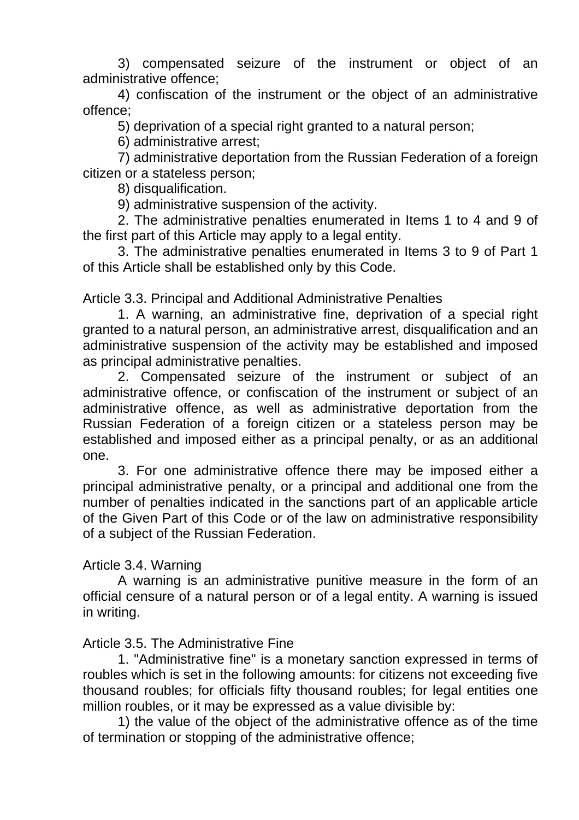3) compensated seizure of the instrument or object of an administrative offence;

4) confiscation of the instrument or the object of an administrative offence;

5) deprivation of a special right granted to a natural person;

6) administrative arrest;

7) administrative deportation from the Russian Federation of a foreign citizen or a stateless person;

8) disqualification.

9) administrative suspension of the activity.

2. The administrative penalties enumerated in Items 1 to 4 and 9 of the first part of this Article may apply to a legal entity.

3. The administrative penalties enumerated in Items 3 to 9 of Part 1 of this Article shall be established only by this Code.

Article 3.3. Principal and Additional Administrative Penalties

1. A warning, an administrative fine, deprivation of a special right granted to a natural person, an administrative arrest, disqualification and an administrative suspension of the activity may be established and imposed as principal administrative penalties.

2. Compensated seizure of the instrument or subject of an administrative offence, or confiscation of the instrument or subject of an administrative offence, as well as administrative deportation from the Russian Federation of a foreign citizen or a stateless person may be established and imposed either as a principal penalty, or as an additional one.

3. For one administrative offence there may be imposed either a principal administrative penalty, or a principal and additional one from the number of penalties indicated in the sanctions part of an applicable article of the Given Part of this Code or of the law on administrative responsibility of a subject of the Russian Federation.

## Article 3.4. Warning

A warning is an administrative punitive measure in the form of an official censure of a natural person or of a legal entity. A warning is issued in writing.

## Article 3.5. The Administrative Fine

1. "Administrative fine" is a monetary sanction expressed in terms of roubles which is set in the following amounts: for citizens not exceeding five thousand roubles; for officials fifty thousand roubles; for legal entities one million roubles, or it may be expressed as a value divisible by:

1) the value of the object of the administrative offence as of the time of termination or stopping of the administrative offence;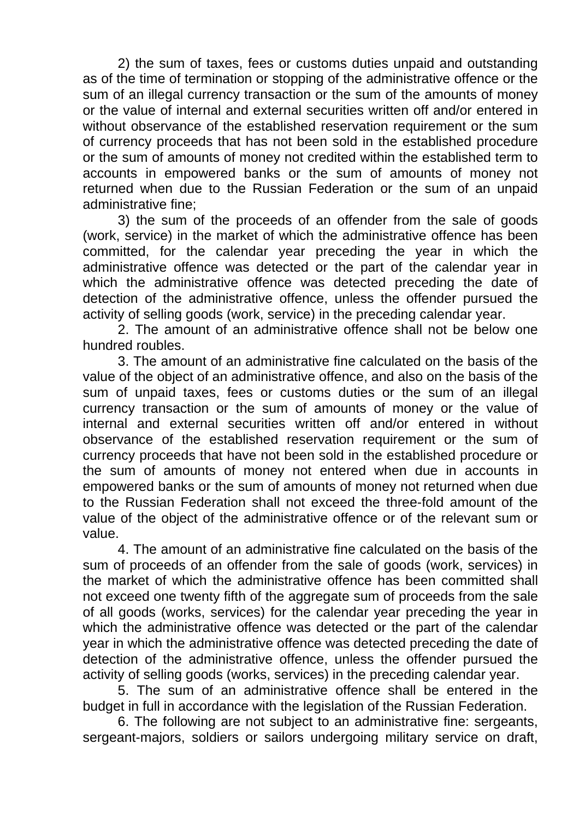2) the sum of taxes, fees or customs duties unpaid and outstanding as of the time of termination or stopping of the administrative offence or the sum of an illegal currency transaction or the sum of the amounts of money or the value of internal and external securities written off and/or entered in without observance of the established reservation requirement or the sum of currency proceeds that has not been sold in the established procedure or the sum of amounts of money not credited within the established term to accounts in empowered banks or the sum of amounts of money not returned when due to the Russian Federation or the sum of an unpaid administrative fine;

3) the sum of the proceeds of an offender from the sale of goods (work, service) in the market of which the administrative offence has been committed, for the calendar year preceding the year in which the administrative offence was detected or the part of the calendar year in which the administrative offence was detected preceding the date of detection of the administrative offence, unless the offender pursued the activity of selling goods (work, service) in the preceding calendar year.

2. The amount of an administrative offence shall not be below one hundred roubles.

3. The amount of an administrative fine calculated on the basis of the value of the object of an administrative offence, and also on the basis of the sum of unpaid taxes, fees or customs duties or the sum of an illegal currency transaction or the sum of amounts of money or the value of internal and external securities written off and/or entered in without observance of the established reservation requirement or the sum of currency proceeds that have not been sold in the established procedure or the sum of amounts of money not entered when due in accounts in empowered banks or the sum of amounts of money not returned when due to the Russian Federation shall not exceed the three-fold amount of the value of the object of the administrative offence or of the relevant sum or value.

4. The amount of an administrative fine calculated on the basis of the sum of proceeds of an offender from the sale of goods (work, services) in the market of which the administrative offence has been committed shall not exceed one twenty fifth of the aggregate sum of proceeds from the sale of all goods (works, services) for the calendar year preceding the year in which the administrative offence was detected or the part of the calendar year in which the administrative offence was detected preceding the date of detection of the administrative offence, unless the offender pursued the activity of selling goods (works, services) in the preceding calendar year.

5. The sum of an administrative offence shall be entered in the budget in full in accordance with the legislation of the Russian Federation.

6. The following are not subject to an administrative fine: sergeants, sergeant-majors, soldiers or sailors undergoing military service on draft,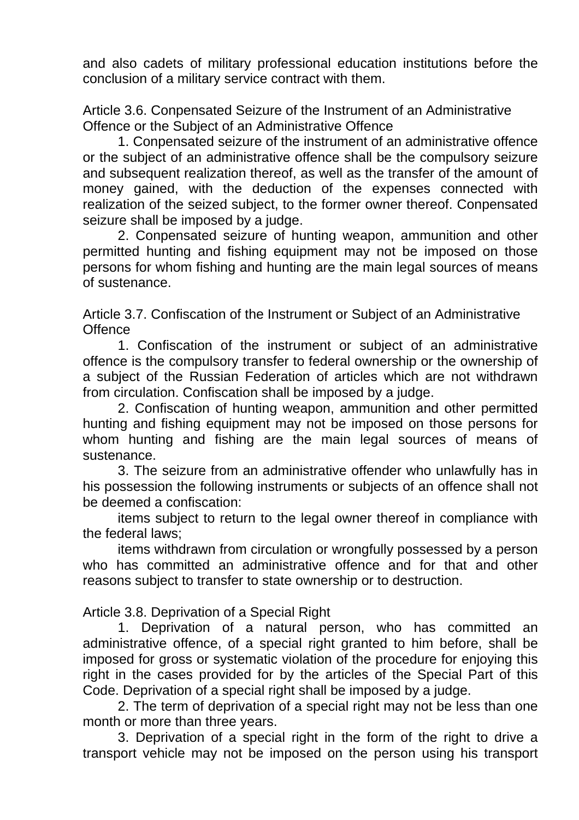and also cadets of military professional education institutions before the conclusion of a military service contract with them.

Article 3.6. Conpensated Seizure of the Instrument of an Administrative Offence or the Subject of an Administrative Offence

1. Conpensated seizure of the instrument of an administrative offence or the subject of an administrative offence shall be the compulsory seizure and subsequent realization thereof, as well as the transfer of the amount of money gained, with the deduction of the expenses connected with realization of the seized subject, to the former owner thereof. Conpensated seizure shall be imposed by a judge.

2. Conpensated seizure of hunting weapon, ammunition and other permitted hunting and fishing equipment may not be imposed on those persons for whom fishing and hunting are the main legal sources of means of sustenance.

Article 3.7. Confiscation of the Instrument or Subject of an Administrative **Offence** 

1. Confiscation of the instrument or subject of an administrative offence is the compulsory transfer to federal ownership or the ownership of a subject of the Russian Federation of articles which are not withdrawn from circulation. Confiscation shall be imposed by a judge.

2. Confiscation of hunting weapon, ammunition and other permitted hunting and fishing equipment may not be imposed on those persons for whom hunting and fishing are the main legal sources of means of sustenance.

3. The seizure from an administrative offender who unlawfully has in his possession the following instruments or subjects of an offence shall not be deemed a confiscation:

items subject to return to the legal owner thereof in compliance with the federal laws;

items withdrawn from circulation or wrongfully possessed by a person who has committed an administrative offence and for that and other reasons subject to transfer to state ownership or to destruction.

Article 3.8. Deprivation of a Special Right

1. Deprivation of a natural person, who has committed an administrative offence, of a special right granted to him before, shall be imposed for gross or systematic violation of the procedure for enjoying this right in the cases provided for by the articles of the Special Part of this Code. Deprivation of a special right shall be imposed by a judge.

2. The term of deprivation of a special right may not be less than one month or more than three years.

3. Deprivation of a special right in the form of the right to drive a transport vehicle may not be imposed on the person using his transport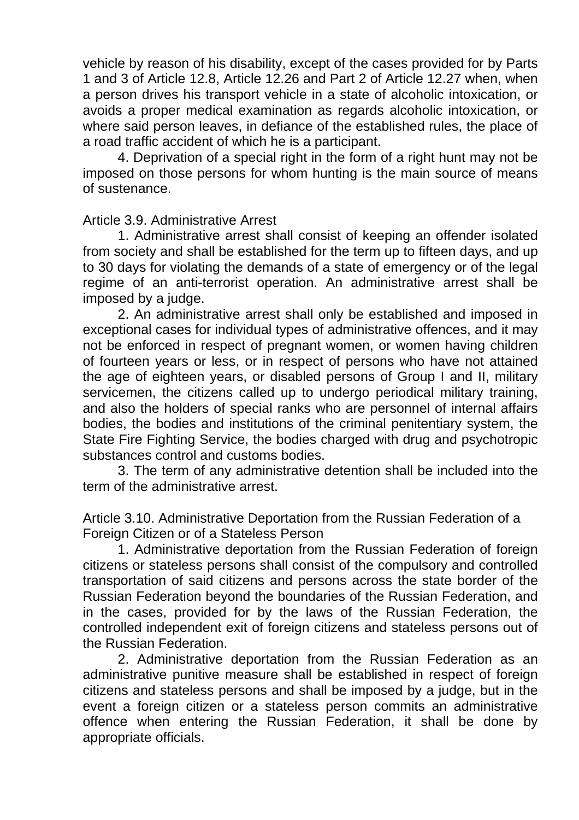vehicle by reason of his disability, except of the cases provided for by Parts 1 and 3 of Article 12.8, Article 12.26 and Part 2 of Article 12.27 when, when a person drives his transport vehicle in a state of alcoholic intoxication, or avoids a proper medical examination as regards alcoholic intoxication, or where said person leaves, in defiance of the established rules, the place of a road traffic accident of which he is a participant.

4. Deprivation of a special right in the form of a right hunt may not be imposed on those persons for whom hunting is the main source of means of sustenance.

#### Article 3.9. Administrative Arrest

1. Administrative arrest shall consist of keeping an offender isolated from society and shall be established for the term up to fifteen days, and up to 30 days for violating the demands of a state of emergency or of the legal regime of an anti-terrorist operation. An administrative arrest shall be imposed by a judge.

2. An administrative arrest shall only be established and imposed in exceptional cases for individual types of administrative offences, and it may not be enforced in respect of pregnant women, or women having children of fourteen years or less, or in respect of persons who have not attained the age of eighteen years, or disabled persons of Group I and II, military servicemen, the citizens called up to undergo periodical military training, and also the holders of special ranks who are personnel of internal affairs bodies, the bodies and institutions of the criminal penitentiary system, the State Fire Fighting Service, the bodies charged with drug and psychotropic substances control and customs bodies.

3. The term of any administrative detention shall be included into the term of the administrative arrest.

Article 3.10. Administrative Deportation from the Russian Federation of a Foreign Citizen or of a Stateless Person

1. Administrative deportation from the Russian Federation of foreign citizens or stateless persons shall consist of the compulsory and controlled transportation of said citizens and persons across the state border of the Russian Federation beyond the boundaries of the Russian Federation, and in the cases, provided for by the laws of the Russian Federation, the controlled independent exit of foreign citizens and stateless persons out of the Russian Federation.

2. Administrative deportation from the Russian Federation as an administrative punitive measure shall be established in respect of foreign citizens and stateless persons and shall be imposed by a judge, but in the event a foreign citizen or a stateless person commits an administrative offence when entering the Russian Federation, it shall be done by appropriate officials.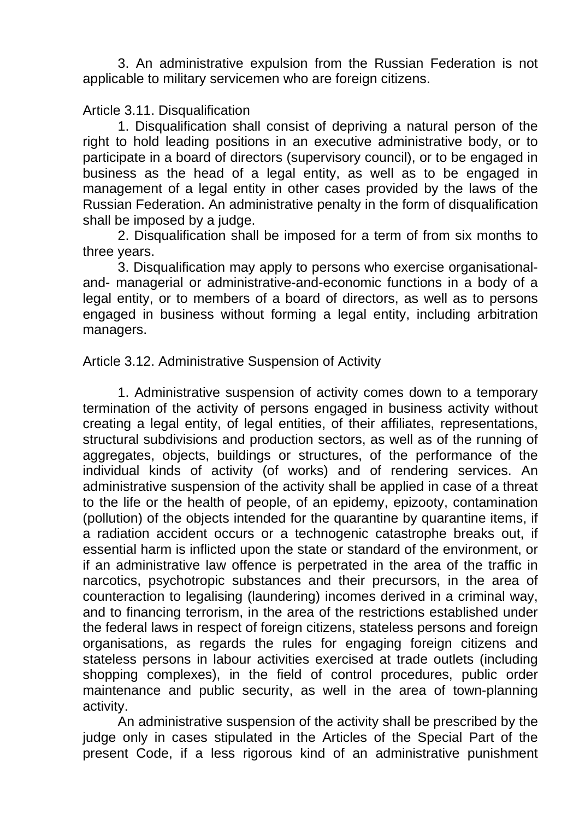3. An administrative expulsion from the Russian Federation is not applicable to military servicemen who are foreign citizens.

#### Article 3.11. Disqualification

1. Disqualification shall consist of depriving a natural person of the right to hold leading positions in an executive administrative body, or to participate in a board of directors (supervisory council), or to be engaged in business as the head of a legal entity, as well as to be engaged in management of a legal entity in other cases provided by the laws of the Russian Federation. An administrative penalty in the form of disqualification shall be imposed by a judge.

2. Disqualification shall be imposed for a term of from six months to three years.

3. Disqualification may apply to persons who exercise organisationaland- managerial or administrative-and-economic functions in a body of a legal entity, or to members of a board of directors, as well as to persons engaged in business without forming a legal entity, including arbitration managers.

#### Article 3.12. Administrative Suspension of Activity

1. Administrative suspension of activity comes down to a temporary termination of the activity of persons engaged in business activity without creating a legal entity, of legal entities, of their affiliates, representations, structural subdivisions and production sectors, as well as of the running of aggregates, objects, buildings or structures, of the performance of the individual kinds of activity (of works) and of rendering services. An administrative suspension of the activity shall be applied in case of a threat to the life or the health of people, of an epidemy, epizooty, contamination (pollution) of the objects intended for the quarantine by quarantine items, if a radiation accident occurs or a technogenic catastrophe breaks out, if essential harm is inflicted upon the state or standard of the environment, or if an administrative law offence is perpetrated in the area of the traffic in narcotics, psychotropic substances and their precursors, in the area of counteraction to legalising (laundering) incomes derived in a criminal way, and to financing terrorism, in the area of the restrictions established under the federal laws in respect of foreign citizens, stateless persons and foreign organisations, as regards the rules for engaging foreign citizens and stateless persons in labour activities exercised at trade outlets (including shopping complexes), in the field of control procedures, public order maintenance and public security, as well in the area of town-planning activity.

An administrative suspension of the activity shall be prescribed by the judge only in cases stipulated in the Articles of the Special Part of the present Code, if a less rigorous kind of an administrative punishment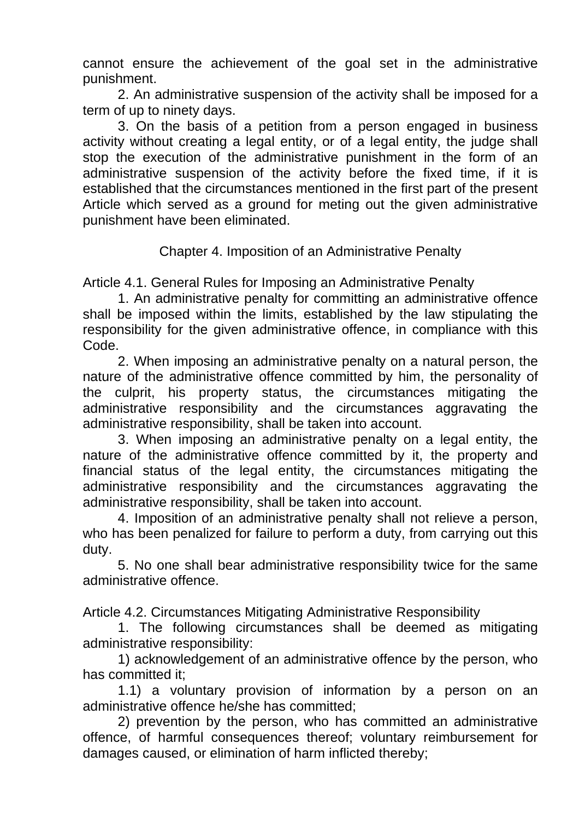cannot ensure the achievement of the goal set in the administrative punishment.

2. An administrative suspension of the activity shall be imposed for a term of up to ninety days.

3. On the basis of a petition from a person engaged in business activity without creating a legal entity, or of a legal entity, the judge shall stop the execution of the administrative punishment in the form of an administrative suspension of the activity before the fixed time, if it is established that the circumstances mentioned in the first part of the present Article which served as a ground for meting out the given administrative punishment have been eliminated.

Chapter 4. Imposition of an Administrative Penalty

Article 4.1. General Rules for Imposing an Administrative Penalty

1. An administrative penalty for committing an administrative offence shall be imposed within the limits, established by the law stipulating the responsibility for the given administrative offence, in compliance with this Code.

2. When imposing an administrative penalty on a natural person, the nature of the administrative offence committed by him, the personality of the culprit, his property status, the circumstances mitigating the administrative responsibility and the circumstances aggravating the administrative responsibility, shall be taken into account.

3. When imposing an administrative penalty on a legal entity, the nature of the administrative offence committed by it, the property and financial status of the legal entity, the circumstances mitigating the administrative responsibility and the circumstances aggravating the administrative responsibility, shall be taken into account.

4. Imposition of an administrative penalty shall not relieve a person, who has been penalized for failure to perform a duty, from carrying out this duty.

5. No one shall bear administrative responsibility twice for the same administrative offence.

Article 4.2. Circumstances Mitigating Administrative Responsibility

1. The following circumstances shall be deemed as mitigating administrative responsibility:

1) acknowledgement of an administrative offence by the person, who has committed it;

1.1) a voluntary provision of information by a person on an administrative offence he/she has committed;

2) prevention by the person, who has committed an administrative offence, of harmful consequences thereof; voluntary reimbursement for damages caused, or elimination of harm inflicted thereby;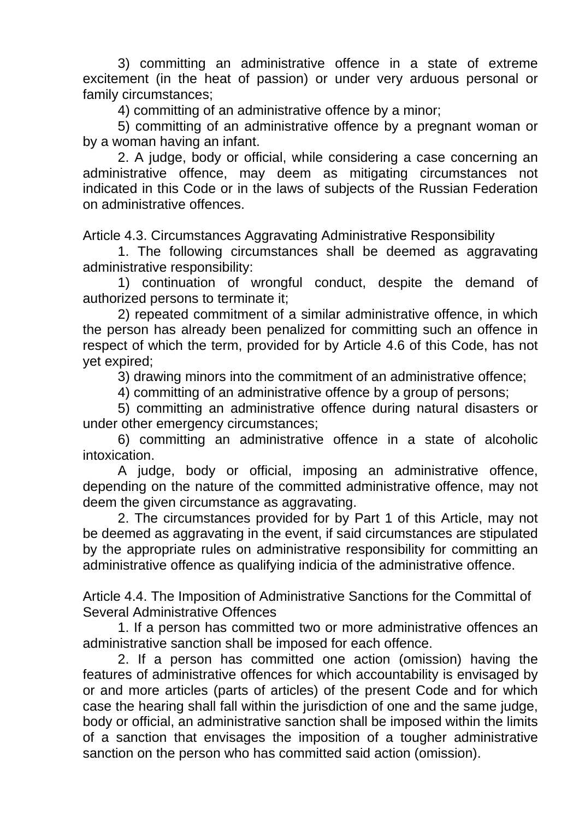3) committing an administrative offence in a state of extreme excitement (in the heat of passion) or under very arduous personal or family circumstances;

4) committing of an administrative offence by a minor;

5) committing of an administrative offence by a pregnant woman or by a woman having an infant.

2. A judge, body or official, while considering a case concerning an administrative offence, may deem as mitigating circumstances not indicated in this Code or in the laws of subjects of the Russian Federation on administrative offences.

Article 4.3. Circumstances Aggravating Administrative Responsibility

1. The following circumstances shall be deemed as aggravating administrative responsibility:

1) continuation of wrongful conduct, despite the demand of authorized persons to terminate it;

2) repeated commitment of a similar administrative offence, in which the person has already been penalized for committing such an offence in respect of which the term, provided for by Article 4.6 of this Code, has not yet expired;

3) drawing minors into the commitment of an administrative offence;

4) committing of an administrative offence by a group of persons;

5) committing an administrative offence during natural disasters or under other emergency circumstances;

6) committing an administrative offence in a state of alcoholic intoxication.

A judge, body or official, imposing an administrative offence, depending on the nature of the committed administrative offence, may not deem the given circumstance as aggravating.

2. The circumstances provided for by Part 1 of this Article, may not be deemed as aggravating in the event, if said circumstances are stipulated by the appropriate rules on administrative responsibility for committing an administrative offence as qualifying indicia of the administrative offence.

Article 4.4. The Imposition of Administrative Sanctions for the Committal of Several Administrative Offences

1. If a person has committed two or more administrative offences an administrative sanction shall be imposed for each offence.

2. If a person has committed one action (omission) having the features of administrative offences for which accountability is envisaged by or and more articles (parts of articles) of the present Code and for which case the hearing shall fall within the jurisdiction of one and the same judge, body or official, an administrative sanction shall be imposed within the limits of a sanction that envisages the imposition of a tougher administrative sanction on the person who has committed said action (omission).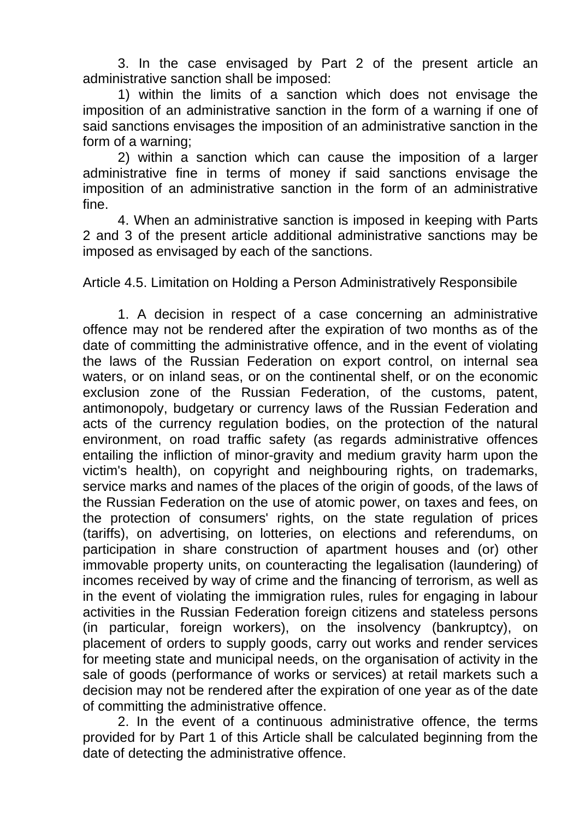3. In the case envisaged by Part 2 of the present article an administrative sanction shall be imposed:

1) within the limits of a sanction which does not envisage the imposition of an administrative sanction in the form of a warning if one of said sanctions envisages the imposition of an administrative sanction in the form of a warning;

2) within a sanction which can cause the imposition of a larger administrative fine in terms of money if said sanctions envisage the imposition of an administrative sanction in the form of an administrative fine.

4. When an administrative sanction is imposed in keeping with Parts 2 and 3 of the present article additional administrative sanctions may be imposed as envisaged by each of the sanctions.

Article 4.5. Limitation on Holding a Person Administratively Responsibile

1. A decision in respect of a case concerning an administrative offence may not be rendered after the expiration of two months as of the date of committing the administrative offence, and in the event of violating the laws of the Russian Federation on export control, on internal sea waters, or on inland seas, or on the continental shelf, or on the economic exclusion zone of the Russian Federation, of the customs, patent, antimonopoly, budgetary or currency laws of the Russian Federation and acts of the currency regulation bodies, on the protection of the natural environment, on road traffic safety (as regards administrative offences entailing the infliction of minor-gravity and medium gravity harm upon the victim's health), on copyright and neighbouring rights, on trademarks, service marks and names of the places of the origin of goods, of the laws of the Russian Federation on the use of atomic power, on taxes and fees, on the protection of consumers' rights, on the state regulation of prices (tariffs), on advertising, on lotteries, on elections and referendums, on participation in share construction of apartment houses and (or) other immovable property units, on counteracting the legalisation (laundering) of incomes received by way of crime and the financing of terrorism, as well as in the event of violating the immigration rules, rules for engaging in labour activities in the Russian Federation foreign citizens and stateless persons (in particular, foreign workers), on the insolvency (bankruptcy), on placement of orders to supply goods, carry out works and render services for meeting state and municipal needs, on the organisation of activity in the sale of goods (performance of works or services) at retail markets such a decision may not be rendered after the expiration of one year as of the date of committing the administrative offence.

2. In the event of a continuous administrative offence, the terms provided for by Part 1 of this Article shall be calculated beginning from the date of detecting the administrative offence.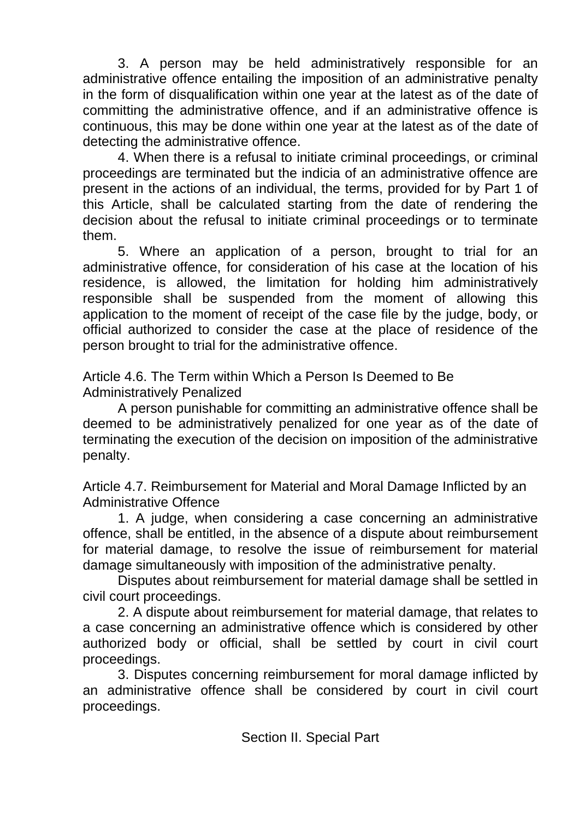3. A person may be held administratively responsible for an administrative offence entailing the imposition of an administrative penalty in the form of disqualification within one year at the latest as of the date of committing the administrative offence, and if an administrative offence is continuous, this may be done within one year at the latest as of the date of detecting the administrative offence.

4. When there is a refusal to initiate criminal proceedings, or criminal proceedings are terminated but the indicia of an administrative offence are present in the actions of an individual, the terms, provided for by Part 1 of this Article, shall be calculated starting from the date of rendering the decision about the refusal to initiate criminal proceedings or to terminate them.

5. Where an application of a person, brought to trial for an administrative offence, for consideration of his case at the location of his residence, is allowed, the limitation for holding him administratively responsible shall be suspended from the moment of allowing this application to the moment of receipt of the case file by the judge, body, or official authorized to consider the case at the place of residence of the person brought to trial for the administrative offence.

Article 4.6. The Term within Which a Person Is Deemed to Be Administratively Penalized

A person punishable for committing an administrative offence shall be deemed to be administratively penalized for one year as of the date of terminating the execution of the decision on imposition of the administrative penalty.

Article 4.7. Reimbursement for Material and Moral Damage Inflicted by an Administrative Offence

1. A judge, when considering a case concerning an administrative offence, shall be entitled, in the absence of a dispute about reimbursement for material damage, to resolve the issue of reimbursement for material damage simultaneously with imposition of the administrative penalty.

Disputes about reimbursement for material damage shall be settled in civil court proceedings.

2. A dispute about reimbursement for material damage, that relates to a case concerning an administrative offence which is considered by other authorized body or official, shall be settled by court in civil court proceedings.

3. Disputes concerning reimbursement for moral damage inflicted by an administrative offence shall be considered by court in civil court proceedings.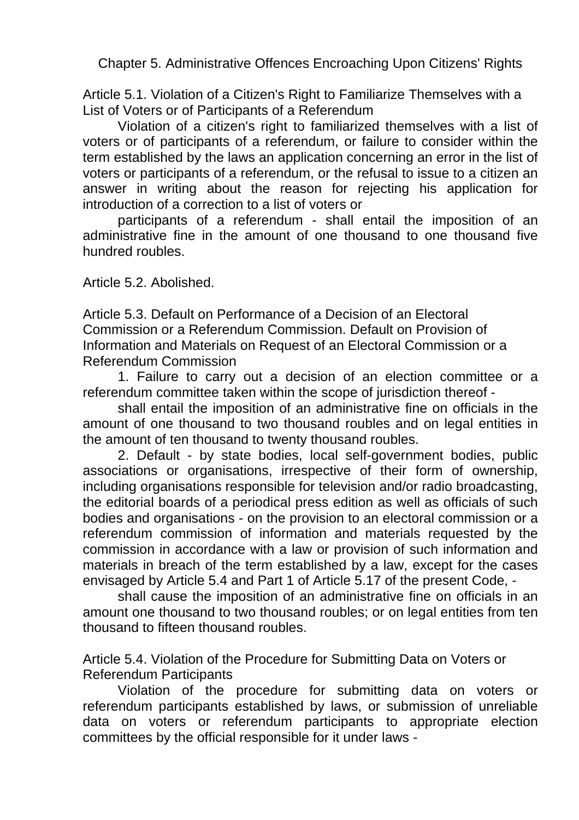Chapter 5. Administrative Offences Encroaching Upon Citizens' Rights

Article 5.1. Violation of a Citizen's Right to Familiarize Themselves with a List of Voters or of Participants of a Referendum

Violation of a citizen's right to familiarized themselves with a list of voters or of participants of a referendum, or failure to consider within the term established by the laws an application concerning an error in the list of voters or participants of a referendum, or the refusal to issue to a citizen an answer in writing about the reason for rejecting his application for introduction of a correction to a list of voters or

participants of a referendum - shall entail the imposition of an administrative fine in the amount of one thousand to one thousand five hundred roubles.

Article 5.2. Abolished.

Article 5.3. Default on Performance of a Decision of an Electoral Commission or a Referendum Commission. Default on Provision of Information and Materials on Request of an Electoral Commission or a Referendum Commission

1. Failure to carry out a decision of an election committee or a referendum committee taken within the scope of jurisdiction thereof -

shall entail the imposition of an administrative fine on officials in the amount of one thousand to two thousand roubles and on legal entities in the amount of ten thousand to twenty thousand roubles.

2. Default - by state bodies, local self-government bodies, public associations or organisations, irrespective of their form of ownership, including organisations responsible for television and/or radio broadcasting, the editorial boards of a periodical press edition as well as officials of such bodies and organisations - on the provision to an electoral commission or a referendum commission of information and materials requested by the commission in accordance with a law or provision of such information and materials in breach of the term established by a law, except for the cases envisaged by Article 5.4 and Part 1 of Article 5.17 of the present Code, -

shall cause the imposition of an administrative fine on officials in an amount one thousand to two thousand roubles; or on legal entities from ten thousand to fifteen thousand roubles.

Article 5.4. Violation of the Procedure for Submitting Data on Voters or Referendum Participants

Violation of the procedure for submitting data on voters or referendum participants established by laws, or submission of unreliable data on voters or referendum participants to appropriate election committees by the official responsible for it under laws -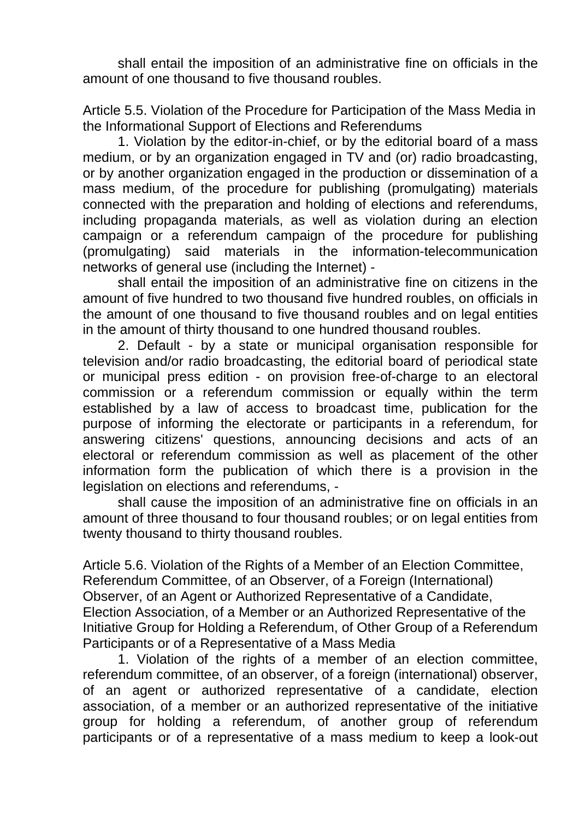shall entail the imposition of an administrative fine on officials in the amount of one thousand to five thousand roubles.

Article 5.5. Violation of the Procedure for Participation of the Mass Media in the Informational Support of Elections and Referendums

1. Violation by the editor-in-chief, or by the editorial board of a mass medium, or by an organization engaged in TV and (or) radio broadcasting, or by another organization engaged in the production or dissemination of a mass medium, of the procedure for publishing (promulgating) materials connected with the preparation and holding of elections and referendums, including propaganda materials, as well as violation during an election campaign or a referendum campaign of the procedure for publishing (promulgating) said materials in the information-telecommunication networks of general use (including the Internet) -

shall entail the imposition of an administrative fine on citizens in the amount of five hundred to two thousand five hundred roubles, on officials in the amount of one thousand to five thousand roubles and on legal entities in the amount of thirty thousand to one hundred thousand roubles.

2. Default - by a state or municipal organisation responsible for television and/or radio broadcasting, the editorial board of periodical state or municipal press edition - on provision free-of-charge to an electoral commission or a referendum commission or equally within the term established by a law of access to broadcast time, publication for the purpose of informing the electorate or participants in a referendum, for answering citizens' questions, announcing decisions and acts of an electoral or referendum commission as well as placement of the other information form the publication of which there is a provision in the legislation on elections and referendums, -

shall cause the imposition of an administrative fine on officials in an amount of three thousand to four thousand roubles; or on legal entities from twenty thousand to thirty thousand roubles.

Article 5.6. Violation of the Rights of a Member of an Election Committee, Referendum Committee, of an Observer, of a Foreign (International) Observer, of an Agent or Authorized Representative of a Candidate, Election Association, of a Member or an Authorized Representative of the Initiative Group for Holding a Referendum, of Other Group of a Referendum Participants or of a Representative of a Mass Media

1. Violation of the rights of a member of an election committee, referendum committee, of an observer, of a foreign (international) observer, of an agent or authorized representative of a candidate, election association, of a member or an authorized representative of the initiative group for holding a referendum, of another group of referendum participants or of a representative of a mass medium to keep a look-out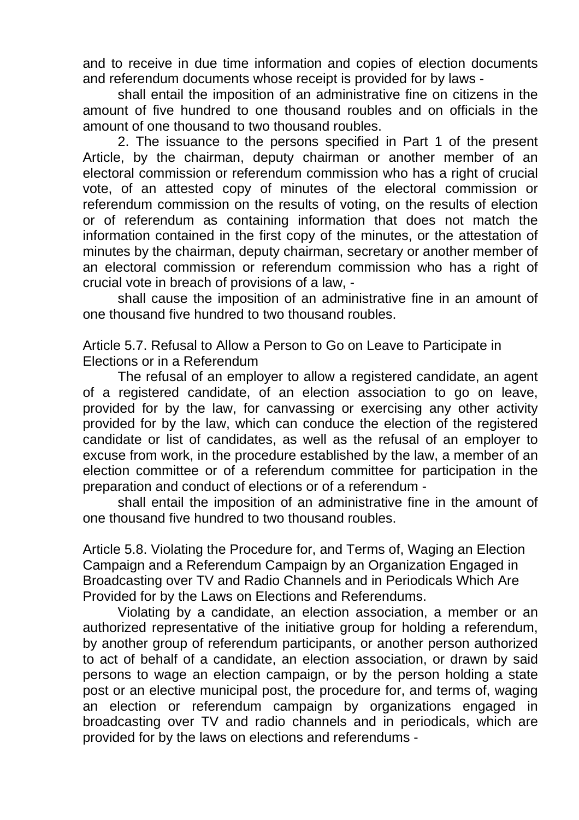and to receive in due time information and copies of election documents and referendum documents whose receipt is provided for by laws -

shall entail the imposition of an administrative fine on citizens in the amount of five hundred to one thousand roubles and on officials in the amount of one thousand to two thousand roubles.

2. The issuance to the persons specified in Part 1 of the present Article, by the chairman, deputy chairman or another member of an electoral commission or referendum commission who has a right of crucial vote, of an attested copy of minutes of the electoral commission or referendum commission on the results of voting, on the results of election or of referendum as containing information that does not match the information contained in the first copy of the minutes, or the attestation of minutes by the chairman, deputy chairman, secretary or another member of an electoral commission or referendum commission who has a right of crucial vote in breach of provisions of a law, -

shall cause the imposition of an administrative fine in an amount of one thousand five hundred to two thousand roubles.

Article 5.7. Refusal to Allow a Person to Go on Leave to Participate in Elections or in a Referendum

The refusal of an employer to allow a registered candidate, an agent of a registered candidate, of an election association to go on leave, provided for by the law, for canvassing or exercising any other activity provided for by the law, which can conduce the election of the registered candidate or list of candidates, as well as the refusal of an employer to excuse from work, in the procedure established by the law, a member of an election committee or of a referendum committee for participation in the preparation and conduct of elections or of a referendum -

shall entail the imposition of an administrative fine in the amount of one thousand five hundred to two thousand roubles.

Article 5.8. Violating the Procedure for, and Terms of, Waging an Election Campaign and a Referendum Campaign by an Organization Engaged in Broadcasting over TV and Radio Channels and in Periodicals Which Are Provided for by the Laws on Elections and Referendums.

Violating by a candidate, an election association, a member or an authorized representative of the initiative group for holding a referendum, by another group of referendum participants, or another person authorized to act of behalf of a candidate, an election association, or drawn by said persons to wage an election campaign, or by the person holding a state post or an elective municipal post, the procedure for, and terms of, waging an election or referendum campaign by organizations engaged in broadcasting over TV and radio channels and in periodicals, which are provided for by the laws on elections and referendums -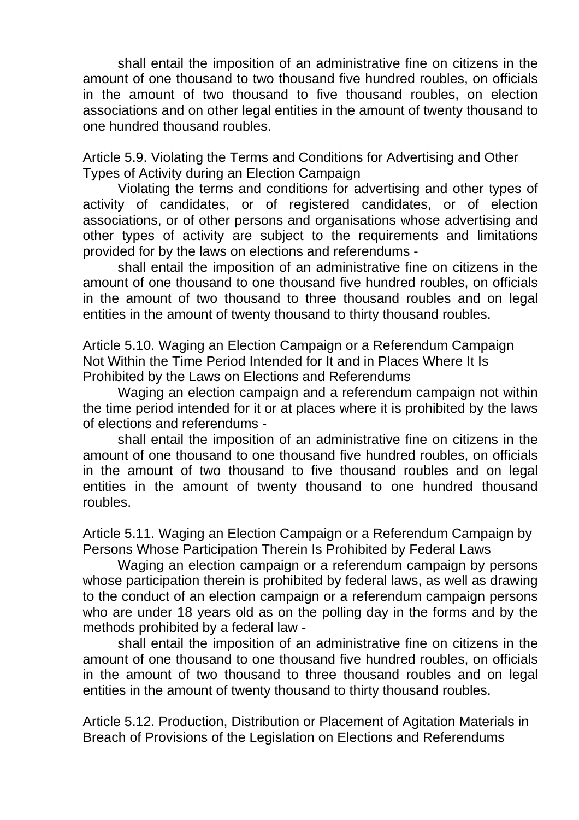shall entail the imposition of an administrative fine on citizens in the amount of one thousand to two thousand five hundred roubles, on officials in the amount of two thousand to five thousand roubles, on election associations and on other legal entities in the amount of twenty thousand to one hundred thousand roubles.

Article 5.9. Violating the Terms and Conditions for Advertising and Other Types of Activity during an Election Campaign

Violating the terms and conditions for advertising and other types of activity of candidates, or of registered candidates, or of election associations, or of other persons and organisations whose advertising and other types of activity are subject to the requirements and limitations provided for by the laws on elections and referendums -

shall entail the imposition of an administrative fine on citizens in the amount of one thousand to one thousand five hundred roubles, on officials in the amount of two thousand to three thousand roubles and on legal entities in the amount of twenty thousand to thirty thousand roubles.

Article 5.10. Waging an Election Campaign or a Referendum Campaign Not Within the Time Period Intended for It and in Places Where It Is Prohibited by the Laws on Elections and Referendums

Waging an election campaign and a referendum campaign not within the time period intended for it or at places where it is prohibited by the laws of elections and referendums -

shall entail the imposition of an administrative fine on citizens in the amount of one thousand to one thousand five hundred roubles, on officials in the amount of two thousand to five thousand roubles and on legal entities in the amount of twenty thousand to one hundred thousand roubles.

Article 5.11. Waging an Election Campaign or a Referendum Campaign by Persons Whose Participation Therein Is Prohibited by Federal Laws

Waging an election campaign or a referendum campaign by persons whose participation therein is prohibited by federal laws, as well as drawing to the conduct of an election campaign or a referendum campaign persons who are under 18 years old as on the polling day in the forms and by the methods prohibited by a federal law -

shall entail the imposition of an administrative fine on citizens in the amount of one thousand to one thousand five hundred roubles, on officials in the amount of two thousand to three thousand roubles and on legal entities in the amount of twenty thousand to thirty thousand roubles.

Article 5.12. Production, Distribution or Placement of Agitation Materials in Breach of Provisions of the Legislation on Elections and Referendums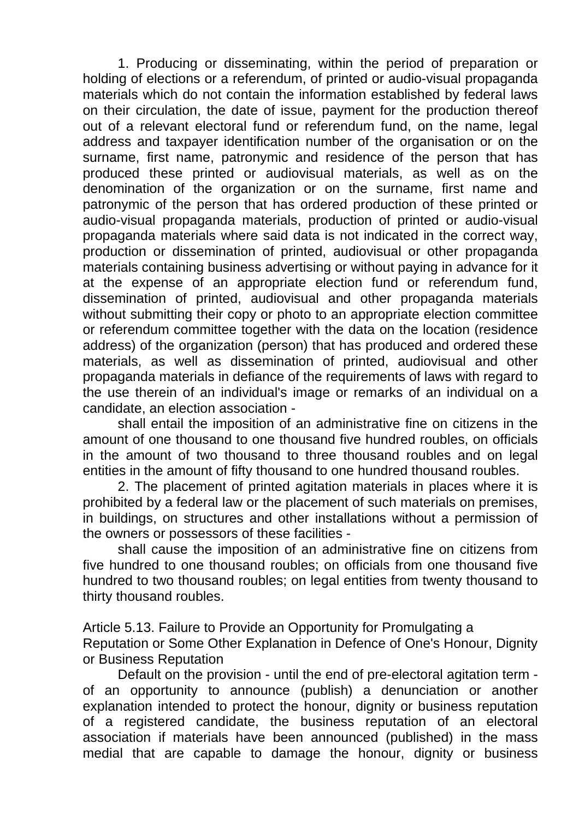1. Producing or disseminating, within the period of preparation or holding of elections or a referendum, of printed or audio-visual propaganda materials which do not contain the information established by federal laws on their circulation, the date of issue, payment for the production thereof out of a relevant electoral fund or referendum fund, on the name, legal address and taxpayer identification number of the organisation or on the surname, first name, patronymic and residence of the person that has produced these printed or audiovisual materials, as well as on the denomination of the organization or on the surname, first name and patronymic of the person that has ordered production of these printed or audio-visual propaganda materials, production of printed or audio-visual propaganda materials where said data is not indicated in the correct way, production or dissemination of printed, audiovisual or other propaganda materials containing business advertising or without paying in advance for it at the expense of an appropriate election fund or referendum fund, dissemination of printed, audiovisual and other propaganda materials without submitting their copy or photo to an appropriate election committee or referendum committee together with the data on the location (residence address) of the organization (person) that has produced and ordered these materials, as well as dissemination of printed, audiovisual and other propaganda materials in defiance of the requirements of laws with regard to the use therein of an individual's image or remarks of an individual on a candidate, an election association -

shall entail the imposition of an administrative fine on citizens in the amount of one thousand to one thousand five hundred roubles, on officials in the amount of two thousand to three thousand roubles and on legal entities in the amount of fifty thousand to one hundred thousand roubles.

2. The placement of printed agitation materials in places where it is prohibited by a federal law or the placement of such materials on premises, in buildings, on structures and other installations without a permission of the owners or possessors of these facilities -

shall cause the imposition of an administrative fine on citizens from five hundred to one thousand roubles; on officials from one thousand five hundred to two thousand roubles; on legal entities from twenty thousand to thirty thousand roubles.

Article 5.13. Failure to Provide an Opportunity for Promulgating a Reputation or Some Other Explanation in Defence of One's Honour, Dignity or Business Reputation

Default on the provision - until the end of pre-electoral agitation term of an opportunity to announce (publish) a denunciation or another explanation intended to protect the honour, dignity or business reputation of a registered candidate, the business reputation of an electoral association if materials have been announced (published) in the mass medial that are capable to damage the honour, dignity or business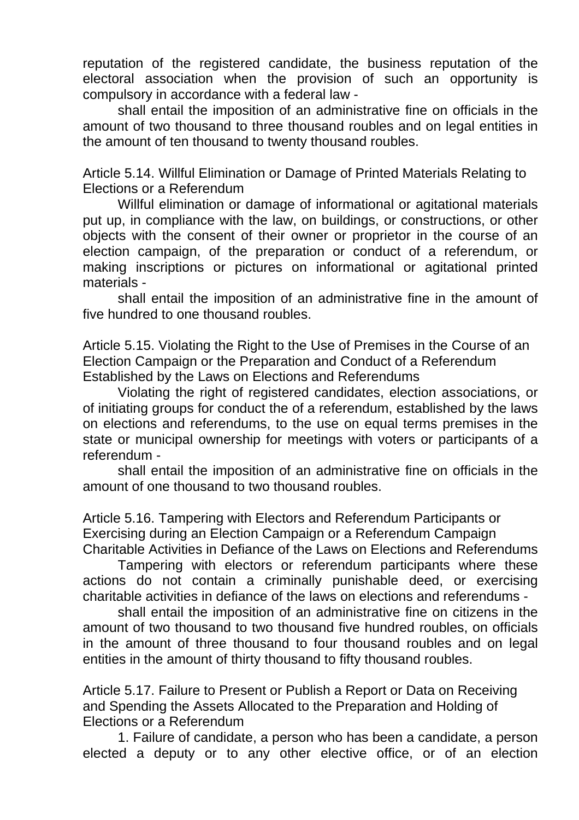reputation of the registered candidate, the business reputation of the electoral association when the provision of such an opportunity is compulsory in accordance with a federal law -

shall entail the imposition of an administrative fine on officials in the amount of two thousand to three thousand roubles and on legal entities in the amount of ten thousand to twenty thousand roubles.

Article 5.14. Willful Elimination or Damage of Printed Materials Relating to Elections or a Referendum

Willful elimination or damage of informational or agitational materials put up, in compliance with the law, on buildings, or constructions, or other objects with the consent of their owner or proprietor in the course of an election campaign, of the preparation or conduct of a referendum, or making inscriptions or pictures on informational or agitational printed materials -

shall entail the imposition of an administrative fine in the amount of five hundred to one thousand roubles.

Article 5.15. Violating the Right to the Use of Premises in the Course of an Election Campaign or the Preparation and Conduct of a Referendum Established by the Laws on Elections and Referendums

Violating the right of registered candidates, election associations, or of initiating groups for conduct the of a referendum, established by the laws on elections and referendums, to the use on equal terms premises in the state or municipal ownership for meetings with voters or participants of a referendum -

shall entail the imposition of an administrative fine on officials in the amount of one thousand to two thousand roubles.

Article 5.16. Tampering with Electors and Referendum Participants or Exercising during an Election Campaign or a Referendum Campaign Charitable Activities in Defiance of the Laws on Elections and Referendums

Tampering with electors or referendum participants where these actions do not contain a criminally punishable deed, or exercising charitable activities in defiance of the laws on elections and referendums -

shall entail the imposition of an administrative fine on citizens in the amount of two thousand to two thousand five hundred roubles, on officials in the amount of three thousand to four thousand roubles and on legal entities in the amount of thirty thousand to fifty thousand roubles.

Article 5.17. Failure to Present or Publish a Report or Data on Receiving and Spending the Assets Allocated to the Preparation and Holding of Elections or a Referendum

1. Failure of candidate, a person who has been a candidate, a person elected a deputy or to any other elective office, or of an election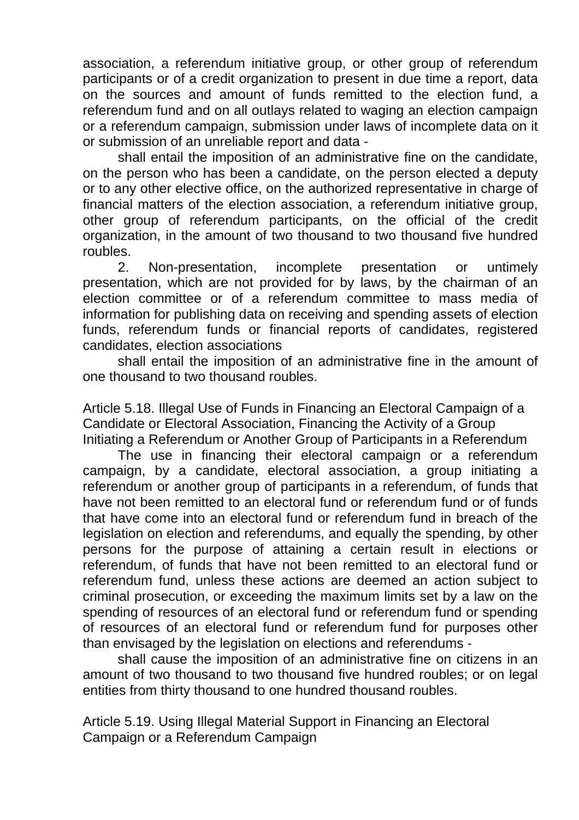association, a referendum initiative group, or other group of referendum participants or of a credit organization to present in due time a report, data on the sources and amount of funds remitted to the election fund, a referendum fund and on all outlays related to waging an election campaign or a referendum campaign, submission under laws of incomplete data on it or submission of an unreliable report and data -

shall entail the imposition of an administrative fine on the candidate, on the person who has been a candidate, on the person elected a deputy or to any other elective office, on the authorized representative in charge of financial matters of the election association, a referendum initiative group, other group of referendum participants, on the official of the credit organization, in the amount of two thousand to two thousand five hundred roubles.

2. Non-presentation, incomplete presentation or untimely presentation, which are not provided for by laws, by the chairman of an election committee or of a referendum committee to mass media of information for publishing data on receiving and spending assets of election funds, referendum funds or financial reports of candidates, registered candidates, election associations

shall entail the imposition of an administrative fine in the amount of one thousand to two thousand roubles.

Article 5.18. Illegal Use of Funds in Financing an Electoral Campaign of a Candidate or Electoral Association, Financing the Activity of a Group Initiating a Referendum or Another Group of Participants in a Referendum

The use in financing their electoral campaign or a referendum campaign, by a candidate, electoral association, a group initiating a referendum or another group of participants in a referendum, of funds that have not been remitted to an electoral fund or referendum fund or of funds that have come into an electoral fund or referendum fund in breach of the legislation on election and referendums, and equally the spending, by other persons for the purpose of attaining a certain result in elections or referendum, of funds that have not been remitted to an electoral fund or referendum fund, unless these actions are deemed an action subject to criminal prosecution, or exceeding the maximum limits set by a law on the spending of resources of an electoral fund or referendum fund or spending of resources of an electoral fund or referendum fund for purposes other than envisaged by the legislation on elections and referendums -

shall cause the imposition of an administrative fine on citizens in an amount of two thousand to two thousand five hundred roubles; or on legal entities from thirty thousand to one hundred thousand roubles.

Article 5.19. Using Illegal Material Support in Financing an Electoral Campaign or a Referendum Campaign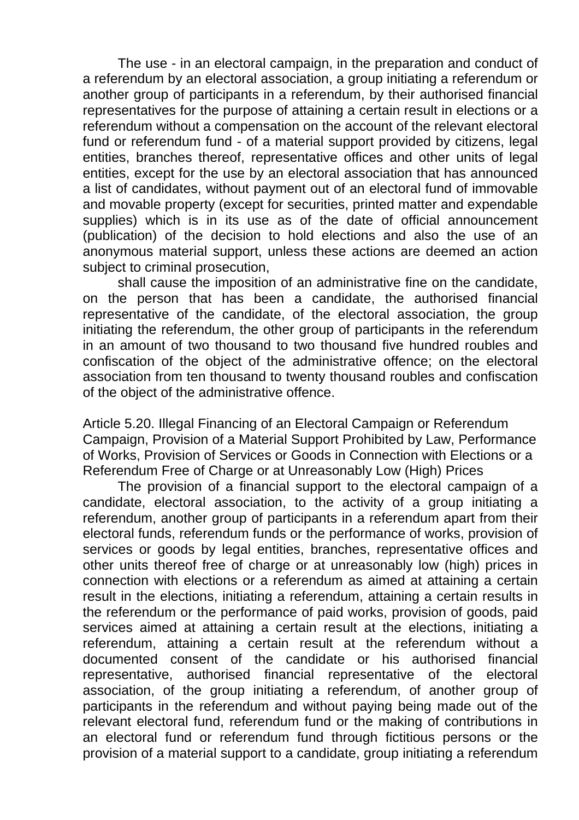The use - in an electoral campaign, in the preparation and conduct of a referendum by an electoral association, a group initiating a referendum or another group of participants in a referendum, by their authorised financial representatives for the purpose of attaining a certain result in elections or a referendum without a compensation on the account of the relevant electoral fund or referendum fund - of a material support provided by citizens, legal entities, branches thereof, representative offices and other units of legal entities, except for the use by an electoral association that has announced a list of candidates, without payment out of an electoral fund of immovable and movable property (except for securities, printed matter and expendable supplies) which is in its use as of the date of official announcement (publication) of the decision to hold elections and also the use of an anonymous material support, unless these actions are deemed an action subject to criminal prosecution,

shall cause the imposition of an administrative fine on the candidate, on the person that has been a candidate, the authorised financial representative of the candidate, of the electoral association, the group initiating the referendum, the other group of participants in the referendum in an amount of two thousand to two thousand five hundred roubles and confiscation of the object of the administrative offence; on the electoral association from ten thousand to twenty thousand roubles and confiscation of the object of the administrative offence.

Article 5.20. Illegal Financing of an Electoral Campaign or Referendum Campaign, Provision of a Material Support Prohibited by Law, Performance of Works, Provision of Services or Goods in Connection with Elections or a Referendum Free of Charge or at Unreasonably Low (High) Prices

The provision of a financial support to the electoral campaign of a candidate, electoral association, to the activity of a group initiating a referendum, another group of participants in a referendum apart from their electoral funds, referendum funds or the performance of works, provision of services or goods by legal entities, branches, representative offices and other units thereof free of charge or at unreasonably low (high) prices in connection with elections or a referendum as aimed at attaining a certain result in the elections, initiating a referendum, attaining a certain results in the referendum or the performance of paid works, provision of goods, paid services aimed at attaining a certain result at the elections, initiating a referendum, attaining a certain result at the referendum without a documented consent of the candidate or his authorised financial representative, authorised financial representative of the electoral association, of the group initiating a referendum, of another group of participants in the referendum and without paying being made out of the relevant electoral fund, referendum fund or the making of contributions in an electoral fund or referendum fund through fictitious persons or the provision of a material support to a candidate, group initiating a referendum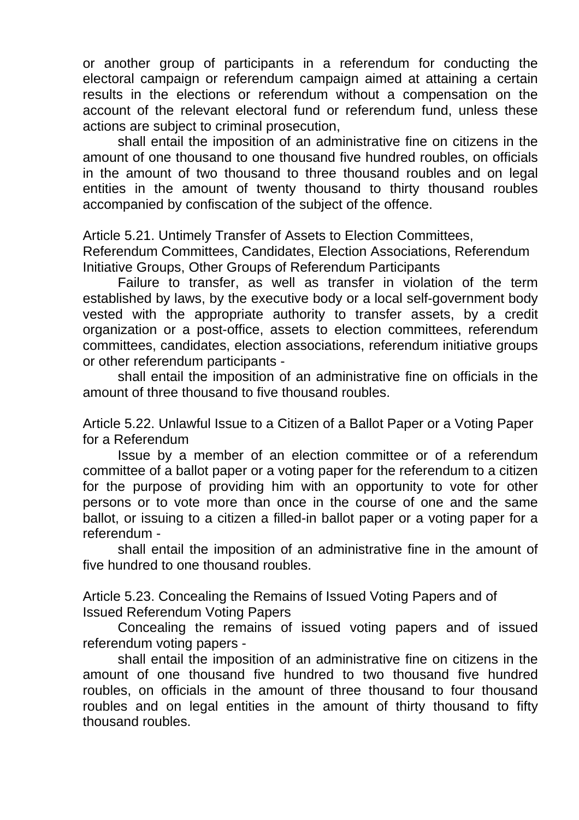or another group of participants in a referendum for conducting the electoral campaign or referendum campaign aimed at attaining a certain results in the elections or referendum without a compensation on the account of the relevant electoral fund or referendum fund, unless these actions are subject to criminal prosecution,

shall entail the imposition of an administrative fine on citizens in the amount of one thousand to one thousand five hundred roubles, on officials in the amount of two thousand to three thousand roubles and on legal entities in the amount of twenty thousand to thirty thousand roubles accompanied by confiscation of the subject of the offence.

Article 5.21. Untimely Transfer of Assets to Election Committees,

Referendum Committees, Candidates, Election Associations, Referendum Initiative Groups, Other Groups of Referendum Participants

Failure to transfer, as well as transfer in violation of the term established by laws, by the executive body or a local self-government body vested with the appropriate authority to transfer assets, by a credit organization or a post-office, assets to election committees, referendum committees, candidates, election associations, referendum initiative groups or other referendum participants -

shall entail the imposition of an administrative fine on officials in the amount of three thousand to five thousand roubles.

Article 5.22. Unlawful Issue to a Citizen of a Ballot Paper or a Voting Paper for a Referendum

Issue by a member of an election committee or of a referendum committee of a ballot paper or a voting paper for the referendum to a citizen for the purpose of providing him with an opportunity to vote for other persons or to vote more than once in the course of one and the same ballot, or issuing to a citizen a filled-in ballot paper or a voting paper for a referendum -

shall entail the imposition of an administrative fine in the amount of five hundred to one thousand roubles.

Article 5.23. Concealing the Remains of Issued Voting Papers and of Issued Referendum Voting Papers

Concealing the remains of issued voting papers and of issued referendum voting papers -

shall entail the imposition of an administrative fine on citizens in the amount of one thousand five hundred to two thousand five hundred roubles, on officials in the amount of three thousand to four thousand roubles and on legal entities in the amount of thirty thousand to fifty thousand roubles.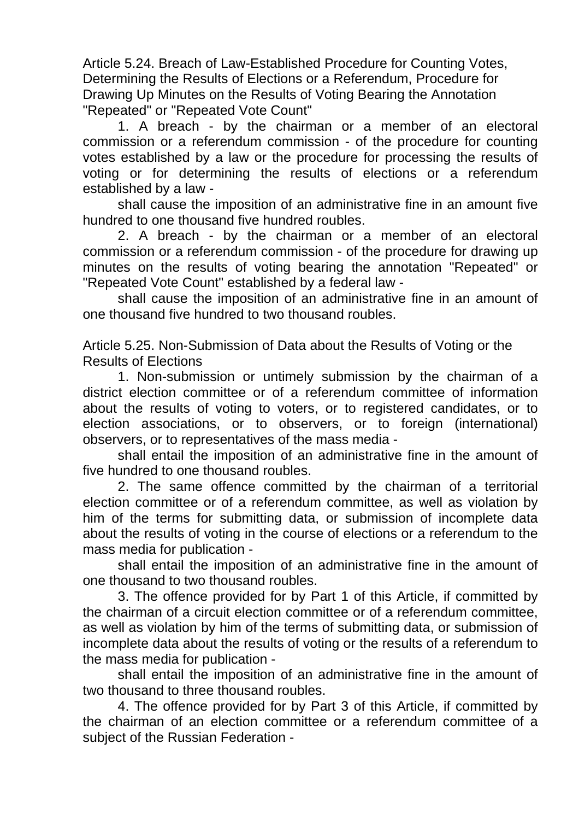Article 5.24. Breach of Law-Established Procedure for Counting Votes, Determining the Results of Elections or a Referendum, Procedure for Drawing Up Minutes on the Results of Voting Bearing the Annotation "Repeated" or "Repeated Vote Count"

1. A breach - by the chairman or a member of an electoral commission or a referendum commission - of the procedure for counting votes established by a law or the procedure for processing the results of voting or for determining the results of elections or a referendum established by a law -

shall cause the imposition of an administrative fine in an amount five hundred to one thousand five hundred roubles.

2. A breach - by the chairman or a member of an electoral commission or a referendum commission - of the procedure for drawing up minutes on the results of voting bearing the annotation "Repeated" or "Repeated Vote Count" established by a federal law -

shall cause the imposition of an administrative fine in an amount of one thousand five hundred to two thousand roubles.

Article 5.25. Non-Submission of Data about the Results of Voting or the Results of Elections

1. Non-submission or untimely submission by the chairman of a district election committee or of a referendum committee of information about the results of voting to voters, or to registered candidates, or to election associations, or to observers, or to foreign (international) observers, or to representatives of the mass media -

shall entail the imposition of an administrative fine in the amount of five hundred to one thousand roubles.

2. The same offence committed by the chairman of a territorial election committee or of a referendum committee, as well as violation by him of the terms for submitting data, or submission of incomplete data about the results of voting in the course of elections or a referendum to the mass media for publication -

shall entail the imposition of an administrative fine in the amount of one thousand to two thousand roubles.

3. The offence provided for by Part 1 of this Article, if committed by the chairman of a circuit election committee or of a referendum committee, as well as violation by him of the terms of submitting data, or submission of incomplete data about the results of voting or the results of a referendum to the mass media for publication -

shall entail the imposition of an administrative fine in the amount of two thousand to three thousand roubles.

4. The offence provided for by Part 3 of this Article, if committed by the chairman of an election committee or a referendum committee of a subject of the Russian Federation -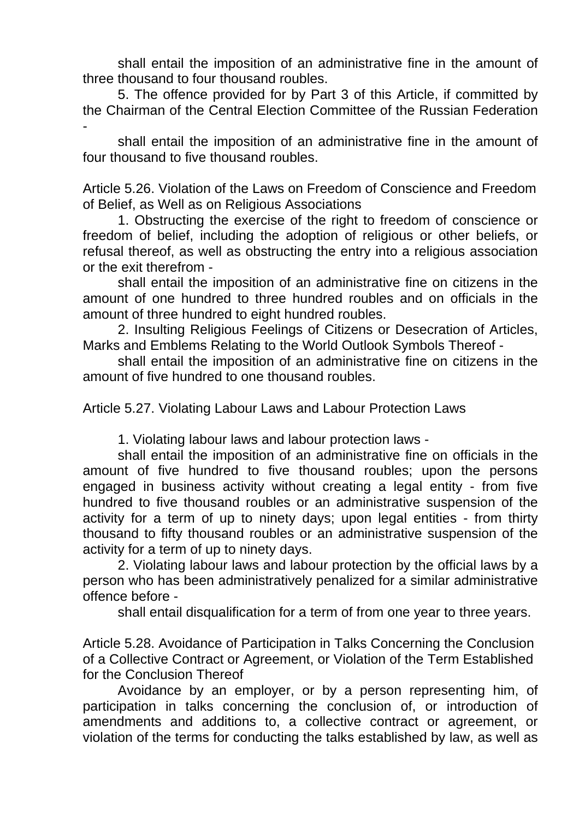shall entail the imposition of an administrative fine in the amount of three thousand to four thousand roubles.

5. The offence provided for by Part 3 of this Article, if committed by the Chairman of the Central Election Committee of the Russian Federation -

shall entail the imposition of an administrative fine in the amount of four thousand to five thousand roubles.

Article 5.26. Violation of the Laws on Freedom of Conscience and Freedom of Belief, as Well as on Religious Associations

1. Obstructing the exercise of the right to freedom of conscience or freedom of belief, including the adoption of religious or other beliefs, or refusal thereof, as well as obstructing the entry into a religious association or the exit therefrom -

shall entail the imposition of an administrative fine on citizens in the amount of one hundred to three hundred roubles and on officials in the amount of three hundred to eight hundred roubles.

2. Insulting Religious Feelings of Citizens or Desecration of Articles, Marks and Emblems Relating to the World Outlook Symbols Thereof -

shall entail the imposition of an administrative fine on citizens in the amount of five hundred to one thousand roubles.

Article 5.27. Violating Labour Laws and Labour Protection Laws

1. Violating labour laws and labour protection laws -

shall entail the imposition of an administrative fine on officials in the amount of five hundred to five thousand roubles; upon the persons engaged in business activity without creating a legal entity - from five hundred to five thousand roubles or an administrative suspension of the activity for a term of up to ninety days; upon legal entities - from thirty thousand to fifty thousand roubles or an administrative suspension of the activity for a term of up to ninety days.

2. Violating labour laws and labour protection by the official laws by a person who has been administratively penalized for a similar administrative offence before -

shall entail disqualification for a term of from one year to three years.

Article 5.28. Avoidance of Participation in Talks Concerning the Conclusion of a Collective Contract or Agreement, or Violation of the Term Established for the Conclusion Thereof

Avoidance by an employer, or by a person representing him, of participation in talks concerning the conclusion of, or introduction of amendments and additions to, a collective contract or agreement, or violation of the terms for conducting the talks established by law, as well as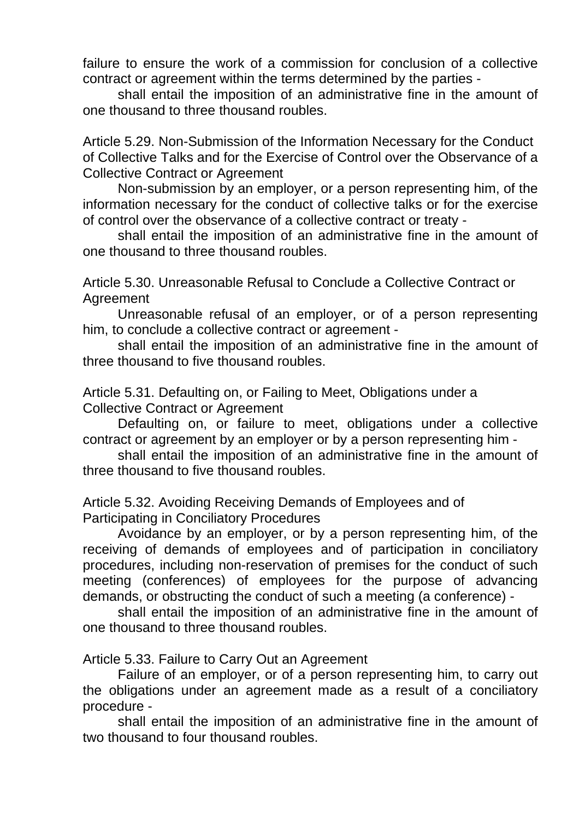failure to ensure the work of a commission for conclusion of a collective contract or agreement within the terms determined by the parties -

shall entail the imposition of an administrative fine in the amount of one thousand to three thousand roubles.

Article 5.29. Non-Submission of the Information Necessary for the Conduct of Collective Talks and for the Exercise of Control over the Observance of a Collective Contract or Agreement

Non-submission by an employer, or a person representing him, of the information necessary for the conduct of collective talks or for the exercise of control over the observance of a collective contract or treaty -

shall entail the imposition of an administrative fine in the amount of one thousand to three thousand roubles.

Article 5.30. Unreasonable Refusal to Conclude a Collective Contract or Agreement

Unreasonable refusal of an employer, or of a person representing him, to conclude a collective contract or agreement -

shall entail the imposition of an administrative fine in the amount of three thousand to five thousand roubles.

Article 5.31. Defaulting on, or Failing to Meet, Obligations under a Collective Contract or Agreement

Defaulting on, or failure to meet, obligations under a collective contract or agreement by an employer or by a person representing him -

shall entail the imposition of an administrative fine in the amount of three thousand to five thousand roubles.

Article 5.32. Avoiding Receiving Demands of Employees and of Participating in Conciliatory Procedures

Avoidance by an employer, or by a person representing him, of the receiving of demands of employees and of participation in conciliatory procedures, including non-reservation of premises for the conduct of such meeting (conferences) of employees for the purpose of advancing demands, or obstructing the conduct of such a meeting (a conference) -

shall entail the imposition of an administrative fine in the amount of one thousand to three thousand roubles.

Article 5.33. Failure to Carry Out an Agreement

Failure of an employer, or of a person representing him, to carry out the obligations under an agreement made as a result of a conciliatory procedure -

shall entail the imposition of an administrative fine in the amount of two thousand to four thousand roubles.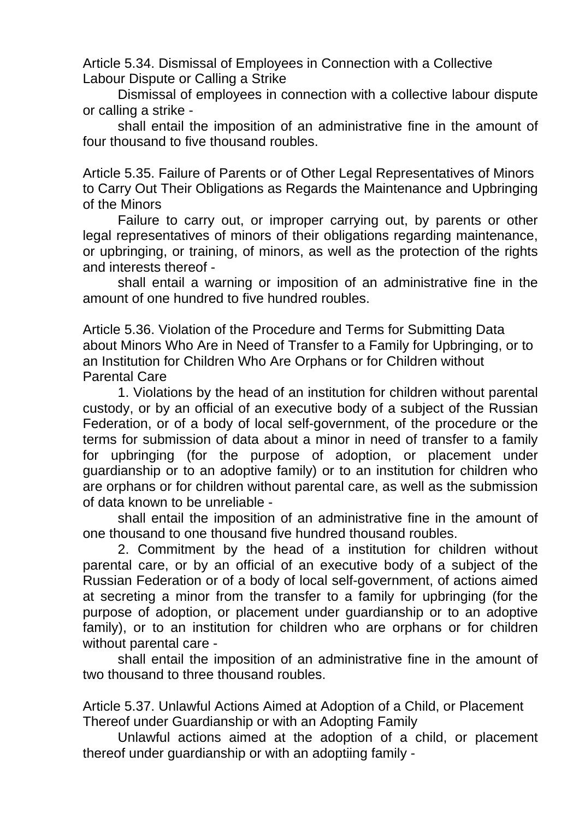Article 5.34. Dismissal of Employees in Connection with a Collective Labour Dispute or Calling a Strike

Dismissal of employees in connection with a collective labour dispute or calling a strike -

shall entail the imposition of an administrative fine in the amount of four thousand to five thousand roubles.

Article 5.35. Failure of Parents or of Other Legal Representatives of Minors to Carry Out Their Obligations as Regards the Maintenance and Upbringing of the Minors

Failure to carry out, or improper carrying out, by parents or other legal representatives of minors of their obligations regarding maintenance, or upbringing, or training, of minors, as well as the protection of the rights and interests thereof -

shall entail a warning or imposition of an administrative fine in the amount of one hundred to five hundred roubles.

Article 5.36. Violation of the Procedure and Terms for Submitting Data about Minors Who Are in Need of Transfer to a Family for Upbringing, or to an Institution for Children Who Are Orphans or for Children without Parental Care

1. Violations by the head of an institution for children without parental custody, or by an official of an executive body of a subject of the Russian Federation, or of a body of local self-government, of the procedure or the terms for submission of data about a minor in need of transfer to a family for upbringing (for the purpose of adoption, or placement under guardianship or to an adoptive family) or to an institution for children who are orphans or for children without parental care, as well as the submission of data known to be unreliable -

shall entail the imposition of an administrative fine in the amount of one thousand to one thousand five hundred thousand roubles.

2. Commitment by the head of a institution for children without parental care, or by an official of an executive body of a subject of the Russian Federation or of a body of local self-government, of actions aimed at secreting a minor from the transfer to a family for upbringing (for the purpose of adoption, or placement under guardianship or to an adoptive family), or to an institution for children who are orphans or for children without parental care -

shall entail the imposition of an administrative fine in the amount of two thousand to three thousand roubles.

Article 5.37. Unlawful Actions Aimed at Adoption of a Child, or Placement Thereof under Guardianship or with an Adopting Family

Unlawful actions aimed at the adoption of a child, or placement thereof under guardianship or with an adoptiing family -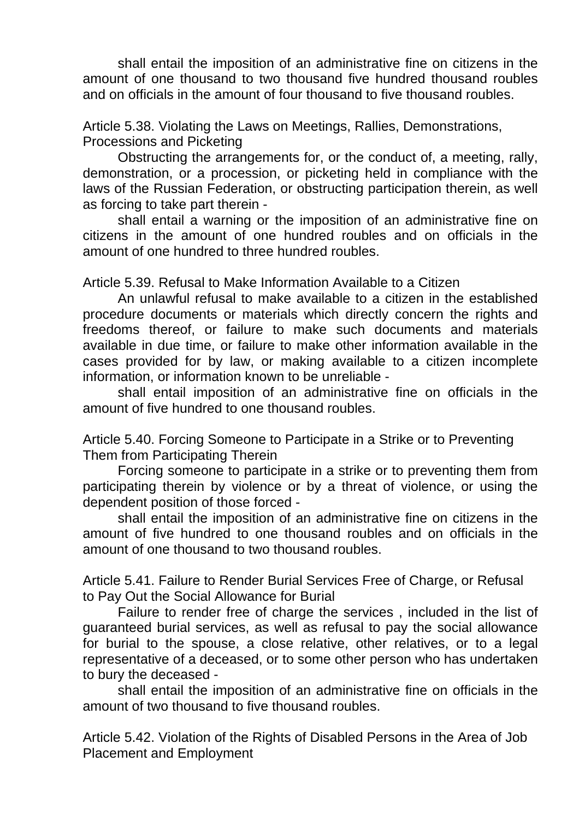shall entail the imposition of an administrative fine on citizens in the amount of one thousand to two thousand five hundred thousand roubles and on officials in the amount of four thousand to five thousand roubles.

Article 5.38. Violating the Laws on Meetings, Rallies, Demonstrations, Processions and Picketing

Obstructing the arrangements for, or the conduct of, a meeting, rally, demonstration, or a procession, or picketing held in compliance with the laws of the Russian Federation, or obstructing participation therein, as well as forcing to take part therein -

shall entail a warning or the imposition of an administrative fine on citizens in the amount of one hundred roubles and on officials in the amount of one hundred to three hundred roubles.

Article 5.39. Refusal to Make Information Available to a Citizen

An unlawful refusal to make available to a citizen in the established procedure documents or materials which directly concern the rights and freedoms thereof, or failure to make such documents and materials available in due time, or failure to make other information available in the cases provided for by law, or making available to a citizen incomplete information, or information known to be unreliable -

shall entail imposition of an administrative fine on officials in the amount of five hundred to one thousand roubles.

Article 5.40. Forcing Someone to Participate in a Strike or to Preventing Them from Participating Therein

Forcing someone to participate in a strike or to preventing them from participating therein by violence or by a threat of violence, or using the dependent position of those forced -

shall entail the imposition of an administrative fine on citizens in the amount of five hundred to one thousand roubles and on officials in the amount of one thousand to two thousand roubles.

Article 5.41. Failure to Render Burial Services Free of Charge, or Refusal to Pay Out the Social Allowance for Burial

Failure to render free of charge the services , included in the list of guaranteed burial services, as well as refusal to pay the social allowance for burial to the spouse, a close relative, other relatives, or to a legal representative of a deceased, or to some other person who has undertaken to bury the deceased -

shall entail the imposition of an administrative fine on officials in the amount of two thousand to five thousand roubles.

Article 5.42. Violation of the Rights of Disabled Persons in the Area of Job Placement and Employment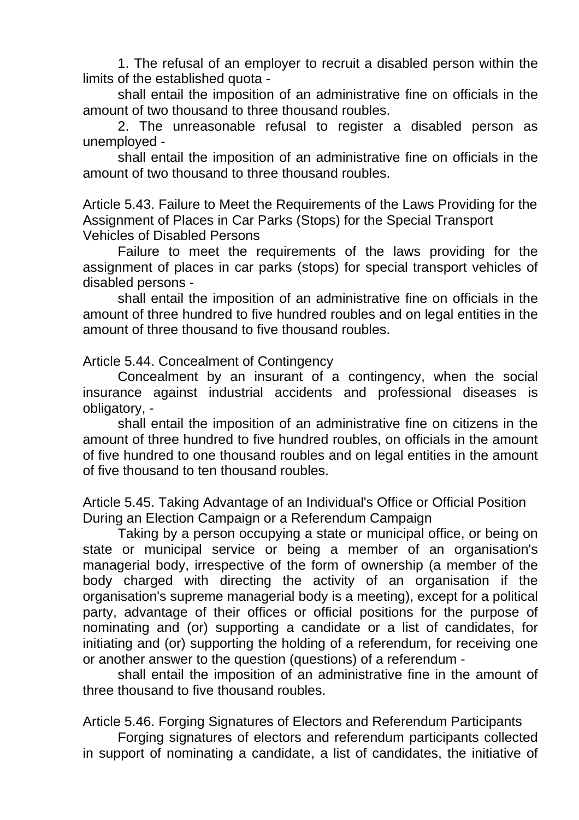1. The refusal of an employer to recruit a disabled person within the limits of the established quota -

shall entail the imposition of an administrative fine on officials in the amount of two thousand to three thousand roubles.

2. The unreasonable refusal to register a disabled person as unemployed -

shall entail the imposition of an administrative fine on officials in the amount of two thousand to three thousand roubles.

Article 5.43. Failure to Meet the Requirements of the Laws Providing for the Assignment of Places in Car Parks (Stops) for the Special Transport Vehicles of Disabled Persons

Failure to meet the requirements of the laws providing for the assignment of places in car parks (stops) for special transport vehicles of disabled persons -

shall entail the imposition of an administrative fine on officials in the amount of three hundred to five hundred roubles and on legal entities in the amount of three thousand to five thousand roubles.

Article 5.44. Concealment of Contingency

Concealment by an insurant of a contingency, when the social insurance against industrial accidents and professional diseases is obligatory, -

shall entail the imposition of an administrative fine on citizens in the amount of three hundred to five hundred roubles, on officials in the amount of five hundred to one thousand roubles and on legal entities in the amount of five thousand to ten thousand roubles.

Article 5.45. Taking Advantage of an Individual's Office or Official Position During an Election Campaign or a Referendum Campaign

Taking by a person occupying a state or municipal office, or being on state or municipal service or being a member of an organisation's managerial body, irrespective of the form of ownership (a member of the body charged with directing the activity of an organisation if the organisation's supreme managerial body is a meeting), except for a political party, advantage of their offices or official positions for the purpose of nominating and (or) supporting a candidate or a list of candidates, for initiating and (or) supporting the holding of a referendum, for receiving one or another answer to the question (questions) of a referendum -

shall entail the imposition of an administrative fine in the amount of three thousand to five thousand roubles.

Article 5.46. Forging Signatures of Electors and Referendum Participants

Forging signatures of electors and referendum participants collected in support of nominating a candidate, a list of candidates, the initiative of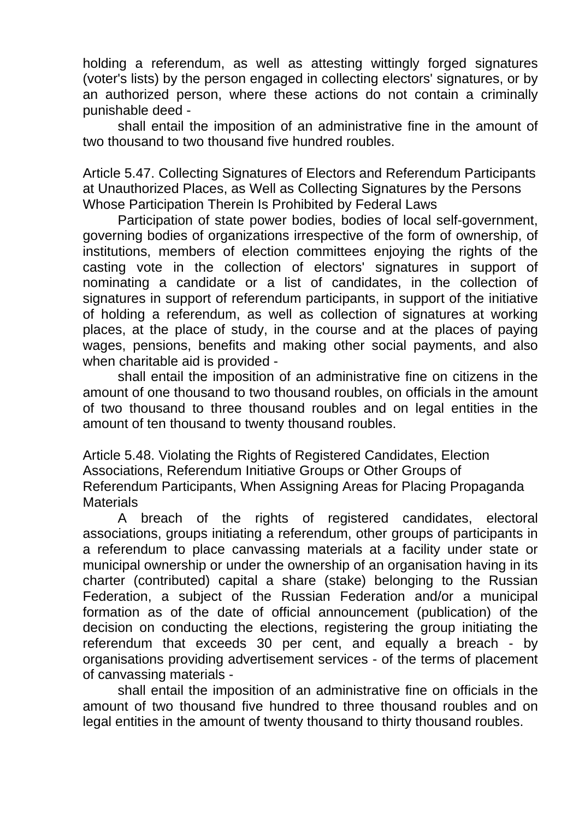holding a referendum, as well as attesting wittingly forged signatures (voter's lists) by the person engaged in collecting electors' signatures, or by an authorized person, where these actions do not contain a criminally punishable deed -

shall entail the imposition of an administrative fine in the amount of two thousand to two thousand five hundred roubles.

Article 5.47. Collecting Signatures of Electors and Referendum Participants at Unauthorized Places, as Well as Collecting Signatures by the Persons Whose Participation Therein Is Prohibited by Federal Laws

Participation of state power bodies, bodies of local self-government, governing bodies of organizations irrespective of the form of ownership, of institutions, members of election committees enjoying the rights of the casting vote in the collection of electors' signatures in support of nominating a candidate or a list of candidates, in the collection of signatures in support of referendum participants, in support of the initiative of holding a referendum, as well as collection of signatures at working places, at the place of study, in the course and at the places of paying wages, pensions, benefits and making other social payments, and also when charitable aid is provided -

shall entail the imposition of an administrative fine on citizens in the amount of one thousand to two thousand roubles, on officials in the amount of two thousand to three thousand roubles and on legal entities in the amount of ten thousand to twenty thousand roubles.

Article 5.48. Violating the Rights of Registered Candidates, Election Associations, Referendum Initiative Groups or Other Groups of Referendum Participants, When Assigning Areas for Placing Propaganda **Materials** 

A breach of the rights of registered candidates, electoral associations, groups initiating a referendum, other groups of participants in a referendum to place canvassing materials at a facility under state or municipal ownership or under the ownership of an organisation having in its charter (contributed) capital a share (stake) belonging to the Russian Federation, a subject of the Russian Federation and/or a municipal formation as of the date of official announcement (publication) of the decision on conducting the elections, registering the group initiating the referendum that exceeds 30 per cent, and equally a breach - by organisations providing advertisement services - of the terms of placement of canvassing materials -

shall entail the imposition of an administrative fine on officials in the amount of two thousand five hundred to three thousand roubles and on legal entities in the amount of twenty thousand to thirty thousand roubles.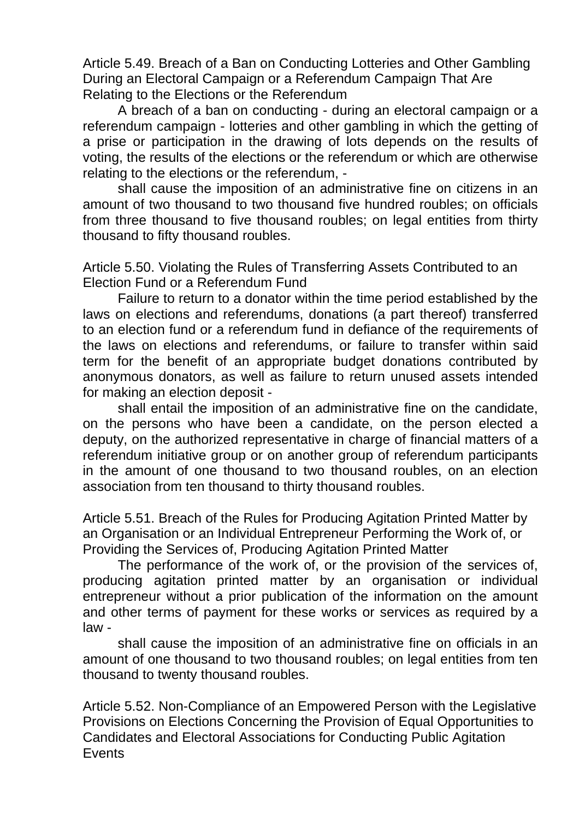Article 5.49. Breach of a Ban on Conducting Lotteries and Other Gambling During an Electoral Campaign or a Referendum Campaign That Are Relating to the Elections or the Referendum

A breach of a ban on conducting - during an electoral campaign or a referendum campaign - lotteries and other gambling in which the getting of a prise or participation in the drawing of lots depends on the results of voting, the results of the elections or the referendum or which are otherwise relating to the elections or the referendum, -

shall cause the imposition of an administrative fine on citizens in an amount of two thousand to two thousand five hundred roubles; on officials from three thousand to five thousand roubles; on legal entities from thirty thousand to fifty thousand roubles.

Article 5.50. Violating the Rules of Transferring Assets Contributed to an Election Fund or a Referendum Fund

Failure to return to a donator within the time period established by the laws on elections and referendums, donations (a part thereof) transferred to an election fund or a referendum fund in defiance of the requirements of the laws on elections and referendums, or failure to transfer within said term for the benefit of an appropriate budget donations contributed by anonymous donators, as well as failure to return unused assets intended for making an election deposit -

shall entail the imposition of an administrative fine on the candidate, on the persons who have been a candidate, on the person elected a deputy, on the authorized representative in charge of financial matters of a referendum initiative group or on another group of referendum participants in the amount of one thousand to two thousand roubles, on an election association from ten thousand to thirty thousand roubles.

Article 5.51. Breach of the Rules for Producing Agitation Printed Matter by an Organisation or an Individual Entrepreneur Performing the Work of, or Providing the Services of, Producing Agitation Printed Matter

The performance of the work of, or the provision of the services of, producing agitation printed matter by an organisation or individual entrepreneur without a prior publication of the information on the amount and other terms of payment for these works or services as required by a law -

shall cause the imposition of an administrative fine on officials in an amount of one thousand to two thousand roubles; on legal entities from ten thousand to twenty thousand roubles.

Article 5.52. Non-Compliance of an Empowered Person with the Legislative Provisions on Elections Concerning the Provision of Equal Opportunities to Candidates and Electoral Associations for Conducting Public Agitation **Events**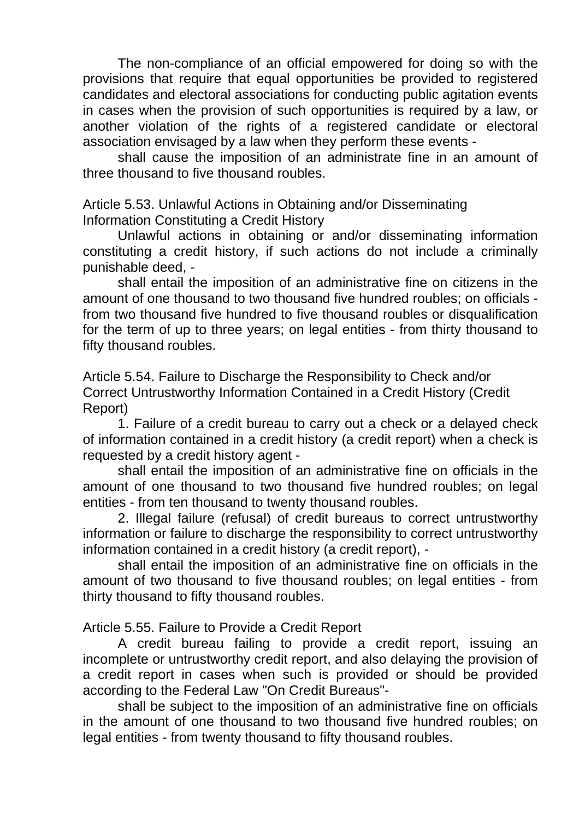The non-compliance of an official empowered for doing so with the provisions that require that equal opportunities be provided to registered candidates and electoral associations for conducting public agitation events in cases when the provision of such opportunities is required by a law, or another violation of the rights of a registered candidate or electoral association envisaged by a law when they perform these events -

shall cause the imposition of an administrate fine in an amount of three thousand to five thousand roubles.

Article 5.53. Unlawful Actions in Obtaining and/or Disseminating Information Constituting a Credit History

Unlawful actions in obtaining or and/or disseminating information constituting a credit history, if such actions do not include a criminally punishable deed, -

shall entail the imposition of an administrative fine on citizens in the amount of one thousand to two thousand five hundred roubles; on officials from two thousand five hundred to five thousand roubles or disqualification for the term of up to three years; on legal entities - from thirty thousand to fifty thousand roubles.

Article 5.54. Failure to Discharge the Responsibility to Check and/or Correct Untrustworthy Information Contained in a Credit History (Credit Report)

1. Failure of a credit bureau to carry out a check or a delayed check of information contained in a credit history (a credit report) when a check is requested by a credit history agent -

shall entail the imposition of an administrative fine on officials in the amount of one thousand to two thousand five hundred roubles; on legal entities - from ten thousand to twenty thousand roubles.

2. Illegal failure (refusal) of credit bureaus to correct untrustworthy information or failure to discharge the responsibility to correct untrustworthy information contained in a credit history (a credit report), -

shall entail the imposition of an administrative fine on officials in the amount of two thousand to five thousand roubles; on legal entities - from thirty thousand to fifty thousand roubles.

Article 5.55. Failure to Provide a Credit Report

A credit bureau failing to provide a credit report, issuing an incomplete or untrustworthy credit report, and also delaying the provision of a credit report in cases when such is provided or should be provided according to the Federal Law "On Credit Bureaus"-

shall be subject to the imposition of an administrative fine on officials in the amount of one thousand to two thousand five hundred roubles; on legal entities - from twenty thousand to fifty thousand roubles.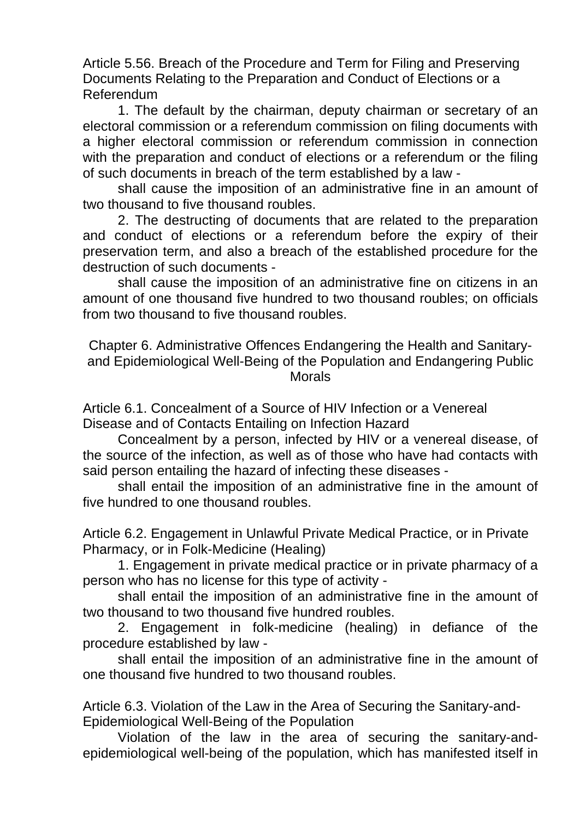Article 5.56. Breach of the Procedure and Term for Filing and Preserving Documents Relating to the Preparation and Conduct of Elections or a Referendum

1. The default by the chairman, deputy chairman or secretary of an electoral commission or a referendum commission on filing documents with a higher electoral commission or referendum commission in connection with the preparation and conduct of elections or a referendum or the filing of such documents in breach of the term established by a law -

shall cause the imposition of an administrative fine in an amount of two thousand to five thousand roubles.

2. The destructing of documents that are related to the preparation and conduct of elections or a referendum before the expiry of their preservation term, and also a breach of the established procedure for the destruction of such documents -

shall cause the imposition of an administrative fine on citizens in an amount of one thousand five hundred to two thousand roubles; on officials from two thousand to five thousand roubles.

Chapter 6. Administrative Offences Endangering the Health and Sanitaryand Epidemiological Well-Being of the Population and Endangering Public Morals

Article 6.1. Concealment of a Source of HIV Infection or a Venereal Disease and of Contacts Entailing on Infection Hazard

Concealment by a person, infected by HIV or a venereal disease, of the source of the infection, as well as of those who have had contacts with said person entailing the hazard of infecting these diseases -

shall entail the imposition of an administrative fine in the amount of five hundred to one thousand roubles.

Article 6.2. Engagement in Unlawful Private Medical Practice, or in Private Pharmacy, or in Folk-Medicine (Healing)

1. Engagement in private medical practice or in private pharmacy of a person who has no license for this type of activity -

shall entail the imposition of an administrative fine in the amount of two thousand to two thousand five hundred roubles.

2. Engagement in folk-medicine (healing) in defiance of the procedure established by law -

shall entail the imposition of an administrative fine in the amount of one thousand five hundred to two thousand roubles.

Article 6.3. Violation of the Law in the Area of Securing the Sanitary-and-Epidemiological Well-Being of the Population

Violation of the law in the area of securing the sanitary-andepidemiological well-being of the population, which has manifested itself in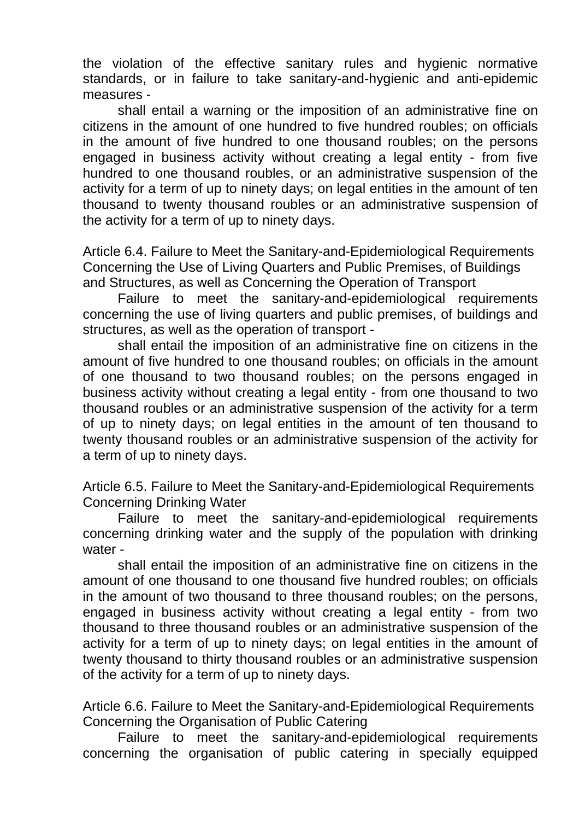the violation of the effective sanitary rules and hygienic normative standards, or in failure to take sanitary-and-hygienic and anti-epidemic measures -

shall entail a warning or the imposition of an administrative fine on citizens in the amount of one hundred to five hundred roubles; on officials in the amount of five hundred to one thousand roubles; on the persons engaged in business activity without creating a legal entity - from five hundred to one thousand roubles, or an administrative suspension of the activity for a term of up to ninety days; on legal entities in the amount of ten thousand to twenty thousand roubles or an administrative suspension of the activity for a term of up to ninety days.

Article 6.4. Failure to Meet the Sanitary-and-Epidemiological Requirements Concerning the Use of Living Quarters and Public Premises, of Buildings and Structures, as well as Concerning the Operation of Transport

Failure to meet the sanitary-and-epidemiological requirements concerning the use of living quarters and public premises, of buildings and structures, as well as the operation of transport -

shall entail the imposition of an administrative fine on citizens in the amount of five hundred to one thousand roubles; on officials in the amount of one thousand to two thousand roubles; on the persons engaged in business activity without creating a legal entity - from one thousand to two thousand roubles or an administrative suspension of the activity for a term of up to ninety days; on legal entities in the amount of ten thousand to twenty thousand roubles or an administrative suspension of the activity for a term of up to ninety days.

Article 6.5. Failure to Meet the Sanitary-and-Epidemiological Requirements Concerning Drinking Water

Failure to meet the sanitary-and-epidemiological requirements concerning drinking water and the supply of the population with drinking water -

shall entail the imposition of an administrative fine on citizens in the amount of one thousand to one thousand five hundred roubles; on officials in the amount of two thousand to three thousand roubles; on the persons, engaged in business activity without creating a legal entity - from two thousand to three thousand roubles or an administrative suspension of the activity for a term of up to ninety days; on legal entities in the amount of twenty thousand to thirty thousand roubles or an administrative suspension of the activity for a term of up to ninety days.

Article 6.6. Failure to Meet the Sanitary-and-Epidemiological Requirements Concerning the Organisation of Public Catering

Failure to meet the sanitary-and-epidemiological requirements concerning the organisation of public catering in specially equipped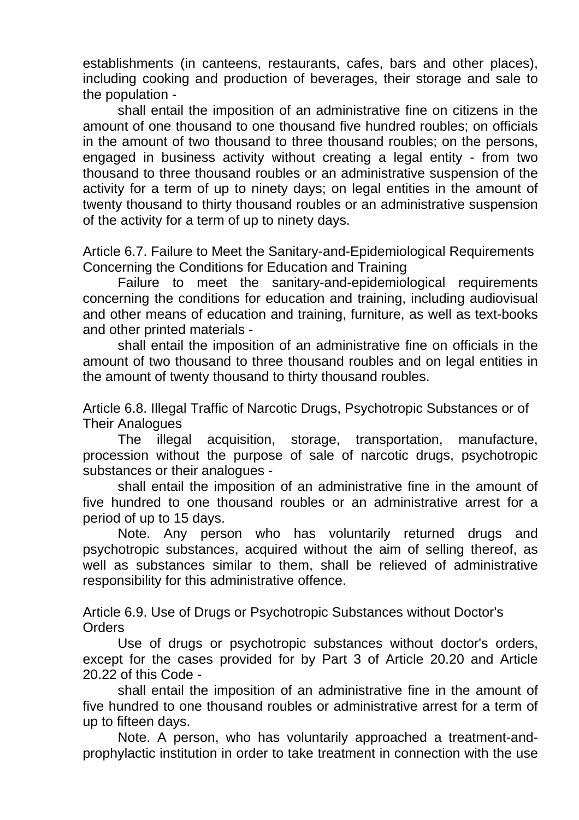establishments (in canteens, restaurants, cafes, bars and other places), including cooking and production of beverages, their storage and sale to the population -

shall entail the imposition of an administrative fine on citizens in the amount of one thousand to one thousand five hundred roubles; on officials in the amount of two thousand to three thousand roubles; on the persons, engaged in business activity without creating a legal entity - from two thousand to three thousand roubles or an administrative suspension of the activity for a term of up to ninety days; on legal entities in the amount of twenty thousand to thirty thousand roubles or an administrative suspension of the activity for a term of up to ninety days.

Article 6.7. Failure to Meet the Sanitary-and-Epidemiological Requirements Concerning the Conditions for Education and Training

Failure to meet the sanitary-and-epidemiological requirements concerning the conditions for education and training, including audiovisual and other means of education and training, furniture, as well as text-books and other printed materials -

shall entail the imposition of an administrative fine on officials in the amount of two thousand to three thousand roubles and on legal entities in the amount of twenty thousand to thirty thousand roubles.

Article 6.8. Illegal Traffic of Narcotic Drugs, Psychotropic Substances or of Their Analogues

The illegal acquisition, storage, transportation, manufacture, procession without the purpose of sale of narcotic drugs, psychotropic substances or their analogues -

shall entail the imposition of an administrative fine in the amount of five hundred to one thousand roubles or an administrative arrest for a period of up to 15 days.

Note. Any person who has voluntarily returned drugs and psychotropic substances, acquired without the aim of selling thereof, as well as substances similar to them, shall be relieved of administrative responsibility for this administrative offence.

Article 6.9. Use of Drugs or Psychotropic Substances without Doctor's **Orders** 

Use of drugs or psychotropic substances without doctor's orders, except for the cases provided for by Part 3 of Article 20.20 and Article 20.22 of this Code -

shall entail the imposition of an administrative fine in the amount of five hundred to one thousand roubles or administrative arrest for a term of up to fifteen days.

Note. A person, who has voluntarily approached a treatment-andprophylactic institution in order to take treatment in connection with the use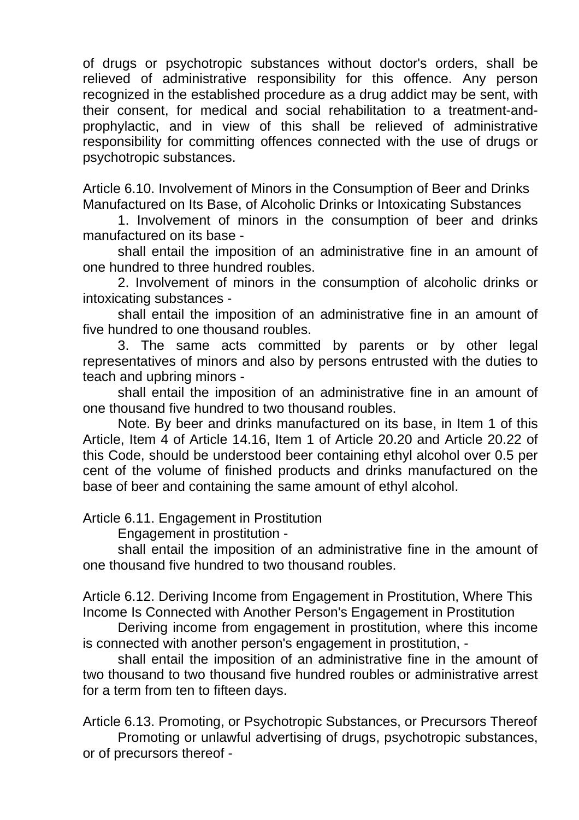of drugs or psychotropic substances without doctor's orders, shall be relieved of administrative responsibility for this offence. Any person recognized in the established procedure as a drug addict may be sent, with their consent, for medical and social rehabilitation to a treatment-andprophylactic, and in view of this shall be relieved of administrative responsibility for committing offences connected with the use of drugs or psychotropic substances.

Article 6.10. Involvement of Minors in the Consumption of Beer and Drinks Manufactured on Its Base, of Alcoholic Drinks or Intoxicating Substances

1. Involvement of minors in the consumption of beer and drinks manufactured on its base -

shall entail the imposition of an administrative fine in an amount of one hundred to three hundred roubles.

2. Involvement of minors in the consumption of alcoholic drinks or intoxicating substances -

shall entail the imposition of an administrative fine in an amount of five hundred to one thousand roubles.

3. The same acts committed by parents or by other legal representatives of minors and also by persons entrusted with the duties to teach and upbring minors -

shall entail the imposition of an administrative fine in an amount of one thousand five hundred to two thousand roubles.

Note. By beer and drinks manufactured on its base, in Item 1 of this Article, Item 4 of Article 14.16, Item 1 of Article 20.20 and Article 20.22 of this Code, should be understood beer containing ethyl alcohol over 0.5 per cent of the volume of finished products and drinks manufactured on the base of beer and containing the same amount of ethyl alcohol.

Article 6.11. Engagement in Prostitution

Engagement in prostitution -

shall entail the imposition of an administrative fine in the amount of one thousand five hundred to two thousand roubles.

Article 6.12. Deriving Income from Engagement in Prostitution, Where This Income Is Connected with Another Person's Engagement in Prostitution

Deriving income from engagement in prostitution, where this income is connected with another person's engagement in prostitution, -

shall entail the imposition of an administrative fine in the amount of two thousand to two thousand five hundred roubles or administrative arrest for a term from ten to fifteen days.

Article 6.13. Promoting, or Psychotropic Substances, or Precursors Thereof Promoting or unlawful advertising of drugs, psychotropic substances, or of precursors thereof -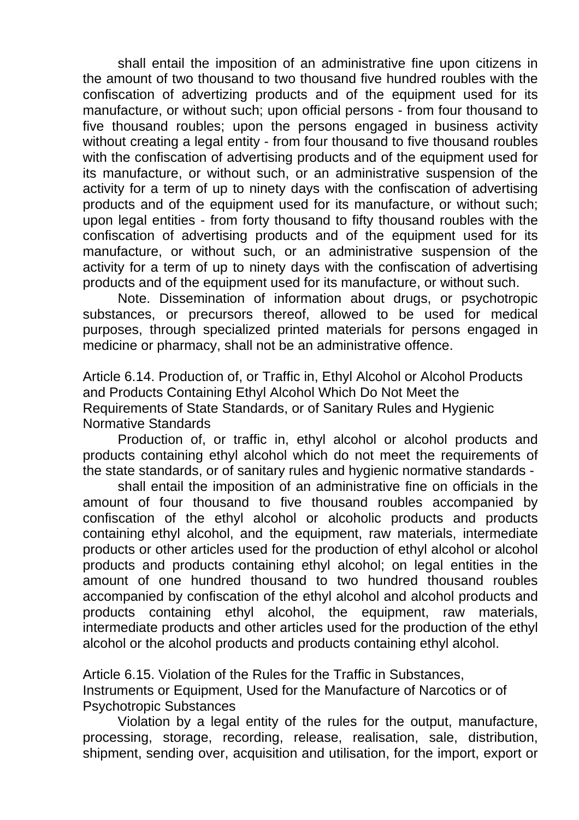shall entail the imposition of an administrative fine upon citizens in the amount of two thousand to two thousand five hundred roubles with the confiscation of advertizing products and of the equipment used for its manufacture, or without such; upon official persons - from four thousand to five thousand roubles; upon the persons engaged in business activity without creating a legal entity - from four thousand to five thousand roubles with the confiscation of advertising products and of the equipment used for its manufacture, or without such, or an administrative suspension of the activity for a term of up to ninety days with the confiscation of advertising products and of the equipment used for its manufacture, or without such; upon legal entities - from forty thousand to fifty thousand roubles with the confiscation of advertising products and of the equipment used for its manufacture, or without such, or an administrative suspension of the activity for a term of up to ninety days with the confiscation of advertising products and of the equipment used for its manufacture, or without such.

Note. Dissemination of information about drugs, or psychotropic substances, or precursors thereof, allowed to be used for medical purposes, through specialized printed materials for persons engaged in medicine or pharmacy, shall not be an administrative offence.

Article 6.14. Production of, or Traffic in, Ethyl Alcohol or Alcohol Products and Products Containing Ethyl Alcohol Which Do Not Meet the Requirements of State Standards, or of Sanitary Rules and Hygienic Normative Standards

Production of, or traffic in, ethyl alcohol or alcohol products and products containing ethyl alcohol which do not meet the requirements of the state standards, or of sanitary rules and hygienic normative standards -

shall entail the imposition of an administrative fine on officials in the amount of four thousand to five thousand roubles accompanied by confiscation of the ethyl alcohol or alcoholic products and products containing ethyl alcohol, and the equipment, raw materials, intermediate products or other articles used for the production of ethyl alcohol or alcohol products and products containing ethyl alcohol; on legal entities in the amount of one hundred thousand to two hundred thousand roubles accompanied by confiscation of the ethyl alcohol and alcohol products and products containing ethyl alcohol, the equipment, raw materials, intermediate products and other articles used for the production of the ethyl alcohol or the alcohol products and products containing ethyl alcohol.

Article 6.15. Violation of the Rules for the Traffic in Substances, Instruments or Equipment, Used for the Manufacture of Narcotics or of Psychotropic Substances

Violation by a legal entity of the rules for the output, manufacture, processing, storage, recording, release, realisation, sale, distribution, shipment, sending over, acquisition and utilisation, for the import, export or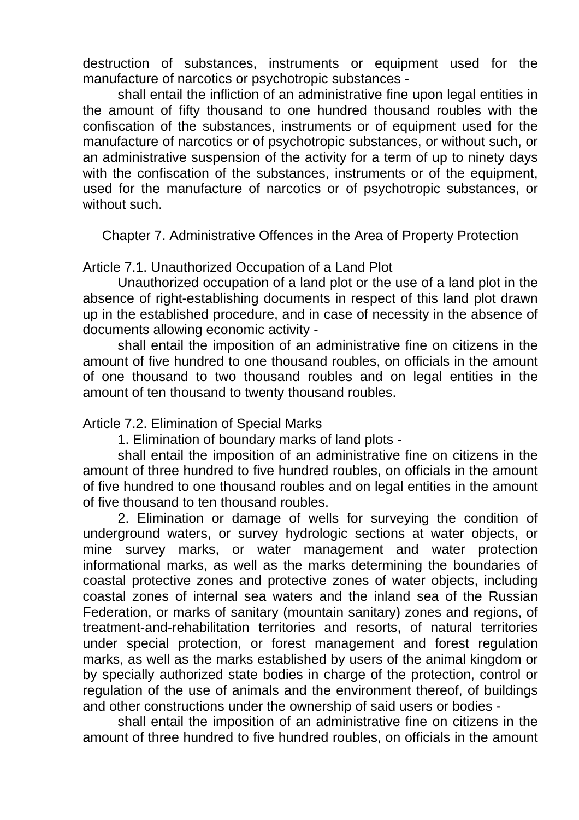destruction of substances, instruments or equipment used for the manufacture of narcotics or psychotropic substances -

shall entail the infliction of an administrative fine upon legal entities in the amount of fifty thousand to one hundred thousand roubles with the confiscation of the substances, instruments or of equipment used for the manufacture of narcotics or of psychotropic substances, or without such, or an administrative suspension of the activity for a term of up to ninety days with the confiscation of the substances, instruments or of the equipment, used for the manufacture of narcotics or of psychotropic substances, or without such.

Chapter 7. Administrative Offences in the Area of Property Protection

Article 7.1. Unauthorized Occupation of a Land Plot

Unauthorized occupation of a land plot or the use of a land plot in the absence of right-establishing documents in respect of this land plot drawn up in the established procedure, and in case of necessity in the absence of documents allowing economic activity -

shall entail the imposition of an administrative fine on citizens in the amount of five hundred to one thousand roubles, on officials in the amount of one thousand to two thousand roubles and on legal entities in the amount of ten thousand to twenty thousand roubles.

Article 7.2. Elimination of Special Marks

1. Elimination of boundary marks of land plots -

shall entail the imposition of an administrative fine on citizens in the amount of three hundred to five hundred roubles, on officials in the amount of five hundred to one thousand roubles and on legal entities in the amount of five thousand to ten thousand roubles.

2. Elimination or damage of wells for surveying the condition of underground waters, or survey hydrologic sections at water objects, or mine survey marks, or water management and water protection informational marks, as well as the marks determining the boundaries of coastal protective zones and protective zones of water objects, including coastal zones of internal sea waters and the inland sea of the Russian Federation, or marks of sanitary (mountain sanitary) zones and regions, of treatment-and-rehabilitation territories and resorts, of natural territories under special protection, or forest management and forest regulation marks, as well as the marks established by users of the animal kingdom or by specially authorized state bodies in charge of the protection, control or regulation of the use of animals and the environment thereof, of buildings and other constructions under the ownership of said users or bodies -

shall entail the imposition of an administrative fine on citizens in the amount of three hundred to five hundred roubles, on officials in the amount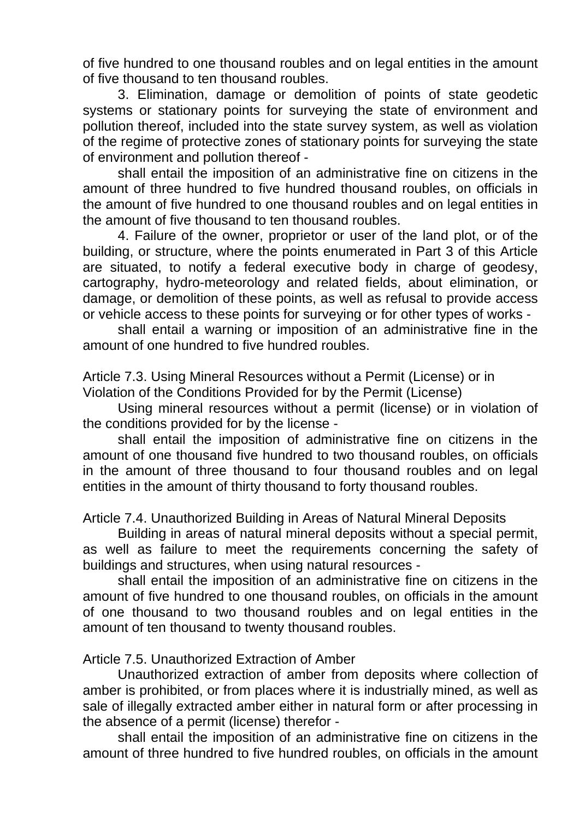of five hundred to one thousand roubles and on legal entities in the amount of five thousand to ten thousand roubles.

3. Elimination, damage or demolition of points of state geodetic systems or stationary points for surveying the state of environment and pollution thereof, included into the state survey system, as well as violation of the regime of protective zones of stationary points for surveying the state of environment and pollution thereof -

shall entail the imposition of an administrative fine on citizens in the amount of three hundred to five hundred thousand roubles, on officials in the amount of five hundred to one thousand roubles and on legal entities in the amount of five thousand to ten thousand roubles.

4. Failure of the owner, proprietor or user of the land plot, or of the building, or structure, where the points enumerated in Part 3 of this Article are situated, to notify a federal executive body in charge of geodesy, cartography, hydro-meteorology and related fields, about elimination, or damage, or demolition of these points, as well as refusal to provide access or vehicle access to these points for surveying or for other types of works -

shall entail a warning or imposition of an administrative fine in the amount of one hundred to five hundred roubles.

Article 7.3. Using Mineral Resources without a Permit (License) or in Violation of the Conditions Provided for by the Permit (License)

Using mineral resources without a permit (license) or in violation of the conditions provided for by the license -

shall entail the imposition of administrative fine on citizens in the amount of one thousand five hundred to two thousand roubles, on officials in the amount of three thousand to four thousand roubles and on legal entities in the amount of thirty thousand to forty thousand roubles.

Article 7.4. Unauthorized Building in Areas of Natural Mineral Deposits

Building in areas of natural mineral deposits without a special permit, as well as failure to meet the requirements concerning the safety of buildings and structures, when using natural resources -

shall entail the imposition of an administrative fine on citizens in the amount of five hundred to one thousand roubles, on officials in the amount of one thousand to two thousand roubles and on legal entities in the amount of ten thousand to twenty thousand roubles.

## Article 7.5. Unauthorized Extraction of Amber

Unauthorized extraction of amber from deposits where collection of amber is prohibited, or from places where it is industrially mined, as well as sale of illegally extracted amber either in natural form or after processing in the absence of a permit (license) therefor -

shall entail the imposition of an administrative fine on citizens in the amount of three hundred to five hundred roubles, on officials in the amount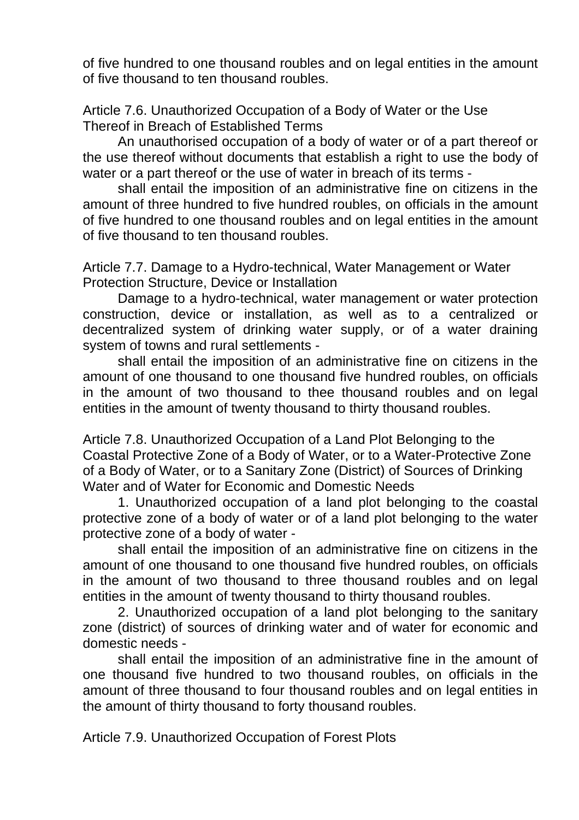of five hundred to one thousand roubles and on legal entities in the amount of five thousand to ten thousand roubles.

Article 7.6. Unauthorized Occupation of a Body of Water or the Use Thereof in Breach of Established Terms

An unauthorised occupation of a body of water or of a part thereof or the use thereof without documents that establish a right to use the body of water or a part thereof or the use of water in breach of its terms -

shall entail the imposition of an administrative fine on citizens in the amount of three hundred to five hundred roubles, on officials in the amount of five hundred to one thousand roubles and on legal entities in the amount of five thousand to ten thousand roubles.

Article 7.7. Damage to a Hydro-technical, Water Management or Water Protection Structure, Device or Installation

Damage to a hydro-technical, water management or water protection construction, device or installation, as well as to a centralized or decentralized system of drinking water supply, or of a water draining system of towns and rural settlements -

shall entail the imposition of an administrative fine on citizens in the amount of one thousand to one thousand five hundred roubles, on officials in the amount of two thousand to thee thousand roubles and on legal entities in the amount of twenty thousand to thirty thousand roubles.

Article 7.8. Unauthorized Occupation of a Land Plot Belonging to the Coastal Protective Zone of a Body of Water, or to a Water-Protective Zone of a Body of Water, or to a Sanitary Zone (District) of Sources of Drinking Water and of Water for Economic and Domestic Needs

1. Unauthorized occupation of a land plot belonging to the coastal protective zone of a body of water or of a land plot belonging to the water protective zone of a body of water -

shall entail the imposition of an administrative fine on citizens in the amount of one thousand to one thousand five hundred roubles, on officials in the amount of two thousand to three thousand roubles and on legal entities in the amount of twenty thousand to thirty thousand roubles.

2. Unauthorized occupation of a land plot belonging to the sanitary zone (district) of sources of drinking water and of water for economic and domestic needs -

shall entail the imposition of an administrative fine in the amount of one thousand five hundred to two thousand roubles, on officials in the amount of three thousand to four thousand roubles and on legal entities in the amount of thirty thousand to forty thousand roubles.

Article 7.9. Unauthorized Occupation of Forest Plots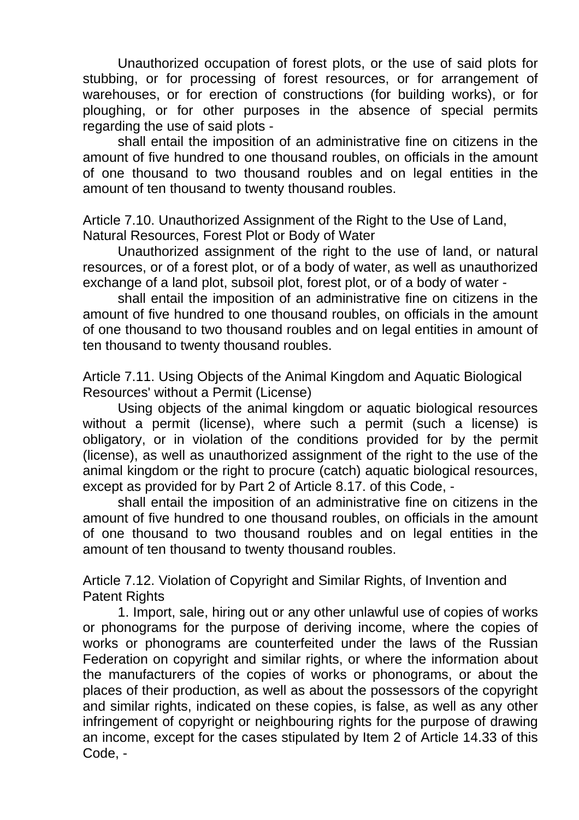Unauthorized occupation of forest plots, or the use of said plots for stubbing, or for processing of forest resources, or for arrangement of warehouses, or for erection of constructions (for building works), or for ploughing, or for other purposes in the absence of special permits regarding the use of said plots -

shall entail the imposition of an administrative fine on citizens in the amount of five hundred to one thousand roubles, on officials in the amount of one thousand to two thousand roubles and on legal entities in the amount of ten thousand to twenty thousand roubles.

Article 7.10. Unauthorized Assignment of the Right to the Use of Land, Natural Resources, Forest Plot or Body of Water

Unauthorized assignment of the right to the use of land, or natural resources, or of a forest plot, or of a body of water, as well as unauthorized exchange of a land plot, subsoil plot, forest plot, or of a body of water -

shall entail the imposition of an administrative fine on citizens in the amount of five hundred to one thousand roubles, on officials in the amount of one thousand to two thousand roubles and on legal entities in amount of ten thousand to twenty thousand roubles.

Article 7.11. Using Objects of the Animal Kingdom and Aquatic Biological Resources' without a Permit (License)

Using objects of the animal kingdom or aquatic biological resources without a permit (license), where such a permit (such a license) is obligatory, or in violation of the conditions provided for by the permit (license), as well as unauthorized assignment of the right to the use of the animal kingdom or the right to procure (catch) aquatic biological resources, except as provided for by Part 2 of Article 8.17. of this Code, -

shall entail the imposition of an administrative fine on citizens in the amount of five hundred to one thousand roubles, on officials in the amount of one thousand to two thousand roubles and on legal entities in the amount of ten thousand to twenty thousand roubles.

Article 7.12. Violation of Copyright and Similar Rights, of Invention and Patent Rights

1. Import, sale, hiring out or any other unlawful use of copies of works or phonograms for the purpose of deriving income, where the copies of works or phonograms are counterfeited under the laws of the Russian Federation on copyright and similar rights, or where the information about the manufacturers of the copies of works or phonograms, or about the places of their production, as well as about the possessors of the copyright and similar rights, indicated on these copies, is false, as well as any other infringement of copyright or neighbouring rights for the purpose of drawing an income, except for the cases stipulated by Item 2 of Article 14.33 of this Code, -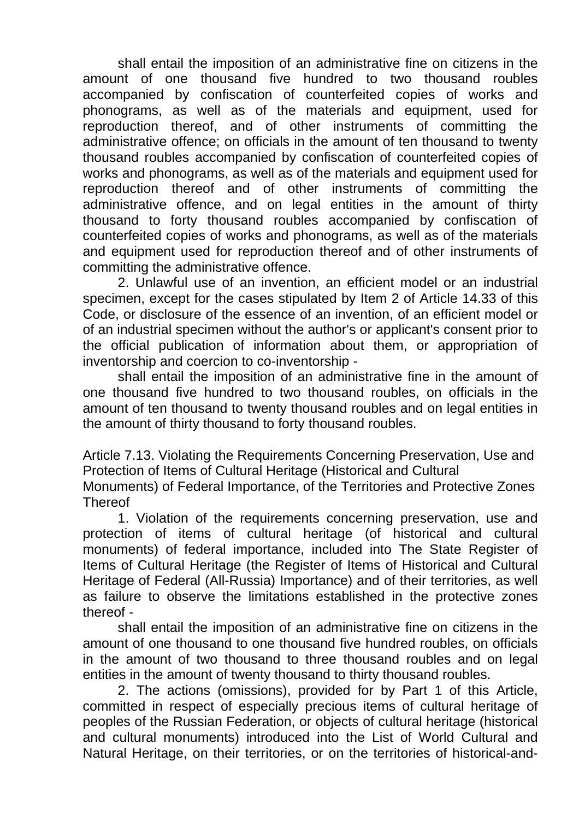shall entail the imposition of an administrative fine on citizens in the amount of one thousand five hundred to two thousand roubles accompanied by confiscation of counterfeited copies of works and phonograms, as well as of the materials and equipment, used for reproduction thereof, and of other instruments of committing the administrative offence; on officials in the amount of ten thousand to twenty thousand roubles accompanied by confiscation of counterfeited copies of works and phonograms, as well as of the materials and equipment used for reproduction thereof and of other instruments of committing the administrative offence, and on legal entities in the amount of thirty thousand to forty thousand roubles accompanied by confiscation of counterfeited copies of works and phonograms, as well as of the materials and equipment used for reproduction thereof and of other instruments of committing the administrative offence.

2. Unlawful use of an invention, an efficient model or an industrial specimen, except for the cases stipulated by Item 2 of Article 14.33 of this Code, or disclosure of the essence of an invention, of an efficient model or of an industrial specimen without the author's or applicant's consent prior to the official publication of information about them, or appropriation of inventorship and coercion to co-inventorship -

shall entail the imposition of an administrative fine in the amount of one thousand five hundred to two thousand roubles, on officials in the amount of ten thousand to twenty thousand roubles and on legal entities in the amount of thirty thousand to forty thousand roubles.

Article 7.13. Violating the Requirements Concerning Preservation, Use and Protection of Items of Cultural Heritage (Historical and Cultural Monuments) of Federal Importance, of the Territories and Protective Zones **Thereof** 

1. Violation of the requirements concerning preservation, use and protection of items of cultural heritage (of historical and cultural monuments) of federal importance, included into The State Register of Items of Cultural Heritage (the Register of Items of Historical and Cultural Heritage of Federal (All-Russia) Importance) and of their territories, as well as failure to observe the limitations established in the protective zones thereof -

shall entail the imposition of an administrative fine on citizens in the amount of one thousand to one thousand five hundred roubles, on officials in the amount of two thousand to three thousand roubles and on legal entities in the amount of twenty thousand to thirty thousand roubles.

2. The actions (omissions), provided for by Part 1 of this Article, committed in respect of especially precious items of cultural heritage of peoples of the Russian Federation, or objects of cultural heritage (historical and cultural monuments) introduced into the List of World Cultural and Natural Heritage, on their territories, or on the territories of historical-and-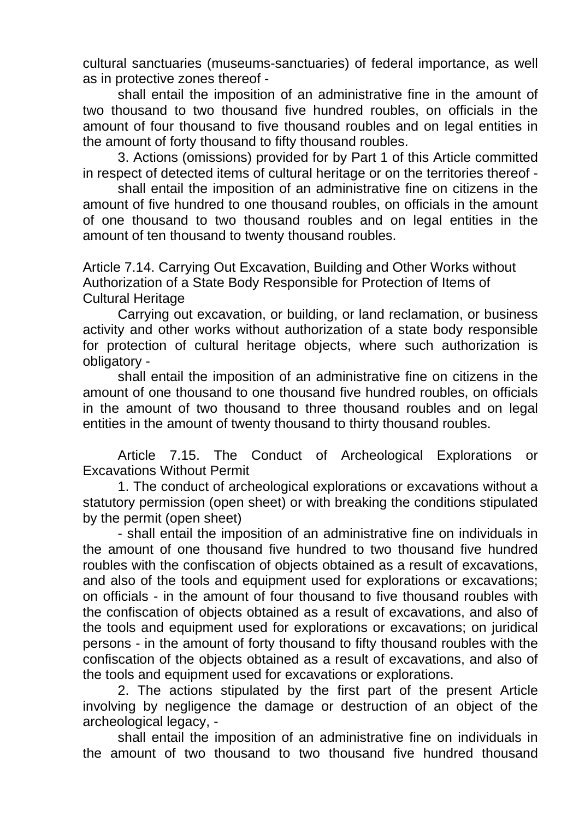cultural sanctuaries (museums-sanctuaries) of federal importance, as well as in protective zones thereof -

shall entail the imposition of an administrative fine in the amount of two thousand to two thousand five hundred roubles, on officials in the amount of four thousand to five thousand roubles and on legal entities in the amount of forty thousand to fifty thousand roubles.

3. Actions (omissions) provided for by Part 1 of this Article committed in respect of detected items of cultural heritage or on the territories thereof -

shall entail the imposition of an administrative fine on citizens in the amount of five hundred to one thousand roubles, on officials in the amount of one thousand to two thousand roubles and on legal entities in the amount of ten thousand to twenty thousand roubles.

Article 7.14. Carrying Out Excavation, Building and Other Works without Authorization of a State Body Responsible for Protection of Items of Cultural Heritage

Carrying out excavation, or building, or land reclamation, or business activity and other works without authorization of a state body responsible for protection of cultural heritage objects, where such authorization is obligatory -

shall entail the imposition of an administrative fine on citizens in the amount of one thousand to one thousand five hundred roubles, on officials in the amount of two thousand to three thousand roubles and on legal entities in the amount of twenty thousand to thirty thousand roubles.

Article 7.15. The Conduct of Archeological Explorations or Excavations Without Permit

1. The conduct of archeological explorations or excavations without a statutory permission (open sheet) or with breaking the conditions stipulated by the permit (open sheet)

- shall entail the imposition of an administrative fine on individuals in the amount of one thousand five hundred to two thousand five hundred roubles with the confiscation of objects obtained as a result of excavations, and also of the tools and equipment used for explorations or excavations; on officials - in the amount of four thousand to five thousand roubles with the confiscation of objects obtained as a result of excavations, and also of the tools and equipment used for explorations or excavations; on juridical persons - in the amount of forty thousand to fifty thousand roubles with the confiscation of the objects obtained as a result of excavations, and also of the tools and equipment used for excavations or explorations.

2. The actions stipulated by the first part of the present Article involving by negligence the damage or destruction of an object of the archeological legacy, -

shall entail the imposition of an administrative fine on individuals in the amount of two thousand to two thousand five hundred thousand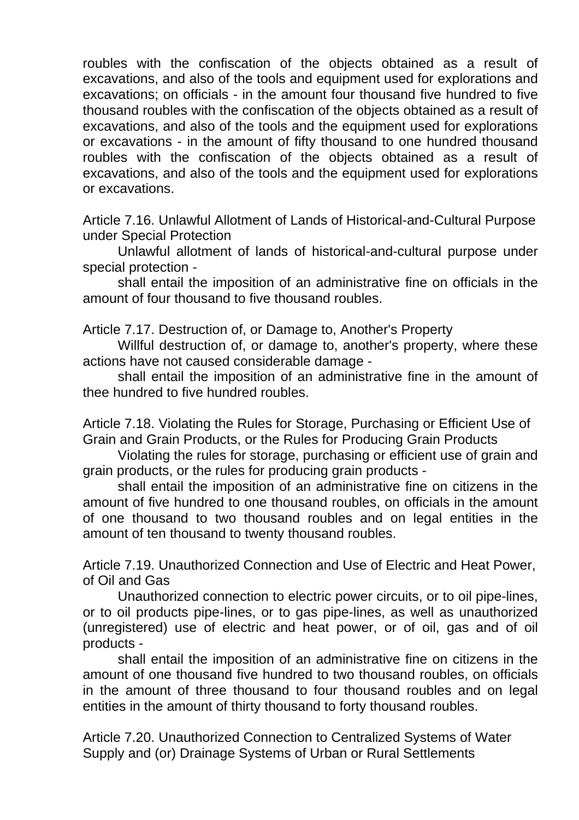roubles with the confiscation of the objects obtained as a result of excavations, and also of the tools and equipment used for explorations and excavations; on officials - in the amount four thousand five hundred to five thousand roubles with the confiscation of the objects obtained as a result of excavations, and also of the tools and the equipment used for explorations or excavations - in the amount of fifty thousand to one hundred thousand roubles with the confiscation of the objects obtained as a result of excavations, and also of the tools and the equipment used for explorations or excavations.

Article 7.16. Unlawful Allotment of Lands of Historical-and-Cultural Purpose under Special Protection

Unlawful allotment of lands of historical-and-cultural purpose under special protection -

shall entail the imposition of an administrative fine on officials in the amount of four thousand to five thousand roubles.

Article 7.17. Destruction of, or Damage to, Another's Property

Willful destruction of, or damage to, another's property, where these actions have not caused considerable damage -

shall entail the imposition of an administrative fine in the amount of thee hundred to five hundred roubles.

Article 7.18. Violating the Rules for Storage, Purchasing or Efficient Use of Grain and Grain Products, or the Rules for Producing Grain Products

Violating the rules for storage, purchasing or efficient use of grain and grain products, or the rules for producing grain products -

shall entail the imposition of an administrative fine on citizens in the amount of five hundred to one thousand roubles, on officials in the amount of one thousand to two thousand roubles and on legal entities in the amount of ten thousand to twenty thousand roubles.

Article 7.19. Unauthorized Connection and Use of Electric and Heat Power, of Oil and Gas

Unauthorized connection to electric power circuits, or to oil pipe-lines, or to oil products pipe-lines, or to gas pipe-lines, as well as unauthorized (unregistered) use of electric and heat power, or of oil, gas and of oil products -

shall entail the imposition of an administrative fine on citizens in the amount of one thousand five hundred to two thousand roubles, on officials in the amount of three thousand to four thousand roubles and on legal entities in the amount of thirty thousand to forty thousand roubles.

Article 7.20. Unauthorized Connection to Centralized Systems of Water Supply and (or) Drainage Systems of Urban or Rural Settlements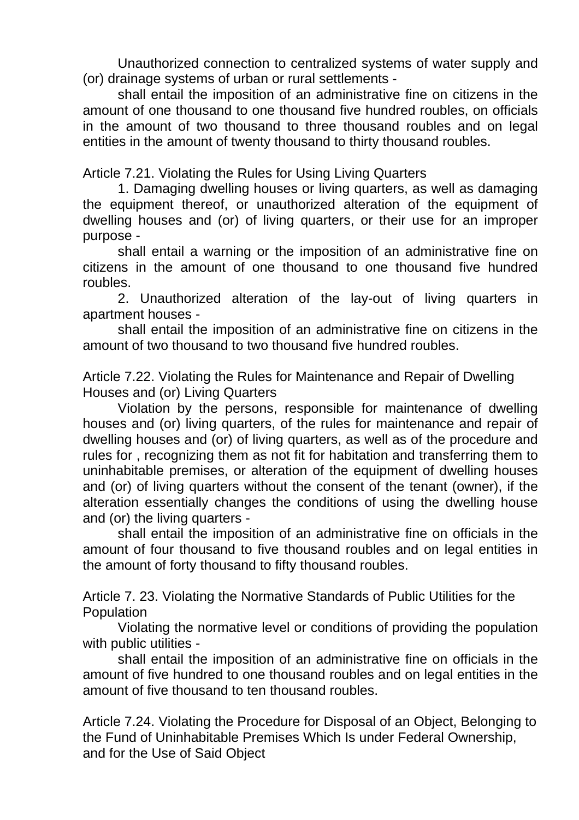Unauthorized connection to centralized systems of water supply and (or) drainage systems of urban or rural settlements -

shall entail the imposition of an administrative fine on citizens in the amount of one thousand to one thousand five hundred roubles, on officials in the amount of two thousand to three thousand roubles and on legal entities in the amount of twenty thousand to thirty thousand roubles.

Article 7.21. Violating the Rules for Using Living Quarters

1. Damaging dwelling houses or living quarters, as well as damaging the equipment thereof, or unauthorized alteration of the equipment of dwelling houses and (or) of living quarters, or their use for an improper purpose -

shall entail a warning or the imposition of an administrative fine on citizens in the amount of one thousand to one thousand five hundred roubles.

2. Unauthorized alteration of the lay-out of living quarters in apartment houses -

shall entail the imposition of an administrative fine on citizens in the amount of two thousand to two thousand five hundred roubles.

Article 7.22. Violating the Rules for Maintenance and Repair of Dwelling Houses and (or) Living Quarters

Violation by the persons, responsible for maintenance of dwelling houses and (or) living quarters, of the rules for maintenance and repair of dwelling houses and (or) of living quarters, as well as of the procedure and rules for , recognizing them as not fit for habitation and transferring them to uninhabitable premises, or alteration of the equipment of dwelling houses and (or) of living quarters without the consent of the tenant (owner), if the alteration essentially changes the conditions of using the dwelling house and (or) the living quarters -

shall entail the imposition of an administrative fine on officials in the amount of four thousand to five thousand roubles and on legal entities in the amount of forty thousand to fifty thousand roubles.

Article 7. 23. Violating the Normative Standards of Public Utilities for the **Population** 

Violating the normative level or conditions of providing the population with public utilities -

shall entail the imposition of an administrative fine on officials in the amount of five hundred to one thousand roubles and on legal entities in the amount of five thousand to ten thousand roubles.

Article 7.24. Violating the Procedure for Disposal of an Object, Belonging to the Fund of Uninhabitable Premises Which Is under Federal Ownership, and for the Use of Said Object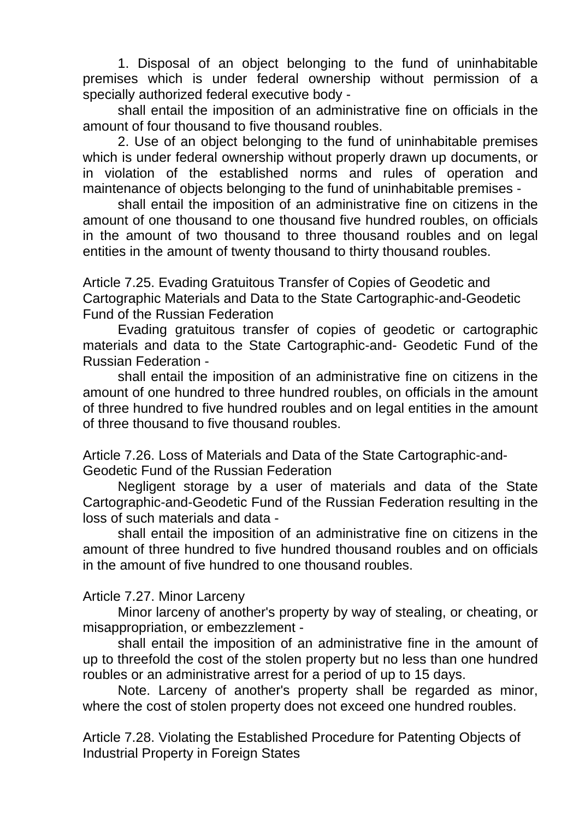1. Disposal of an object belonging to the fund of uninhabitable premises which is under federal ownership without permission of a specially authorized federal executive body -

shall entail the imposition of an administrative fine on officials in the amount of four thousand to five thousand roubles.

2. Use of an object belonging to the fund of uninhabitable premises which is under federal ownership without properly drawn up documents, or in violation of the established norms and rules of operation and maintenance of objects belonging to the fund of uninhabitable premises -

shall entail the imposition of an administrative fine on citizens in the amount of one thousand to one thousand five hundred roubles, on officials in the amount of two thousand to three thousand roubles and on legal entities in the amount of twenty thousand to thirty thousand roubles.

Article 7.25. Evading Gratuitous Transfer of Copies of Geodetic and Cartographic Materials and Data to the State Cartographic-and-Geodetic Fund of the Russian Federation

Evading gratuitous transfer of copies of geodetic or cartographic materials and data to the State Cartographic-and- Geodetic Fund of the Russian Federation -

shall entail the imposition of an administrative fine on citizens in the amount of one hundred to three hundred roubles, on officials in the amount of three hundred to five hundred roubles and on legal entities in the amount of three thousand to five thousand roubles.

Article 7.26. Loss of Materials and Data of the State Cartographic-and-Geodetic Fund of the Russian Federation

Negligent storage by a user of materials and data of the State Cartographic-and-Geodetic Fund of the Russian Federation resulting in the loss of such materials and data -

shall entail the imposition of an administrative fine on citizens in the amount of three hundred to five hundred thousand roubles and on officials in the amount of five hundred to one thousand roubles.

## Article 7.27. Minor Larceny

Minor larceny of another's property by way of stealing, or cheating, or misappropriation, or embezzlement -

shall entail the imposition of an administrative fine in the amount of up to threefold the cost of the stolen property but no less than one hundred roubles or an administrative arrest for a period of up to 15 days.

Note. Larceny of another's property shall be regarded as minor, where the cost of stolen property does not exceed one hundred roubles.

Article 7.28. Violating the Established Procedure for Patenting Objects of Industrial Property in Foreign States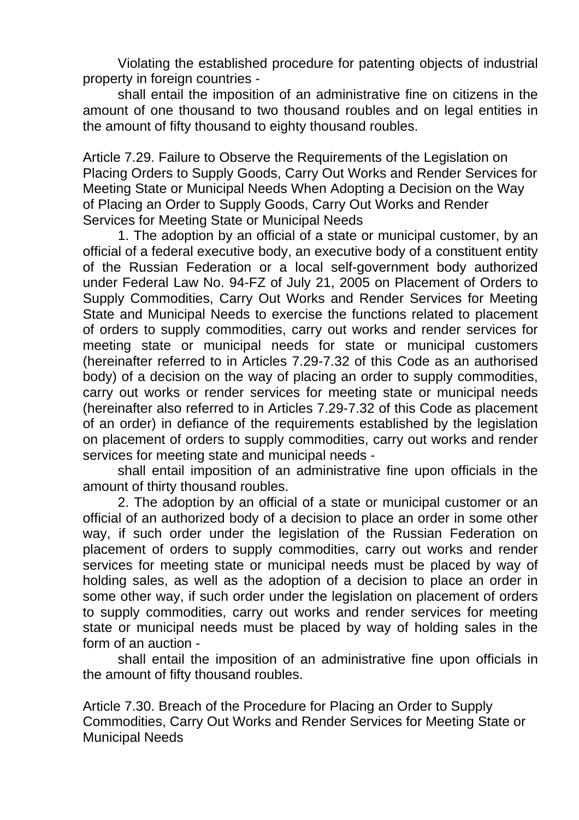Violating the established procedure for patenting objects of industrial property in foreign countries -

shall entail the imposition of an administrative fine on citizens in the amount of one thousand to two thousand roubles and on legal entities in the amount of fifty thousand to eighty thousand roubles.

Article 7.29. Failure to Observe the Requirements of the Legislation on Placing Orders to Supply Goods, Carry Out Works and Render Services for Meeting State or Municipal Needs When Adopting a Decision on the Way of Placing an Order to Supply Goods, Carry Out Works and Render Services for Meeting State or Municipal Needs

1. The adoption by an official of a state or municipal customer, by an official of a federal executive body, an executive body of a constituent entity of the Russian Federation or a local self-government body authorized under Federal Law No. 94-FZ of July 21, 2005 on Placement of Orders to Supply Commodities, Carry Out Works and Render Services for Meeting State and Municipal Needs to exercise the functions related to placement of orders to supply commodities, carry out works and render services for meeting state or municipal needs for state or municipal customers (hereinafter referred to in Articles 7.29-7.32 of this Code as an authorised body) of a decision on the way of placing an order to supply commodities, carry out works or render services for meeting state or municipal needs (hereinafter also referred to in Articles 7.29-7.32 of this Code as placement of an order) in defiance of the requirements established by the legislation on placement of orders to supply commodities, carry out works and render services for meeting state and municipal needs -

shall entail imposition of an administrative fine upon officials in the amount of thirty thousand roubles.

2. The adoption by an official of a state or municipal customer or an official of an authorized body of a decision to place an order in some other way, if such order under the legislation of the Russian Federation on placement of orders to supply commodities, carry out works and render services for meeting state or municipal needs must be placed by way of holding sales, as well as the adoption of a decision to place an order in some other way, if such order under the legislation on placement of orders to supply commodities, carry out works and render services for meeting state or municipal needs must be placed by way of holding sales in the form of an auction -

shall entail the imposition of an administrative fine upon officials in the amount of fifty thousand roubles.

Article 7.30. Breach of the Procedure for Placing an Order to Supply Commodities, Carry Out Works and Render Services for Meeting State or Municipal Needs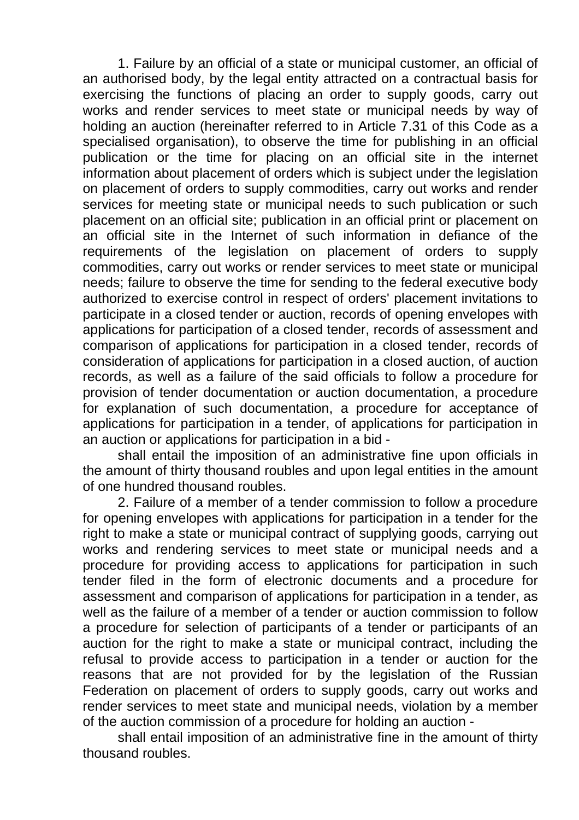1. Failure by an official of a state or municipal customer, an official of an authorised body, by the legal entity attracted on a contractual basis for exercising the functions of placing an order to supply goods, carry out works and render services to meet state or municipal needs by way of holding an auction (hereinafter referred to in Article 7.31 of this Code as a specialised organisation), to observe the time for publishing in an official publication or the time for placing on an official site in the internet information about placement of orders which is subject under the legislation on placement of orders to supply commodities, carry out works and render services for meeting state or municipal needs to such publication or such placement on an official site; publication in an official print or placement on an official site in the Internet of such information in defiance of the requirements of the legislation on placement of orders to supply commodities, carry out works or render services to meet state or municipal needs; failure to observe the time for sending to the federal executive body authorized to exercise control in respect of orders' placement invitations to participate in a closed tender or auction, records of opening envelopes with applications for participation of a closed tender, records of assessment and comparison of applications for participation in a closed tender, records of consideration of applications for participation in a closed auction, of auction records, as well as a failure of the said officials to follow a procedure for provision of tender documentation or auction documentation, a procedure for explanation of such documentation, a procedure for acceptance of applications for participation in a tender, of applications for participation in an auction or applications for participation in a bid -

shall entail the imposition of an administrative fine upon officials in the amount of thirty thousand roubles and upon legal entities in the amount of one hundred thousand roubles.

2. Failure of a member of a tender commission to follow a procedure for opening envelopes with applications for participation in a tender for the right to make a state or municipal contract of supplying goods, carrying out works and rendering services to meet state or municipal needs and a procedure for providing access to applications for participation in such tender filed in the form of electronic documents and a procedure for assessment and comparison of applications for participation in a tender, as well as the failure of a member of a tender or auction commission to follow a procedure for selection of participants of a tender or participants of an auction for the right to make a state or municipal contract, including the refusal to provide access to participation in a tender or auction for the reasons that are not provided for by the legislation of the Russian Federation on placement of orders to supply goods, carry out works and render services to meet state and municipal needs, violation by a member of the auction commission of a procedure for holding an auction -

shall entail imposition of an administrative fine in the amount of thirty thousand roubles.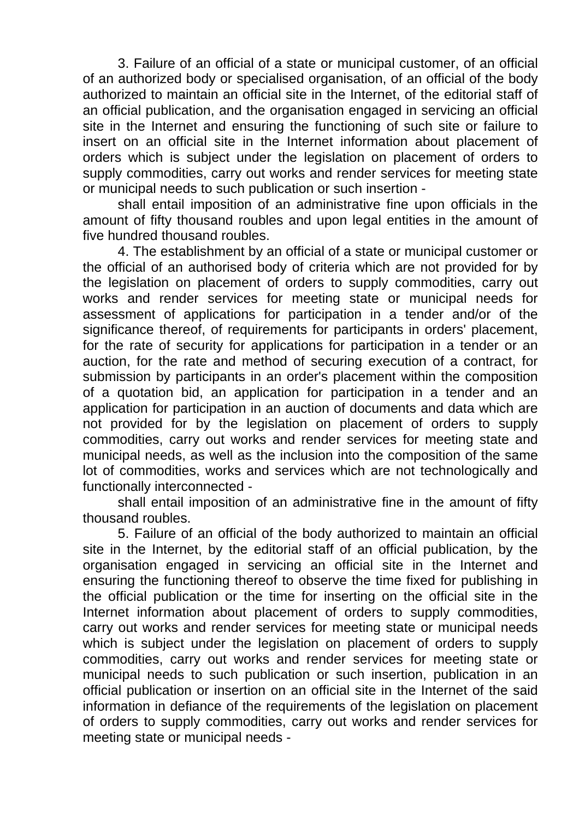3. Failure of an official of a state or municipal customer, of an official of an authorized body or specialised organisation, of an official of the body authorized to maintain an official site in the Internet, of the editorial staff of an official publication, and the organisation engaged in servicing an official site in the Internet and ensuring the functioning of such site or failure to insert on an official site in the Internet information about placement of orders which is subject under the legislation on placement of orders to supply commodities, carry out works and render services for meeting state or municipal needs to such publication or such insertion -

shall entail imposition of an administrative fine upon officials in the amount of fifty thousand roubles and upon legal entities in the amount of five hundred thousand roubles.

4. The establishment by an official of a state or municipal customer or the official of an authorised body of criteria which are not provided for by the legislation on placement of orders to supply commodities, carry out works and render services for meeting state or municipal needs for assessment of applications for participation in a tender and/or of the significance thereof, of requirements for participants in orders' placement, for the rate of security for applications for participation in a tender or an auction, for the rate and method of securing execution of a contract, for submission by participants in an order's placement within the composition of a quotation bid, an application for participation in a tender and an application for participation in an auction of documents and data which are not provided for by the legislation on placement of orders to supply commodities, carry out works and render services for meeting state and municipal needs, as well as the inclusion into the composition of the same lot of commodities, works and services which are not technologically and functionally interconnected -

shall entail imposition of an administrative fine in the amount of fifty thousand roubles.

5. Failure of an official of the body authorized to maintain an official site in the Internet, by the editorial staff of an official publication, by the organisation engaged in servicing an official site in the Internet and ensuring the functioning thereof to observe the time fixed for publishing in the official publication or the time for inserting on the official site in the Internet information about placement of orders to supply commodities, carry out works and render services for meeting state or municipal needs which is subject under the legislation on placement of orders to supply commodities, carry out works and render services for meeting state or municipal needs to such publication or such insertion, publication in an official publication or insertion on an official site in the Internet of the said information in defiance of the requirements of the legislation on placement of orders to supply commodities, carry out works and render services for meeting state or municipal needs -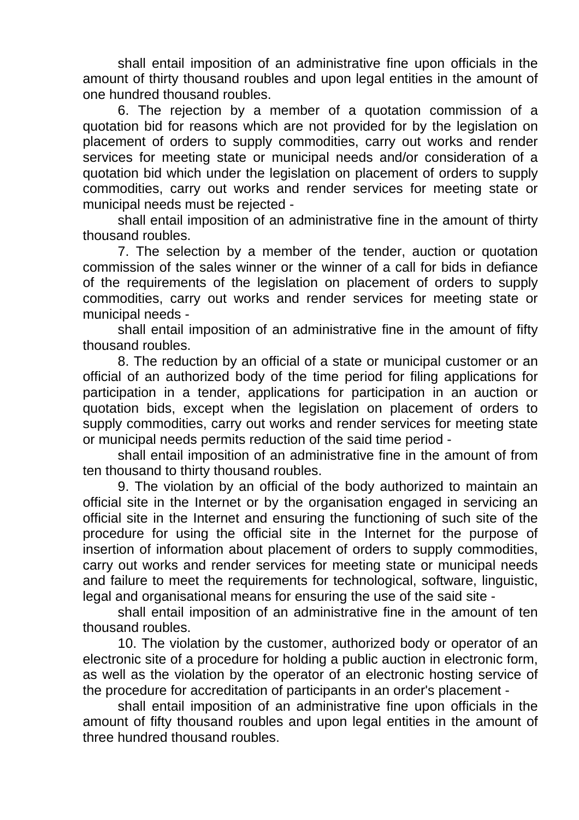shall entail imposition of an administrative fine upon officials in the amount of thirty thousand roubles and upon legal entities in the amount of one hundred thousand roubles.

6. The rejection by a member of a quotation commission of a quotation bid for reasons which are not provided for by the legislation on placement of orders to supply commodities, carry out works and render services for meeting state or municipal needs and/or consideration of a quotation bid which under the legislation on placement of orders to supply commodities, carry out works and render services for meeting state or municipal needs must be rejected -

shall entail imposition of an administrative fine in the amount of thirty thousand roubles.

7. The selection by a member of the tender, auction or quotation commission of the sales winner or the winner of a call for bids in defiance of the requirements of the legislation on placement of orders to supply commodities, carry out works and render services for meeting state or municipal needs -

shall entail imposition of an administrative fine in the amount of fifty thousand roubles.

8. The reduction by an official of a state or municipal customer or an official of an authorized body of the time period for filing applications for participation in a tender, applications for participation in an auction or quotation bids, except when the legislation on placement of orders to supply commodities, carry out works and render services for meeting state or municipal needs permits reduction of the said time period -

shall entail imposition of an administrative fine in the amount of from ten thousand to thirty thousand roubles.

9. The violation by an official of the body authorized to maintain an official site in the Internet or by the organisation engaged in servicing an official site in the Internet and ensuring the functioning of such site of the procedure for using the official site in the Internet for the purpose of insertion of information about placement of orders to supply commodities, carry out works and render services for meeting state or municipal needs and failure to meet the requirements for technological, software, linguistic, legal and organisational means for ensuring the use of the said site -

shall entail imposition of an administrative fine in the amount of ten thousand roubles.

10. The violation by the customer, authorized body or operator of an electronic site of a procedure for holding a public auction in electronic form, as well as the violation by the operator of an electronic hosting service of the procedure for accreditation of participants in an order's placement -

shall entail imposition of an administrative fine upon officials in the amount of fifty thousand roubles and upon legal entities in the amount of three hundred thousand roubles.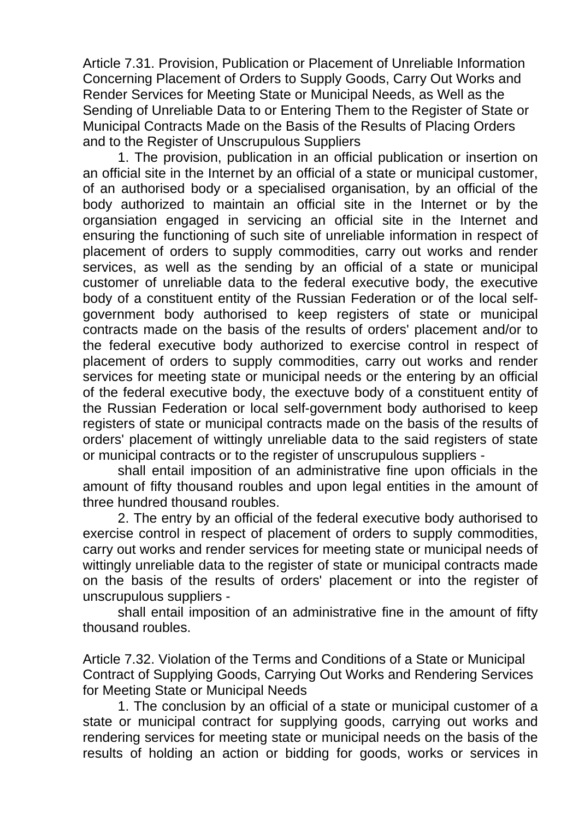Article 7.31. Provision, Publication or Placement of Unreliable Information Concerning Placement of Orders to Supply Goods, Carry Out Works and Render Services for Meeting State or Municipal Needs, as Well as the Sending of Unreliable Data to or Entering Them to the Register of State or Municipal Contracts Made on the Basis of the Results of Placing Orders and to the Register of Unscrupulous Suppliers

1. The provision, publication in an official publication or insertion on an official site in the Internet by an official of a state or municipal customer, of an authorised body or a specialised organisation, by an official of the body authorized to maintain an official site in the Internet or by the organsiation engaged in servicing an official site in the Internet and ensuring the functioning of such site of unreliable information in respect of placement of orders to supply commodities, carry out works and render services, as well as the sending by an official of a state or municipal customer of unreliable data to the federal executive body, the executive body of a constituent entity of the Russian Federation or of the local selfgovernment body authorised to keep registers of state or municipal contracts made on the basis of the results of orders' placement and/or to the federal executive body authorized to exercise control in respect of placement of orders to supply commodities, carry out works and render services for meeting state or municipal needs or the entering by an official of the federal executive body, the exectuve body of a constituent entity of the Russian Federation or local self-government body authorised to keep registers of state or municipal contracts made on the basis of the results of orders' placement of wittingly unreliable data to the said registers of state or municipal contracts or to the register of unscrupulous suppliers -

shall entail imposition of an administrative fine upon officials in the amount of fifty thousand roubles and upon legal entities in the amount of three hundred thousand roubles.

2. The entry by an official of the federal executive body authorised to exercise control in respect of placement of orders to supply commodities, carry out works and render services for meeting state or municipal needs of wittingly unreliable data to the register of state or municipal contracts made on the basis of the results of orders' placement or into the register of unscrupulous suppliers -

shall entail imposition of an administrative fine in the amount of fifty thousand roubles.

Article 7.32. Violation of the Terms and Conditions of a State or Municipal Contract of Supplying Goods, Carrying Out Works and Rendering Services for Meeting State or Municipal Needs

1. The conclusion by an official of a state or municipal customer of a state or municipal contract for supplying goods, carrying out works and rendering services for meeting state or municipal needs on the basis of the results of holding an action or bidding for goods, works or services in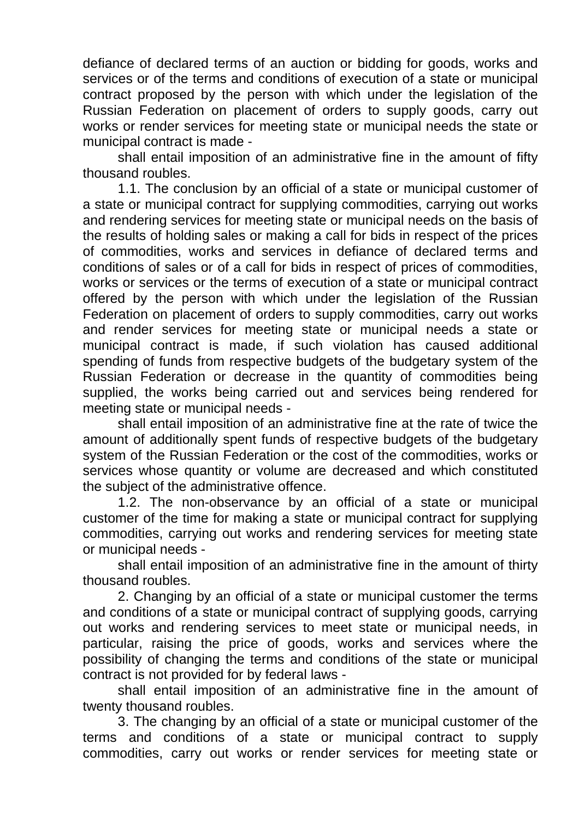defiance of declared terms of an auction or bidding for goods, works and services or of the terms and conditions of execution of a state or municipal contract proposed by the person with which under the legislation of the Russian Federation on placement of orders to supply goods, carry out works or render services for meeting state or municipal needs the state or municipal contract is made -

shall entail imposition of an administrative fine in the amount of fifty thousand roubles.

1.1. The conclusion by an official of a state or municipal customer of a state or municipal contract for supplying commodities, carrying out works and rendering services for meeting state or municipal needs on the basis of the results of holding sales or making a call for bids in respect of the prices of commodities, works and services in defiance of declared terms and conditions of sales or of a call for bids in respect of prices of commodities, works or services or the terms of execution of a state or municipal contract offered by the person with which under the legislation of the Russian Federation on placement of orders to supply commodities, carry out works and render services for meeting state or municipal needs a state or municipal contract is made, if such violation has caused additional spending of funds from respective budgets of the budgetary system of the Russian Federation or decrease in the quantity of commodities being supplied, the works being carried out and services being rendered for meeting state or municipal needs -

shall entail imposition of an administrative fine at the rate of twice the amount of additionally spent funds of respective budgets of the budgetary system of the Russian Federation or the cost of the commodities, works or services whose quantity or volume are decreased and which constituted the subject of the administrative offence.

1.2. The non-observance by an official of a state or municipal customer of the time for making a state or municipal contract for supplying commodities, carrying out works and rendering services for meeting state or municipal needs -

shall entail imposition of an administrative fine in the amount of thirty thousand roubles.

2. Changing by an official of a state or municipal customer the terms and conditions of a state or municipal contract of supplying goods, carrying out works and rendering services to meet state or municipal needs, in particular, raising the price of goods, works and services where the possibility of changing the terms and conditions of the state or municipal contract is not provided for by federal laws -

shall entail imposition of an administrative fine in the amount of twenty thousand roubles.

3. The changing by an official of a state or municipal customer of the terms and conditions of a state or municipal contract to supply commodities, carry out works or render services for meeting state or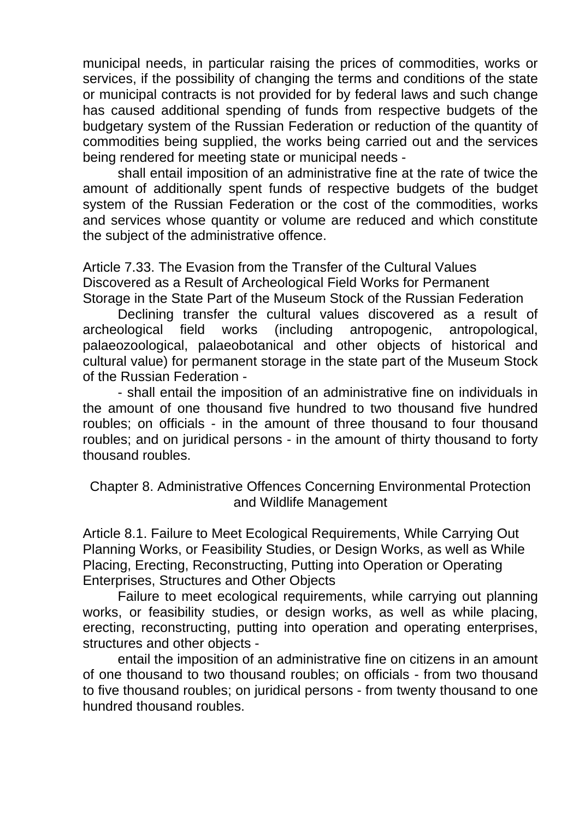municipal needs, in particular raising the prices of commodities, works or services, if the possibility of changing the terms and conditions of the state or municipal contracts is not provided for by federal laws and such change has caused additional spending of funds from respective budgets of the budgetary system of the Russian Federation or reduction of the quantity of commodities being supplied, the works being carried out and the services being rendered for meeting state or municipal needs -

shall entail imposition of an administrative fine at the rate of twice the amount of additionally spent funds of respective budgets of the budget system of the Russian Federation or the cost of the commodities, works and services whose quantity or volume are reduced and which constitute the subject of the administrative offence.

Article 7.33. The Evasion from the Transfer of the Cultural Values Discovered as a Result of Archeological Field Works for Permanent Storage in the State Part of the Museum Stock of the Russian Federation

Declining transfer the cultural values discovered as a result of archeological field works (including antropogenic, antropological, palaeozoological, palaeobotanical and other objects of historical and cultural value) for permanent storage in the state part of the Museum Stock of the Russian Federation -

- shall entail the imposition of an administrative fine on individuals in the amount of one thousand five hundred to two thousand five hundred roubles; on officials - in the amount of three thousand to four thousand roubles; and on juridical persons - in the amount of thirty thousand to forty thousand roubles.

Chapter 8. Administrative Offences Concerning Environmental Protection and Wildlife Management

Article 8.1. Failure to Meet Ecological Requirements, While Carrying Out Planning Works, or Feasibility Studies, or Design Works, as well as While Placing, Erecting, Reconstructing, Putting into Operation or Operating Enterprises, Structures and Other Objects

Failure to meet ecological requirements, while carrying out planning works, or feasibility studies, or design works, as well as while placing, erecting, reconstructing, putting into operation and operating enterprises, structures and other objects -

entail the imposition of an administrative fine on citizens in an amount of one thousand to two thousand roubles; on officials - from two thousand to five thousand roubles; on juridical persons - from twenty thousand to one hundred thousand roubles.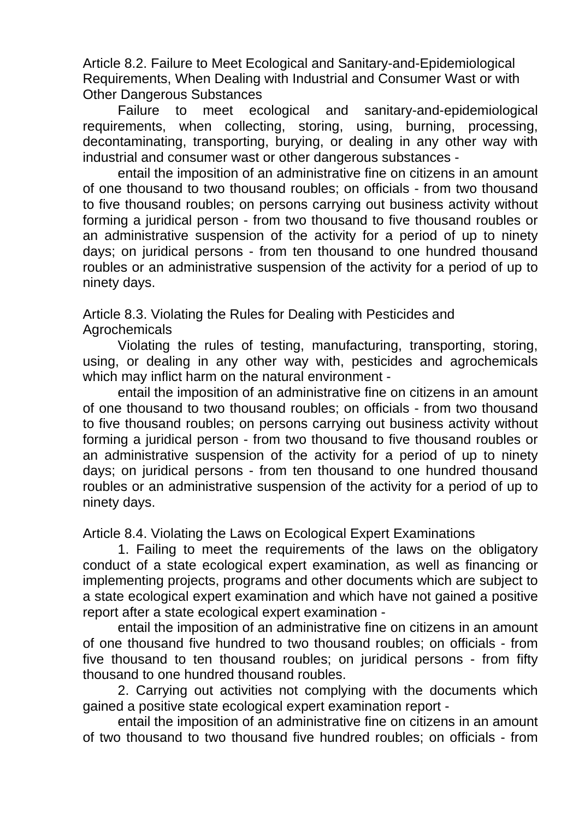Article 8.2. Failure to Meet Ecological and Sanitary-and-Epidemiological Requirements, When Dealing with Industrial and Consumer Wast or with Other Dangerous Substances

Failure to meet ecological and sanitary-and-epidemiological requirements, when collecting, storing, using, burning, processing, decontaminating, transporting, burying, or dealing in any other way with industrial and consumer wast or other dangerous substances -

entail the imposition of an administrative fine on citizens in an amount of one thousand to two thousand roubles; on officials - from two thousand to five thousand roubles; on persons carrying out business activity without forming a juridical person - from two thousand to five thousand roubles or an administrative suspension of the activity for a period of up to ninety days; on juridical persons - from ten thousand to one hundred thousand roubles or an administrative suspension of the activity for a period of up to ninety days.

Article 8.3. Violating the Rules for Dealing with Pesticides and Agrochemicals

Violating the rules of testing, manufacturing, transporting, storing, using, or dealing in any other way with, pesticides and agrochemicals which may inflict harm on the natural environment -

entail the imposition of an administrative fine on citizens in an amount of one thousand to two thousand roubles; on officials - from two thousand to five thousand roubles; on persons carrying out business activity without forming a juridical person - from two thousand to five thousand roubles or an administrative suspension of the activity for a period of up to ninety days; on juridical persons - from ten thousand to one hundred thousand roubles or an administrative suspension of the activity for a period of up to ninety days.

Article 8.4. Violating the Laws on Ecological Expert Examinations

1. Failing to meet the requirements of the laws on the obligatory conduct of a state ecological expert examination, as well as financing or implementing projects, programs and other documents which are subject to a state ecological expert examination and which have not gained a positive report after a state ecological expert examination -

entail the imposition of an administrative fine on citizens in an amount of one thousand five hundred to two thousand roubles; on officials - from five thousand to ten thousand roubles; on juridical persons - from fifty thousand to one hundred thousand roubles.

2. Carrying out activities not complying with the documents which gained a positive state ecological expert examination report -

entail the imposition of an administrative fine on citizens in an amount of two thousand to two thousand five hundred roubles; on officials - from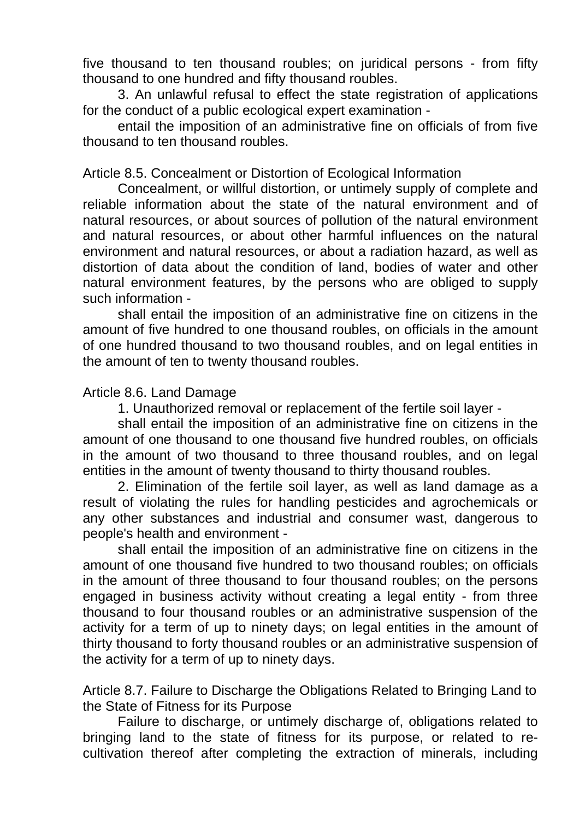five thousand to ten thousand roubles; on juridical persons - from fifty thousand to one hundred and fifty thousand roubles.

3. An unlawful refusal to effect the state registration of applications for the conduct of a public ecological expert examination -

entail the imposition of an administrative fine on officials of from five thousand to ten thousand roubles.

Article 8.5. Concealment or Distortion of Ecological Information

Concealment, or willful distortion, or untimely supply of complete and reliable information about the state of the natural environment and of natural resources, or about sources of pollution of the natural environment and natural resources, or about other harmful influences on the natural environment and natural resources, or about a radiation hazard, as well as distortion of data about the condition of land, bodies of water and other natural environment features, by the persons who are obliged to supply such information -

shall entail the imposition of an administrative fine on citizens in the amount of five hundred to one thousand roubles, on officials in the amount of one hundred thousand to two thousand roubles, and on legal entities in the amount of ten to twenty thousand roubles.

## Article 8.6. Land Damage

1. Unauthorized removal or replacement of the fertile soil layer -

shall entail the imposition of an administrative fine on citizens in the amount of one thousand to one thousand five hundred roubles, on officials in the amount of two thousand to three thousand roubles, and on legal entities in the amount of twenty thousand to thirty thousand roubles.

2. Elimination of the fertile soil layer, as well as land damage as a result of violating the rules for handling pesticides and agrochemicals or any other substances and industrial and consumer wast, dangerous to people's health and environment -

shall entail the imposition of an administrative fine on citizens in the amount of one thousand five hundred to two thousand roubles; on officials in the amount of three thousand to four thousand roubles; on the persons engaged in business activity without creating a legal entity - from three thousand to four thousand roubles or an administrative suspension of the activity for a term of up to ninety days; on legal entities in the amount of thirty thousand to forty thousand roubles or an administrative suspension of the activity for a term of up to ninety days.

Article 8.7. Failure to Discharge the Obligations Related to Bringing Land to the State of Fitness for its Purpose

Failure to discharge, or untimely discharge of, obligations related to bringing land to the state of fitness for its purpose, or related to recultivation thereof after completing the extraction of minerals, including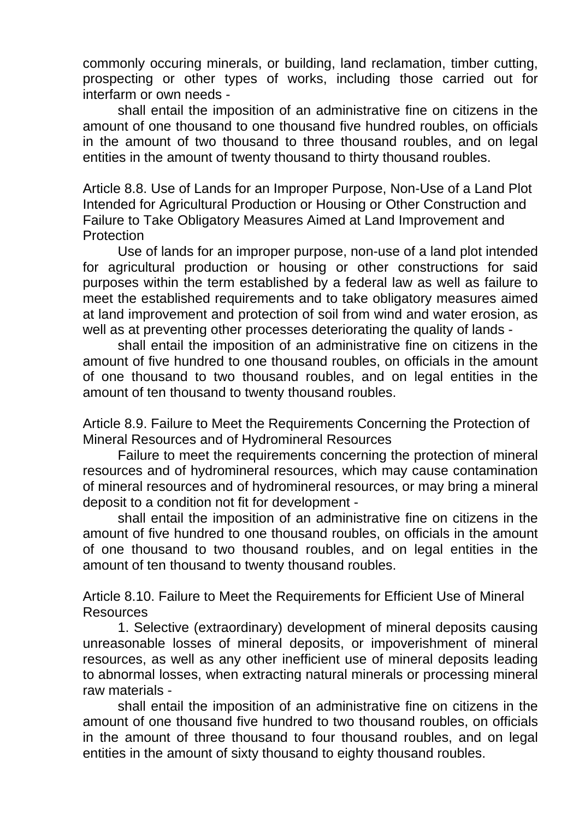commonly occuring minerals, or building, land reclamation, timber cutting, prospecting or other types of works, including those carried out for interfarm or own needs -

shall entail the imposition of an administrative fine on citizens in the amount of one thousand to one thousand five hundred roubles, on officials in the amount of two thousand to three thousand roubles, and on legal entities in the amount of twenty thousand to thirty thousand roubles.

Article 8.8. Use of Lands for an Improper Purpose, Non-Use of a Land Plot Intended for Agricultural Production or Housing or Other Construction and Failure to Take Obligatory Measures Aimed at Land Improvement and **Protection** 

Use of lands for an improper purpose, non-use of a land plot intended for agricultural production or housing or other constructions for said purposes within the term established by a federal law as well as failure to meet the established requirements and to take obligatory measures aimed at land improvement and protection of soil from wind and water erosion, as well as at preventing other processes deteriorating the quality of lands -

shall entail the imposition of an administrative fine on citizens in the amount of five hundred to one thousand roubles, on officials in the amount of one thousand to two thousand roubles, and on legal entities in the amount of ten thousand to twenty thousand roubles.

Article 8.9. Failure to Meet the Requirements Concerning the Protection of Mineral Resources and of Hydromineral Resources

Failure to meet the requirements concerning the protection of mineral resources and of hydromineral resources, which may cause contamination of mineral resources and of hydromineral resources, or may bring a mineral deposit to a condition not fit for development -

shall entail the imposition of an administrative fine on citizens in the amount of five hundred to one thousand roubles, on officials in the amount of one thousand to two thousand roubles, and on legal entities in the amount of ten thousand to twenty thousand roubles.

Article 8.10. Failure to Meet the Requirements for Efficient Use of Mineral Resources

1. Selective (extraordinary) development of mineral deposits causing unreasonable losses of mineral deposits, or impoverishment of mineral resources, as well as any other inefficient use of mineral deposits leading to abnormal losses, when extracting natural minerals or processing mineral raw materials -

shall entail the imposition of an administrative fine on citizens in the amount of one thousand five hundred to two thousand roubles, on officials in the amount of three thousand to four thousand roubles, and on legal entities in the amount of sixty thousand to eighty thousand roubles.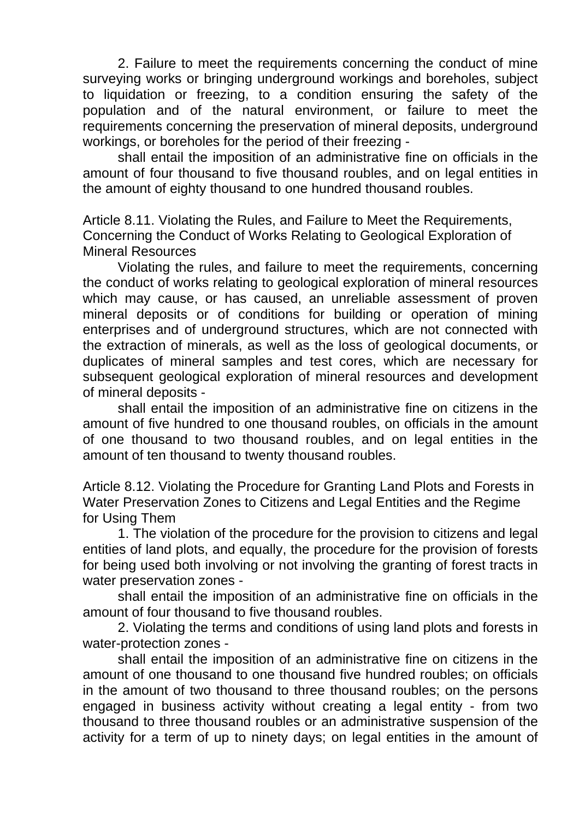2. Failure to meet the requirements concerning the conduct of mine surveying works or bringing underground workings and boreholes, subject to liquidation or freezing, to a condition ensuring the safety of the population and of the natural environment, or failure to meet the requirements concerning the preservation of mineral deposits, underground workings, or boreholes for the period of their freezing -

shall entail the imposition of an administrative fine on officials in the amount of four thousand to five thousand roubles, and on legal entities in the amount of eighty thousand to one hundred thousand roubles.

Article 8.11. Violating the Rules, and Failure to Meet the Requirements, Concerning the Conduct of Works Relating to Geological Exploration of Mineral Resources

Violating the rules, and failure to meet the requirements, concerning the conduct of works relating to geological exploration of mineral resources which may cause, or has caused, an unreliable assessment of proven mineral deposits or of conditions for building or operation of mining enterprises and of underground structures, which are not connected with the extraction of minerals, as well as the loss of geological documents, or duplicates of mineral samples and test cores, which are necessary for subsequent geological exploration of mineral resources and development of mineral deposits -

shall entail the imposition of an administrative fine on citizens in the amount of five hundred to one thousand roubles, on officials in the amount of one thousand to two thousand roubles, and on legal entities in the amount of ten thousand to twenty thousand roubles.

Article 8.12. Violating the Procedure for Granting Land Plots and Forests in Water Preservation Zones to Citizens and Legal Entities and the Regime for Using Them

1. The violation of the procedure for the provision to citizens and legal entities of land plots, and equally, the procedure for the provision of forests for being used both involving or not involving the granting of forest tracts in water preservation zones -

shall entail the imposition of an administrative fine on officials in the amount of four thousand to five thousand roubles.

2. Violating the terms and conditions of using land plots and forests in water-protection zones -

shall entail the imposition of an administrative fine on citizens in the amount of one thousand to one thousand five hundred roubles; on officials in the amount of two thousand to three thousand roubles; on the persons engaged in business activity without creating a legal entity - from two thousand to three thousand roubles or an administrative suspension of the activity for a term of up to ninety days; on legal entities in the amount of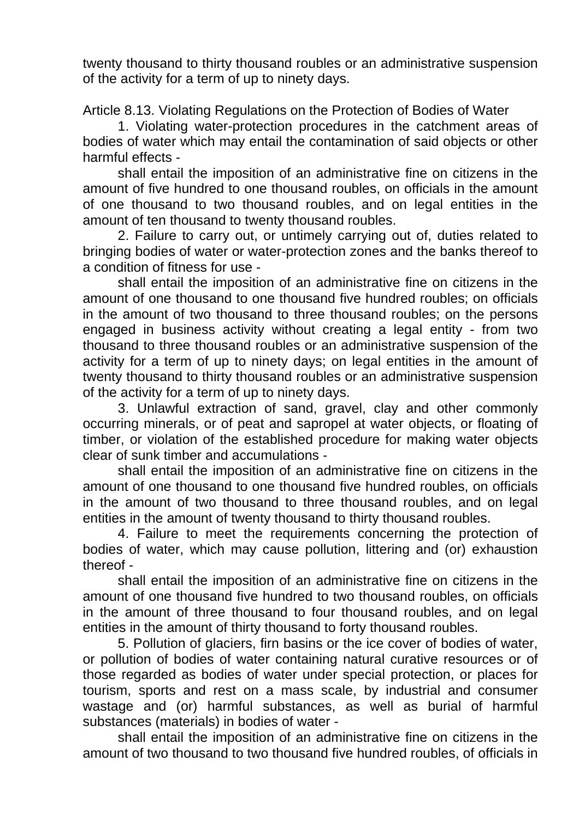twenty thousand to thirty thousand roubles or an administrative suspension of the activity for a term of up to ninety days.

Article 8.13. Violating Regulations on the Protection of Bodies of Water

1. Violating water-protection procedures in the catchment areas of bodies of water which may entail the contamination of said objects or other harmful effects -

shall entail the imposition of an administrative fine on citizens in the amount of five hundred to one thousand roubles, on officials in the amount of one thousand to two thousand roubles, and on legal entities in the amount of ten thousand to twenty thousand roubles.

2. Failure to carry out, or untimely carrying out of, duties related to bringing bodies of water or water-protection zones and the banks thereof to a condition of fitness for use -

shall entail the imposition of an administrative fine on citizens in the amount of one thousand to one thousand five hundred roubles; on officials in the amount of two thousand to three thousand roubles; on the persons engaged in business activity without creating a legal entity - from two thousand to three thousand roubles or an administrative suspension of the activity for a term of up to ninety days; on legal entities in the amount of twenty thousand to thirty thousand roubles or an administrative suspension of the activity for a term of up to ninety days.

3. Unlawful extraction of sand, gravel, clay and other commonly occurring minerals, or of peat and sapropel at water objects, or floating of timber, or violation of the established procedure for making water objects clear of sunk timber and accumulations -

shall entail the imposition of an administrative fine on citizens in the amount of one thousand to one thousand five hundred roubles, on officials in the amount of two thousand to three thousand roubles, and on legal entities in the amount of twenty thousand to thirty thousand roubles.

4. Failure to meet the requirements concerning the protection of bodies of water, which may cause pollution, littering and (or) exhaustion thereof -

shall entail the imposition of an administrative fine on citizens in the amount of one thousand five hundred to two thousand roubles, on officials in the amount of three thousand to four thousand roubles, and on legal entities in the amount of thirty thousand to forty thousand roubles.

5. Pollution of glaciers, firn basins or the ice cover of bodies of water, or pollution of bodies of water containing natural curative resources or of those regarded as bodies of water under special protection, or places for tourism, sports and rest on a mass scale, by industrial and consumer wastage and (or) harmful substances, as well as burial of harmful substances (materials) in bodies of water -

shall entail the imposition of an administrative fine on citizens in the amount of two thousand to two thousand five hundred roubles, of officials in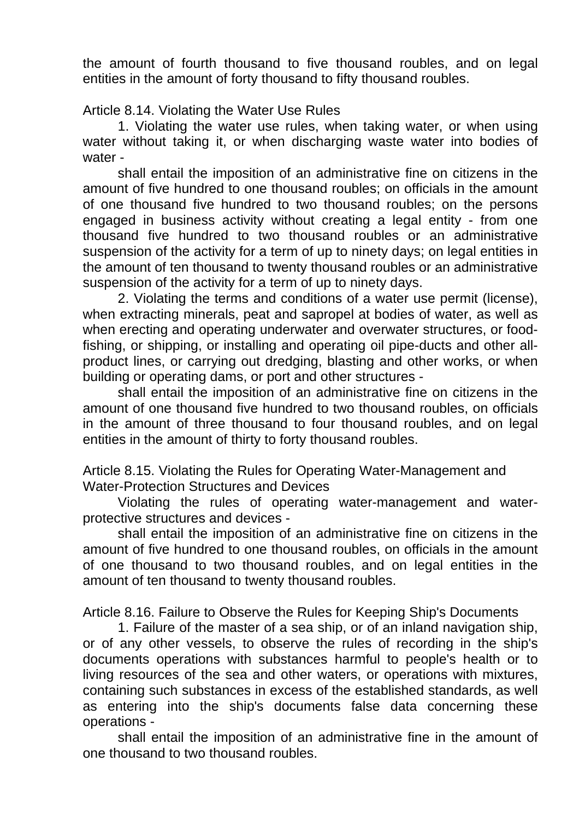the amount of fourth thousand to five thousand roubles, and on legal entities in the amount of forty thousand to fifty thousand roubles.

Article 8.14. Violating the Water Use Rules

1. Violating the water use rules, when taking water, or when using water without taking it, or when discharging waste water into bodies of water -

shall entail the imposition of an administrative fine on citizens in the amount of five hundred to one thousand roubles; on officials in the amount of one thousand five hundred to two thousand roubles; on the persons engaged in business activity without creating a legal entity - from one thousand five hundred to two thousand roubles or an administrative suspension of the activity for a term of up to ninety days; on legal entities in the amount of ten thousand to twenty thousand roubles or an administrative suspension of the activity for a term of up to ninety days.

2. Violating the terms and conditions of a water use permit (license), when extracting minerals, peat and sapropel at bodies of water, as well as when erecting and operating underwater and overwater structures, or foodfishing, or shipping, or installing and operating oil pipe-ducts and other allproduct lines, or carrying out dredging, blasting and other works, or when building or operating dams, or port and other structures -

shall entail the imposition of an administrative fine on citizens in the amount of one thousand five hundred to two thousand roubles, on officials in the amount of three thousand to four thousand roubles, and on legal entities in the amount of thirty to forty thousand roubles.

Article 8.15. Violating the Rules for Operating Water-Management and Water-Protection Structures and Devices

Violating the rules of operating water-management and waterprotective structures and devices -

shall entail the imposition of an administrative fine on citizens in the amount of five hundred to one thousand roubles, on officials in the amount of one thousand to two thousand roubles, and on legal entities in the amount of ten thousand to twenty thousand roubles.

Article 8.16. Failure to Observe the Rules for Keeping Ship's Documents

1. Failure of the master of a sea ship, or of an inland navigation ship, or of any other vessels, to observe the rules of recording in the ship's documents operations with substances harmful to people's health or to living resources of the sea and other waters, or operations with mixtures, containing such substances in excess of the established standards, as well as entering into the ship's documents false data concerning these operations -

shall entail the imposition of an administrative fine in the amount of one thousand to two thousand roubles.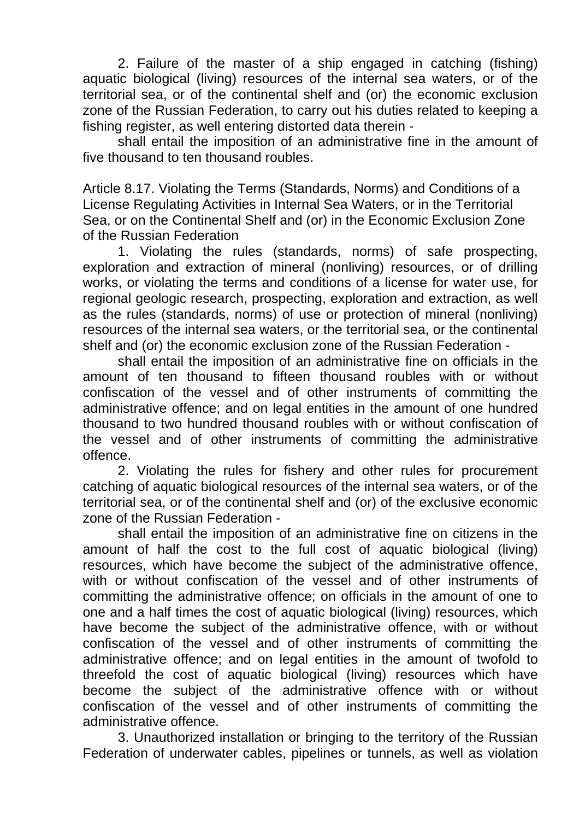2. Failure of the master of a ship engaged in catching (fishing) aquatic biological (living) resources of the internal sea waters, or of the territorial sea, or of the continental shelf and (or) the economic exclusion zone of the Russian Federation, to carry out his duties related to keeping a fishing register, as well entering distorted data therein -

shall entail the imposition of an administrative fine in the amount of five thousand to ten thousand roubles.

Article 8.17. Violating the Terms (Standards, Norms) and Conditions of a License Regulating Activities in Internal Sea Waters, or in the Territorial Sea, or on the Continental Shelf and (or) in the Economic Exclusion Zone of the Russian Federation

1. Violating the rules (standards, norms) of safe prospecting, exploration and extraction of mineral (nonliving) resources, or of drilling works, or violating the terms and conditions of a license for water use, for regional geologic research, prospecting, exploration and extraction, as well as the rules (standards, norms) of use or protection of mineral (nonliving) resources of the internal sea waters, or the territorial sea, or the continental shelf and (or) the economic exclusion zone of the Russian Federation -

shall entail the imposition of an administrative fine on officials in the amount of ten thousand to fifteen thousand roubles with or without confiscation of the vessel and of other instruments of committing the administrative offence; and on legal entities in the amount of one hundred thousand to two hundred thousand roubles with or without confiscation of the vessel and of other instruments of committing the administrative offence.

2. Violating the rules for fishery and other rules for procurement catching of aquatic biological resources of the internal sea waters, or of the territorial sea, or of the continental shelf and (or) of the exclusive economic zone of the Russian Federation -

shall entail the imposition of an administrative fine on citizens in the amount of half the cost to the full cost of aquatic biological (living) resources, which have become the subject of the administrative offence, with or without confiscation of the vessel and of other instruments of committing the administrative offence; on officials in the amount of one to one and a half times the cost of aquatic biological (living) resources, which have become the subject of the administrative offence, with or without confiscation of the vessel and of other instruments of committing the administrative offence; and on legal entities in the amount of twofold to threefold the cost of aquatic biological (living) resources which have become the subject of the administrative offence with or without confiscation of the vessel and of other instruments of committing the administrative offence.

3. Unauthorized installation or bringing to the territory of the Russian Federation of underwater cables, pipelines or tunnels, as well as violation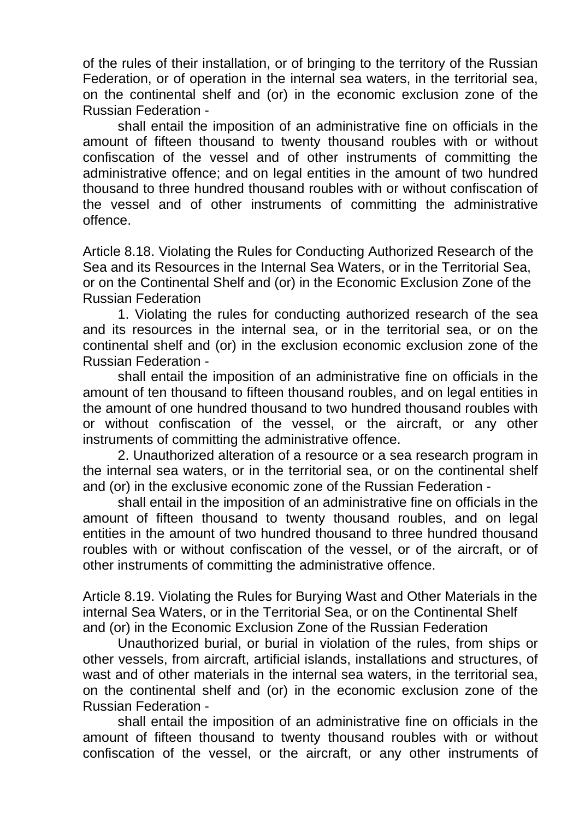of the rules of their installation, or of bringing to the territory of the Russian Federation, or of operation in the internal sea waters, in the territorial sea, on the continental shelf and (or) in the economic exclusion zone of the Russian Federation -

shall entail the imposition of an administrative fine on officials in the amount of fifteen thousand to twenty thousand roubles with or without confiscation of the vessel and of other instruments of committing the administrative offence; and on legal entities in the amount of two hundred thousand to three hundred thousand roubles with or without confiscation of the vessel and of other instruments of committing the administrative offence.

Article 8.18. Violating the Rules for Conducting Authorized Research of the Sea and its Resources in the Internal Sea Waters, or in the Territorial Sea, or on the Continental Shelf and (or) in the Economic Exclusion Zone of the Russian Federation

1. Violating the rules for conducting authorized research of the sea and its resources in the internal sea, or in the territorial sea, or on the continental shelf and (or) in the exclusion economic exclusion zone of the Russian Federation -

shall entail the imposition of an administrative fine on officials in the amount of ten thousand to fifteen thousand roubles, and on legal entities in the amount of one hundred thousand to two hundred thousand roubles with or without confiscation of the vessel, or the aircraft, or any other instruments of committing the administrative offence.

2. Unauthorized alteration of a resource or a sea research program in the internal sea waters, or in the territorial sea, or on the continental shelf and (or) in the exclusive economic zone of the Russian Federation -

shall entail in the imposition of an administrative fine on officials in the amount of fifteen thousand to twenty thousand roubles, and on legal entities in the amount of two hundred thousand to three hundred thousand roubles with or without confiscation of the vessel, or of the aircraft, or of other instruments of committing the administrative offence.

Article 8.19. Violating the Rules for Burying Wast and Other Materials in the internal Sea Waters, or in the Territorial Sea, or on the Continental Shelf and (or) in the Economic Exclusion Zone of the Russian Federation

Unauthorized burial, or burial in violation of the rules, from ships or other vessels, from aircraft, artificial islands, installations and structures, of wast and of other materials in the internal sea waters, in the territorial sea, on the continental shelf and (or) in the economic exclusion zone of the Russian Federation -

shall entail the imposition of an administrative fine on officials in the amount of fifteen thousand to twenty thousand roubles with or without confiscation of the vessel, or the aircraft, or any other instruments of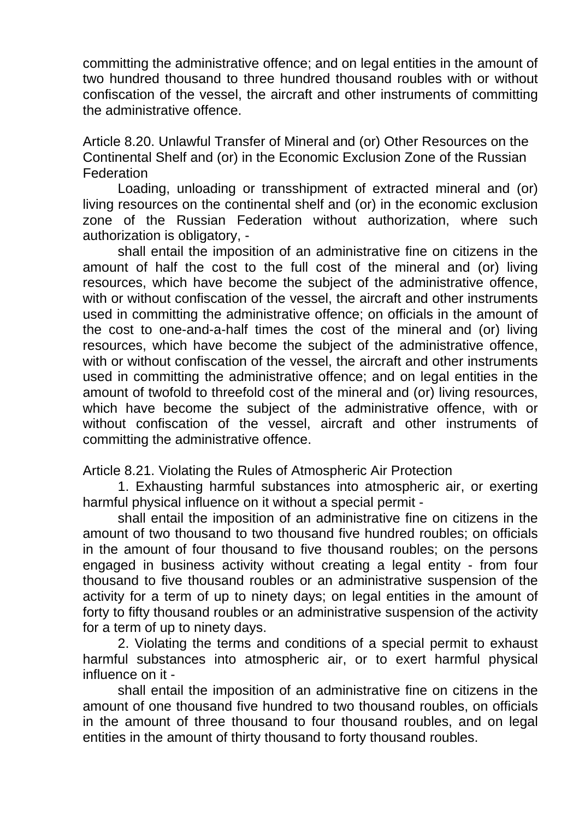committing the administrative offence; and on legal entities in the amount of two hundred thousand to three hundred thousand roubles with or without confiscation of the vessel, the aircraft and other instruments of committing the administrative offence.

Article 8.20. Unlawful Transfer of Mineral and (or) Other Resources on the Continental Shelf and (or) in the Economic Exclusion Zone of the Russian **Federation** 

Loading, unloading or transshipment of extracted mineral and (or) living resources on the continental shelf and (or) in the economic exclusion zone of the Russian Federation without authorization, where such authorization is obligatory, -

shall entail the imposition of an administrative fine on citizens in the amount of half the cost to the full cost of the mineral and (or) living resources, which have become the subject of the administrative offence, with or without confiscation of the vessel, the aircraft and other instruments used in committing the administrative offence; on officials in the amount of the cost to one-and-a-half times the cost of the mineral and (or) living resources, which have become the subject of the administrative offence, with or without confiscation of the vessel, the aircraft and other instruments used in committing the administrative offence; and on legal entities in the amount of twofold to threefold cost of the mineral and (or) living resources, which have become the subject of the administrative offence, with or without confiscation of the vessel, aircraft and other instruments of committing the administrative offence.

Article 8.21. Violating the Rules of Atmospheric Air Protection

1. Exhausting harmful substances into atmospheric air, or exerting harmful physical influence on it without a special permit -

shall entail the imposition of an administrative fine on citizens in the amount of two thousand to two thousand five hundred roubles; on officials in the amount of four thousand to five thousand roubles; on the persons engaged in business activity without creating a legal entity - from four thousand to five thousand roubles or an administrative suspension of the activity for a term of up to ninety days; on legal entities in the amount of forty to fifty thousand roubles or an administrative suspension of the activity for a term of up to ninety days.

2. Violating the terms and conditions of a special permit to exhaust harmful substances into atmospheric air, or to exert harmful physical influence on it -

shall entail the imposition of an administrative fine on citizens in the amount of one thousand five hundred to two thousand roubles, on officials in the amount of three thousand to four thousand roubles, and on legal entities in the amount of thirty thousand to forty thousand roubles.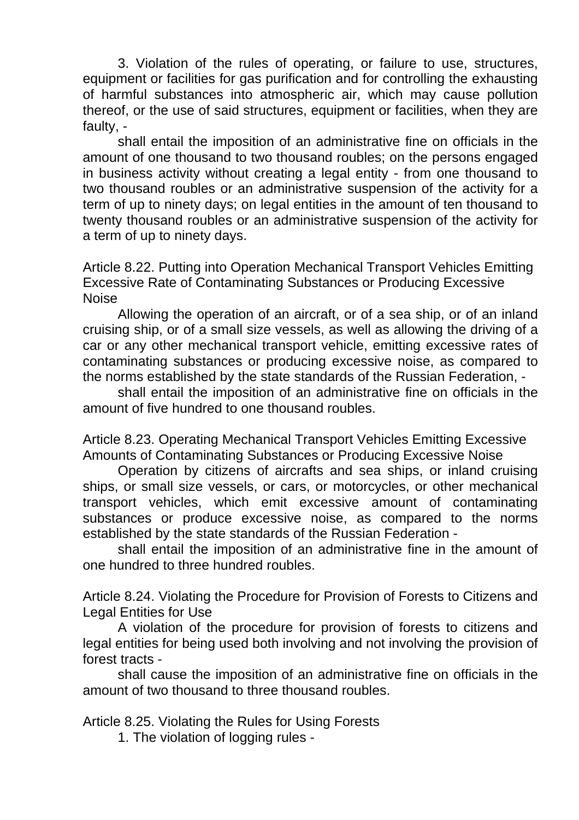3. Violation of the rules of operating, or failure to use, structures, equipment or facilities for gas purification and for controlling the exhausting of harmful substances into atmospheric air, which may cause pollution thereof, or the use of said structures, equipment or facilities, when they are faulty, -

shall entail the imposition of an administrative fine on officials in the amount of one thousand to two thousand roubles; on the persons engaged in business activity without creating a legal entity - from one thousand to two thousand roubles or an administrative suspension of the activity for a term of up to ninety days; on legal entities in the amount of ten thousand to twenty thousand roubles or an administrative suspension of the activity for a term of up to ninety days.

Article 8.22. Putting into Operation Mechanical Transport Vehicles Emitting Excessive Rate of Contaminating Substances or Producing Excessive Noise

Allowing the operation of an aircraft, or of a sea ship, or of an inland cruising ship, or of a small size vessels, as well as allowing the driving of a car or any other mechanical transport vehicle, emitting excessive rates of contaminating substances or producing excessive noise, as compared to the norms established by the state standards of the Russian Federation, -

shall entail the imposition of an administrative fine on officials in the amount of five hundred to one thousand roubles.

Article 8.23. Operating Mechanical Transport Vehicles Emitting Excessive Amounts of Contaminating Substances or Producing Excessive Noise

Operation by citizens of aircrafts and sea ships, or inland cruising ships, or small size vessels, or cars, or motorcycles, or other mechanical transport vehicles, which emit excessive amount of contaminating substances or produce excessive noise, as compared to the norms established by the state standards of the Russian Federation -

shall entail the imposition of an administrative fine in the amount of one hundred to three hundred roubles.

Article 8.24. Violating the Procedure for Provision of Forests to Citizens and Legal Entities for Use

A violation of the procedure for provision of forests to citizens and legal entities for being used both involving and not involving the provision of forest tracts -

shall cause the imposition of an administrative fine on officials in the amount of two thousand to three thousand roubles.

Article 8.25. Violating the Rules for Using Forests

1. The violation of logging rules -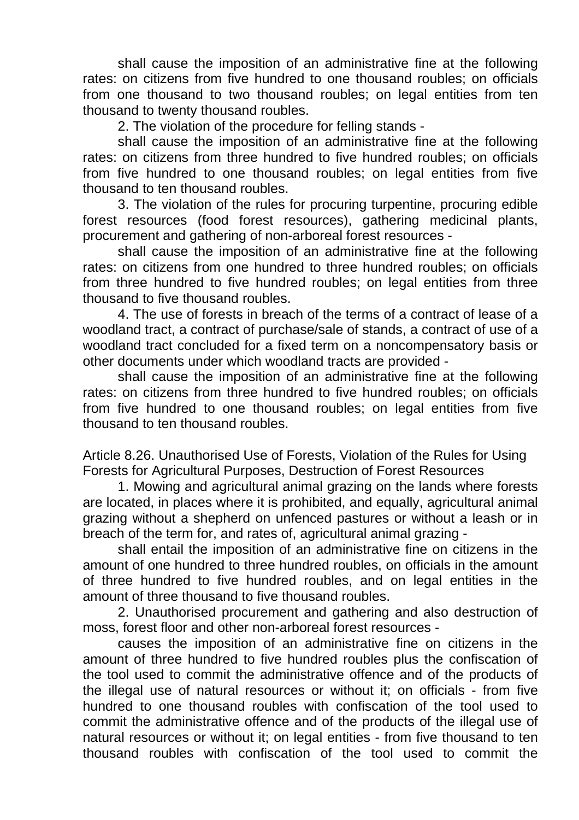shall cause the imposition of an administrative fine at the following rates: on citizens from five hundred to one thousand roubles; on officials from one thousand to two thousand roubles; on legal entities from ten thousand to twenty thousand roubles.

2. The violation of the procedure for felling stands -

shall cause the imposition of an administrative fine at the following rates: on citizens from three hundred to five hundred roubles; on officials from five hundred to one thousand roubles; on legal entities from five thousand to ten thousand roubles.

3. The violation of the rules for procuring turpentine, procuring edible forest resources (food forest resources), gathering medicinal plants, procurement and gathering of non-arboreal forest resources -

shall cause the imposition of an administrative fine at the following rates: on citizens from one hundred to three hundred roubles; on officials from three hundred to five hundred roubles; on legal entities from three thousand to five thousand roubles.

4. The use of forests in breach of the terms of a contract of lease of a woodland tract, a contract of purchase/sale of stands, a contract of use of a woodland tract concluded for a fixed term on a noncompensatory basis or other documents under which woodland tracts are provided -

shall cause the imposition of an administrative fine at the following rates: on citizens from three hundred to five hundred roubles; on officials from five hundred to one thousand roubles; on legal entities from five thousand to ten thousand roubles.

Article 8.26. Unauthorised Use of Forests, Violation of the Rules for Using Forests for Agricultural Purposes, Destruction of Forest Resources

1. Mowing and agricultural animal grazing on the lands where forests are located, in places where it is prohibited, and equally, agricultural animal grazing without a shepherd on unfenced pastures or without a leash or in breach of the term for, and rates of, agricultural animal grazing -

shall entail the imposition of an administrative fine on citizens in the amount of one hundred to three hundred roubles, on officials in the amount of three hundred to five hundred roubles, and on legal entities in the amount of three thousand to five thousand roubles.

2. Unauthorised procurement and gathering and also destruction of moss, forest floor and other non-arboreal forest resources -

causes the imposition of an administrative fine on citizens in the amount of three hundred to five hundred roubles plus the confiscation of the tool used to commit the administrative offence and of the products of the illegal use of natural resources or without it; on officials - from five hundred to one thousand roubles with confiscation of the tool used to commit the administrative offence and of the products of the illegal use of natural resources or without it; on legal entities - from five thousand to ten thousand roubles with confiscation of the tool used to commit the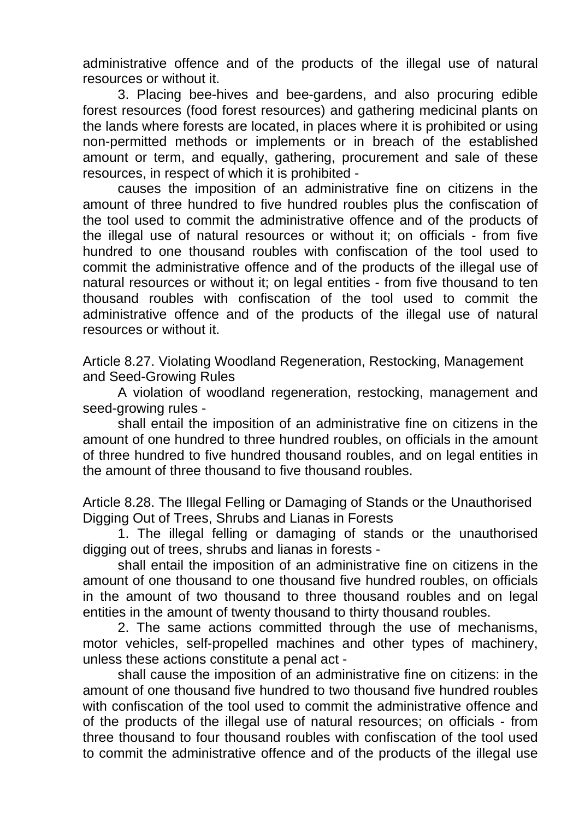administrative offence and of the products of the illegal use of natural resources or without it.

3. Placing bee-hives and bee-gardens, and also procuring edible forest resources (food forest resources) and gathering medicinal plants on the lands where forests are located, in places where it is prohibited or using non-permitted methods or implements or in breach of the established amount or term, and equally, gathering, procurement and sale of these resources, in respect of which it is prohibited -

causes the imposition of an administrative fine on citizens in the amount of three hundred to five hundred roubles plus the confiscation of the tool used to commit the administrative offence and of the products of the illegal use of natural resources or without it; on officials - from five hundred to one thousand roubles with confiscation of the tool used to commit the administrative offence and of the products of the illegal use of natural resources or without it; on legal entities - from five thousand to ten thousand roubles with confiscation of the tool used to commit the administrative offence and of the products of the illegal use of natural resources or without it.

Article 8.27. Violating Woodland Regeneration, Restocking, Management and Seed-Growing Rules

A violation of woodland regeneration, restocking, management and seed-growing rules -

shall entail the imposition of an administrative fine on citizens in the amount of one hundred to three hundred roubles, on officials in the amount of three hundred to five hundred thousand roubles, and on legal entities in the amount of three thousand to five thousand roubles.

Article 8.28. The Illegal Felling or Damaging of Stands or the Unauthorised Digging Out of Trees, Shrubs and Lianas in Forests

1. The illegal felling or damaging of stands or the unauthorised digging out of trees, shrubs and lianas in forests -

shall entail the imposition of an administrative fine on citizens in the amount of one thousand to one thousand five hundred roubles, on officials in the amount of two thousand to three thousand roubles and on legal entities in the amount of twenty thousand to thirty thousand roubles.

2. The same actions committed through the use of mechanisms, motor vehicles, self-propelled machines and other types of machinery, unless these actions constitute a penal act -

shall cause the imposition of an administrative fine on citizens: in the amount of one thousand five hundred to two thousand five hundred roubles with confiscation of the tool used to commit the administrative offence and of the products of the illegal use of natural resources; on officials - from three thousand to four thousand roubles with confiscation of the tool used to commit the administrative offence and of the products of the illegal use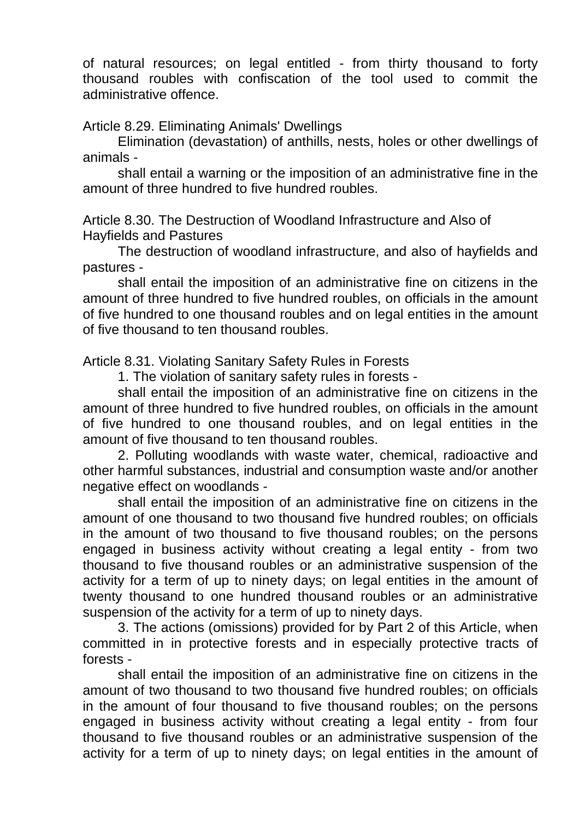of natural resources; on legal entitled - from thirty thousand to forty thousand roubles with confiscation of the tool used to commit the administrative offence.

Article 8.29. Eliminating Animals' Dwellings

Elimination (devastation) of anthills, nests, holes or other dwellings of animals -

shall entail a warning or the imposition of an administrative fine in the amount of three hundred to five hundred roubles.

Article 8.30. The Destruction of Woodland Infrastructure and Also of Hayfields and Pastures

The destruction of woodland infrastructure, and also of hayfields and pastures -

shall entail the imposition of an administrative fine on citizens in the amount of three hundred to five hundred roubles, on officials in the amount of five hundred to one thousand roubles and on legal entities in the amount of five thousand to ten thousand roubles.

Article 8.31. Violating Sanitary Safety Rules in Forests

1. The violation of sanitary safety rules in forests -

shall entail the imposition of an administrative fine on citizens in the amount of three hundred to five hundred roubles, on officials in the amount of five hundred to one thousand roubles, and on legal entities in the amount of five thousand to ten thousand roubles.

2. Polluting woodlands with waste water, chemical, radioactive and other harmful substances, industrial and consumption waste and/or another negative effect on woodlands -

shall entail the imposition of an administrative fine on citizens in the amount of one thousand to two thousand five hundred roubles; on officials in the amount of two thousand to five thousand roubles; on the persons engaged in business activity without creating a legal entity - from two thousand to five thousand roubles or an administrative suspension of the activity for a term of up to ninety days; on legal entities in the amount of twenty thousand to one hundred thousand roubles or an administrative suspension of the activity for a term of up to ninety days.

3. The actions (omissions) provided for by Part 2 of this Article, when committed in in protective forests and in especially protective tracts of forests -

shall entail the imposition of an administrative fine on citizens in the amount of two thousand to two thousand five hundred roubles; on officials in the amount of four thousand to five thousand roubles; on the persons engaged in business activity without creating a legal entity - from four thousand to five thousand roubles or an administrative suspension of the activity for a term of up to ninety days; on legal entities in the amount of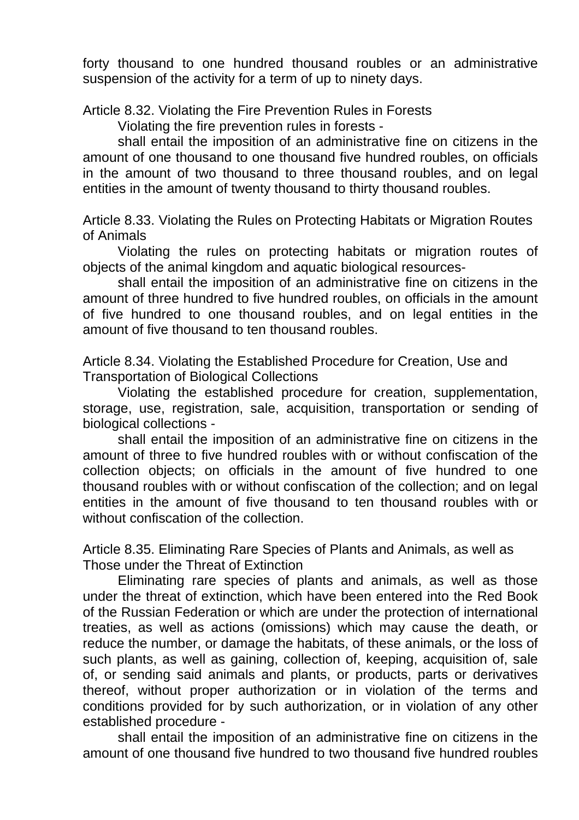forty thousand to one hundred thousand roubles or an administrative suspension of the activity for a term of up to ninety days.

Article 8.32. Violating the Fire Prevention Rules in Forests

Violating the fire prevention rules in forests -

shall entail the imposition of an administrative fine on citizens in the amount of one thousand to one thousand five hundred roubles, on officials in the amount of two thousand to three thousand roubles, and on legal entities in the amount of twenty thousand to thirty thousand roubles.

Article 8.33. Violating the Rules on Protecting Habitats or Migration Routes of Animals

Violating the rules on protecting habitats or migration routes of objects of the animal kingdom and aquatic biological resources-

shall entail the imposition of an administrative fine on citizens in the amount of three hundred to five hundred roubles, on officials in the amount of five hundred to one thousand roubles, and on legal entities in the amount of five thousand to ten thousand roubles.

Article 8.34. Violating the Established Procedure for Creation, Use and Transportation of Biological Collections

Violating the established procedure for creation, supplementation, storage, use, registration, sale, acquisition, transportation or sending of biological collections -

shall entail the imposition of an administrative fine on citizens in the amount of three to five hundred roubles with or without confiscation of the collection objects; on officials in the amount of five hundred to one thousand roubles with or without confiscation of the collection; and on legal entities in the amount of five thousand to ten thousand roubles with or without confiscation of the collection.

Article 8.35. Eliminating Rare Species of Plants and Animals, as well as Those under the Threat of Extinction

Eliminating rare species of plants and animals, as well as those under the threat of extinction, which have been entered into the Red Book of the Russian Federation or which are under the protection of international treaties, as well as actions (omissions) which may cause the death, or reduce the number, or damage the habitats, of these animals, or the loss of such plants, as well as gaining, collection of, keeping, acquisition of, sale of, or sending said animals and plants, or products, parts or derivatives thereof, without proper authorization or in violation of the terms and conditions provided for by such authorization, or in violation of any other established procedure -

shall entail the imposition of an administrative fine on citizens in the amount of one thousand five hundred to two thousand five hundred roubles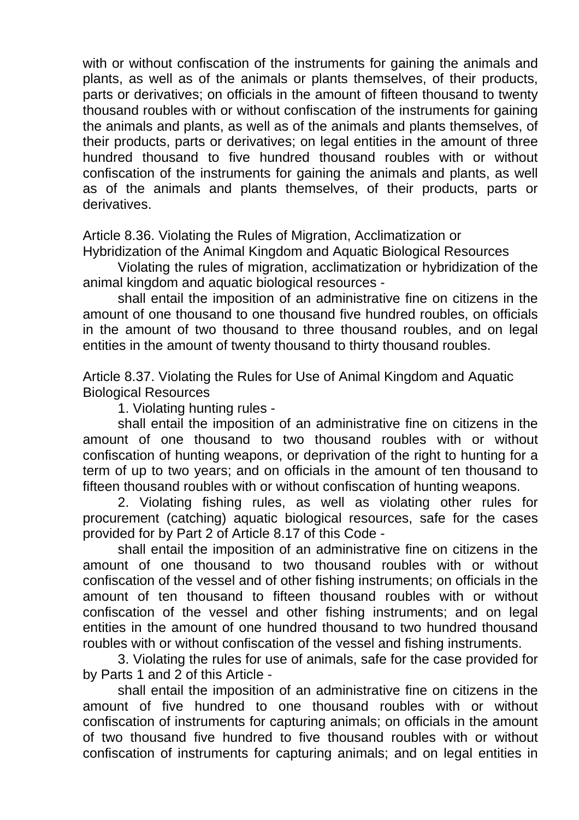with or without confiscation of the instruments for gaining the animals and plants, as well as of the animals or plants themselves, of their products, parts or derivatives; on officials in the amount of fifteen thousand to twenty thousand roubles with or without confiscation of the instruments for gaining the animals and plants, as well as of the animals and plants themselves, of their products, parts or derivatives; on legal entities in the amount of three hundred thousand to five hundred thousand roubles with or without confiscation of the instruments for gaining the animals and plants, as well as of the animals and plants themselves, of their products, parts or derivatives.

Article 8.36. Violating the Rules of Migration, Acclimatization or Hybridization of the Animal Kingdom and Aquatic Biological Resources

Violating the rules of migration, acclimatization or hybridization of the animal kingdom and aquatic biological resources -

shall entail the imposition of an administrative fine on citizens in the amount of one thousand to one thousand five hundred roubles, on officials in the amount of two thousand to three thousand roubles, and on legal entities in the amount of twenty thousand to thirty thousand roubles.

Article 8.37. Violating the Rules for Use of Animal Kingdom and Aquatic Biological Resources

1. Violating hunting rules -

shall entail the imposition of an administrative fine on citizens in the amount of one thousand to two thousand roubles with or without confiscation of hunting weapons, or deprivation of the right to hunting for a term of up to two years; and on officials in the amount of ten thousand to fifteen thousand roubles with or without confiscation of hunting weapons.

2. Violating fishing rules, as well as violating other rules for procurement (catching) aquatic biological resources, safe for the cases provided for by Part 2 of Article 8.17 of this Code -

shall entail the imposition of an administrative fine on citizens in the amount of one thousand to two thousand roubles with or without confiscation of the vessel and of other fishing instruments; on officials in the amount of ten thousand to fifteen thousand roubles with or without confiscation of the vessel and other fishing instruments; and on legal entities in the amount of one hundred thousand to two hundred thousand roubles with or without confiscation of the vessel and fishing instruments.

3. Violating the rules for use of animals, safe for the case provided for by Parts 1 and 2 of this Article -

shall entail the imposition of an administrative fine on citizens in the amount of five hundred to one thousand roubles with or without confiscation of instruments for capturing animals; on officials in the amount of two thousand five hundred to five thousand roubles with or without confiscation of instruments for capturing animals; and on legal entities in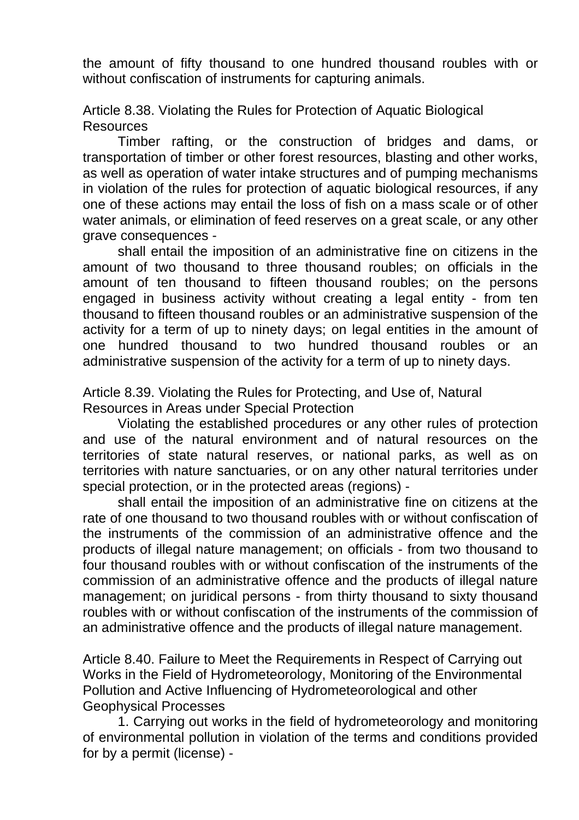the amount of fifty thousand to one hundred thousand roubles with or without confiscation of instruments for capturing animals.

Article 8.38. Violating the Rules for Protection of Aquatic Biological **Resources** 

Timber rafting, or the construction of bridges and dams, or transportation of timber or other forest resources, blasting and other works, as well as operation of water intake structures and of pumping mechanisms in violation of the rules for protection of aquatic biological resources, if any one of these actions may entail the loss of fish on a mass scale or of other water animals, or elimination of feed reserves on a great scale, or any other grave consequences -

shall entail the imposition of an administrative fine on citizens in the amount of two thousand to three thousand roubles; on officials in the amount of ten thousand to fifteen thousand roubles; on the persons engaged in business activity without creating a legal entity - from ten thousand to fifteen thousand roubles or an administrative suspension of the activity for a term of up to ninety days; on legal entities in the amount of one hundred thousand to two hundred thousand roubles or an administrative suspension of the activity for a term of up to ninety days.

Article 8.39. Violating the Rules for Protecting, and Use of, Natural Resources in Areas under Special Protection

Violating the established procedures or any other rules of protection and use of the natural environment and of natural resources on the territories of state natural reserves, or national parks, as well as on territories with nature sanctuaries, or on any other natural territories under special protection, or in the protected areas (regions) -

shall entail the imposition of an administrative fine on citizens at the rate of one thousand to two thousand roubles with or without confiscation of the instruments of the commission of an administrative offence and the products of illegal nature management; on officials - from two thousand to four thousand roubles with or without confiscation of the instruments of the commission of an administrative offence and the products of illegal nature management; on juridical persons - from thirty thousand to sixty thousand roubles with or without confiscation of the instruments of the commission of an administrative offence and the products of illegal nature management.

Article 8.40. Failure to Meet the Requirements in Respect of Carrying out Works in the Field of Hydrometeorology, Monitoring of the Environmental Pollution and Active Influencing of Hydrometeorological and other Geophysical Processes

1. Carrying out works in the field of hydrometeorology and monitoring of environmental pollution in violation of the terms and conditions provided for by a permit (license) -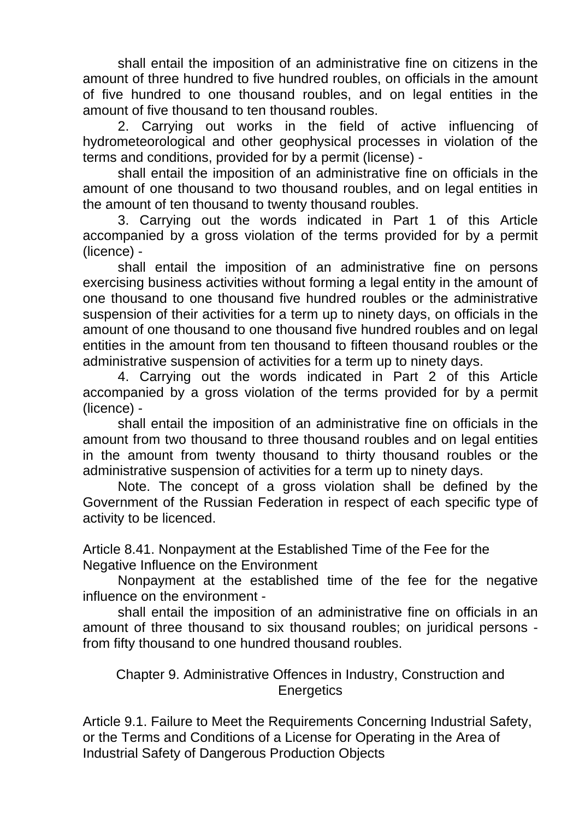shall entail the imposition of an administrative fine on citizens in the amount of three hundred to five hundred roubles, on officials in the amount of five hundred to one thousand roubles, and on legal entities in the amount of five thousand to ten thousand roubles.

2. Carrying out works in the field of active influencing of hydrometeorological and other geophysical processes in violation of the terms and conditions, provided for by a permit (license) -

shall entail the imposition of an administrative fine on officials in the amount of one thousand to two thousand roubles, and on legal entities in the amount of ten thousand to twenty thousand roubles.

3. Carrying out the words indicated in Part 1 of this Article accompanied by a gross violation of the terms provided for by a permit (licence) -

shall entail the imposition of an administrative fine on persons exercising business activities without forming a legal entity in the amount of one thousand to one thousand five hundred roubles or the administrative suspension of their activities for a term up to ninety days, on officials in the amount of one thousand to one thousand five hundred roubles and on legal entities in the amount from ten thousand to fifteen thousand roubles or the administrative suspension of activities for a term up to ninety days.

4. Carrying out the words indicated in Part 2 of this Article accompanied by a gross violation of the terms provided for by a permit (licence) -

shall entail the imposition of an administrative fine on officials in the amount from two thousand to three thousand roubles and on legal entities in the amount from twenty thousand to thirty thousand roubles or the administrative suspension of activities for a term up to ninety days.

Note. The concept of a gross violation shall be defined by the Government of the Russian Federation in respect of each specific type of activity to be licenced.

Article 8.41. Nonpayment at the Established Time of the Fee for the Negative Influence on the Environment

Nonpayment at the established time of the fee for the negative influence on the environment -

shall entail the imposition of an administrative fine on officials in an amount of three thousand to six thousand roubles; on juridical persons from fifty thousand to one hundred thousand roubles.

## Chapter 9. Administrative Offences in Industry, Construction and **Energetics**

Article 9.1. Failure to Meet the Requirements Concerning Industrial Safety, or the Terms and Conditions of a License for Operating in the Area of Industrial Safety of Dangerous Production Objects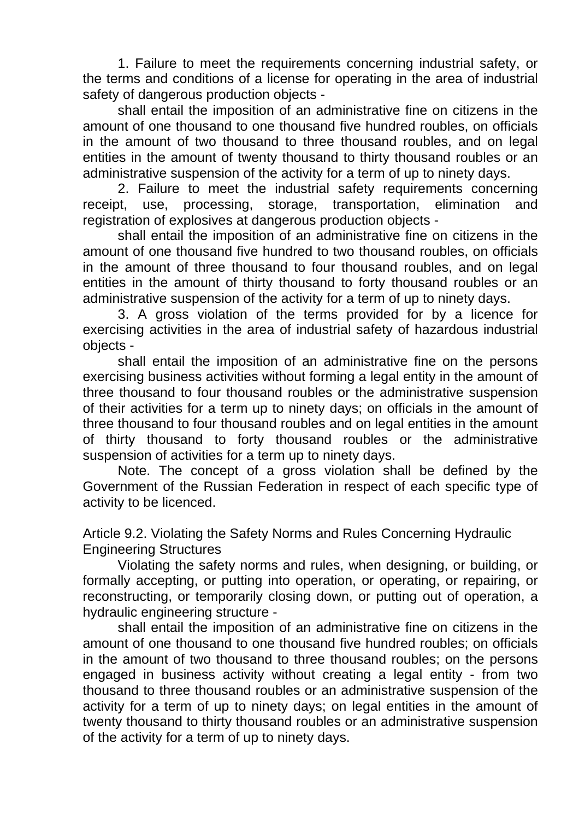1. Failure to meet the requirements concerning industrial safety, or the terms and conditions of a license for operating in the area of industrial safety of dangerous production objects -

shall entail the imposition of an administrative fine on citizens in the amount of one thousand to one thousand five hundred roubles, on officials in the amount of two thousand to three thousand roubles, and on legal entities in the amount of twenty thousand to thirty thousand roubles or an administrative suspension of the activity for a term of up to ninety days.

2. Failure to meet the industrial safety requirements concerning receipt, use, processing, storage, transportation, elimination and registration of explosives at dangerous production objects -

shall entail the imposition of an administrative fine on citizens in the amount of one thousand five hundred to two thousand roubles, on officials in the amount of three thousand to four thousand roubles, and on legal entities in the amount of thirty thousand to forty thousand roubles or an administrative suspension of the activity for a term of up to ninety days.

3. A gross violation of the terms provided for by a licence for exercising activities in the area of industrial safety of hazardous industrial objects -

shall entail the imposition of an administrative fine on the persons exercising business activities without forming a legal entity in the amount of three thousand to four thousand roubles or the administrative suspension of their activities for a term up to ninety days; on officials in the amount of three thousand to four thousand roubles and on legal entities in the amount of thirty thousand to forty thousand roubles or the administrative suspension of activities for a term up to ninety days.

Note. The concept of a gross violation shall be defined by the Government of the Russian Federation in respect of each specific type of activity to be licenced.

Article 9.2. Violating the Safety Norms and Rules Concerning Hydraulic Engineering Structures

Violating the safety norms and rules, when designing, or building, or formally accepting, or putting into operation, or operating, or repairing, or reconstructing, or temporarily closing down, or putting out of operation, a hydraulic engineering structure -

shall entail the imposition of an administrative fine on citizens in the amount of one thousand to one thousand five hundred roubles; on officials in the amount of two thousand to three thousand roubles; on the persons engaged in business activity without creating a legal entity - from two thousand to three thousand roubles or an administrative suspension of the activity for a term of up to ninety days; on legal entities in the amount of twenty thousand to thirty thousand roubles or an administrative suspension of the activity for a term of up to ninety days.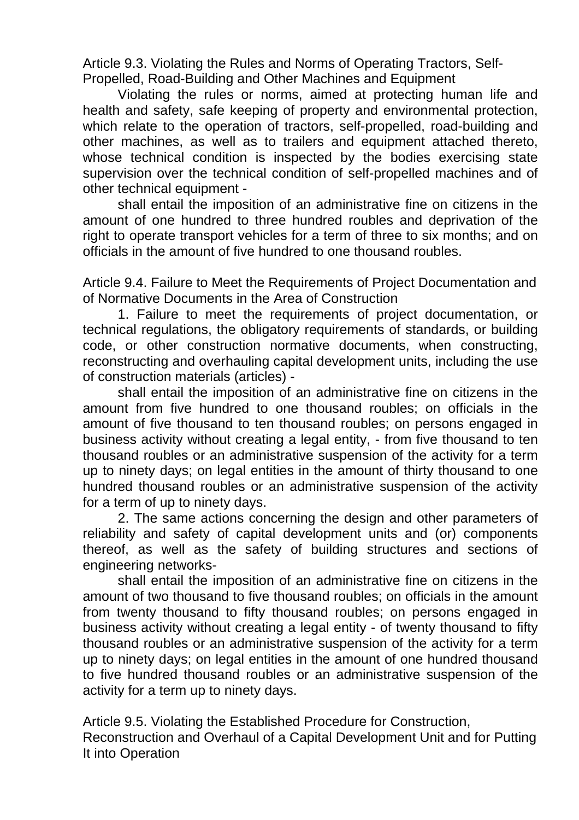Article 9.3. Violating the Rules and Norms of Operating Tractors, Self-Propelled, Road-Building and Other Machines and Equipment

Violating the rules or norms, aimed at protecting human life and health and safety, safe keeping of property and environmental protection, which relate to the operation of tractors, self-propelled, road-building and other machines, as well as to trailers and equipment attached thereto, whose technical condition is inspected by the bodies exercising state supervision over the technical condition of self-propelled machines and of other technical equipment -

shall entail the imposition of an administrative fine on citizens in the amount of one hundred to three hundred roubles and deprivation of the right to operate transport vehicles for a term of three to six months; and on officials in the amount of five hundred to one thousand roubles.

Article 9.4. Failure to Meet the Requirements of Project Documentation and of Normative Documents in the Area of Construction

1. Failure to meet the requirements of project documentation, or technical regulations, the obligatory requirements of standards, or building code, or other construction normative documents, when constructing, reconstructing and overhauling capital development units, including the use of construction materials (articles) -

shall entail the imposition of an administrative fine on citizens in the amount from five hundred to one thousand roubles; on officials in the amount of five thousand to ten thousand roubles; on persons engaged in business activity without creating a legal entity, - from five thousand to ten thousand roubles or an administrative suspension of the activity for a term up to ninety days; on legal entities in the amount of thirty thousand to one hundred thousand roubles or an administrative suspension of the activity for a term of up to ninety days.

2. The same actions concerning the design and other parameters of reliability and safety of capital development units and (or) components thereof, as well as the safety of building structures and sections of engineering networks-

shall entail the imposition of an administrative fine on citizens in the amount of two thousand to five thousand roubles; on officials in the amount from twenty thousand to fifty thousand roubles; on persons engaged in business activity without creating a legal entity - of twenty thousand to fifty thousand roubles or an administrative suspension of the activity for a term up to ninety days; on legal entities in the amount of one hundred thousand to five hundred thousand roubles or an administrative suspension of the activity for a term up to ninety days.

Article 9.5. Violating the Established Procedure for Construction, Reconstruction and Overhaul of a Capital Development Unit and for Putting It into Operation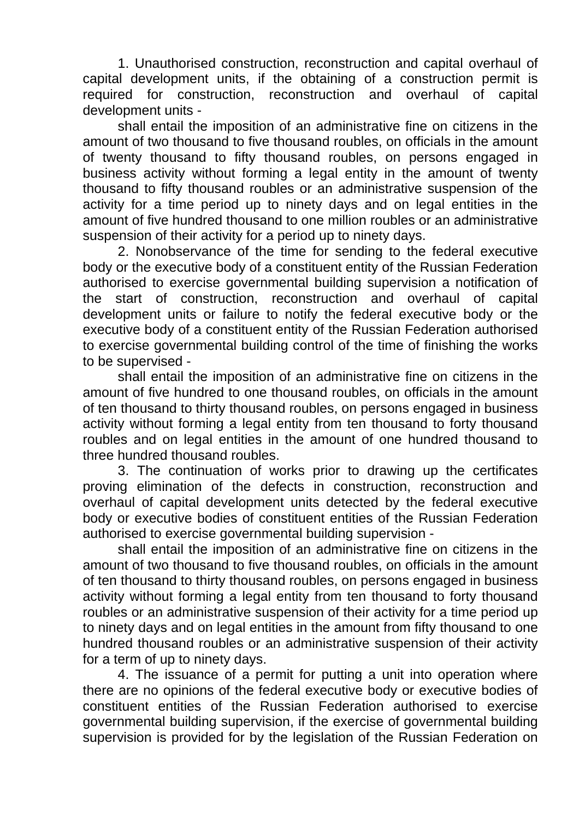1. Unauthorised construction, reconstruction and capital overhaul of capital development units, if the obtaining of a construction permit is required for construction, reconstruction and overhaul of capital development units -

shall entail the imposition of an administrative fine on citizens in the amount of two thousand to five thousand roubles, on officials in the amount of twenty thousand to fifty thousand roubles, on persons engaged in business activity without forming a legal entity in the amount of twenty thousand to fifty thousand roubles or an administrative suspension of the activity for a time period up to ninety days and on legal entities in the amount of five hundred thousand to one million roubles or an administrative suspension of their activity for a period up to ninety days.

2. Nonobservance of the time for sending to the federal executive body or the executive body of a constituent entity of the Russian Federation authorised to exercise governmental building supervision a notification of the start of construction, reconstruction and overhaul of capital development units or failure to notify the federal executive body or the executive body of a constituent entity of the Russian Federation authorised to exercise governmental building control of the time of finishing the works to be supervised -

shall entail the imposition of an administrative fine on citizens in the amount of five hundred to one thousand roubles, on officials in the amount of ten thousand to thirty thousand roubles, on persons engaged in business activity without forming a legal entity from ten thousand to forty thousand roubles and on legal entities in the amount of one hundred thousand to three hundred thousand roubles.

3. The continuation of works prior to drawing up the certificates proving elimination of the defects in construction, reconstruction and overhaul of capital development units detected by the federal executive body or executive bodies of constituent entities of the Russian Federation authorised to exercise governmental building supervision -

shall entail the imposition of an administrative fine on citizens in the amount of two thousand to five thousand roubles, on officials in the amount of ten thousand to thirty thousand roubles, on persons engaged in business activity without forming a legal entity from ten thousand to forty thousand roubles or an administrative suspension of their activity for a time period up to ninety days and on legal entities in the amount from fifty thousand to one hundred thousand roubles or an administrative suspension of their activity for a term of up to ninety days.

4. The issuance of a permit for putting a unit into operation where there are no opinions of the federal executive body or executive bodies of constituent entities of the Russian Federation authorised to exercise governmental building supervision, if the exercise of governmental building supervision is provided for by the legislation of the Russian Federation on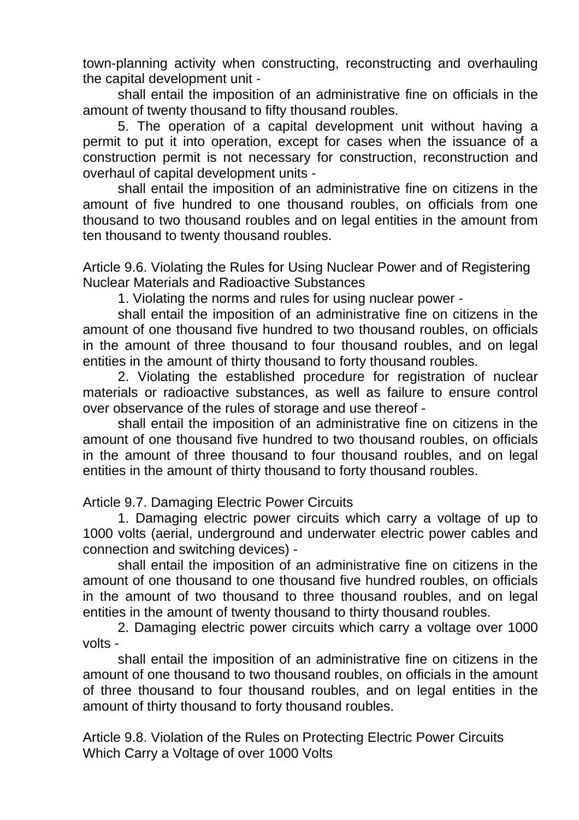town-planning activity when constructing, reconstructing and overhauling the capital development unit -

shall entail the imposition of an administrative fine on officials in the amount of twenty thousand to fifty thousand roubles.

5. The operation of a capital development unit without having a permit to put it into operation, except for cases when the issuance of a construction permit is not necessary for construction, reconstruction and overhaul of capital development units -

shall entail the imposition of an administrative fine on citizens in the amount of five hundred to one thousand roubles, on officials from one thousand to two thousand roubles and on legal entities in the amount from ten thousand to twenty thousand roubles.

Article 9.6. Violating the Rules for Using Nuclear Power and of Registering Nuclear Materials and Radioactive Substances

1. Violating the norms and rules for using nuclear power -

shall entail the imposition of an administrative fine on citizens in the amount of one thousand five hundred to two thousand roubles, on officials in the amount of three thousand to four thousand roubles, and on legal entities in the amount of thirty thousand to forty thousand roubles.

2. Violating the established procedure for registration of nuclear materials or radioactive substances, as well as failure to ensure control over observance of the rules of storage and use thereof -

shall entail the imposition of an administrative fine on citizens in the amount of one thousand five hundred to two thousand roubles, on officials in the amount of three thousand to four thousand roubles, and on legal entities in the amount of thirty thousand to forty thousand roubles.

Article 9.7. Damaging Electric Power Circuits

1. Damaging electric power circuits which carry a voltage of up to 1000 volts (aerial, underground and underwater electric power cables and connection and switching devices) -

shall entail the imposition of an administrative fine on citizens in the amount of one thousand to one thousand five hundred roubles, on officials in the amount of two thousand to three thousand roubles, and on legal entities in the amount of twenty thousand to thirty thousand roubles.

2. Damaging electric power circuits which carry a voltage over 1000 volts -

shall entail the imposition of an administrative fine on citizens in the amount of one thousand to two thousand roubles, on officials in the amount of three thousand to four thousand roubles, and on legal entities in the amount of thirty thousand to forty thousand roubles.

Article 9.8. Violation of the Rules on Protecting Electric Power Circuits Which Carry a Voltage of over 1000 Volts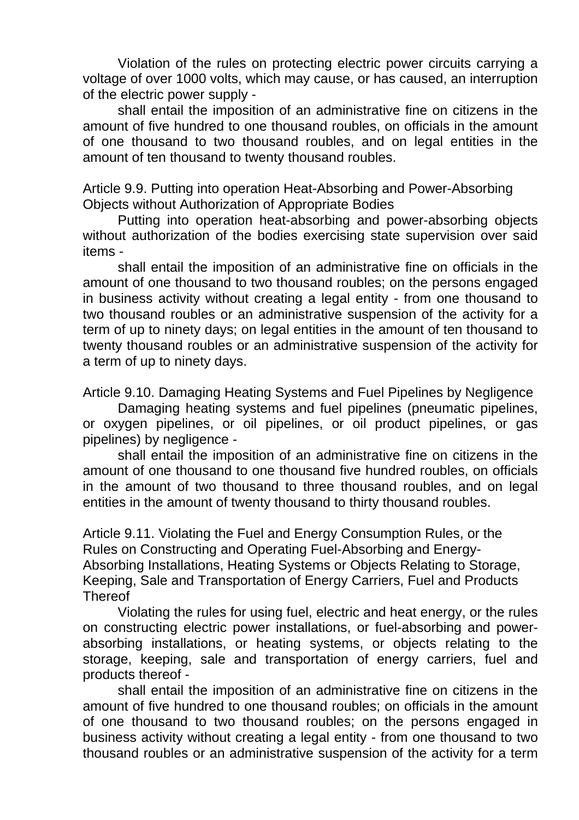Violation of the rules on protecting electric power circuits carrying a voltage of over 1000 volts, which may cause, or has caused, an interruption of the electric power supply -

shall entail the imposition of an administrative fine on citizens in the amount of five hundred to one thousand roubles, on officials in the amount of one thousand to two thousand roubles, and on legal entities in the amount of ten thousand to twenty thousand roubles.

Article 9.9. Putting into operation Heat-Absorbing and Power-Absorbing Objects without Authorization of Appropriate Bodies

Putting into operation heat-absorbing and power-absorbing objects without authorization of the bodies exercising state supervision over said items -

shall entail the imposition of an administrative fine on officials in the amount of one thousand to two thousand roubles; on the persons engaged in business activity without creating a legal entity - from one thousand to two thousand roubles or an administrative suspension of the activity for a term of up to ninety days; on legal entities in the amount of ten thousand to twenty thousand roubles or an administrative suspension of the activity for a term of up to ninety days.

Article 9.10. Damaging Heating Systems and Fuel Pipelines by Negligence

Damaging heating systems and fuel pipelines (pneumatic pipelines, or oxygen pipelines, or oil pipelines, or oil product pipelines, or gas pipelines) by negligence -

shall entail the imposition of an administrative fine on citizens in the amount of one thousand to one thousand five hundred roubles, on officials in the amount of two thousand to three thousand roubles, and on legal entities in the amount of twenty thousand to thirty thousand roubles.

Article 9.11. Violating the Fuel and Energy Consumption Rules, or the Rules on Constructing and Operating Fuel-Absorbing and Energy-Absorbing Installations, Heating Systems or Objects Relating to Storage, Keeping, Sale and Transportation of Energy Carriers, Fuel and Products **Thereof** 

Violating the rules for using fuel, electric and heat energy, or the rules on constructing electric power installations, or fuel-absorbing and powerabsorbing installations, or heating systems, or objects relating to the storage, keeping, sale and transportation of energy carriers, fuel and products thereof -

shall entail the imposition of an administrative fine on citizens in the amount of five hundred to one thousand roubles; on officials in the amount of one thousand to two thousand roubles; on the persons engaged in business activity without creating a legal entity - from one thousand to two thousand roubles or an administrative suspension of the activity for a term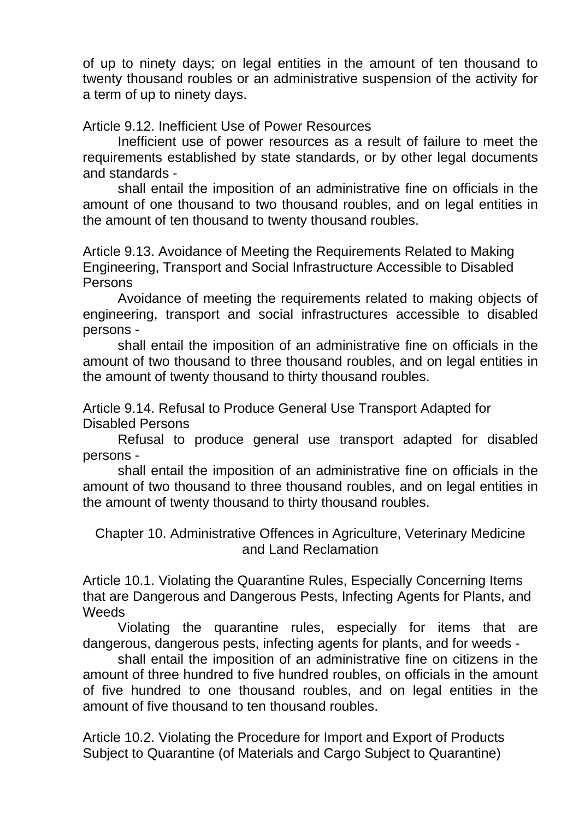of up to ninety days; on legal entities in the amount of ten thousand to twenty thousand roubles or an administrative suspension of the activity for a term of up to ninety days.

Article 9.12. Inefficient Use of Power Resources

Inefficient use of power resources as a result of failure to meet the requirements established by state standards, or by other legal documents and standards -

shall entail the imposition of an administrative fine on officials in the amount of one thousand to two thousand roubles, and on legal entities in the amount of ten thousand to twenty thousand roubles.

Article 9.13. Avoidance of Meeting the Requirements Related to Making Engineering, Transport and Social Infrastructure Accessible to Disabled Persons

Avoidance of meeting the requirements related to making objects of engineering, transport and social infrastructures accessible to disabled persons -

shall entail the imposition of an administrative fine on officials in the amount of two thousand to three thousand roubles, and on legal entities in the amount of twenty thousand to thirty thousand roubles.

Article 9.14. Refusal to Produce General Use Transport Adapted for Disabled Persons

Refusal to produce general use transport adapted for disabled persons -

shall entail the imposition of an administrative fine on officials in the amount of two thousand to three thousand roubles, and on legal entities in the amount of twenty thousand to thirty thousand roubles.

Chapter 10. Administrative Offences in Agriculture, Veterinary Medicine and Land Reclamation

Article 10.1. Violating the Quarantine Rules, Especially Concerning Items that are Dangerous and Dangerous Pests, Infecting Agents for Plants, and **Weeds** 

Violating the quarantine rules, especially for items that are dangerous, dangerous pests, infecting agents for plants, and for weeds -

shall entail the imposition of an administrative fine on citizens in the amount of three hundred to five hundred roubles, on officials in the amount of five hundred to one thousand roubles, and on legal entities in the amount of five thousand to ten thousand roubles.

Article 10.2. Violating the Procedure for Import and Export of Products Subject to Quarantine (of Materials and Cargo Subject to Quarantine)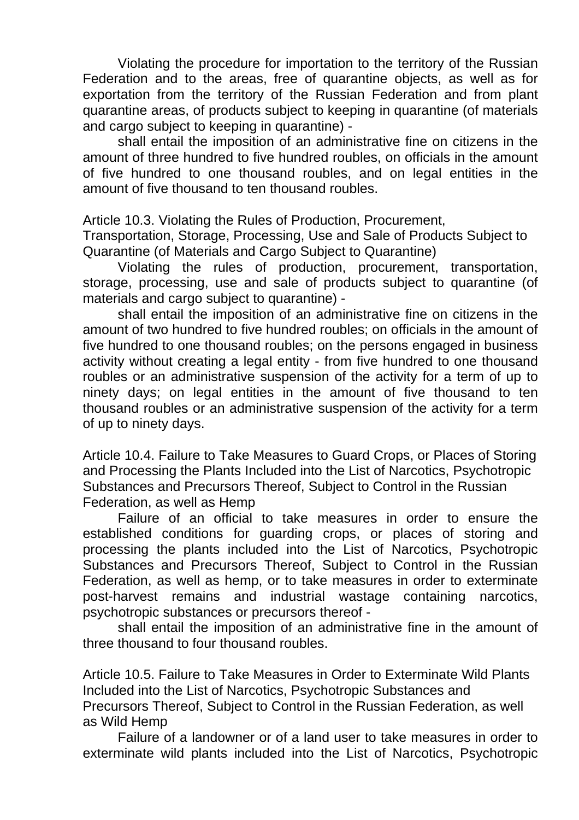Violating the procedure for importation to the territory of the Russian Federation and to the areas, free of quarantine objects, as well as for exportation from the territory of the Russian Federation and from plant quarantine areas, of products subject to keeping in quarantine (of materials and cargo subject to keeping in quarantine) -

shall entail the imposition of an administrative fine on citizens in the amount of three hundred to five hundred roubles, on officials in the amount of five hundred to one thousand roubles, and on legal entities in the amount of five thousand to ten thousand roubles.

Article 10.3. Violating the Rules of Production, Procurement,

Transportation, Storage, Processing, Use and Sale of Products Subject to Quarantine (of Materials and Cargo Subject to Quarantine)

Violating the rules of production, procurement, transportation, storage, processing, use and sale of products subject to quarantine (of materials and cargo subject to quarantine) -

shall entail the imposition of an administrative fine on citizens in the amount of two hundred to five hundred roubles; on officials in the amount of five hundred to one thousand roubles; on the persons engaged in business activity without creating a legal entity - from five hundred to one thousand roubles or an administrative suspension of the activity for a term of up to ninety days; on legal entities in the amount of five thousand to ten thousand roubles or an administrative suspension of the activity for a term of up to ninety days.

Article 10.4. Failure to Take Measures to Guard Crops, or Places of Storing and Processing the Plants Included into the List of Narcotics, Psychotropic Substances and Precursors Thereof, Subject to Control in the Russian Federation, as well as Hemp

Failure of an official to take measures in order to ensure the established conditions for guarding crops, or places of storing and processing the plants included into the List of Narcotics, Psychotropic Substances and Precursors Thereof, Subject to Control in the Russian Federation, as well as hemp, or to take measures in order to exterminate post-harvest remains and industrial wastage containing narcotics, psychotropic substances or precursors thereof -

shall entail the imposition of an administrative fine in the amount of three thousand to four thousand roubles.

Article 10.5. Failure to Take Measures in Order to Exterminate Wild Plants Included into the List of Narcotics, Psychotropic Substances and Precursors Thereof, Subject to Control in the Russian Federation, as well as Wild Hemp

Failure of a landowner or of a land user to take measures in order to exterminate wild plants included into the List of Narcotics, Psychotropic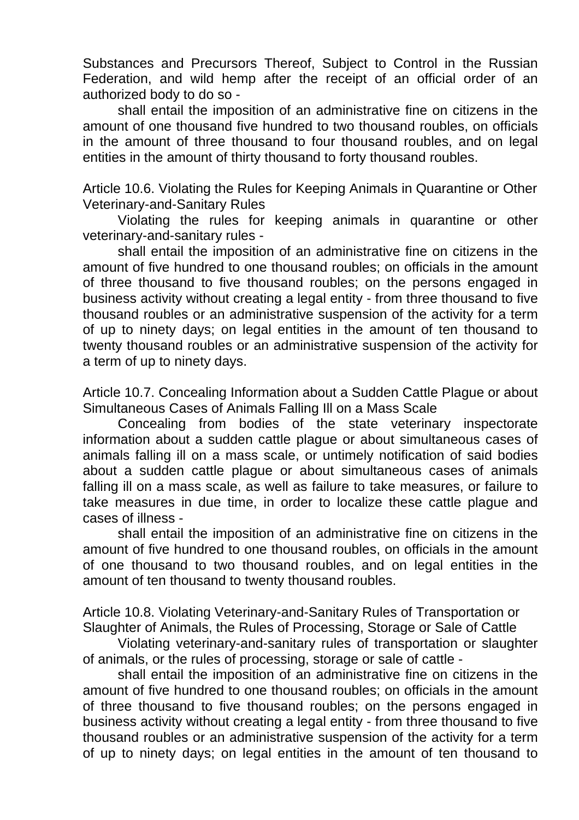Substances and Precursors Thereof, Subject to Control in the Russian Federation, and wild hemp after the receipt of an official order of an authorized body to do so -

shall entail the imposition of an administrative fine on citizens in the amount of one thousand five hundred to two thousand roubles, on officials in the amount of three thousand to four thousand roubles, and on legal entities in the amount of thirty thousand to forty thousand roubles.

Article 10.6. Violating the Rules for Keeping Animals in Quarantine or Other Veterinary-and-Sanitary Rules

Violating the rules for keeping animals in quarantine or other veterinary-and-sanitary rules -

shall entail the imposition of an administrative fine on citizens in the amount of five hundred to one thousand roubles; on officials in the amount of three thousand to five thousand roubles; on the persons engaged in business activity without creating a legal entity - from three thousand to five thousand roubles or an administrative suspension of the activity for a term of up to ninety days; on legal entities in the amount of ten thousand to twenty thousand roubles or an administrative suspension of the activity for a term of up to ninety days.

Article 10.7. Concealing Information about a Sudden Cattle Plague or about Simultaneous Cases of Animals Falling Ill on a Mass Scale

Concealing from bodies of the state veterinary inspectorate information about a sudden cattle plague or about simultaneous cases of animals falling ill on a mass scale, or untimely notification of said bodies about a sudden cattle plague or about simultaneous cases of animals falling ill on a mass scale, as well as failure to take measures, or failure to take measures in due time, in order to localize these cattle plague and cases of illness -

shall entail the imposition of an administrative fine on citizens in the amount of five hundred to one thousand roubles, on officials in the amount of one thousand to two thousand roubles, and on legal entities in the amount of ten thousand to twenty thousand roubles.

Article 10.8. Violating Veterinary-and-Sanitary Rules of Transportation or Slaughter of Animals, the Rules of Processing, Storage or Sale of Cattle

Violating veterinary-and-sanitary rules of transportation or slaughter of animals, or the rules of processing, storage or sale of cattle -

shall entail the imposition of an administrative fine on citizens in the amount of five hundred to one thousand roubles; on officials in the amount of three thousand to five thousand roubles; on the persons engaged in business activity without creating a legal entity - from three thousand to five thousand roubles or an administrative suspension of the activity for a term of up to ninety days; on legal entities in the amount of ten thousand to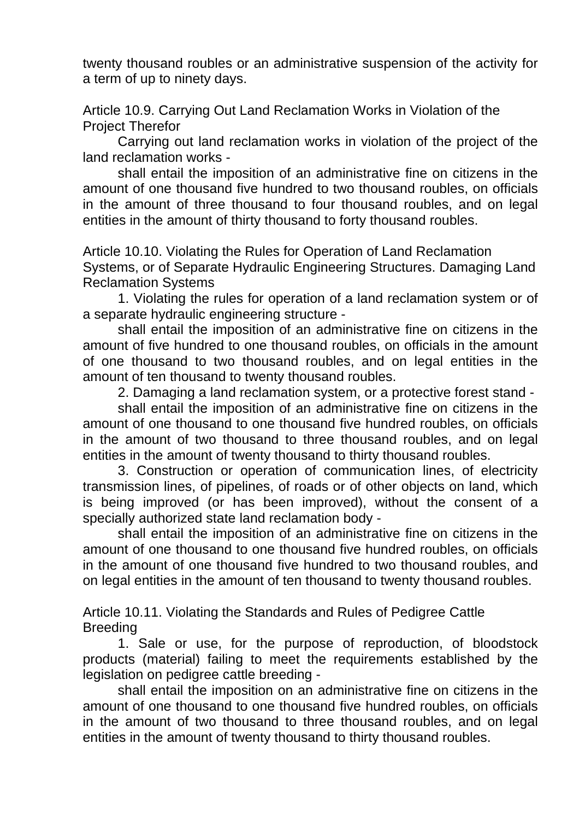twenty thousand roubles or an administrative suspension of the activity for a term of up to ninety days.

Article 10.9. Carrying Out Land Reclamation Works in Violation of the Project Therefor

Carrying out land reclamation works in violation of the project of the land reclamation works -

shall entail the imposition of an administrative fine on citizens in the amount of one thousand five hundred to two thousand roubles, on officials in the amount of three thousand to four thousand roubles, and on legal entities in the amount of thirty thousand to forty thousand roubles.

Article 10.10. Violating the Rules for Operation of Land Reclamation Systems, or of Separate Hydraulic Engineering Structures. Damaging Land Reclamation Systems

1. Violating the rules for operation of a land reclamation system or of a separate hydraulic engineering structure -

shall entail the imposition of an administrative fine on citizens in the amount of five hundred to one thousand roubles, on officials in the amount of one thousand to two thousand roubles, and on legal entities in the amount of ten thousand to twenty thousand roubles.

2. Damaging a land reclamation system, or a protective forest stand -

shall entail the imposition of an administrative fine on citizens in the amount of one thousand to one thousand five hundred roubles, on officials in the amount of two thousand to three thousand roubles, and on legal entities in the amount of twenty thousand to thirty thousand roubles.

3. Construction or operation of communication lines, of electricity transmission lines, of pipelines, of roads or of other objects on land, which is being improved (or has been improved), without the consent of a specially authorized state land reclamation body -

shall entail the imposition of an administrative fine on citizens in the amount of one thousand to one thousand five hundred roubles, on officials in the amount of one thousand five hundred to two thousand roubles, and on legal entities in the amount of ten thousand to twenty thousand roubles.

Article 10.11. Violating the Standards and Rules of Pedigree Cattle Breeding

1. Sale or use, for the purpose of reproduction, of bloodstock products (material) failing to meet the requirements established by the legislation on pedigree cattle breeding -

shall entail the imposition on an administrative fine on citizens in the amount of one thousand to one thousand five hundred roubles, on officials in the amount of two thousand to three thousand roubles, and on legal entities in the amount of twenty thousand to thirty thousand roubles.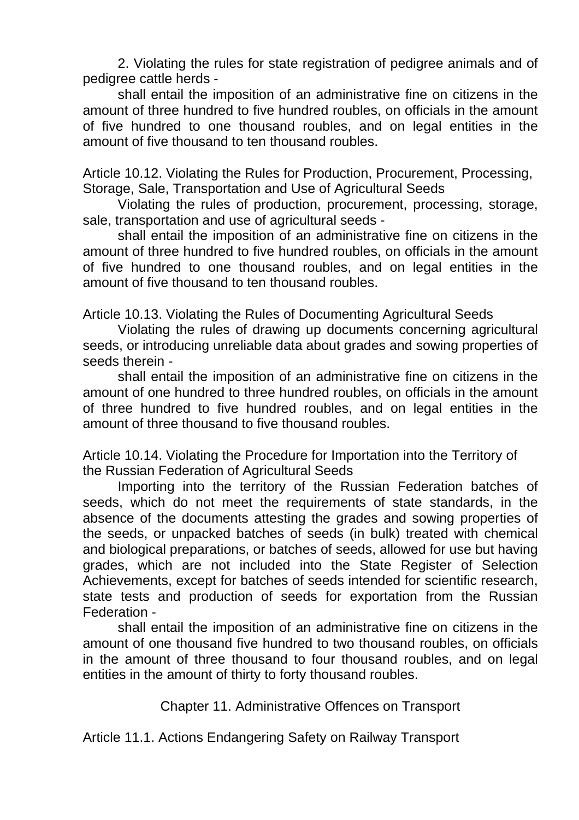2. Violating the rules for state registration of pedigree animals and of pedigree cattle herds -

shall entail the imposition of an administrative fine on citizens in the amount of three hundred to five hundred roubles, on officials in the amount of five hundred to one thousand roubles, and on legal entities in the amount of five thousand to ten thousand roubles.

Article 10.12. Violating the Rules for Production, Procurement, Processing, Storage, Sale, Transportation and Use of Agricultural Seeds

Violating the rules of production, procurement, processing, storage, sale, transportation and use of agricultural seeds -

shall entail the imposition of an administrative fine on citizens in the amount of three hundred to five hundred roubles, on officials in the amount of five hundred to one thousand roubles, and on legal entities in the amount of five thousand to ten thousand roubles.

Article 10.13. Violating the Rules of Documenting Agricultural Seeds

Violating the rules of drawing up documents concerning agricultural seeds, or introducing unreliable data about grades and sowing properties of seeds therein -

shall entail the imposition of an administrative fine on citizens in the amount of one hundred to three hundred roubles, on officials in the amount of three hundred to five hundred roubles, and on legal entities in the amount of three thousand to five thousand roubles.

Article 10.14. Violating the Procedure for Importation into the Territory of the Russian Federation of Agricultural Seeds

Importing into the territory of the Russian Federation batches of seeds, which do not meet the requirements of state standards, in the absence of the documents attesting the grades and sowing properties of the seeds, or unpacked batches of seeds (in bulk) treated with chemical and biological preparations, or batches of seeds, allowed for use but having grades, which are not included into the State Register of Selection Achievements, except for batches of seeds intended for scientific research, state tests and production of seeds for exportation from the Russian Federation -

shall entail the imposition of an administrative fine on citizens in the amount of one thousand five hundred to two thousand roubles, on officials in the amount of three thousand to four thousand roubles, and on legal entities in the amount of thirty to forty thousand roubles.

Chapter 11. Administrative Offences on Transport

Article 11.1. Actions Endangering Safety on Railway Transport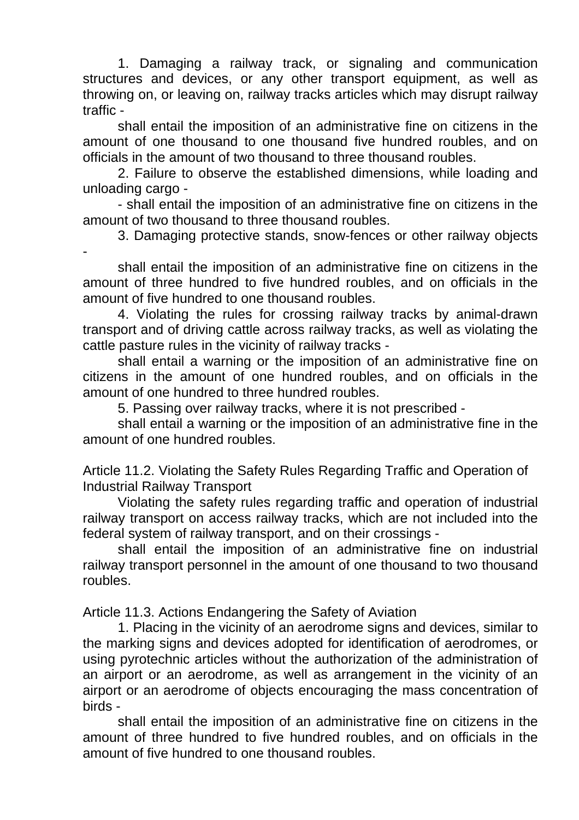1. Damaging a railway track, or signaling and communication structures and devices, or any other transport equipment, as well as throwing on, or leaving on, railway tracks articles which may disrupt railway traffic -

shall entail the imposition of an administrative fine on citizens in the amount of one thousand to one thousand five hundred roubles, and on officials in the amount of two thousand to three thousand roubles.

2. Failure to observe the established dimensions, while loading and unloading cargo -

- shall entail the imposition of an administrative fine on citizens in the amount of two thousand to three thousand roubles.

3. Damaging protective stands, snow-fences or other railway objects

 shall entail the imposition of an administrative fine on citizens in the amount of three hundred to five hundred roubles, and on officials in the amount of five hundred to one thousand roubles.

4. Violating the rules for crossing railway tracks by animal-drawn transport and of driving cattle across railway tracks, as well as violating the cattle pasture rules in the vicinity of railway tracks -

shall entail a warning or the imposition of an administrative fine on citizens in the amount of one hundred roubles, and on officials in the amount of one hundred to three hundred roubles.

5. Passing over railway tracks, where it is not prescribed -

shall entail a warning or the imposition of an administrative fine in the amount of one hundred roubles.

Article 11.2. Violating the Safety Rules Regarding Traffic and Operation of Industrial Railway Transport

Violating the safety rules regarding traffic and operation of industrial railway transport on access railway tracks, which are not included into the federal system of railway transport, and on their crossings -

shall entail the imposition of an administrative fine on industrial railway transport personnel in the amount of one thousand to two thousand roubles.

Article 11.3. Actions Endangering the Safety of Aviation

1. Placing in the vicinity of an aerodrome signs and devices, similar to the marking signs and devices adopted for identification of aerodromes, or using pyrotechnic articles without the authorization of the administration of an airport or an aerodrome, as well as arrangement in the vicinity of an airport or an aerodrome of objects encouraging the mass concentration of birds -

shall entail the imposition of an administrative fine on citizens in the amount of three hundred to five hundred roubles, and on officials in the amount of five hundred to one thousand roubles.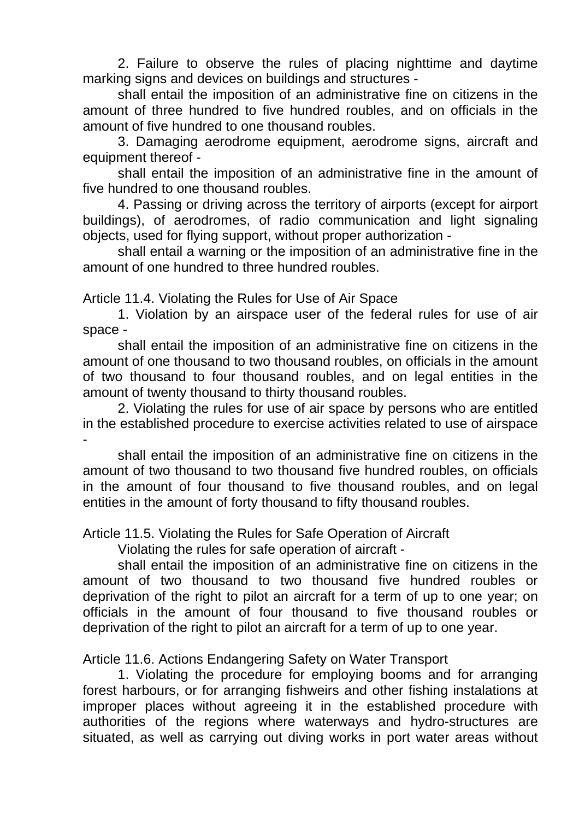2. Failure to observe the rules of placing nighttime and daytime marking signs and devices on buildings and structures -

shall entail the imposition of an administrative fine on citizens in the amount of three hundred to five hundred roubles, and on officials in the amount of five hundred to one thousand roubles.

3. Damaging aerodrome equipment, aerodrome signs, aircraft and equipment thereof -

shall entail the imposition of an administrative fine in the amount of five hundred to one thousand roubles.

4. Passing or driving across the territory of airports (except for airport buildings), of aerodromes, of radio communication and light signaling objects, used for flying support, without proper authorization -

shall entail a warning or the imposition of an administrative fine in the amount of one hundred to three hundred roubles.

Article 11.4. Violating the Rules for Use of Air Space

1. Violation by an airspace user of the federal rules for use of air space -

shall entail the imposition of an administrative fine on citizens in the amount of one thousand to two thousand roubles, on officials in the amount of two thousand to four thousand roubles, and on legal entities in the amount of twenty thousand to thirty thousand roubles.

2. Violating the rules for use of air space by persons who are entitled in the established procedure to exercise activities related to use of airspace -

shall entail the imposition of an administrative fine on citizens in the amount of two thousand to two thousand five hundred roubles, on officials in the amount of four thousand to five thousand roubles, and on legal entities in the amount of forty thousand to fifty thousand roubles.

Article 11.5. Violating the Rules for Safe Operation of Aircraft

Violating the rules for safe operation of aircraft -

shall entail the imposition of an administrative fine on citizens in the amount of two thousand to two thousand five hundred roubles or deprivation of the right to pilot an aircraft for a term of up to one year; on officials in the amount of four thousand to five thousand roubles or deprivation of the right to pilot an aircraft for a term of up to one year.

Article 11.6. Actions Endangering Safety on Water Transport

1. Violating the procedure for employing booms and for arranging forest harbours, or for arranging fishweirs and other fishing instalations at improper places without agreeing it in the established procedure with authorities of the regions where waterways and hydro-structures are situated, as well as carrying out diving works in port water areas without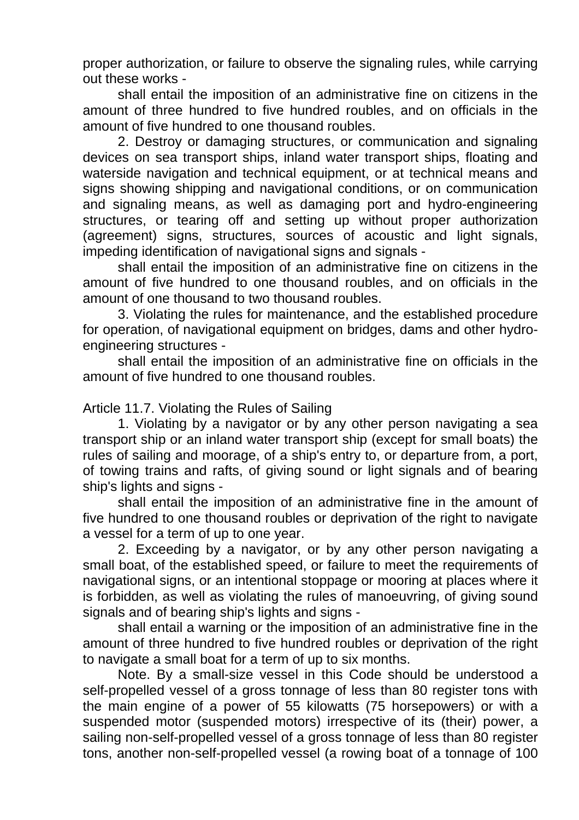proper authorization, or failure to observe the signaling rules, while carrying out these works -

shall entail the imposition of an administrative fine on citizens in the amount of three hundred to five hundred roubles, and on officials in the amount of five hundred to one thousand roubles.

2. Destroy or damaging structures, or communication and signaling devices on sea transport ships, inland water transport ships, floating and waterside navigation and technical equipment, or at technical means and signs showing shipping and navigational conditions, or on communication and signaling means, as well as damaging port and hydro-engineering structures, or tearing off and setting up without proper authorization (agreement) signs, structures, sources of acoustic and light signals, impeding identification of navigational signs and signals -

shall entail the imposition of an administrative fine on citizens in the amount of five hundred to one thousand roubles, and on officials in the amount of one thousand to two thousand roubles.

3. Violating the rules for maintenance, and the established procedure for operation, of navigational equipment on bridges, dams and other hydroengineering structures -

shall entail the imposition of an administrative fine on officials in the amount of five hundred to one thousand roubles.

## Article 11.7. Violating the Rules of Sailing

1. Violating by a navigator or by any other person navigating a sea transport ship or an inland water transport ship (except for small boats) the rules of sailing and moorage, of a ship's entry to, or departure from, a port, of towing trains and rafts, of giving sound or light signals and of bearing ship's lights and signs -

shall entail the imposition of an administrative fine in the amount of five hundred to one thousand roubles or deprivation of the right to navigate a vessel for a term of up to one year.

2. Exceeding by a navigator, or by any other person navigating a small boat, of the established speed, or failure to meet the requirements of navigational signs, or an intentional stoppage or mooring at places where it is forbidden, as well as violating the rules of manoeuvring, of giving sound signals and of bearing ship's lights and signs -

shall entail a warning or the imposition of an administrative fine in the amount of three hundred to five hundred roubles or deprivation of the right to navigate a small boat for a term of up to six months.

Note. By a small-size vessel in this Code should be understood a self-propelled vessel of a gross tonnage of less than 80 register tons with the main engine of a power of 55 kilowatts (75 horsepowers) or with a suspended motor (suspended motors) irrespective of its (their) power, a sailing non-self-propelled vessel of a gross tonnage of less than 80 register tons, another non-self-propelled vessel (a rowing boat of a tonnage of 100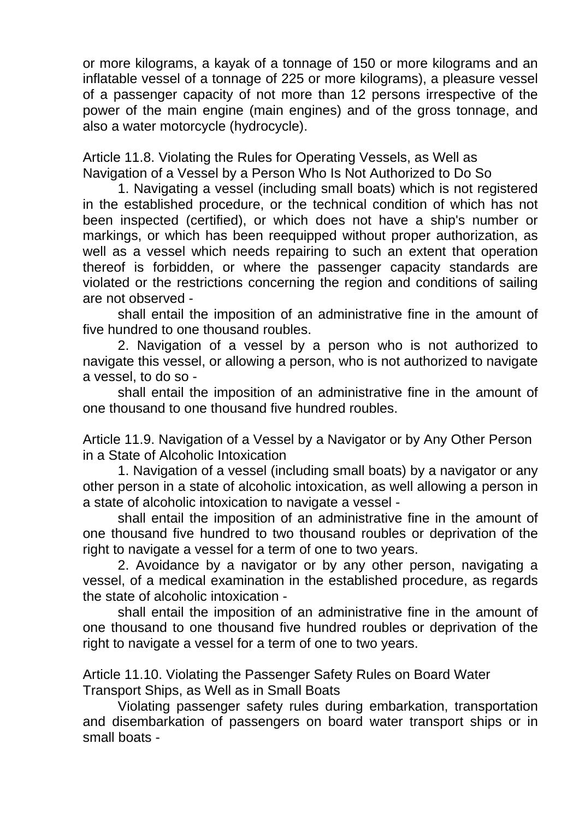or more kilograms, a kayak of a tonnage of 150 or more kilograms and an inflatable vessel of a tonnage of 225 or more kilograms), a pleasure vessel of a passenger capacity of not more than 12 persons irrespective of the power of the main engine (main engines) and of the gross tonnage, and also a water motorcycle (hydrocycle).

Article 11.8. Violating the Rules for Operating Vessels, as Well as Navigation of a Vessel by a Person Who Is Not Authorized to Do So

1. Navigating a vessel (including small boats) which is not registered in the established procedure, or the technical condition of which has not been inspected (certified), or which does not have a ship's number or markings, or which has been reequipped without proper authorization, as well as a vessel which needs repairing to such an extent that operation thereof is forbidden, or where the passenger capacity standards are violated or the restrictions concerning the region and conditions of sailing are not observed -

shall entail the imposition of an administrative fine in the amount of five hundred to one thousand roubles.

2. Navigation of a vessel by a person who is not authorized to navigate this vessel, or allowing a person, who is not authorized to navigate a vessel, to do so -

shall entail the imposition of an administrative fine in the amount of one thousand to one thousand five hundred roubles.

Article 11.9. Navigation of a Vessel by a Navigator or by Any Other Person in a State of Alcoholic Intoxication

1. Navigation of a vessel (including small boats) by a navigator or any other person in a state of alcoholic intoxication, as well allowing a person in a state of alcoholic intoxication to navigate a vessel -

shall entail the imposition of an administrative fine in the amount of one thousand five hundred to two thousand roubles or deprivation of the right to navigate a vessel for a term of one to two years.

2. Avoidance by a navigator or by any other person, navigating a vessel, of a medical examination in the established procedure, as regards the state of alcoholic intoxication -

shall entail the imposition of an administrative fine in the amount of one thousand to one thousand five hundred roubles or deprivation of the right to navigate a vessel for a term of one to two years.

Article 11.10. Violating the Passenger Safety Rules on Board Water Transport Ships, as Well as in Small Boats

Violating passenger safety rules during embarkation, transportation and disembarkation of passengers on board water transport ships or in small boats -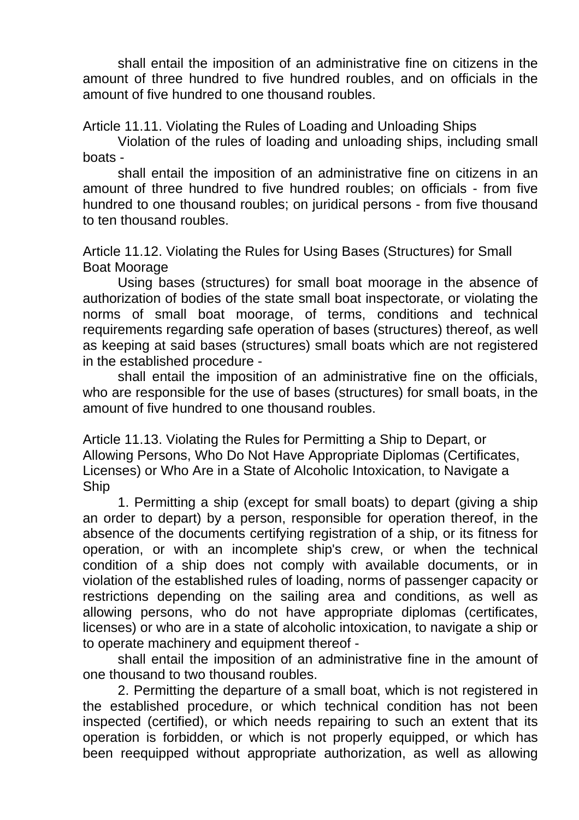shall entail the imposition of an administrative fine on citizens in the amount of three hundred to five hundred roubles, and on officials in the amount of five hundred to one thousand roubles.

Article 11.11. Violating the Rules of Loading and Unloading Ships

Violation of the rules of loading and unloading ships, including small boats -

shall entail the imposition of an administrative fine on citizens in an amount of three hundred to five hundred roubles; on officials - from five hundred to one thousand roubles; on juridical persons - from five thousand to ten thousand roubles.

Article 11.12. Violating the Rules for Using Bases (Structures) for Small Boat Moorage

Using bases (structures) for small boat moorage in the absence of authorization of bodies of the state small boat inspectorate, or violating the norms of small boat moorage, of terms, conditions and technical requirements regarding safe operation of bases (structures) thereof, as well as keeping at said bases (structures) small boats which are not registered in the established procedure -

shall entail the imposition of an administrative fine on the officials, who are responsible for the use of bases (structures) for small boats, in the amount of five hundred to one thousand roubles.

Article 11.13. Violating the Rules for Permitting a Ship to Depart, or Allowing Persons, Who Do Not Have Appropriate Diplomas (Certificates, Licenses) or Who Are in a State of Alcoholic Intoxication, to Navigate a Ship

1. Permitting a ship (except for small boats) to depart (giving a ship an order to depart) by a person, responsible for operation thereof, in the absence of the documents certifying registration of a ship, or its fitness for operation, or with an incomplete ship's crew, or when the technical condition of a ship does not comply with available documents, or in violation of the established rules of loading, norms of passenger capacity or restrictions depending on the sailing area and conditions, as well as allowing persons, who do not have appropriate diplomas (certificates, licenses) or who are in a state of alcoholic intoxication, to navigate a ship or to operate machinery and equipment thereof -

shall entail the imposition of an administrative fine in the amount of one thousand to two thousand roubles.

2. Permitting the departure of a small boat, which is not registered in the established procedure, or which technical condition has not been inspected (certified), or which needs repairing to such an extent that its operation is forbidden, or which is not properly equipped, or which has been reequipped without appropriate authorization, as well as allowing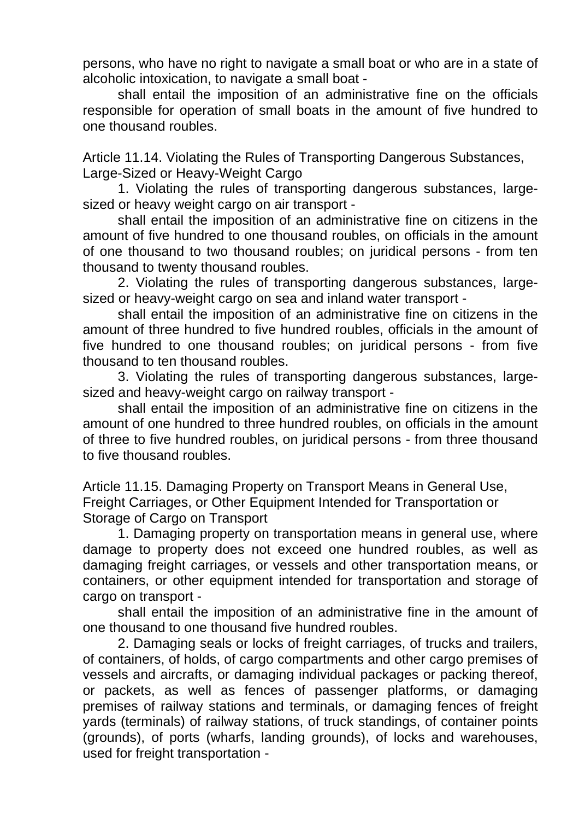persons, who have no right to navigate a small boat or who are in a state of alcoholic intoxication, to navigate a small boat -

shall entail the imposition of an administrative fine on the officials responsible for operation of small boats in the amount of five hundred to one thousand roubles.

Article 11.14. Violating the Rules of Transporting Dangerous Substances, Large-Sized or Heavy-Weight Cargo

1. Violating the rules of transporting dangerous substances, largesized or heavy weight cargo on air transport -

shall entail the imposition of an administrative fine on citizens in the amount of five hundred to one thousand roubles, on officials in the amount of one thousand to two thousand roubles; on juridical persons - from ten thousand to twenty thousand roubles.

2. Violating the rules of transporting dangerous substances, largesized or heavy-weight cargo on sea and inland water transport -

shall entail the imposition of an administrative fine on citizens in the amount of three hundred to five hundred roubles, officials in the amount of five hundred to one thousand roubles; on juridical persons - from five thousand to ten thousand roubles.

3. Violating the rules of transporting dangerous substances, largesized and heavy-weight cargo on railway transport -

shall entail the imposition of an administrative fine on citizens in the amount of one hundred to three hundred roubles, on officials in the amount of three to five hundred roubles, on juridical persons - from three thousand to five thousand roubles.

Article 11.15. Damaging Property on Transport Means in General Use, Freight Carriages, or Other Equipment Intended for Transportation or Storage of Cargo on Transport

1. Damaging property on transportation means in general use, where damage to property does not exceed one hundred roubles, as well as damaging freight carriages, or vessels and other transportation means, or containers, or other equipment intended for transportation and storage of cargo on transport -

shall entail the imposition of an administrative fine in the amount of one thousand to one thousand five hundred roubles.

2. Damaging seals or locks of freight carriages, of trucks and trailers, of containers, of holds, of cargo compartments and other cargo premises of vessels and aircrafts, or damaging individual packages or packing thereof, or packets, as well as fences of passenger platforms, or damaging premises of railway stations and terminals, or damaging fences of freight yards (terminals) of railway stations, of truck standings, of container points (grounds), of ports (wharfs, landing grounds), of locks and warehouses, used for freight transportation -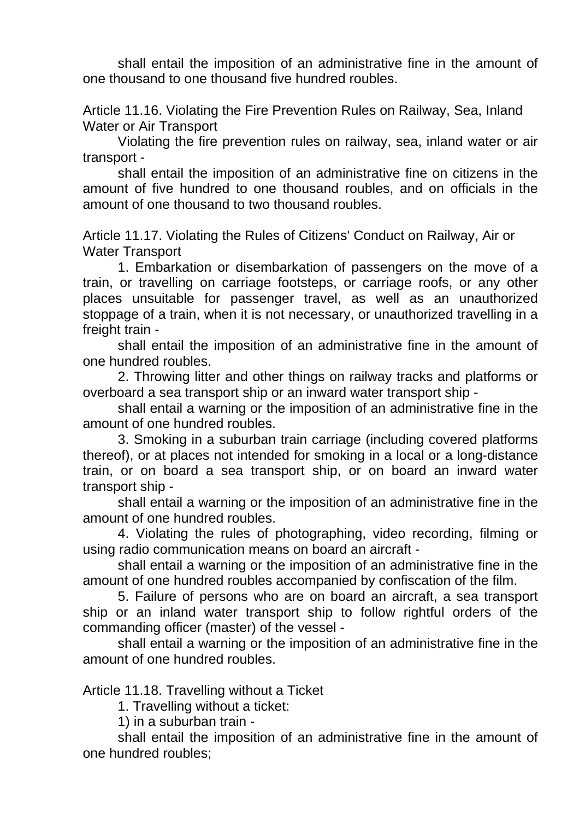shall entail the imposition of an administrative fine in the amount of one thousand to one thousand five hundred roubles.

Article 11.16. Violating the Fire Prevention Rules on Railway, Sea, Inland Water or Air Transport

Violating the fire prevention rules on railway, sea, inland water or air transport -

shall entail the imposition of an administrative fine on citizens in the amount of five hundred to one thousand roubles, and on officials in the amount of one thousand to two thousand roubles.

Article 11.17. Violating the Rules of Citizens' Conduct on Railway, Air or Water Transport

1. Embarkation or disembarkation of passengers on the move of a train, or travelling on carriage footsteps, or carriage roofs, or any other places unsuitable for passenger travel, as well as an unauthorized stoppage of a train, when it is not necessary, or unauthorized travelling in a freight train -

shall entail the imposition of an administrative fine in the amount of one hundred roubles.

2. Throwing litter and other things on railway tracks and platforms or overboard a sea transport ship or an inward water transport ship -

shall entail a warning or the imposition of an administrative fine in the amount of one hundred roubles.

3. Smoking in a suburban train carriage (including covered platforms thereof), or at places not intended for smoking in a local or a long-distance train, or on board a sea transport ship, or on board an inward water transport ship -

shall entail a warning or the imposition of an administrative fine in the amount of one hundred roubles.

4. Violating the rules of photographing, video recording, filming or using radio communication means on board an aircraft -

shall entail a warning or the imposition of an administrative fine in the amount of one hundred roubles accompanied by confiscation of the film.

5. Failure of persons who are on board an aircraft, a sea transport ship or an inland water transport ship to follow rightful orders of the commanding officer (master) of the vessel -

shall entail a warning or the imposition of an administrative fine in the amount of one hundred roubles.

Article 11.18. Travelling without a Ticket

1. Travelling without a ticket:

1) in a suburban train -

shall entail the imposition of an administrative fine in the amount of one hundred roubles;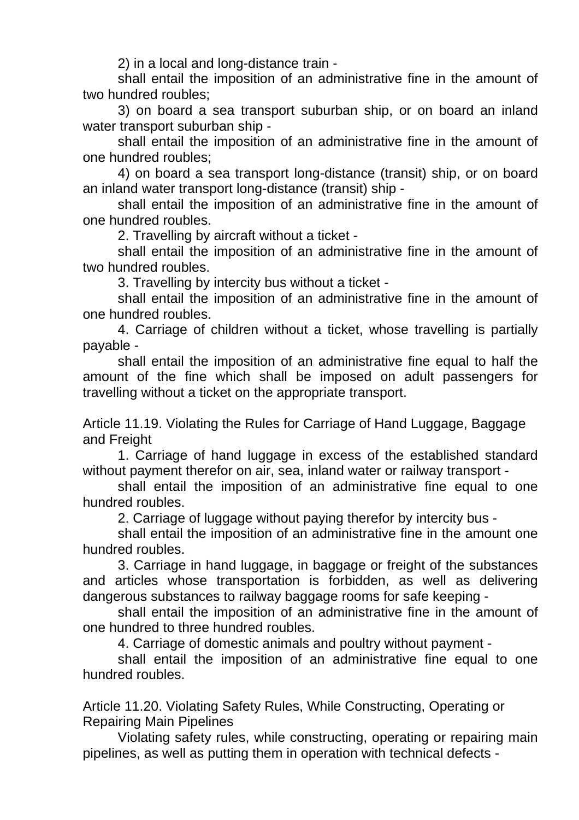2) in a local and long-distance train -

shall entail the imposition of an administrative fine in the amount of two hundred roubles;

3) on board a sea transport suburban ship, or on board an inland water transport suburban ship -

shall entail the imposition of an administrative fine in the amount of one hundred roubles;

4) on board a sea transport long-distance (transit) ship, or on board an inland water transport long-distance (transit) ship -

shall entail the imposition of an administrative fine in the amount of one hundred roubles.

2. Travelling by aircraft without a ticket -

shall entail the imposition of an administrative fine in the amount of two hundred roubles.

3. Travelling by intercity bus without a ticket -

shall entail the imposition of an administrative fine in the amount of one hundred roubles.

4. Carriage of children without a ticket, whose travelling is partially payable -

shall entail the imposition of an administrative fine equal to half the amount of the fine which shall be imposed on adult passengers for travelling without a ticket on the appropriate transport.

Article 11.19. Violating the Rules for Carriage of Hand Luggage, Baggage and Freight

1. Carriage of hand luggage in excess of the established standard without payment therefor on air, sea, inland water or railway transport -

shall entail the imposition of an administrative fine equal to one hundred roubles.

2. Carriage of luggage without paying therefor by intercity bus -

shall entail the imposition of an administrative fine in the amount one hundred roubles.

3. Carriage in hand luggage, in baggage or freight of the substances and articles whose transportation is forbidden, as well as delivering dangerous substances to railway baggage rooms for safe keeping -

shall entail the imposition of an administrative fine in the amount of one hundred to three hundred roubles.

4. Carriage of domestic animals and poultry without payment -

shall entail the imposition of an administrative fine equal to one hundred roubles.

Article 11.20. Violating Safety Rules, While Constructing, Operating or Repairing Main Pipelines

Violating safety rules, while constructing, operating or repairing main pipelines, as well as putting them in operation with technical defects -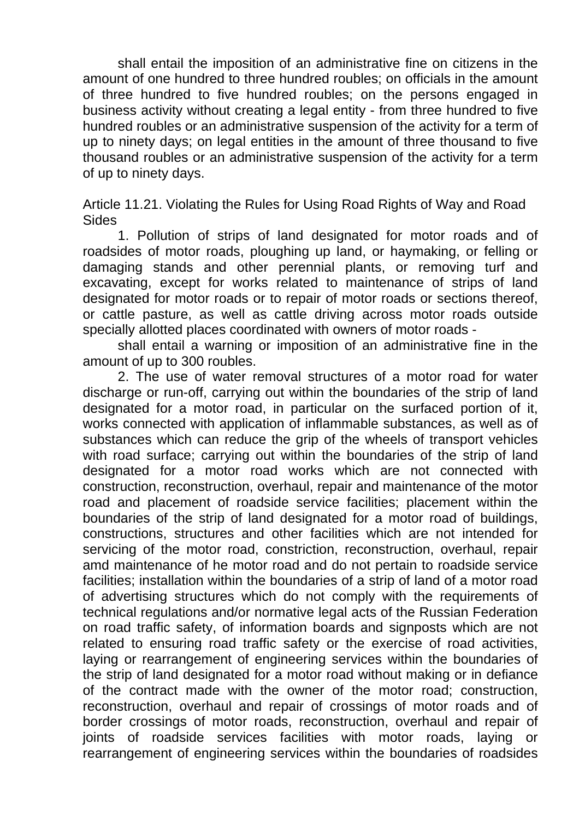shall entail the imposition of an administrative fine on citizens in the amount of one hundred to three hundred roubles; on officials in the amount of three hundred to five hundred roubles; on the persons engaged in business activity without creating a legal entity - from three hundred to five hundred roubles or an administrative suspension of the activity for a term of up to ninety days; on legal entities in the amount of three thousand to five thousand roubles or an administrative suspension of the activity for a term of up to ninety days.

Article 11.21. Violating the Rules for Using Road Rights of Way and Road Sides

1. Pollution of strips of land designated for motor roads and of roadsides of motor roads, ploughing up land, or haymaking, or felling or damaging stands and other perennial plants, or removing turf and excavating, except for works related to maintenance of strips of land designated for motor roads or to repair of motor roads or sections thereof, or cattle pasture, as well as cattle driving across motor roads outside specially allotted places coordinated with owners of motor roads -

shall entail a warning or imposition of an administrative fine in the amount of up to 300 roubles.

2. The use of water removal structures of a motor road for water discharge or run-off, carrying out within the boundaries of the strip of land designated for a motor road, in particular on the surfaced portion of it, works connected with application of inflammable substances, as well as of substances which can reduce the grip of the wheels of transport vehicles with road surface; carrying out within the boundaries of the strip of land designated for a motor road works which are not connected with construction, reconstruction, overhaul, repair and maintenance of the motor road and placement of roadside service facilities; placement within the boundaries of the strip of land designated for a motor road of buildings, constructions, structures and other facilities which are not intended for servicing of the motor road, constriction, reconstruction, overhaul, repair amd maintenance of he motor road and do not pertain to roadside service facilities; installation within the boundaries of a strip of land of a motor road of advertising structures which do not comply with the requirements of technical regulations and/or normative legal acts of the Russian Federation on road traffic safety, of information boards and signposts which are not related to ensuring road traffic safety or the exercise of road activities, laying or rearrangement of engineering services within the boundaries of the strip of land designated for a motor road without making or in defiance of the contract made with the owner of the motor road; construction, reconstruction, overhaul and repair of crossings of motor roads and of border crossings of motor roads, reconstruction, overhaul and repair of joints of roadside services facilities with motor roads, laying or rearrangement of engineering services within the boundaries of roadsides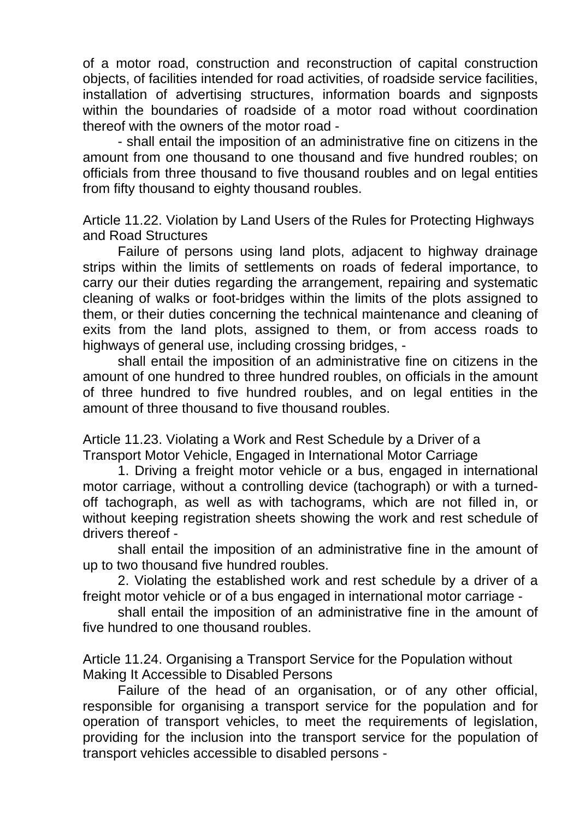of a motor road, construction and reconstruction of capital construction objects, of facilities intended for road activities, of roadside service facilities, installation of advertising structures, information boards and signposts within the boundaries of roadside of a motor road without coordination thereof with the owners of the motor road -

- shall entail the imposition of an administrative fine on citizens in the amount from one thousand to one thousand and five hundred roubles; on officials from three thousand to five thousand roubles and on legal entities from fifty thousand to eighty thousand roubles.

Article 11.22. Violation by Land Users of the Rules for Protecting Highways and Road Structures

Failure of persons using land plots, adjacent to highway drainage strips within the limits of settlements on roads of federal importance, to carry our their duties regarding the arrangement, repairing and systematic cleaning of walks or foot-bridges within the limits of the plots assigned to them, or their duties concerning the technical maintenance and cleaning of exits from the land plots, assigned to them, or from access roads to highways of general use, including crossing bridges, -

shall entail the imposition of an administrative fine on citizens in the amount of one hundred to three hundred roubles, on officials in the amount of three hundred to five hundred roubles, and on legal entities in the amount of three thousand to five thousand roubles.

Article 11.23. Violating a Work and Rest Schedule by a Driver of a Transport Motor Vehicle, Engaged in International Motor Carriage

1. Driving a freight motor vehicle or a bus, engaged in international motor carriage, without a controlling device (tachograph) or with a turnedoff tachograph, as well as with tachograms, which are not filled in, or without keeping registration sheets showing the work and rest schedule of drivers thereof -

shall entail the imposition of an administrative fine in the amount of up to two thousand five hundred roubles.

2. Violating the established work and rest schedule by a driver of a freight motor vehicle or of a bus engaged in international motor carriage -

shall entail the imposition of an administrative fine in the amount of five hundred to one thousand roubles.

Article 11.24. Organising a Transport Service for the Population without Making It Accessible to Disabled Persons

Failure of the head of an organisation, or of any other official, responsible for organising a transport service for the population and for operation of transport vehicles, to meet the requirements of legislation, providing for the inclusion into the transport service for the population of transport vehicles accessible to disabled persons -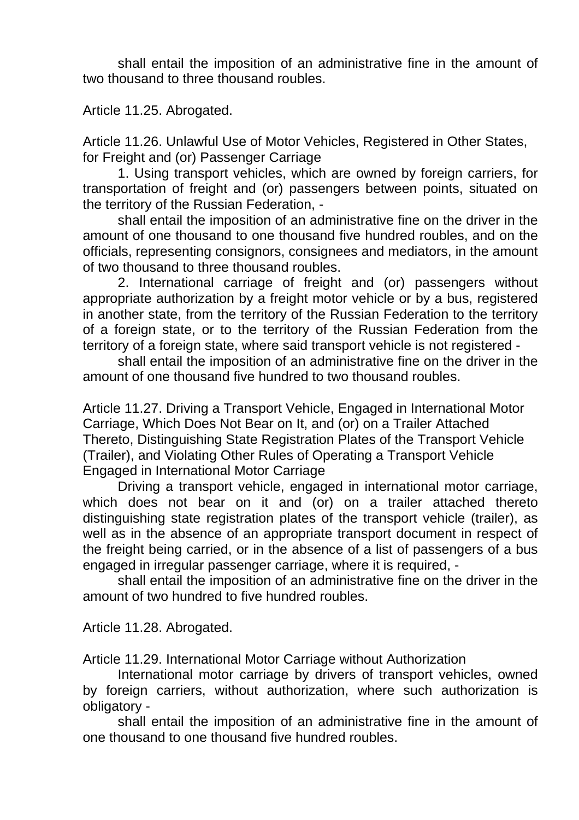shall entail the imposition of an administrative fine in the amount of two thousand to three thousand roubles.

Article 11.25. Abrogated.

Article 11.26. Unlawful Use of Motor Vehicles, Registered in Other States, for Freight and (or) Passenger Carriage

1. Using transport vehicles, which are owned by foreign carriers, for transportation of freight and (or) passengers between points, situated on the territory of the Russian Federation, -

shall entail the imposition of an administrative fine on the driver in the amount of one thousand to one thousand five hundred roubles, and on the officials, representing consignors, consignees and mediators, in the amount of two thousand to three thousand roubles.

2. International carriage of freight and (or) passengers without appropriate authorization by a freight motor vehicle or by a bus, registered in another state, from the territory of the Russian Federation to the territory of a foreign state, or to the territory of the Russian Federation from the territory of a foreign state, where said transport vehicle is not registered -

shall entail the imposition of an administrative fine on the driver in the amount of one thousand five hundred to two thousand roubles.

Article 11.27. Driving a Transport Vehicle, Engaged in International Motor Carriage, Which Does Not Bear on It, and (or) on a Trailer Attached Thereto, Distinguishing State Registration Plates of the Transport Vehicle (Trailer), and Violating Other Rules of Operating a Transport Vehicle Engaged in International Motor Carriage

Driving a transport vehicle, engaged in international motor carriage, which does not bear on it and (or) on a trailer attached thereto distinguishing state registration plates of the transport vehicle (trailer), as well as in the absence of an appropriate transport document in respect of the freight being carried, or in the absence of a list of passengers of a bus engaged in irregular passenger carriage, where it is required, -

shall entail the imposition of an administrative fine on the driver in the amount of two hundred to five hundred roubles.

Article 11.28. Abrogated.

Article 11.29. International Motor Carriage without Authorization

International motor carriage by drivers of transport vehicles, owned by foreign carriers, without authorization, where such authorization is obligatory -

shall entail the imposition of an administrative fine in the amount of one thousand to one thousand five hundred roubles.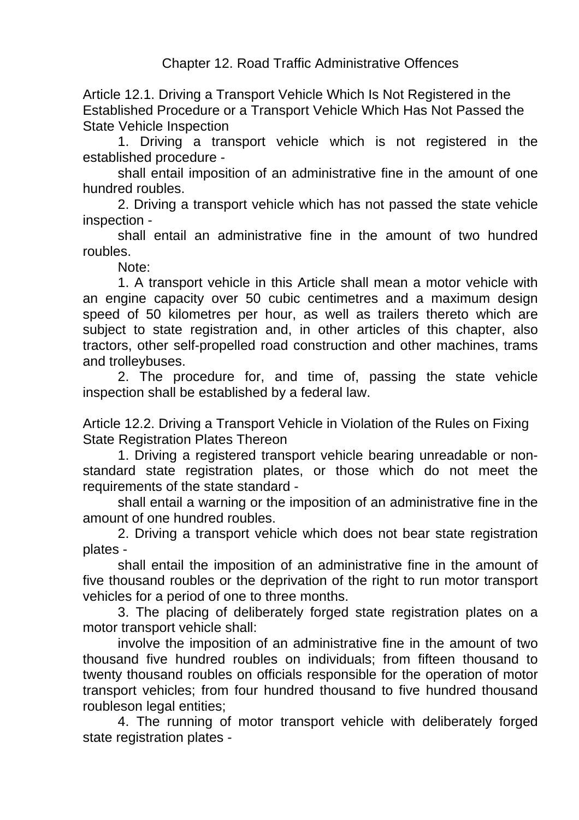Article 12.1. Driving a Transport Vehicle Which Is Not Registered in the Established Procedure or a Transport Vehicle Which Has Not Passed the State Vehicle Inspection

1. Driving a transport vehicle which is not registered in the established procedure -

shall entail imposition of an administrative fine in the amount of one hundred roubles.

2. Driving a transport vehicle which has not passed the state vehicle inspection -

shall entail an administrative fine in the amount of two hundred roubles.

Note:

1. A transport vehicle in this Article shall mean a motor vehicle with an engine capacity over 50 cubic centimetres and a maximum design speed of 50 kilometres per hour, as well as trailers thereto which are subject to state registration and, in other articles of this chapter, also tractors, other self-propelled road construction and other machines, trams and trolleybuses.

2. The procedure for, and time of, passing the state vehicle inspection shall be established by a federal law.

Article 12.2. Driving a Transport Vehicle in Violation of the Rules on Fixing State Registration Plates Thereon

1. Driving a registered transport vehicle bearing unreadable or nonstandard state registration plates, or those which do not meet the requirements of the state standard -

shall entail a warning or the imposition of an administrative fine in the amount of one hundred roubles.

2. Driving a transport vehicle which does not bear state registration plates -

shall entail the imposition of an administrative fine in the amount of five thousand roubles or the deprivation of the right to run motor transport vehicles for a period of one to three months.

3. The placing of deliberately forged state registration plates on a motor transport vehicle shall:

involve the imposition of an administrative fine in the amount of two thousand five hundred roubles on individuals; from fifteen thousand to twenty thousand roubles on officials responsible for the operation of motor transport vehicles; from four hundred thousand to five hundred thousand roubleson legal entities;

4. The running of motor transport vehicle with deliberately forged state registration plates -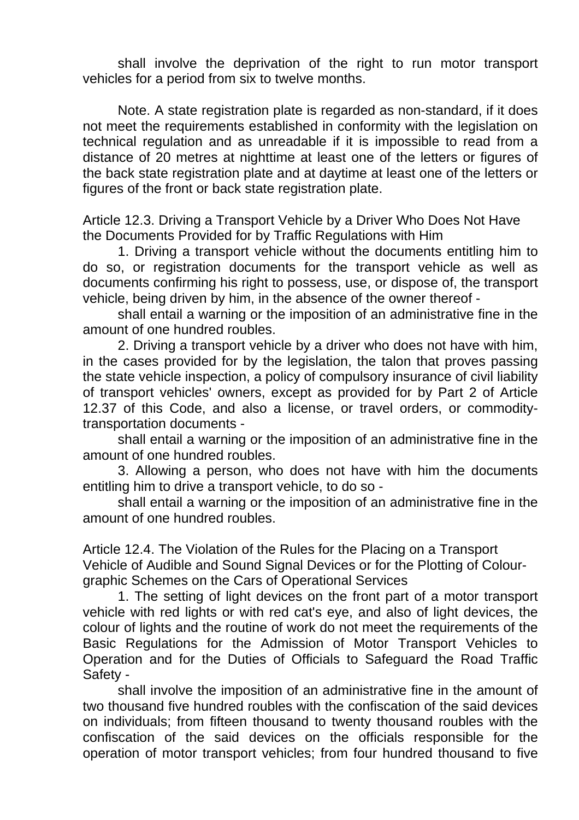shall involve the deprivation of the right to run motor transport vehicles for a period from six to twelve months.

Note. A state registration plate is regarded as non-standard, if it does not meet the requirements established in conformity with the legislation on technical regulation and as unreadable if it is impossible to read from a distance of 20 metres at nighttime at least one of the letters or figures of the back state registration plate and at daytime at least one of the letters or figures of the front or back state registration plate.

Article 12.3. Driving a Transport Vehicle by a Driver Who Does Not Have the Documents Provided for by Traffic Regulations with Him

1. Driving a transport vehicle without the documents entitling him to do so, or registration documents for the transport vehicle as well as documents confirming his right to possess, use, or dispose of, the transport vehicle, being driven by him, in the absence of the owner thereof -

shall entail a warning or the imposition of an administrative fine in the amount of one hundred roubles.

2. Driving a transport vehicle by a driver who does not have with him, in the cases provided for by the legislation, the talon that proves passing the state vehicle inspection, a policy of compulsory insurance of civil liability of transport vehicles' owners, except as provided for by Part 2 of Article 12.37 of this Code, and also a license, or travel orders, or commoditytransportation documents -

shall entail a warning or the imposition of an administrative fine in the amount of one hundred roubles.

3. Allowing a person, who does not have with him the documents entitling him to drive a transport vehicle, to do so -

shall entail a warning or the imposition of an administrative fine in the amount of one hundred roubles.

Article 12.4. The Violation of the Rules for the Placing on a Transport Vehicle of Audible and Sound Signal Devices or for the Plotting of Colourgraphic Schemes on the Cars of Operational Services

1. The setting of light devices on the front part of a motor transport vehicle with red lights or with red cat's eye, and also of light devices, the colour of lights and the routine of work do not meet the requirements of the Basic Regulations for the Admission of Motor Transport Vehicles to Operation and for the Duties of Officials to Safeguard the Road Traffic Safety -

shall involve the imposition of an administrative fine in the amount of two thousand five hundred roubles with the confiscation of the said devices on individuals; from fifteen thousand to twenty thousand roubles with the confiscation of the said devices on the officials responsible for the operation of motor transport vehicles; from four hundred thousand to five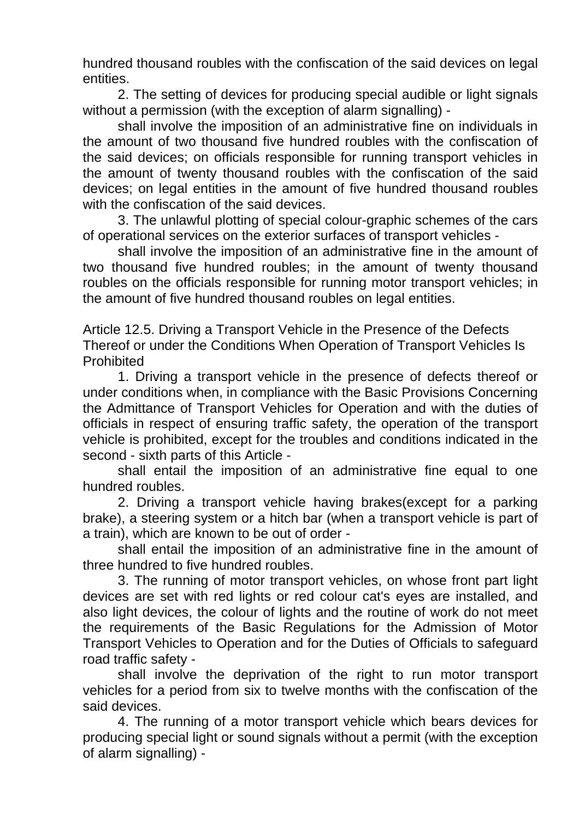hundred thousand roubles with the confiscation of the said devices on legal entities.

2. The setting of devices for producing special audible or light signals without a permission (with the exception of alarm signalling) -

shall involve the imposition of an administrative fine on individuals in the amount of two thousand five hundred roubles with the confiscation of the said devices; on officials responsible for running transport vehicles in the amount of twenty thousand roubles with the confiscation of the said devices; on legal entities in the amount of five hundred thousand roubles with the confiscation of the said devices.

3. The unlawful plotting of special colour-graphic schemes of the cars of operational services on the exterior surfaces of transport vehicles -

shall involve the imposition of an administrative fine in the amount of two thousand five hundred roubles; in the amount of twenty thousand roubles on the officials responsible for running motor transport vehicles; in the amount of five hundred thousand roubles on legal entities.

Article 12.5. Driving a Transport Vehicle in the Presence of the Defects Thereof or under the Conditions When Operation of Transport Vehicles Is Prohibited

1. Driving a transport vehicle in the presence of defects thereof or under conditions when, in compliance with the Basic Provisions Concerning the Admittance of Transport Vehicles for Operation and with the duties of officials in respect of ensuring traffic safety, the operation of the transport vehicle is prohibited, except for the troubles and conditions indicated in the second - sixth parts of this Article -

shall entail the imposition of an administrative fine equal to one hundred roubles.

2. Driving a transport vehicle having brakes(except for a parking brake), a steering system or a hitch bar (when a transport vehicle is part of a train), which are known to be out of order -

shall entail the imposition of an administrative fine in the amount of three hundred to five hundred roubles.

3. The running of motor transport vehicles, on whose front part light devices are set with red lights or red colour cat's eyes are installed, and also light devices, the colour of lights and the routine of work do not meet the requirements of the Basic Regulations for the Admission of Motor Transport Vehicles to Operation and for the Duties of Officials to safeguard road traffic safety -

shall involve the deprivation of the right to run motor transport vehicles for a period from six to twelve months with the confiscation of the said devices.

4. The running of a motor transport vehicle which bears devices for producing special light or sound signals without a permit (with the exception of alarm signalling) -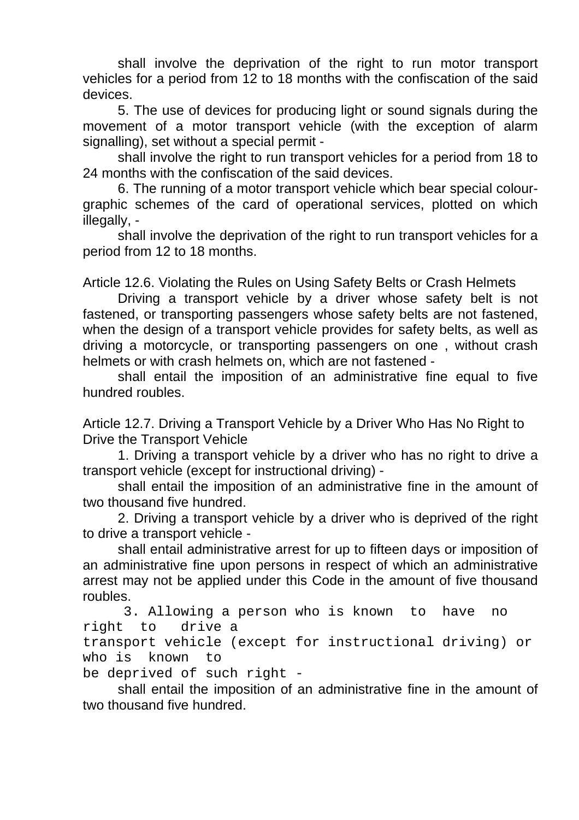shall involve the deprivation of the right to run motor transport vehicles for a period from 12 to 18 months with the confiscation of the said devices.

5. The use of devices for producing light or sound signals during the movement of a motor transport vehicle (with the exception of alarm signalling), set without a special permit -

shall involve the right to run transport vehicles for a period from 18 to 24 months with the confiscation of the said devices.

6. The running of a motor transport vehicle which bear special colourgraphic schemes of the card of operational services, plotted on which illegally, -

shall involve the deprivation of the right to run transport vehicles for a period from 12 to 18 months.

Article 12.6. Violating the Rules on Using Safety Belts or Crash Helmets

Driving a transport vehicle by a driver whose safety belt is not fastened, or transporting passengers whose safety belts are not fastened, when the design of a transport vehicle provides for safety belts, as well as driving a motorcycle, or transporting passengers on one , without crash helmets or with crash helmets on, which are not fastened -

shall entail the imposition of an administrative fine equal to five hundred roubles.

Article 12.7. Driving a Transport Vehicle by a Driver Who Has No Right to Drive the Transport Vehicle

1. Driving a transport vehicle by a driver who has no right to drive a transport vehicle (except for instructional driving) -

shall entail the imposition of an administrative fine in the amount of two thousand five hundred.

2. Driving a transport vehicle by a driver who is deprived of the right to drive a transport vehicle -

shall entail administrative arrest for up to fifteen days or imposition of an administrative fine upon persons in respect of which an administrative arrest may not be applied under this Code in the amount of five thousand roubles.

 3. Allowing a person who is known to have no right to drive a transport vehicle (except for instructional driving) or who is known to

be deprived of such right -

shall entail the imposition of an administrative fine in the amount of two thousand five hundred.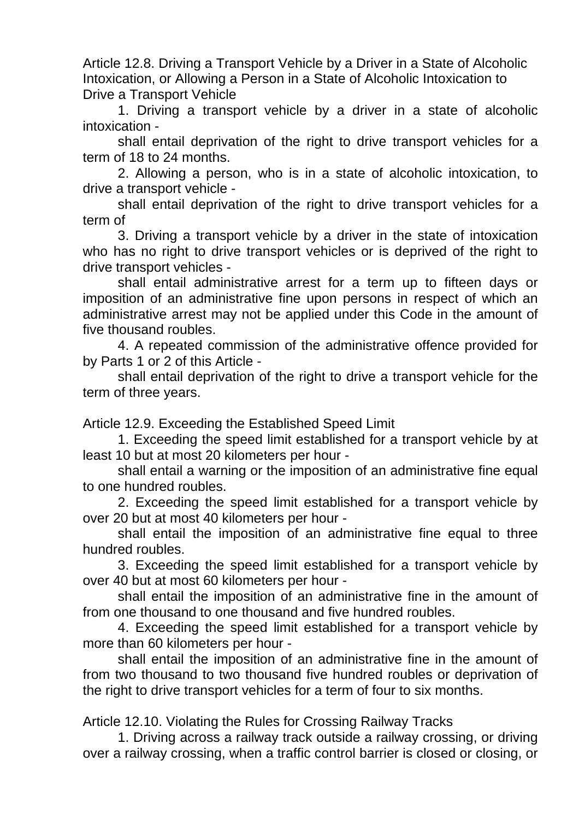Article 12.8. Driving a Transport Vehicle by a Driver in a State of Alcoholic Intoxication, or Allowing a Person in a State of Alcoholic Intoxication to Drive a Transport Vehicle

1. Driving a transport vehicle by a driver in a state of alcoholic intoxication -

shall entail deprivation of the right to drive transport vehicles for a term of 18 to 24 months.

2. Allowing a person, who is in a state of alcoholic intoxication, to drive a transport vehicle -

shall entail deprivation of the right to drive transport vehicles for a term of

3. Driving a transport vehicle by a driver in the state of intoxication who has no right to drive transport vehicles or is deprived of the right to drive transport vehicles -

shall entail administrative arrest for a term up to fifteen days or imposition of an administrative fine upon persons in respect of which an administrative arrest may not be applied under this Code in the amount of five thousand roubles.

4. A repeated commission of the administrative offence provided for by Parts 1 or 2 of this Article -

shall entail deprivation of the right to drive a transport vehicle for the term of three years.

Article 12.9. Exceeding the Established Speed Limit

1. Exceeding the speed limit established for a transport vehicle by at least 10 but at most 20 kilometers per hour -

shall entail a warning or the imposition of an administrative fine equal to one hundred roubles.

2. Exceeding the speed limit established for a transport vehicle by over 20 but at most 40 kilometers per hour -

shall entail the imposition of an administrative fine equal to three hundred roubles.

3. Exceeding the speed limit established for a transport vehicle by over 40 but at most 60 kilometers per hour -

shall entail the imposition of an administrative fine in the amount of from one thousand to one thousand and five hundred roubles.

4. Exceeding the speed limit established for a transport vehicle by more than 60 kilometers per hour -

shall entail the imposition of an administrative fine in the amount of from two thousand to two thousand five hundred roubles or deprivation of the right to drive transport vehicles for a term of four to six months.

Article 12.10. Violating the Rules for Crossing Railway Tracks

1. Driving across a railway track outside a railway crossing, or driving over a railway crossing, when a traffic control barrier is closed or closing, or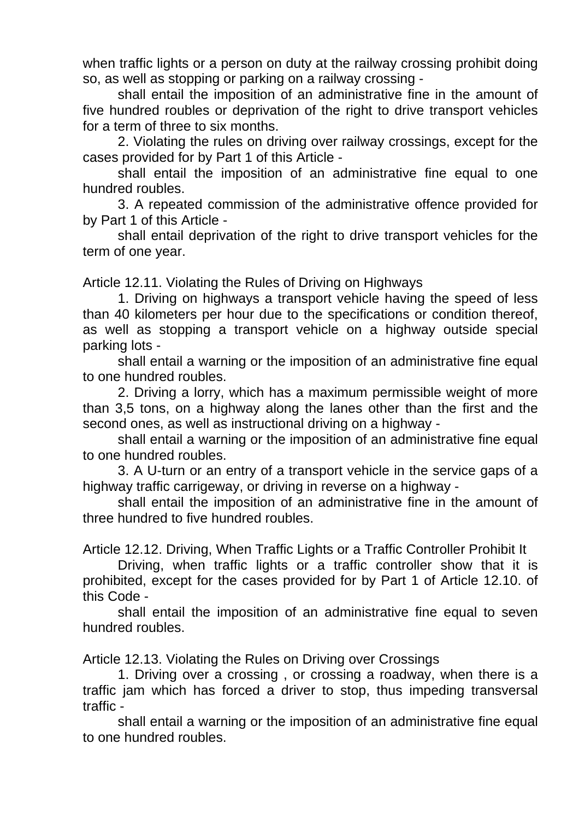when traffic lights or a person on duty at the railway crossing prohibit doing so, as well as stopping or parking on a railway crossing -

shall entail the imposition of an administrative fine in the amount of five hundred roubles or deprivation of the right to drive transport vehicles for a term of three to six months.

2. Violating the rules on driving over railway crossings, except for the cases provided for by Part 1 of this Article -

shall entail the imposition of an administrative fine equal to one hundred roubles.

3. A repeated commission of the administrative offence provided for by Part 1 of this Article -

shall entail deprivation of the right to drive transport vehicles for the term of one year.

Article 12.11. Violating the Rules of Driving on Highways

1. Driving on highways a transport vehicle having the speed of less than 40 kilometers per hour due to the specifications or condition thereof, as well as stopping a transport vehicle on a highway outside special parking lots -

shall entail a warning or the imposition of an administrative fine equal to one hundred roubles.

2. Driving a lorry, which has a maximum permissible weight of more than 3,5 tons, on a highway along the lanes other than the first and the second ones, as well as instructional driving on a highway -

shall entail a warning or the imposition of an administrative fine equal to one hundred roubles.

3. A U-turn or an entry of a transport vehicle in the service gaps of a highway traffic carrigeway, or driving in reverse on a highway -

shall entail the imposition of an administrative fine in the amount of three hundred to five hundred roubles.

Article 12.12. Driving, When Traffic Lights or a Traffic Controller Prohibit It

Driving, when traffic lights or a traffic controller show that it is prohibited, except for the cases provided for by Part 1 of Article 12.10. of this Code -

shall entail the imposition of an administrative fine equal to seven hundred roubles.

Article 12.13. Violating the Rules on Driving over Crossings

1. Driving over a crossing , or crossing a roadway, when there is a traffic jam which has forced a driver to stop, thus impeding transversal traffic -

shall entail a warning or the imposition of an administrative fine equal to one hundred roubles.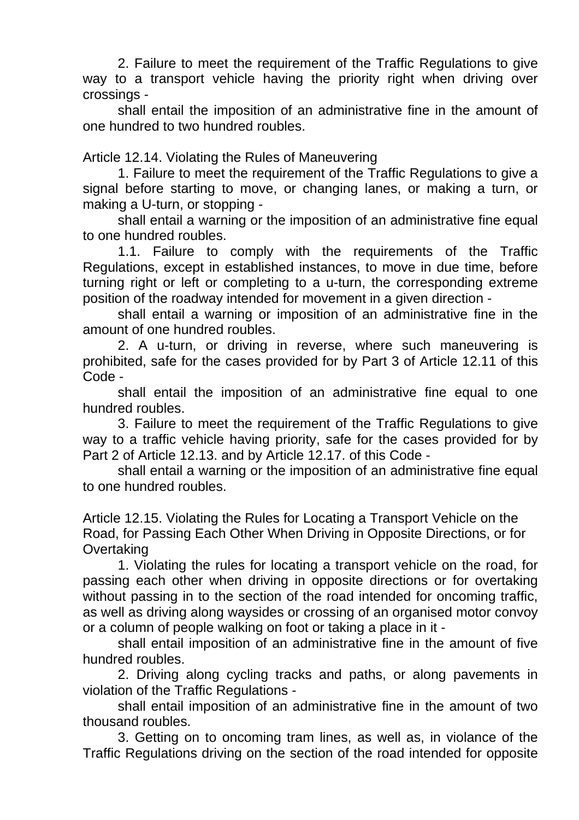2. Failure to meet the requirement of the Traffic Regulations to give way to a transport vehicle having the priority right when driving over crossings -

shall entail the imposition of an administrative fine in the amount of one hundred to two hundred roubles.

Article 12.14. Violating the Rules of Maneuvering

1. Failure to meet the requirement of the Traffic Regulations to give a signal before starting to move, or changing lanes, or making a turn, or making a U-turn, or stopping -

shall entail a warning or the imposition of an administrative fine equal to one hundred roubles.

1.1. Failure to comply with the requirements of the Traffic Regulations, except in established instances, to move in due time, before turning right or left or completing to a u-turn, the corresponding extreme position of the roadway intended for movement in a given direction -

shall entail a warning or imposition of an administrative fine in the amount of one hundred roubles.

2. A u-turn, or driving in reverse, where such maneuvering is prohibited, safe for the cases provided for by Part 3 of Article 12.11 of this Code -

shall entail the imposition of an administrative fine equal to one hundred roubles.

3. Failure to meet the requirement of the Traffic Regulations to give way to a traffic vehicle having priority, safe for the cases provided for by Part 2 of Article 12.13. and by Article 12.17. of this Code -

shall entail a warning or the imposition of an administrative fine equal to one hundred roubles.

Article 12.15. Violating the Rules for Locating a Transport Vehicle on the Road, for Passing Each Other When Driving in Opposite Directions, or for **Overtaking** 

1. Violating the rules for locating a transport vehicle on the road, for passing each other when driving in opposite directions or for overtaking without passing in to the section of the road intended for oncoming traffic, as well as driving along waysides or crossing of an organised motor convoy or a column of people walking on foot or taking a place in it -

shall entail imposition of an administrative fine in the amount of five hundred roubles.

2. Driving along cycling tracks and paths, or along pavements in violation of the Traffic Regulations -

shall entail imposition of an administrative fine in the amount of two thousand roubles.

3. Getting on to oncoming tram lines, as well as, in violance of the Traffic Regulations driving on the section of the road intended for opposite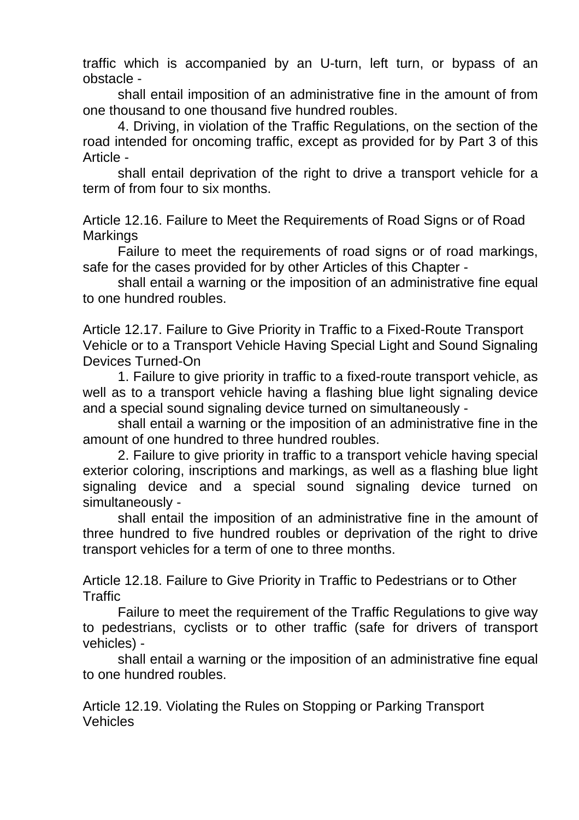traffic which is accompanied by an U-turn, left turn, or bypass of an obstacle -

shall entail imposition of an administrative fine in the amount of from one thousand to one thousand five hundred roubles.

4. Driving, in violation of the Traffic Regulations, on the section of the road intended for oncoming traffic, except as provided for by Part 3 of this Article -

shall entail deprivation of the right to drive a transport vehicle for a term of from four to six months.

Article 12.16. Failure to Meet the Requirements of Road Signs or of Road **Markings** 

Failure to meet the requirements of road signs or of road markings, safe for the cases provided for by other Articles of this Chapter -

shall entail a warning or the imposition of an administrative fine equal to one hundred roubles.

Article 12.17. Failure to Give Priority in Traffic to a Fixed-Route Transport Vehicle or to a Transport Vehicle Having Special Light and Sound Signaling Devices Turned-On

1. Failure to give priority in traffic to a fixed-route transport vehicle, as well as to a transport vehicle having a flashing blue light signaling device and a special sound signaling device turned on simultaneously -

shall entail a warning or the imposition of an administrative fine in the amount of one hundred to three hundred roubles.

2. Failure to give priority in traffic to a transport vehicle having special exterior coloring, inscriptions and markings, as well as a flashing blue light signaling device and a special sound signaling device turned on simultaneously -

shall entail the imposition of an administrative fine in the amount of three hundred to five hundred roubles or deprivation of the right to drive transport vehicles for a term of one to three months.

Article 12.18. Failure to Give Priority in Traffic to Pedestrians or to Other **Traffic** 

Failure to meet the requirement of the Traffic Regulations to give way to pedestrians, cyclists or to other traffic (safe for drivers of transport vehicles) -

shall entail a warning or the imposition of an administrative fine equal to one hundred roubles.

Article 12.19. Violating the Rules on Stopping or Parking Transport **Vehicles**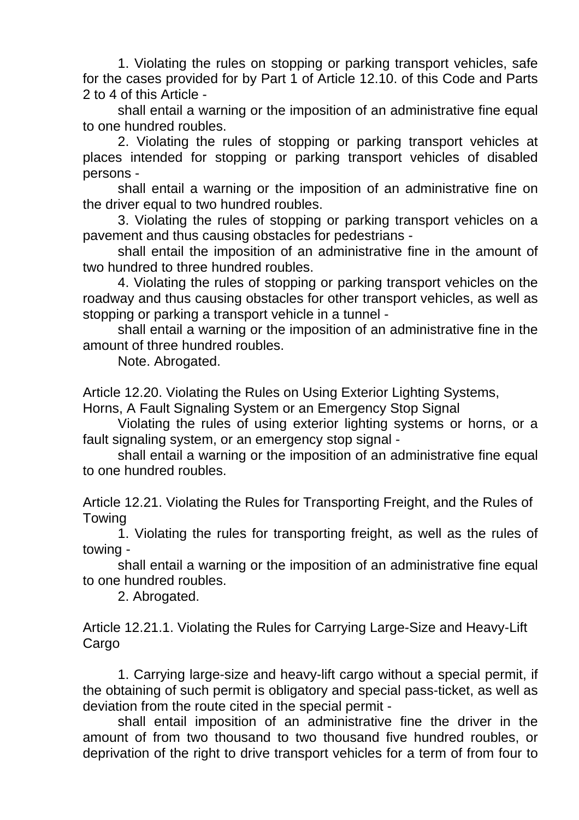1. Violating the rules on stopping or parking transport vehicles, safe for the cases provided for by Part 1 of Article 12.10. of this Code and Parts 2 to 4 of this Article -

shall entail a warning or the imposition of an administrative fine equal to one hundred roubles.

2. Violating the rules of stopping or parking transport vehicles at places intended for stopping or parking transport vehicles of disabled persons -

shall entail a warning or the imposition of an administrative fine on the driver equal to two hundred roubles.

3. Violating the rules of stopping or parking transport vehicles on a pavement and thus causing obstacles for pedestrians -

shall entail the imposition of an administrative fine in the amount of two hundred to three hundred roubles.

4. Violating the rules of stopping or parking transport vehicles on the roadway and thus causing obstacles for other transport vehicles, as well as stopping or parking a transport vehicle in a tunnel -

shall entail a warning or the imposition of an administrative fine in the amount of three hundred roubles.

Note. Abrogated.

Article 12.20. Violating the Rules on Using Exterior Lighting Systems,

Horns, A Fault Signaling System or an Emergency Stop Signal

Violating the rules of using exterior lighting systems or horns, or a fault signaling system, or an emergency stop signal -

shall entail a warning or the imposition of an administrative fine equal to one hundred roubles.

Article 12.21. Violating the Rules for Transporting Freight, and the Rules of Towing

1. Violating the rules for transporting freight, as well as the rules of towing -

shall entail a warning or the imposition of an administrative fine equal to one hundred roubles.

2. Abrogated.

Article 12.21.1. Violating the Rules for Carrying Large-Size and Heavy-Lift **Cargo** 

1. Carrying large-size and heavy-lift cargo without a special permit, if the obtaining of such permit is obligatory and special pass-ticket, as well as deviation from the route cited in the special permit -

shall entail imposition of an administrative fine the driver in the amount of from two thousand to two thousand five hundred roubles, or deprivation of the right to drive transport vehicles for a term of from four to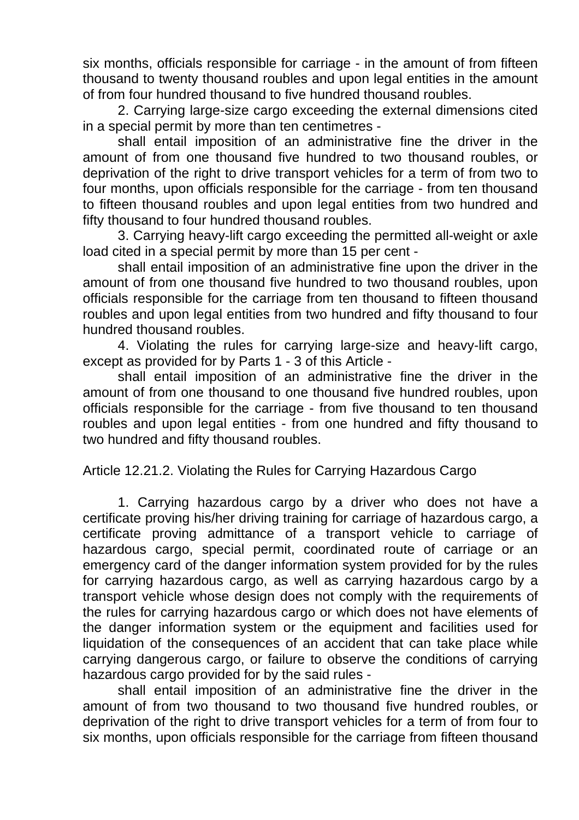six months, officials responsible for carriage - in the amount of from fifteen thousand to twenty thousand roubles and upon legal entities in the amount of from four hundred thousand to five hundred thousand roubles.

2. Carrying large-size cargo exceeding the external dimensions cited in a special permit by more than ten centimetres -

shall entail imposition of an administrative fine the driver in the amount of from one thousand five hundred to two thousand roubles, or deprivation of the right to drive transport vehicles for a term of from two to four months, upon officials responsible for the carriage - from ten thousand to fifteen thousand roubles and upon legal entities from two hundred and fifty thousand to four hundred thousand roubles.

3. Carrying heavy-lift cargo exceeding the permitted all-weight or axle load cited in a special permit by more than 15 per cent -

shall entail imposition of an administrative fine upon the driver in the amount of from one thousand five hundred to two thousand roubles, upon officials responsible for the carriage from ten thousand to fifteen thousand roubles and upon legal entities from two hundred and fifty thousand to four hundred thousand roubles.

4. Violating the rules for carrying large-size and heavy-lift cargo, except as provided for by Parts 1 - 3 of this Article -

shall entail imposition of an administrative fine the driver in the amount of from one thousand to one thousand five hundred roubles, upon officials responsible for the carriage - from five thousand to ten thousand roubles and upon legal entities - from one hundred and fifty thousand to two hundred and fifty thousand roubles.

Article 12.21.2. Violating the Rules for Carrying Hazardous Cargo

1. Carrying hazardous cargo by a driver who does not have a certificate proving his/her driving training for carriage of hazardous cargo, a certificate proving admittance of a transport vehicle to carriage of hazardous cargo, special permit, coordinated route of carriage or an emergency card of the danger information system provided for by the rules for carrying hazardous cargo, as well as carrying hazardous cargo by a transport vehicle whose design does not comply with the requirements of the rules for carrying hazardous cargo or which does not have elements of the danger information system or the equipment and facilities used for liquidation of the consequences of an accident that can take place while carrying dangerous cargo, or failure to observe the conditions of carrying hazardous cargo provided for by the said rules -

shall entail imposition of an administrative fine the driver in the amount of from two thousand to two thousand five hundred roubles, or deprivation of the right to drive transport vehicles for a term of from four to six months, upon officials responsible for the carriage from fifteen thousand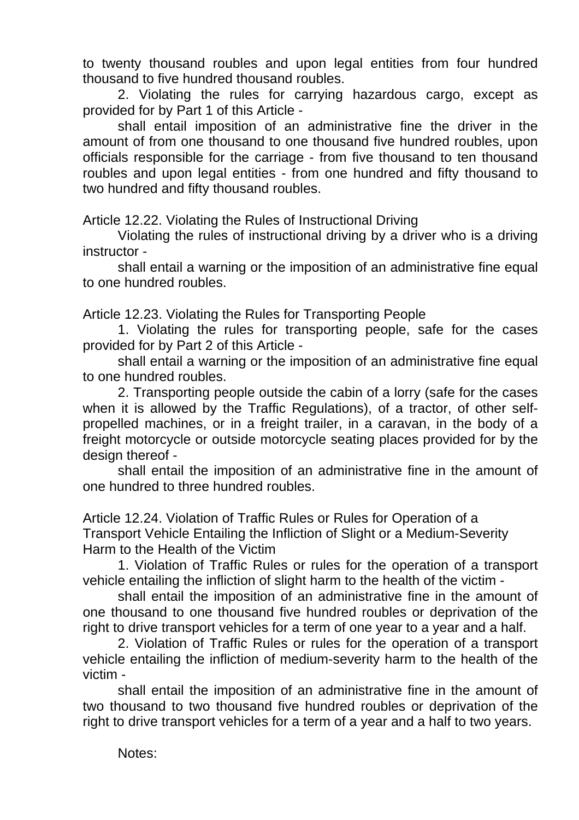to twenty thousand roubles and upon legal entities from four hundred thousand to five hundred thousand roubles.

2. Violating the rules for carrying hazardous cargo, except as provided for by Part 1 of this Article -

shall entail imposition of an administrative fine the driver in the amount of from one thousand to one thousand five hundred roubles, upon officials responsible for the carriage - from five thousand to ten thousand roubles and upon legal entities - from one hundred and fifty thousand to two hundred and fifty thousand roubles.

Article 12.22. Violating the Rules of Instructional Driving

Violating the rules of instructional driving by a driver who is a driving instructor -

shall entail a warning or the imposition of an administrative fine equal to one hundred roubles.

Article 12.23. Violating the Rules for Transporting People

1. Violating the rules for transporting people, safe for the cases provided for by Part 2 of this Article -

shall entail a warning or the imposition of an administrative fine equal to one hundred roubles.

2. Transporting people outside the cabin of a lorry (safe for the cases when it is allowed by the Traffic Regulations), of a tractor, of other selfpropelled machines, or in a freight trailer, in a caravan, in the body of a freight motorcycle or outside motorcycle seating places provided for by the design thereof -

shall entail the imposition of an administrative fine in the amount of one hundred to three hundred roubles.

Article 12.24. Violation of Traffic Rules or Rules for Operation of a Transport Vehicle Entailing the Infliction of Slight or a Medium-Severity Harm to the Health of the Victim

1. Violation of Traffic Rules or rules for the operation of a transport vehicle entailing the infliction of slight harm to the health of the victim -

shall entail the imposition of an administrative fine in the amount of one thousand to one thousand five hundred roubles or deprivation of the right to drive transport vehicles for a term of one year to a year and a half.

2. Violation of Traffic Rules or rules for the operation of a transport vehicle entailing the infliction of medium-severity harm to the health of the victim -

shall entail the imposition of an administrative fine in the amount of two thousand to two thousand five hundred roubles or deprivation of the right to drive transport vehicles for a term of a year and a half to two years.

Notes: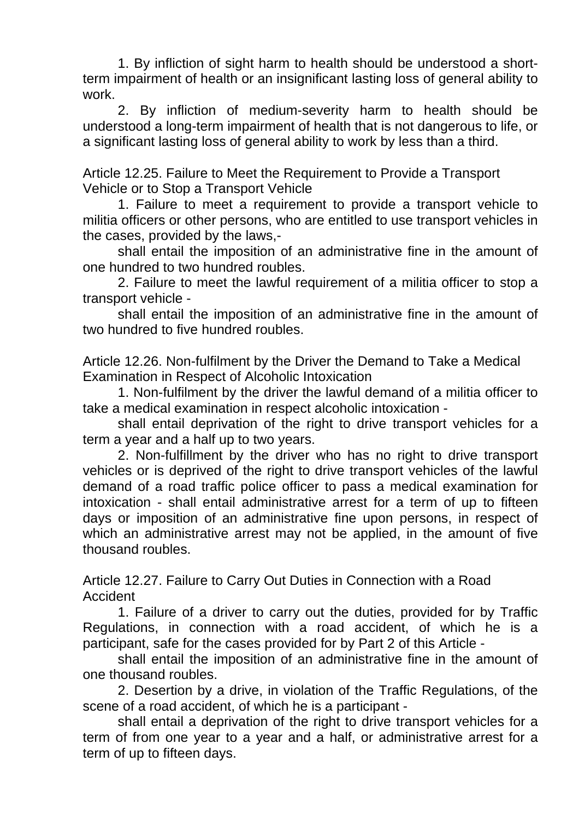1. By infliction of sight harm to health should be understood a shortterm impairment of health or an insignificant lasting loss of general ability to work.

2. By infliction of medium-severity harm to health should be understood a long-term impairment of health that is not dangerous to life, or a significant lasting loss of general ability to work by less than a third.

Article 12.25. Failure to Meet the Requirement to Provide a Transport Vehicle or to Stop a Transport Vehicle

1. Failure to meet a requirement to provide a transport vehicle to militia officers or other persons, who are entitled to use transport vehicles in the cases, provided by the laws,-

shall entail the imposition of an administrative fine in the amount of one hundred to two hundred roubles.

2. Failure to meet the lawful requirement of a militia officer to stop a transport vehicle -

shall entail the imposition of an administrative fine in the amount of two hundred to five hundred roubles.

Article 12.26. Non-fulfilment by the Driver the Demand to Take a Medical Examination in Respect of Alcoholic Intoxication

1. Non-fulfilment by the driver the lawful demand of a militia officer to take a medical examination in respect alcoholic intoxication -

shall entail deprivation of the right to drive transport vehicles for a term a year and a half up to two years.

2. Non-fulfillment by the driver who has no right to drive transport vehicles or is deprived of the right to drive transport vehicles of the lawful demand of a road traffic police officer to pass a medical examination for intoxication - shall entail administrative arrest for a term of up to fifteen days or imposition of an administrative fine upon persons, in respect of which an administrative arrest may not be applied, in the amount of five thousand roubles.

Article 12.27. Failure to Carry Out Duties in Connection with a Road Accident

1. Failure of a driver to carry out the duties, provided for by Traffic Regulations, in connection with a road accident, of which he is a participant, safe for the cases provided for by Part 2 of this Article -

shall entail the imposition of an administrative fine in the amount of one thousand roubles.

2. Desertion by a drive, in violation of the Traffic Regulations, of the scene of a road accident, of which he is a participant -

shall entail a deprivation of the right to drive transport vehicles for a term of from one year to a year and a half, or administrative arrest for a term of up to fifteen days.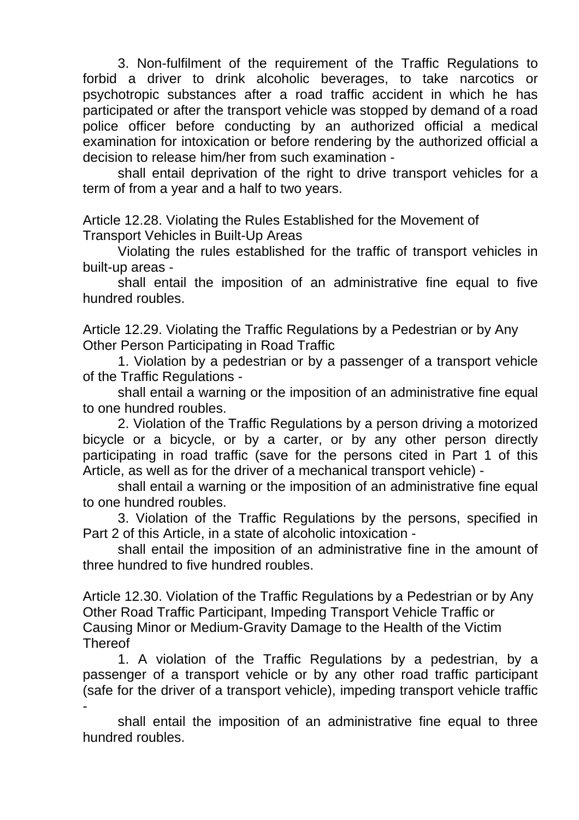3. Non-fulfilment of the requirement of the Traffic Regulations to forbid a driver to drink alcoholic beverages, to take narcotics or psychotropic substances after a road traffic accident in which he has participated or after the transport vehicle was stopped by demand of a road police officer before conducting by an authorized official a medical examination for intoxication or before rendering by the authorized official a decision to release him/her from such examination -

shall entail deprivation of the right to drive transport vehicles for a term of from a year and a half to two years.

Article 12.28. Violating the Rules Established for the Movement of Transport Vehicles in Built-Up Areas

Violating the rules established for the traffic of transport vehicles in built-up areas -

shall entail the imposition of an administrative fine equal to five hundred roubles.

Article 12.29. Violating the Traffic Regulations by a Pedestrian or by Any Other Person Participating in Road Traffic

1. Violation by a pedestrian or by a passenger of a transport vehicle of the Traffic Regulations -

shall entail a warning or the imposition of an administrative fine equal to one hundred roubles.

2. Violation of the Traffic Regulations by a person driving a motorized bicycle or a bicycle, or by a carter, or by any other person directly participating in road traffic (save for the persons cited in Part 1 of this Article, as well as for the driver of a mechanical transport vehicle) -

shall entail a warning or the imposition of an administrative fine equal to one hundred roubles.

3. Violation of the Traffic Regulations by the persons, specified in Part 2 of this Article, in a state of alcoholic intoxication -

shall entail the imposition of an administrative fine in the amount of three hundred to five hundred roubles.

Article 12.30. Violation of the Traffic Regulations by a Pedestrian or by Any Other Road Traffic Participant, Impeding Transport Vehicle Traffic or Causing Minor or Medium-Gravity Damage to the Health of the Victim **Thereof** 

1. A violation of the Traffic Regulations by a pedestrian, by a passenger of a transport vehicle or by any other road traffic participant (safe for the driver of a transport vehicle), impeding transport vehicle traffic -

shall entail the imposition of an administrative fine equal to three hundred roubles.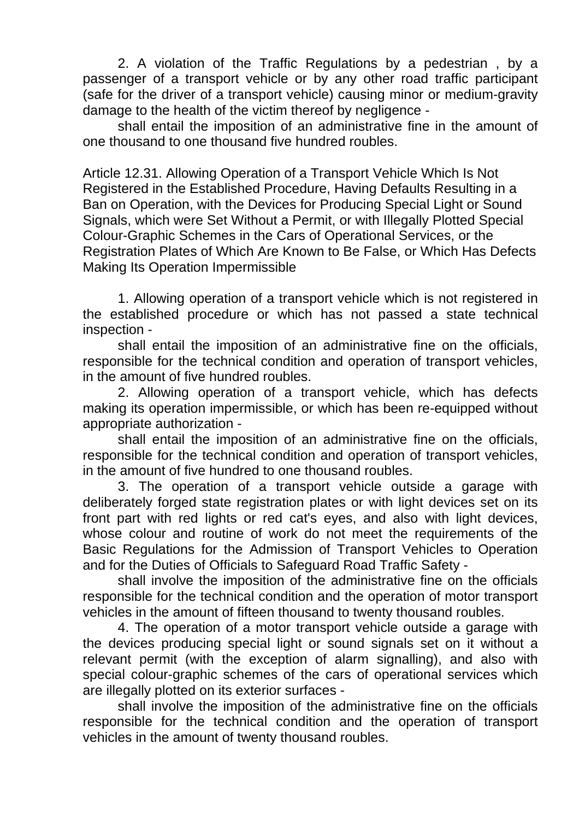2. A violation of the Traffic Regulations by a pedestrian , by a passenger of a transport vehicle or by any other road traffic participant (safe for the driver of a transport vehicle) causing minor or medium-gravity damage to the health of the victim thereof by negligence -

shall entail the imposition of an administrative fine in the amount of one thousand to one thousand five hundred roubles.

Article 12.31. Allowing Operation of a Transport Vehicle Which Is Not Registered in the Established Procedure, Having Defaults Resulting in a Ban on Operation, with the Devices for Producing Special Light or Sound Signals, which were Set Without a Permit, or with Illegally Plotted Special Colour-Graphic Schemes in the Cars of Operational Services, or the Registration Plates of Which Are Known to Be False, or Which Has Defects Making Its Operation Impermissible

1. Allowing operation of a transport vehicle which is not registered in the established procedure or which has not passed a state technical inspection -

shall entail the imposition of an administrative fine on the officials, responsible for the technical condition and operation of transport vehicles, in the amount of five hundred roubles.

2. Allowing operation of a transport vehicle, which has defects making its operation impermissible, or which has been re-equipped without appropriate authorization -

shall entail the imposition of an administrative fine on the officials, responsible for the technical condition and operation of transport vehicles, in the amount of five hundred to one thousand roubles.

3. The operation of a transport vehicle outside a garage with deliberately forged state registration plates or with light devices set on its front part with red lights or red cat's eyes, and also with light devices, whose colour and routine of work do not meet the requirements of the Basic Regulations for the Admission of Transport Vehicles to Operation and for the Duties of Officials to Safeguard Road Traffic Safety -

shall involve the imposition of the administrative fine on the officials responsible for the technical condition and the operation of motor transport vehicles in the amount of fifteen thousand to twenty thousand roubles.

4. The operation of a motor transport vehicle outside a garage with the devices producing special light or sound signals set on it without a relevant permit (with the exception of alarm signalling), and also with special colour-graphic schemes of the cars of operational services which are illegally plotted on its exterior surfaces -

shall involve the imposition of the administrative fine on the officials responsible for the technical condition and the operation of transport vehicles in the amount of twenty thousand roubles.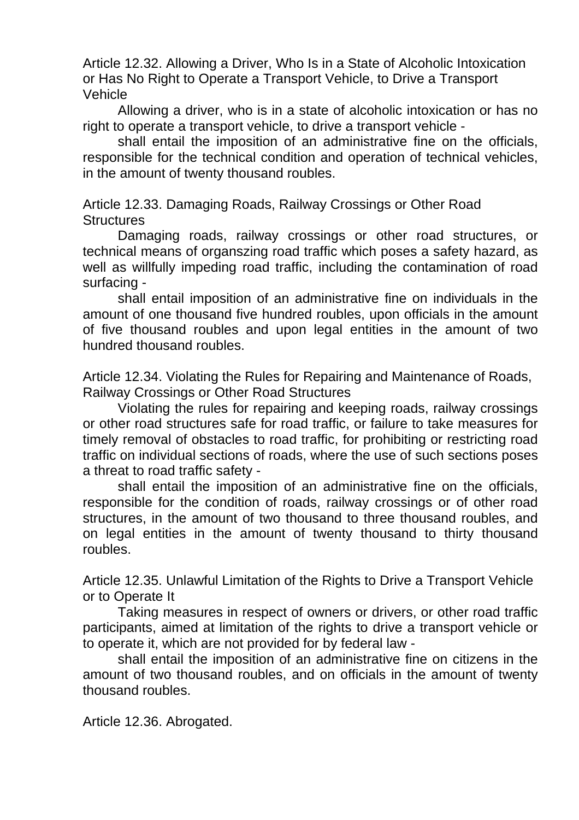Article 12.32. Allowing a Driver, Who Is in a State of Alcoholic Intoxication or Has No Right to Operate a Transport Vehicle, to Drive a Transport Vehicle

Allowing a driver, who is in a state of alcoholic intoxication or has no right to operate a transport vehicle, to drive a transport vehicle -

shall entail the imposition of an administrative fine on the officials, responsible for the technical condition and operation of technical vehicles, in the amount of twenty thousand roubles.

Article 12.33. Damaging Roads, Railway Crossings or Other Road **Structures** 

Damaging roads, railway crossings or other road structures, or technical means of organszing road traffic which poses a safety hazard, as well as willfully impeding road traffic, including the contamination of road surfacing -

shall entail imposition of an administrative fine on individuals in the amount of one thousand five hundred roubles, upon officials in the amount of five thousand roubles and upon legal entities in the amount of two hundred thousand roubles.

Article 12.34. Violating the Rules for Repairing and Maintenance of Roads, Railway Crossings or Other Road Structures

Violating the rules for repairing and keeping roads, railway crossings or other road structures safe for road traffic, or failure to take measures for timely removal of obstacles to road traffic, for prohibiting or restricting road traffic on individual sections of roads, where the use of such sections poses a threat to road traffic safety -

shall entail the imposition of an administrative fine on the officials, responsible for the condition of roads, railway crossings or of other road structures, in the amount of two thousand to three thousand roubles, and on legal entities in the amount of twenty thousand to thirty thousand roubles.

Article 12.35. Unlawful Limitation of the Rights to Drive a Transport Vehicle or to Operate It

Taking measures in respect of owners or drivers, or other road traffic participants, aimed at limitation of the rights to drive a transport vehicle or to operate it, which are not provided for by federal law -

shall entail the imposition of an administrative fine on citizens in the amount of two thousand roubles, and on officials in the amount of twenty thousand roubles.

Article 12.36. Abrogated.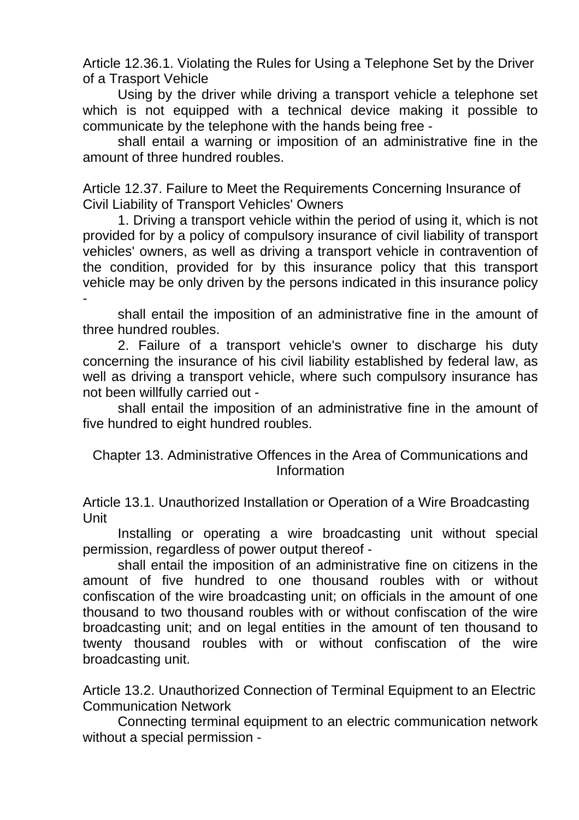Article 12.36.1. Violating the Rules for Using a Telephone Set by the Driver of a Trasport Vehicle

Using by the driver while driving a transport vehicle a telephone set which is not equipped with a technical device making it possible to communicate by the telephone with the hands being free -

shall entail a warning or imposition of an administrative fine in the amount of three hundred roubles.

Article 12.37. Failure to Meet the Requirements Concerning Insurance of Civil Liability of Transport Vehicles' Owners

1. Driving a transport vehicle within the period of using it, which is not provided for by a policy of compulsory insurance of civil liability of transport vehicles' owners, as well as driving a transport vehicle in contravention of the condition, provided for by this insurance policy that this transport vehicle may be only driven by the persons indicated in this insurance policy -

shall entail the imposition of an administrative fine in the amount of three hundred roubles.

2. Failure of a transport vehicle's owner to discharge his duty concerning the insurance of his civil liability established by federal law, as well as driving a transport vehicle, where such compulsory insurance has not been willfully carried out -

shall entail the imposition of an administrative fine in the amount of five hundred to eight hundred roubles.

Chapter 13. Administrative Offences in the Area of Communications and Information

Article 13.1. Unauthorized Installation or Operation of a Wire Broadcasting Unit

Installing or operating a wire broadcasting unit without special permission, regardless of power output thereof -

shall entail the imposition of an administrative fine on citizens in the amount of five hundred to one thousand roubles with or without confiscation of the wire broadcasting unit; on officials in the amount of one thousand to two thousand roubles with or without confiscation of the wire broadcasting unit; and on legal entities in the amount of ten thousand to twenty thousand roubles with or without confiscation of the wire broadcasting unit.

Article 13.2. Unauthorized Connection of Terminal Equipment to an Electric Communication Network

Connecting terminal equipment to an electric communication network without a special permission -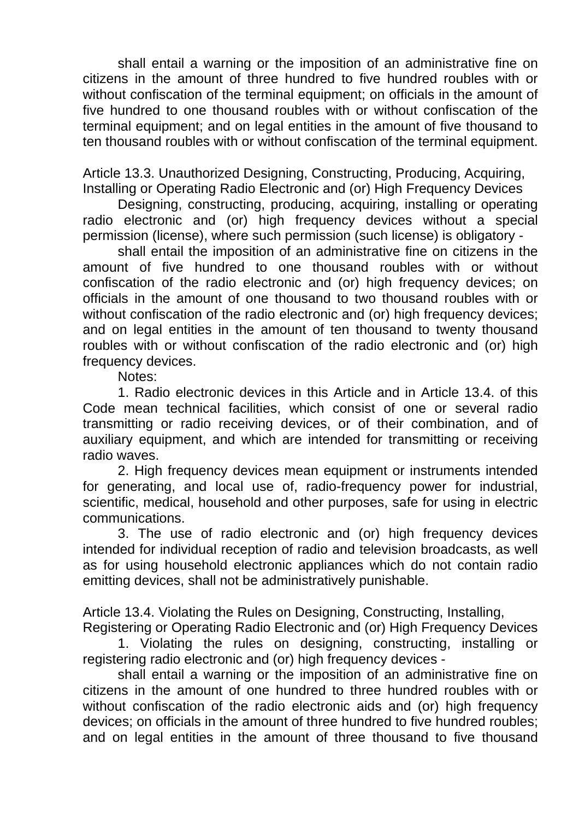shall entail a warning or the imposition of an administrative fine on citizens in the amount of three hundred to five hundred roubles with or without confiscation of the terminal equipment; on officials in the amount of five hundred to one thousand roubles with or without confiscation of the terminal equipment; and on legal entities in the amount of five thousand to ten thousand roubles with or without confiscation of the terminal equipment.

Article 13.3. Unauthorized Designing, Constructing, Producing, Acquiring, Installing or Operating Radio Electronic and (or) High Frequency Devices

Designing, constructing, producing, acquiring, installing or operating radio electronic and (or) high frequency devices without a special permission (license), where such permission (such license) is obligatory -

shall entail the imposition of an administrative fine on citizens in the amount of five hundred to one thousand roubles with or without confiscation of the radio electronic and (or) high frequency devices; on officials in the amount of one thousand to two thousand roubles with or without confiscation of the radio electronic and (or) high frequency devices: and on legal entities in the amount of ten thousand to twenty thousand roubles with or without confiscation of the radio electronic and (or) high frequency devices.

Notes:

1. Radio electronic devices in this Article and in Article 13.4. of this Code mean technical facilities, which consist of one or several radio transmitting or radio receiving devices, or of their combination, and of auxiliary equipment, and which are intended for transmitting or receiving radio waves.

2. High frequency devices mean equipment or instruments intended for generating, and local use of, radio-frequency power for industrial, scientific, medical, household and other purposes, safe for using in electric communications.

3. The use of radio electronic and (or) high frequency devices intended for individual reception of radio and television broadcasts, as well as for using household electronic appliances which do not contain radio emitting devices, shall not be administratively punishable.

Article 13.4. Violating the Rules on Designing, Constructing, Installing,

Registering or Operating Radio Electronic and (or) High Frequency Devices 1. Violating the rules on designing, constructing, installing or registering radio electronic and (or) high frequency devices -

shall entail a warning or the imposition of an administrative fine on citizens in the amount of one hundred to three hundred roubles with or without confiscation of the radio electronic aids and (or) high frequency devices; on officials in the amount of three hundred to five hundred roubles; and on legal entities in the amount of three thousand to five thousand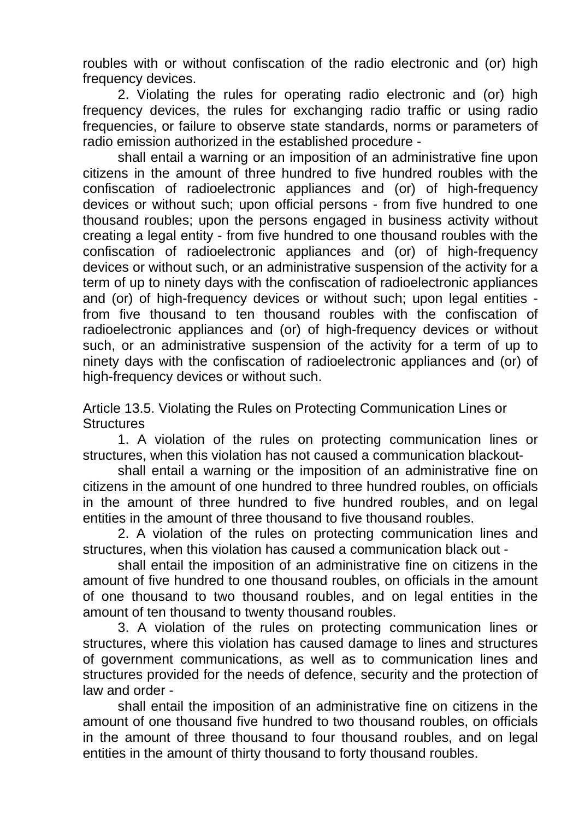roubles with or without confiscation of the radio electronic and (or) high frequency devices.

2. Violating the rules for operating radio electronic and (or) high frequency devices, the rules for exchanging radio traffic or using radio frequencies, or failure to observe state standards, norms or parameters of radio emission authorized in the established procedure -

shall entail a warning or an imposition of an administrative fine upon citizens in the amount of three hundred to five hundred roubles with the confiscation of radioelectronic appliances and (or) of high-frequency devices or without such; upon official persons - from five hundred to one thousand roubles; upon the persons engaged in business activity without creating a legal entity - from five hundred to one thousand roubles with the confiscation of radioelectronic appliances and (or) of high-frequency devices or without such, or an administrative suspension of the activity for a term of up to ninety days with the confiscation of radioelectronic appliances and (or) of high-frequency devices or without such; upon legal entities from five thousand to ten thousand roubles with the confiscation of radioelectronic appliances and (or) of high-frequency devices or without such, or an administrative suspension of the activity for a term of up to ninety days with the confiscation of radioelectronic appliances and (or) of high-frequency devices or without such.

Article 13.5. Violating the Rules on Protecting Communication Lines or **Structures** 

1. A violation of the rules on protecting communication lines or structures, when this violation has not caused a communication blackout-

shall entail a warning or the imposition of an administrative fine on citizens in the amount of one hundred to three hundred roubles, on officials in the amount of three hundred to five hundred roubles, and on legal entities in the amount of three thousand to five thousand roubles.

2. A violation of the rules on protecting communication lines and structures, when this violation has caused a communication black out -

shall entail the imposition of an administrative fine on citizens in the amount of five hundred to one thousand roubles, on officials in the amount of one thousand to two thousand roubles, and on legal entities in the amount of ten thousand to twenty thousand roubles.

3. A violation of the rules on protecting communication lines or structures, where this violation has caused damage to lines and structures of government communications, as well as to communication lines and structures provided for the needs of defence, security and the protection of law and order -

shall entail the imposition of an administrative fine on citizens in the amount of one thousand five hundred to two thousand roubles, on officials in the amount of three thousand to four thousand roubles, and on legal entities in the amount of thirty thousand to forty thousand roubles.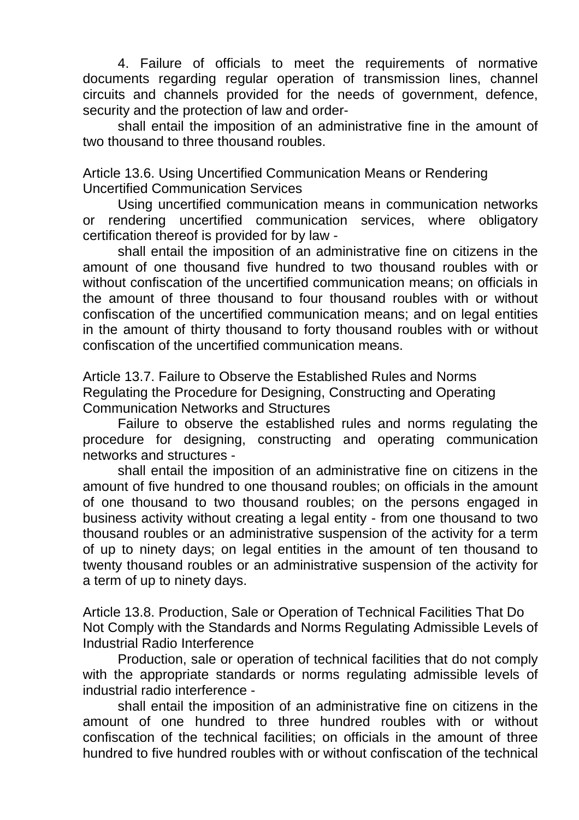4. Failure of officials to meet the requirements of normative documents regarding regular operation of transmission lines, channel circuits and channels provided for the needs of government, defence, security and the protection of law and order-

shall entail the imposition of an administrative fine in the amount of two thousand to three thousand roubles.

Article 13.6. Using Uncertified Communication Means or Rendering Uncertified Communication Services

Using uncertified communication means in communication networks or rendering uncertified communication services, where obligatory certification thereof is provided for by law -

shall entail the imposition of an administrative fine on citizens in the amount of one thousand five hundred to two thousand roubles with or without confiscation of the uncertified communication means; on officials in the amount of three thousand to four thousand roubles with or without confiscation of the uncertified communication means; and on legal entities in the amount of thirty thousand to forty thousand roubles with or without confiscation of the uncertified communication means.

Article 13.7. Failure to Observe the Established Rules and Norms Regulating the Procedure for Designing, Constructing and Operating Communication Networks and Structures

Failure to observe the established rules and norms regulating the procedure for designing, constructing and operating communication networks and structures -

shall entail the imposition of an administrative fine on citizens in the amount of five hundred to one thousand roubles; on officials in the amount of one thousand to two thousand roubles; on the persons engaged in business activity without creating a legal entity - from one thousand to two thousand roubles or an administrative suspension of the activity for a term of up to ninety days; on legal entities in the amount of ten thousand to twenty thousand roubles or an administrative suspension of the activity for a term of up to ninety days.

Article 13.8. Production, Sale or Operation of Technical Facilities That Do Not Comply with the Standards and Norms Regulating Admissible Levels of Industrial Radio Interference

Production, sale or operation of technical facilities that do not comply with the appropriate standards or norms regulating admissible levels of industrial radio interference -

shall entail the imposition of an administrative fine on citizens in the amount of one hundred to three hundred roubles with or without confiscation of the technical facilities; on officials in the amount of three hundred to five hundred roubles with or without confiscation of the technical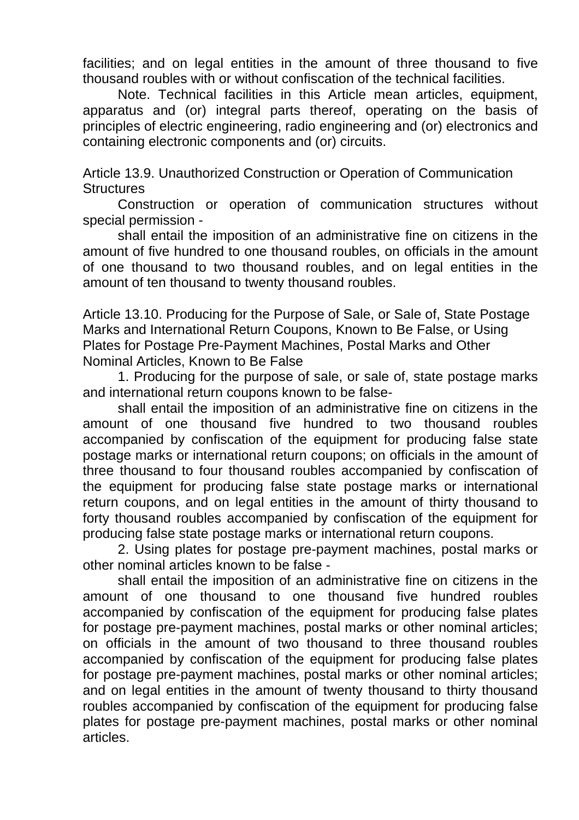facilities; and on legal entities in the amount of three thousand to five thousand roubles with or without confiscation of the technical facilities.

Note. Technical facilities in this Article mean articles, equipment, apparatus and (or) integral parts thereof, operating on the basis of principles of electric engineering, radio engineering and (or) electronics and containing electronic components and (or) circuits.

Article 13.9. Unauthorized Construction or Operation of Communication **Structures** 

Construction or operation of communication structures without special permission -

shall entail the imposition of an administrative fine on citizens in the amount of five hundred to one thousand roubles, on officials in the amount of one thousand to two thousand roubles, and on legal entities in the amount of ten thousand to twenty thousand roubles.

Article 13.10. Producing for the Purpose of Sale, or Sale of, State Postage Marks and International Return Coupons, Known to Be False, or Using Plates for Postage Pre-Payment Machines, Postal Marks and Other Nominal Articles, Known to Be False

1. Producing for the purpose of sale, or sale of, state postage marks and international return coupons known to be false-

shall entail the imposition of an administrative fine on citizens in the amount of one thousand five hundred to two thousand roubles accompanied by confiscation of the equipment for producing false state postage marks or international return coupons; on officials in the amount of three thousand to four thousand roubles accompanied by confiscation of the equipment for producing false state postage marks or international return coupons, and on legal entities in the amount of thirty thousand to forty thousand roubles accompanied by confiscation of the equipment for producing false state postage marks or international return coupons.

2. Using plates for postage pre-payment machines, postal marks or other nominal articles known to be false -

shall entail the imposition of an administrative fine on citizens in the amount of one thousand to one thousand five hundred roubles accompanied by confiscation of the equipment for producing false plates for postage pre-payment machines, postal marks or other nominal articles; on officials in the amount of two thousand to three thousand roubles accompanied by confiscation of the equipment for producing false plates for postage pre-payment machines, postal marks or other nominal articles; and on legal entities in the amount of twenty thousand to thirty thousand roubles accompanied by confiscation of the equipment for producing false plates for postage pre-payment machines, postal marks or other nominal articles.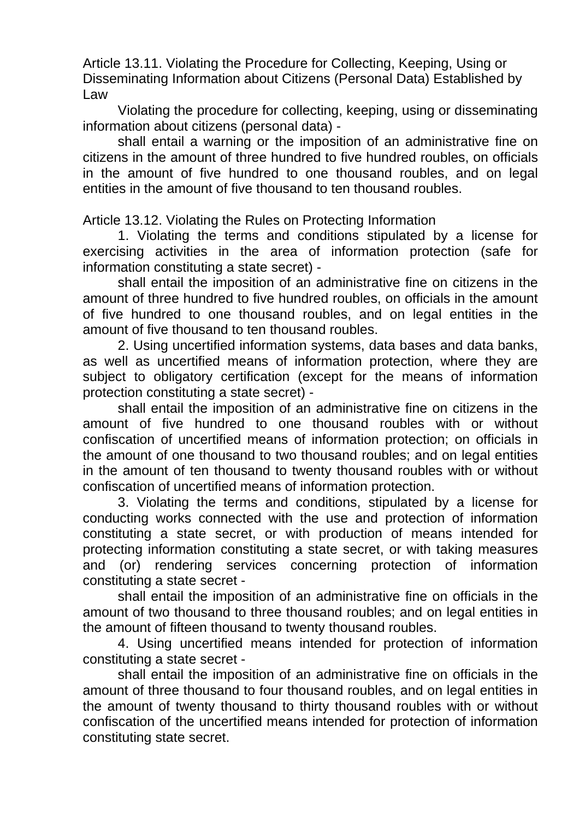Article 13.11. Violating the Procedure for Collecting, Keeping, Using or Disseminating Information about Citizens (Personal Data) Established by Law

Violating the procedure for collecting, keeping, using or disseminating information about citizens (personal data) -

shall entail a warning or the imposition of an administrative fine on citizens in the amount of three hundred to five hundred roubles, on officials in the amount of five hundred to one thousand roubles, and on legal entities in the amount of five thousand to ten thousand roubles.

Article 13.12. Violating the Rules on Protecting Information

1. Violating the terms and conditions stipulated by a license for exercising activities in the area of information protection (safe for information constituting a state secret) -

shall entail the imposition of an administrative fine on citizens in the amount of three hundred to five hundred roubles, on officials in the amount of five hundred to one thousand roubles, and on legal entities in the amount of five thousand to ten thousand roubles.

2. Using uncertified information systems, data bases and data banks, as well as uncertified means of information protection, where they are subject to obligatory certification (except for the means of information protection constituting a state secret) -

shall entail the imposition of an administrative fine on citizens in the amount of five hundred to one thousand roubles with or without confiscation of uncertified means of information protection; on officials in the amount of one thousand to two thousand roubles; and on legal entities in the amount of ten thousand to twenty thousand roubles with or without confiscation of uncertified means of information protection.

3. Violating the terms and conditions, stipulated by a license for conducting works connected with the use and protection of information constituting a state secret, or with production of means intended for protecting information constituting a state secret, or with taking measures and (or) rendering services concerning protection of information constituting a state secret -

shall entail the imposition of an administrative fine on officials in the amount of two thousand to three thousand roubles; and on legal entities in the amount of fifteen thousand to twenty thousand roubles.

4. Using uncertified means intended for protection of information constituting a state secret -

shall entail the imposition of an administrative fine on officials in the amount of three thousand to four thousand roubles, and on legal entities in the amount of twenty thousand to thirty thousand roubles with or without confiscation of the uncertified means intended for protection of information constituting state secret.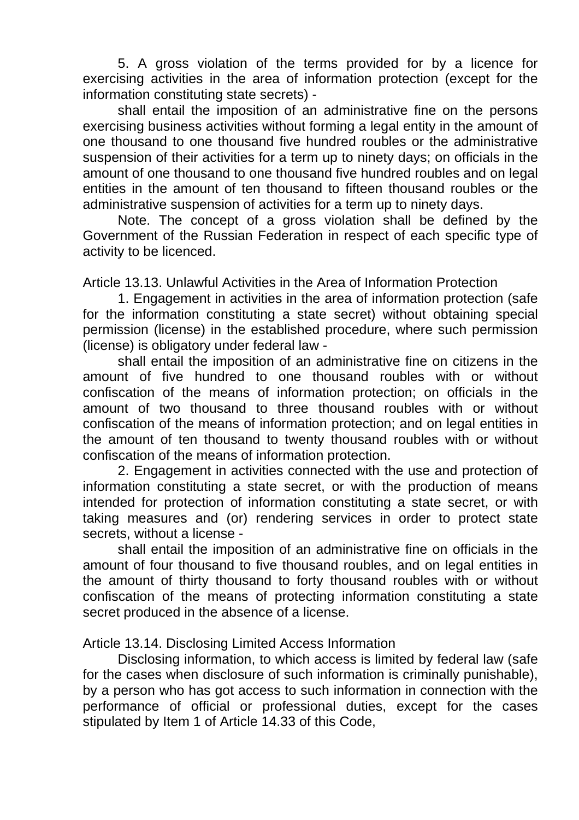5. A gross violation of the terms provided for by a licence for exercising activities in the area of information protection (except for the information constituting state secrets) -

shall entail the imposition of an administrative fine on the persons exercising business activities without forming a legal entity in the amount of one thousand to one thousand five hundred roubles or the administrative suspension of their activities for a term up to ninety days; on officials in the amount of one thousand to one thousand five hundred roubles and on legal entities in the amount of ten thousand to fifteen thousand roubles or the administrative suspension of activities for a term up to ninety days.

Note. The concept of a gross violation shall be defined by the Government of the Russian Federation in respect of each specific type of activity to be licenced.

Article 13.13. Unlawful Activities in the Area of Information Protection

1. Engagement in activities in the area of information protection (safe for the information constituting a state secret) without obtaining special permission (license) in the established procedure, where such permission (license) is obligatory under federal law -

shall entail the imposition of an administrative fine on citizens in the amount of five hundred to one thousand roubles with or without confiscation of the means of information protection; on officials in the amount of two thousand to three thousand roubles with or without confiscation of the means of information protection; and on legal entities in the amount of ten thousand to twenty thousand roubles with or without confiscation of the means of information protection.

2. Engagement in activities connected with the use and protection of information constituting a state secret, or with the production of means intended for protection of information constituting a state secret, or with taking measures and (or) rendering services in order to protect state secrets, without a license -

shall entail the imposition of an administrative fine on officials in the amount of four thousand to five thousand roubles, and on legal entities in the amount of thirty thousand to forty thousand roubles with or without confiscation of the means of protecting information constituting a state secret produced in the absence of a license.

Article 13.14. Disclosing Limited Access Information

Disclosing information, to which access is limited by federal law (safe for the cases when disclosure of such information is criminally punishable), by a person who has got access to such information in connection with the performance of official or professional duties, except for the cases stipulated by Item 1 of Article 14.33 of this Code,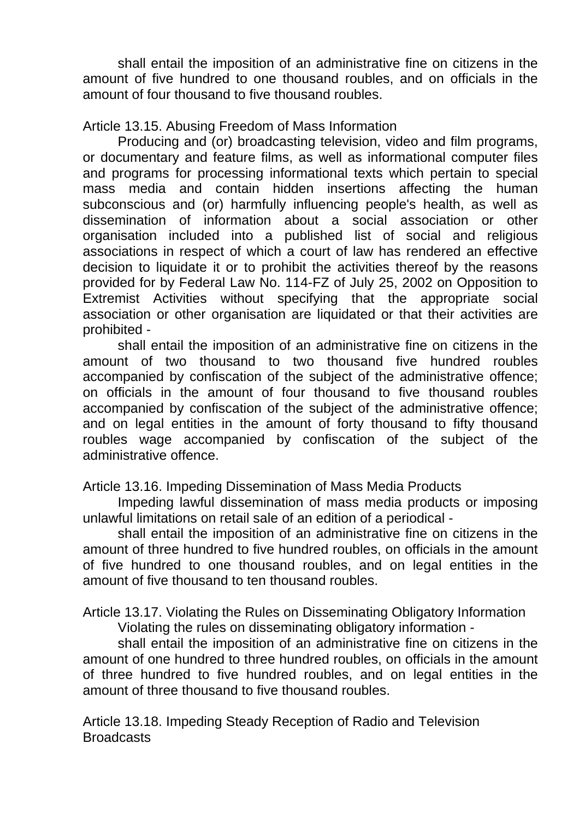shall entail the imposition of an administrative fine on citizens in the amount of five hundred to one thousand roubles, and on officials in the amount of four thousand to five thousand roubles.

Article 13.15. Abusing Freedom of Mass Information

Producing and (or) broadcasting television, video and film programs, or documentary and feature films, as well as informational computer files and programs for processing informational texts which pertain to special mass media and contain hidden insertions affecting the human subconscious and (or) harmfully influencing people's health, as well as dissemination of information about a social association or other organisation included into a published list of social and religious associations in respect of which a court of law has rendered an effective decision to liquidate it or to prohibit the activities thereof by the reasons provided for by Federal Law No. 114-FZ of July 25, 2002 on Opposition to Extremist Activities without specifying that the appropriate social association or other organisation are liquidated or that their activities are prohibited -

shall entail the imposition of an administrative fine on citizens in the amount of two thousand to two thousand five hundred roubles accompanied by confiscation of the subject of the administrative offence; on officials in the amount of four thousand to five thousand roubles accompanied by confiscation of the subject of the administrative offence; and on legal entities in the amount of forty thousand to fifty thousand roubles wage accompanied by confiscation of the subject of the administrative offence.

Article 13.16. Impeding Dissemination of Mass Media Products

Impeding lawful dissemination of mass media products or imposing unlawful limitations on retail sale of an edition of a periodical -

shall entail the imposition of an administrative fine on citizens in the amount of three hundred to five hundred roubles, on officials in the amount of five hundred to one thousand roubles, and on legal entities in the amount of five thousand to ten thousand roubles.

Article 13.17. Violating the Rules on Disseminating Obligatory Information Violating the rules on disseminating obligatory information -

shall entail the imposition of an administrative fine on citizens in the amount of one hundred to three hundred roubles, on officials in the amount of three hundred to five hundred roubles, and on legal entities in the amount of three thousand to five thousand roubles.

Article 13.18. Impeding Steady Reception of Radio and Television **Broadcasts**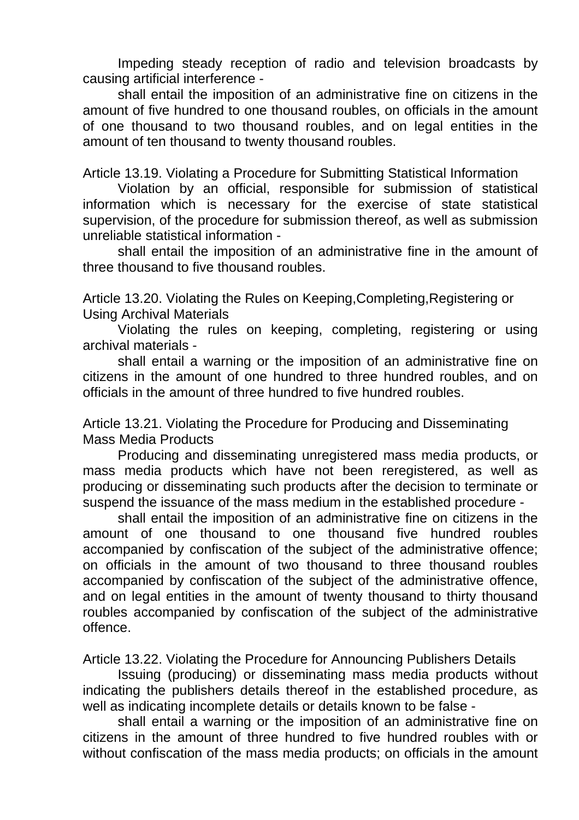Impeding steady reception of radio and television broadcasts by causing artificial interference -

shall entail the imposition of an administrative fine on citizens in the amount of five hundred to one thousand roubles, on officials in the amount of one thousand to two thousand roubles, and on legal entities in the amount of ten thousand to twenty thousand roubles.

Article 13.19. Violating a Procedure for Submitting Statistical Information

Violation by an official, responsible for submission of statistical information which is necessary for the exercise of state statistical supervision, of the procedure for submission thereof, as well as submission unreliable statistical information -

shall entail the imposition of an administrative fine in the amount of three thousand to five thousand roubles.

Article 13.20. Violating the Rules on Keeping,Completing,Registering or Using Archival Materials

Violating the rules on keeping, completing, registering or using archival materials -

shall entail a warning or the imposition of an administrative fine on citizens in the amount of one hundred to three hundred roubles, and on officials in the amount of three hundred to five hundred roubles.

Article 13.21. Violating the Procedure for Producing and Disseminating Mass Media Products

Producing and disseminating unregistered mass media products, or mass media products which have not been reregistered, as well as producing or disseminating such products after the decision to terminate or suspend the issuance of the mass medium in the established procedure -

shall entail the imposition of an administrative fine on citizens in the amount of one thousand to one thousand five hundred roubles accompanied by confiscation of the subject of the administrative offence; on officials in the amount of two thousand to three thousand roubles accompanied by confiscation of the subject of the administrative offence, and on legal entities in the amount of twenty thousand to thirty thousand roubles accompanied by confiscation of the subject of the administrative offence.

Article 13.22. Violating the Procedure for Announcing Publishers Details

Issuing (producing) or disseminating mass media products without indicating the publishers details thereof in the established procedure, as well as indicating incomplete details or details known to be false -

shall entail a warning or the imposition of an administrative fine on citizens in the amount of three hundred to five hundred roubles with or without confiscation of the mass media products; on officials in the amount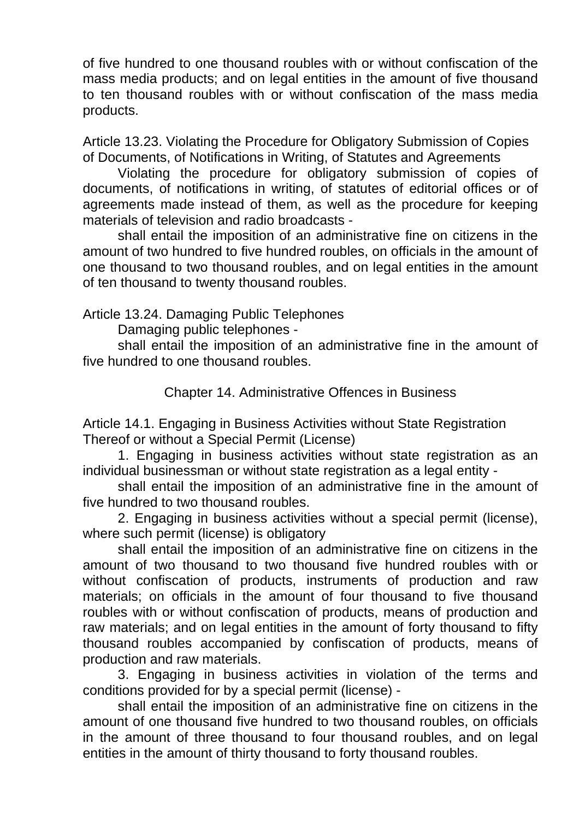of five hundred to one thousand roubles with or without confiscation of the mass media products; and on legal entities in the amount of five thousand to ten thousand roubles with or without confiscation of the mass media products.

Article 13.23. Violating the Procedure for Obligatory Submission of Copies of Documents, of Notifications in Writing, of Statutes and Agreements

Violating the procedure for obligatory submission of copies of documents, of notifications in writing, of statutes of editorial offices or of agreements made instead of them, as well as the procedure for keeping materials of television and radio broadcasts -

shall entail the imposition of an administrative fine on citizens in the amount of two hundred to five hundred roubles, on officials in the amount of one thousand to two thousand roubles, and on legal entities in the amount of ten thousand to twenty thousand roubles.

# Article 13.24. Damaging Public Telephones

Damaging public telephones -

shall entail the imposition of an administrative fine in the amount of five hundred to one thousand roubles.

Chapter 14. Administrative Offences in Business

Article 14.1. Engaging in Business Activities without State Registration Thereof or without a Special Permit (License)

1. Engaging in business activities without state registration as an individual businessman or without state registration as a legal entity -

shall entail the imposition of an administrative fine in the amount of five hundred to two thousand roubles.

2. Engaging in business activities without a special permit (license), where such permit (license) is obligatory

shall entail the imposition of an administrative fine on citizens in the amount of two thousand to two thousand five hundred roubles with or without confiscation of products, instruments of production and raw materials; on officials in the amount of four thousand to five thousand roubles with or without confiscation of products, means of production and raw materials; and on legal entities in the amount of forty thousand to fifty thousand roubles accompanied by confiscation of products, means of production and raw materials.

3. Engaging in business activities in violation of the terms and conditions provided for by a special permit (license) -

shall entail the imposition of an administrative fine on citizens in the amount of one thousand five hundred to two thousand roubles, on officials in the amount of three thousand to four thousand roubles, and on legal entities in the amount of thirty thousand to forty thousand roubles.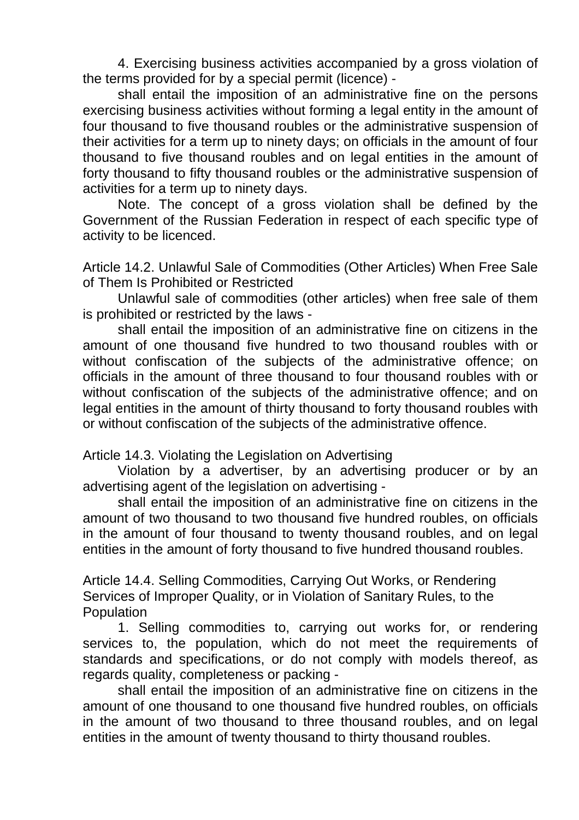4. Exercising business activities accompanied by a gross violation of the terms provided for by a special permit (licence) -

shall entail the imposition of an administrative fine on the persons exercising business activities without forming a legal entity in the amount of four thousand to five thousand roubles or the administrative suspension of their activities for a term up to ninety days; on officials in the amount of four thousand to five thousand roubles and on legal entities in the amount of forty thousand to fifty thousand roubles or the administrative suspension of activities for a term up to ninety days.

Note. The concept of a gross violation shall be defined by the Government of the Russian Federation in respect of each specific type of activity to be licenced.

Article 14.2. Unlawful Sale of Commodities (Other Articles) When Free Sale of Them Is Prohibited or Restricted

Unlawful sale of commodities (other articles) when free sale of them is prohibited or restricted by the laws -

shall entail the imposition of an administrative fine on citizens in the amount of one thousand five hundred to two thousand roubles with or without confiscation of the subjects of the administrative offence; on officials in the amount of three thousand to four thousand roubles with or without confiscation of the subjects of the administrative offence; and on legal entities in the amount of thirty thousand to forty thousand roubles with or without confiscation of the subjects of the administrative offence.

Article 14.3. Violating the Legislation on Advertising

Violation by a advertiser, by an advertising producer or by an advertising agent of the legislation on advertising -

shall entail the imposition of an administrative fine on citizens in the amount of two thousand to two thousand five hundred roubles, on officials in the amount of four thousand to twenty thousand roubles, and on legal entities in the amount of forty thousand to five hundred thousand roubles.

Article 14.4. Selling Commodities, Carrying Out Works, or Rendering Services of Improper Quality, or in Violation of Sanitary Rules, to the Population

1. Selling commodities to, carrying out works for, or rendering services to, the population, which do not meet the requirements of standards and specifications, or do not comply with models thereof, as regards quality, completeness or packing -

shall entail the imposition of an administrative fine on citizens in the amount of one thousand to one thousand five hundred roubles, on officials in the amount of two thousand to three thousand roubles, and on legal entities in the amount of twenty thousand to thirty thousand roubles.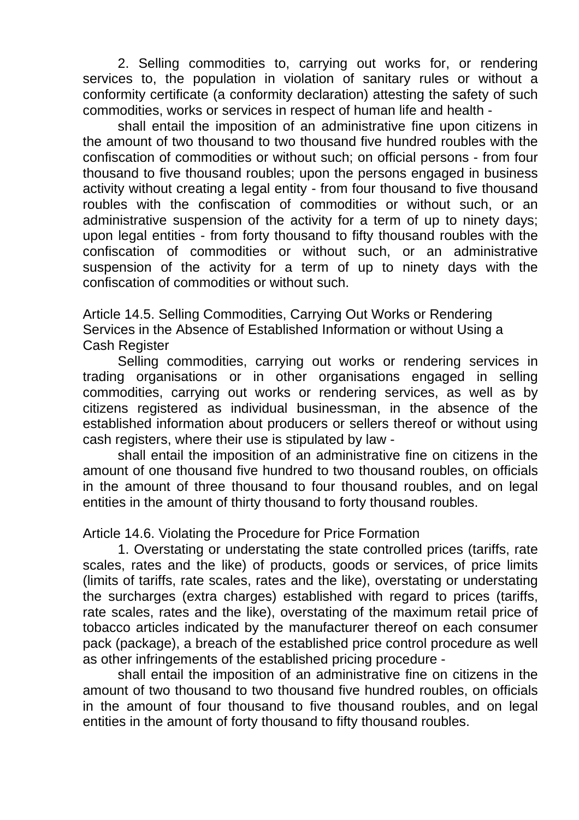2. Selling commodities to, carrying out works for, or rendering services to, the population in violation of sanitary rules or without a conformity certificate (a conformity declaration) attesting the safety of such commodities, works or services in respect of human life and health -

shall entail the imposition of an administrative fine upon citizens in the amount of two thousand to two thousand five hundred roubles with the confiscation of commodities or without such; on official persons - from four thousand to five thousand roubles; upon the persons engaged in business activity without creating a legal entity - from four thousand to five thousand roubles with the confiscation of commodities or without such, or an administrative suspension of the activity for a term of up to ninety days; upon legal entities - from forty thousand to fifty thousand roubles with the confiscation of commodities or without such, or an administrative suspension of the activity for a term of up to ninety days with the confiscation of commodities or without such.

Article 14.5. Selling Commodities, Carrying Out Works or Rendering Services in the Absence of Established Information or without Using a Cash Register

Selling commodities, carrying out works or rendering services in trading organisations or in other organisations engaged in selling commodities, carrying out works or rendering services, as well as by citizens registered as individual businessman, in the absence of the established information about producers or sellers thereof or without using cash registers, where their use is stipulated by law -

shall entail the imposition of an administrative fine on citizens in the amount of one thousand five hundred to two thousand roubles, on officials in the amount of three thousand to four thousand roubles, and on legal entities in the amount of thirty thousand to forty thousand roubles.

Article 14.6. Violating the Procedure for Price Formation

1. Overstating or understating the state controlled prices (tariffs, rate scales, rates and the like) of products, goods or services, of price limits (limits of tariffs, rate scales, rates and the like), overstating or understating the surcharges (extra charges) established with regard to prices (tariffs, rate scales, rates and the like), overstating of the maximum retail price of tobacco articles indicated by the manufacturer thereof on each consumer pack (package), a breach of the established price control procedure as well as other infringements of the established pricing procedure -

shall entail the imposition of an administrative fine on citizens in the amount of two thousand to two thousand five hundred roubles, on officials in the amount of four thousand to five thousand roubles, and on legal entities in the amount of forty thousand to fifty thousand roubles.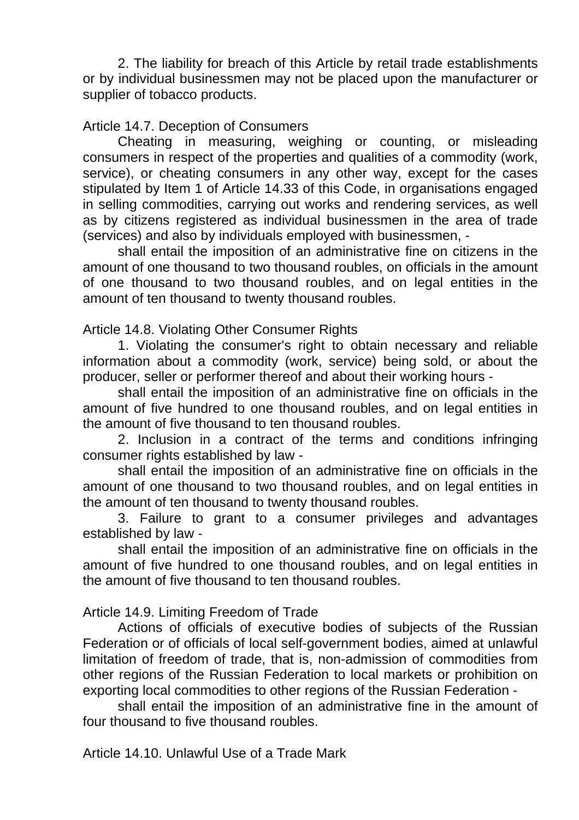2. The liability for breach of this Article by retail trade establishments or by individual businessmen may not be placed upon the manufacturer or supplier of tobacco products.

Article 14.7. Deception of Consumers

Cheating in measuring, weighing or counting, or misleading consumers in respect of the properties and qualities of a commodity (work, service), or cheating consumers in any other way, except for the cases stipulated by Item 1 of Article 14.33 of this Code, in organisations engaged in selling commodities, carrying out works and rendering services, as well as by citizens registered as individual businessmen in the area of trade (services) and also by individuals employed with businessmen, -

shall entail the imposition of an administrative fine on citizens in the amount of one thousand to two thousand roubles, on officials in the amount of one thousand to two thousand roubles, and on legal entities in the amount of ten thousand to twenty thousand roubles.

Article 14.8. Violating Other Consumer Rights

1. Violating the consumer's right to obtain necessary and reliable information about a commodity (work, service) being sold, or about the producer, seller or performer thereof and about their working hours -

shall entail the imposition of an administrative fine on officials in the amount of five hundred to one thousand roubles, and on legal entities in the amount of five thousand to ten thousand roubles.

2. Inclusion in a contract of the terms and conditions infringing consumer rights established by law -

shall entail the imposition of an administrative fine on officials in the amount of one thousand to two thousand roubles, and on legal entities in the amount of ten thousand to twenty thousand roubles.

3. Failure to grant to a consumer privileges and advantages established by law -

shall entail the imposition of an administrative fine on officials in the amount of five hundred to one thousand roubles, and on legal entities in the amount of five thousand to ten thousand roubles.

Article 14.9. Limiting Freedom of Trade

Actions of officials of executive bodies of subjects of the Russian Federation or of officials of local self-government bodies, aimed at unlawful limitation of freedom of trade, that is, non-admission of commodities from other regions of the Russian Federation to local markets or prohibition on exporting local commodities to other regions of the Russian Federation -

shall entail the imposition of an administrative fine in the amount of four thousand to five thousand roubles.

Article 14.10. Unlawful Use of a Trade Mark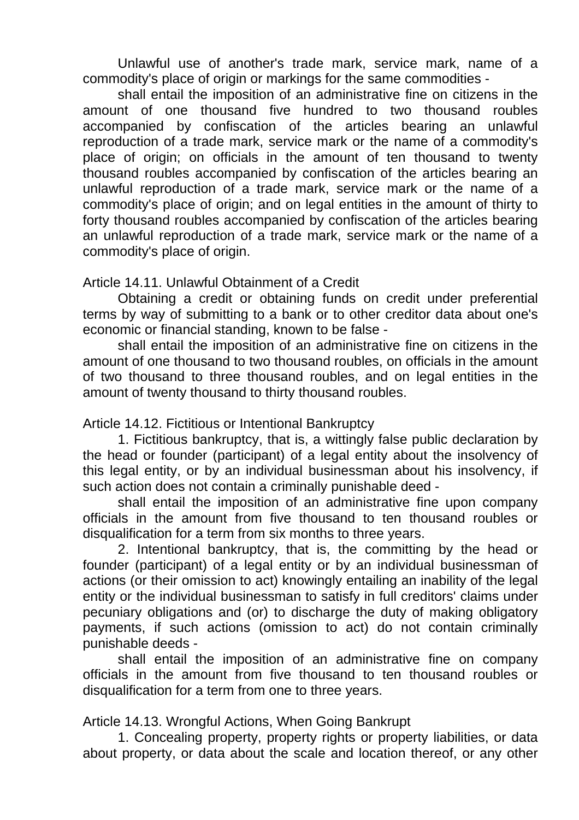Unlawful use of another's trade mark, service mark, name of a commodity's place of origin or markings for the same commodities -

shall entail the imposition of an administrative fine on citizens in the amount of one thousand five hundred to two thousand roubles accompanied by confiscation of the articles bearing an unlawful reproduction of a trade mark, service mark or the name of a commodity's place of origin; on officials in the amount of ten thousand to twenty thousand roubles accompanied by confiscation of the articles bearing an unlawful reproduction of a trade mark, service mark or the name of a commodity's place of origin; and on legal entities in the amount of thirty to forty thousand roubles accompanied by confiscation of the articles bearing an unlawful reproduction of a trade mark, service mark or the name of a commodity's place of origin.

## Article 14.11. Unlawful Obtainment of a Credit

Obtaining a credit or obtaining funds on credit under preferential terms by way of submitting to a bank or to other creditor data about one's economic or financial standing, known to be false -

shall entail the imposition of an administrative fine on citizens in the amount of one thousand to two thousand roubles, on officials in the amount of two thousand to three thousand roubles, and on legal entities in the amount of twenty thousand to thirty thousand roubles.

Article 14.12. Fictitious or Intentional Bankruptcy

1. Fictitious bankruptcy, that is, a wittingly false public declaration by the head or founder (participant) of a legal entity about the insolvency of this legal entity, or by an individual businessman about his insolvency, if such action does not contain a criminally punishable deed -

shall entail the imposition of an administrative fine upon company officials in the amount from five thousand to ten thousand roubles or disqualification for a term from six months to three years.

2. Intentional bankruptcy, that is, the committing by the head or founder (participant) of a legal entity or by an individual businessman of actions (or their omission to act) knowingly entailing an inability of the legal entity or the individual businessman to satisfy in full creditors' claims under pecuniary obligations and (or) to discharge the duty of making obligatory payments, if such actions (omission to act) do not contain criminally punishable deeds -

shall entail the imposition of an administrative fine on company officials in the amount from five thousand to ten thousand roubles or disqualification for a term from one to three years.

Article 14.13. Wrongful Actions, When Going Bankrupt

1. Concealing property, property rights or property liabilities, or data about property, or data about the scale and location thereof, or any other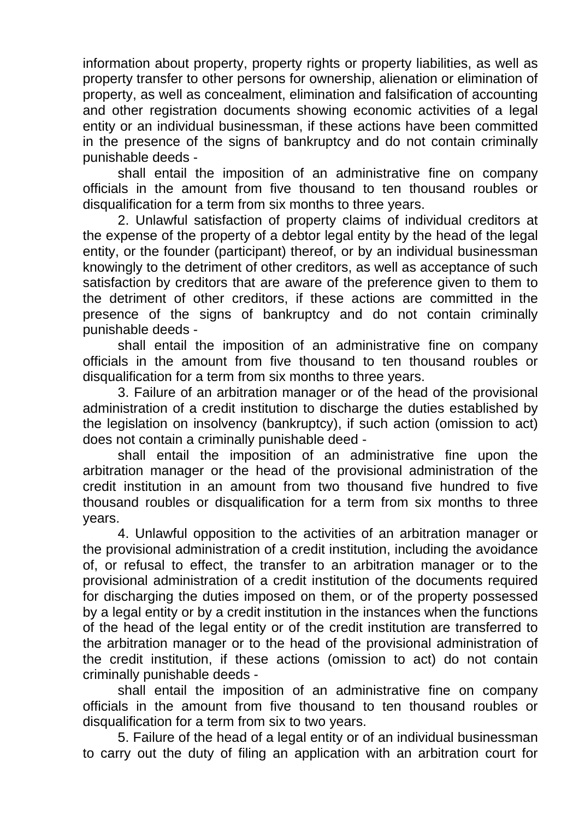information about property, property rights or property liabilities, as well as property transfer to other persons for ownership, alienation or elimination of property, as well as concealment, elimination and falsification of accounting and other registration documents showing economic activities of a legal entity or an individual businessman, if these actions have been committed in the presence of the signs of bankruptcy and do not contain criminally punishable deeds -

shall entail the imposition of an administrative fine on company officials in the amount from five thousand to ten thousand roubles or disqualification for a term from six months to three years.

2. Unlawful satisfaction of property claims of individual creditors at the expense of the property of a debtor legal entity by the head of the legal entity, or the founder (participant) thereof, or by an individual businessman knowingly to the detriment of other creditors, as well as acceptance of such satisfaction by creditors that are aware of the preference given to them to the detriment of other creditors, if these actions are committed in the presence of the signs of bankruptcy and do not contain criminally punishable deeds -

shall entail the imposition of an administrative fine on company officials in the amount from five thousand to ten thousand roubles or disqualification for a term from six months to three years.

3. Failure of an arbitration manager or of the head of the provisional administration of a credit institution to discharge the duties established by the legislation on insolvency (bankruptcy), if such action (omission to act) does not contain a criminally punishable deed -

shall entail the imposition of an administrative fine upon the arbitration manager or the head of the provisional administration of the credit institution in an amount from two thousand five hundred to five thousand roubles or disqualification for a term from six months to three years.

4. Unlawful opposition to the activities of an arbitration manager or the provisional administration of a credit institution, including the avoidance of, or refusal to effect, the transfer to an arbitration manager or to the provisional administration of a credit institution of the documents required for discharging the duties imposed on them, or of the property possessed by a legal entity or by a credit institution in the instances when the functions of the head of the legal entity or of the credit institution are transferred to the arbitration manager or to the head of the provisional administration of the credit institution, if these actions (omission to act) do not contain criminally punishable deeds -

shall entail the imposition of an administrative fine on company officials in the amount from five thousand to ten thousand roubles or disqualification for a term from six to two years.

5. Failure of the head of a legal entity or of an individual businessman to carry out the duty of filing an application with an arbitration court for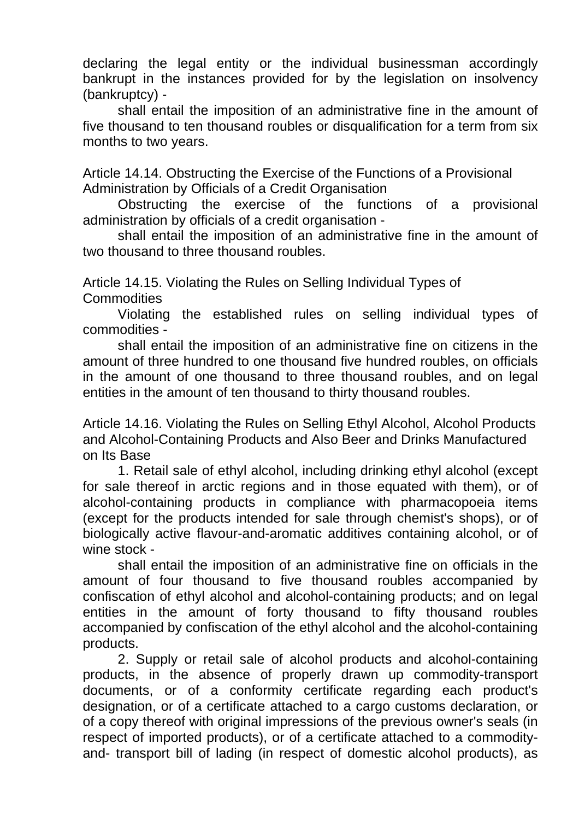declaring the legal entity or the individual businessman accordingly bankrupt in the instances provided for by the legislation on insolvency (bankruptcy) -

shall entail the imposition of an administrative fine in the amount of five thousand to ten thousand roubles or disqualification for a term from six months to two years.

Article 14.14. Obstructing the Exercise of the Functions of a Provisional Administration by Officials of a Credit Organisation

Obstructing the exercise of the functions of a provisional administration by officials of a credit organisation -

shall entail the imposition of an administrative fine in the amount of two thousand to three thousand roubles.

Article 14.15. Violating the Rules on Selling Individual Types of **Commodities** 

Violating the established rules on selling individual types of commodities -

shall entail the imposition of an administrative fine on citizens in the amount of three hundred to one thousand five hundred roubles, on officials in the amount of one thousand to three thousand roubles, and on legal entities in the amount of ten thousand to thirty thousand roubles.

Article 14.16. Violating the Rules on Selling Ethyl Alcohol, Alcohol Products and Alcohol-Containing Products and Also Beer and Drinks Manufactured on Its Base

1. Retail sale of ethyl alcohol, including drinking ethyl alcohol (except for sale thereof in arctic regions and in those equated with them), or of alcohol-containing products in compliance with pharmacopoeia items (except for the products intended for sale through chemist's shops), or of biologically active flavour-and-aromatic additives containing alcohol, or of wine stock -

shall entail the imposition of an administrative fine on officials in the amount of four thousand to five thousand roubles accompanied by confiscation of ethyl alcohol and alcohol-containing products; and on legal entities in the amount of forty thousand to fifty thousand roubles accompanied by confiscation of the ethyl alcohol and the alcohol-containing products.

2. Supply or retail sale of alcohol products and alcohol-containing products, in the absence of properly drawn up commodity-transport documents, or of a conformity certificate regarding each product's designation, or of a certificate attached to a cargo customs declaration, or of a copy thereof with original impressions of the previous owner's seals (in respect of imported products), or of a certificate attached to a commodityand- transport bill of lading (in respect of domestic alcohol products), as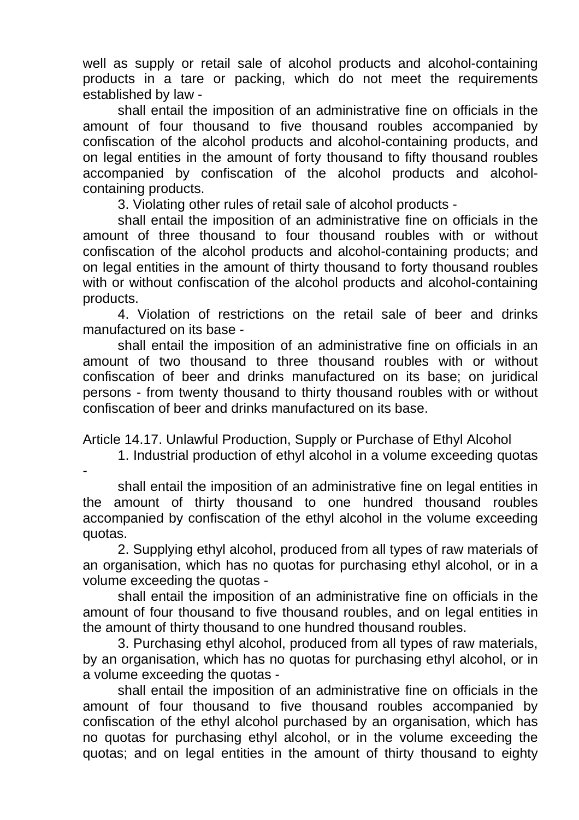well as supply or retail sale of alcohol products and alcohol-containing products in a tare or packing, which do not meet the requirements established by law -

shall entail the imposition of an administrative fine on officials in the amount of four thousand to five thousand roubles accompanied by confiscation of the alcohol products and alcohol-containing products, and on legal entities in the amount of forty thousand to fifty thousand roubles accompanied by confiscation of the alcohol products and alcoholcontaining products.

3. Violating other rules of retail sale of alcohol products -

shall entail the imposition of an administrative fine on officials in the amount of three thousand to four thousand roubles with or without confiscation of the alcohol products and alcohol-containing products; and on legal entities in the amount of thirty thousand to forty thousand roubles with or without confiscation of the alcohol products and alcohol-containing products.

4. Violation of restrictions on the retail sale of beer and drinks manufactured on its base -

shall entail the imposition of an administrative fine on officials in an amount of two thousand to three thousand roubles with or without confiscation of beer and drinks manufactured on its base; on juridical persons - from twenty thousand to thirty thousand roubles with or without confiscation of beer and drinks manufactured on its base.

Article 14.17. Unlawful Production, Supply or Purchase of Ethyl Alcohol

1. Industrial production of ethyl alcohol in a volume exceeding quotas

-

shall entail the imposition of an administrative fine on legal entities in the amount of thirty thousand to one hundred thousand roubles accompanied by confiscation of the ethyl alcohol in the volume exceeding quotas.

2. Supplying ethyl alcohol, produced from all types of raw materials of an organisation, which has no quotas for purchasing ethyl alcohol, or in a volume exceeding the quotas -

shall entail the imposition of an administrative fine on officials in the amount of four thousand to five thousand roubles, and on legal entities in the amount of thirty thousand to one hundred thousand roubles.

3. Purchasing ethyl alcohol, produced from all types of raw materials, by an organisation, which has no quotas for purchasing ethyl alcohol, or in a volume exceeding the quotas -

shall entail the imposition of an administrative fine on officials in the amount of four thousand to five thousand roubles accompanied by confiscation of the ethyl alcohol purchased by an organisation, which has no quotas for purchasing ethyl alcohol, or in the volume exceeding the quotas; and on legal entities in the amount of thirty thousand to eighty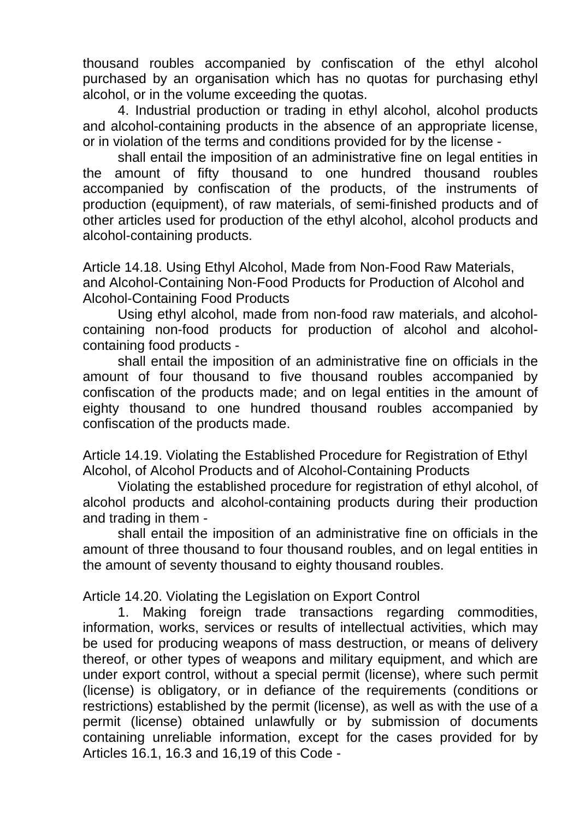thousand roubles accompanied by confiscation of the ethyl alcohol purchased by an organisation which has no quotas for purchasing ethyl alcohol, or in the volume exceeding the quotas.

4. Industrial production or trading in ethyl alcohol, alcohol products and alcohol-containing products in the absence of an appropriate license, or in violation of the terms and conditions provided for by the license -

shall entail the imposition of an administrative fine on legal entities in the amount of fifty thousand to one hundred thousand roubles accompanied by confiscation of the products, of the instruments of production (equipment), of raw materials, of semi-finished products and of other articles used for production of the ethyl alcohol, alcohol products and alcohol-containing products.

Article 14.18. Using Ethyl Alcohol, Made from Non-Food Raw Materials, and Alcohol-Containing Non-Food Products for Production of Alcohol and Alcohol-Containing Food Products

Using ethyl alcohol, made from non-food raw materials, and alcoholcontaining non-food products for production of alcohol and alcoholcontaining food products -

shall entail the imposition of an administrative fine on officials in the amount of four thousand to five thousand roubles accompanied by confiscation of the products made; and on legal entities in the amount of eighty thousand to one hundred thousand roubles accompanied by confiscation of the products made.

Article 14.19. Violating the Established Procedure for Registration of Ethyl Alcohol, of Alcohol Products and of Alcohol-Containing Products

Violating the established procedure for registration of ethyl alcohol, of alcohol products and alcohol-containing products during their production and trading in them -

shall entail the imposition of an administrative fine on officials in the amount of three thousand to four thousand roubles, and on legal entities in the amount of seventy thousand to eighty thousand roubles.

Article 14.20. Violating the Legislation on Export Control

1. Making foreign trade transactions regarding commodities, information, works, services or results of intellectual activities, which may be used for producing weapons of mass destruction, or means of delivery thereof, or other types of weapons and military equipment, and which are under export control, without a special permit (license), where such permit (license) is obligatory, or in defiance of the requirements (conditions or restrictions) established by the permit (license), as well as with the use of a permit (license) obtained unlawfully or by submission of documents containing unreliable information, except for the cases provided for by Articles 16.1, 16.3 and 16,19 of this Code -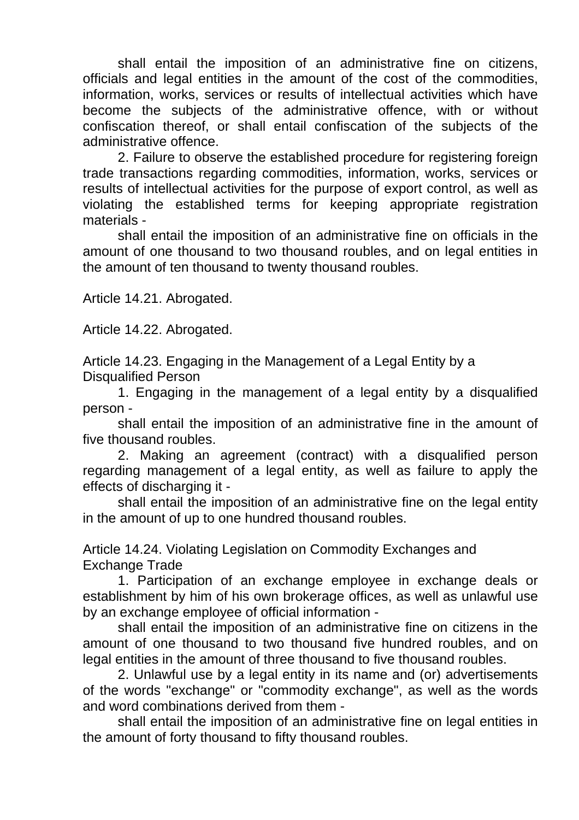shall entail the imposition of an administrative fine on citizens, officials and legal entities in the amount of the cost of the commodities, information, works, services or results of intellectual activities which have become the subjects of the administrative offence, with or without confiscation thereof, or shall entail confiscation of the subjects of the administrative offence.

2. Failure to observe the established procedure for registering foreign trade transactions regarding commodities, information, works, services or results of intellectual activities for the purpose of export control, as well as violating the established terms for keeping appropriate registration materials -

shall entail the imposition of an administrative fine on officials in the amount of one thousand to two thousand roubles, and on legal entities in the amount of ten thousand to twenty thousand roubles.

Article 14.21. Abrogated.

Article 14.22. Abrogated.

Article 14.23. Engaging in the Management of a Legal Entity by a Disqualified Person

1. Engaging in the management of a legal entity by a disqualified person -

shall entail the imposition of an administrative fine in the amount of five thousand roubles.

2. Making an agreement (contract) with a disqualified person regarding management of a legal entity, as well as failure to apply the effects of discharging it -

shall entail the imposition of an administrative fine on the legal entity in the amount of up to one hundred thousand roubles.

Article 14.24. Violating Legislation on Commodity Exchanges and Exchange Trade

1. Participation of an exchange employee in exchange deals or establishment by him of his own brokerage offices, as well as unlawful use by an exchange employee of official information -

shall entail the imposition of an administrative fine on citizens in the amount of one thousand to two thousand five hundred roubles, and on legal entities in the amount of three thousand to five thousand roubles.

2. Unlawful use by a legal entity in its name and (or) advertisements of the words "exchange" or "commodity exchange", as well as the words and word combinations derived from them -

shall entail the imposition of an administrative fine on legal entities in the amount of forty thousand to fifty thousand roubles.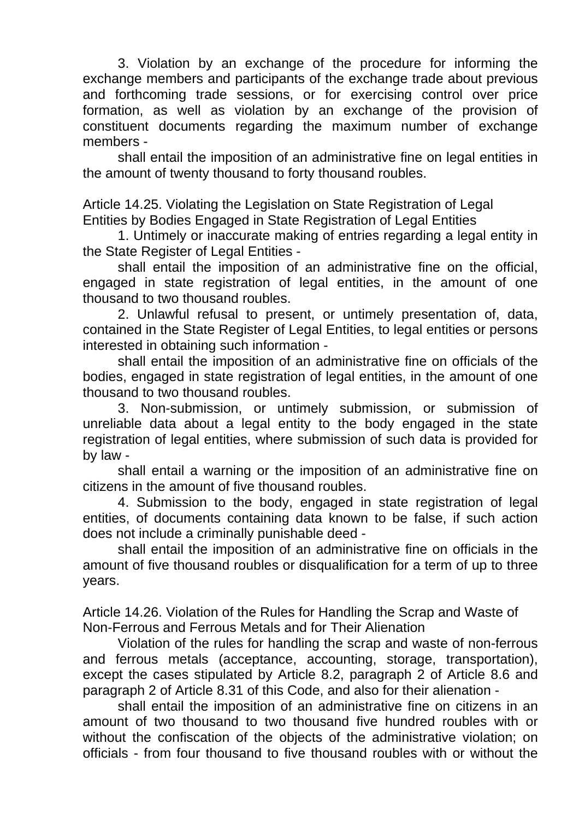3. Violation by an exchange of the procedure for informing the exchange members and participants of the exchange trade about previous and forthcoming trade sessions, or for exercising control over price formation, as well as violation by an exchange of the provision of constituent documents regarding the maximum number of exchange members -

shall entail the imposition of an administrative fine on legal entities in the amount of twenty thousand to forty thousand roubles.

Article 14.25. Violating the Legislation on State Registration of Legal Entities by Bodies Engaged in State Registration of Legal Entities

1. Untimely or inaccurate making of entries regarding a legal entity in the State Register of Legal Entities -

shall entail the imposition of an administrative fine on the official, engaged in state registration of legal entities, in the amount of one thousand to two thousand roubles.

2. Unlawful refusal to present, or untimely presentation of, data, contained in the State Register of Legal Entities, to legal entities or persons interested in obtaining such information -

shall entail the imposition of an administrative fine on officials of the bodies, engaged in state registration of legal entities, in the amount of one thousand to two thousand roubles.

3. Non-submission, or untimely submission, or submission of unreliable data about a legal entity to the body engaged in the state registration of legal entities, where submission of such data is provided for by law -

shall entail a warning or the imposition of an administrative fine on citizens in the amount of five thousand roubles.

4. Submission to the body, engaged in state registration of legal entities, of documents containing data known to be false, if such action does not include a criminally punishable deed -

shall entail the imposition of an administrative fine on officials in the amount of five thousand roubles or disqualification for a term of up to three years.

Article 14.26. Violation of the Rules for Handling the Scrap and Waste of Non-Ferrous and Ferrous Metals and for Their Alienation

Violation of the rules for handling the scrap and waste of non-ferrous and ferrous metals (acceptance, accounting, storage, transportation), except the cases stipulated by Article 8.2, paragraph 2 of Article 8.6 and paragraph 2 of Article 8.31 of this Code, and also for their alienation -

shall entail the imposition of an administrative fine on citizens in an amount of two thousand to two thousand five hundred roubles with or without the confiscation of the objects of the administrative violation; on officials - from four thousand to five thousand roubles with or without the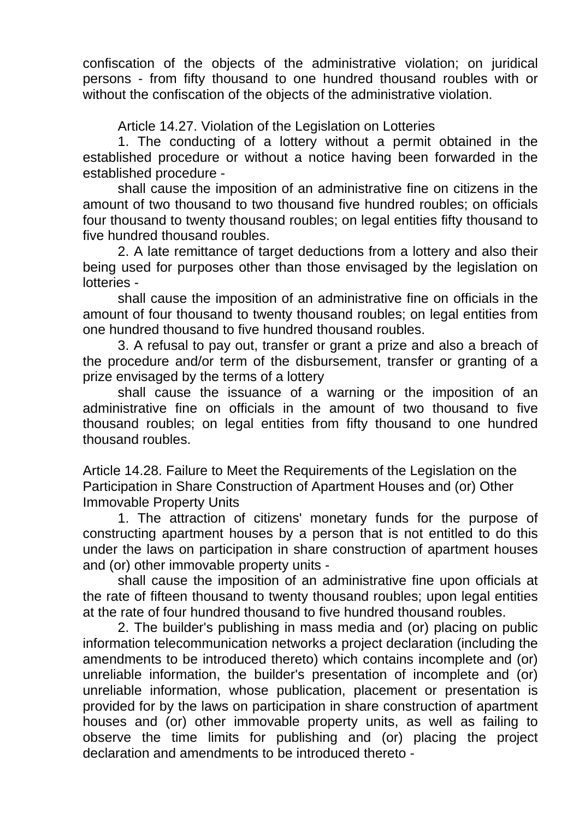confiscation of the objects of the administrative violation; on juridical persons - from fifty thousand to one hundred thousand roubles with or without the confiscation of the objects of the administrative violation.

Article 14.27. Violation of the Legislation on Lotteries

1. The conducting of a lottery without a permit obtained in the established procedure or without a notice having been forwarded in the established procedure -

shall cause the imposition of an administrative fine on citizens in the amount of two thousand to two thousand five hundred roubles; on officials four thousand to twenty thousand roubles; on legal entities fifty thousand to five hundred thousand roubles.

2. A late remittance of target deductions from a lottery and also their being used for purposes other than those envisaged by the legislation on lotteries -

shall cause the imposition of an administrative fine on officials in the amount of four thousand to twenty thousand roubles; on legal entities from one hundred thousand to five hundred thousand roubles.

3. A refusal to pay out, transfer or grant a prize and also a breach of the procedure and/or term of the disbursement, transfer or granting of a prize envisaged by the terms of a lottery

shall cause the issuance of a warning or the imposition of an administrative fine on officials in the amount of two thousand to five thousand roubles; on legal entities from fifty thousand to one hundred thousand roubles.

Article 14.28. Failure to Meet the Requirements of the Legislation on the Participation in Share Construction of Apartment Houses and (or) Other Immovable Property Units

1. The attraction of citizens' monetary funds for the purpose of constructing apartment houses by a person that is not entitled to do this under the laws on participation in share construction of apartment houses and (or) other immovable property units -

shall cause the imposition of an administrative fine upon officials at the rate of fifteen thousand to twenty thousand roubles; upon legal entities at the rate of four hundred thousand to five hundred thousand roubles.

2. The builder's publishing in mass media and (or) placing on public information telecommunication networks a project declaration (including the amendments to be introduced thereto) which contains incomplete and (or) unreliable information, the builder's presentation of incomplete and (or) unreliable information, whose publication, placement or presentation is provided for by the laws on participation in share construction of apartment houses and (or) other immovable property units, as well as failing to observe the time limits for publishing and (or) placing the project declaration and amendments to be introduced thereto -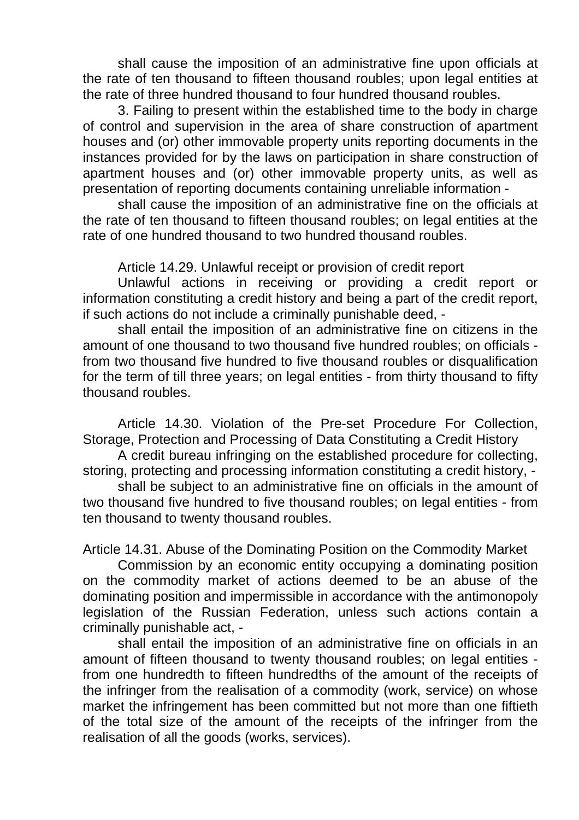shall cause the imposition of an administrative fine upon officials at the rate of ten thousand to fifteen thousand roubles; upon legal entities at the rate of three hundred thousand to four hundred thousand roubles.

3. Failing to present within the established time to the body in charge of control and supervision in the area of share construction of apartment houses and (or) other immovable property units reporting documents in the instances provided for by the laws on participation in share construction of apartment houses and (or) other immovable property units, as well as presentation of reporting documents containing unreliable information -

shall cause the imposition of an administrative fine on the officials at the rate of ten thousand to fifteen thousand roubles; on legal entities at the rate of one hundred thousand to two hundred thousand roubles.

Article 14.29. Unlawful receipt or provision of credit report

Unlawful actions in receiving or providing a credit report or information constituting a credit history and being a part of the credit report, if such actions do not include a criminally punishable deed, -

shall entail the imposition of an administrative fine on citizens in the amount of one thousand to two thousand five hundred roubles; on officials from two thousand five hundred to five thousand roubles or disqualification for the term of till three years; on legal entities - from thirty thousand to fifty thousand roubles.

Article 14.30. Violation of the Pre-set Procedure For Collection, Storage, Protection and Processing of Data Constituting a Credit History

A credit bureau infringing on the established procedure for collecting, storing, protecting and processing information constituting a credit history, -

shall be subject to an administrative fine on officials in the amount of two thousand five hundred to five thousand roubles; on legal entities - from ten thousand to twenty thousand roubles.

Article 14.31. Abuse of the Dominating Position on the Commodity Market

Commission by an economic entity occupying a dominating position on the commodity market of actions deemed to be an abuse of the dominating position and impermissible in accordance with the antimonopoly legislation of the Russian Federation, unless such actions contain a criminally punishable act, -

shall entail the imposition of an administrative fine on officials in an amount of fifteen thousand to twenty thousand roubles; on legal entities from one hundredth to fifteen hundredths of the amount of the receipts of the infringer from the realisation of a commodity (work, service) on whose market the infringement has been committed but not more than one fiftieth of the total size of the amount of the receipts of the infringer from the realisation of all the goods (works, services).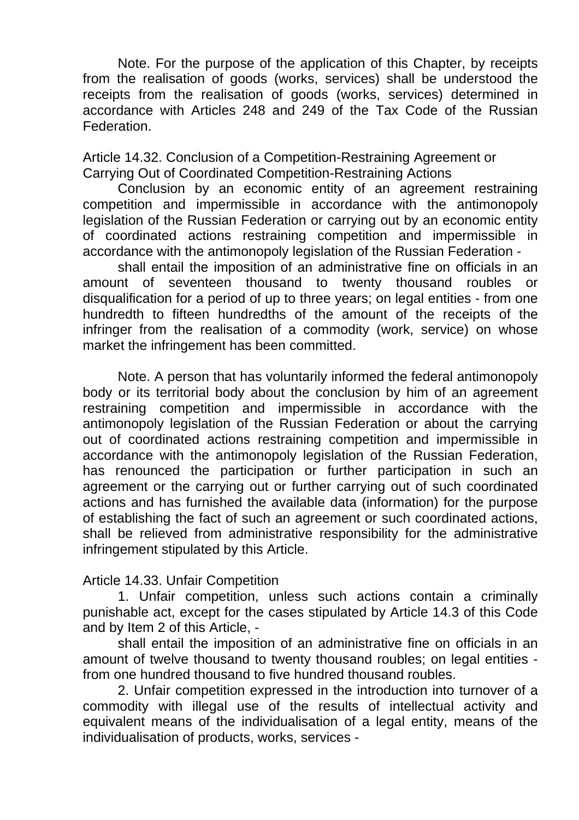Note. For the purpose of the application of this Chapter, by receipts from the realisation of goods (works, services) shall be understood the receipts from the realisation of goods (works, services) determined in accordance with Articles 248 and 249 of the Tax Code of the Russian **Federation** 

Article 14.32. Conclusion of a Competition-Restraining Agreement or Carrying Out of Coordinated Competition-Restraining Actions

Conclusion by an economic entity of an agreement restraining competition and impermissible in accordance with the antimonopoly legislation of the Russian Federation or carrying out by an economic entity of coordinated actions restraining competition and impermissible in accordance with the antimonopoly legislation of the Russian Federation -

shall entail the imposition of an administrative fine on officials in an amount of seventeen thousand to twenty thousand roubles or disqualification for a period of up to three years; on legal entities - from one hundredth to fifteen hundredths of the amount of the receipts of the infringer from the realisation of a commodity (work, service) on whose market the infringement has been committed.

Note. A person that has voluntarily informed the federal antimonopoly body or its territorial body about the conclusion by him of an agreement restraining competition and impermissible in accordance with the antimonopoly legislation of the Russian Federation or about the carrying out of coordinated actions restraining competition and impermissible in accordance with the antimonopoly legislation of the Russian Federation, has renounced the participation or further participation in such an agreement or the carrying out or further carrying out of such coordinated actions and has furnished the available data (information) for the purpose of establishing the fact of such an agreement or such coordinated actions, shall be relieved from administrative responsibility for the administrative infringement stipulated by this Article.

## Article 14.33. Unfair Competition

1. Unfair competition, unless such actions contain a criminally punishable act, except for the cases stipulated by Article 14.3 of this Code and by Item 2 of this Article, -

shall entail the imposition of an administrative fine on officials in an amount of twelve thousand to twenty thousand roubles; on legal entities from one hundred thousand to five hundred thousand roubles.

2. Unfair competition expressed in the introduction into turnover of a commodity with illegal use of the results of intellectual activity and equivalent means of the individualisation of a legal entity, means of the individualisation of products, works, services -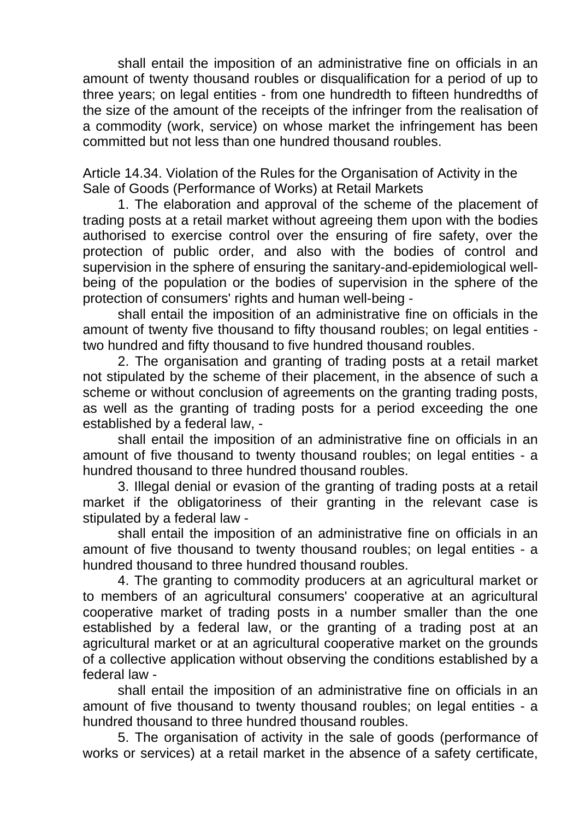shall entail the imposition of an administrative fine on officials in an amount of twenty thousand roubles or disqualification for a period of up to three years; on legal entities - from one hundredth to fifteen hundredths of the size of the amount of the receipts of the infringer from the realisation of a commodity (work, service) on whose market the infringement has been committed but not less than one hundred thousand roubles.

Article 14.34. Violation of the Rules for the Organisation of Activity in the Sale of Goods (Performance of Works) at Retail Markets

1. The elaboration and approval of the scheme of the placement of trading posts at a retail market without agreeing them upon with the bodies authorised to exercise control over the ensuring of fire safety, over the protection of public order, and also with the bodies of control and supervision in the sphere of ensuring the sanitary-and-epidemiological wellbeing of the population or the bodies of supervision in the sphere of the protection of consumers' rights and human well-being -

shall entail the imposition of an administrative fine on officials in the amount of twenty five thousand to fifty thousand roubles; on legal entities two hundred and fifty thousand to five hundred thousand roubles.

2. The organisation and granting of trading posts at a retail market not stipulated by the scheme of their placement, in the absence of such a scheme or without conclusion of agreements on the granting trading posts, as well as the granting of trading posts for a period exceeding the one established by a federal law, -

shall entail the imposition of an administrative fine on officials in an amount of five thousand to twenty thousand roubles; on legal entities - a hundred thousand to three hundred thousand roubles.

3. Illegal denial or evasion of the granting of trading posts at a retail market if the obligatoriness of their granting in the relevant case is stipulated by a federal law -

shall entail the imposition of an administrative fine on officials in an amount of five thousand to twenty thousand roubles; on legal entities - a hundred thousand to three hundred thousand roubles.

4. The granting to commodity producers at an agricultural market or to members of an agricultural consumers' cooperative at an agricultural cooperative market of trading posts in a number smaller than the one established by a federal law, or the granting of a trading post at an agricultural market or at an agricultural cooperative market on the grounds of a collective application without observing the conditions established by a federal law -

shall entail the imposition of an administrative fine on officials in an amount of five thousand to twenty thousand roubles; on legal entities - a hundred thousand to three hundred thousand roubles.

5. The organisation of activity in the sale of goods (performance of works or services) at a retail market in the absence of a safety certificate,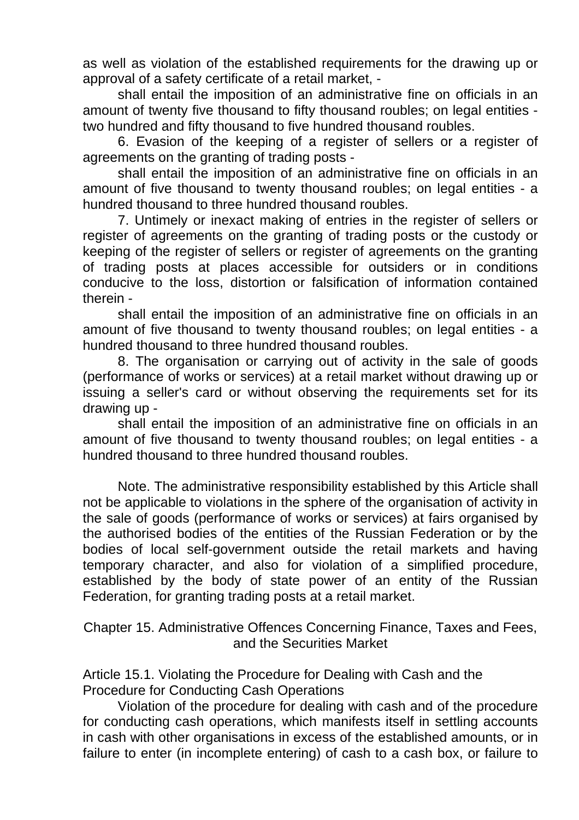as well as violation of the established requirements for the drawing up or approval of a safety certificate of a retail market, -

shall entail the imposition of an administrative fine on officials in an amount of twenty five thousand to fifty thousand roubles; on legal entities two hundred and fifty thousand to five hundred thousand roubles.

6. Evasion of the keeping of a register of sellers or a register of agreements on the granting of trading posts -

shall entail the imposition of an administrative fine on officials in an amount of five thousand to twenty thousand roubles; on legal entities - a hundred thousand to three hundred thousand roubles.

7. Untimely or inexact making of entries in the register of sellers or register of agreements on the granting of trading posts or the custody or keeping of the register of sellers or register of agreements on the granting of trading posts at places accessible for outsiders or in conditions conducive to the loss, distortion or falsification of information contained therein -

shall entail the imposition of an administrative fine on officials in an amount of five thousand to twenty thousand roubles; on legal entities - a hundred thousand to three hundred thousand roubles.

8. The organisation or carrying out of activity in the sale of goods (performance of works or services) at a retail market without drawing up or issuing a seller's card or without observing the requirements set for its drawing up -

shall entail the imposition of an administrative fine on officials in an amount of five thousand to twenty thousand roubles; on legal entities - a hundred thousand to three hundred thousand roubles.

Note. The administrative responsibility established by this Article shall not be applicable to violations in the sphere of the organisation of activity in the sale of goods (performance of works or services) at fairs organised by the authorised bodies of the entities of the Russian Federation or by the bodies of local self-government outside the retail markets and having temporary character, and also for violation of a simplified procedure, established by the body of state power of an entity of the Russian Federation, for granting trading posts at a retail market.

Chapter 15. Administrative Offences Concerning Finance, Taxes and Fees, and the Securities Market

Article 15.1. Violating the Procedure for Dealing with Cash and the Procedure for Conducting Cash Operations

Violation of the procedure for dealing with cash and of the procedure for conducting cash operations, which manifests itself in settling accounts in cash with other organisations in excess of the established amounts, or in failure to enter (in incomplete entering) of cash to a cash box, or failure to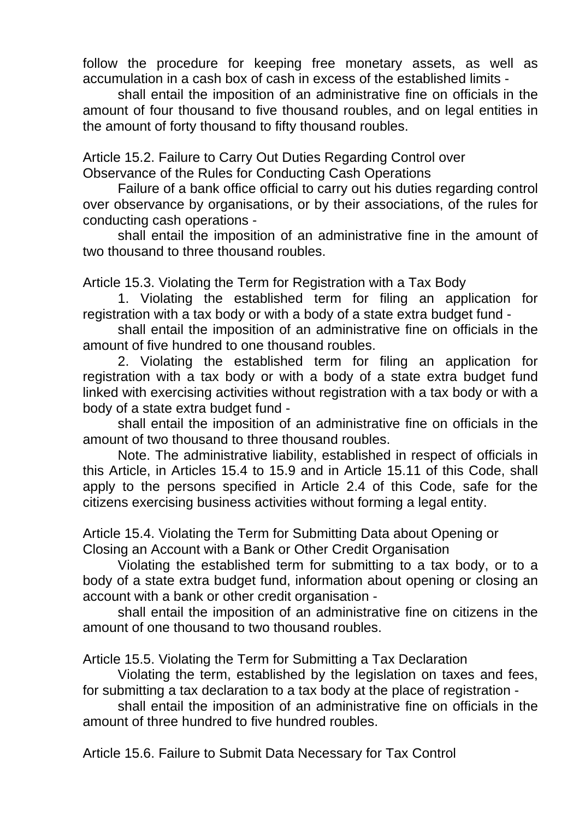follow the procedure for keeping free monetary assets, as well as accumulation in a cash box of cash in excess of the established limits -

shall entail the imposition of an administrative fine on officials in the amount of four thousand to five thousand roubles, and on legal entities in the amount of forty thousand to fifty thousand roubles.

Article 15.2. Failure to Carry Out Duties Regarding Control over Observance of the Rules for Conducting Cash Operations

Failure of a bank office official to carry out his duties regarding control over observance by organisations, or by their associations, of the rules for conducting cash operations -

shall entail the imposition of an administrative fine in the amount of two thousand to three thousand roubles.

Article 15.3. Violating the Term for Registration with a Tax Body

1. Violating the established term for filing an application for registration with a tax body or with a body of a state extra budget fund -

shall entail the imposition of an administrative fine on officials in the amount of five hundred to one thousand roubles.

2. Violating the established term for filing an application for registration with a tax body or with a body of a state extra budget fund linked with exercising activities without registration with a tax body or with a body of a state extra budget fund -

shall entail the imposition of an administrative fine on officials in the amount of two thousand to three thousand roubles.

Note. The administrative liability, established in respect of officials in this Article, in Articles 15.4 to 15.9 and in Article 15.11 of this Code, shall apply to the persons specified in Article 2.4 of this Code, safe for the citizens exercising business activities without forming a legal entity.

Article 15.4. Violating the Term for Submitting Data about Opening or Closing an Account with a Bank or Other Credit Organisation

Violating the established term for submitting to a tax body, or to a body of a state extra budget fund, information about opening or closing an account with a bank or other credit organisation -

shall entail the imposition of an administrative fine on citizens in the amount of one thousand to two thousand roubles.

Article 15.5. Violating the Term for Submitting a Tax Declaration

Violating the term, established by the legislation on taxes and fees, for submitting a tax declaration to a tax body at the place of registration -

shall entail the imposition of an administrative fine on officials in the amount of three hundred to five hundred roubles.

Article 15.6. Failure to Submit Data Necessary for Tax Control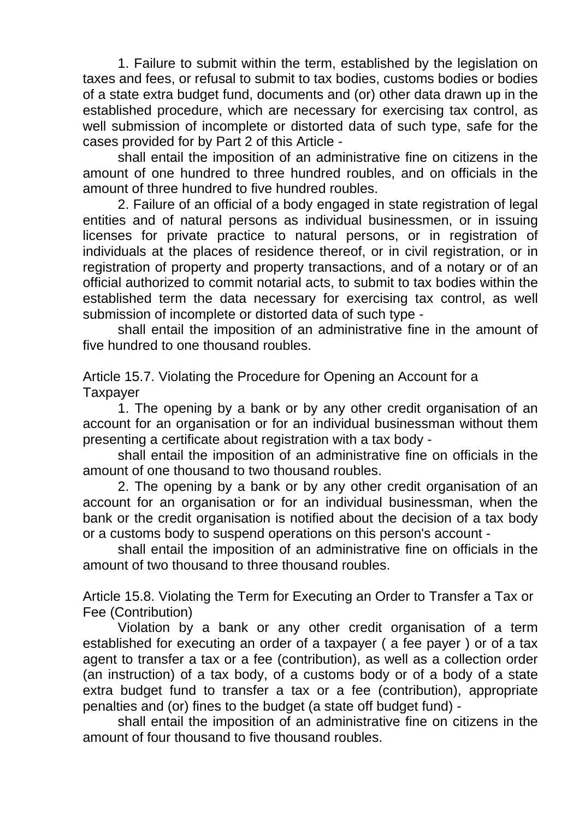1. Failure to submit within the term, established by the legislation on taxes and fees, or refusal to submit to tax bodies, customs bodies or bodies of a state extra budget fund, documents and (or) other data drawn up in the established procedure, which are necessary for exercising tax control, as well submission of incomplete or distorted data of such type, safe for the cases provided for by Part 2 of this Article -

shall entail the imposition of an administrative fine on citizens in the amount of one hundred to three hundred roubles, and on officials in the amount of three hundred to five hundred roubles.

2. Failure of an official of a body engaged in state registration of legal entities and of natural persons as individual businessmen, or in issuing licenses for private practice to natural persons, or in registration of individuals at the places of residence thereof, or in civil registration, or in registration of property and property transactions, and of a notary or of an official authorized to commit notarial acts, to submit to tax bodies within the established term the data necessary for exercising tax control, as well submission of incomplete or distorted data of such type -

shall entail the imposition of an administrative fine in the amount of five hundred to one thousand roubles.

Article 15.7. Violating the Procedure for Opening an Account for a **Taxpayer** 

1. The opening by a bank or by any other credit organisation of an account for an organisation or for an individual businessman without them presenting a certificate about registration with a tax body -

shall entail the imposition of an administrative fine on officials in the amount of one thousand to two thousand roubles.

2. The opening by a bank or by any other credit organisation of an account for an organisation or for an individual businessman, when the bank or the credit organisation is notified about the decision of a tax body or a customs body to suspend operations on this person's account -

shall entail the imposition of an administrative fine on officials in the amount of two thousand to three thousand roubles.

Article 15.8. Violating the Term for Executing an Order to Transfer a Tax or Fee (Contribution)

Violation by a bank or any other credit organisation of a term established for executing an order of a taxpayer ( a fee payer ) or of a tax agent to transfer a tax or a fee (contribution), as well as a collection order (an instruction) of a tax body, of a customs body or of a body of a state extra budget fund to transfer a tax or a fee (contribution), appropriate penalties and (or) fines to the budget (a state off budget fund) -

shall entail the imposition of an administrative fine on citizens in the amount of four thousand to five thousand roubles.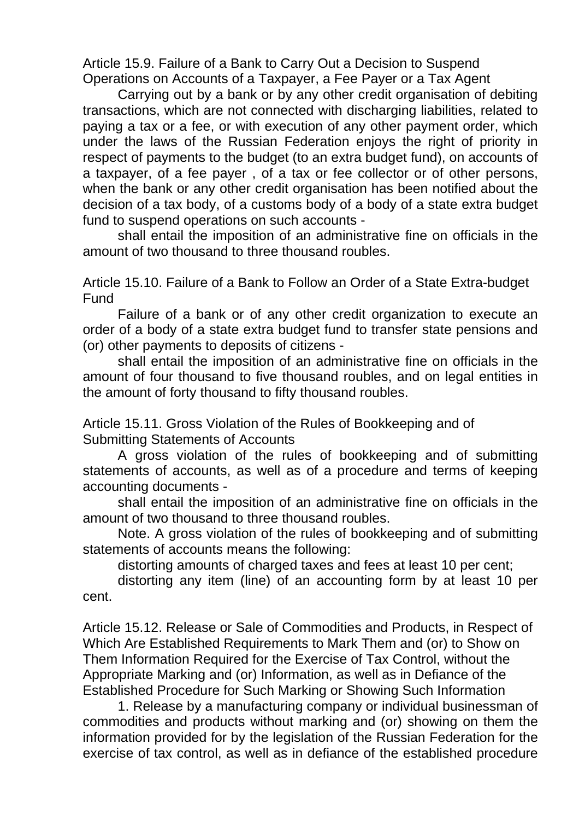Article 15.9. Failure of a Bank to Carry Out a Decision to Suspend Operations on Accounts of a Taxpayer, a Fee Payer or a Tax Agent

Carrying out by a bank or by any other credit organisation of debiting transactions, which are not connected with discharging liabilities, related to paying a tax or a fee, or with execution of any other payment order, which under the laws of the Russian Federation enjoys the right of priority in respect of payments to the budget (to an extra budget fund), on accounts of a taxpayer, of a fee payer , of a tax or fee collector or of other persons, when the bank or any other credit organisation has been notified about the decision of a tax body, of a customs body of a body of a state extra budget fund to suspend operations on such accounts -

shall entail the imposition of an administrative fine on officials in the amount of two thousand to three thousand roubles.

Article 15.10. Failure of a Bank to Follow an Order of a State Extra-budget **Fund** 

Failure of a bank or of any other credit organization to execute an order of a body of a state extra budget fund to transfer state pensions and (or) other payments to deposits of citizens -

shall entail the imposition of an administrative fine on officials in the amount of four thousand to five thousand roubles, and on legal entities in the amount of forty thousand to fifty thousand roubles.

Article 15.11. Gross Violation of the Rules of Bookkeeping and of Submitting Statements of Accounts

A gross violation of the rules of bookkeeping and of submitting statements of accounts, as well as of a procedure and terms of keeping accounting documents -

shall entail the imposition of an administrative fine on officials in the amount of two thousand to three thousand roubles.

Note. A gross violation of the rules of bookkeeping and of submitting statements of accounts means the following:

distorting amounts of charged taxes and fees at least 10 per cent;

distorting any item (line) of an accounting form by at least 10 per cent.

Article 15.12. Release or Sale of Commodities and Products, in Respect of Which Are Established Requirements to Mark Them and (or) to Show on Them Information Required for the Exercise of Tax Control, without the Appropriate Marking and (or) Information, as well as in Defiance of the Established Procedure for Such Marking or Showing Such Information

1. Release by a manufacturing company or individual businessman of commodities and products without marking and (or) showing on them the information provided for by the legislation of the Russian Federation for the exercise of tax control, as well as in defiance of the established procedure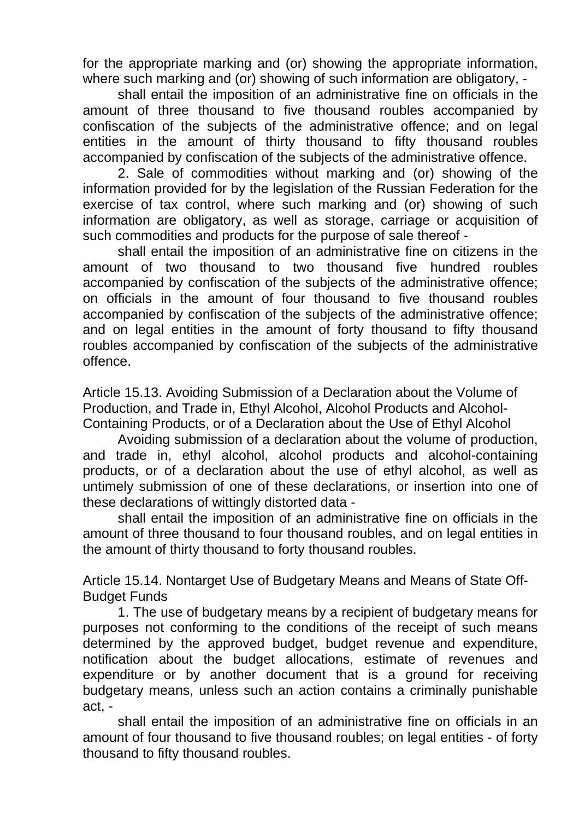for the appropriate marking and (or) showing the appropriate information, where such marking and (or) showing of such information are obligatory, -

shall entail the imposition of an administrative fine on officials in the amount of three thousand to five thousand roubles accompanied by confiscation of the subjects of the administrative offence; and on legal entities in the amount of thirty thousand to fifty thousand roubles accompanied by confiscation of the subjects of the administrative offence.

2. Sale of commodities without marking and (or) showing of the information provided for by the legislation of the Russian Federation for the exercise of tax control, where such marking and (or) showing of such information are obligatory, as well as storage, carriage or acquisition of such commodities and products for the purpose of sale thereof -

shall entail the imposition of an administrative fine on citizens in the amount of two thousand to two thousand five hundred roubles accompanied by confiscation of the subjects of the administrative offence; on officials in the amount of four thousand to five thousand roubles accompanied by confiscation of the subjects of the administrative offence; and on legal entities in the amount of forty thousand to fifty thousand roubles accompanied by confiscation of the subjects of the administrative offence.

Article 15.13. Avoiding Submission of a Declaration about the Volume of Production, and Trade in, Ethyl Alcohol, Alcohol Products and Alcohol-Containing Products, or of a Declaration about the Use of Ethyl Alcohol

Avoiding submission of a declaration about the volume of production, and trade in, ethyl alcohol, alcohol products and alcohol-containing products, or of a declaration about the use of ethyl alcohol, as well as untimely submission of one of these declarations, or insertion into one of these declarations of wittingly distorted data -

shall entail the imposition of an administrative fine on officials in the amount of three thousand to four thousand roubles, and on legal entities in the amount of thirty thousand to forty thousand roubles.

Article 15.14. Nontarget Use of Budgetary Means and Means of State Off-Budget Funds

1. The use of budgetary means by a recipient of budgetary means for purposes not conforming to the conditions of the receipt of such means determined by the approved budget, budget revenue and expenditure, notification about the budget allocations, estimate of revenues and expenditure or by another document that is a ground for receiving budgetary means, unless such an action contains a criminally punishable act, -

shall entail the imposition of an administrative fine on officials in an amount of four thousand to five thousand roubles; on legal entities - of forty thousand to fifty thousand roubles.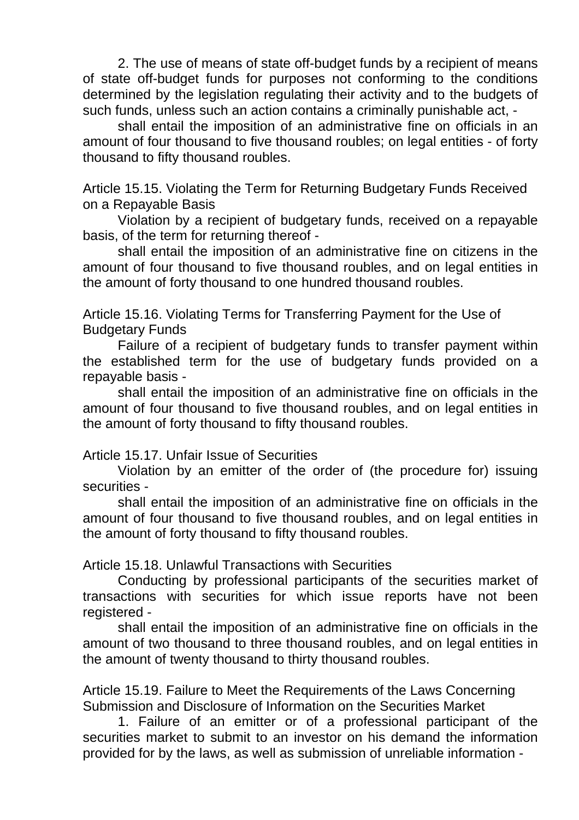2. The use of means of state off-budget funds by a recipient of means of state off-budget funds for purposes not conforming to the conditions determined by the legislation regulating their activity and to the budgets of such funds, unless such an action contains a criminally punishable act, -

shall entail the imposition of an administrative fine on officials in an amount of four thousand to five thousand roubles; on legal entities - of forty thousand to fifty thousand roubles.

Article 15.15. Violating the Term for Returning Budgetary Funds Received on a Repayable Basis

Violation by a recipient of budgetary funds, received on a repayable basis, of the term for returning thereof -

shall entail the imposition of an administrative fine on citizens in the amount of four thousand to five thousand roubles, and on legal entities in the amount of forty thousand to one hundred thousand roubles.

Article 15.16. Violating Terms for Transferring Payment for the Use of Budgetary Funds

Failure of a recipient of budgetary funds to transfer payment within the established term for the use of budgetary funds provided on a repayable basis -

shall entail the imposition of an administrative fine on officials in the amount of four thousand to five thousand roubles, and on legal entities in the amount of forty thousand to fifty thousand roubles.

Article 15.17. Unfair Issue of Securities

Violation by an emitter of the order of (the procedure for) issuing securities -

shall entail the imposition of an administrative fine on officials in the amount of four thousand to five thousand roubles, and on legal entities in the amount of forty thousand to fifty thousand roubles.

Article 15.18. Unlawful Transactions with Securities

Conducting by professional participants of the securities market of transactions with securities for which issue reports have not been registered -

shall entail the imposition of an administrative fine on officials in the amount of two thousand to three thousand roubles, and on legal entities in the amount of twenty thousand to thirty thousand roubles.

Article 15.19. Failure to Meet the Requirements of the Laws Concerning Submission and Disclosure of Information on the Securities Market

1. Failure of an emitter or of a professional participant of the securities market to submit to an investor on his demand the information provided for by the laws, as well as submission of unreliable information -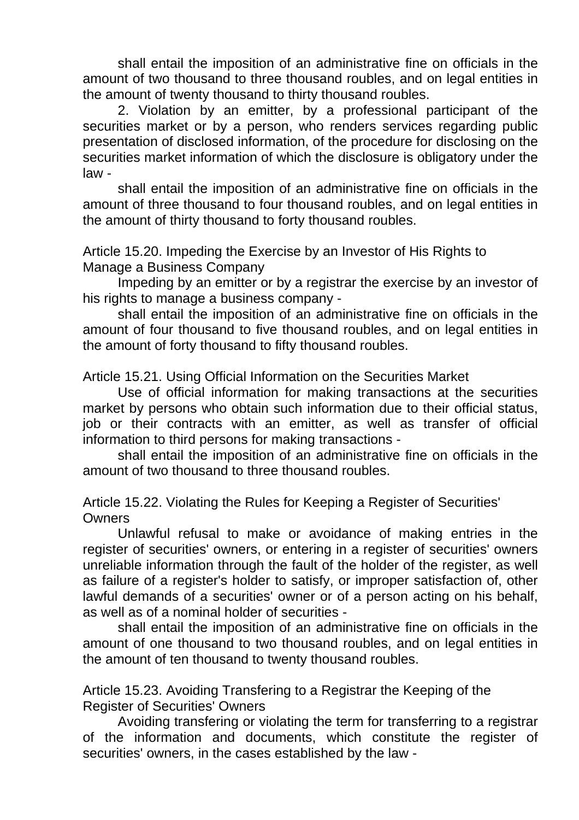shall entail the imposition of an administrative fine on officials in the amount of two thousand to three thousand roubles, and on legal entities in the amount of twenty thousand to thirty thousand roubles.

2. Violation by an emitter, by a professional participant of the securities market or by a person, who renders services regarding public presentation of disclosed information, of the procedure for disclosing on the securities market information of which the disclosure is obligatory under the law -

shall entail the imposition of an administrative fine on officials in the amount of three thousand to four thousand roubles, and on legal entities in the amount of thirty thousand to forty thousand roubles.

Article 15.20. Impeding the Exercise by an Investor of His Rights to Manage a Business Company

Impeding by an emitter or by a registrar the exercise by an investor of his rights to manage a business company -

shall entail the imposition of an administrative fine on officials in the amount of four thousand to five thousand roubles, and on legal entities in the amount of forty thousand to fifty thousand roubles.

Article 15.21. Using Official Information on the Securities Market

Use of official information for making transactions at the securities market by persons who obtain such information due to their official status, job or their contracts with an emitter, as well as transfer of official information to third persons for making transactions -

shall entail the imposition of an administrative fine on officials in the amount of two thousand to three thousand roubles.

Article 15.22. Violating the Rules for Keeping a Register of Securities' **Owners** 

Unlawful refusal to make or avoidance of making entries in the register of securities' owners, or entering in a register of securities' owners unreliable information through the fault of the holder of the register, as well as failure of a register's holder to satisfy, or improper satisfaction of, other lawful demands of a securities' owner or of a person acting on his behalf, as well as of a nominal holder of securities -

shall entail the imposition of an administrative fine on officials in the amount of one thousand to two thousand roubles, and on legal entities in the amount of ten thousand to twenty thousand roubles.

Article 15.23. Avoiding Transfering to a Registrar the Keeping of the Register of Securities' Owners

Avoiding transfering or violating the term for transferring to a registrar of the information and documents, which constitute the register of securities' owners, in the cases established by the law -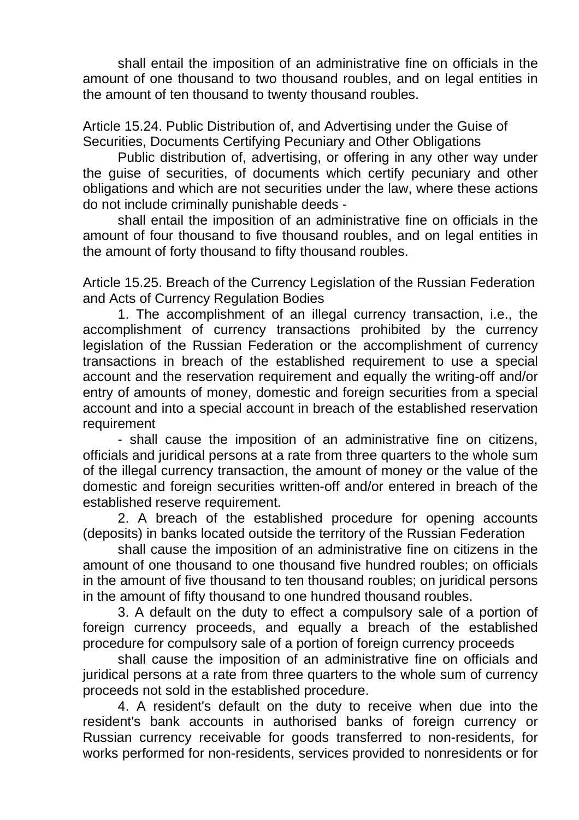shall entail the imposition of an administrative fine on officials in the amount of one thousand to two thousand roubles, and on legal entities in the amount of ten thousand to twenty thousand roubles.

Article 15.24. Public Distribution of, and Advertising under the Guise of Securities, Documents Certifying Pecuniary and Other Obligations

Public distribution of, advertising, or offering in any other way under the guise of securities, of documents which certify pecuniary and other obligations and which are not securities under the law, where these actions do not include criminally punishable deeds -

shall entail the imposition of an administrative fine on officials in the amount of four thousand to five thousand roubles, and on legal entities in the amount of forty thousand to fifty thousand roubles.

Article 15.25. Breach of the Currency Legislation of the Russian Federation and Acts of Currency Regulation Bodies

1. The accomplishment of an illegal currency transaction, i.e., the accomplishment of currency transactions prohibited by the currency legislation of the Russian Federation or the accomplishment of currency transactions in breach of the established requirement to use a special account and the reservation requirement and equally the writing-off and/or entry of amounts of money, domestic and foreign securities from a special account and into a special account in breach of the established reservation **requirement** 

- shall cause the imposition of an administrative fine on citizens, officials and juridical persons at a rate from three quarters to the whole sum of the illegal currency transaction, the amount of money or the value of the domestic and foreign securities written-off and/or entered in breach of the established reserve requirement.

2. A breach of the established procedure for opening accounts (deposits) in banks located outside the territory of the Russian Federation

shall cause the imposition of an administrative fine on citizens in the amount of one thousand to one thousand five hundred roubles; on officials in the amount of five thousand to ten thousand roubles; on juridical persons in the amount of fifty thousand to one hundred thousand roubles.

3. A default on the duty to effect a compulsory sale of a portion of foreign currency proceeds, and equally a breach of the established procedure for compulsory sale of a portion of foreign currency proceeds

shall cause the imposition of an administrative fine on officials and juridical persons at a rate from three quarters to the whole sum of currency proceeds not sold in the established procedure.

4. A resident's default on the duty to receive when due into the resident's bank accounts in authorised banks of foreign currency or Russian currency receivable for goods transferred to non-residents, for works performed for non-residents, services provided to nonresidents or for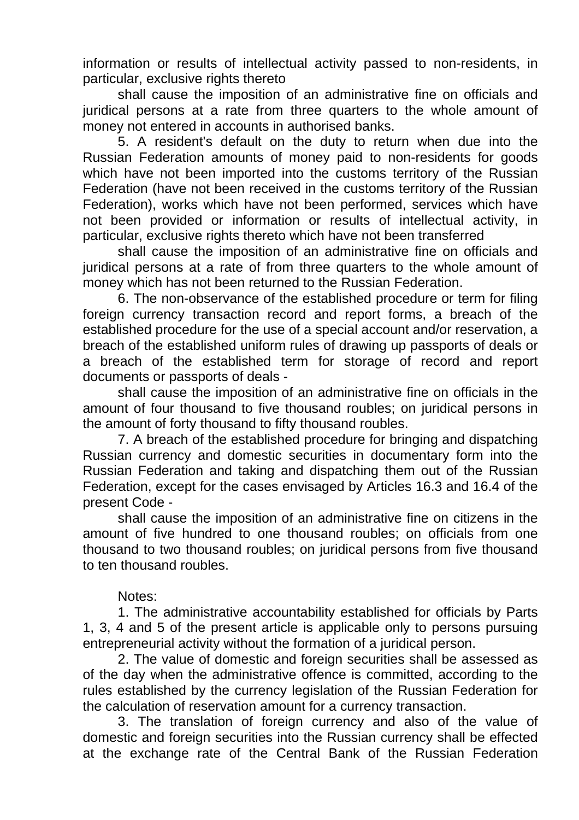information or results of intellectual activity passed to non-residents, in particular, exclusive rights thereto

shall cause the imposition of an administrative fine on officials and juridical persons at a rate from three quarters to the whole amount of money not entered in accounts in authorised banks.

5. A resident's default on the duty to return when due into the Russian Federation amounts of money paid to non-residents for goods which have not been imported into the customs territory of the Russian Federation (have not been received in the customs territory of the Russian Federation), works which have not been performed, services which have not been provided or information or results of intellectual activity, in particular, exclusive rights thereto which have not been transferred

shall cause the imposition of an administrative fine on officials and juridical persons at a rate of from three quarters to the whole amount of money which has not been returned to the Russian Federation.

6. The non-observance of the established procedure or term for filing foreign currency transaction record and report forms, a breach of the established procedure for the use of a special account and/or reservation, a breach of the established uniform rules of drawing up passports of deals or a breach of the established term for storage of record and report documents or passports of deals -

shall cause the imposition of an administrative fine on officials in the amount of four thousand to five thousand roubles; on juridical persons in the amount of forty thousand to fifty thousand roubles.

7. A breach of the established procedure for bringing and dispatching Russian currency and domestic securities in documentary form into the Russian Federation and taking and dispatching them out of the Russian Federation, except for the cases envisaged by Articles 16.3 and 16.4 of the present Code -

shall cause the imposition of an administrative fine on citizens in the amount of five hundred to one thousand roubles; on officials from one thousand to two thousand roubles; on juridical persons from five thousand to ten thousand roubles.

# Notes:

1. The administrative accountability established for officials by Parts 1, 3, 4 and 5 of the present article is applicable only to persons pursuing entrepreneurial activity without the formation of a juridical person.

2. The value of domestic and foreign securities shall be assessed as of the day when the administrative offence is committed, according to the rules established by the currency legislation of the Russian Federation for the calculation of reservation amount for a currency transaction.

3. The translation of foreign currency and also of the value of domestic and foreign securities into the Russian currency shall be effected at the exchange rate of the Central Bank of the Russian Federation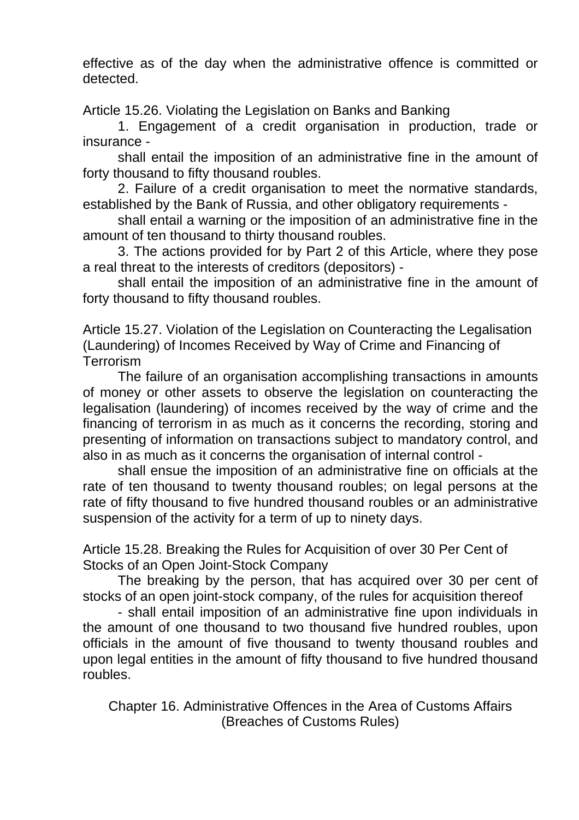effective as of the day when the administrative offence is committed or detected.

Article 15.26. Violating the Legislation on Banks and Banking

1. Engagement of a credit organisation in production, trade or insurance -

shall entail the imposition of an administrative fine in the amount of forty thousand to fifty thousand roubles.

2. Failure of a credit organisation to meet the normative standards, established by the Bank of Russia, and other obligatory requirements -

shall entail a warning or the imposition of an administrative fine in the amount of ten thousand to thirty thousand roubles.

3. The actions provided for by Part 2 of this Article, where they pose a real threat to the interests of creditors (depositors) -

shall entail the imposition of an administrative fine in the amount of forty thousand to fifty thousand roubles.

Article 15.27. Violation of the Legislation on Counteracting the Legalisation (Laundering) of Incomes Received by Way of Crime and Financing of **Terrorism** 

The failure of an organisation accomplishing transactions in amounts of money or other assets to observe the legislation on counteracting the legalisation (laundering) of incomes received by the way of crime and the financing of terrorism in as much as it concerns the recording, storing and presenting of information on transactions subject to mandatory control, and also in as much as it concerns the organisation of internal control -

shall ensue the imposition of an administrative fine on officials at the rate of ten thousand to twenty thousand roubles; on legal persons at the rate of fifty thousand to five hundred thousand roubles or an administrative suspension of the activity for a term of up to ninety days.

Article 15.28. Breaking the Rules for Acquisition of over 30 Per Cent of Stocks of an Open Joint-Stock Company

The breaking by the person, that has acquired over 30 per cent of stocks of an open joint-stock company, of the rules for acquisition thereof

- shall entail imposition of an administrative fine upon individuals in the amount of one thousand to two thousand five hundred roubles, upon officials in the amount of five thousand to twenty thousand roubles and upon legal entities in the amount of fifty thousand to five hundred thousand roubles.

Chapter 16. Administrative Offences in the Area of Customs Affairs (Breaches of Customs Rules)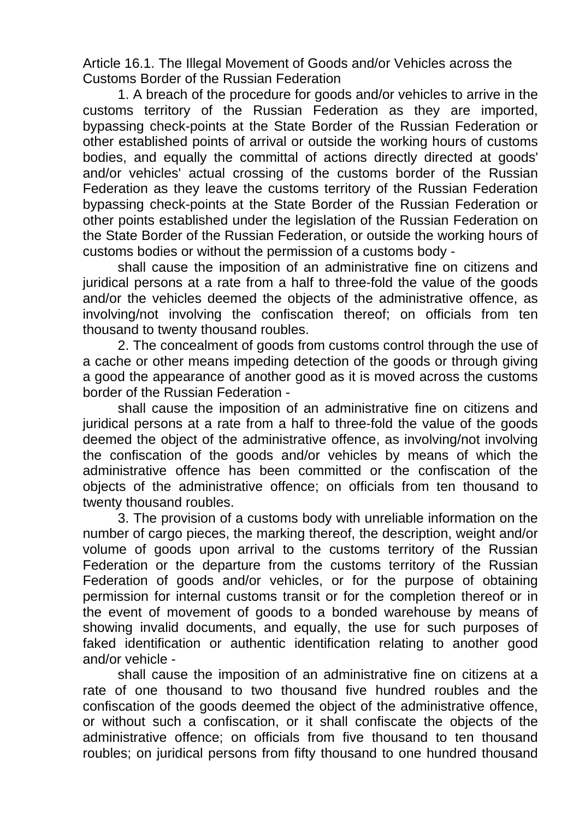Article 16.1. The Illegal Movement of Goods and/or Vehicles across the Customs Border of the Russian Federation

1. A breach of the procedure for goods and/or vehicles to arrive in the customs territory of the Russian Federation as they are imported, bypassing check-points at the State Border of the Russian Federation or other established points of arrival or outside the working hours of customs bodies, and equally the committal of actions directly directed at goods' and/or vehicles' actual crossing of the customs border of the Russian Federation as they leave the customs territory of the Russian Federation bypassing check-points at the State Border of the Russian Federation or other points established under the legislation of the Russian Federation on the State Border of the Russian Federation, or outside the working hours of customs bodies or without the permission of a customs body -

shall cause the imposition of an administrative fine on citizens and juridical persons at a rate from a half to three-fold the value of the goods and/or the vehicles deemed the objects of the administrative offence, as involving/not involving the confiscation thereof; on officials from ten thousand to twenty thousand roubles.

2. The concealment of goods from customs control through the use of a cache or other means impeding detection of the goods or through giving a good the appearance of another good as it is moved across the customs border of the Russian Federation -

shall cause the imposition of an administrative fine on citizens and juridical persons at a rate from a half to three-fold the value of the goods deemed the object of the administrative offence, as involving/not involving the confiscation of the goods and/or vehicles by means of which the administrative offence has been committed or the confiscation of the objects of the administrative offence; on officials from ten thousand to twenty thousand roubles.

3. The provision of a customs body with unreliable information on the number of cargo pieces, the marking thereof, the description, weight and/or volume of goods upon arrival to the customs territory of the Russian Federation or the departure from the customs territory of the Russian Federation of goods and/or vehicles, or for the purpose of obtaining permission for internal customs transit or for the completion thereof or in the event of movement of goods to a bonded warehouse by means of showing invalid documents, and equally, the use for such purposes of faked identification or authentic identification relating to another good and/or vehicle -

shall cause the imposition of an administrative fine on citizens at a rate of one thousand to two thousand five hundred roubles and the confiscation of the goods deemed the object of the administrative offence, or without such a confiscation, or it shall confiscate the objects of the administrative offence; on officials from five thousand to ten thousand roubles; on juridical persons from fifty thousand to one hundred thousand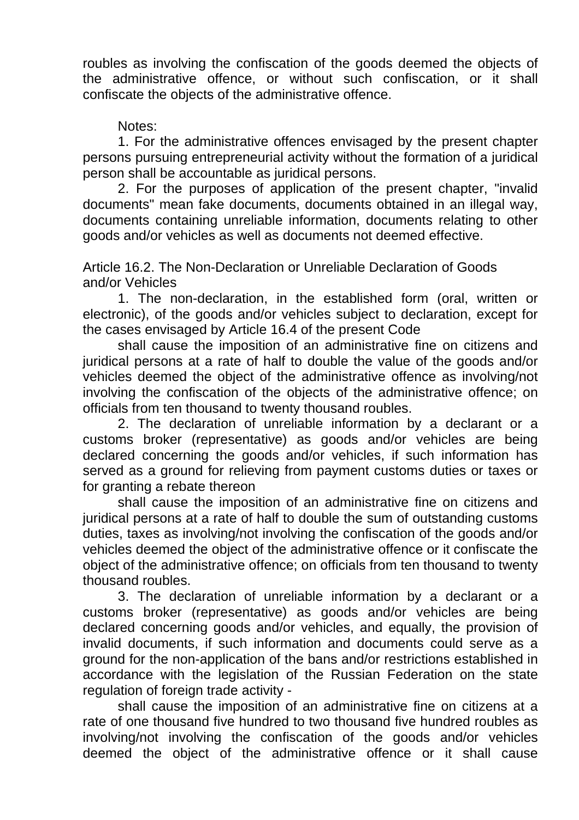roubles as involving the confiscation of the goods deemed the objects of the administrative offence, or without such confiscation, or it shall confiscate the objects of the administrative offence.

# Notes:

1. For the administrative offences envisaged by the present chapter persons pursuing entrepreneurial activity without the formation of a juridical person shall be accountable as juridical persons.

2. For the purposes of application of the present chapter, "invalid documents" mean fake documents, documents obtained in an illegal way, documents containing unreliable information, documents relating to other goods and/or vehicles as well as documents not deemed effective.

Article 16.2. The Non-Declaration or Unreliable Declaration of Goods and/or Vehicles

1. The non-declaration, in the established form (oral, written or electronic), of the goods and/or vehicles subject to declaration, except for the cases envisaged by Article 16.4 of the present Code

shall cause the imposition of an administrative fine on citizens and juridical persons at a rate of half to double the value of the goods and/or vehicles deemed the object of the administrative offence as involving/not involving the confiscation of the objects of the administrative offence; on officials from ten thousand to twenty thousand roubles.

2. The declaration of unreliable information by a declarant or a customs broker (representative) as goods and/or vehicles are being declared concerning the goods and/or vehicles, if such information has served as a ground for relieving from payment customs duties or taxes or for granting a rebate thereon

shall cause the imposition of an administrative fine on citizens and juridical persons at a rate of half to double the sum of outstanding customs duties, taxes as involving/not involving the confiscation of the goods and/or vehicles deemed the object of the administrative offence or it confiscate the object of the administrative offence; on officials from ten thousand to twenty thousand roubles.

3. The declaration of unreliable information by a declarant or a customs broker (representative) as goods and/or vehicles are being declared concerning goods and/or vehicles, and equally, the provision of invalid documents, if such information and documents could serve as a ground for the non-application of the bans and/or restrictions established in accordance with the legislation of the Russian Federation on the state regulation of foreign trade activity -

shall cause the imposition of an administrative fine on citizens at a rate of one thousand five hundred to two thousand five hundred roubles as involving/not involving the confiscation of the goods and/or vehicles deemed the object of the administrative offence or it shall cause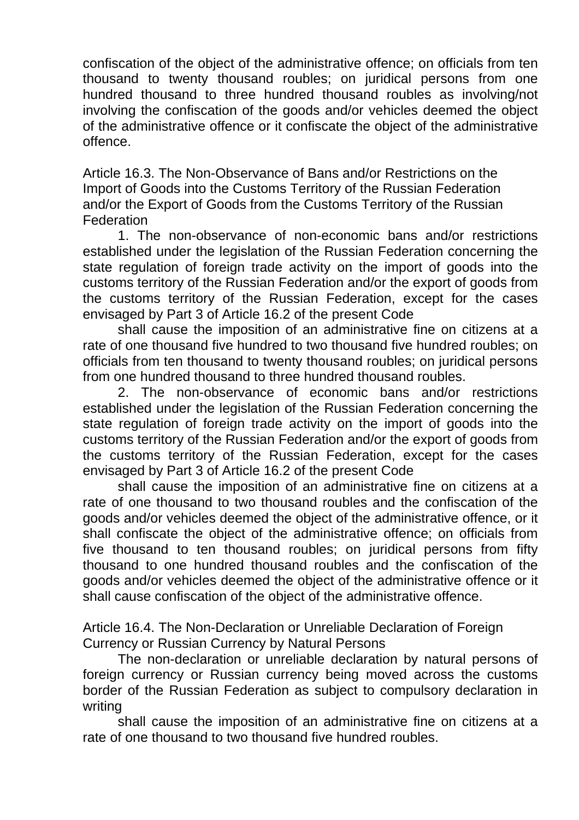confiscation of the object of the administrative offence; on officials from ten thousand to twenty thousand roubles; on juridical persons from one hundred thousand to three hundred thousand roubles as involving/not involving the confiscation of the goods and/or vehicles deemed the object of the administrative offence or it confiscate the object of the administrative offence.

Article 16.3. The Non-Observance of Bans and/or Restrictions on the Import of Goods into the Customs Territory of the Russian Federation and/or the Export of Goods from the Customs Territory of the Russian **Federation** 

1. The non-observance of non-economic bans and/or restrictions established under the legislation of the Russian Federation concerning the state regulation of foreign trade activity on the import of goods into the customs territory of the Russian Federation and/or the export of goods from the customs territory of the Russian Federation, except for the cases envisaged by Part 3 of Article 16.2 of the present Code

shall cause the imposition of an administrative fine on citizens at a rate of one thousand five hundred to two thousand five hundred roubles; on officials from ten thousand to twenty thousand roubles; on juridical persons from one hundred thousand to three hundred thousand roubles.

2. The non-observance of economic bans and/or restrictions established under the legislation of the Russian Federation concerning the state regulation of foreign trade activity on the import of goods into the customs territory of the Russian Federation and/or the export of goods from the customs territory of the Russian Federation, except for the cases envisaged by Part 3 of Article 16.2 of the present Code

shall cause the imposition of an administrative fine on citizens at a rate of one thousand to two thousand roubles and the confiscation of the goods and/or vehicles deemed the object of the administrative offence, or it shall confiscate the object of the administrative offence; on officials from five thousand to ten thousand roubles; on juridical persons from fifty thousand to one hundred thousand roubles and the confiscation of the goods and/or vehicles deemed the object of the administrative offence or it shall cause confiscation of the object of the administrative offence.

Article 16.4. The Non-Declaration or Unreliable Declaration of Foreign Currency or Russian Currency by Natural Persons

The non-declaration or unreliable declaration by natural persons of foreign currency or Russian currency being moved across the customs border of the Russian Federation as subject to compulsory declaration in writing

shall cause the imposition of an administrative fine on citizens at a rate of one thousand to two thousand five hundred roubles.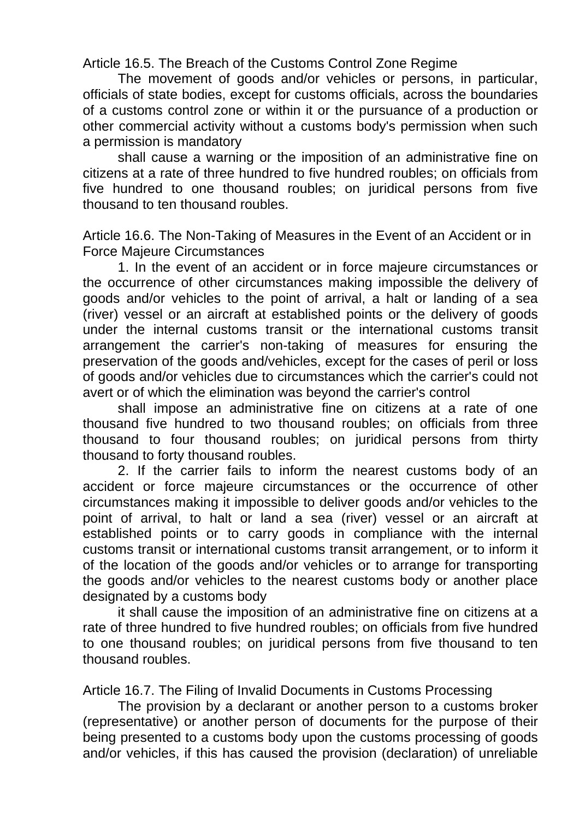Article 16.5. The Breach of the Customs Control Zone Regime

The movement of goods and/or vehicles or persons, in particular, officials of state bodies, except for customs officials, across the boundaries of a customs control zone or within it or the pursuance of a production or other commercial activity without a customs body's permission when such a permission is mandatory

shall cause a warning or the imposition of an administrative fine on citizens at a rate of three hundred to five hundred roubles; on officials from five hundred to one thousand roubles; on juridical persons from five thousand to ten thousand roubles.

Article 16.6. The Non-Taking of Measures in the Event of an Accident or in Force Majeure Circumstances

1. In the event of an accident or in force majeure circumstances or the occurrence of other circumstances making impossible the delivery of goods and/or vehicles to the point of arrival, a halt or landing of a sea (river) vessel or an aircraft at established points or the delivery of goods under the internal customs transit or the international customs transit arrangement the carrier's non-taking of measures for ensuring the preservation of the goods and/vehicles, except for the cases of peril or loss of goods and/or vehicles due to circumstances which the carrier's could not avert or of which the elimination was beyond the carrier's control

shall impose an administrative fine on citizens at a rate of one thousand five hundred to two thousand roubles; on officials from three thousand to four thousand roubles; on juridical persons from thirty thousand to forty thousand roubles.

2. If the carrier fails to inform the nearest customs body of an accident or force majeure circumstances or the occurrence of other circumstances making it impossible to deliver goods and/or vehicles to the point of arrival, to halt or land a sea (river) vessel or an aircraft at established points or to carry goods in compliance with the internal customs transit or international customs transit arrangement, or to inform it of the location of the goods and/or vehicles or to arrange for transporting the goods and/or vehicles to the nearest customs body or another place designated by a customs body

it shall cause the imposition of an administrative fine on citizens at a rate of three hundred to five hundred roubles; on officials from five hundred to one thousand roubles; on juridical persons from five thousand to ten thousand roubles.

Article 16.7. The Filing of Invalid Documents in Customs Processing

The provision by a declarant or another person to a customs broker (representative) or another person of documents for the purpose of their being presented to a customs body upon the customs processing of goods and/or vehicles, if this has caused the provision (declaration) of unreliable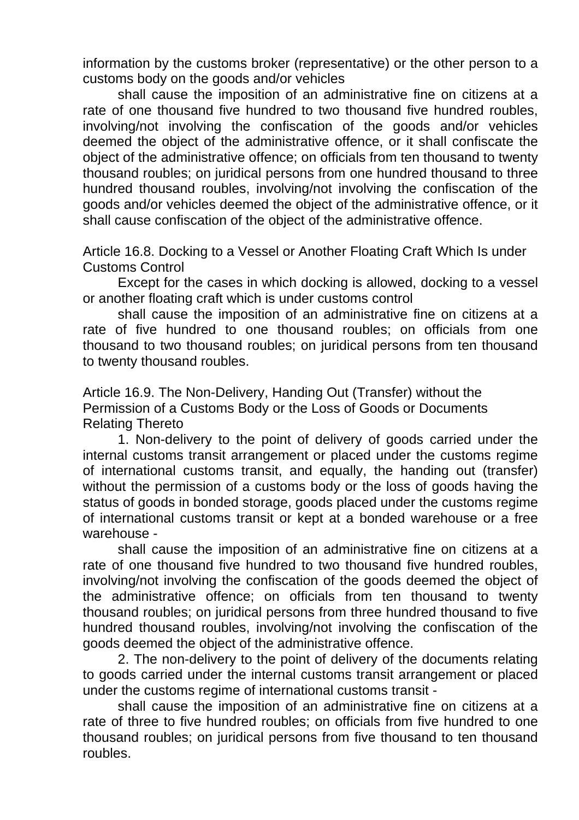information by the customs broker (representative) or the other person to a customs body on the goods and/or vehicles

shall cause the imposition of an administrative fine on citizens at a rate of one thousand five hundred to two thousand five hundred roubles, involving/not involving the confiscation of the goods and/or vehicles deemed the object of the administrative offence, or it shall confiscate the object of the administrative offence; on officials from ten thousand to twenty thousand roubles; on juridical persons from one hundred thousand to three hundred thousand roubles, involving/not involving the confiscation of the goods and/or vehicles deemed the object of the administrative offence, or it shall cause confiscation of the object of the administrative offence.

Article 16.8. Docking to a Vessel or Another Floating Craft Which Is under Customs Control

Except for the cases in which docking is allowed, docking to a vessel or another floating craft which is under customs control

shall cause the imposition of an administrative fine on citizens at a rate of five hundred to one thousand roubles; on officials from one thousand to two thousand roubles; on juridical persons from ten thousand to twenty thousand roubles.

Article 16.9. The Non-Delivery, Handing Out (Transfer) without the Permission of a Customs Body or the Loss of Goods or Documents Relating Thereto

1. Non-delivery to the point of delivery of goods carried under the internal customs transit arrangement or placed under the customs regime of international customs transit, and equally, the handing out (transfer) without the permission of a customs body or the loss of goods having the status of goods in bonded storage, goods placed under the customs regime of international customs transit or kept at a bonded warehouse or a free warehouse -

shall cause the imposition of an administrative fine on citizens at a rate of one thousand five hundred to two thousand five hundred roubles, involving/not involving the confiscation of the goods deemed the object of the administrative offence; on officials from ten thousand to twenty thousand roubles; on juridical persons from three hundred thousand to five hundred thousand roubles, involving/not involving the confiscation of the goods deemed the object of the administrative offence.

2. The non-delivery to the point of delivery of the documents relating to goods carried under the internal customs transit arrangement or placed under the customs regime of international customs transit -

shall cause the imposition of an administrative fine on citizens at a rate of three to five hundred roubles; on officials from five hundred to one thousand roubles; on juridical persons from five thousand to ten thousand roubles.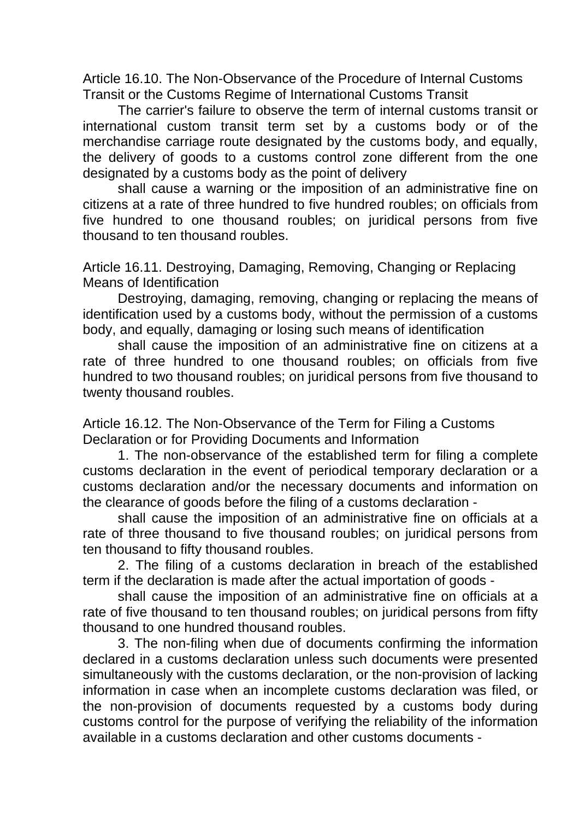Article 16.10. The Non-Observance of the Procedure of Internal Customs Transit or the Customs Regime of International Customs Transit

The carrier's failure to observe the term of internal customs transit or international custom transit term set by a customs body or of the merchandise carriage route designated by the customs body, and equally, the delivery of goods to a customs control zone different from the one designated by a customs body as the point of delivery

shall cause a warning or the imposition of an administrative fine on citizens at a rate of three hundred to five hundred roubles; on officials from five hundred to one thousand roubles; on juridical persons from five thousand to ten thousand roubles.

Article 16.11. Destroying, Damaging, Removing, Changing or Replacing Means of Identification

Destroying, damaging, removing, changing or replacing the means of identification used by a customs body, without the permission of a customs body, and equally, damaging or losing such means of identification

shall cause the imposition of an administrative fine on citizens at a rate of three hundred to one thousand roubles; on officials from five hundred to two thousand roubles; on juridical persons from five thousand to twenty thousand roubles.

Article 16.12. The Non-Observance of the Term for Filing a Customs Declaration or for Providing Documents and Information

1. The non-observance of the established term for filing a complete customs declaration in the event of periodical temporary declaration or a customs declaration and/or the necessary documents and information on the clearance of goods before the filing of a customs declaration -

shall cause the imposition of an administrative fine on officials at a rate of three thousand to five thousand roubles; on juridical persons from ten thousand to fifty thousand roubles.

2. The filing of a customs declaration in breach of the established term if the declaration is made after the actual importation of goods -

shall cause the imposition of an administrative fine on officials at a rate of five thousand to ten thousand roubles; on juridical persons from fifty thousand to one hundred thousand roubles.

3. The non-filing when due of documents confirming the information declared in a customs declaration unless such documents were presented simultaneously with the customs declaration, or the non-provision of lacking information in case when an incomplete customs declaration was filed, or the non-provision of documents requested by a customs body during customs control for the purpose of verifying the reliability of the information available in a customs declaration and other customs documents -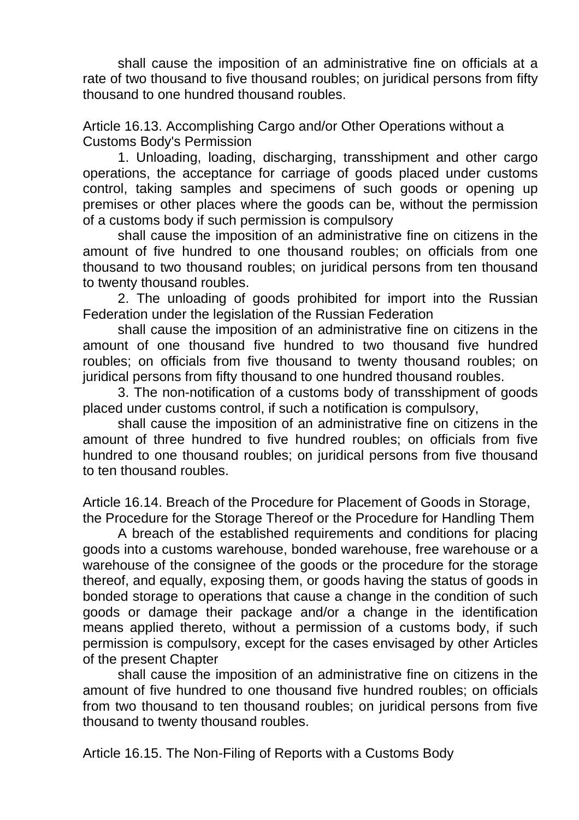shall cause the imposition of an administrative fine on officials at a rate of two thousand to five thousand roubles; on juridical persons from fifty thousand to one hundred thousand roubles.

Article 16.13. Accomplishing Cargo and/or Other Operations without a Customs Body's Permission

1. Unloading, loading, discharging, transshipment and other cargo operations, the acceptance for carriage of goods placed under customs control, taking samples and specimens of such goods or opening up premises or other places where the goods can be, without the permission of a customs body if such permission is compulsory

shall cause the imposition of an administrative fine on citizens in the amount of five hundred to one thousand roubles; on officials from one thousand to two thousand roubles; on juridical persons from ten thousand to twenty thousand roubles.

2. The unloading of goods prohibited for import into the Russian Federation under the legislation of the Russian Federation

shall cause the imposition of an administrative fine on citizens in the amount of one thousand five hundred to two thousand five hundred roubles; on officials from five thousand to twenty thousand roubles; on juridical persons from fifty thousand to one hundred thousand roubles.

3. The non-notification of a customs body of transshipment of goods placed under customs control, if such a notification is compulsory,

shall cause the imposition of an administrative fine on citizens in the amount of three hundred to five hundred roubles; on officials from five hundred to one thousand roubles; on juridical persons from five thousand to ten thousand roubles.

Article 16.14. Breach of the Procedure for Placement of Goods in Storage, the Procedure for the Storage Thereof or the Procedure for Handling Them

A breach of the established requirements and conditions for placing goods into a customs warehouse, bonded warehouse, free warehouse or a warehouse of the consignee of the goods or the procedure for the storage thereof, and equally, exposing them, or goods having the status of goods in bonded storage to operations that cause a change in the condition of such goods or damage their package and/or a change in the identification means applied thereto, without a permission of a customs body, if such permission is compulsory, except for the cases envisaged by other Articles of the present Chapter

shall cause the imposition of an administrative fine on citizens in the amount of five hundred to one thousand five hundred roubles; on officials from two thousand to ten thousand roubles; on juridical persons from five thousand to twenty thousand roubles.

Article 16.15. The Non-Filing of Reports with a Customs Body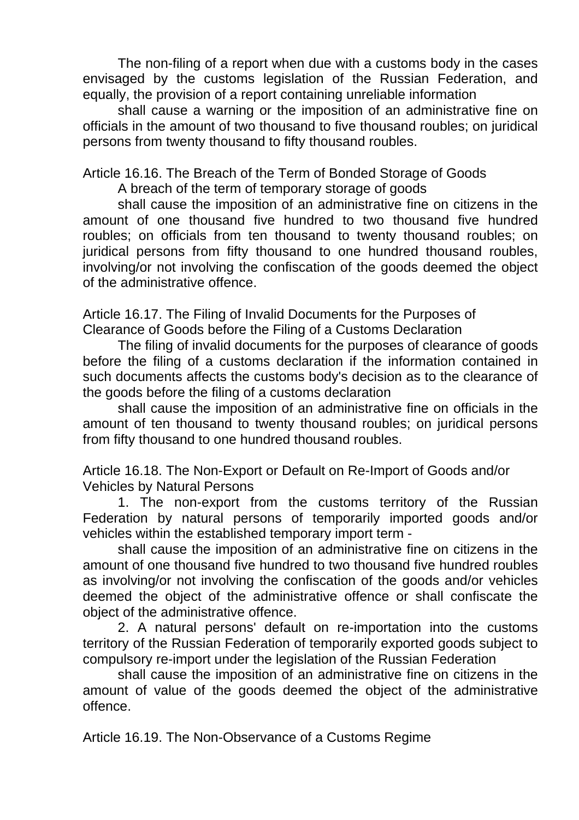The non-filing of a report when due with a customs body in the cases envisaged by the customs legislation of the Russian Federation, and equally, the provision of a report containing unreliable information

shall cause a warning or the imposition of an administrative fine on officials in the amount of two thousand to five thousand roubles; on juridical persons from twenty thousand to fifty thousand roubles.

Article 16.16. The Breach of the Term of Bonded Storage of Goods

A breach of the term of temporary storage of goods

shall cause the imposition of an administrative fine on citizens in the amount of one thousand five hundred to two thousand five hundred roubles; on officials from ten thousand to twenty thousand roubles; on juridical persons from fifty thousand to one hundred thousand roubles, involving/or not involving the confiscation of the goods deemed the object of the administrative offence.

Article 16.17. The Filing of Invalid Documents for the Purposes of Clearance of Goods before the Filing of a Customs Declaration

The filing of invalid documents for the purposes of clearance of goods before the filing of a customs declaration if the information contained in such documents affects the customs body's decision as to the clearance of the goods before the filing of a customs declaration

shall cause the imposition of an administrative fine on officials in the amount of ten thousand to twenty thousand roubles; on juridical persons from fifty thousand to one hundred thousand roubles.

Article 16.18. The Non-Export or Default on Re-Import of Goods and/or Vehicles by Natural Persons

1. The non-export from the customs territory of the Russian Federation by natural persons of temporarily imported goods and/or vehicles within the established temporary import term -

shall cause the imposition of an administrative fine on citizens in the amount of one thousand five hundred to two thousand five hundred roubles as involving/or not involving the confiscation of the goods and/or vehicles deemed the object of the administrative offence or shall confiscate the object of the administrative offence.

2. A natural persons' default on re-importation into the customs territory of the Russian Federation of temporarily exported goods subject to compulsory re-import under the legislation of the Russian Federation

shall cause the imposition of an administrative fine on citizens in the amount of value of the goods deemed the object of the administrative offence.

Article 16.19. The Non-Observance of a Customs Regime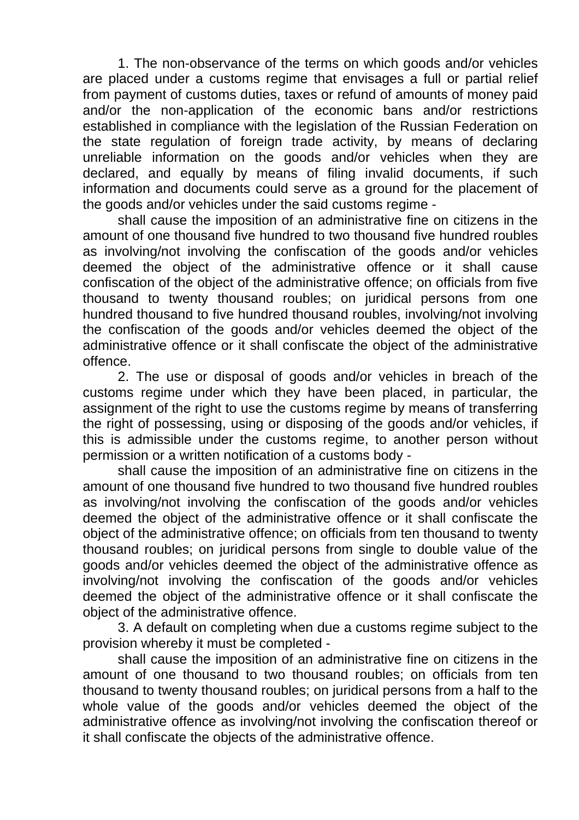1. The non-observance of the terms on which goods and/or vehicles are placed under a customs regime that envisages a full or partial relief from payment of customs duties, taxes or refund of amounts of money paid and/or the non-application of the economic bans and/or restrictions established in compliance with the legislation of the Russian Federation on the state regulation of foreign trade activity, by means of declaring unreliable information on the goods and/or vehicles when they are declared, and equally by means of filing invalid documents, if such information and documents could serve as a ground for the placement of the goods and/or vehicles under the said customs regime -

shall cause the imposition of an administrative fine on citizens in the amount of one thousand five hundred to two thousand five hundred roubles as involving/not involving the confiscation of the goods and/or vehicles deemed the object of the administrative offence or it shall cause confiscation of the object of the administrative offence; on officials from five thousand to twenty thousand roubles; on juridical persons from one hundred thousand to five hundred thousand roubles, involving/not involving the confiscation of the goods and/or vehicles deemed the object of the administrative offence or it shall confiscate the object of the administrative offence.

2. The use or disposal of goods and/or vehicles in breach of the customs regime under which they have been placed, in particular, the assignment of the right to use the customs regime by means of transferring the right of possessing, using or disposing of the goods and/or vehicles, if this is admissible under the customs regime, to another person without permission or a written notification of a customs body -

shall cause the imposition of an administrative fine on citizens in the amount of one thousand five hundred to two thousand five hundred roubles as involving/not involving the confiscation of the goods and/or vehicles deemed the object of the administrative offence or it shall confiscate the object of the administrative offence; on officials from ten thousand to twenty thousand roubles; on juridical persons from single to double value of the goods and/or vehicles deemed the object of the administrative offence as involving/not involving the confiscation of the goods and/or vehicles deemed the object of the administrative offence or it shall confiscate the object of the administrative offence.

3. A default on completing when due a customs regime subject to the provision whereby it must be completed -

shall cause the imposition of an administrative fine on citizens in the amount of one thousand to two thousand roubles; on officials from ten thousand to twenty thousand roubles; on juridical persons from a half to the whole value of the goods and/or vehicles deemed the object of the administrative offence as involving/not involving the confiscation thereof or it shall confiscate the objects of the administrative offence.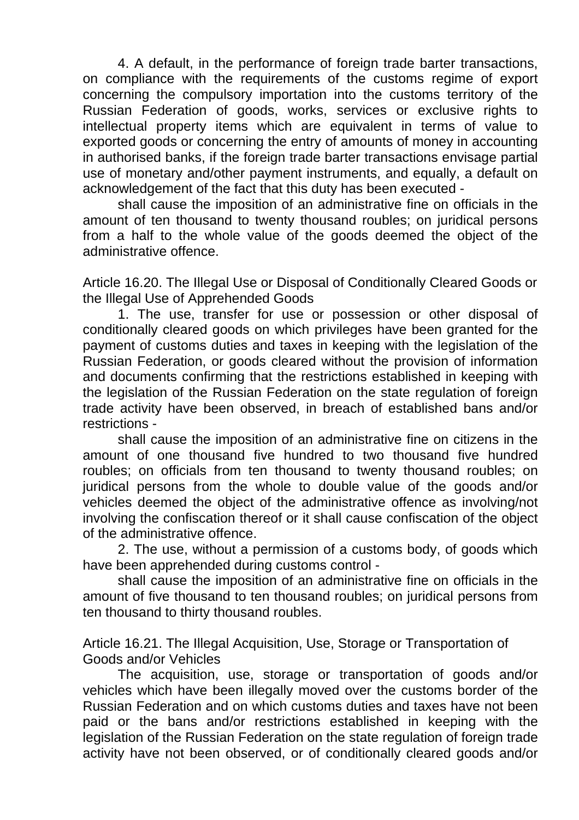4. A default, in the performance of foreign trade barter transactions, on compliance with the requirements of the customs regime of export concerning the compulsory importation into the customs territory of the Russian Federation of goods, works, services or exclusive rights to intellectual property items which are equivalent in terms of value to exported goods or concerning the entry of amounts of money in accounting in authorised banks, if the foreign trade barter transactions envisage partial use of monetary and/other payment instruments, and equally, a default on acknowledgement of the fact that this duty has been executed -

shall cause the imposition of an administrative fine on officials in the amount of ten thousand to twenty thousand roubles; on juridical persons from a half to the whole value of the goods deemed the object of the administrative offence.

Article 16.20. The Illegal Use or Disposal of Conditionally Cleared Goods or the Illegal Use of Apprehended Goods

1. The use, transfer for use or possession or other disposal of conditionally cleared goods on which privileges have been granted for the payment of customs duties and taxes in keeping with the legislation of the Russian Federation, or goods cleared without the provision of information and documents confirming that the restrictions established in keeping with the legislation of the Russian Federation on the state regulation of foreign trade activity have been observed, in breach of established bans and/or restrictions -

shall cause the imposition of an administrative fine on citizens in the amount of one thousand five hundred to two thousand five hundred roubles; on officials from ten thousand to twenty thousand roubles; on juridical persons from the whole to double value of the goods and/or vehicles deemed the object of the administrative offence as involving/not involving the confiscation thereof or it shall cause confiscation of the object of the administrative offence.

2. The use, without a permission of a customs body, of goods which have been apprehended during customs control -

shall cause the imposition of an administrative fine on officials in the amount of five thousand to ten thousand roubles; on juridical persons from ten thousand to thirty thousand roubles.

Article 16.21. The Illegal Acquisition, Use, Storage or Transportation of Goods and/or Vehicles

The acquisition, use, storage or transportation of goods and/or vehicles which have been illegally moved over the customs border of the Russian Federation and on which customs duties and taxes have not been paid or the bans and/or restrictions established in keeping with the legislation of the Russian Federation on the state regulation of foreign trade activity have not been observed, or of conditionally cleared goods and/or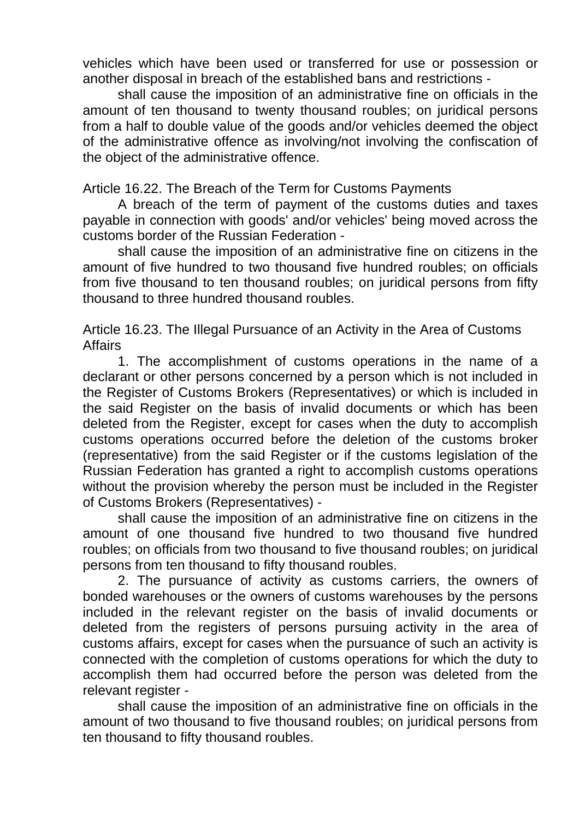vehicles which have been used or transferred for use or possession or another disposal in breach of the established bans and restrictions -

shall cause the imposition of an administrative fine on officials in the amount of ten thousand to twenty thousand roubles; on juridical persons from a half to double value of the goods and/or vehicles deemed the object of the administrative offence as involving/not involving the confiscation of the object of the administrative offence.

Article 16.22. The Breach of the Term for Customs Payments

A breach of the term of payment of the customs duties and taxes payable in connection with goods' and/or vehicles' being moved across the customs border of the Russian Federation -

shall cause the imposition of an administrative fine on citizens in the amount of five hundred to two thousand five hundred roubles; on officials from five thousand to ten thousand roubles; on juridical persons from fifty thousand to three hundred thousand roubles.

Article 16.23. The Illegal Pursuance of an Activity in the Area of Customs Affairs

1. The accomplishment of customs operations in the name of a declarant or other persons concerned by a person which is not included in the Register of Customs Brokers (Representatives) or which is included in the said Register on the basis of invalid documents or which has been deleted from the Register, except for cases when the duty to accomplish customs operations occurred before the deletion of the customs broker (representative) from the said Register or if the customs legislation of the Russian Federation has granted a right to accomplish customs operations without the provision whereby the person must be included in the Register of Customs Brokers (Representatives) -

shall cause the imposition of an administrative fine on citizens in the amount of one thousand five hundred to two thousand five hundred roubles; on officials from two thousand to five thousand roubles; on juridical persons from ten thousand to fifty thousand roubles.

2. The pursuance of activity as customs carriers, the owners of bonded warehouses or the owners of customs warehouses by the persons included in the relevant register on the basis of invalid documents or deleted from the registers of persons pursuing activity in the area of customs affairs, except for cases when the pursuance of such an activity is connected with the completion of customs operations for which the duty to accomplish them had occurred before the person was deleted from the relevant register -

shall cause the imposition of an administrative fine on officials in the amount of two thousand to five thousand roubles; on juridical persons from ten thousand to fifty thousand roubles.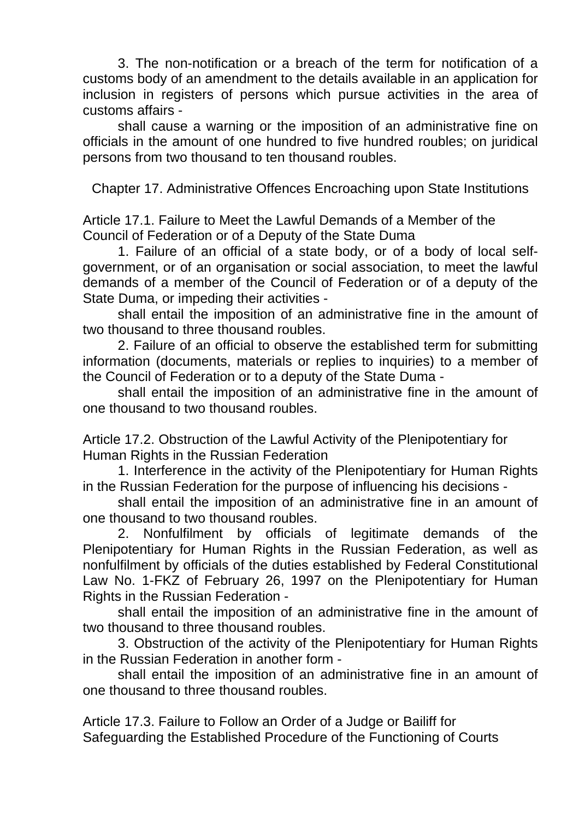3. The non-notification or a breach of the term for notification of a customs body of an amendment to the details available in an application for inclusion in registers of persons which pursue activities in the area of customs affairs -

shall cause a warning or the imposition of an administrative fine on officials in the amount of one hundred to five hundred roubles; on juridical persons from two thousand to ten thousand roubles.

Chapter 17. Administrative Offences Encroaching upon State Institutions

Article 17.1. Failure to Meet the Lawful Demands of a Member of the Council of Federation or of a Deputy of the State Duma

1. Failure of an official of a state body, or of a body of local selfgovernment, or of an organisation or social association, to meet the lawful demands of a member of the Council of Federation or of a deputy of the State Duma, or impeding their activities -

shall entail the imposition of an administrative fine in the amount of two thousand to three thousand roubles.

2. Failure of an official to observe the established term for submitting information (documents, materials or replies to inquiries) to a member of the Council of Federation or to a deputy of the State Duma -

shall entail the imposition of an administrative fine in the amount of one thousand to two thousand roubles.

Article 17.2. Obstruction of the Lawful Activity of the Plenipotentiary for Human Rights in the Russian Federation

1. Interference in the activity of the Plenipotentiary for Human Rights in the Russian Federation for the purpose of influencing his decisions -

shall entail the imposition of an administrative fine in an amount of one thousand to two thousand roubles.

2. Nonfulfilment by officials of legitimate demands of the Plenipotentiary for Human Rights in the Russian Federation, as well as nonfulfilment by officials of the duties established by Federal Constitutional Law No. 1-FKZ of February 26, 1997 on the Plenipotentiary for Human Rights in the Russian Federation -

shall entail the imposition of an administrative fine in the amount of two thousand to three thousand roubles.

3. Obstruction of the activity of the Plenipotentiary for Human Rights in the Russian Federation in another form -

shall entail the imposition of an administrative fine in an amount of one thousand to three thousand roubles.

Article 17.3. Failure to Follow an Order of a Judge or Bailiff for Safeguarding the Established Procedure of the Functioning of Courts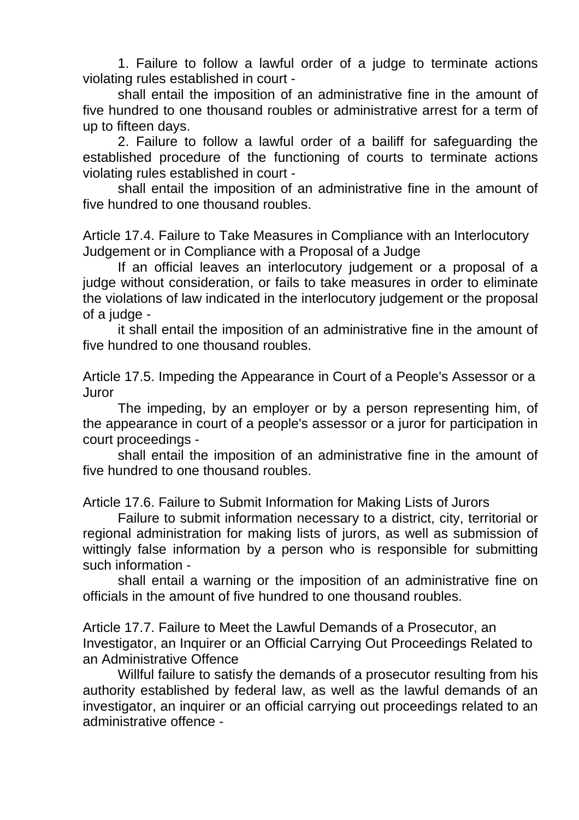1. Failure to follow a lawful order of a judge to terminate actions violating rules established in court -

shall entail the imposition of an administrative fine in the amount of five hundred to one thousand roubles or administrative arrest for a term of up to fifteen days.

2. Failure to follow a lawful order of a bailiff for safeguarding the established procedure of the functioning of courts to terminate actions violating rules established in court -

shall entail the imposition of an administrative fine in the amount of five hundred to one thousand roubles.

Article 17.4. Failure to Take Measures in Compliance with an Interlocutory Judgement or in Compliance with a Proposal of a Judge

If an official leaves an interlocutory judgement or a proposal of a judge without consideration, or fails to take measures in order to eliminate the violations of law indicated in the interlocutory judgement or the proposal of a judge -

it shall entail the imposition of an administrative fine in the amount of five hundred to one thousand roubles.

Article 17.5. Impeding the Appearance in Court of a People's Assessor or a Juror

The impeding, by an employer or by a person representing him, of the appearance in court of a people's assessor or a juror for participation in court proceedings -

shall entail the imposition of an administrative fine in the amount of five hundred to one thousand roubles.

Article 17.6. Failure to Submit Information for Making Lists of Jurors

Failure to submit information necessary to a district, city, territorial or regional administration for making lists of jurors, as well as submission of wittingly false information by a person who is responsible for submitting such information -

shall entail a warning or the imposition of an administrative fine on officials in the amount of five hundred to one thousand roubles.

Article 17.7. Failure to Meet the Lawful Demands of a Prosecutor, an Investigator, an Inquirer or an Official Carrying Out Proceedings Related to an Administrative Offence

Willful failure to satisfy the demands of a prosecutor resulting from his authority established by federal law, as well as the lawful demands of an investigator, an inquirer or an official carrying out proceedings related to an administrative offence -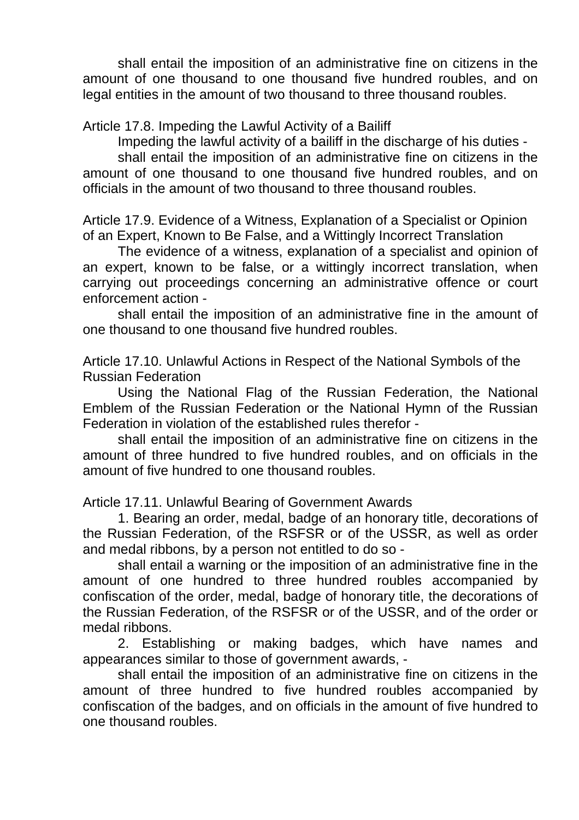shall entail the imposition of an administrative fine on citizens in the amount of one thousand to one thousand five hundred roubles, and on legal entities in the amount of two thousand to three thousand roubles.

Article 17.8. Impeding the Lawful Activity of a Bailiff

Impeding the lawful activity of a bailiff in the discharge of his duties -

shall entail the imposition of an administrative fine on citizens in the amount of one thousand to one thousand five hundred roubles, and on officials in the amount of two thousand to three thousand roubles.

Article 17.9. Evidence of a Witness, Explanation of a Specialist or Opinion of an Expert, Known to Be False, and a Wittingly Incorrect Translation

The evidence of a witness, explanation of a specialist and opinion of an expert, known to be false, or a wittingly incorrect translation, when carrying out proceedings concerning an administrative offence or court enforcement action -

shall entail the imposition of an administrative fine in the amount of one thousand to one thousand five hundred roubles.

Article 17.10. Unlawful Actions in Respect of the National Symbols of the Russian Federation

Using the National Flag of the Russian Federation, the National Emblem of the Russian Federation or the National Hymn of the Russian Federation in violation of the established rules therefor -

shall entail the imposition of an administrative fine on citizens in the amount of three hundred to five hundred roubles, and on officials in the amount of five hundred to one thousand roubles.

Article 17.11. Unlawful Bearing of Government Awards

1. Bearing an order, medal, badge of an honorary title, decorations of the Russian Federation, of the RSFSR or of the USSR, as well as order and medal ribbons, by a person not entitled to do so -

shall entail a warning or the imposition of an administrative fine in the amount of one hundred to three hundred roubles accompanied by confiscation of the order, medal, badge of honorary title, the decorations of the Russian Federation, of the RSFSR or of the USSR, and of the order or medal ribbons.

2. Establishing or making badges, which have names and appearances similar to those of government awards, -

shall entail the imposition of an administrative fine on citizens in the amount of three hundred to five hundred roubles accompanied by confiscation of the badges, and on officials in the amount of five hundred to one thousand roubles.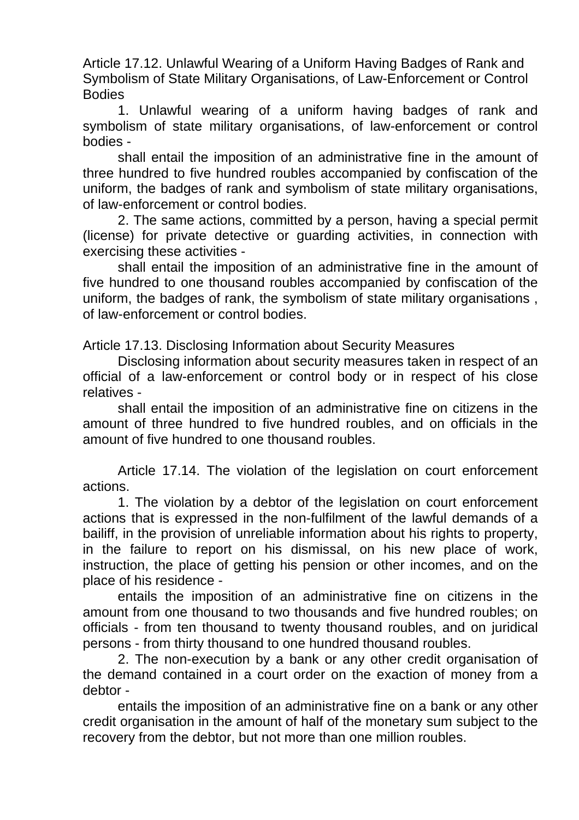Article 17.12. Unlawful Wearing of a Uniform Having Badges of Rank and Symbolism of State Military Organisations, of Law-Enforcement or Control **Bodies** 

1. Unlawful wearing of a uniform having badges of rank and symbolism of state military organisations, of law-enforcement or control bodies -

shall entail the imposition of an administrative fine in the amount of three hundred to five hundred roubles accompanied by confiscation of the uniform, the badges of rank and symbolism of state military organisations, of law-enforcement or control bodies.

2. The same actions, committed by a person, having a special permit (license) for private detective or guarding activities, in connection with exercising these activities -

shall entail the imposition of an administrative fine in the amount of five hundred to one thousand roubles accompanied by confiscation of the uniform, the badges of rank, the symbolism of state military organisations , of law-enforcement or control bodies.

Article 17.13. Disclosing Information about Security Measures

Disclosing information about security measures taken in respect of an official of a law-enforcement or control body or in respect of his close relatives -

shall entail the imposition of an administrative fine on citizens in the amount of three hundred to five hundred roubles, and on officials in the amount of five hundred to one thousand roubles.

Article 17.14. The violation of the legislation on court enforcement actions.

1. The violation by a debtor of the legislation on court enforcement actions that is expressed in the non-fulfilment of the lawful demands of a bailiff, in the provision of unreliable information about his rights to property, in the failure to report on his dismissal, on his new place of work, instruction, the place of getting his pension or other incomes, and on the place of his residence -

entails the imposition of an administrative fine on citizens in the amount from one thousand to two thousands and five hundred roubles; on officials - from ten thousand to twenty thousand roubles, and on juridical persons - from thirty thousand to one hundred thousand roubles.

2. The non-execution by a bank or any other credit organisation of the demand contained in a court order on the exaction of money from a debtor -

entails the imposition of an administrative fine on a bank or any other credit organisation in the amount of half of the monetary sum subject to the recovery from the debtor, but not more than one million roubles.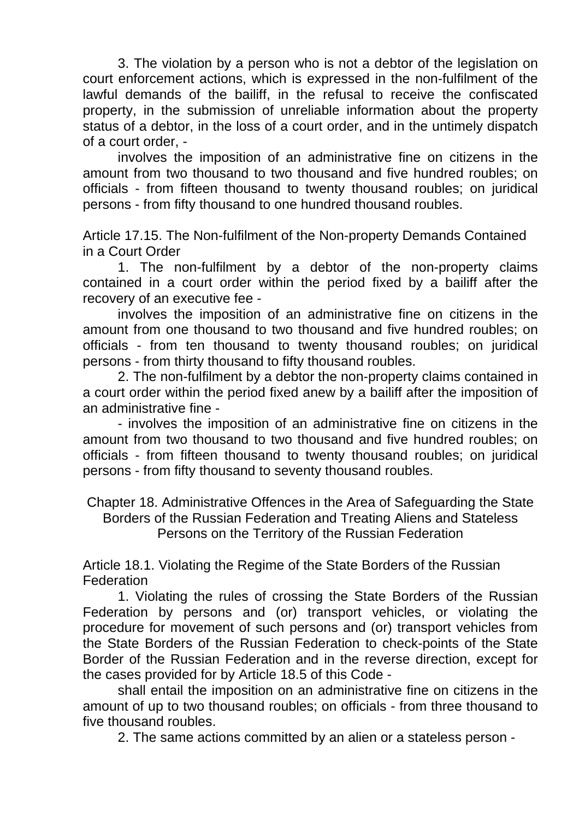3. The violation by a person who is not a debtor of the legislation on court enforcement actions, which is expressed in the non-fulfilment of the lawful demands of the bailiff, in the refusal to receive the confiscated property, in the submission of unreliable information about the property status of a debtor, in the loss of a court order, and in the untimely dispatch of a court order, -

involves the imposition of an administrative fine on citizens in the amount from two thousand to two thousand and five hundred roubles; on officials - from fifteen thousand to twenty thousand roubles; on juridical persons - from fifty thousand to one hundred thousand roubles.

Article 17.15. The Non-fulfilment of the Non-property Demands Contained in a Court Order

1. The non-fulfilment by a debtor of the non-property claims contained in a court order within the period fixed by a bailiff after the recovery of an executive fee -

involves the imposition of an administrative fine on citizens in the amount from one thousand to two thousand and five hundred roubles; on officials - from ten thousand to twenty thousand roubles; on juridical persons - from thirty thousand to fifty thousand roubles.

2. The non-fulfilment by a debtor the non-property claims contained in a court order within the period fixed anew by a bailiff after the imposition of an administrative fine -

- involves the imposition of an administrative fine on citizens in the amount from two thousand to two thousand and five hundred roubles; on officials - from fifteen thousand to twenty thousand roubles; on juridical persons - from fifty thousand to seventy thousand roubles.

Chapter 18. Administrative Offences in the Area of Safeguarding the State Borders of the Russian Federation and Treating Aliens and Stateless Persons on the Territory of the Russian Federation

Article 18.1. Violating the Regime of the State Borders of the Russian **Federation** 

1. Violating the rules of crossing the State Borders of the Russian Federation by persons and (or) transport vehicles, or violating the procedure for movement of such persons and (or) transport vehicles from the State Borders of the Russian Federation to check-points of the State Border of the Russian Federation and in the reverse direction, except for the cases provided for by Article 18.5 of this Code -

shall entail the imposition on an administrative fine on citizens in the amount of up to two thousand roubles; on officials - from three thousand to five thousand roubles.

2. The same actions committed by an alien or a stateless person -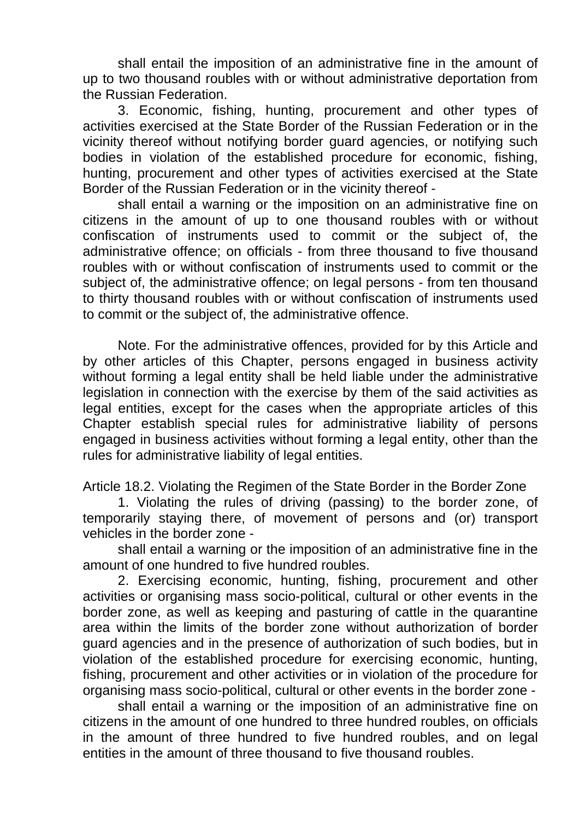shall entail the imposition of an administrative fine in the amount of up to two thousand roubles with or without administrative deportation from the Russian Federation.

3. Economic, fishing, hunting, procurement and other types of activities exercised at the State Border of the Russian Federation or in the vicinity thereof without notifying border guard agencies, or notifying such bodies in violation of the established procedure for economic, fishing, hunting, procurement and other types of activities exercised at the State Border of the Russian Federation or in the vicinity thereof -

shall entail a warning or the imposition on an administrative fine on citizens in the amount of up to one thousand roubles with or without confiscation of instruments used to commit or the subject of, the administrative offence; on officials - from three thousand to five thousand roubles with or without confiscation of instruments used to commit or the subject of, the administrative offence; on legal persons - from ten thousand to thirty thousand roubles with or without confiscation of instruments used to commit or the subject of, the administrative offence.

Note. For the administrative offences, provided for by this Article and by other articles of this Chapter, persons engaged in business activity without forming a legal entity shall be held liable under the administrative legislation in connection with the exercise by them of the said activities as legal entities, except for the cases when the appropriate articles of this Chapter establish special rules for administrative liability of persons engaged in business activities without forming a legal entity, other than the rules for administrative liability of legal entities.

Article 18.2. Violating the Regimen of the State Border in the Border Zone

1. Violating the rules of driving (passing) to the border zone, of temporarily staying there, of movement of persons and (or) transport vehicles in the border zone -

shall entail a warning or the imposition of an administrative fine in the amount of one hundred to five hundred roubles.

2. Exercising economic, hunting, fishing, procurement and other activities or organising mass socio-political, cultural or other events in the border zone, as well as keeping and pasturing of cattle in the quarantine area within the limits of the border zone without authorization of border guard agencies and in the presence of authorization of such bodies, but in violation of the established procedure for exercising economic, hunting, fishing, procurement and other activities or in violation of the procedure for organising mass socio-political, cultural or other events in the border zone -

shall entail a warning or the imposition of an administrative fine on citizens in the amount of one hundred to three hundred roubles, on officials in the amount of three hundred to five hundred roubles, and on legal entities in the amount of three thousand to five thousand roubles.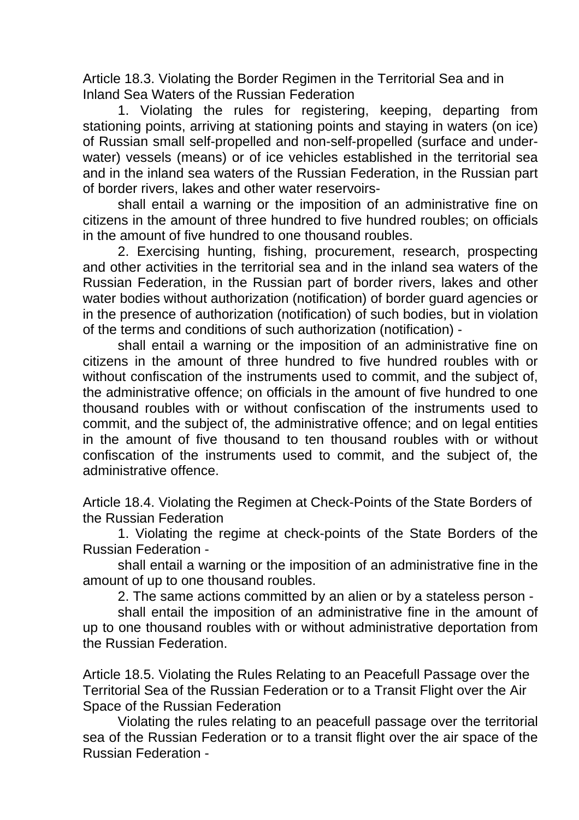Article 18.3. Violating the Border Regimen in the Territorial Sea and in Inland Sea Waters of the Russian Federation

1. Violating the rules for registering, keeping, departing from stationing points, arriving at stationing points and staying in waters (on ice) of Russian small self-propelled and non-self-propelled (surface and underwater) vessels (means) or of ice vehicles established in the territorial sea and in the inland sea waters of the Russian Federation, in the Russian part of border rivers, lakes and other water reservoirs-

shall entail a warning or the imposition of an administrative fine on citizens in the amount of three hundred to five hundred roubles; on officials in the amount of five hundred to one thousand roubles.

2. Exercising hunting, fishing, procurement, research, prospecting and other activities in the territorial sea and in the inland sea waters of the Russian Federation, in the Russian part of border rivers, lakes and other water bodies without authorization (notification) of border guard agencies or in the presence of authorization (notification) of such bodies, but in violation of the terms and conditions of such authorization (notification) -

shall entail a warning or the imposition of an administrative fine on citizens in the amount of three hundred to five hundred roubles with or without confiscation of the instruments used to commit, and the subject of, the administrative offence; on officials in the amount of five hundred to one thousand roubles with or without confiscation of the instruments used to commit, and the subject of, the administrative offence; and on legal entities in the amount of five thousand to ten thousand roubles with or without confiscation of the instruments used to commit, and the subject of, the administrative offence.

Article 18.4. Violating the Regimen at Check-Points of the State Borders of the Russian Federation

1. Violating the regime at check-points of the State Borders of the Russian Federation -

shall entail a warning or the imposition of an administrative fine in the amount of up to one thousand roubles.

2. The same actions committed by an alien or by a stateless person -

shall entail the imposition of an administrative fine in the amount of up to one thousand roubles with or without administrative deportation from the Russian Federation.

Article 18.5. Violating the Rules Relating to an Peacefull Passage over the Territorial Sea of the Russian Federation or to a Transit Flight over the Air Space of the Russian Federation

Violating the rules relating to an peacefull passage over the territorial sea of the Russian Federation or to a transit flight over the air space of the Russian Federation -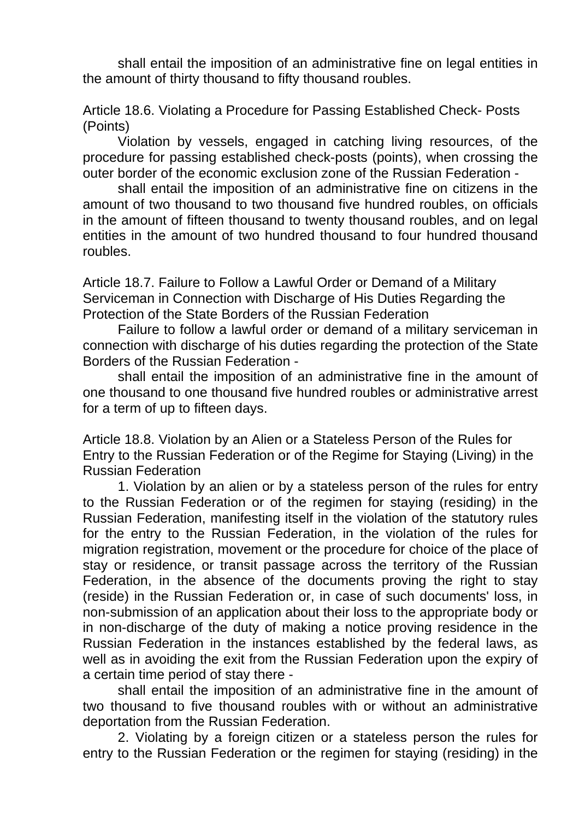shall entail the imposition of an administrative fine on legal entities in the amount of thirty thousand to fifty thousand roubles.

Article 18.6. Violating a Procedure for Passing Established Check- Posts (Points)

Violation by vessels, engaged in catching living resources, of the procedure for passing established check-posts (points), when crossing the outer border of the economic exclusion zone of the Russian Federation -

shall entail the imposition of an administrative fine on citizens in the amount of two thousand to two thousand five hundred roubles, on officials in the amount of fifteen thousand to twenty thousand roubles, and on legal entities in the amount of two hundred thousand to four hundred thousand roubles.

Article 18.7. Failure to Follow a Lawful Order or Demand of a Military Serviceman in Connection with Discharge of His Duties Regarding the Protection of the State Borders of the Russian Federation

Failure to follow a lawful order or demand of a military serviceman in connection with discharge of his duties regarding the protection of the State Borders of the Russian Federation -

shall entail the imposition of an administrative fine in the amount of one thousand to one thousand five hundred roubles or administrative arrest for a term of up to fifteen days.

Article 18.8. Violation by an Alien or a Stateless Person of the Rules for Entry to the Russian Federation or of the Regime for Staying (Living) in the Russian Federation

1. Violation by an alien or by a stateless person of the rules for entry to the Russian Federation or of the regimen for staying (residing) in the Russian Federation, manifesting itself in the violation of the statutory rules for the entry to the Russian Federation, in the violation of the rules for migration registration, movement or the procedure for choice of the place of stay or residence, or transit passage across the territory of the Russian Federation, in the absence of the documents proving the right to stay (reside) in the Russian Federation or, in case of such documents' loss, in non-submission of an application about their loss to the appropriate body or in non-discharge of the duty of making a notice proving residence in the Russian Federation in the instances established by the federal laws, as well as in avoiding the exit from the Russian Federation upon the expiry of a certain time period of stay there -

shall entail the imposition of an administrative fine in the amount of two thousand to five thousand roubles with or without an administrative deportation from the Russian Federation.

2. Violating by a foreign citizen or a stateless person the rules for entry to the Russian Federation or the regimen for staying (residing) in the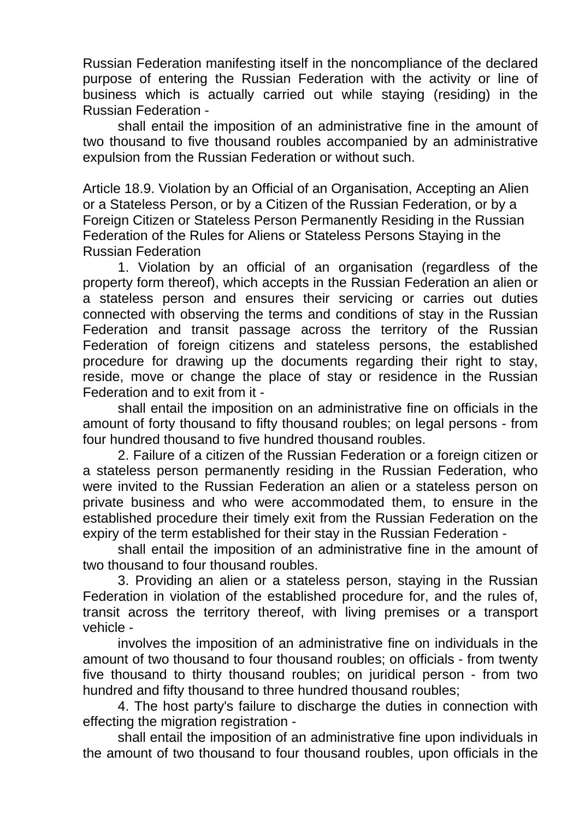Russian Federation manifesting itself in the noncompliance of the declared purpose of entering the Russian Federation with the activity or line of business which is actually carried out while staying (residing) in the Russian Federation -

shall entail the imposition of an administrative fine in the amount of two thousand to five thousand roubles accompanied by an administrative expulsion from the Russian Federation or without such.

Article 18.9. Violation by an Official of an Organisation, Accepting an Alien or a Stateless Person, or by a Citizen of the Russian Federation, or by a Foreign Citizen or Stateless Person Permanently Residing in the Russian Federation of the Rules for Aliens or Stateless Persons Staying in the Russian Federation

1. Violation by an official of an organisation (regardless of the property form thereof), which accepts in the Russian Federation an alien or a stateless person and ensures their servicing or carries out duties connected with observing the terms and conditions of stay in the Russian Federation and transit passage across the territory of the Russian Federation of foreign citizens and stateless persons, the established procedure for drawing up the documents regarding their right to stay, reside, move or change the place of stay or residence in the Russian Federation and to exit from it -

shall entail the imposition on an administrative fine on officials in the amount of forty thousand to fifty thousand roubles; on legal persons - from four hundred thousand to five hundred thousand roubles.

2. Failure of a citizen of the Russian Federation or a foreign citizen or a stateless person permanently residing in the Russian Federation, who were invited to the Russian Federation an alien or a stateless person on private business and who were accommodated them, to ensure in the established procedure their timely exit from the Russian Federation on the expiry of the term established for their stay in the Russian Federation -

shall entail the imposition of an administrative fine in the amount of two thousand to four thousand roubles.

3. Providing an alien or a stateless person, staying in the Russian Federation in violation of the established procedure for, and the rules of, transit across the territory thereof, with living premises or a transport vehicle -

involves the imposition of an administrative fine on individuals in the amount of two thousand to four thousand roubles; on officials - from twenty five thousand to thirty thousand roubles; on juridical person - from two hundred and fifty thousand to three hundred thousand roubles;

4. The host party's failure to discharge the duties in connection with effecting the migration registration -

shall entail the imposition of an administrative fine upon individuals in the amount of two thousand to four thousand roubles, upon officials in the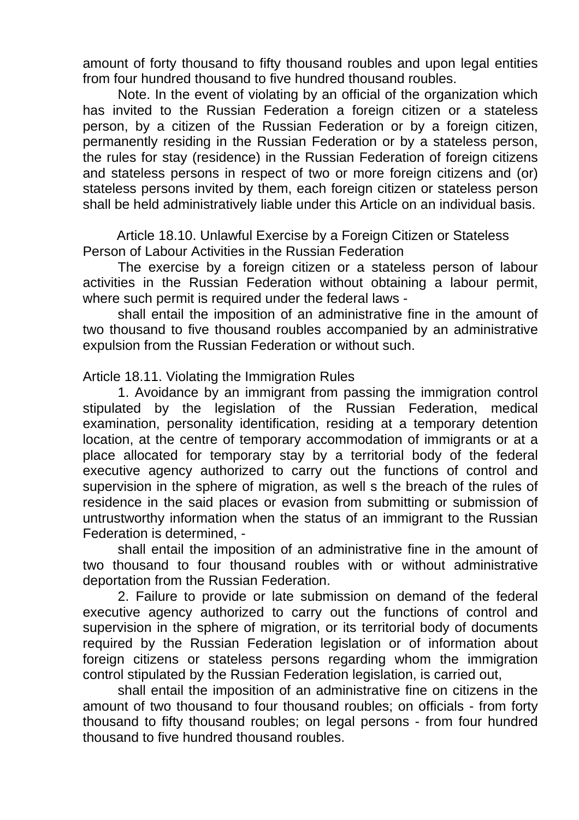amount of forty thousand to fifty thousand roubles and upon legal entities from four hundred thousand to five hundred thousand roubles.

Note. In the event of violating by an official of the organization which has invited to the Russian Federation a foreign citizen or a stateless person, by a citizen of the Russian Federation or by a foreign citizen, permanently residing in the Russian Federation or by a stateless person, the rules for stay (residence) in the Russian Federation of foreign citizens and stateless persons in respect of two or more foreign citizens and (or) stateless persons invited by them, each foreign citizen or stateless person shall be held administratively liable under this Article on an individual basis.

Article 18.10. Unlawful Exercise by a Foreign Citizen or Stateless Person of Labour Activities in the Russian Federation

The exercise by a foreign citizen or a stateless person of labour activities in the Russian Federation without obtaining a labour permit, where such permit is required under the federal laws -

shall entail the imposition of an administrative fine in the amount of two thousand to five thousand roubles accompanied by an administrative expulsion from the Russian Federation or without such.

Article 18.11. Violating the Immigration Rules

1. Avoidance by an immigrant from passing the immigration control stipulated by the legislation of the Russian Federation, medical examination, personality identification, residing at a temporary detention location, at the centre of temporary accommodation of immigrants or at a place allocated for temporary stay by a territorial body of the federal executive agency authorized to carry out the functions of control and supervision in the sphere of migration, as well s the breach of the rules of residence in the said places or evasion from submitting or submission of untrustworthy information when the status of an immigrant to the Russian Federation is determined, -

shall entail the imposition of an administrative fine in the amount of two thousand to four thousand roubles with or without administrative deportation from the Russian Federation.

2. Failure to provide or late submission on demand of the federal executive agency authorized to carry out the functions of control and supervision in the sphere of migration, or its territorial body of documents required by the Russian Federation legislation or of information about foreign citizens or stateless persons regarding whom the immigration control stipulated by the Russian Federation legislation, is carried out,

shall entail the imposition of an administrative fine on citizens in the amount of two thousand to four thousand roubles; on officials - from forty thousand to fifty thousand roubles; on legal persons - from four hundred thousand to five hundred thousand roubles.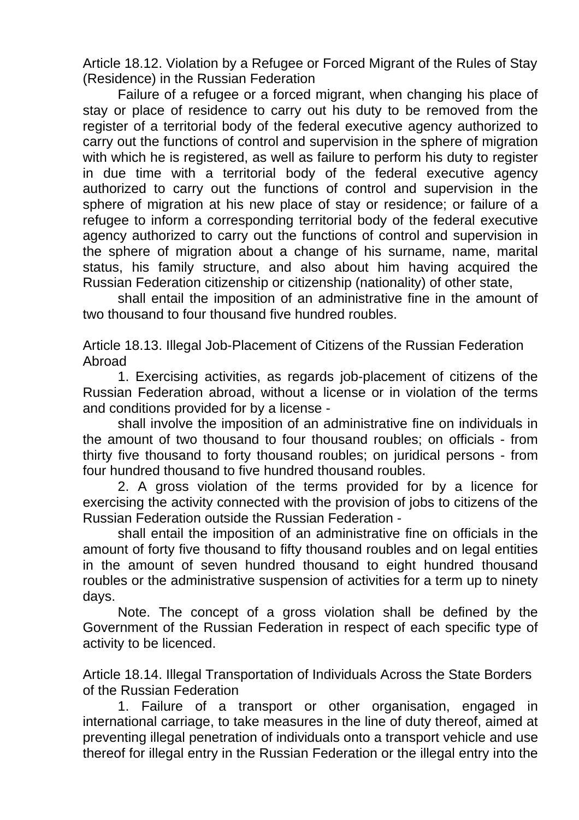Article 18.12. Violation by a Refugee or Forced Migrant of the Rules of Stay (Residence) in the Russian Federation

Failure of a refugee or a forced migrant, when changing his place of stay or place of residence to carry out his duty to be removed from the register of a territorial body of the federal executive agency authorized to carry out the functions of control and supervision in the sphere of migration with which he is registered, as well as failure to perform his duty to register in due time with a territorial body of the federal executive agency authorized to carry out the functions of control and supervision in the sphere of migration at his new place of stay or residence; or failure of a refugee to inform a corresponding territorial body of the federal executive agency authorized to carry out the functions of control and supervision in the sphere of migration about a change of his surname, name, marital status, his family structure, and also about him having acquired the Russian Federation citizenship or citizenship (nationality) of other state,

shall entail the imposition of an administrative fine in the amount of two thousand to four thousand five hundred roubles.

Article 18.13. Illegal Job-Placement of Citizens of the Russian Federation Abroad

1. Exercising activities, as regards job-placement of citizens of the Russian Federation abroad, without a license or in violation of the terms and conditions provided for by a license -

shall involve the imposition of an administrative fine on individuals in the amount of two thousand to four thousand roubles; on officials - from thirty five thousand to forty thousand roubles; on juridical persons - from four hundred thousand to five hundred thousand roubles.

2. A gross violation of the terms provided for by a licence for exercising the activity connected with the provision of jobs to citizens of the Russian Federation outside the Russian Federation -

shall entail the imposition of an administrative fine on officials in the amount of forty five thousand to fifty thousand roubles and on legal entities in the amount of seven hundred thousand to eight hundred thousand roubles or the administrative suspension of activities for a term up to ninety days.

Note. The concept of a gross violation shall be defined by the Government of the Russian Federation in respect of each specific type of activity to be licenced.

Article 18.14. Illegal Transportation of Individuals Across the State Borders of the Russian Federation

1. Failure of a transport or other organisation, engaged in international carriage, to take measures in the line of duty thereof, aimed at preventing illegal penetration of individuals onto a transport vehicle and use thereof for illegal entry in the Russian Federation or the illegal entry into the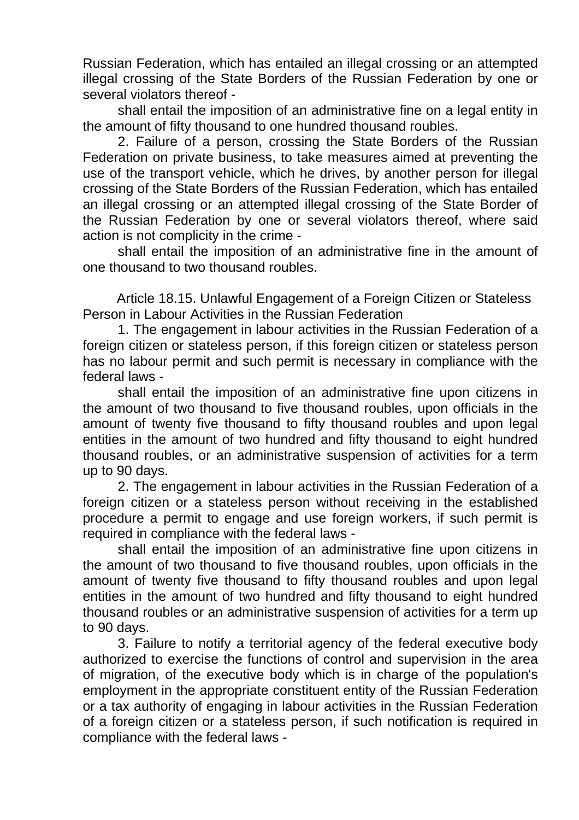Russian Federation, which has entailed an illegal crossing or an attempted illegal crossing of the State Borders of the Russian Federation by one or several violators thereof -

shall entail the imposition of an administrative fine on a legal entity in the amount of fifty thousand to one hundred thousand roubles.

2. Failure of a person, crossing the State Borders of the Russian Federation on private business, to take measures aimed at preventing the use of the transport vehicle, which he drives, by another person for illegal crossing of the State Borders of the Russian Federation, which has entailed an illegal crossing or an attempted illegal crossing of the State Border of the Russian Federation by one or several violators thereof, where said action is not complicity in the crime -

shall entail the imposition of an administrative fine in the amount of one thousand to two thousand roubles.

Article 18.15. Unlawful Engagement of a Foreign Citizen or Stateless Person in Labour Activities in the Russian Federation

1. The engagement in labour activities in the Russian Federation of a foreign citizen or stateless person, if this foreign citizen or stateless person has no labour permit and such permit is necessary in compliance with the federal laws -

shall entail the imposition of an administrative fine upon citizens in the amount of two thousand to five thousand roubles, upon officials in the amount of twenty five thousand to fifty thousand roubles and upon legal entities in the amount of two hundred and fifty thousand to eight hundred thousand roubles, or an administrative suspension of activities for a term up to 90 days.

2. The engagement in labour activities in the Russian Federation of a foreign citizen or a stateless person without receiving in the established procedure a permit to engage and use foreign workers, if such permit is required in compliance with the federal laws -

shall entail the imposition of an administrative fine upon citizens in the amount of two thousand to five thousand roubles, upon officials in the amount of twenty five thousand to fifty thousand roubles and upon legal entities in the amount of two hundred and fifty thousand to eight hundred thousand roubles or an administrative suspension of activities for a term up to 90 days.

3. Failure to notify a territorial agency of the federal executive body authorized to exercise the functions of control and supervision in the area of migration, of the executive body which is in charge of the population's employment in the appropriate constituent entity of the Russian Federation or a tax authority of engaging in labour activities in the Russian Federation of a foreign citizen or a stateless person, if such notification is required in compliance with the federal laws -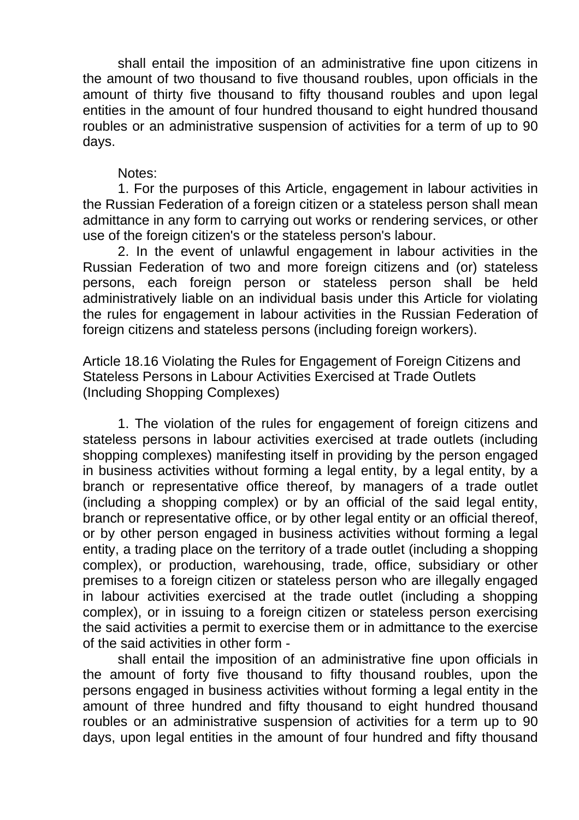shall entail the imposition of an administrative fine upon citizens in the amount of two thousand to five thousand roubles, upon officials in the amount of thirty five thousand to fifty thousand roubles and upon legal entities in the amount of four hundred thousand to eight hundred thousand roubles or an administrative suspension of activities for a term of up to 90 days.

## Notes:

1. For the purposes of this Article, engagement in labour activities in the Russian Federation of a foreign citizen or a stateless person shall mean admittance in any form to carrying out works or rendering services, or other use of the foreign citizen's or the stateless person's labour.

2. In the event of unlawful engagement in labour activities in the Russian Federation of two and more foreign citizens and (or) stateless persons, each foreign person or stateless person shall be held administratively liable on an individual basis under this Article for violating the rules for engagement in labour activities in the Russian Federation of foreign citizens and stateless persons (including foreign workers).

Article 18.16 Violating the Rules for Engagement of Foreign Citizens and Stateless Persons in Labour Activities Exercised at Trade Outlets (Including Shopping Complexes)

1. The violation of the rules for engagement of foreign citizens and stateless persons in labour activities exercised at trade outlets (including shopping complexes) manifesting itself in providing by the person engaged in business activities without forming a legal entity, by a legal entity, by a branch or representative office thereof, by managers of a trade outlet (including a shopping complex) or by an official of the said legal entity, branch or representative office, or by other legal entity or an official thereof, or by other person engaged in business activities without forming a legal entity, a trading place on the territory of a trade outlet (including a shopping complex), or production, warehousing, trade, office, subsidiary or other premises to a foreign citizen or stateless person who are illegally engaged in labour activities exercised at the trade outlet (including a shopping complex), or in issuing to a foreign citizen or stateless person exercising the said activities a permit to exercise them or in admittance to the exercise of the said activities in other form -

shall entail the imposition of an administrative fine upon officials in the amount of forty five thousand to fifty thousand roubles, upon the persons engaged in business activities without forming a legal entity in the amount of three hundred and fifty thousand to eight hundred thousand roubles or an administrative suspension of activities for a term up to 90 days, upon legal entities in the amount of four hundred and fifty thousand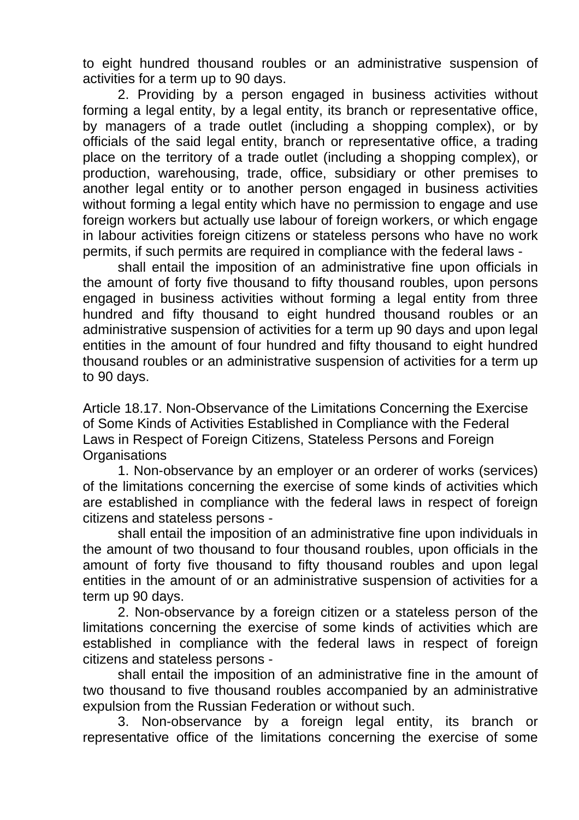to eight hundred thousand roubles or an administrative suspension of activities for a term up to 90 days.

2. Providing by a person engaged in business activities without forming a legal entity, by a legal entity, its branch or representative office, by managers of a trade outlet (including a shopping complex), or by officials of the said legal entity, branch or representative office, a trading place on the territory of a trade outlet (including a shopping complex), or production, warehousing, trade, office, subsidiary or other premises to another legal entity or to another person engaged in business activities without forming a legal entity which have no permission to engage and use foreign workers but actually use labour of foreign workers, or which engage in labour activities foreign citizens or stateless persons who have no work permits, if such permits are required in compliance with the federal laws -

shall entail the imposition of an administrative fine upon officials in the amount of forty five thousand to fifty thousand roubles, upon persons engaged in business activities without forming a legal entity from three hundred and fifty thousand to eight hundred thousand roubles or an administrative suspension of activities for a term up 90 days and upon legal entities in the amount of four hundred and fifty thousand to eight hundred thousand roubles or an administrative suspension of activities for a term up to 90 days.

Article 18.17. Non-Observance of the Limitations Concerning the Exercise of Some Kinds of Activities Established in Compliance with the Federal Laws in Respect of Foreign Citizens, Stateless Persons and Foreign **Organisations** 

1. Non-observance by an employer or an orderer of works (services) of the limitations concerning the exercise of some kinds of activities which are established in compliance with the federal laws in respect of foreign citizens and stateless persons -

shall entail the imposition of an administrative fine upon individuals in the amount of two thousand to four thousand roubles, upon officials in the amount of forty five thousand to fifty thousand roubles and upon legal entities in the amount of or an administrative suspension of activities for a term up 90 days.

2. Non-observance by a foreign citizen or a stateless person of the limitations concerning the exercise of some kinds of activities which are established in compliance with the federal laws in respect of foreign citizens and stateless persons -

shall entail the imposition of an administrative fine in the amount of two thousand to five thousand roubles accompanied by an administrative expulsion from the Russian Federation or without such.

3. Non-observance by a foreign legal entity, its branch or representative office of the limitations concerning the exercise of some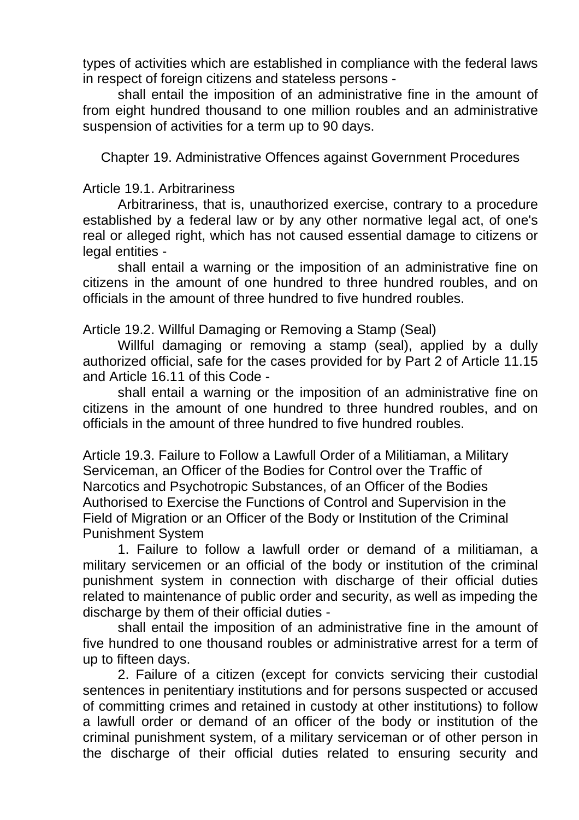types of activities which are established in compliance with the federal laws in respect of foreign citizens and stateless persons -

shall entail the imposition of an administrative fine in the amount of from eight hundred thousand to one million roubles and an administrative suspension of activities for a term up to 90 days.

Chapter 19. Administrative Offences against Government Procedures

## Article 19.1. Arbitrariness

Arbitrariness, that is, unauthorized exercise, contrary to a procedure established by a federal law or by any other normative legal act, of one's real or alleged right, which has not caused essential damage to citizens or legal entities -

shall entail a warning or the imposition of an administrative fine on citizens in the amount of one hundred to three hundred roubles, and on officials in the amount of three hundred to five hundred roubles.

Article 19.2. Willful Damaging or Removing a Stamp (Seal)

Willful damaging or removing a stamp (seal), applied by a dully authorized official, safe for the cases provided for by Part 2 of Article 11.15 and Article 16.11 of this Code -

shall entail a warning or the imposition of an administrative fine on citizens in the amount of one hundred to three hundred roubles, and on officials in the amount of three hundred to five hundred roubles.

Article 19.3. Failure to Follow a Lawfull Order of a Militiaman, a Military Serviceman, an Officer of the Bodies for Control over the Traffic of Narcotics and Psychotropic Substances, of an Officer of the Bodies Authorised to Exercise the Functions of Control and Supervision in the Field of Migration or an Officer of the Body or Institution of the Criminal Punishment System

1. Failure to follow a lawfull order or demand of a militiaman, a military servicemen or an official of the body or institution of the criminal punishment system in connection with discharge of their official duties related to maintenance of public order and security, as well as impeding the discharge by them of their official duties -

shall entail the imposition of an administrative fine in the amount of five hundred to one thousand roubles or administrative arrest for a term of up to fifteen days.

2. Failure of a citizen (except for convicts servicing their custodial sentences in penitentiary institutions and for persons suspected or accused of committing crimes and retained in custody at other institutions) to follow a lawfull order or demand of an officer of the body or institution of the criminal punishment system, of a military serviceman or of other person in the discharge of their official duties related to ensuring security and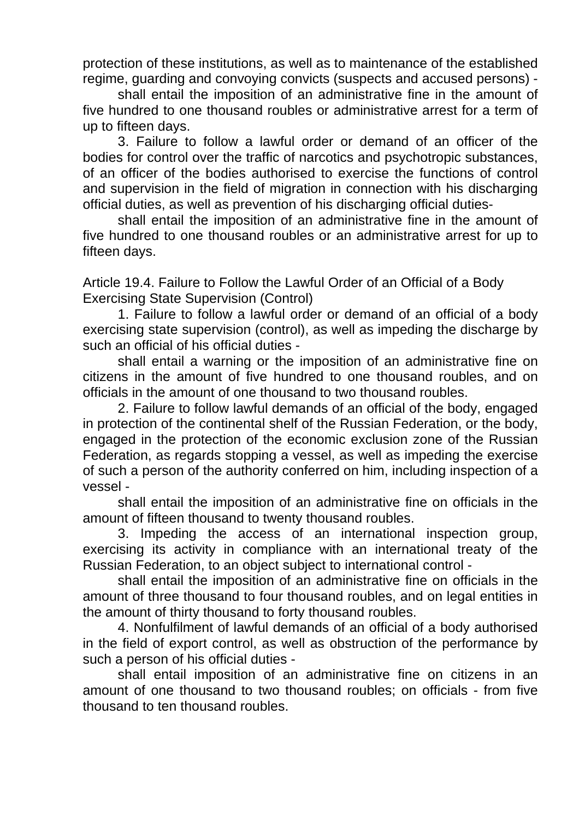protection of these institutions, as well as to maintenance of the established regime, guarding and convoying convicts (suspects and accused persons) -

shall entail the imposition of an administrative fine in the amount of five hundred to one thousand roubles or administrative arrest for a term of up to fifteen days.

3. Failure to follow a lawful order or demand of an officer of the bodies for control over the traffic of narcotics and psychotropic substances, of an officer of the bodies authorised to exercise the functions of control and supervision in the field of migration in connection with his discharging official duties, as well as prevention of his discharging official duties-

shall entail the imposition of an administrative fine in the amount of five hundred to one thousand roubles or an administrative arrest for up to fifteen days.

Article 19.4. Failure to Follow the Lawful Order of an Official of a Body Exercising State Supervision (Control)

1. Failure to follow a lawful order or demand of an official of a body exercising state supervision (control), as well as impeding the discharge by such an official of his official duties -

shall entail a warning or the imposition of an administrative fine on citizens in the amount of five hundred to one thousand roubles, and on officials in the amount of one thousand to two thousand roubles.

2. Failure to follow lawful demands of an official of the body, engaged in protection of the continental shelf of the Russian Federation, or the body, engaged in the protection of the economic exclusion zone of the Russian Federation, as regards stopping a vessel, as well as impeding the exercise of such a person of the authority conferred on him, including inspection of a vessel -

shall entail the imposition of an administrative fine on officials in the amount of fifteen thousand to twenty thousand roubles.

3. Impeding the access of an international inspection group, exercising its activity in compliance with an international treaty of the Russian Federation, to an object subject to international control -

shall entail the imposition of an administrative fine on officials in the amount of three thousand to four thousand roubles, and on legal entities in the amount of thirty thousand to forty thousand roubles.

4. Nonfulfilment of lawful demands of an official of a body authorised in the field of export control, as well as obstruction of the performance by such a person of his official duties -

shall entail imposition of an administrative fine on citizens in an amount of one thousand to two thousand roubles; on officials - from five thousand to ten thousand roubles.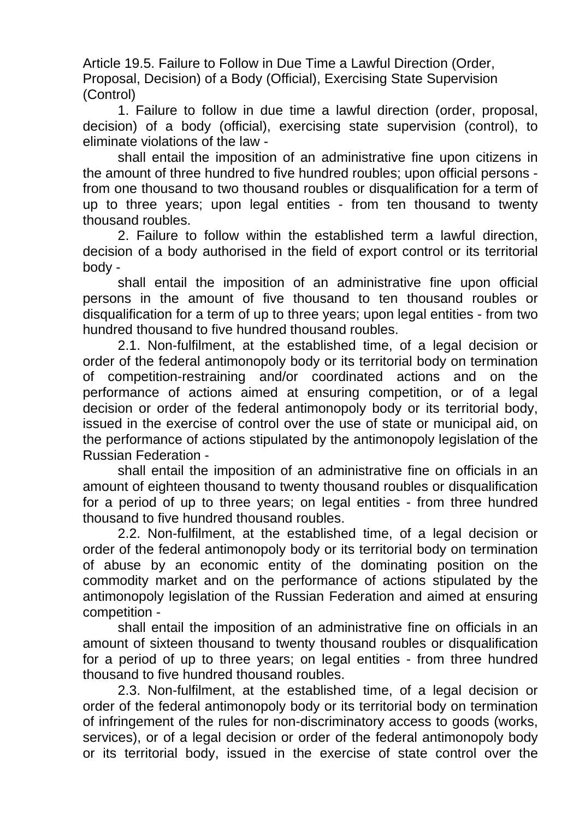Article 19.5. Failure to Follow in Due Time a Lawful Direction (Order, Proposal, Decision) of a Body (Official), Exercising State Supervision (Control)

1. Failure to follow in due time a lawful direction (order, proposal, decision) of a body (official), exercising state supervision (control), to eliminate violations of the law -

shall entail the imposition of an administrative fine upon citizens in the amount of three hundred to five hundred roubles; upon official persons from one thousand to two thousand roubles or disqualification for a term of up to three years; upon legal entities - from ten thousand to twenty thousand roubles.

2. Failure to follow within the established term a lawful direction, decision of a body authorised in the field of export control or its territorial body -

shall entail the imposition of an administrative fine upon official persons in the amount of five thousand to ten thousand roubles or disqualification for a term of up to three years; upon legal entities - from two hundred thousand to five hundred thousand roubles.

2.1. Non-fulfilment, at the established time, of a legal decision or order of the federal antimonopoly body or its territorial body on termination of competition-restraining and/or coordinated actions and on the performance of actions aimed at ensuring competition, or of a legal decision or order of the federal antimonopoly body or its territorial body, issued in the exercise of control over the use of state or municipal aid, on the performance of actions stipulated by the antimonopoly legislation of the Russian Federation -

shall entail the imposition of an administrative fine on officials in an amount of eighteen thousand to twenty thousand roubles or disqualification for a period of up to three years; on legal entities - from three hundred thousand to five hundred thousand roubles.

2.2. Non-fulfilment, at the established time, of a legal decision or order of the federal antimonopoly body or its territorial body on termination of abuse by an economic entity of the dominating position on the commodity market and on the performance of actions stipulated by the antimonopoly legislation of the Russian Federation and aimed at ensuring competition -

shall entail the imposition of an administrative fine on officials in an amount of sixteen thousand to twenty thousand roubles or disqualification for a period of up to three years; on legal entities - from three hundred thousand to five hundred thousand roubles.

2.3. Non-fulfilment, at the established time, of a legal decision or order of the federal antimonopoly body or its territorial body on termination of infringement of the rules for non-discriminatory access to goods (works, services), or of a legal decision or order of the federal antimonopoly body or its territorial body, issued in the exercise of state control over the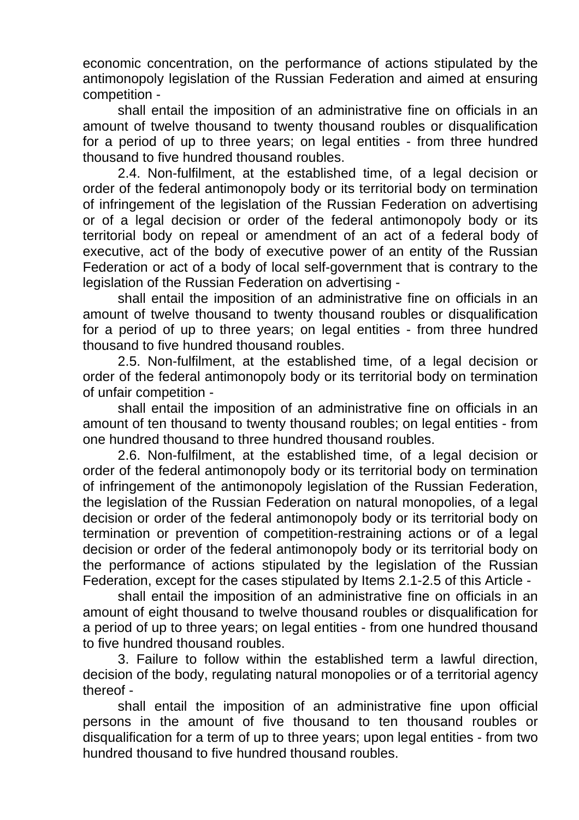economic concentration, on the performance of actions stipulated by the antimonopoly legislation of the Russian Federation and aimed at ensuring competition -

shall entail the imposition of an administrative fine on officials in an amount of twelve thousand to twenty thousand roubles or disqualification for a period of up to three years; on legal entities - from three hundred thousand to five hundred thousand roubles.

2.4. Non-fulfilment, at the established time, of a legal decision or order of the federal antimonopoly body or its territorial body on termination of infringement of the legislation of the Russian Federation on advertising or of a legal decision or order of the federal antimonopoly body or its territorial body on repeal or amendment of an act of a federal body of executive, act of the body of executive power of an entity of the Russian Federation or act of a body of local self-government that is contrary to the legislation of the Russian Federation on advertising -

shall entail the imposition of an administrative fine on officials in an amount of twelve thousand to twenty thousand roubles or disqualification for a period of up to three years; on legal entities - from three hundred thousand to five hundred thousand roubles.

2.5. Non-fulfilment, at the established time, of a legal decision or order of the federal antimonopoly body or its territorial body on termination of unfair competition -

shall entail the imposition of an administrative fine on officials in an amount of ten thousand to twenty thousand roubles; on legal entities - from one hundred thousand to three hundred thousand roubles.

2.6. Non-fulfilment, at the established time, of a legal decision or order of the federal antimonopoly body or its territorial body on termination of infringement of the antimonopoly legislation of the Russian Federation, the legislation of the Russian Federation on natural monopolies, of a legal decision or order of the federal antimonopoly body or its territorial body on termination or prevention of competition-restraining actions or of a legal decision or order of the federal antimonopoly body or its territorial body on the performance of actions stipulated by the legislation of the Russian Federation, except for the cases stipulated by Items 2.1-2.5 of this Article -

shall entail the imposition of an administrative fine on officials in an amount of eight thousand to twelve thousand roubles or disqualification for a period of up to three years; on legal entities - from one hundred thousand to five hundred thousand roubles.

3. Failure to follow within the established term a lawful direction, decision of the body, regulating natural monopolies or of a territorial agency thereof -

shall entail the imposition of an administrative fine upon official persons in the amount of five thousand to ten thousand roubles or disqualification for a term of up to three years; upon legal entities - from two hundred thousand to five hundred thousand roubles.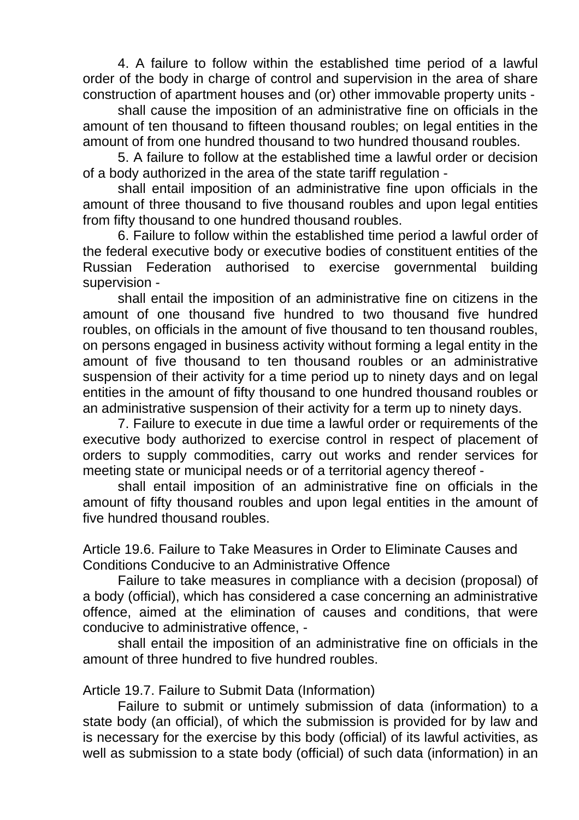4. A failure to follow within the established time period of a lawful order of the body in charge of control and supervision in the area of share construction of apartment houses and (or) other immovable property units -

shall cause the imposition of an administrative fine on officials in the amount of ten thousand to fifteen thousand roubles; on legal entities in the amount of from one hundred thousand to two hundred thousand roubles.

5. A failure to follow at the established time a lawful order or decision of a body authorized in the area of the state tariff regulation -

shall entail imposition of an administrative fine upon officials in the amount of three thousand to five thousand roubles and upon legal entities from fifty thousand to one hundred thousand roubles.

6. Failure to follow within the established time period a lawful order of the federal executive body or executive bodies of constituent entities of the Russian Federation authorised to exercise governmental building supervision -

shall entail the imposition of an administrative fine on citizens in the amount of one thousand five hundred to two thousand five hundred roubles, on officials in the amount of five thousand to ten thousand roubles, on persons engaged in business activity without forming a legal entity in the amount of five thousand to ten thousand roubles or an administrative suspension of their activity for a time period up to ninety days and on legal entities in the amount of fifty thousand to one hundred thousand roubles or an administrative suspension of their activity for a term up to ninety days.

7. Failure to execute in due time a lawful order or requirements of the executive body authorized to exercise control in respect of placement of orders to supply commodities, carry out works and render services for meeting state or municipal needs or of a territorial agency thereof -

shall entail imposition of an administrative fine on officials in the amount of fifty thousand roubles and upon legal entities in the amount of five hundred thousand roubles.

Article 19.6. Failure to Take Measures in Order to Eliminate Causes and Conditions Conducive to an Administrative Offence

Failure to take measures in compliance with a decision (proposal) of a body (official), which has considered a case concerning an administrative offence, aimed at the elimination of causes and conditions, that were conducive to administrative offence, -

shall entail the imposition of an administrative fine on officials in the amount of three hundred to five hundred roubles.

Article 19.7. Failure to Submit Data (Information)

Failure to submit or untimely submission of data (information) to a state body (an official), of which the submission is provided for by law and is necessary for the exercise by this body (official) of its lawful activities, as well as submission to a state body (official) of such data (information) in an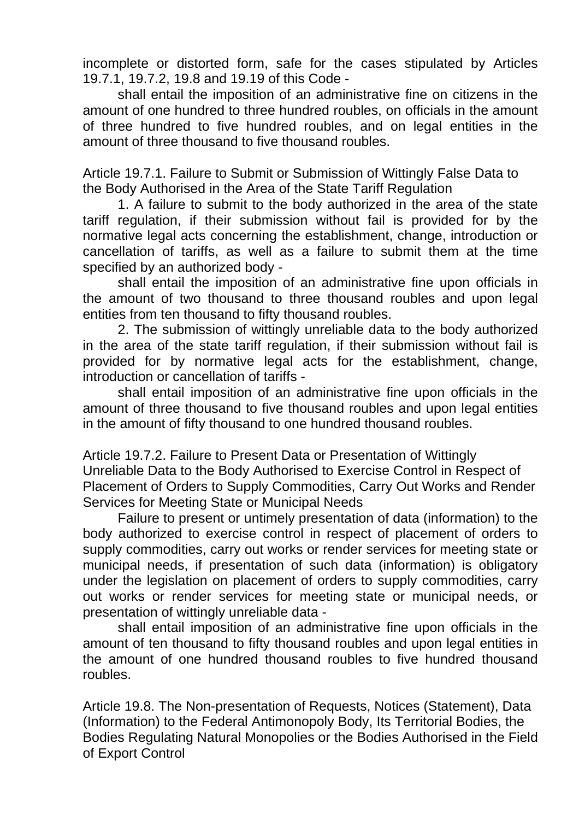incomplete or distorted form, safe for the cases stipulated by Articles 19.7.1, 19.7.2, 19.8 and 19.19 of this Code -

shall entail the imposition of an administrative fine on citizens in the amount of one hundred to three hundred roubles, on officials in the amount of three hundred to five hundred roubles, and on legal entities in the amount of three thousand to five thousand roubles.

Article 19.7.1. Failure to Submit or Submission of Wittingly False Data to the Body Authorised in the Area of the State Tariff Regulation

1. A failure to submit to the body authorized in the area of the state tariff regulation, if their submission without fail is provided for by the normative legal acts concerning the establishment, change, introduction or cancellation of tariffs, as well as a failure to submit them at the time specified by an authorized body -

shall entail the imposition of an administrative fine upon officials in the amount of two thousand to three thousand roubles and upon legal entities from ten thousand to fifty thousand roubles.

2. The submission of wittingly unreliable data to the body authorized in the area of the state tariff regulation, if their submission without fail is provided for by normative legal acts for the establishment, change, introduction or cancellation of tariffs -

shall entail imposition of an administrative fine upon officials in the amount of three thousand to five thousand roubles and upon legal entities in the amount of fifty thousand to one hundred thousand roubles.

Article 19.7.2. Failure to Present Data or Presentation of Wittingly Unreliable Data to the Body Authorised to Exercise Control in Respect of Placement of Orders to Supply Commodities, Carry Out Works and Render Services for Meeting State or Municipal Needs

Failure to present or untimely presentation of data (information) to the body authorized to exercise control in respect of placement of orders to supply commodities, carry out works or render services for meeting state or municipal needs, if presentation of such data (information) is obligatory under the legislation on placement of orders to supply commodities, carry out works or render services for meeting state or municipal needs, or presentation of wittingly unreliable data -

shall entail imposition of an administrative fine upon officials in the amount of ten thousand to fifty thousand roubles and upon legal entities in the amount of one hundred thousand roubles to five hundred thousand roubles.

Article 19.8. The Non-presentation of Requests, Notices (Statement), Data (Information) to the Federal Antimonopoly Body, Its Territorial Bodies, the Bodies Regulating Natural Monopolies or the Bodies Authorised in the Field of Export Control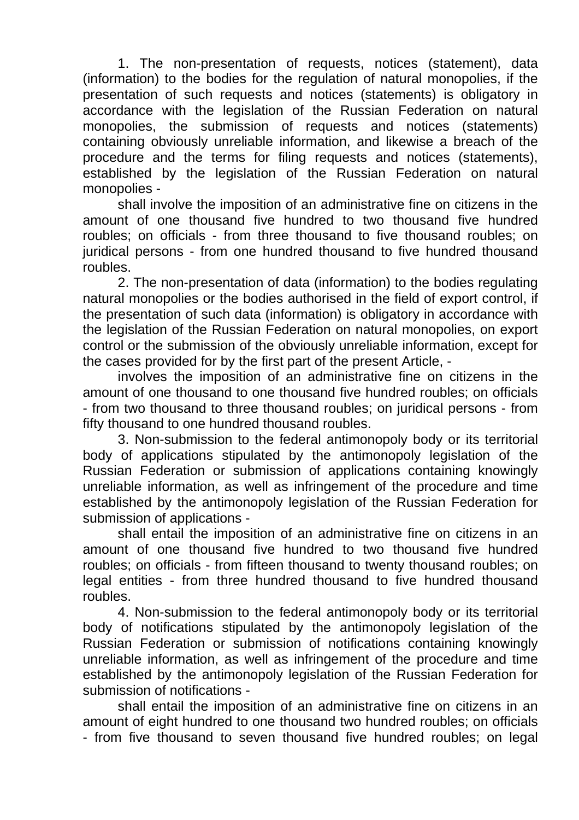1. The non-presentation of requests, notices (statement), data (information) to the bodies for the regulation of natural monopolies, if the presentation of such requests and notices (statements) is obligatory in accordance with the legislation of the Russian Federation on natural monopolies, the submission of requests and notices (statements) containing obviously unreliable information, and likewise a breach of the procedure and the terms for filing requests and notices (statements), established by the legislation of the Russian Federation on natural monopolies -

shall involve the imposition of an administrative fine on citizens in the amount of one thousand five hundred to two thousand five hundred roubles; on officials - from three thousand to five thousand roubles; on juridical persons - from one hundred thousand to five hundred thousand roubles.

2. The non-presentation of data (information) to the bodies regulating natural monopolies or the bodies authorised in the field of export control, if the presentation of such data (information) is obligatory in accordance with the legislation of the Russian Federation on natural monopolies, on export control or the submission of the obviously unreliable information, except for the cases provided for by the first part of the present Article, -

involves the imposition of an administrative fine on citizens in the amount of one thousand to one thousand five hundred roubles; on officials - from two thousand to three thousand roubles; on juridical persons - from fifty thousand to one hundred thousand roubles.

3. Non-submission to the federal antimonopoly body or its territorial body of applications stipulated by the antimonopoly legislation of the Russian Federation or submission of applications containing knowingly unreliable information, as well as infringement of the procedure and time established by the antimonopoly legislation of the Russian Federation for submission of applications -

shall entail the imposition of an administrative fine on citizens in an amount of one thousand five hundred to two thousand five hundred roubles; on officials - from fifteen thousand to twenty thousand roubles; on legal entities - from three hundred thousand to five hundred thousand roubles.

4. Non-submission to the federal antimonopoly body or its territorial body of notifications stipulated by the antimonopoly legislation of the Russian Federation or submission of notifications containing knowingly unreliable information, as well as infringement of the procedure and time established by the antimonopoly legislation of the Russian Federation for submission of notifications -

shall entail the imposition of an administrative fine on citizens in an amount of eight hundred to one thousand two hundred roubles; on officials - from five thousand to seven thousand five hundred roubles; on legal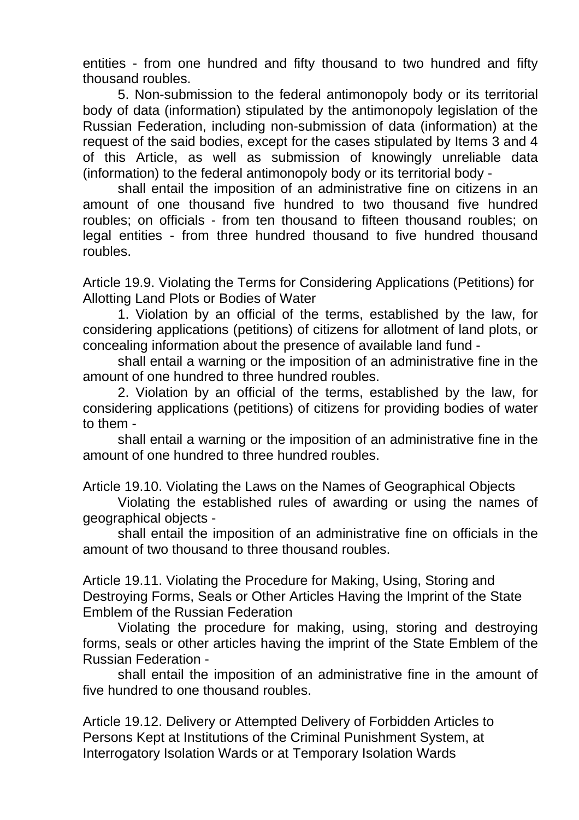entities - from one hundred and fifty thousand to two hundred and fifty thousand roubles.

5. Non-submission to the federal antimonopoly body or its territorial body of data (information) stipulated by the antimonopoly legislation of the Russian Federation, including non-submission of data (information) at the request of the said bodies, except for the cases stipulated by Items 3 and 4 of this Article, as well as submission of knowingly unreliable data (information) to the federal antimonopoly body or its territorial body -

shall entail the imposition of an administrative fine on citizens in an amount of one thousand five hundred to two thousand five hundred roubles; on officials - from ten thousand to fifteen thousand roubles; on legal entities - from three hundred thousand to five hundred thousand roubles.

Article 19.9. Violating the Terms for Considering Applications (Petitions) for Allotting Land Plots or Bodies of Water

1. Violation by an official of the terms, established by the law, for considering applications (petitions) of citizens for allotment of land plots, or concealing information about the presence of available land fund -

shall entail a warning or the imposition of an administrative fine in the amount of one hundred to three hundred roubles.

2. Violation by an official of the terms, established by the law, for considering applications (petitions) of citizens for providing bodies of water to them -

shall entail a warning or the imposition of an administrative fine in the amount of one hundred to three hundred roubles.

Article 19.10. Violating the Laws on the Names of Geographical Objects

Violating the established rules of awarding or using the names of geographical objects -

shall entail the imposition of an administrative fine on officials in the amount of two thousand to three thousand roubles.

Article 19.11. Violating the Procedure for Making, Using, Storing and Destroying Forms, Seals or Other Articles Having the Imprint of the State Emblem of the Russian Federation

Violating the procedure for making, using, storing and destroying forms, seals or other articles having the imprint of the State Emblem of the Russian Federation -

shall entail the imposition of an administrative fine in the amount of five hundred to one thousand roubles.

Article 19.12. Delivery or Attempted Delivery of Forbidden Articles to Persons Kept at Institutions of the Criminal Punishment System, at Interrogatory Isolation Wards or at Temporary Isolation Wards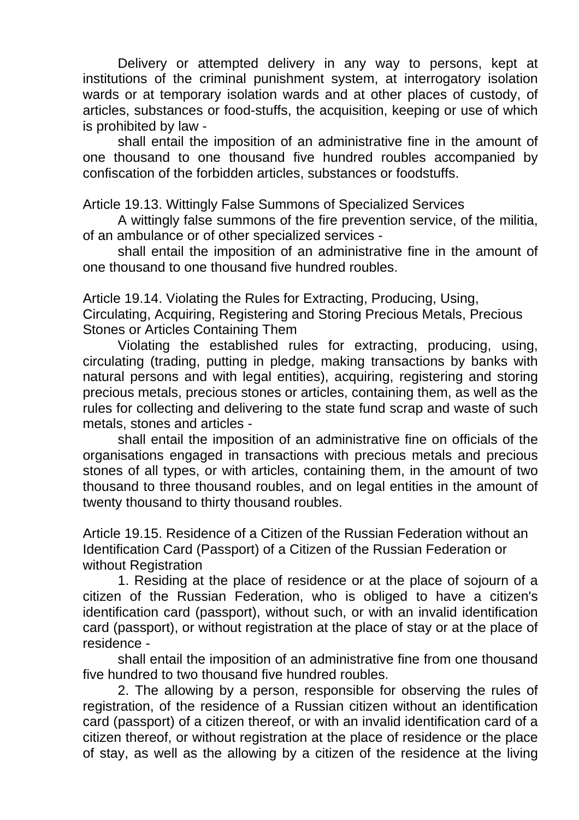Delivery or attempted delivery in any way to persons, kept at institutions of the criminal punishment system, at interrogatory isolation wards or at temporary isolation wards and at other places of custody, of articles, substances or food-stuffs, the acquisition, keeping or use of which is prohibited by law -

shall entail the imposition of an administrative fine in the amount of one thousand to one thousand five hundred roubles accompanied by confiscation of the forbidden articles, substances or foodstuffs.

Article 19.13. Wittingly False Summons of Specialized Services

A wittingly false summons of the fire prevention service, of the militia, of an ambulance or of other specialized services -

shall entail the imposition of an administrative fine in the amount of one thousand to one thousand five hundred roubles.

Article 19.14. Violating the Rules for Extracting, Producing, Using, Circulating, Acquiring, Registering and Storing Precious Metals, Precious Stones or Articles Containing Them

Violating the established rules for extracting, producing, using, circulating (trading, putting in pledge, making transactions by banks with natural persons and with legal entities), acquiring, registering and storing precious metals, precious stones or articles, containing them, as well as the rules for collecting and delivering to the state fund scrap and waste of such metals, stones and articles -

shall entail the imposition of an administrative fine on officials of the organisations engaged in transactions with precious metals and precious stones of all types, or with articles, containing them, in the amount of two thousand to three thousand roubles, and on legal entities in the amount of twenty thousand to thirty thousand roubles.

Article 19.15. Residence of a Citizen of the Russian Federation without an Identification Card (Passport) of a Citizen of the Russian Federation or without Registration

1. Residing at the place of residence or at the place of sojourn of a citizen of the Russian Federation, who is obliged to have a citizen's identification card (passport), without such, or with an invalid identification card (passport), or without registration at the place of stay or at the place of residence -

shall entail the imposition of an administrative fine from one thousand five hundred to two thousand five hundred roubles.

2. The allowing by a person, responsible for observing the rules of registration, of the residence of a Russian citizen without an identification card (passport) of a citizen thereof, or with an invalid identification card of a citizen thereof, or without registration at the place of residence or the place of stay, as well as the allowing by a citizen of the residence at the living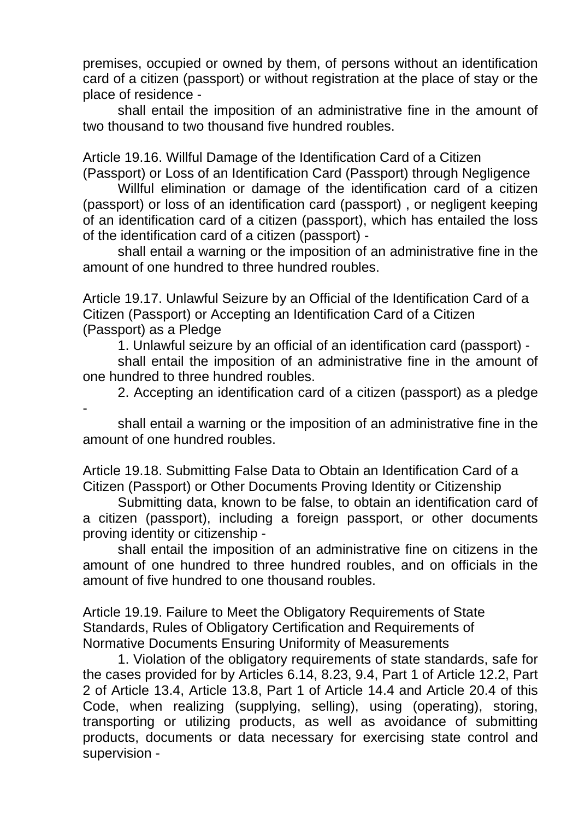premises, occupied or owned by them, of persons without an identification card of a citizen (passport) or without registration at the place of stay or the place of residence -

shall entail the imposition of an administrative fine in the amount of two thousand to two thousand five hundred roubles.

Article 19.16. Willful Damage of the Identification Card of a Citizen (Passport) or Loss of an Identification Card (Passport) through Negligence

Willful elimination or damage of the identification card of a citizen (passport) or loss of an identification card (passport) , or negligent keeping of an identification card of a citizen (passport), which has entailed the loss of the identification card of a citizen (passport) -

shall entail a warning or the imposition of an administrative fine in the amount of one hundred to three hundred roubles.

Article 19.17. Unlawful Seizure by an Official of the Identification Card of a Citizen (Passport) or Accepting an Identification Card of a Citizen (Passport) as a Pledge

1. Unlawful seizure by an official of an identification card (passport) -

shall entail the imposition of an administrative fine in the amount of one hundred to three hundred roubles.

2. Accepting an identification card of a citizen (passport) as a pledge

shall entail a warning or the imposition of an administrative fine in the amount of one hundred roubles.

-

Article 19.18. Submitting False Data to Obtain an Identification Card of a Citizen (Passport) or Other Documents Proving Identity or Citizenship

Submitting data, known to be false, to obtain an identification card of a citizen (passport), including a foreign passport, or other documents proving identity or citizenship -

shall entail the imposition of an administrative fine on citizens in the amount of one hundred to three hundred roubles, and on officials in the amount of five hundred to one thousand roubles.

Article 19.19. Failure to Meet the Obligatory Requirements of State Standards, Rules of Obligatory Certification and Requirements of Normative Documents Ensuring Uniformity of Measurements

1. Violation of the obligatory requirements of state standards, safe for the cases provided for by Articles 6.14, 8.23, 9.4, Part 1 of Article 12.2, Part 2 of Article 13.4, Article 13.8, Part 1 of Article 14.4 and Article 20.4 of this Code, when realizing (supplying, selling), using (operating), storing, transporting or utilizing products, as well as avoidance of submitting products, documents or data necessary for exercising state control and supervision -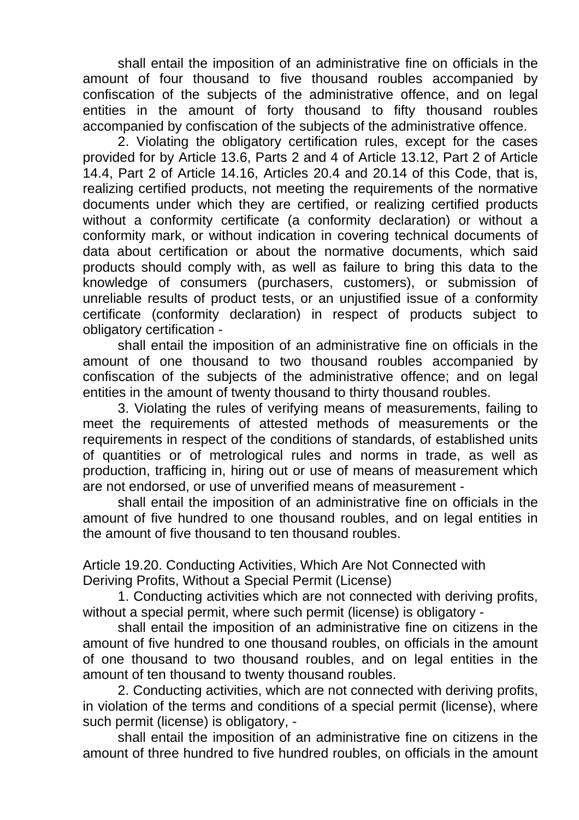shall entail the imposition of an administrative fine on officials in the amount of four thousand to five thousand roubles accompanied by confiscation of the subjects of the administrative offence, and on legal entities in the amount of forty thousand to fifty thousand roubles accompanied by confiscation of the subjects of the administrative offence.

2. Violating the obligatory certification rules, except for the cases provided for by Article 13.6, Parts 2 and 4 of Article 13.12, Part 2 of Article 14.4, Part 2 of Article 14.16, Articles 20.4 and 20.14 of this Code, that is, realizing certified products, not meeting the requirements of the normative documents under which they are certified, or realizing certified products without a conformity certificate (a conformity declaration) or without a conformity mark, or without indication in covering technical documents of data about certification or about the normative documents, which said products should comply with, as well as failure to bring this data to the knowledge of consumers (purchasers, customers), or submission of unreliable results of product tests, or an unjustified issue of a conformity certificate (conformity declaration) in respect of products subject to obligatory certification -

shall entail the imposition of an administrative fine on officials in the amount of one thousand to two thousand roubles accompanied by confiscation of the subjects of the administrative offence; and on legal entities in the amount of twenty thousand to thirty thousand roubles.

3. Violating the rules of verifying means of measurements, failing to meet the requirements of attested methods of measurements or the requirements in respect of the conditions of standards, of established units of quantities or of metrological rules and norms in trade, as well as production, trafficing in, hiring out or use of means of measurement which are not endorsed, or use of unverified means of measurement -

shall entail the imposition of an administrative fine on officials in the amount of five hundred to one thousand roubles, and on legal entities in the amount of five thousand to ten thousand roubles.

Article 19.20. Conducting Activities, Which Are Not Connected with Deriving Profits, Without a Special Permit (License)

1. Conducting activities which are not connected with deriving profits, without a special permit, where such permit (license) is obligatory -

shall entail the imposition of an administrative fine on citizens in the amount of five hundred to one thousand roubles, on officials in the amount of one thousand to two thousand roubles, and on legal entities in the amount of ten thousand to twenty thousand roubles.

2. Conducting activities, which are not connected with deriving profits, in violation of the terms and conditions of a special permit (license), where such permit (license) is obligatory, -

shall entail the imposition of an administrative fine on citizens in the amount of three hundred to five hundred roubles, on officials in the amount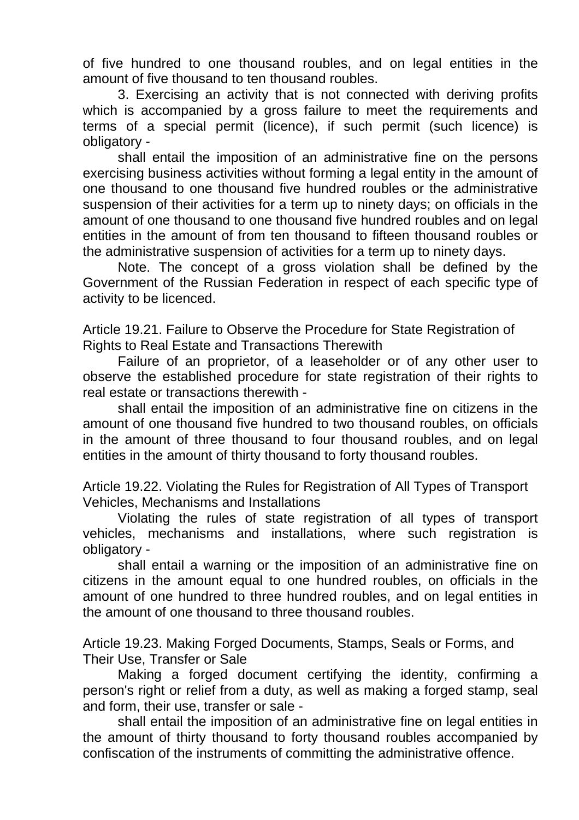of five hundred to one thousand roubles, and on legal entities in the amount of five thousand to ten thousand roubles.

3. Exercising an activity that is not connected with deriving profits which is accompanied by a gross failure to meet the requirements and terms of a special permit (licence), if such permit (such licence) is obligatory -

shall entail the imposition of an administrative fine on the persons exercising business activities without forming a legal entity in the amount of one thousand to one thousand five hundred roubles or the administrative suspension of their activities for a term up to ninety days; on officials in the amount of one thousand to one thousand five hundred roubles and on legal entities in the amount of from ten thousand to fifteen thousand roubles or the administrative suspension of activities for a term up to ninety days.

Note. The concept of a gross violation shall be defined by the Government of the Russian Federation in respect of each specific type of activity to be licenced.

Article 19.21. Failure to Observe the Procedure for State Registration of Rights to Real Estate and Transactions Therewith

Failure of an proprietor, of a leaseholder or of any other user to observe the established procedure for state registration of their rights to real estate or transactions therewith -

shall entail the imposition of an administrative fine on citizens in the amount of one thousand five hundred to two thousand roubles, on officials in the amount of three thousand to four thousand roubles, and on legal entities in the amount of thirty thousand to forty thousand roubles.

Article 19.22. Violating the Rules for Registration of All Types of Transport Vehicles, Mechanisms and Installations

Violating the rules of state registration of all types of transport vehicles, mechanisms and installations, where such registration is obligatory -

shall entail a warning or the imposition of an administrative fine on citizens in the amount equal to one hundred roubles, on officials in the amount of one hundred to three hundred roubles, and on legal entities in the amount of one thousand to three thousand roubles.

Article 19.23. Making Forged Documents, Stamps, Seals or Forms, and Their Use, Transfer or Sale

Making a forged document certifying the identity, confirming a person's right or relief from a duty, as well as making a forged stamp, seal and form, their use, transfer or sale -

shall entail the imposition of an administrative fine on legal entities in the amount of thirty thousand to forty thousand roubles accompanied by confiscation of the instruments of committing the administrative offence.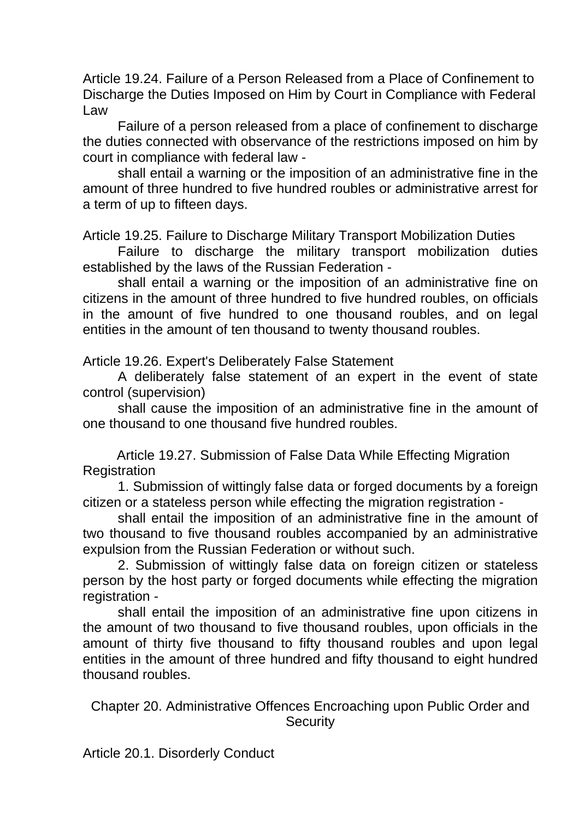Article 19.24. Failure of a Person Released from a Place of Confinement to Discharge the Duties Imposed on Him by Court in Compliance with Federal Law

Failure of a person released from a place of confinement to discharge the duties connected with observance of the restrictions imposed on him by court in compliance with federal law -

shall entail a warning or the imposition of an administrative fine in the amount of three hundred to five hundred roubles or administrative arrest for a term of up to fifteen days.

Article 19.25. Failure to Discharge Military Transport Mobilization Duties

Failure to discharge the military transport mobilization duties established by the laws of the Russian Federation -

shall entail a warning or the imposition of an administrative fine on citizens in the amount of three hundred to five hundred roubles, on officials in the amount of five hundred to one thousand roubles, and on legal entities in the amount of ten thousand to twenty thousand roubles.

Article 19.26. Expert's Deliberately False Statement

A deliberately false statement of an expert in the event of state control (supervision)

shall cause the imposition of an administrative fine in the amount of one thousand to one thousand five hundred roubles.

Article 19.27. Submission of False Data While Effecting Migration **Registration** 

1. Submission of wittingly false data or forged documents by a foreign citizen or a stateless person while effecting the migration registration -

shall entail the imposition of an administrative fine in the amount of two thousand to five thousand roubles accompanied by an administrative expulsion from the Russian Federation or without such.

2. Submission of wittingly false data on foreign citizen or stateless person by the host party or forged documents while effecting the migration registration -

shall entail the imposition of an administrative fine upon citizens in the amount of two thousand to five thousand roubles, upon officials in the amount of thirty five thousand to fifty thousand roubles and upon legal entities in the amount of three hundred and fifty thousand to eight hundred thousand roubles.

Chapter 20. Administrative Offences Encroaching upon Public Order and **Security** 

Article 20.1. Disorderly Conduct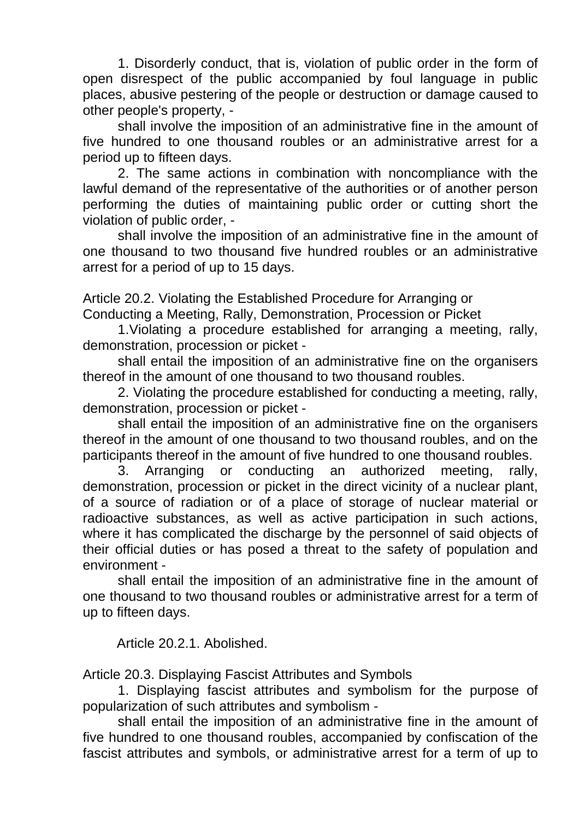1. Disorderly conduct, that is, violation of public order in the form of open disrespect of the public accompanied by foul language in public places, abusive pestering of the people or destruction or damage caused to other people's property, -

shall involve the imposition of an administrative fine in the amount of five hundred to one thousand roubles or an administrative arrest for a period up to fifteen days.

2. The same actions in combination with noncompliance with the lawful demand of the representative of the authorities or of another person performing the duties of maintaining public order or cutting short the violation of public order, -

shall involve the imposition of an administrative fine in the amount of one thousand to two thousand five hundred roubles or an administrative arrest for a period of up to 15 days.

Article 20.2. Violating the Established Procedure for Arranging or Conducting a Meeting, Rally, Demonstration, Procession or Picket

1.Violating a procedure established for arranging a meeting, rally, demonstration, procession or picket -

shall entail the imposition of an administrative fine on the organisers thereof in the amount of one thousand to two thousand roubles.

2. Violating the procedure established for conducting a meeting, rally, demonstration, procession or picket -

shall entail the imposition of an administrative fine on the organisers thereof in the amount of one thousand to two thousand roubles, and on the participants thereof in the amount of five hundred to one thousand roubles.

3. Arranging or conducting an authorized meeting, rally, demonstration, procession or picket in the direct vicinity of a nuclear plant, of a source of radiation or of a place of storage of nuclear material or radioactive substances, as well as active participation in such actions, where it has complicated the discharge by the personnel of said objects of their official duties or has posed a threat to the safety of population and environment -

shall entail the imposition of an administrative fine in the amount of one thousand to two thousand roubles or administrative arrest for a term of up to fifteen days.

Article 20.2.1. Abolished.

Article 20.3. Displaying Fascist Attributes and Symbols

1. Displaying fascist attributes and symbolism for the purpose of popularization of such attributes and symbolism -

shall entail the imposition of an administrative fine in the amount of five hundred to one thousand roubles, accompanied by confiscation of the fascist attributes and symbols, or administrative arrest for a term of up to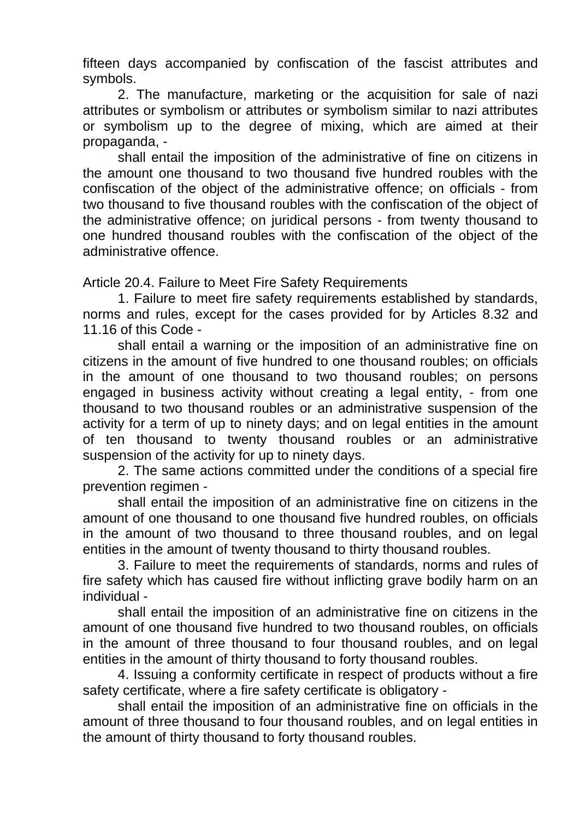fifteen days accompanied by confiscation of the fascist attributes and symbols.

2. The manufacture, marketing or the acquisition for sale of nazi attributes or symbolism or attributes or symbolism similar to nazi attributes or symbolism up to the degree of mixing, which are aimed at their propaganda, -

shall entail the imposition of the administrative of fine on citizens in the amount one thousand to two thousand five hundred roubles with the confiscation of the object of the administrative offence; on officials - from two thousand to five thousand roubles with the confiscation of the object of the administrative offence; on juridical persons - from twenty thousand to one hundred thousand roubles with the confiscation of the object of the administrative offence.

Article 20.4. Failure to Meet Fire Safety Requirements

1. Failure to meet fire safety requirements established by standards, norms and rules, except for the cases provided for by Articles 8.32 and 11.16 of this Code -

shall entail a warning or the imposition of an administrative fine on citizens in the amount of five hundred to one thousand roubles; on officials in the amount of one thousand to two thousand roubles; on persons engaged in business activity without creating a legal entity, - from one thousand to two thousand roubles or an administrative suspension of the activity for a term of up to ninety days; and on legal entities in the amount of ten thousand to twenty thousand roubles or an administrative suspension of the activity for up to ninety days.

2. The same actions committed under the conditions of a special fire prevention regimen -

shall entail the imposition of an administrative fine on citizens in the amount of one thousand to one thousand five hundred roubles, on officials in the amount of two thousand to three thousand roubles, and on legal entities in the amount of twenty thousand to thirty thousand roubles.

3. Failure to meet the requirements of standards, norms and rules of fire safety which has caused fire without inflicting grave bodily harm on an individual -

shall entail the imposition of an administrative fine on citizens in the amount of one thousand five hundred to two thousand roubles, on officials in the amount of three thousand to four thousand roubles, and on legal entities in the amount of thirty thousand to forty thousand roubles.

4. Issuing a conformity certificate in respect of products without a fire safety certificate, where a fire safety certificate is obligatory -

shall entail the imposition of an administrative fine on officials in the amount of three thousand to four thousand roubles, and on legal entities in the amount of thirty thousand to forty thousand roubles.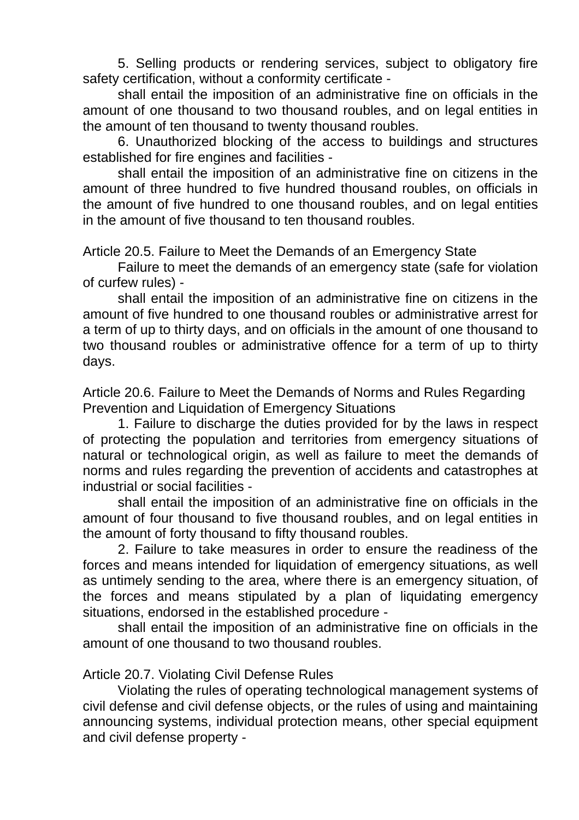5. Selling products or rendering services, subject to obligatory fire safety certification, without a conformity certificate -

shall entail the imposition of an administrative fine on officials in the amount of one thousand to two thousand roubles, and on legal entities in the amount of ten thousand to twenty thousand roubles.

6. Unauthorized blocking of the access to buildings and structures established for fire engines and facilities -

shall entail the imposition of an administrative fine on citizens in the amount of three hundred to five hundred thousand roubles, on officials in the amount of five hundred to one thousand roubles, and on legal entities in the amount of five thousand to ten thousand roubles.

Article 20.5. Failure to Meet the Demands of an Emergency State

Failure to meet the demands of an emergency state (safe for violation of curfew rules) -

shall entail the imposition of an administrative fine on citizens in the amount of five hundred to one thousand roubles or administrative arrest for a term of up to thirty days, and on officials in the amount of one thousand to two thousand roubles or administrative offence for a term of up to thirty days.

Article 20.6. Failure to Meet the Demands of Norms and Rules Regarding Prevention and Liquidation of Emergency Situations

1. Failure to discharge the duties provided for by the laws in respect of protecting the population and territories from emergency situations of natural or technological origin, as well as failure to meet the demands of norms and rules regarding the prevention of accidents and catastrophes at industrial or social facilities -

shall entail the imposition of an administrative fine on officials in the amount of four thousand to five thousand roubles, and on legal entities in the amount of forty thousand to fifty thousand roubles.

2. Failure to take measures in order to ensure the readiness of the forces and means intended for liquidation of emergency situations, as well as untimely sending to the area, where there is an emergency situation, of the forces and means stipulated by a plan of liquidating emergency situations, endorsed in the established procedure -

shall entail the imposition of an administrative fine on officials in the amount of one thousand to two thousand roubles.

# Article 20.7. Violating Civil Defense Rules

Violating the rules of operating technological management systems of civil defense and civil defense objects, or the rules of using and maintaining announcing systems, individual protection means, other special equipment and civil defense property -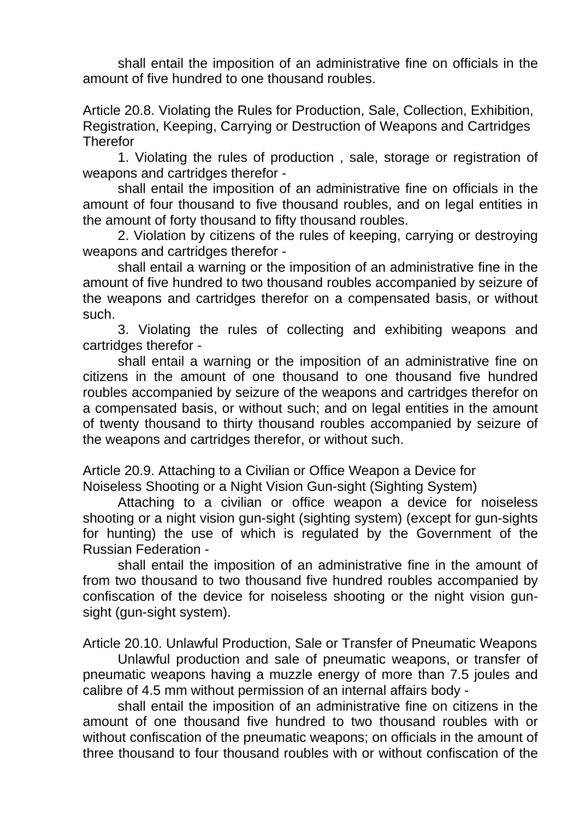shall entail the imposition of an administrative fine on officials in the amount of five hundred to one thousand roubles.

Article 20.8. Violating the Rules for Production, Sale, Collection, Exhibition, Registration, Keeping, Carrying or Destruction of Weapons and Cartridges **Therefor** 

1. Violating the rules of production , sale, storage or registration of weapons and cartridges therefor -

shall entail the imposition of an administrative fine on officials in the amount of four thousand to five thousand roubles, and on legal entities in the amount of forty thousand to fifty thousand roubles.

2. Violation by citizens of the rules of keeping, carrying or destroying weapons and cartridges therefor -

shall entail a warning or the imposition of an administrative fine in the amount of five hundred to two thousand roubles accompanied by seizure of the weapons and cartridges therefor on a compensated basis, or without such.

3. Violating the rules of collecting and exhibiting weapons and cartridges therefor -

shall entail a warning or the imposition of an administrative fine on citizens in the amount of one thousand to one thousand five hundred roubles accompanied by seizure of the weapons and cartridges therefor on a compensated basis, or without such; and on legal entities in the amount of twenty thousand to thirty thousand roubles accompanied by seizure of the weapons and cartridges therefor, or without such.

Article 20.9. Attaching to a Civilian or Office Weapon a Device for Noiseless Shooting or a Night Vision Gun-sight (Sighting System)

Attaching to a civilian or office weapon a device for noiseless shooting or a night vision gun-sight (sighting system) (except for gun-sights for hunting) the use of which is regulated by the Government of the Russian Federation -

shall entail the imposition of an administrative fine in the amount of from two thousand to two thousand five hundred roubles accompanied by confiscation of the device for noiseless shooting or the night vision gunsight (gun-sight system).

Article 20.10. Unlawful Production, Sale or Transfer of Pneumatic Weapons

Unlawful production and sale of pneumatic weapons, or transfer of pneumatic weapons having a muzzle energy of more than 7.5 joules and calibre of 4.5 mm without permission of an internal affairs body -

shall entail the imposition of an administrative fine on citizens in the amount of one thousand five hundred to two thousand roubles with or without confiscation of the pneumatic weapons; on officials in the amount of three thousand to four thousand roubles with or without confiscation of the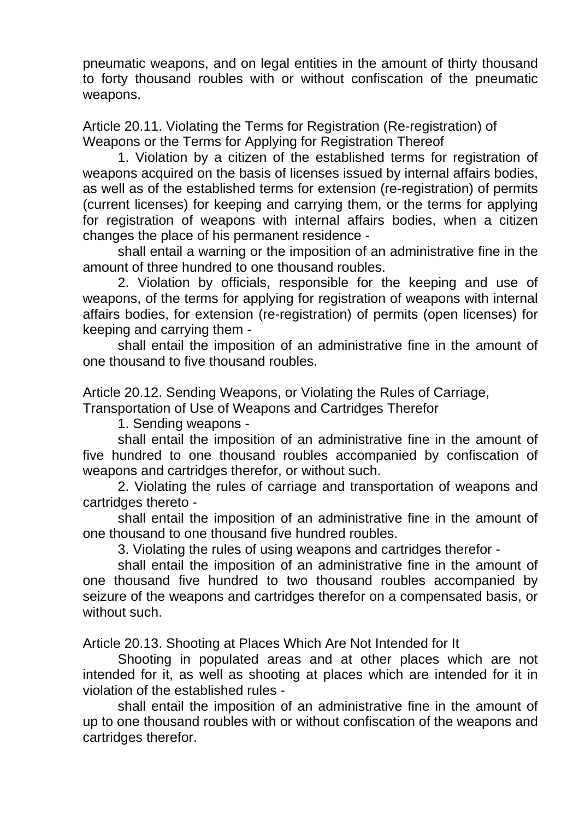pneumatic weapons, and on legal entities in the amount of thirty thousand to forty thousand roubles with or without confiscation of the pneumatic weapons.

Article 20.11. Violating the Terms for Registration (Re-registration) of Weapons or the Terms for Applying for Registration Thereof

1. Violation by a citizen of the established terms for registration of weapons acquired on the basis of licenses issued by internal affairs bodies, as well as of the established terms for extension (re-registration) of permits (current licenses) for keeping and carrying them, or the terms for applying for registration of weapons with internal affairs bodies, when a citizen changes the place of his permanent residence -

shall entail a warning or the imposition of an administrative fine in the amount of three hundred to one thousand roubles.

2. Violation by officials, responsible for the keeping and use of weapons, of the terms for applying for registration of weapons with internal affairs bodies, for extension (re-registration) of permits (open licenses) for keeping and carrying them -

shall entail the imposition of an administrative fine in the amount of one thousand to five thousand roubles.

Article 20.12. Sending Weapons, or Violating the Rules of Carriage,

Transportation of Use of Weapons and Cartridges Therefor

1. Sending weapons -

shall entail the imposition of an administrative fine in the amount of five hundred to one thousand roubles accompanied by confiscation of weapons and cartridges therefor, or without such.

2. Violating the rules of carriage and transportation of weapons and cartridges thereto -

shall entail the imposition of an administrative fine in the amount of one thousand to one thousand five hundred roubles.

3. Violating the rules of using weapons and cartridges therefor -

shall entail the imposition of an administrative fine in the amount of one thousand five hundred to two thousand roubles accompanied by seizure of the weapons and cartridges therefor on a compensated basis, or without such.

Article 20.13. Shooting at Places Which Are Not Intended for It

Shooting in populated areas and at other places which are not intended for it, as well as shooting at places which are intended for it in violation of the established rules -

shall entail the imposition of an administrative fine in the amount of up to one thousand roubles with or without confiscation of the weapons and cartridges therefor.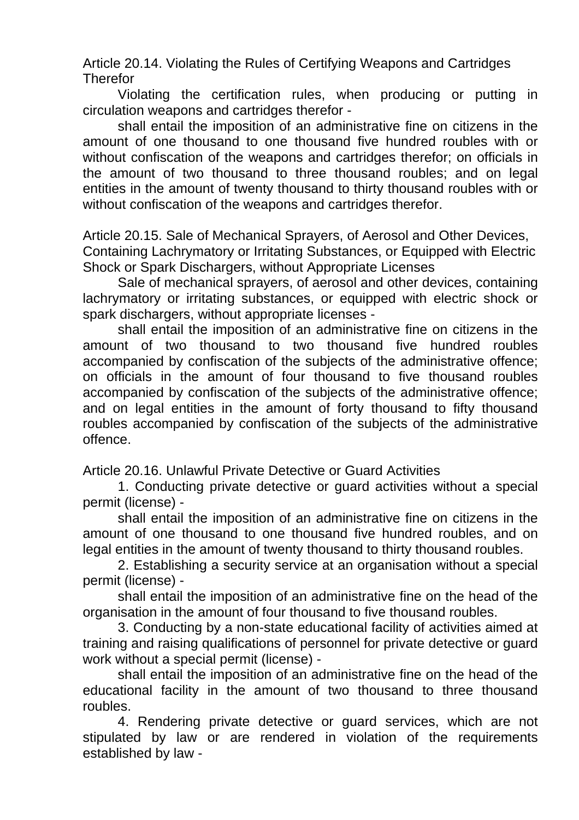Article 20.14. Violating the Rules of Certifying Weapons and Cartridges **Therefor** 

Violating the certification rules, when producing or putting in circulation weapons and cartridges therefor -

shall entail the imposition of an administrative fine on citizens in the amount of one thousand to one thousand five hundred roubles with or without confiscation of the weapons and cartridges therefor; on officials in the amount of two thousand to three thousand roubles; and on legal entities in the amount of twenty thousand to thirty thousand roubles with or without confiscation of the weapons and cartridges therefor.

Article 20.15. Sale of Mechanical Sprayers, of Aerosol and Other Devices, Containing Lachrymatory or Irritating Substances, or Equipped with Electric Shock or Spark Dischargers, without Appropriate Licenses

Sale of mechanical sprayers, of aerosol and other devices, containing lachrymatory or irritating substances, or equipped with electric shock or spark dischargers, without appropriate licenses -

shall entail the imposition of an administrative fine on citizens in the amount of two thousand to two thousand five hundred roubles accompanied by confiscation of the subjects of the administrative offence; on officials in the amount of four thousand to five thousand roubles accompanied by confiscation of the subjects of the administrative offence; and on legal entities in the amount of forty thousand to fifty thousand roubles accompanied by confiscation of the subjects of the administrative offence.

Article 20.16. Unlawful Private Detective or Guard Activities

1. Conducting private detective or guard activities without a special permit (license) -

shall entail the imposition of an administrative fine on citizens in the amount of one thousand to one thousand five hundred roubles, and on legal entities in the amount of twenty thousand to thirty thousand roubles.

2. Establishing a security service at an organisation without a special permit (license) -

shall entail the imposition of an administrative fine on the head of the organisation in the amount of four thousand to five thousand roubles.

3. Conducting by a non-state educational facility of activities aimed at training and raising qualifications of personnel for private detective or guard work without a special permit (license) -

shall entail the imposition of an administrative fine on the head of the educational facility in the amount of two thousand to three thousand roubles.

4. Rendering private detective or guard services, which are not stipulated by law or are rendered in violation of the requirements established by law -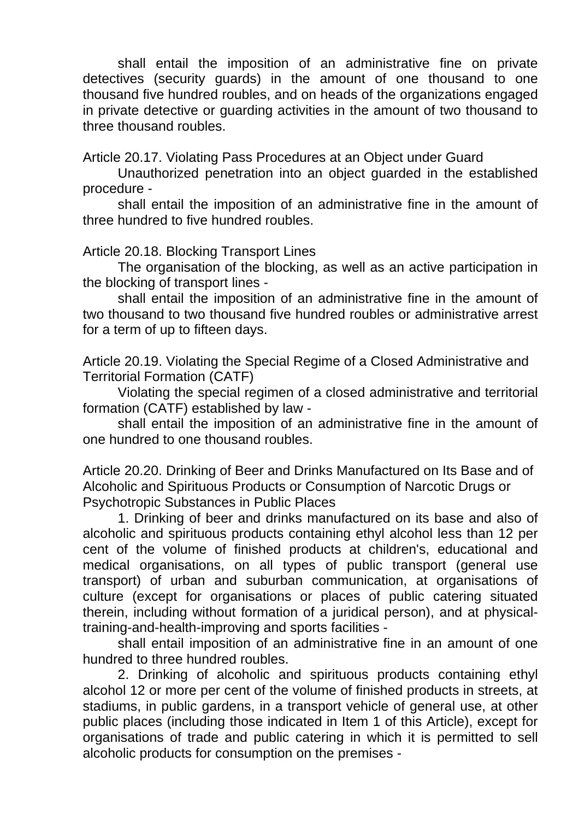shall entail the imposition of an administrative fine on private detectives (security guards) in the amount of one thousand to one thousand five hundred roubles, and on heads of the organizations engaged in private detective or guarding activities in the amount of two thousand to three thousand roubles.

Article 20.17. Violating Pass Procedures at an Object under Guard

Unauthorized penetration into an object guarded in the established procedure -

shall entail the imposition of an administrative fine in the amount of three hundred to five hundred roubles.

Article 20.18. Blocking Transport Lines

The organisation of the blocking, as well as an active participation in the blocking of transport lines -

shall entail the imposition of an administrative fine in the amount of two thousand to two thousand five hundred roubles or administrative arrest for a term of up to fifteen days.

Article 20.19. Violating the Special Regime of a Closed Administrative and Territorial Formation (CATF)

Violating the special regimen of a closed administrative and territorial formation (CATF) established by law -

shall entail the imposition of an administrative fine in the amount of one hundred to one thousand roubles.

Article 20.20. Drinking of Beer and Drinks Manufactured on Its Base and of Alcoholic and Spirituous Products or Consumption of Narcotic Drugs or Psychotropic Substances in Public Places

1. Drinking of beer and drinks manufactured on its base and also of alcoholic and spirituous products containing ethyl alcohol less than 12 per cent of the volume of finished products at children's, educational and medical organisations, on all types of public transport (general use transport) of urban and suburban communication, at organisations of culture (except for organisations or places of public catering situated therein, including without formation of a juridical person), and at physicaltraining-and-health-improving and sports facilities -

shall entail imposition of an administrative fine in an amount of one hundred to three hundred roubles.

2. Drinking of alcoholic and spirituous products containing ethyl alcohol 12 or more per cent of the volume of finished products in streets, at stadiums, in public gardens, in a transport vehicle of general use, at other public places (including those indicated in Item 1 of this Article), except for organisations of trade and public catering in which it is permitted to sell alcoholic products for consumption on the premises -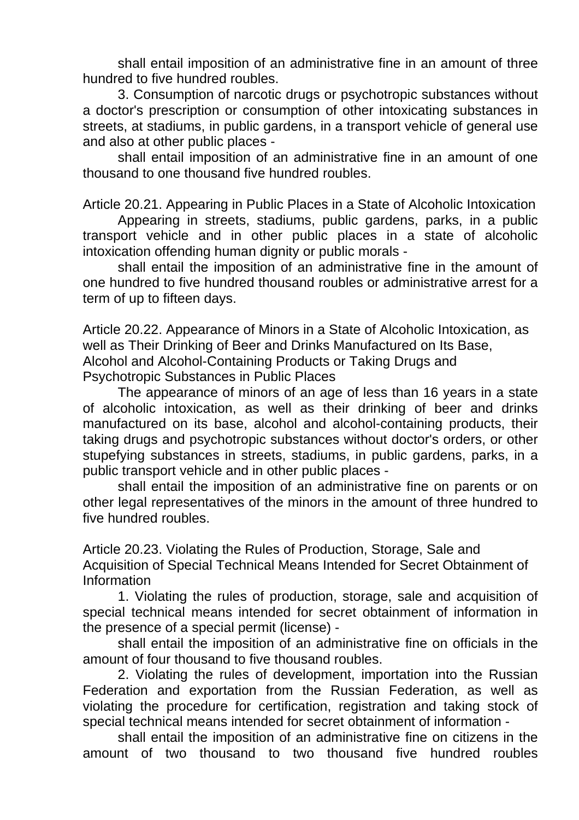shall entail imposition of an administrative fine in an amount of three hundred to five hundred roubles.

3. Consumption of narcotic drugs or psychotropic substances without a doctor's prescription or consumption of other intoxicating substances in streets, at stadiums, in public gardens, in a transport vehicle of general use and also at other public places -

shall entail imposition of an administrative fine in an amount of one thousand to one thousand five hundred roubles.

Article 20.21. Appearing in Public Places in a State of Alcoholic Intoxication

Appearing in streets, stadiums, public gardens, parks, in a public transport vehicle and in other public places in a state of alcoholic intoxication offending human dignity or public morals -

shall entail the imposition of an administrative fine in the amount of one hundred to five hundred thousand roubles or administrative arrest for a term of up to fifteen days.

Article 20.22. Appearance of Minors in a State of Alcoholic Intoxication, as well as Their Drinking of Beer and Drinks Manufactured on Its Base, Alcohol and Alcohol-Containing Products or Taking Drugs and Psychotropic Substances in Public Places

The appearance of minors of an age of less than 16 years in a state of alcoholic intoxication, as well as their drinking of beer and drinks manufactured on its base, alcohol and alcohol-containing products, their taking drugs and psychotropic substances without doctor's orders, or other stupefying substances in streets, stadiums, in public gardens, parks, in a public transport vehicle and in other public places -

shall entail the imposition of an administrative fine on parents or on other legal representatives of the minors in the amount of three hundred to five hundred roubles.

Article 20.23. Violating the Rules of Production, Storage, Sale and Acquisition of Special Technical Means Intended for Secret Obtainment of Information

1. Violating the rules of production, storage, sale and acquisition of special technical means intended for secret obtainment of information in the presence of a special permit (license) -

shall entail the imposition of an administrative fine on officials in the amount of four thousand to five thousand roubles.

2. Violating the rules of development, importation into the Russian Federation and exportation from the Russian Federation, as well as violating the procedure for certification, registration and taking stock of special technical means intended for secret obtainment of information -

shall entail the imposition of an administrative fine on citizens in the amount of two thousand to two thousand five hundred roubles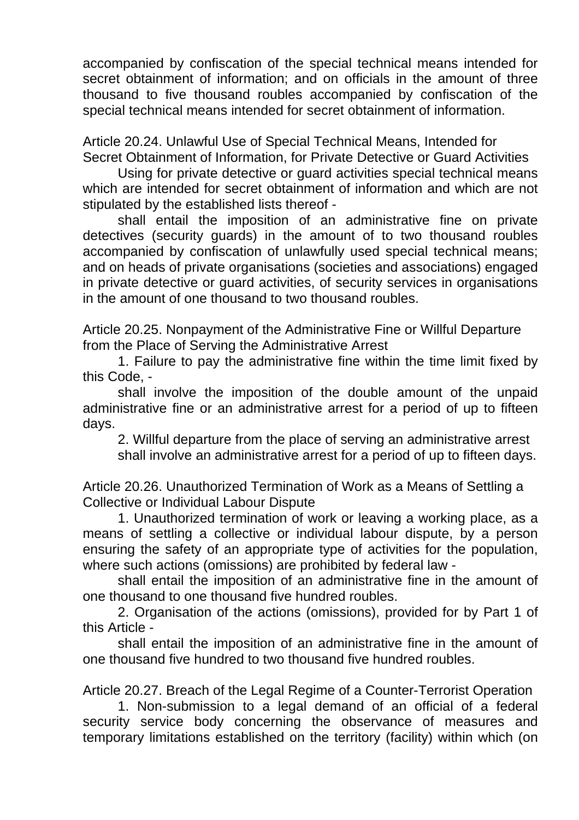accompanied by confiscation of the special technical means intended for secret obtainment of information; and on officials in the amount of three thousand to five thousand roubles accompanied by confiscation of the special technical means intended for secret obtainment of information.

Article 20.24. Unlawful Use of Special Technical Means, Intended for Secret Obtainment of Information, for Private Detective or Guard Activities

Using for private detective or guard activities special technical means which are intended for secret obtainment of information and which are not stipulated by the established lists thereof -

shall entail the imposition of an administrative fine on private detectives (security guards) in the amount of to two thousand roubles accompanied by confiscation of unlawfully used special technical means; and on heads of private organisations (societies and associations) engaged in private detective or guard activities, of security services in organisations in the amount of one thousand to two thousand roubles.

Article 20.25. Nonpayment of the Administrative Fine or Willful Departure from the Place of Serving the Administrative Arrest

1. Failure to pay the administrative fine within the time limit fixed by this Code, -

shall involve the imposition of the double amount of the unpaid administrative fine or an administrative arrest for a period of up to fifteen days.

2. Willful departure from the place of serving an administrative arrest shall involve an administrative arrest for a period of up to fifteen days.

Article 20.26. Unauthorized Termination of Work as a Means of Settling a Collective or Individual Labour Dispute

1. Unauthorized termination of work or leaving a working place, as a means of settling a collective or individual labour dispute, by a person ensuring the safety of an appropriate type of activities for the population, where such actions (omissions) are prohibited by federal law -

shall entail the imposition of an administrative fine in the amount of one thousand to one thousand five hundred roubles.

2. Organisation of the actions (omissions), provided for by Part 1 of this Article -

shall entail the imposition of an administrative fine in the amount of one thousand five hundred to two thousand five hundred roubles.

Article 20.27. Breach of the Legal Regime of a Counter-Terrorist Operation

1. Non-submission to a legal demand of an official of a federal security service body concerning the observance of measures and temporary limitations established on the territory (facility) within which (on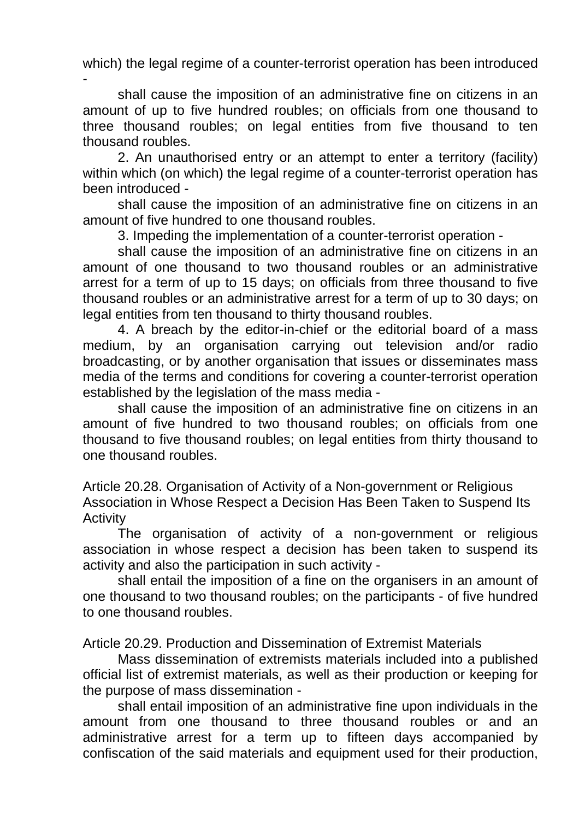which) the legal regime of a counter-terrorist operation has been introduced -

shall cause the imposition of an administrative fine on citizens in an amount of up to five hundred roubles; on officials from one thousand to three thousand roubles; on legal entities from five thousand to ten thousand roubles.

2. An unauthorised entry or an attempt to enter a territory (facility) within which (on which) the legal regime of a counter-terrorist operation has been introduced -

shall cause the imposition of an administrative fine on citizens in an amount of five hundred to one thousand roubles.

3. Impeding the implementation of a counter-terrorist operation -

shall cause the imposition of an administrative fine on citizens in an amount of one thousand to two thousand roubles or an administrative arrest for a term of up to 15 days; on officials from three thousand to five thousand roubles or an administrative arrest for a term of up to 30 days; on legal entities from ten thousand to thirty thousand roubles.

4. A breach by the editor-in-chief or the editorial board of a mass medium, by an organisation carrying out television and/or radio broadcasting, or by another organisation that issues or disseminates mass media of the terms and conditions for covering a counter-terrorist operation established by the legislation of the mass media -

shall cause the imposition of an administrative fine on citizens in an amount of five hundred to two thousand roubles; on officials from one thousand to five thousand roubles; on legal entities from thirty thousand to one thousand roubles.

Article 20.28. Organisation of Activity of a Non-government or Religious Association in Whose Respect a Decision Has Been Taken to Suspend Its **Activity** 

The organisation of activity of a non-government or religious association in whose respect a decision has been taken to suspend its activity and also the participation in such activity -

shall entail the imposition of a fine on the organisers in an amount of one thousand to two thousand roubles; on the participants - of five hundred to one thousand roubles.

Article 20.29. Production and Dissemination of Extremist Materials

Mass dissemination of extremists materials included into a published official list of extremist materials, as well as their production or keeping for the purpose of mass dissemination -

shall entail imposition of an administrative fine upon individuals in the amount from one thousand to three thousand roubles or and an administrative arrest for a term up to fifteen days accompanied by confiscation of the said materials and equipment used for their production,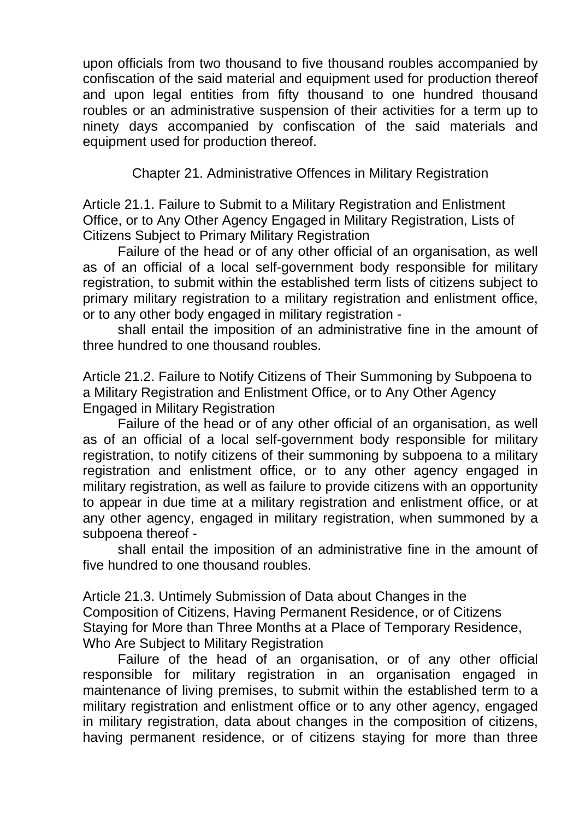upon officials from two thousand to five thousand roubles accompanied by confiscation of the said material and equipment used for production thereof and upon legal entities from fifty thousand to one hundred thousand roubles or an administrative suspension of their activities for a term up to ninety days accompanied by confiscation of the said materials and equipment used for production thereof.

Chapter 21. Administrative Offences in Military Registration

Article 21.1. Failure to Submit to a Military Registration and Enlistment Office, or to Any Other Agency Engaged in Military Registration, Lists of Citizens Subject to Primary Military Registration

Failure of the head or of any other official of an organisation, as well as of an official of a local self-government body responsible for military registration, to submit within the established term lists of citizens subject to primary military registration to a military registration and enlistment office, or to any other body engaged in military registration -

shall entail the imposition of an administrative fine in the amount of three hundred to one thousand roubles.

Article 21.2. Failure to Notify Citizens of Their Summoning by Subpoena to a Military Registration and Enlistment Office, or to Any Other Agency Engaged in Military Registration

Failure of the head or of any other official of an organisation, as well as of an official of a local self-government body responsible for military registration, to notify citizens of their summoning by subpoena to a military registration and enlistment office, or to any other agency engaged in military registration, as well as failure to provide citizens with an opportunity to appear in due time at a military registration and enlistment office, or at any other agency, engaged in military registration, when summoned by a subpoena thereof -

shall entail the imposition of an administrative fine in the amount of five hundred to one thousand roubles.

Article 21.3. Untimely Submission of Data about Changes in the Composition of Citizens, Having Permanent Residence, or of Citizens Staying for More than Three Months at a Place of Temporary Residence, Who Are Subject to Military Registration

Failure of the head of an organisation, or of any other official responsible for military registration in an organisation engaged in maintenance of living premises, to submit within the established term to a military registration and enlistment office or to any other agency, engaged in military registration, data about changes in the composition of citizens, having permanent residence, or of citizens staying for more than three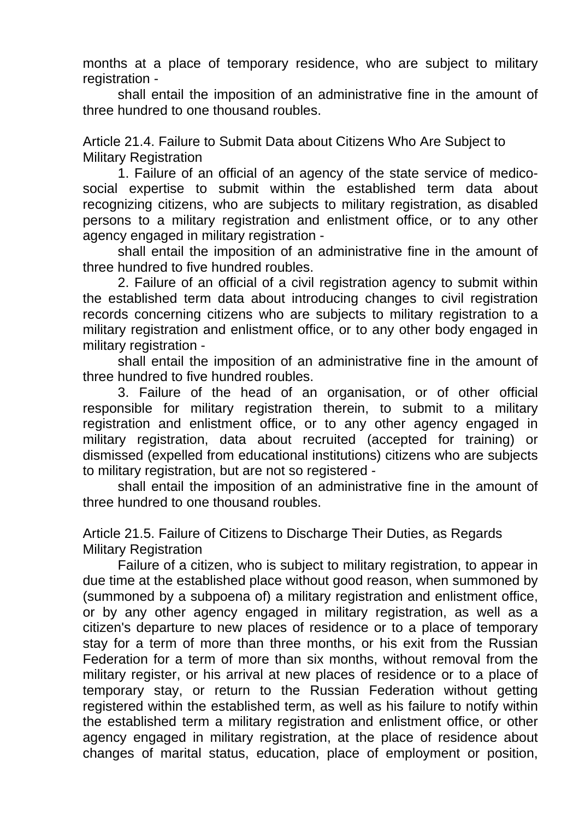months at a place of temporary residence, who are subject to military registration -

shall entail the imposition of an administrative fine in the amount of three hundred to one thousand roubles.

Article 21.4. Failure to Submit Data about Citizens Who Are Subject to Military Registration

1. Failure of an official of an agency of the state service of medicosocial expertise to submit within the established term data about recognizing citizens, who are subjects to military registration, as disabled persons to a military registration and enlistment office, or to any other agency engaged in military registration -

shall entail the imposition of an administrative fine in the amount of three hundred to five hundred roubles.

2. Failure of an official of a civil registration agency to submit within the established term data about introducing changes to civil registration records concerning citizens who are subjects to military registration to a military registration and enlistment office, or to any other body engaged in military registration -

shall entail the imposition of an administrative fine in the amount of three hundred to five hundred roubles.

3. Failure of the head of an organisation, or of other official responsible for military registration therein, to submit to a military registration and enlistment office, or to any other agency engaged in military registration, data about recruited (accepted for training) or dismissed (expelled from educational institutions) citizens who are subjects to military registration, but are not so registered -

shall entail the imposition of an administrative fine in the amount of three hundred to one thousand roubles.

Article 21.5. Failure of Citizens to Discharge Their Duties, as Regards Military Registration

Failure of a citizen, who is subject to military registration, to appear in due time at the established place without good reason, when summoned by (summoned by a subpoena of) a military registration and enlistment office, or by any other agency engaged in military registration, as well as a citizen's departure to new places of residence or to a place of temporary stay for a term of more than three months, or his exit from the Russian Federation for a term of more than six months, without removal from the military register, or his arrival at new places of residence or to a place of temporary stay, or return to the Russian Federation without getting registered within the established term, as well as his failure to notify within the established term a military registration and enlistment office, or other agency engaged in military registration, at the place of residence about changes of marital status, education, place of employment or position,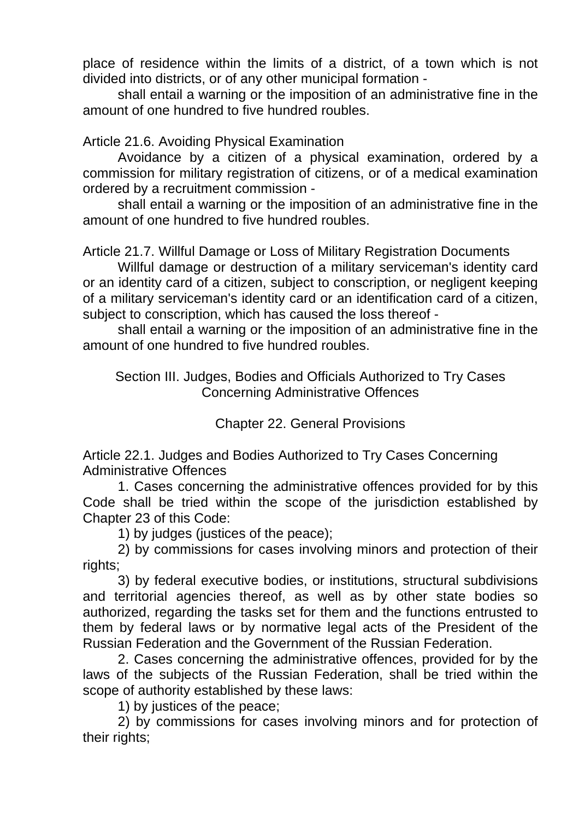place of residence within the limits of a district, of a town which is not divided into districts, or of any other municipal formation -

shall entail a warning or the imposition of an administrative fine in the amount of one hundred to five hundred roubles.

# Article 21.6. Avoiding Physical Examination

Avoidance by a citizen of a physical examination, ordered by a commission for military registration of citizens, or of a medical examination ordered by a recruitment commission -

shall entail a warning or the imposition of an administrative fine in the amount of one hundred to five hundred roubles.

Article 21.7. Willful Damage or Loss of Military Registration Documents

Willful damage or destruction of a military serviceman's identity card or an identity card of a citizen, subject to conscription, or negligent keeping of a military serviceman's identity card or an identification card of a citizen, subject to conscription, which has caused the loss thereof -

shall entail a warning or the imposition of an administrative fine in the amount of one hundred to five hundred roubles.

Section III. Judges, Bodies and Officials Authorized to Try Cases Concerning Administrative Offences

Chapter 22. General Provisions

Article 22.1. Judges and Bodies Authorized to Try Cases Concerning Administrative Offences

1. Cases concerning the administrative offences provided for by this Code shall be tried within the scope of the jurisdiction established by Chapter 23 of this Code:

1) by judges (justices of the peace);

2) by commissions for cases involving minors and protection of their rights;

3) by federal executive bodies, or institutions, structural subdivisions and territorial agencies thereof, as well as by other state bodies so authorized, regarding the tasks set for them and the functions entrusted to them by federal laws or by normative legal acts of the President of the Russian Federation and the Government of the Russian Federation.

2. Cases concerning the administrative offences, provided for by the laws of the subjects of the Russian Federation, shall be tried within the scope of authority established by these laws:

1) by justices of the peace;

2) by commissions for cases involving minors and for protection of their rights;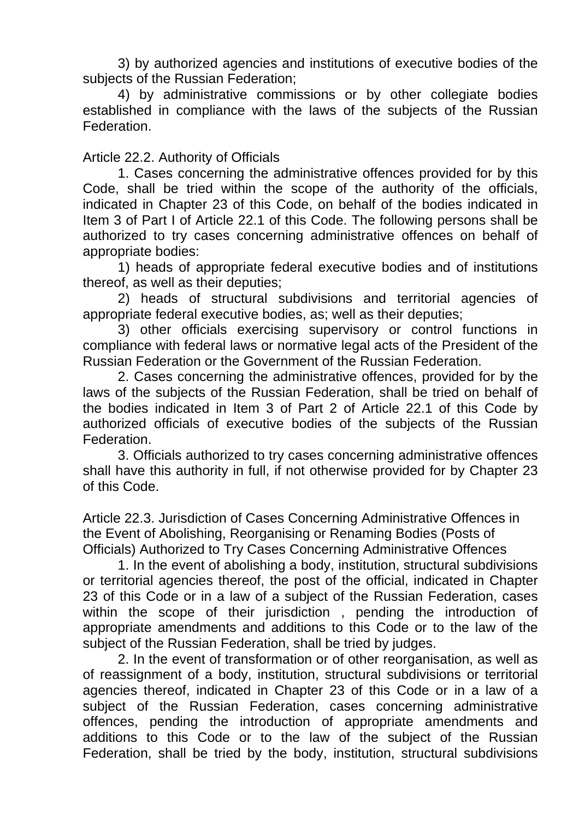3) by authorized agencies and institutions of executive bodies of the subjects of the Russian Federation;

4) by administrative commissions or by other collegiate bodies established in compliance with the laws of the subjects of the Russian **Federation** 

## Article 22.2. Authority of Officials

1. Cases concerning the administrative offences provided for by this Code, shall be tried within the scope of the authority of the officials, indicated in Chapter 23 of this Code, on behalf of the bodies indicated in Item 3 of Part I of Article 22.1 of this Code. The following persons shall be authorized to try cases concerning administrative offences on behalf of appropriate bodies:

1) heads of appropriate federal executive bodies and of institutions thereof, as well as their deputies;

2) heads of structural subdivisions and territorial agencies of appropriate federal executive bodies, as; well as their deputies;

3) other officials exercising supervisory or control functions in compliance with federal laws or normative legal acts of the President of the Russian Federation or the Government of the Russian Federation.

2. Cases concerning the administrative offences, provided for by the laws of the subjects of the Russian Federation, shall be tried on behalf of the bodies indicated in Item 3 of Part 2 of Article 22.1 of this Code by authorized officials of executive bodies of the subjects of the Russian Federation.

3. Officials authorized to try cases concerning administrative offences shall have this authority in full, if not otherwise provided for by Chapter 23 of this Code.

Article 22.3. Jurisdiction of Cases Concerning Administrative Offences in the Event of Abolishing, Reorganising or Renaming Bodies (Posts of Officials) Authorized to Try Cases Concerning Administrative Offences

1. In the event of abolishing a body, institution, structural subdivisions or territorial agencies thereof, the post of the official, indicated in Chapter 23 of this Code or in a law of a subject of the Russian Federation, cases within the scope of their jurisdiction, pending the introduction of appropriate amendments and additions to this Code or to the law of the subject of the Russian Federation, shall be tried by judges.

2. In the event of transformation or of other reorganisation, as well as of reassignment of a body, institution, structural subdivisions or territorial agencies thereof, indicated in Chapter 23 of this Code or in a law of a subject of the Russian Federation, cases concerning administrative offences, pending the introduction of appropriate amendments and additions to this Code or to the law of the subject of the Russian Federation, shall be tried by the body, institution, structural subdivisions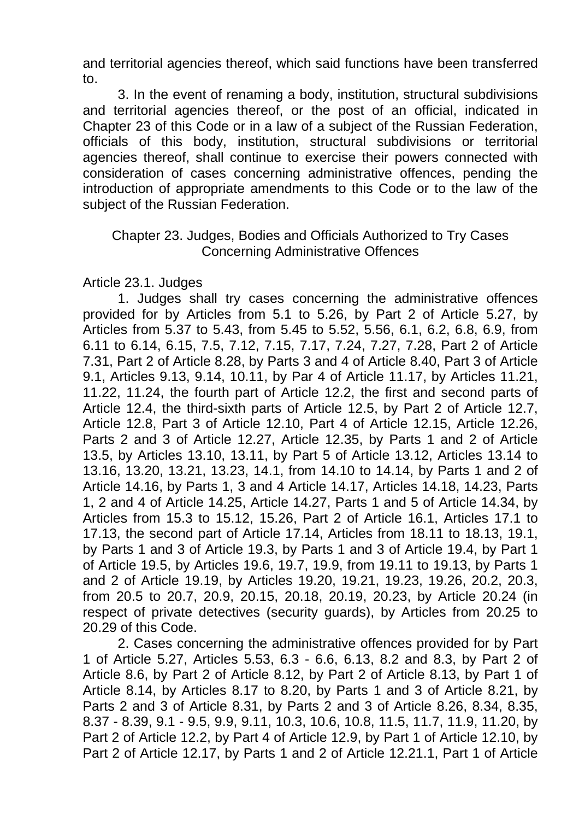and territorial agencies thereof, which said functions have been transferred to.

3. In the event of renaming a body, institution, structural subdivisions and territorial agencies thereof, or the post of an official, indicated in Chapter 23 of this Code or in a law of a subject of the Russian Federation, officials of this body, institution, structural subdivisions or territorial agencies thereof, shall continue to exercise their powers connected with consideration of cases concerning administrative offences, pending the introduction of appropriate amendments to this Code or to the law of the subject of the Russian Federation.

# Chapter 23. Judges, Bodies and Officials Authorized to Try Cases Concerning Administrative Offences

Article 23.1. Judges

1. Judges shall try cases concerning the administrative offences provided for by Articles from 5.1 to 5.26, by Part 2 of Article 5.27, by Articles from 5.37 to 5.43, from 5.45 to 5.52, 5.56, 6.1, 6.2, 6.8, 6.9, from 6.11 to 6.14, 6.15, 7.5, 7.12, 7.15, 7.17, 7.24, 7.27, 7.28, Part 2 of Article 7.31, Part 2 of Article 8.28, by Parts 3 and 4 of Article 8.40, Part 3 of Article 9.1, Articles 9.13, 9.14, 10.11, by Par 4 of Article 11.17, by Articles 11.21, 11.22, 11.24, the fourth part of Article 12.2, the first and second parts of Article 12.4, the third-sixth parts of Article 12.5, by Part 2 of Article 12.7, Article 12.8, Part 3 of Article 12.10, Part 4 of Article 12.15, Article 12.26, Parts 2 and 3 of Article 12.27, Article 12.35, by Parts 1 and 2 of Article 13.5, by Articles 13.10, 13.11, by Part 5 of Article 13.12, Articles 13.14 to 13.16, 13.20, 13.21, 13.23, 14.1, from 14.10 to 14.14, by Parts 1 and 2 of Article 14.16, by Parts 1, 3 and 4 Article 14.17, Articles 14.18, 14.23, Parts 1, 2 and 4 of Article 14.25, Article 14.27, Parts 1 and 5 of Article 14.34, by Articles from 15.3 to 15.12, 15.26, Part 2 of Article 16.1, Articles 17.1 to 17.13, the second part of Article 17.14, Articles from 18.11 to 18.13, 19.1, by Parts 1 and 3 of Article 19.3, by Parts 1 and 3 of Article 19.4, by Part 1 of Article 19.5, by Articles 19.6, 19.7, 19.9, from 19.11 to 19.13, by Parts 1 and 2 of Article 19.19, by Articles 19.20, 19.21, 19.23, 19.26, 20.2, 20.3, from 20.5 to 20.7, 20.9, 20.15, 20.18, 20.19, 20.23, by Article 20.24 (in respect of private detectives (security guards), by Articles from 20.25 to 20.29 of this Code.

2. Cases concerning the administrative offences provided for by Part 1 of Article 5.27, Articles 5.53, 6.3 - 6.6, 6.13, 8.2 and 8.3, by Part 2 of Article 8.6, by Part 2 of Article 8.12, by Part 2 of Article 8.13, by Part 1 of Article 8.14, by Articles 8.17 to 8.20, by Parts 1 and 3 of Article 8.21, by Parts 2 and 3 of Article 8.31, by Parts 2 and 3 of Article 8.26, 8.34, 8.35, 8.37 - 8.39, 9.1 - 9.5, 9.9, 9.11, 10.3, 10.6, 10.8, 11.5, 11.7, 11.9, 11.20, by Part 2 of Article 12.2, by Part 4 of Article 12.9, by Part 1 of Article 12.10, by Part 2 of Article 12.17, by Parts 1 and 2 of Article 12.21.1, Part 1 of Article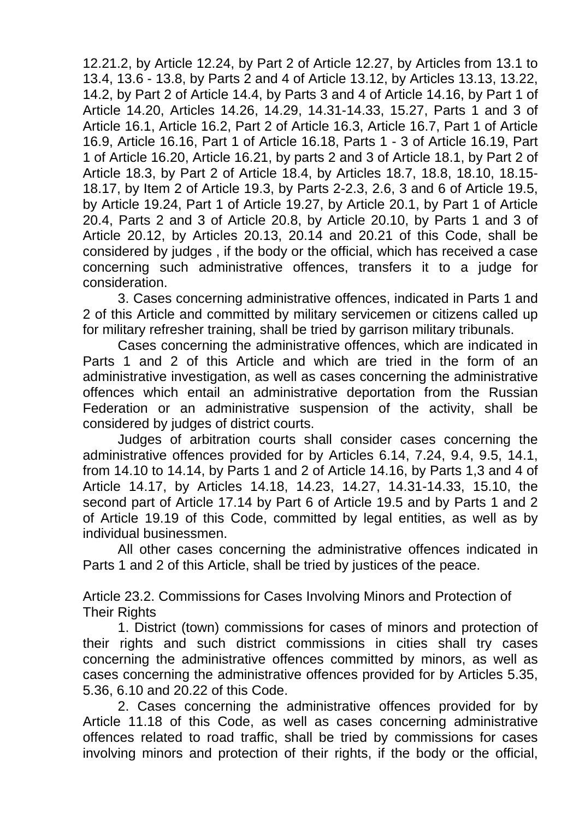12.21.2, by Article 12.24, by Part 2 of Article 12.27, by Articles from 13.1 to 13.4, 13.6 - 13.8, by Parts 2 and 4 of Article 13.12, by Articles 13.13, 13.22, 14.2, by Part 2 of Article 14.4, by Parts 3 and 4 of Article 14.16, by Part 1 of Article 14.20, Articles 14.26, 14.29, 14.31-14.33, 15.27, Parts 1 and 3 of Article 16.1, Article 16.2, Part 2 of Article 16.3, Article 16.7, Part 1 of Article 16.9, Article 16.16, Part 1 of Article 16.18, Parts 1 - 3 of Article 16.19, Part 1 of Article 16.20, Article 16.21, by parts 2 and 3 of Article 18.1, by Part 2 of Article 18.3, by Part 2 of Article 18.4, by Articles 18.7, 18.8, 18.10, 18.15- 18.17, by Item 2 of Article 19.3, by Parts 2-2.3, 2.6, 3 and 6 of Article 19.5, by Article 19.24, Part 1 of Article 19.27, by Article 20.1, by Part 1 of Article 20.4, Parts 2 and 3 of Article 20.8, by Article 20.10, by Parts 1 and 3 of Article 20.12, by Articles 20.13, 20.14 and 20.21 of this Code, shall be considered by judges , if the body or the official, which has received a case concerning such administrative offences, transfers it to a judge for consideration.

3. Cases concerning administrative offences, indicated in Parts 1 and 2 of this Article and committed by military servicemen or citizens called up for military refresher training, shall be tried by garrison military tribunals.

Cases concerning the administrative offences, which are indicated in Parts 1 and 2 of this Article and which are tried in the form of an administrative investigation, as well as cases concerning the administrative offences which entail an administrative deportation from the Russian Federation or an administrative suspension of the activity, shall be considered by judges of district courts.

Judges of arbitration courts shall consider cases concerning the administrative offences provided for by Articles 6.14, 7.24, 9.4, 9.5, 14.1, from 14.10 to 14.14, by Parts 1 and 2 of Article 14.16, by Parts 1,3 and 4 of Article 14.17, by Articles 14.18, 14.23, 14.27, 14.31-14.33, 15.10, the second part of Article 17.14 by Part 6 of Article 19.5 and by Parts 1 and 2 of Article 19.19 of this Code, committed by legal entities, as well as by individual businessmen.

All other cases concerning the administrative offences indicated in Parts 1 and 2 of this Article, shall be tried by justices of the peace.

Article 23.2. Commissions for Cases Involving Minors and Protection of **Their Rights** 

1. District (town) commissions for cases of minors and protection of their rights and such district commissions in cities shall try cases concerning the administrative offences committed by minors, as well as cases concerning the administrative offences provided for by Articles 5.35, 5.36, 6.10 and 20.22 of this Code.

2. Cases concerning the administrative offences provided for by Article 11.18 of this Code, as well as cases concerning administrative offences related to road traffic, shall be tried by commissions for cases involving minors and protection of their rights, if the body or the official,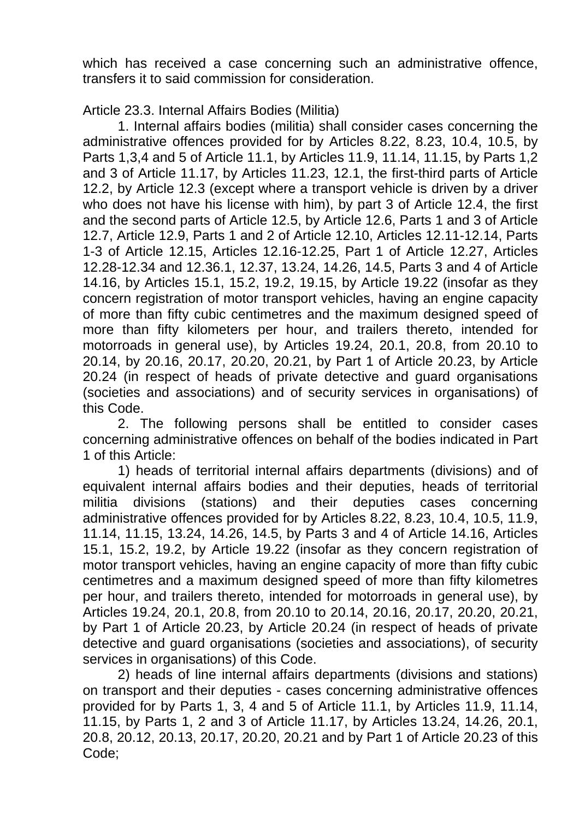which has received a case concerning such an administrative offence, transfers it to said commission for consideration.

# Article 23.3. Internal Affairs Bodies (Militia)

1. Internal affairs bodies (militia) shall consider cases concerning the administrative offences provided for by Articles 8.22, 8.23, 10.4, 10.5, by Parts 1,3,4 and 5 of Article 11.1, by Articles 11.9, 11.14, 11.15, by Parts 1,2 and 3 of Article 11.17, by Articles 11.23, 12.1, the first-third parts of Article 12.2, by Article 12.3 (except where a transport vehicle is driven by a driver who does not have his license with him), by part 3 of Article 12.4, the first and the second parts of Article 12.5, by Article 12.6, Parts 1 and 3 of Article 12.7, Article 12.9, Parts 1 and 2 of Article 12.10, Articles 12.11-12.14, Parts 1-3 of Article 12.15, Articles 12.16-12.25, Part 1 of Article 12.27, Articles 12.28-12.34 and 12.36.1, 12.37, 13.24, 14.26, 14.5, Parts 3 and 4 of Article 14.16, by Articles 15.1, 15.2, 19.2, 19.15, by Article 19.22 (insofar as they concern registration of motor transport vehicles, having an engine capacity of more than fifty cubic centimetres and the maximum designed speed of more than fifty kilometers per hour, and trailers thereto, intended for motorroads in general use), by Articles 19.24, 20.1, 20.8, from 20.10 to 20.14, by 20.16, 20.17, 20.20, 20.21, by Part 1 of Article 20.23, by Article 20.24 (in respect of heads of private detective and guard organisations (societies and associations) and of security services in organisations) of this Code.

2. The following persons shall be entitled to consider cases concerning administrative offences on behalf of the bodies indicated in Part 1 of this Article:

1) heads of territorial internal affairs departments (divisions) and of equivalent internal affairs bodies and their deputies, heads of territorial militia divisions (stations) and their deputies cases concerning administrative offences provided for by Articles 8.22, 8.23, 10.4, 10.5, 11.9, 11.14, 11.15, 13.24, 14.26, 14.5, by Parts 3 and 4 of Article 14.16, Articles 15.1, 15.2, 19.2, by Article 19.22 (insofar as they concern registration of motor transport vehicles, having an engine capacity of more than fifty cubic centimetres and a maximum designed speed of more than fifty kilometres per hour, and trailers thereto, intended for motorroads in general use), by Articles 19.24, 20.1, 20.8, from 20.10 to 20.14, 20.16, 20.17, 20.20, 20.21, by Part 1 of Article 20.23, by Article 20.24 (in respect of heads of private detective and guard organisations (societies and associations), of security services in organisations) of this Code.

2) heads of line internal affairs departments (divisions and stations) on transport and their deputies - cases concerning administrative offences provided for by Parts 1, 3, 4 and 5 of Article 11.1, by Articles 11.9, 11.14, 11.15, by Parts 1, 2 and 3 of Article 11.17, by Articles 13.24, 14.26, 20.1, 20.8, 20.12, 20.13, 20.17, 20.20, 20.21 and by Part 1 of Article 20.23 of this Code;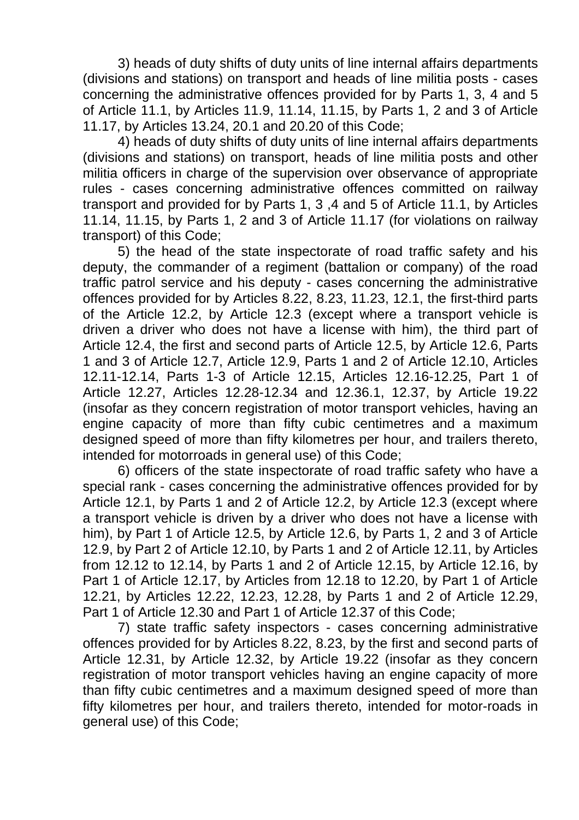3) heads of duty shifts of duty units of line internal affairs departments (divisions and stations) on transport and heads of line militia posts - cases concerning the administrative offences provided for by Parts 1, 3, 4 and 5 of Article 11.1, by Articles 11.9, 11.14, 11.15, by Parts 1, 2 and 3 of Article 11.17, by Articles 13.24, 20.1 and 20.20 of this Code;

4) heads of duty shifts of duty units of line internal affairs departments (divisions and stations) on transport, heads of line militia posts and other militia officers in charge of the supervision over observance of appropriate rules - cases concerning administrative offences committed on railway transport and provided for by Parts 1, 3 ,4 and 5 of Article 11.1, by Articles 11.14, 11.15, by Parts 1, 2 and 3 of Article 11.17 (for violations on railway transport) of this Code;

5) the head of the state inspectorate of road traffic safety and his deputy, the commander of a regiment (battalion or company) of the road traffic patrol service and his deputy - cases concerning the administrative offences provided for by Articles 8.22, 8.23, 11.23, 12.1, the first-third parts of the Article 12.2, by Article 12.3 (except where a transport vehicle is driven a driver who does not have a license with him), the third part of Article 12.4, the first and second parts of Article 12.5, by Article 12.6, Parts 1 and 3 of Article 12.7, Article 12.9, Parts 1 and 2 of Article 12.10, Articles 12.11-12.14, Parts 1-3 of Article 12.15, Articles 12.16-12.25, Part 1 of Article 12.27, Articles 12.28-12.34 and 12.36.1, 12.37, by Article 19.22 (insofar as they concern registration of motor transport vehicles, having an engine capacity of more than fifty cubic centimetres and a maximum designed speed of more than fifty kilometres per hour, and trailers thereto, intended for motorroads in general use) of this Code;

6) officers of the state inspectorate of road traffic safety who have a special rank - cases concerning the administrative offences provided for by Article 12.1, by Parts 1 and 2 of Article 12.2, by Article 12.3 (except where a transport vehicle is driven by a driver who does not have a license with him), by Part 1 of Article 12.5, by Article 12.6, by Parts 1, 2 and 3 of Article 12.9, by Part 2 of Article 12.10, by Parts 1 and 2 of Article 12.11, by Articles from 12.12 to 12.14, by Parts 1 and 2 of Article 12.15, by Article 12.16, by Part 1 of Article 12.17, by Articles from 12.18 to 12.20, by Part 1 of Article 12.21, by Articles 12.22, 12.23, 12.28, by Parts 1 and 2 of Article 12.29, Part 1 of Article 12.30 and Part 1 of Article 12.37 of this Code;

7) state traffic safety inspectors - cases concerning administrative offences provided for by Articles 8.22, 8.23, by the first and second parts of Article 12.31, by Article 12.32, by Article 19.22 (insofar as they concern registration of motor transport vehicles having an engine capacity of more than fifty cubic centimetres and a maximum designed speed of more than fifty kilometres per hour, and trailers thereto, intended for motor-roads in general use) of this Code;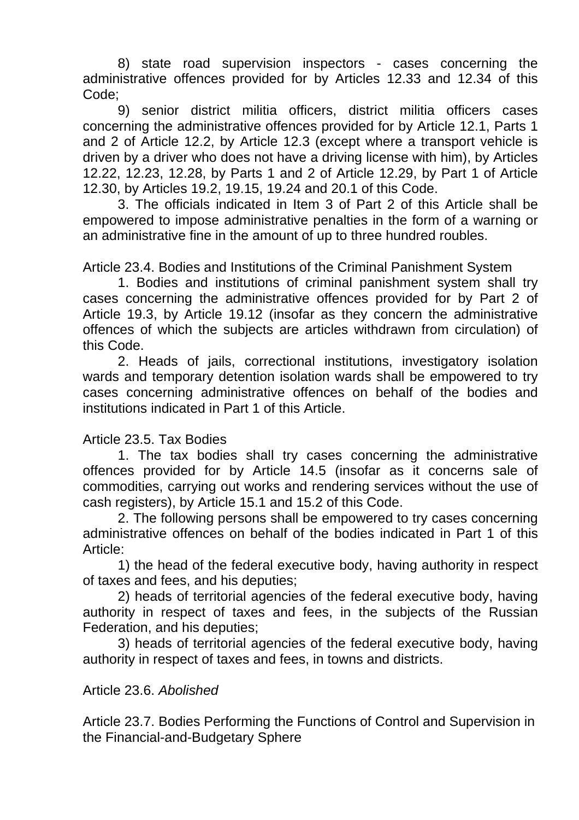8) state road supervision inspectors - cases concerning the administrative offences provided for by Articles 12.33 and 12.34 of this Code;

9) senior district militia officers, district militia officers cases concerning the administrative offences provided for by Article 12.1, Parts 1 and 2 of Article 12.2, by Article 12.3 (except where a transport vehicle is driven by a driver who does not have a driving license with him), by Articles 12.22, 12.23, 12.28, by Parts 1 and 2 of Article 12.29, by Part 1 of Article 12.30, by Articles 19.2, 19.15, 19.24 and 20.1 of this Code.

3. The officials indicated in Item 3 of Part 2 of this Article shall be empowered to impose administrative penalties in the form of a warning or an administrative fine in the amount of up to three hundred roubles.

Article 23.4. Bodies and Institutions of the Criminal Panishment System

1. Bodies and institutions of criminal panishment system shall try cases concerning the administrative offences provided for by Part 2 of Article 19.3, by Article 19.12 (insofar as they concern the administrative offences of which the subjects are articles withdrawn from circulation) of this Code.

2. Heads of jails, correctional institutions, investigatory isolation wards and temporary detention isolation wards shall be empowered to try cases concerning administrative offences on behalf of the bodies and institutions indicated in Part 1 of this Article.

#### Article 23.5. Tax Bodies

1. The tax bodies shall try cases concerning the administrative offences provided for by Article 14.5 (insofar as it concerns sale of commodities, carrying out works and rendering services without the use of cash registers), by Article 15.1 and 15.2 of this Code.

2. The following persons shall be empowered to try cases concerning administrative offences on behalf of the bodies indicated in Part 1 of this Article:

1) the head of the federal executive body, having authority in respect of taxes and fees, and his deputies;

2) heads of territorial agencies of the federal executive body, having authority in respect of taxes and fees, in the subjects of the Russian Federation, and his deputies;

3) heads of territorial agencies of the federal executive body, having authority in respect of taxes and fees, in towns and districts.

#### Article 23.6. *Abolished*

Article 23.7. Bodies Performing the Functions of Control and Supervision in the Financial-and-Budgetary Sphere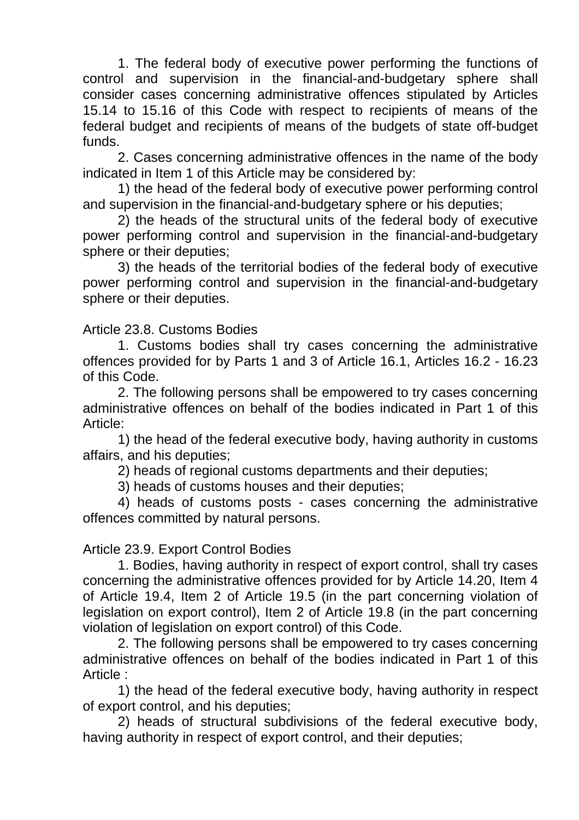1. The federal body of executive power performing the functions of control and supervision in the financial-and-budgetary sphere shall consider cases concerning administrative offences stipulated by Articles 15.14 to 15.16 of this Code with respect to recipients of means of the federal budget and recipients of means of the budgets of state off-budget funds.

2. Cases concerning administrative offences in the name of the body indicated in Item 1 of this Article may be considered by:

1) the head of the federal body of executive power performing control and supervision in the financial-and-budgetary sphere or his deputies;

2) the heads of the structural units of the federal body of executive power performing control and supervision in the financial-and-budgetary sphere or their deputies;

3) the heads of the territorial bodies of the federal body of executive power performing control and supervision in the financial-and-budgetary sphere or their deputies.

## Article 23.8. Customs Bodies

1. Customs bodies shall try cases concerning the administrative offences provided for by Parts 1 and 3 of Article 16.1, Articles 16.2 - 16.23 of this Code.

2. The following persons shall be empowered to try cases concerning administrative offences on behalf of the bodies indicated in Part 1 of this Article:

1) the head of the federal executive body, having authority in customs affairs, and his deputies;

2) heads of regional customs departments and their deputies;

3) heads of customs houses and their deputies;

4) heads of customs posts - cases concerning the administrative offences committed by natural persons.

# Article 23.9. Export Control Bodies

1. Bodies, having authority in respect of export control, shall try cases concerning the administrative offences provided for by Article 14.20, Item 4 of Article 19.4, Item 2 of Article 19.5 (in the part concerning violation of legislation on export control), Item 2 of Article 19.8 (in the part concerning violation of legislation on export control) of this Code.

2. The following persons shall be empowered to try cases concerning administrative offences on behalf of the bodies indicated in Part 1 of this Article ·

1) the head of the federal executive body, having authority in respect of export control, and his deputies;

2) heads of structural subdivisions of the federal executive body, having authority in respect of export control, and their deputies;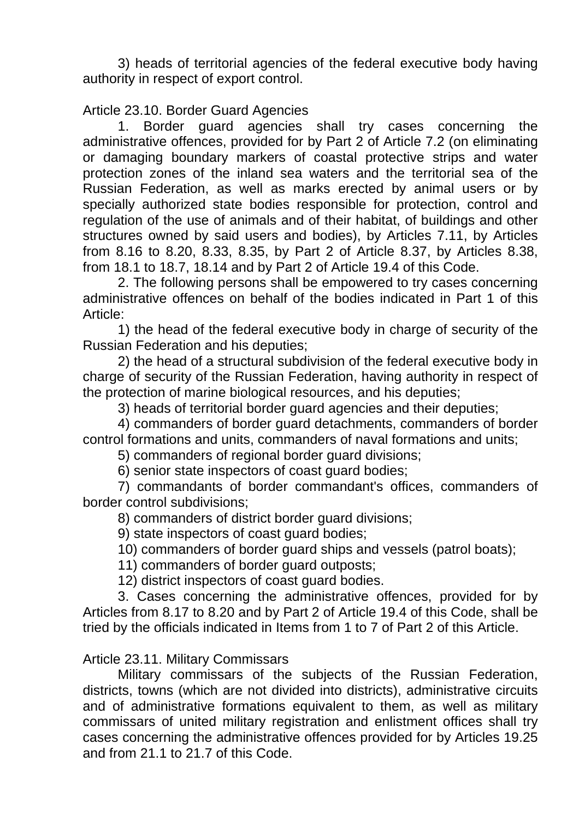3) heads of territorial agencies of the federal executive body having authority in respect of export control.

# Article 23.10. Border Guard Agencies

1. Border guard agencies shall try cases concerning the administrative offences, provided for by Part 2 of Article 7.2 (on eliminating or damaging boundary markers of coastal protective strips and water protection zones of the inland sea waters and the territorial sea of the Russian Federation, as well as marks erected by animal users or by specially authorized state bodies responsible for protection, control and regulation of the use of animals and of their habitat, of buildings and other structures owned by said users and bodies), by Articles 7.11, by Articles from 8.16 to 8.20, 8.33, 8.35, by Part 2 of Article 8.37, by Articles 8.38, from 18.1 to 18.7, 18.14 and by Part 2 of Article 19.4 of this Code.

2. The following persons shall be empowered to try cases concerning administrative offences on behalf of the bodies indicated in Part 1 of this Article:

1) the head of the federal executive body in charge of security of the Russian Federation and his deputies;

2) the head of a structural subdivision of the federal executive body in charge of security of the Russian Federation, having authority in respect of the protection of marine biological resources, and his deputies;

3) heads of territorial border guard agencies and their deputies;

4) commanders of border guard detachments, commanders of border control formations and units, commanders of naval formations and units;

5) commanders of regional border guard divisions;

6) senior state inspectors of coast guard bodies;

7) commandants of border commandant's offices, commanders of border control subdivisions;

8) commanders of district border guard divisions;

9) state inspectors of coast guard bodies;

10) commanders of border guard ships and vessels (patrol boats);

11) commanders of border guard outposts;

12) district inspectors of coast guard bodies.

3. Cases concerning the administrative offences, provided for by Articles from 8.17 to 8.20 and by Part 2 of Article 19.4 of this Code, shall be tried by the officials indicated in Items from 1 to 7 of Part 2 of this Article.

#### Article 23.11. Military Commissars

Military commissars of the subjects of the Russian Federation, districts, towns (which are not divided into districts), administrative circuits and of administrative formations equivalent to them, as well as military commissars of united military registration and enlistment offices shall try cases concerning the administrative offences provided for by Articles 19.25 and from 21.1 to 21.7 of this Code.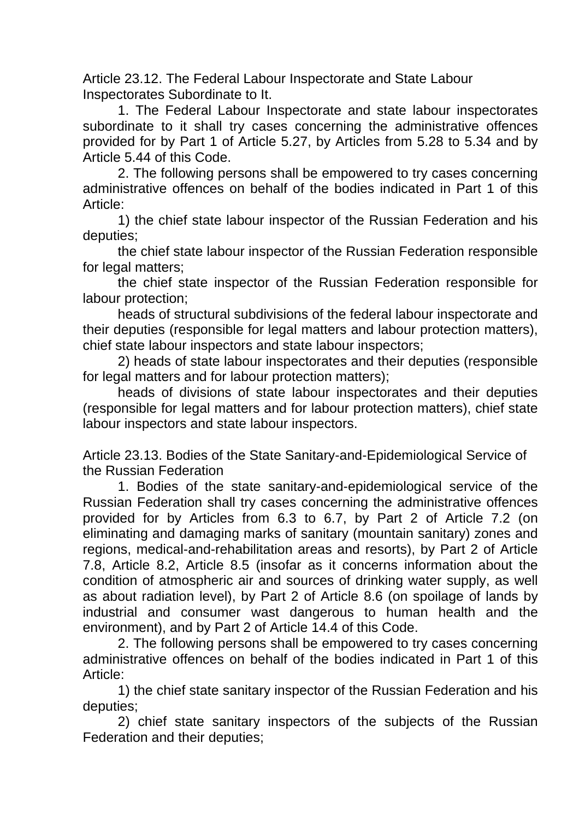Article 23.12. The Federal Labour Inspectorate and State Labour Inspectorates Subordinate to It.

1. The Federal Labour Inspectorate and state labour inspectorates subordinate to it shall try cases concerning the administrative offences provided for by Part 1 of Article 5.27, by Articles from 5.28 to 5.34 and by Article 5.44 of this Code.

2. The following persons shall be empowered to try cases concerning administrative offences on behalf of the bodies indicated in Part 1 of this Article:

1) the chief state labour inspector of the Russian Federation and his deputies;

the chief state labour inspector of the Russian Federation responsible for legal matters;

the chief state inspector of the Russian Federation responsible for labour protection;

heads of structural subdivisions of the federal labour inspectorate and their deputies (responsible for legal matters and labour protection matters), chief state labour inspectors and state labour inspectors;

2) heads of state labour inspectorates and their deputies (responsible for legal matters and for labour protection matters);

heads of divisions of state labour inspectorates and their deputies (responsible for legal matters and for labour protection matters), chief state labour inspectors and state labour inspectors.

Article 23.13. Bodies of the State Sanitary-and-Epidemiological Service of the Russian Federation

1. Bodies of the state sanitary-and-epidemiological service of the Russian Federation shall try cases concerning the administrative offences provided for by Articles from 6.3 to 6.7, by Part 2 of Article 7.2 (on eliminating and damaging marks of sanitary (mountain sanitary) zones and regions, medical-and-rehabilitation areas and resorts), by Part 2 of Article 7.8, Article 8.2, Article 8.5 (insofar as it concerns information about the condition of atmospheric air and sources of drinking water supply, as well as about radiation level), by Part 2 of Article 8.6 (on spoilage of lands by industrial and consumer wast dangerous to human health and the environment), and by Part 2 of Article 14.4 of this Code.

2. The following persons shall be empowered to try cases concerning administrative offences on behalf of the bodies indicated in Part 1 of this Article:

1) the chief state sanitary inspector of the Russian Federation and his deputies;

2) chief state sanitary inspectors of the subjects of the Russian Federation and their deputies;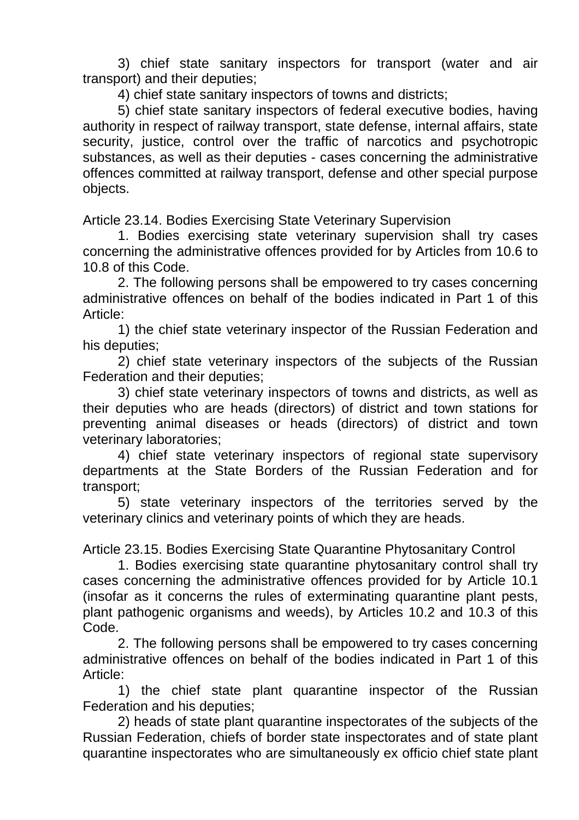3) chief state sanitary inspectors for transport (water and air transport) and their deputies;

4) chief state sanitary inspectors of towns and districts;

5) chief state sanitary inspectors of federal executive bodies, having authority in respect of railway transport, state defense, internal affairs, state security, justice, control over the traffic of narcotics and psychotropic substances, as well as their deputies - cases concerning the administrative offences committed at railway transport, defense and other special purpose objects.

Article 23.14. Bodies Exercising State Veterinary Supervision

1. Bodies exercising state veterinary supervision shall try cases concerning the administrative offences provided for by Articles from 10.6 to 10.8 of this Code.

2. The following persons shall be empowered to try cases concerning administrative offences on behalf of the bodies indicated in Part 1 of this Article:

1) the chief state veterinary inspector of the Russian Federation and his deputies;

2) chief state veterinary inspectors of the subjects of the Russian Federation and their deputies;

3) chief state veterinary inspectors of towns and districts, as well as their deputies who are heads (directors) of district and town stations for preventing animal diseases or heads (directors) of district and town veterinary laboratories;

4) chief state veterinary inspectors of regional state supervisory departments at the State Borders of the Russian Federation and for transport;

5) state veterinary inspectors of the territories served by the veterinary clinics and veterinary points of which they are heads.

Article 23.15. Bodies Exercising State Quarantine Phytosanitary Control

1. Bodies exercising state quarantine phytosanitary control shall try cases concerning the administrative offences provided for by Article 10.1 (insofar as it concerns the rules of exterminating quarantine plant pests, plant pathogenic organisms and weeds), by Articles 10.2 and 10.3 of this Code.

2. The following persons shall be empowered to try cases concerning administrative offences on behalf of the bodies indicated in Part 1 of this Article:

1) the chief state plant quarantine inspector of the Russian Federation and his deputies;

2) heads of state plant quarantine inspectorates of the subjects of the Russian Federation, chiefs of border state inspectorates and of state plant quarantine inspectorates who are simultaneously ex officio chief state plant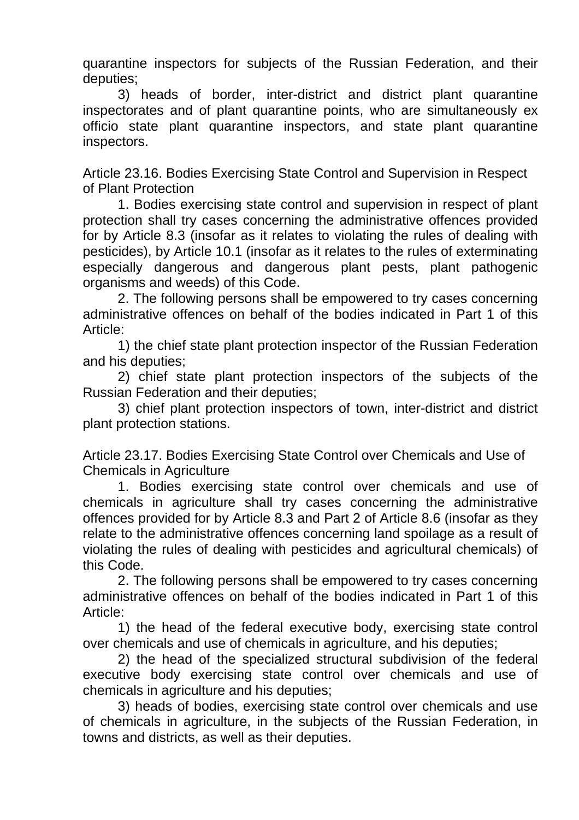quarantine inspectors for subjects of the Russian Federation, and their deputies;

3) heads of border, inter-district and district plant quarantine inspectorates and of plant quarantine points, who are simultaneously ex officio state plant quarantine inspectors, and state plant quarantine inspectors.

Article 23.16. Bodies Exercising State Control and Supervision in Respect of Plant Protection

1. Bodies exercising state control and supervision in respect of plant protection shall try cases concerning the administrative offences provided for by Article 8.3 (insofar as it relates to violating the rules of dealing with pesticides), by Article 10.1 (insofar as it relates to the rules of exterminating especially dangerous and dangerous plant pests, plant pathogenic organisms and weeds) of this Code.

2. The following persons shall be empowered to try cases concerning administrative offences on behalf of the bodies indicated in Part 1 of this Article:

1) the chief state plant protection inspector of the Russian Federation and his deputies;

2) chief state plant protection inspectors of the subjects of the Russian Federation and their deputies;

3) chief plant protection inspectors of town, inter-district and district plant protection stations.

Article 23.17. Bodies Exercising State Control over Chemicals and Use of Chemicals in Agriculture

1. Bodies exercising state control over chemicals and use of chemicals in agriculture shall try cases concerning the administrative offences provided for by Article 8.3 and Part 2 of Article 8.6 (insofar as they relate to the administrative offences concerning land spoilage as a result of violating the rules of dealing with pesticides and agricultural chemicals) of this Code.

2. The following persons shall be empowered to try cases concerning administrative offences on behalf of the bodies indicated in Part 1 of this Article:

1) the head of the federal executive body, exercising state control over chemicals and use of chemicals in agriculture, and his deputies;

2) the head of the specialized structural subdivision of the federal executive body exercising state control over chemicals and use of chemicals in agriculture and his deputies;

3) heads of bodies, exercising state control over chemicals and use of chemicals in agriculture, in the subjects of the Russian Federation, in towns and districts, as well as their deputies.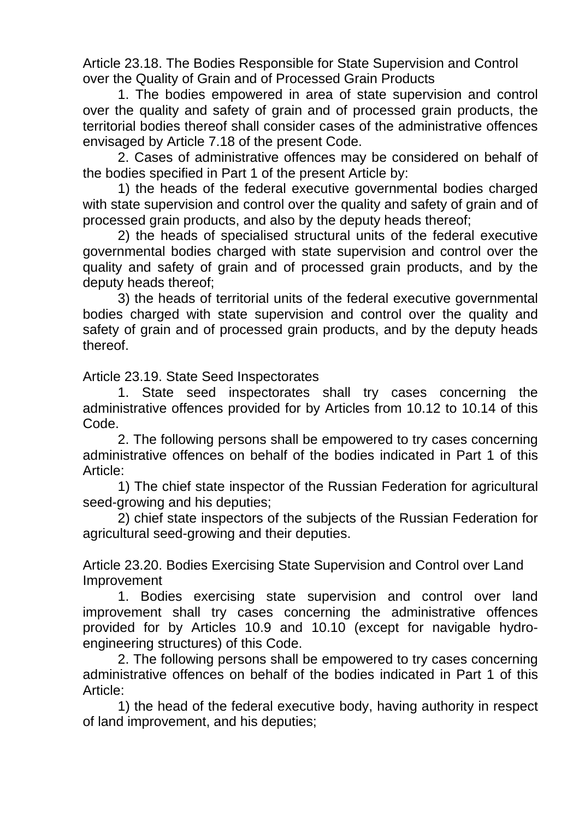Article 23.18. The Bodies Responsible for State Supervision and Control over the Quality of Grain and of Processed Grain Products

1. The bodies empowered in area of state supervision and control over the quality and safety of grain and of processed grain products, the territorial bodies thereof shall consider cases of the administrative offences envisaged by Article 7.18 of the present Code.

2. Cases of administrative offences may be considered on behalf of the bodies specified in Part 1 of the present Article by:

1) the heads of the federal executive governmental bodies charged with state supervision and control over the quality and safety of grain and of processed grain products, and also by the deputy heads thereof;

2) the heads of specialised structural units of the federal executive governmental bodies charged with state supervision and control over the quality and safety of grain and of processed grain products, and by the deputy heads thereof;

3) the heads of territorial units of the federal executive governmental bodies charged with state supervision and control over the quality and safety of grain and of processed grain products, and by the deputy heads thereof.

Article 23.19. State Seed Inspectorates

1. State seed inspectorates shall try cases concerning the administrative offences provided for by Articles from 10.12 to 10.14 of this Code.

2. The following persons shall be empowered to try cases concerning administrative offences on behalf of the bodies indicated in Part 1 of this Article:

1) The chief state inspector of the Russian Federation for agricultural seed-growing and his deputies;

2) chief state inspectors of the subjects of the Russian Federation for agricultural seed-growing and their deputies.

Article 23.20. Bodies Exercising State Supervision and Control over Land Improvement

1. Bodies exercising state supervision and control over land improvement shall try cases concerning the administrative offences provided for by Articles 10.9 and 10.10 (except for navigable hydroengineering structures) of this Code.

2. The following persons shall be empowered to try cases concerning administrative offences on behalf of the bodies indicated in Part 1 of this Article:

1) the head of the federal executive body, having authority in respect of land improvement, and his deputies;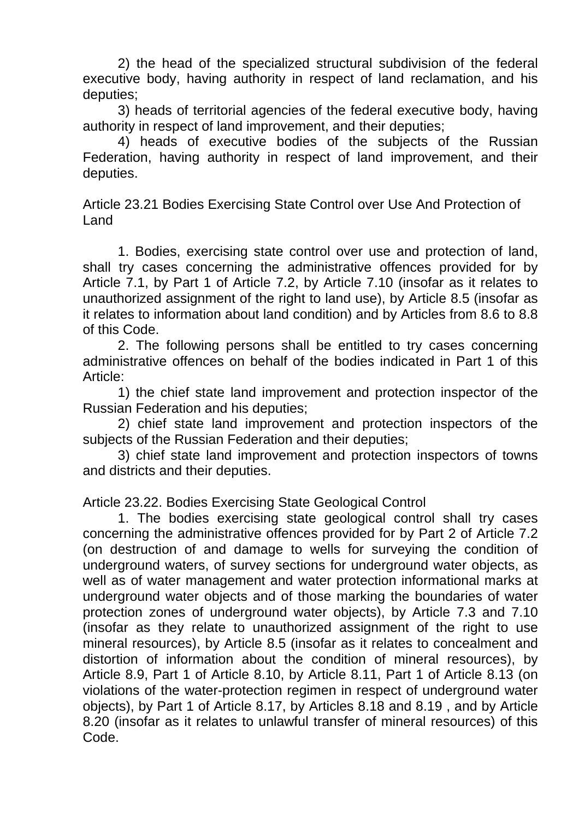2) the head of the specialized structural subdivision of the federal executive body, having authority in respect of land reclamation, and his deputies;

3) heads of territorial agencies of the federal executive body, having authority in respect of land improvement, and their deputies;

4) heads of executive bodies of the subjects of the Russian Federation, having authority in respect of land improvement, and their deputies.

Article 23.21 Bodies Exercising State Control over Use And Protection of Land

1. Bodies, exercising state control over use and protection of land, shall try cases concerning the administrative offences provided for by Article 7.1, by Part 1 of Article 7.2, by Article 7.10 (insofar as it relates to unauthorized assignment of the right to land use), by Article 8.5 (insofar as it relates to information about land condition) and by Articles from 8.6 to 8.8 of this Code.

2. The following persons shall be entitled to try cases concerning administrative offences on behalf of the bodies indicated in Part 1 of this Article:

1) the chief state land improvement and protection inspector of the Russian Federation and his deputies;

2) chief state land improvement and protection inspectors of the subjects of the Russian Federation and their deputies;

3) chief state land improvement and protection inspectors of towns and districts and their deputies.

Article 23.22. Bodies Exercising State Geological Control

1. The bodies exercising state geological control shall try cases concerning the administrative offences provided for by Part 2 of Article 7.2 (on destruction of and damage to wells for surveying the condition of underground waters, of survey sections for underground water objects, as well as of water management and water protection informational marks at underground water objects and of those marking the boundaries of water protection zones of underground water objects), by Article 7.3 and 7.10 (insofar as they relate to unauthorized assignment of the right to use mineral resources), by Article 8.5 (insofar as it relates to concealment and distortion of information about the condition of mineral resources), by Article 8.9, Part 1 of Article 8.10, by Article 8.11, Part 1 of Article 8.13 (on violations of the water-protection regimen in respect of underground water objects), by Part 1 of Article 8.17, by Articles 8.18 and 8.19 , and by Article 8.20 (insofar as it relates to unlawful transfer of mineral resources) of this Code.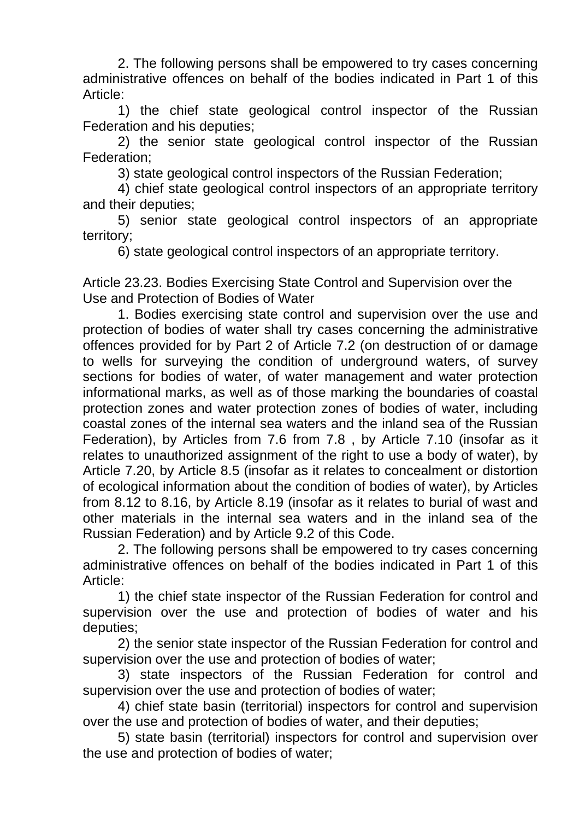2. The following persons shall be empowered to try cases concerning administrative offences on behalf of the bodies indicated in Part 1 of this Article:

1) the chief state geological control inspector of the Russian Federation and his deputies;

2) the senior state geological control inspector of the Russian Federation;

3) state geological control inspectors of the Russian Federation;

4) chief state geological control inspectors of an appropriate territory and their deputies;

5) senior state geological control inspectors of an appropriate territory;

6) state geological control inspectors of an appropriate territory.

Article 23.23. Bodies Exercising State Control and Supervision over the Use and Protection of Bodies of Water

1. Bodies exercising state control and supervision over the use and protection of bodies of water shall try cases concerning the administrative offences provided for by Part 2 of Article 7.2 (on destruction of or damage to wells for surveying the condition of underground waters, of survey sections for bodies of water, of water management and water protection informational marks, as well as of those marking the boundaries of coastal protection zones and water protection zones of bodies of water, including coastal zones of the internal sea waters and the inland sea of the Russian Federation), by Articles from 7.6 from 7.8 , by Article 7.10 (insofar as it relates to unauthorized assignment of the right to use a body of water), by Article 7.20, by Article 8.5 (insofar as it relates to concealment or distortion of ecological information about the condition of bodies of water), by Articles from 8.12 to 8.16, by Article 8.19 (insofar as it relates to burial of wast and other materials in the internal sea waters and in the inland sea of the Russian Federation) and by Article 9.2 of this Code.

2. The following persons shall be empowered to try cases concerning administrative offences on behalf of the bodies indicated in Part 1 of this Article:

1) the chief state inspector of the Russian Federation for control and supervision over the use and protection of bodies of water and his deputies;

2) the senior state inspector of the Russian Federation for control and supervision over the use and protection of bodies of water;

3) state inspectors of the Russian Federation for control and supervision over the use and protection of bodies of water;

4) chief state basin (territorial) inspectors for control and supervision over the use and protection of bodies of water, and their deputies;

5) state basin (territorial) inspectors for control and supervision over the use and protection of bodies of water;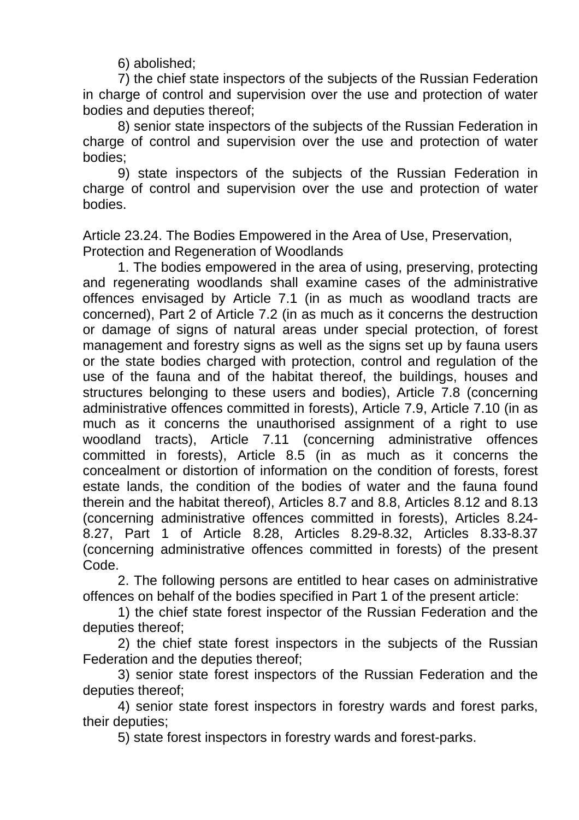6) abolished;

7) the chief state inspectors of the subjects of the Russian Federation in charge of control and supervision over the use and protection of water bodies and deputies thereof;

8) senior state inspectors of the subjects of the Russian Federation in charge of control and supervision over the use and protection of water bodies;

9) state inspectors of the subjects of the Russian Federation in charge of control and supervision over the use and protection of water bodies.

Article 23.24. The Bodies Empowered in the Area of Use, Preservation, Protection and Regeneration of Woodlands

1. The bodies empowered in the area of using, preserving, protecting and regenerating woodlands shall examine cases of the administrative offences envisaged by Article 7.1 (in as much as woodland tracts are concerned), Part 2 of Article 7.2 (in as much as it concerns the destruction or damage of signs of natural areas under special protection, of forest management and forestry signs as well as the signs set up by fauna users or the state bodies charged with protection, control and regulation of the use of the fauna and of the habitat thereof, the buildings, houses and structures belonging to these users and bodies), Article 7.8 (concerning administrative offences committed in forests), Article 7.9, Article 7.10 (in as much as it concerns the unauthorised assignment of a right to use woodland tracts), Article 7.11 (concerning administrative offences committed in forests), Article 8.5 (in as much as it concerns the concealment or distortion of information on the condition of forests, forest estate lands, the condition of the bodies of water and the fauna found therein and the habitat thereof), Articles 8.7 and 8.8, Articles 8.12 and 8.13 (concerning administrative offences committed in forests), Articles 8.24- 8.27, Part 1 of Article 8.28, Articles 8.29-8.32, Articles 8.33-8.37 (concerning administrative offences committed in forests) of the present Code.

2. The following persons are entitled to hear cases on administrative offences on behalf of the bodies specified in Part 1 of the present article:

1) the chief state forest inspector of the Russian Federation and the deputies thereof;

2) the chief state forest inspectors in the subjects of the Russian Federation and the deputies thereof;

3) senior state forest inspectors of the Russian Federation and the deputies thereof;

4) senior state forest inspectors in forestry wards and forest parks, their deputies;

5) state forest inspectors in forestry wards and forest-parks.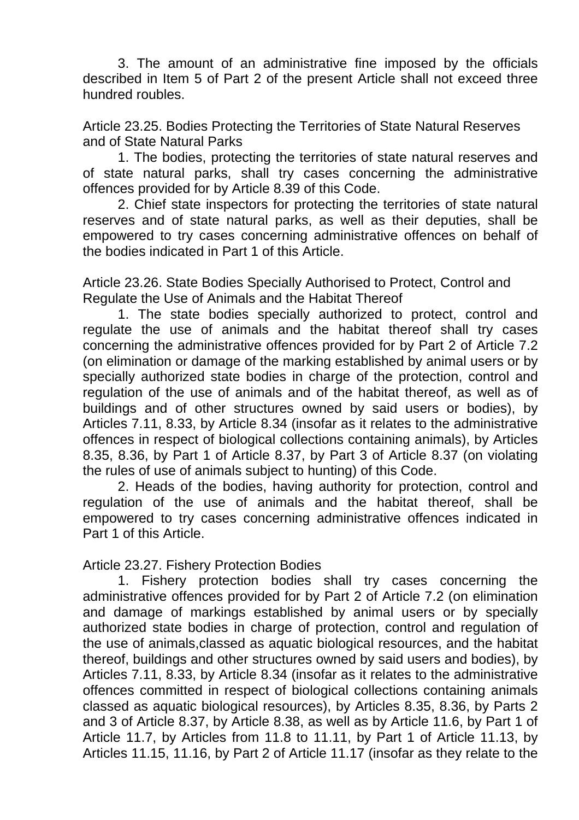3. The amount of an administrative fine imposed by the officials described in Item 5 of Part 2 of the present Article shall not exceed three hundred roubles.

Article 23.25. Bodies Protecting the Territories of State Natural Reserves and of State Natural Parks

1. The bodies, protecting the territories of state natural reserves and of state natural parks, shall try cases concerning the administrative offences provided for by Article 8.39 of this Code.

2. Chief state inspectors for protecting the territories of state natural reserves and of state natural parks, as well as their deputies, shall be empowered to try cases concerning administrative offences on behalf of the bodies indicated in Part 1 of this Article.

Article 23.26. State Bodies Specially Authorised to Protect, Control and Regulate the Use of Animals and the Habitat Thereof

1. The state bodies specially authorized to protect, control and regulate the use of animals and the habitat thereof shall try cases concerning the administrative offences provided for by Part 2 of Article 7.2 (on elimination or damage of the marking established by animal users or by specially authorized state bodies in charge of the protection, control and regulation of the use of animals and of the habitat thereof, as well as of buildings and of other structures owned by said users or bodies), by Articles 7.11, 8.33, by Article 8.34 (insofar as it relates to the administrative offences in respect of biological collections containing animals), by Articles 8.35, 8.36, by Part 1 of Article 8.37, by Part 3 of Article 8.37 (on violating the rules of use of animals subject to hunting) of this Code.

2. Heads of the bodies, having authority for protection, control and regulation of the use of animals and the habitat thereof, shall be empowered to try cases concerning administrative offences indicated in Part 1 of this Article.

Article 23.27. Fishery Protection Bodies

1. Fishery protection bodies shall try cases concerning the administrative offences provided for by Part 2 of Article 7.2 (on elimination and damage of markings established by animal users or by specially authorized state bodies in charge of protection, control and regulation of the use of animals,classed as aquatic biological resources, and the habitat thereof, buildings and other structures owned by said users and bodies), by Articles 7.11, 8.33, by Article 8.34 (insofar as it relates to the administrative offences committed in respect of biological collections containing animals classed as aquatic biological resources), by Articles 8.35, 8.36, by Parts 2 and 3 of Article 8.37, by Article 8.38, as well as by Article 11.6, by Part 1 of Article 11.7, by Articles from 11.8 to 11.11, by Part 1 of Article 11.13, by Articles 11.15, 11.16, by Part 2 of Article 11.17 (insofar as they relate to the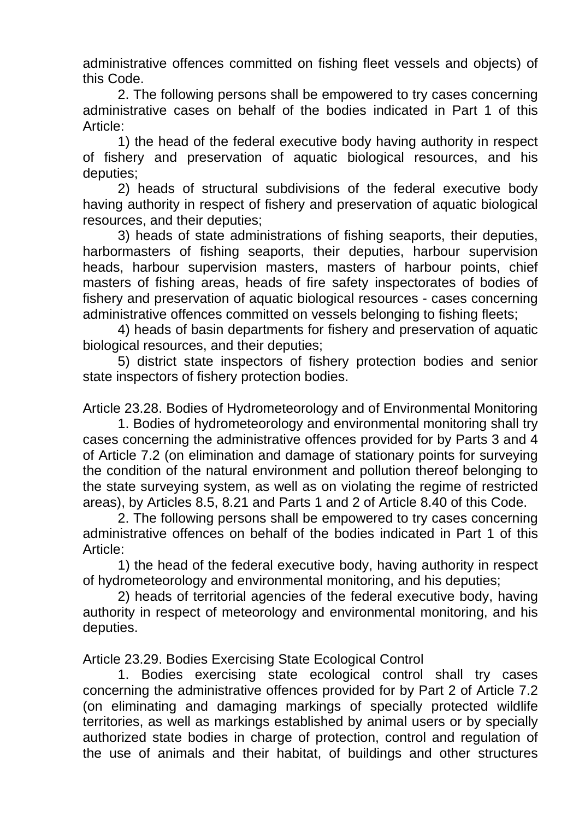administrative offences committed on fishing fleet vessels and objects) of this Code.

2. The following persons shall be empowered to try cases concerning administrative cases on behalf of the bodies indicated in Part 1 of this Article:

1) the head of the federal executive body having authority in respect of fishery and preservation of aquatic biological resources, and his deputies;

2) heads of structural subdivisions of the federal executive body having authority in respect of fishery and preservation of aquatic biological resources, and their deputies;

3) heads of state administrations of fishing seaports, their deputies, harbormasters of fishing seaports, their deputies, harbour supervision heads, harbour supervision masters, masters of harbour points, chief masters of fishing areas, heads of fire safety inspectorates of bodies of fishery and preservation of aquatic biological resources - cases concerning administrative offences committed on vessels belonging to fishing fleets;

4) heads of basin departments for fishery and preservation of aquatic biological resources, and their deputies;

5) district state inspectors of fishery protection bodies and senior state inspectors of fishery protection bodies.

Article 23.28. Bodies of Hydrometeorology and of Environmental Monitoring

1. Bodies of hydrometeorology and environmental monitoring shall try cases concerning the administrative offences provided for by Parts 3 and 4 of Article 7.2 (on elimination and damage of stationary points for surveying the condition of the natural environment and pollution thereof belonging to the state surveying system, as well as on violating the regime of restricted areas), by Articles 8.5, 8.21 and Parts 1 and 2 of Article 8.40 of this Code.

2. The following persons shall be empowered to try cases concerning administrative offences on behalf of the bodies indicated in Part 1 of this Article:

1) the head of the federal executive body, having authority in respect of hydrometeorology and environmental monitoring, and his deputies;

2) heads of territorial agencies of the federal executive body, having authority in respect of meteorology and environmental monitoring, and his deputies.

Article 23.29. Bodies Exercising State Ecological Control

1. Bodies exercising state ecological control shall try cases concerning the administrative offences provided for by Part 2 of Article 7.2 (on eliminating and damaging markings of specially protected wildlife territories, as well as markings established by animal users or by specially authorized state bodies in charge of protection, control and regulation of the use of animals and their habitat, of buildings and other structures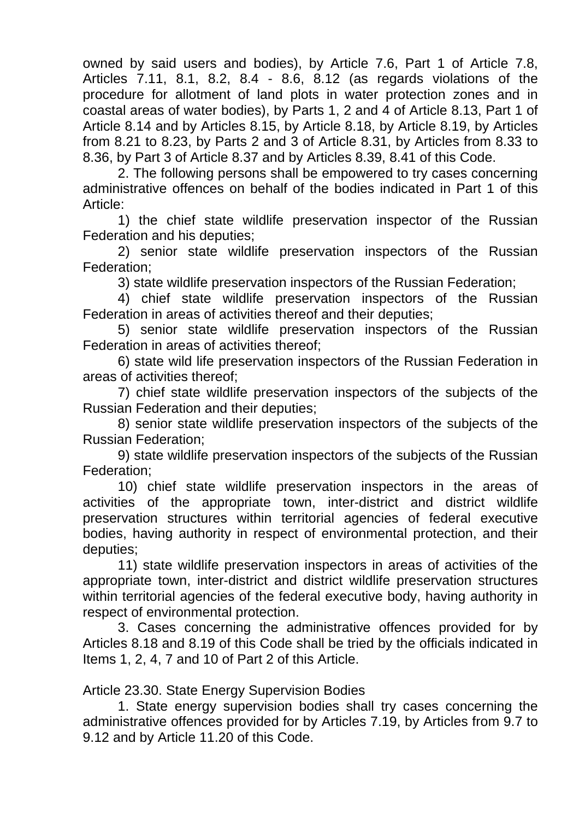owned by said users and bodies), by Article 7.6, Part 1 of Article 7.8, Articles 7.11, 8.1, 8.2, 8.4 - 8.6, 8.12 (as regards violations of the procedure for allotment of land plots in water protection zones and in coastal areas of water bodies), by Parts 1, 2 and 4 of Article 8.13, Part 1 of Article 8.14 and by Articles 8.15, by Article 8.18, by Article 8.19, by Articles from 8.21 to 8.23, by Parts 2 and 3 of Article 8.31, by Articles from 8.33 to 8.36, by Part 3 of Article 8.37 and by Articles 8.39, 8.41 of this Code.

2. The following persons shall be empowered to try cases concerning administrative offences on behalf of the bodies indicated in Part 1 of this Article:

1) the chief state wildlife preservation inspector of the Russian Federation and his deputies;

2) senior state wildlife preservation inspectors of the Russian Federation;

3) state wildlife preservation inspectors of the Russian Federation;

4) chief state wildlife preservation inspectors of the Russian Federation in areas of activities thereof and their deputies;

5) senior state wildlife preservation inspectors of the Russian Federation in areas of activities thereof;

6) state wild life preservation inspectors of the Russian Federation in areas of activities thereof;

7) chief state wildlife preservation inspectors of the subjects of the Russian Federation and their deputies;

8) senior state wildlife preservation inspectors of the subjects of the Russian Federation;

9) state wildlife preservation inspectors of the subjects of the Russian Federation;

10) chief state wildlife preservation inspectors in the areas of activities of the appropriate town, inter-district and district wildlife preservation structures within territorial agencies of federal executive bodies, having authority in respect of environmental protection, and their deputies;

11) state wildlife preservation inspectors in areas of activities of the appropriate town, inter-district and district wildlife preservation structures within territorial agencies of the federal executive body, having authority in respect of environmental protection.

3. Cases concerning the administrative offences provided for by Articles 8.18 and 8.19 of this Code shall be tried by the officials indicated in Items 1, 2, 4, 7 and 10 of Part 2 of this Article.

Article 23.30. State Energy Supervision Bodies

1. State energy supervision bodies shall try cases concerning the administrative offences provided for by Articles 7.19, by Articles from 9.7 to 9.12 and by Article 11.20 of this Code.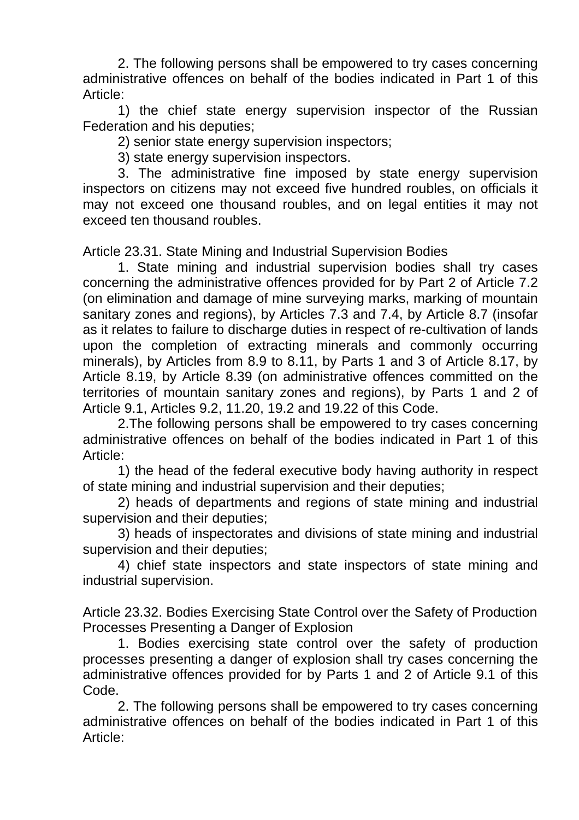2. The following persons shall be empowered to try cases concerning administrative offences on behalf of the bodies indicated in Part 1 of this Article:

1) the chief state energy supervision inspector of the Russian Federation and his deputies;

2) senior state energy supervision inspectors;

3) state energy supervision inspectors.

3. The administrative fine imposed by state energy supervision inspectors on citizens may not exceed five hundred roubles, on officials it may not exceed one thousand roubles, and on legal entities it may not exceed ten thousand roubles.

Article 23.31. State Mining and Industrial Supervision Bodies

1. State mining and industrial supervision bodies shall try cases concerning the administrative offences provided for by Part 2 of Article 7.2 (on elimination and damage of mine surveying marks, marking of mountain sanitary zones and regions), by Articles 7.3 and 7.4, by Article 8.7 (insofar as it relates to failure to discharge duties in respect of re-cultivation of lands upon the completion of extracting minerals and commonly occurring minerals), by Articles from 8.9 to 8.11, by Parts 1 and 3 of Article 8.17, by Article 8.19, by Article 8.39 (on administrative offences committed on the territories of mountain sanitary zones and regions), by Parts 1 and 2 of Article 9.1, Articles 9.2, 11.20, 19.2 and 19.22 of this Code.

2.The following persons shall be empowered to try cases concerning administrative offences on behalf of the bodies indicated in Part 1 of this Article:

1) the head of the federal executive body having authority in respect of state mining and industrial supervision and their deputies;

2) heads of departments and regions of state mining and industrial supervision and their deputies;

3) heads of inspectorates and divisions of state mining and industrial supervision and their deputies;

4) chief state inspectors and state inspectors of state mining and industrial supervision.

Article 23.32. Bodies Exercising State Control over the Safety of Production Processes Presenting a Danger of Explosion

1. Bodies exercising state control over the safety of production processes presenting a danger of explosion shall try cases concerning the administrative offences provided for by Parts 1 and 2 of Article 9.1 of this Code.

2. The following persons shall be empowered to try cases concerning administrative offences on behalf of the bodies indicated in Part 1 of this Article: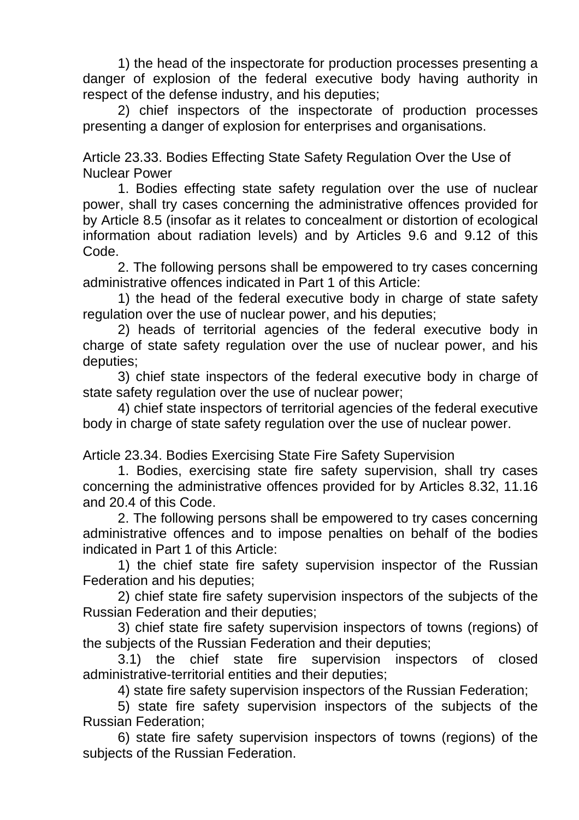1) the head of the inspectorate for production processes presenting a danger of explosion of the federal executive body having authority in respect of the defense industry, and his deputies;

2) chief inspectors of the inspectorate of production processes presenting a danger of explosion for enterprises and organisations.

Article 23.33. Bodies Effecting State Safety Regulation Over the Use of Nuclear Power

1. Bodies effecting state safety regulation over the use of nuclear power, shall try cases concerning the administrative offences provided for by Article 8.5 (insofar as it relates to concealment or distortion of ecological information about radiation levels) and by Articles 9.6 and 9.12 of this Code.

2. The following persons shall be empowered to try cases concerning administrative offences indicated in Part 1 of this Article:

1) the head of the federal executive body in charge of state safety regulation over the use of nuclear power, and his deputies;

2) heads of territorial agencies of the federal executive body in charge of state safety regulation over the use of nuclear power, and his deputies;

3) chief state inspectors of the federal executive body in charge of state safety regulation over the use of nuclear power;

4) chief state inspectors of territorial agencies of the federal executive body in charge of state safety regulation over the use of nuclear power.

Article 23.34. Bodies Exercising State Fire Safety Supervision

1. Bodies, exercising state fire safety supervision, shall try cases concerning the administrative offences provided for by Articles 8.32, 11.16 and 20.4 of this Code.

2. The following persons shall be empowered to try cases concerning administrative offences and to impose penalties on behalf of the bodies indicated in Part 1 of this Article:

1) the chief state fire safety supervision inspector of the Russian Federation and his deputies;

2) chief state fire safety supervision inspectors of the subjects of the Russian Federation and their deputies;

3) chief state fire safety supervision inspectors of towns (regions) of the subjects of the Russian Federation and their deputies;

3.1) the chief state fire supervision inspectors of closed administrative-territorial entities and their deputies;

4) state fire safety supervision inspectors of the Russian Federation;

5) state fire safety supervision inspectors of the subjects of the Russian Federation;

6) state fire safety supervision inspectors of towns (regions) of the subjects of the Russian Federation.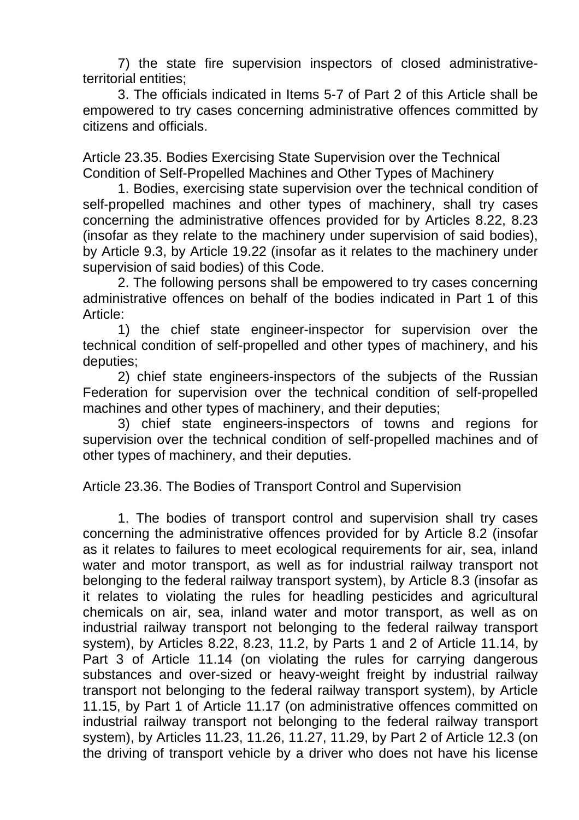7) the state fire supervision inspectors of closed administrativeterritorial entities;

3. The officials indicated in Items 5-7 of Part 2 of this Article shall be empowered to try cases concerning administrative offences committed by citizens and officials.

Article 23.35. Bodies Exercising State Supervision over the Technical Condition of Self-Propelled Machines and Other Types of Machinery

1. Bodies, exercising state supervision over the technical condition of self-propelled machines and other types of machinery, shall try cases concerning the administrative offences provided for by Articles 8.22, 8.23 (insofar as they relate to the machinery under supervision of said bodies), by Article 9.3, by Article 19.22 (insofar as it relates to the machinery under supervision of said bodies) of this Code.

2. The following persons shall be empowered to try cases concerning administrative offences on behalf of the bodies indicated in Part 1 of this Article:

1) the chief state engineer-inspector for supervision over the technical condition of self-propelled and other types of machinery, and his deputies;

2) chief state engineers-inspectors of the subjects of the Russian Federation for supervision over the technical condition of self-propelled machines and other types of machinery, and their deputies;

3) chief state engineers-inspectors of towns and regions for supervision over the technical condition of self-propelled machines and of other types of machinery, and their deputies.

Article 23.36. The Bodies of Transport Control and Supervision

1. The bodies of transport control and supervision shall try cases concerning the administrative offences provided for by Article 8.2 (insofar as it relates to failures to meet ecological requirements for air, sea, inland water and motor transport, as well as for industrial railway transport not belonging to the federal railway transport system), by Article 8.3 (insofar as it relates to violating the rules for headling pesticides and agricultural chemicals on air, sea, inland water and motor transport, as well as on industrial railway transport not belonging to the federal railway transport system), by Articles 8.22, 8.23, 11.2, by Parts 1 and 2 of Article 11.14, by Part 3 of Article 11.14 (on violating the rules for carrying dangerous substances and over-sized or heavy-weight freight by industrial railway transport not belonging to the federal railway transport system), by Article 11.15, by Part 1 of Article 11.17 (on administrative offences committed on industrial railway transport not belonging to the federal railway transport system), by Articles 11.23, 11.26, 11.27, 11.29, by Part 2 of Article 12.3 (on the driving of transport vehicle by a driver who does not have his license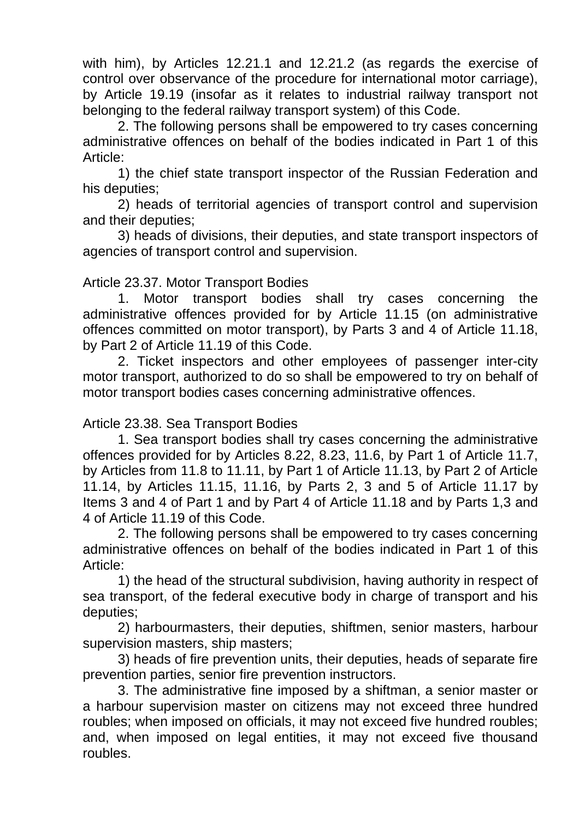with him), by Articles 12.21.1 and 12.21.2 (as regards the exercise of control over observance of the procedure for international motor carriage), by Article 19.19 (insofar as it relates to industrial railway transport not belonging to the federal railway transport system) of this Code.

2. The following persons shall be empowered to try cases concerning administrative offences on behalf of the bodies indicated in Part 1 of this Article:

1) the chief state transport inspector of the Russian Federation and his deputies;

2) heads of territorial agencies of transport control and supervision and their deputies;

3) heads of divisions, their deputies, and state transport inspectors of agencies of transport control and supervision.

## Article 23.37. Motor Transport Bodies

1. Motor transport bodies shall try cases concerning the administrative offences provided for by Article 11.15 (on administrative offences committed on motor transport), by Parts 3 and 4 of Article 11.18, by Part 2 of Article 11.19 of this Code.

2. Ticket inspectors and other employees of passenger inter-city motor transport, authorized to do so shall be empowered to try on behalf of motor transport bodies cases concerning administrative offences.

# Article 23.38. Sea Transport Bodies

1. Sea transport bodies shall try cases concerning the administrative offences provided for by Articles 8.22, 8.23, 11.6, by Part 1 of Article 11.7, by Articles from 11.8 to 11.11, by Part 1 of Article 11.13, by Part 2 of Article 11.14, by Articles 11.15, 11.16, by Parts 2, 3 and 5 of Article 11.17 by Items 3 and 4 of Part 1 and by Part 4 of Article 11.18 and by Parts 1,3 and 4 of Article 11.19 of this Code.

2. The following persons shall be empowered to try cases concerning administrative offences on behalf of the bodies indicated in Part 1 of this Article:

1) the head of the structural subdivision, having authority in respect of sea transport, of the federal executive body in charge of transport and his deputies;

2) harbourmasters, their deputies, shiftmen, senior masters, harbour supervision masters, ship masters;

3) heads of fire prevention units, their deputies, heads of separate fire prevention parties, senior fire prevention instructors.

3. The administrative fine imposed by a shiftman, a senior master or a harbour supervision master on citizens may not exceed three hundred roubles; when imposed on officials, it may not exceed five hundred roubles; and, when imposed on legal entities, it may not exceed five thousand roubles.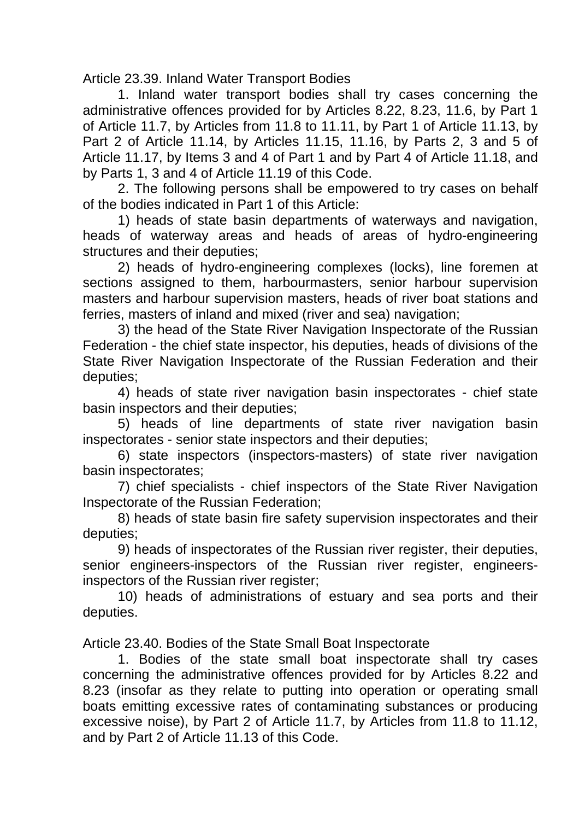Article 23.39. Inland Water Transport Bodies

1. Inland water transport bodies shall try cases concerning the administrative offences provided for by Articles 8.22, 8.23, 11.6, by Part 1 of Article 11.7, by Articles from 11.8 to 11.11, by Part 1 of Article 11.13, by Part 2 of Article 11.14, by Articles 11.15, 11.16, by Parts 2, 3 and 5 of Article 11.17, by Items 3 and 4 of Part 1 and by Part 4 of Article 11.18, and by Parts 1, 3 and 4 of Article 11.19 of this Code.

2. The following persons shall be empowered to try cases on behalf of the bodies indicated in Part 1 of this Article:

1) heads of state basin departments of waterways and navigation, heads of waterway areas and heads of areas of hydro-engineering structures and their deputies;

2) heads of hydro-engineering complexes (locks), line foremen at sections assigned to them, harbourmasters, senior harbour supervision masters and harbour supervision masters, heads of river boat stations and ferries, masters of inland and mixed (river and sea) navigation;

3) the head of the State River Navigation Inspectorate of the Russian Federation - the chief state inspector, his deputies, heads of divisions of the State River Navigation Inspectorate of the Russian Federation and their deputies;

4) heads of state river navigation basin inspectorates - chief state basin inspectors and their deputies;

5) heads of line departments of state river navigation basin inspectorates - senior state inspectors and their deputies;

6) state inspectors (inspectors-masters) of state river navigation basin inspectorates;

7) chief specialists - chief inspectors of the State River Navigation Inspectorate of the Russian Federation;

8) heads of state basin fire safety supervision inspectorates and their deputies;

9) heads of inspectorates of the Russian river register, their deputies, senior engineers-inspectors of the Russian river register, engineersinspectors of the Russian river register;

10) heads of administrations of estuary and sea ports and their deputies.

Article 23.40. Bodies of the State Small Boat Inspectorate

1. Bodies of the state small boat inspectorate shall try cases concerning the administrative offences provided for by Articles 8.22 and 8.23 (insofar as they relate to putting into operation or operating small boats emitting excessive rates of contaminating substances or producing excessive noise), by Part 2 of Article 11.7, by Articles from 11.8 to 11.12, and by Part 2 of Article 11.13 of this Code.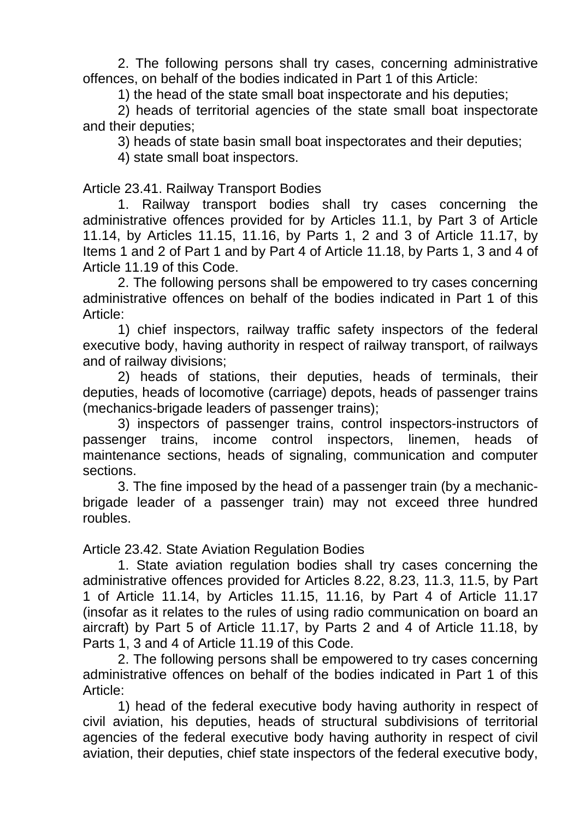2. The following persons shall try cases, concerning administrative offences, on behalf of the bodies indicated in Part 1 of this Article:

1) the head of the state small boat inspectorate and his deputies;

2) heads of territorial agencies of the state small boat inspectorate and their deputies;

3) heads of state basin small boat inspectorates and their deputies;

4) state small boat inspectors.

Article 23.41. Railway Transport Bodies

1. Railway transport bodies shall try cases concerning the administrative offences provided for by Articles 11.1, by Part 3 of Article 11.14, by Articles 11.15, 11.16, by Parts 1, 2 and 3 of Article 11.17, by Items 1 and 2 of Part 1 and by Part 4 of Article 11.18, by Parts 1, 3 and 4 of Article 11.19 of this Code.

2. The following persons shall be empowered to try cases concerning administrative offences on behalf of the bodies indicated in Part 1 of this Article:

1) chief inspectors, railway traffic safety inspectors of the federal executive body, having authority in respect of railway transport, of railways and of railway divisions;

2) heads of stations, their deputies, heads of terminals, their deputies, heads of locomotive (carriage) depots, heads of passenger trains (mechanics-brigade leaders of passenger trains);

3) inspectors of passenger trains, control inspectors-instructors of passenger trains, income control inspectors, linemen, heads of maintenance sections, heads of signaling, communication and computer sections.

3. The fine imposed by the head of a passenger train (by a mechanicbrigade leader of a passenger train) may not exceed three hundred roubles.

Article 23.42. State Aviation Regulation Bodies

1. State aviation regulation bodies shall try cases concerning the administrative offences provided for Articles 8.22, 8.23, 11.3, 11.5, by Part 1 of Article 11.14, by Articles 11.15, 11.16, by Part 4 of Article 11.17 (insofar as it relates to the rules of using radio communication on board an aircraft) by Part 5 of Article 11.17, by Parts 2 and 4 of Article 11.18, by Parts 1, 3 and 4 of Article 11.19 of this Code.

2. The following persons shall be empowered to try cases concerning administrative offences on behalf of the bodies indicated in Part 1 of this Article:

1) head of the federal executive body having authority in respect of civil aviation, his deputies, heads of structural subdivisions of territorial agencies of the federal executive body having authority in respect of civil aviation, their deputies, chief state inspectors of the federal executive body,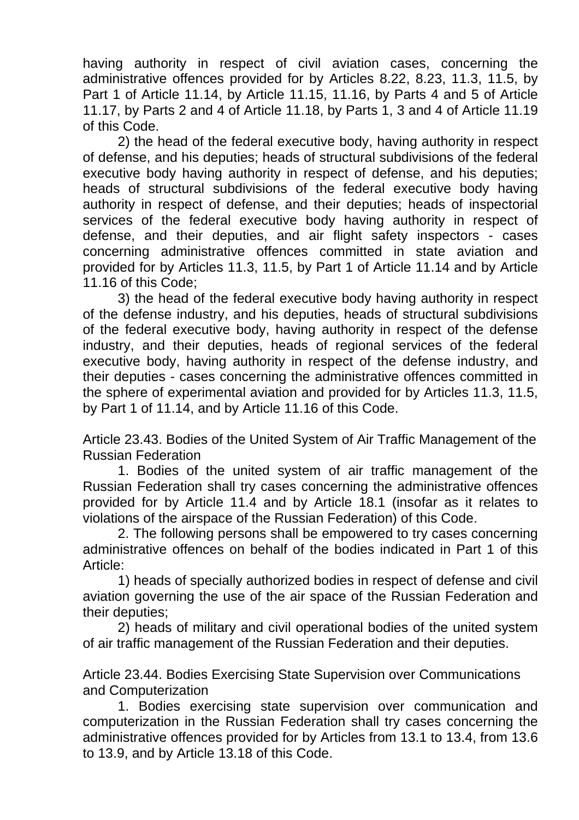having authority in respect of civil aviation cases, concerning the administrative offences provided for by Articles 8.22, 8.23, 11.3, 11.5, by Part 1 of Article 11.14, by Article 11.15, 11.16, by Parts 4 and 5 of Article 11.17, by Parts 2 and 4 of Article 11.18, by Parts 1, 3 and 4 of Article 11.19 of this Code.

2) the head of the federal executive body, having authority in respect of defense, and his deputies; heads of structural subdivisions of the federal executive body having authority in respect of defense, and his deputies; heads of structural subdivisions of the federal executive body having authority in respect of defense, and their deputies; heads of inspectorial services of the federal executive body having authority in respect of defense, and their deputies, and air flight safety inspectors - cases concerning administrative offences committed in state aviation and provided for by Articles 11.3, 11.5, by Part 1 of Article 11.14 and by Article 11.16 of this Code;

3) the head of the federal executive body having authority in respect of the defense industry, and his deputies, heads of structural subdivisions of the federal executive body, having authority in respect of the defense industry, and their deputies, heads of regional services of the federal executive body, having authority in respect of the defense industry, and their deputies - cases concerning the administrative offences committed in the sphere of experimental aviation and provided for by Articles 11.3, 11.5, by Part 1 of 11.14, and by Article 11.16 of this Code.

Article 23.43. Bodies of the United System of Air Traffic Management of the Russian Federation

1. Bodies of the united system of air traffic management of the Russian Federation shall try cases concerning the administrative offences provided for by Article 11.4 and by Article 18.1 (insofar as it relates to violations of the airspace of the Russian Federation) of this Code.

2. The following persons shall be empowered to try cases concerning administrative offences on behalf of the bodies indicated in Part 1 of this Article:

1) heads of specially authorized bodies in respect of defense and civil aviation governing the use of the air space of the Russian Federation and their deputies;

2) heads of military and civil operational bodies of the united system of air traffic management of the Russian Federation and their deputies.

Article 23.44. Bodies Exercising State Supervision over Communications and Computerization

1. Bodies exercising state supervision over communication and computerization in the Russian Federation shall try cases concerning the administrative offences provided for by Articles from 13.1 to 13.4, from 13.6 to 13.9, and by Article 13.18 of this Code.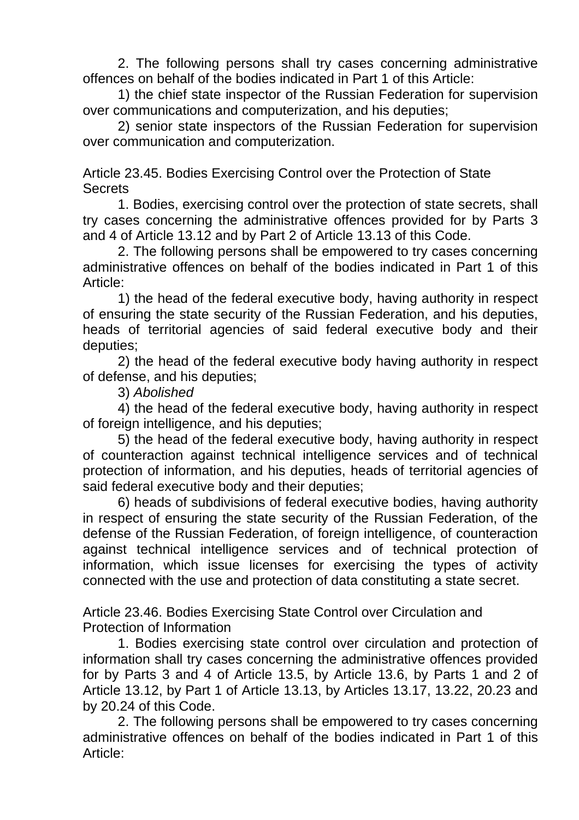2. The following persons shall try cases concerning administrative offences on behalf of the bodies indicated in Part 1 of this Article:

1) the chief state inspector of the Russian Federation for supervision over communications and computerization, and his deputies;

2) senior state inspectors of the Russian Federation for supervision over communication and computerization.

Article 23.45. Bodies Exercising Control over the Protection of State **Secrets** 

1. Bodies, exercising control over the protection of state secrets, shall try cases concerning the administrative offences provided for by Parts 3 and 4 of Article 13.12 and by Part 2 of Article 13.13 of this Code.

2. The following persons shall be empowered to try cases concerning administrative offences on behalf of the bodies indicated in Part 1 of this Article:

1) the head of the federal executive body, having authority in respect of ensuring the state security of the Russian Federation, and his deputies, heads of territorial agencies of said federal executive body and their deputies;

2) the head of the federal executive body having authority in respect of defense, and his deputies;

3) *Abolished*

4) the head of the federal executive body, having authority in respect of foreign intelligence, and his deputies;

5) the head of the federal executive body, having authority in respect of counteraction against technical intelligence services and of technical protection of information, and his deputies, heads of territorial agencies of said federal executive body and their deputies;

6) heads of subdivisions of federal executive bodies, having authority in respect of ensuring the state security of the Russian Federation, of the defense of the Russian Federation, of foreign intelligence, of counteraction against technical intelligence services and of technical protection of information, which issue licenses for exercising the types of activity connected with the use and protection of data constituting a state secret.

Article 23.46. Bodies Exercising State Control over Circulation and Protection of Information

1. Bodies exercising state control over circulation and protection of information shall try cases concerning the administrative offences provided for by Parts 3 and 4 of Article 13.5, by Article 13.6, by Parts 1 and 2 of Article 13.12, by Part 1 of Article 13.13, by Articles 13.17, 13.22, 20.23 and by 20.24 of this Code.

2. The following persons shall be empowered to try cases concerning administrative offences on behalf of the bodies indicated in Part 1 of this Article: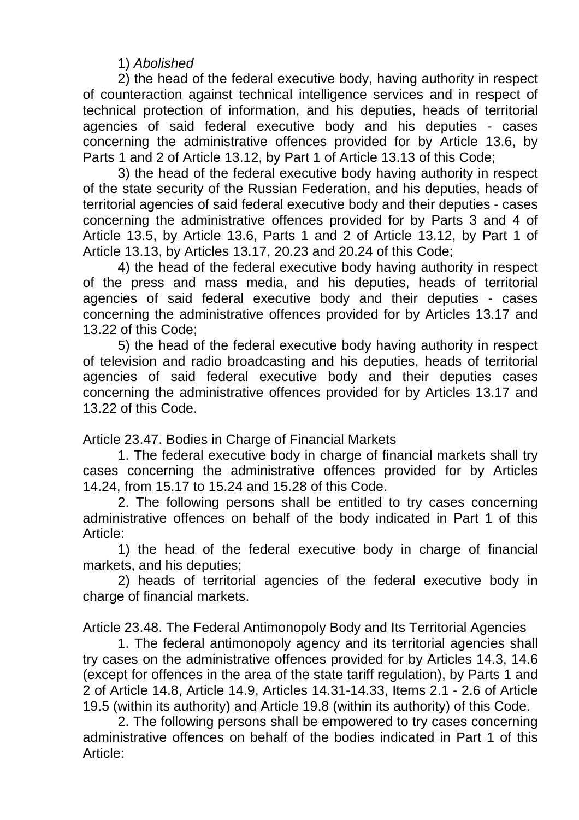1) *Abolished*

2) the head of the federal executive body, having authority in respect of counteraction against technical intelligence services and in respect of technical protection of information, and his deputies, heads of territorial agencies of said federal executive body and his deputies - cases concerning the administrative offences provided for by Article 13.6, by Parts 1 and 2 of Article 13.12, by Part 1 of Article 13.13 of this Code;

3) the head of the federal executive body having authority in respect of the state security of the Russian Federation, and his deputies, heads of territorial agencies of said federal executive body and their deputies - cases concerning the administrative offences provided for by Parts 3 and 4 of Article 13.5, by Article 13.6, Parts 1 and 2 of Article 13.12, by Part 1 of Article 13.13, by Articles 13.17, 20.23 and 20.24 of this Code;

4) the head of the federal executive body having authority in respect of the press and mass media, and his deputies, heads of territorial agencies of said federal executive body and their deputies - cases concerning the administrative offences provided for by Articles 13.17 and 13.22 of this Code;

5) the head of the federal executive body having authority in respect of television and radio broadcasting and his deputies, heads of territorial agencies of said federal executive body and their deputies cases concerning the administrative offences provided for by Articles 13.17 and 13.22 of this Code.

Article 23.47. Bodies in Charge of Financial Markets

1. The federal executive body in charge of financial markets shall try cases concerning the administrative offences provided for by Articles 14.24, from 15.17 to 15.24 and 15.28 of this Code.

2. The following persons shall be entitled to try cases concerning administrative offences on behalf of the body indicated in Part 1 of this Article:

1) the head of the federal executive body in charge of financial markets, and his deputies;

2) heads of territorial agencies of the federal executive body in charge of financial markets.

Article 23.48. The Federal Antimonopoly Body and Its Territorial Agencies

1. The federal antimonopoly agency and its territorial agencies shall try cases on the administrative offences provided for by Articles 14.3, 14.6 (except for offences in the area of the state tariff regulation), by Parts 1 and 2 of Article 14.8, Article 14.9, Articles 14.31-14.33, Items 2.1 - 2.6 of Article 19.5 (within its authority) and Article 19.8 (within its authority) of this Code.

2. The following persons shall be empowered to try cases concerning administrative offences on behalf of the bodies indicated in Part 1 of this Article: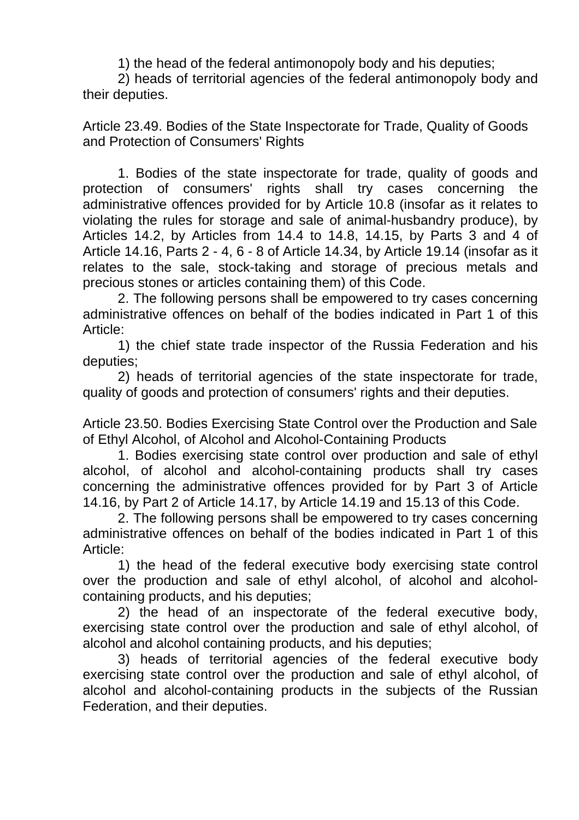1) the head of the federal antimonopoly body and his deputies;

2) heads of territorial agencies of the federal antimonopoly body and their deputies.

Article 23.49. Bodies of the State Inspectorate for Trade, Quality of Goods and Protection of Consumers' Rights

1. Bodies of the state inspectorate for trade, quality of goods and protection of consumers' rights shall try cases concerning the administrative offences provided for by Article 10.8 (insofar as it relates to violating the rules for storage and sale of animal-husbandry produce), by Articles 14.2, by Articles from 14.4 to 14.8, 14.15, by Parts 3 and 4 of Article 14.16, Parts 2 - 4, 6 - 8 of Article 14.34, by Article 19.14 (insofar as it relates to the sale, stock-taking and storage of precious metals and precious stones or articles containing them) of this Code.

2. The following persons shall be empowered to try cases concerning administrative offences on behalf of the bodies indicated in Part 1 of this Article:

1) the chief state trade inspector of the Russia Federation and his deputies;

2) heads of territorial agencies of the state inspectorate for trade, quality of goods and protection of consumers' rights and their deputies.

Article 23.50. Bodies Exercising State Control over the Production and Sale of Ethyl Alcohol, of Alcohol and Alcohol-Containing Products

1. Bodies exercising state control over production and sale of ethyl alcohol, of alcohol and alcohol-containing products shall try cases concerning the administrative offences provided for by Part 3 of Article 14.16, by Part 2 of Article 14.17, by Article 14.19 and 15.13 of this Code.

2. The following persons shall be empowered to try cases concerning administrative offences on behalf of the bodies indicated in Part 1 of this Article:

1) the head of the federal executive body exercising state control over the production and sale of ethyl alcohol, of alcohol and alcoholcontaining products, and his deputies;

2) the head of an inspectorate of the federal executive body, exercising state control over the production and sale of ethyl alcohol, of alcohol and alcohol containing products, and his deputies;

3) heads of territorial agencies of the federal executive body exercising state control over the production and sale of ethyl alcohol, of alcohol and alcohol-containing products in the subjects of the Russian Federation, and their deputies.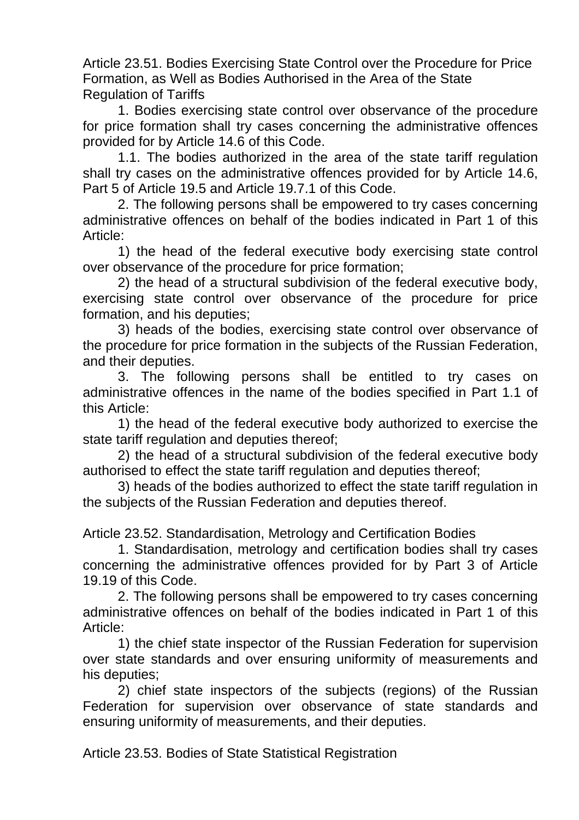Article 23.51. Bodies Exercising State Control over the Procedure for Price Formation, as Well as Bodies Authorised in the Area of the State Regulation of Tariffs

1. Bodies exercising state control over observance of the procedure for price formation shall try cases concerning the administrative offences provided for by Article 14.6 of this Code.

1.1. The bodies authorized in the area of the state tariff regulation shall try cases on the administrative offences provided for by Article 14.6, Part 5 of Article 19.5 and Article 19.7.1 of this Code.

2. The following persons shall be empowered to try cases concerning administrative offences on behalf of the bodies indicated in Part 1 of this Article:

1) the head of the federal executive body exercising state control over observance of the procedure for price formation;

2) the head of a structural subdivision of the federal executive body, exercising state control over observance of the procedure for price formation, and his deputies;

3) heads of the bodies, exercising state control over observance of the procedure for price formation in the subjects of the Russian Federation, and their deputies.

3. The following persons shall be entitled to try cases on administrative offences in the name of the bodies specified in Part 1.1 of this Article:

1) the head of the federal executive body authorized to exercise the state tariff regulation and deputies thereof;

2) the head of a structural subdivision of the federal executive body authorised to effect the state tariff regulation and deputies thereof;

3) heads of the bodies authorized to effect the state tariff regulation in the subjects of the Russian Federation and deputies thereof.

Article 23.52. Standardisation, Metrology and Certification Bodies

1. Standardisation, metrology and certification bodies shall try cases concerning the administrative offences provided for by Part 3 of Article 19.19 of this Code.

2. The following persons shall be empowered to try cases concerning administrative offences on behalf of the bodies indicated in Part 1 of this Article:

1) the chief state inspector of the Russian Federation for supervision over state standards and over ensuring uniformity of measurements and his deputies;

2) chief state inspectors of the subjects (regions) of the Russian Federation for supervision over observance of state standards and ensuring uniformity of measurements, and their deputies.

Article 23.53. Bodies of State Statistical Registration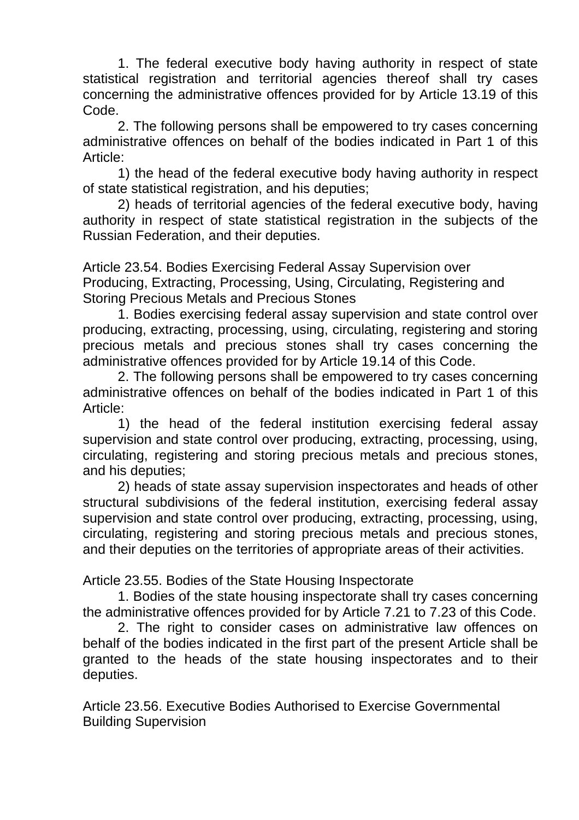1. The federal executive body having authority in respect of state statistical registration and territorial agencies thereof shall try cases concerning the administrative offences provided for by Article 13.19 of this Code.

2. The following persons shall be empowered to try cases concerning administrative offences on behalf of the bodies indicated in Part 1 of this Article:

1) the head of the federal executive body having authority in respect of state statistical registration, and his deputies;

2) heads of territorial agencies of the federal executive body, having authority in respect of state statistical registration in the subjects of the Russian Federation, and their deputies.

Article 23.54. Bodies Exercising Federal Assay Supervision over Producing, Extracting, Processing, Using, Circulating, Registering and Storing Precious Metals and Precious Stones

1. Bodies exercising federal assay supervision and state control over producing, extracting, processing, using, circulating, registering and storing precious metals and precious stones shall try cases concerning the administrative offences provided for by Article 19.14 of this Code.

2. The following persons shall be empowered to try cases concerning administrative offences on behalf of the bodies indicated in Part 1 of this Article:

1) the head of the federal institution exercising federal assay supervision and state control over producing, extracting, processing, using, circulating, registering and storing precious metals and precious stones, and his deputies;

2) heads of state assay supervision inspectorates and heads of other structural subdivisions of the federal institution, exercising federal assay supervision and state control over producing, extracting, processing, using, circulating, registering and storing precious metals and precious stones, and their deputies on the territories of appropriate areas of their activities.

Article 23.55. Bodies of the State Housing Inspectorate

1. Bodies of the state housing inspectorate shall try cases concerning the administrative offences provided for by Article 7.21 to 7.23 of this Code.

2. The right to consider cases on administrative law offences on behalf of the bodies indicated in the first part of the present Article shall be granted to the heads of the state housing inspectorates and to their deputies.

Article 23.56. Executive Bodies Authorised to Exercise Governmental Building Supervision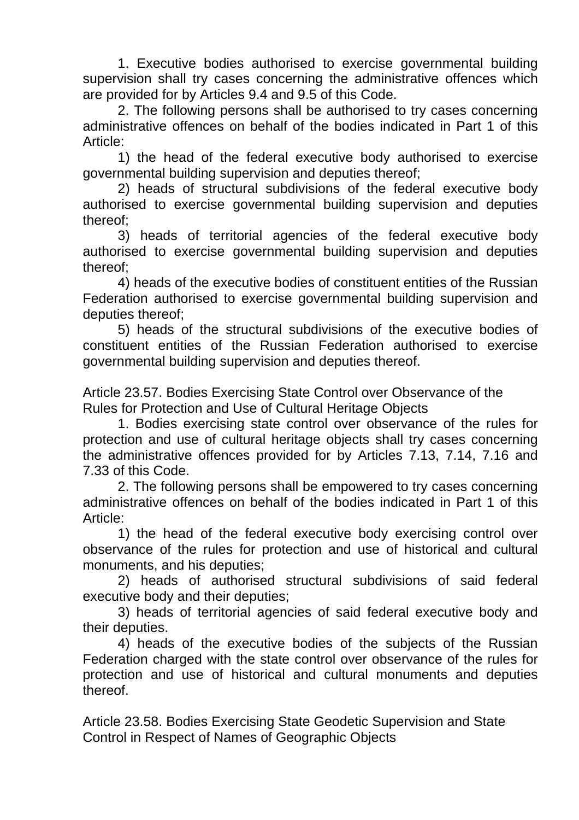1. Executive bodies authorised to exercise governmental building supervision shall try cases concerning the administrative offences which are provided for by Articles 9.4 and 9.5 of this Code.

2. The following persons shall be authorised to try cases concerning administrative offences on behalf of the bodies indicated in Part 1 of this Article:

1) the head of the federal executive body authorised to exercise governmental building supervision and deputies thereof;

2) heads of structural subdivisions of the federal executive body authorised to exercise governmental building supervision and deputies thereof;

3) heads of territorial agencies of the federal executive body authorised to exercise governmental building supervision and deputies thereof;

4) heads of the executive bodies of constituent entities of the Russian Federation authorised to exercise governmental building supervision and deputies thereof;

5) heads of the structural subdivisions of the executive bodies of constituent entities of the Russian Federation authorised to exercise governmental building supervision and deputies thereof.

Article 23.57. Bodies Exercising State Control over Observance of the Rules for Protection and Use of Cultural Heritage Objects

1. Bodies exercising state control over observance of the rules for protection and use of cultural heritage objects shall try cases concerning the administrative offences provided for by Articles 7.13, 7.14, 7.16 and 7.33 of this Code.

2. The following persons shall be empowered to try cases concerning administrative offences on behalf of the bodies indicated in Part 1 of this Article:

1) the head of the federal executive body exercising control over observance of the rules for protection and use of historical and cultural monuments, and his deputies;

2) heads of authorised structural subdivisions of said federal executive body and their deputies;

3) heads of territorial agencies of said federal executive body and their deputies.

4) heads of the executive bodies of the subjects of the Russian Federation charged with the state control over observance of the rules for protection and use of historical and cultural monuments and deputies thereof.

Article 23.58. Bodies Exercising State Geodetic Supervision and State Control in Respect of Names of Geographic Objects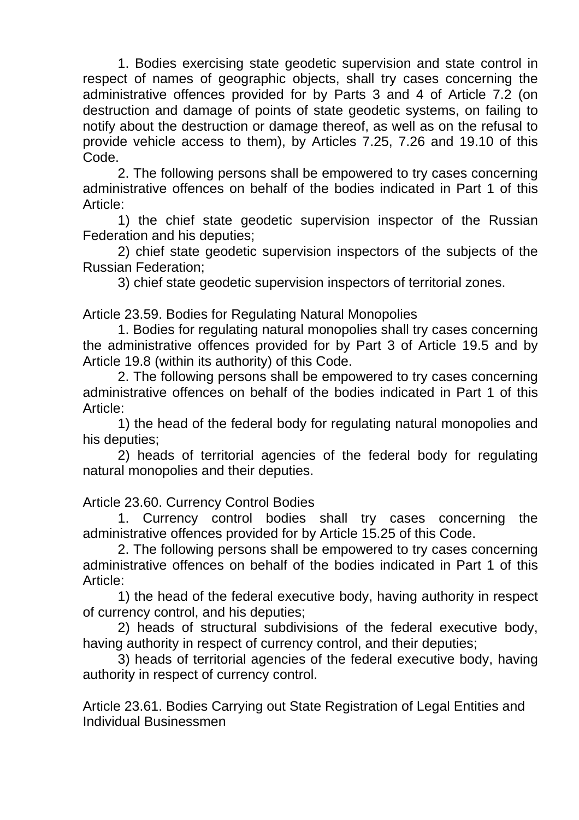1. Bodies exercising state geodetic supervision and state control in respect of names of geographic objects, shall try cases concerning the administrative offences provided for by Parts 3 and 4 of Article 7.2 (on destruction and damage of points of state geodetic systems, on failing to notify about the destruction or damage thereof, as well as on the refusal to provide vehicle access to them), by Articles 7.25, 7.26 and 19.10 of this Code.

2. The following persons shall be empowered to try cases concerning administrative offences on behalf of the bodies indicated in Part 1 of this Article:

1) the chief state geodetic supervision inspector of the Russian Federation and his deputies;

2) chief state geodetic supervision inspectors of the subjects of the Russian Federation;

3) chief state geodetic supervision inspectors of territorial zones.

Article 23.59. Bodies for Regulating Natural Monopolies

1. Bodies for regulating natural monopolies shall try cases concerning the administrative offences provided for by Part 3 of Article 19.5 and by Article 19.8 (within its authority) of this Code.

2. The following persons shall be empowered to try cases concerning administrative offences on behalf of the bodies indicated in Part 1 of this Article:

1) the head of the federal body for regulating natural monopolies and his deputies;

2) heads of territorial agencies of the federal body for regulating natural monopolies and their deputies.

Article 23.60. Currency Control Bodies

1. Currency control bodies shall try cases concerning the administrative offences provided for by Article 15.25 of this Code.

2. The following persons shall be empowered to try cases concerning administrative offences on behalf of the bodies indicated in Part 1 of this Article:

1) the head of the federal executive body, having authority in respect of currency control, and his deputies;

2) heads of structural subdivisions of the federal executive body, having authority in respect of currency control, and their deputies;

3) heads of territorial agencies of the federal executive body, having authority in respect of currency control.

Article 23.61. Bodies Carrying out State Registration of Legal Entities and Individual Businessmen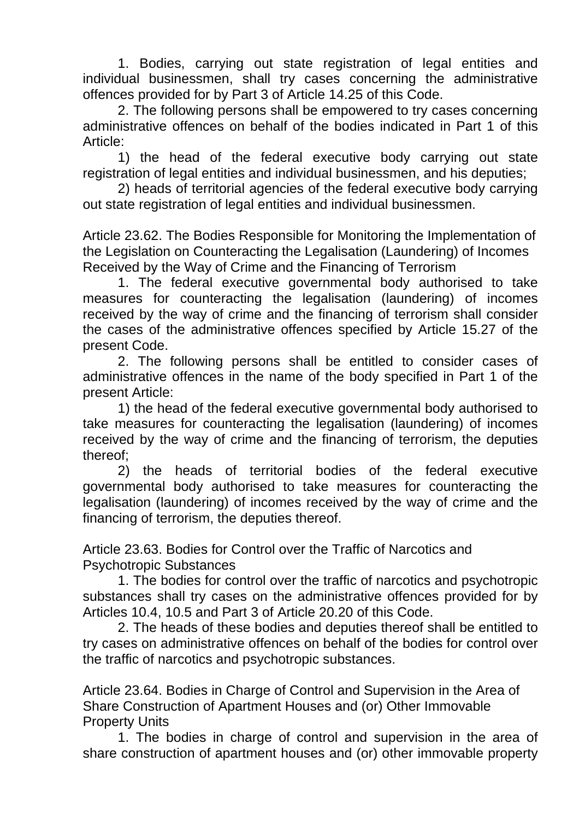1. Bodies, carrying out state registration of legal entities and individual businessmen, shall try cases concerning the administrative offences provided for by Part 3 of Article 14.25 of this Code.

2. The following persons shall be empowered to try cases concerning administrative offences on behalf of the bodies indicated in Part 1 of this Article:

1) the head of the federal executive body carrying out state registration of legal entities and individual businessmen, and his deputies;

2) heads of territorial agencies of the federal executive body carrying out state registration of legal entities and individual businessmen.

Article 23.62. The Bodies Responsible for Monitoring the Implementation of the Legislation on Counteracting the Legalisation (Laundering) of Incomes Received by the Way of Crime and the Financing of Terrorism

1. The federal executive governmental body authorised to take measures for counteracting the legalisation (laundering) of incomes received by the way of crime and the financing of terrorism shall consider the cases of the administrative offences specified by Article 15.27 of the present Code.

2. The following persons shall be entitled to consider cases of administrative offences in the name of the body specified in Part 1 of the present Article:

1) the head of the federal executive governmental body authorised to take measures for counteracting the legalisation (laundering) of incomes received by the way of crime and the financing of terrorism, the deputies thereof;

2) the heads of territorial bodies of the federal executive governmental body authorised to take measures for counteracting the legalisation (laundering) of incomes received by the way of crime and the financing of terrorism, the deputies thereof.

Article 23.63. Bodies for Control over the Traffic of Narcotics and Psychotropic Substances

1. The bodies for control over the traffic of narcotics and psychotropic substances shall try cases on the administrative offences provided for by Articles 10.4, 10.5 and Part 3 of Article 20.20 of this Code.

2. The heads of these bodies and deputies thereof shall be entitled to try cases on administrative offences on behalf of the bodies for control over the traffic of narcotics and psychotropic substances.

Article 23.64. Bodies in Charge of Control and Supervision in the Area of Share Construction of Apartment Houses and (or) Other Immovable Property Units

1. The bodies in charge of control and supervision in the area of share construction of apartment houses and (or) other immovable property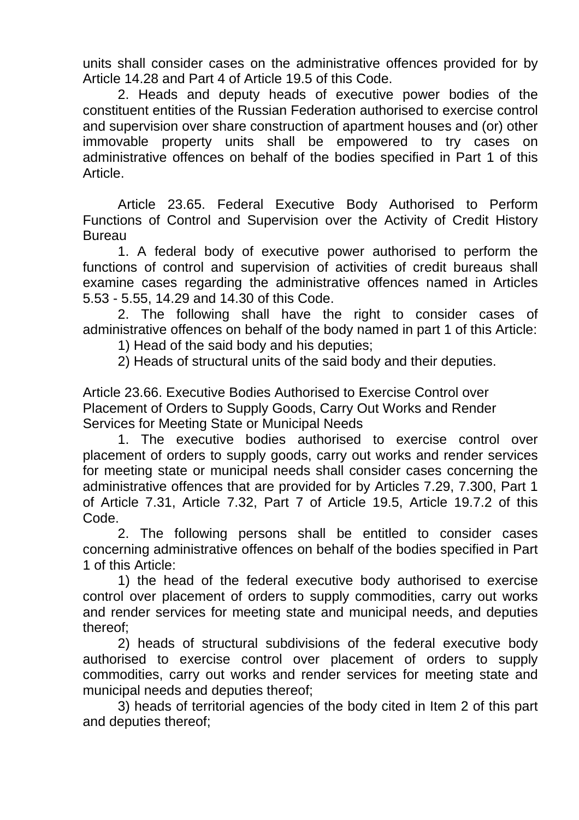units shall consider cases on the administrative offences provided for by Article 14.28 and Part 4 of Article 19.5 of this Code.

2. Heads and deputy heads of executive power bodies of the constituent entities of the Russian Federation authorised to exercise control and supervision over share construction of apartment houses and (or) other immovable property units shall be empowered to try cases on administrative offences on behalf of the bodies specified in Part 1 of this Article.

Article 23.65. Federal Executive Body Authorised to Perform Functions of Control and Supervision over the Activity of Credit History **Bureau** 

1. A federal body of executive power authorised to perform the functions of control and supervision of activities of credit bureaus shall examine cases regarding the administrative offences named in Articles 5.53 - 5.55, 14.29 and 14.30 of this Code.

2. The following shall have the right to consider cases of administrative offences on behalf of the body named in part 1 of this Article:

1) Head of the said body and his deputies;

2) Heads of structural units of the said body and their deputies.

Article 23.66. Executive Bodies Authorised to Exercise Control over Placement of Orders to Supply Goods, Carry Out Works and Render Services for Meeting State or Municipal Needs

1. The executive bodies authorised to exercise control over placement of orders to supply goods, carry out works and render services for meeting state or municipal needs shall consider cases concerning the administrative offences that are provided for by Articles 7.29, 7.300, Part 1 of Article 7.31, Article 7.32, Part 7 of Article 19.5, Article 19.7.2 of this Code.

2. The following persons shall be entitled to consider cases concerning administrative offences on behalf of the bodies specified in Part 1 of this Article:

1) the head of the federal executive body authorised to exercise control over placement of orders to supply commodities, carry out works and render services for meeting state and municipal needs, and deputies thereof;

2) heads of structural subdivisions of the federal executive body authorised to exercise control over placement of orders to supply commodities, carry out works and render services for meeting state and municipal needs and deputies thereof;

3) heads of territorial agencies of the body cited in Item 2 of this part and deputies thereof;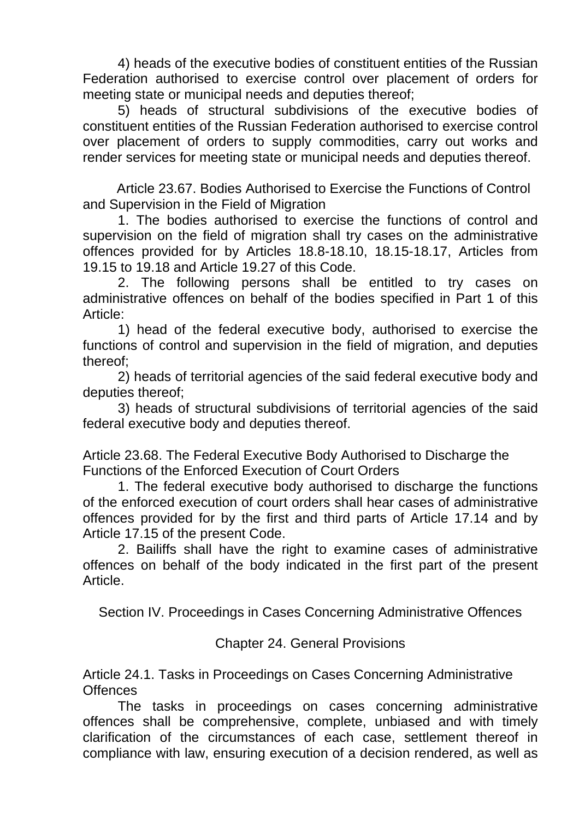4) heads of the executive bodies of constituent entities of the Russian Federation authorised to exercise control over placement of orders for meeting state or municipal needs and deputies thereof;

5) heads of structural subdivisions of the executive bodies of constituent entities of the Russian Federation authorised to exercise control over placement of orders to supply commodities, carry out works and render services for meeting state or municipal needs and deputies thereof.

Article 23.67. Bodies Authorised to Exercise the Functions of Control and Supervision in the Field of Migration

1. The bodies authorised to exercise the functions of control and supervision on the field of migration shall try cases on the administrative offences provided for by Articles 18.8-18.10, 18.15-18.17, Articles from 19.15 to 19.18 and Article 19.27 of this Code.

2. The following persons shall be entitled to try cases on administrative offences on behalf of the bodies specified in Part 1 of this Article:

1) head of the federal executive body, authorised to exercise the functions of control and supervision in the field of migration, and deputies thereof;

2) heads of territorial agencies of the said federal executive body and deputies thereof;

3) heads of structural subdivisions of territorial agencies of the said federal executive body and deputies thereof.

Article 23.68. The Federal Executive Body Authorised to Discharge the Functions of the Enforced Execution of Court Orders

1. The federal executive body authorised to discharge the functions of the enforced execution of court orders shall hear cases of administrative offences provided for by the first and third parts of Article 17.14 and by Article 17.15 of the present Code.

2. Bailiffs shall have the right to examine cases of administrative offences on behalf of the body indicated in the first part of the present Article.

Section IV. Proceedings in Cases Concerning Administrative Offences

Chapter 24. General Provisions

Article 24.1. Tasks in Proceedings on Cases Concerning Administrative **Offences** 

The tasks in proceedings on cases concerning administrative offences shall be comprehensive, complete, unbiased and with timely clarification of the circumstances of each case, settlement thereof in compliance with law, ensuring execution of a decision rendered, as well as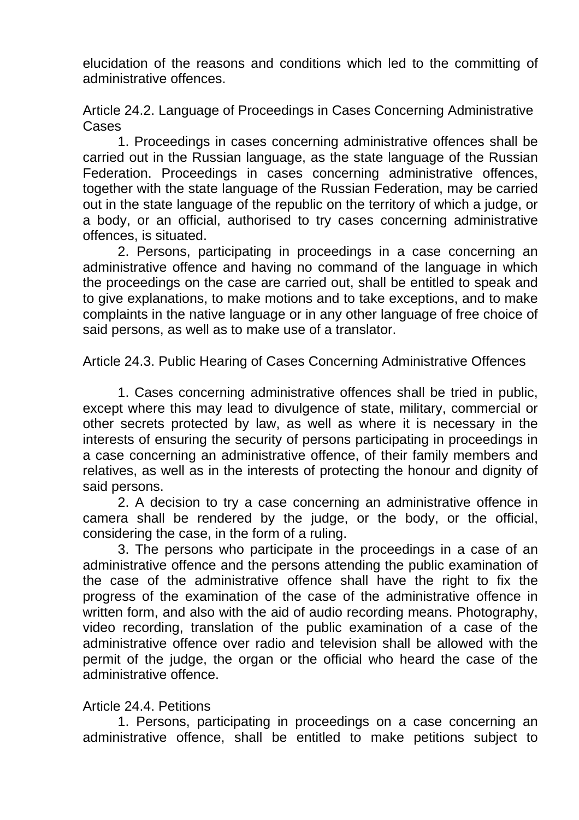elucidation of the reasons and conditions which led to the committing of administrative offences.

Article 24.2. Language of Proceedings in Cases Concerning Administrative Cases

1. Proceedings in cases concerning administrative offences shall be carried out in the Russian language, as the state language of the Russian Federation. Proceedings in cases concerning administrative offences, together with the state language of the Russian Federation, may be carried out in the state language of the republic on the territory of which a judge, or a body, or an official, authorised to try cases concerning administrative offences, is situated.

2. Persons, participating in proceedings in a case concerning an administrative offence and having no command of the language in which the proceedings on the case are carried out, shall be entitled to speak and to give explanations, to make motions and to take exceptions, and to make complaints in the native language or in any other language of free choice of said persons, as well as to make use of a translator.

Article 24.3. Public Hearing of Cases Concerning Administrative Offences

1. Cases concerning administrative offences shall be tried in public, except where this may lead to divulgence of state, military, commercial or other secrets protected by law, as well as where it is necessary in the interests of ensuring the security of persons participating in proceedings in a case concerning an administrative offence, of their family members and relatives, as well as in the interests of protecting the honour and dignity of said persons.

2. A decision to try a case concerning an administrative offence in camera shall be rendered by the judge, or the body, or the official, considering the case, in the form of a ruling.

3. The persons who participate in the proceedings in a case of an administrative offence and the persons attending the public examination of the case of the administrative offence shall have the right to fix the progress of the examination of the case of the administrative offence in written form, and also with the aid of audio recording means. Photography, video recording, translation of the public examination of a case of the administrative offence over radio and television shall be allowed with the permit of the judge, the organ or the official who heard the case of the administrative offence.

# Article 24.4. Petitions

1. Persons, participating in proceedings on a case concerning an administrative offence, shall be entitled to make petitions subject to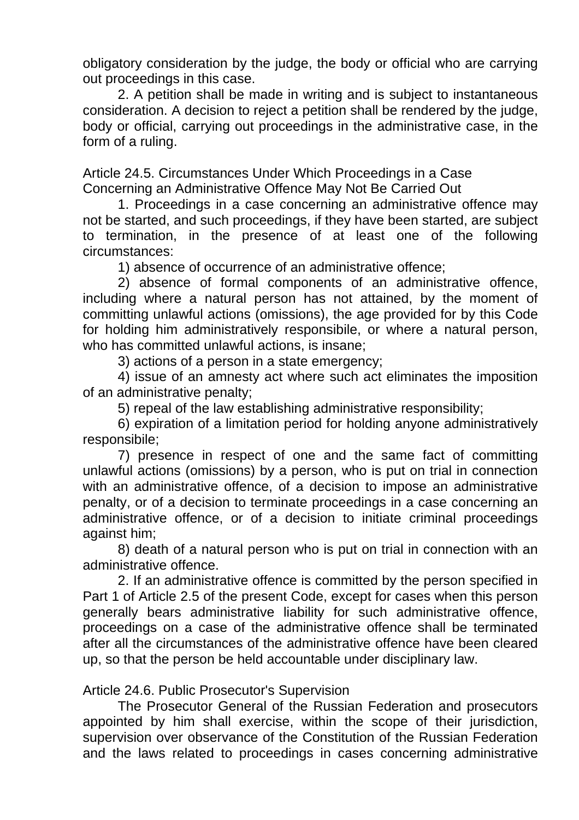obligatory consideration by the judge, the body or official who are carrying out proceedings in this case.

2. A petition shall be made in writing and is subject to instantaneous consideration. A decision to reject a petition shall be rendered by the judge, body or official, carrying out proceedings in the administrative case, in the form of a ruling.

Article 24.5. Circumstances Under Which Proceedings in a Case Concerning an Administrative Offence May Not Be Carried Out

1. Proceedings in a case concerning an administrative offence may not be started, and such proceedings, if they have been started, are subject to termination, in the presence of at least one of the following circumstances:

1) absence of occurrence of an administrative offence;

2) absence of formal components of an administrative offence, including where a natural person has not attained, by the moment of committing unlawful actions (omissions), the age provided for by this Code for holding him administratively responsibile, or where a natural person, who has committed unlawful actions, is insane;

3) actions of a person in a state emergency;

4) issue of an amnesty act where such act eliminates the imposition of an administrative penalty;

5) repeal of the law establishing administrative responsibility;

6) expiration of a limitation period for holding anyone administratively responsibile;

7) presence in respect of one and the same fact of committing unlawful actions (omissions) by a person, who is put on trial in connection with an administrative offence, of a decision to impose an administrative penalty, or of a decision to terminate proceedings in a case concerning an administrative offence, or of a decision to initiate criminal proceedings against him;

8) death of a natural person who is put on trial in connection with an administrative offence.

2. If an administrative offence is committed by the person specified in Part 1 of Article 2.5 of the present Code, except for cases when this person generally bears administrative liability for such administrative offence, proceedings on a case of the administrative offence shall be terminated after all the circumstances of the administrative offence have been cleared up, so that the person be held accountable under disciplinary law.

Article 24.6. Public Prosecutor's Supervision

The Prosecutor General of the Russian Federation and prosecutors appointed by him shall exercise, within the scope of their jurisdiction, supervision over observance of the Constitution of the Russian Federation and the laws related to proceedings in cases concerning administrative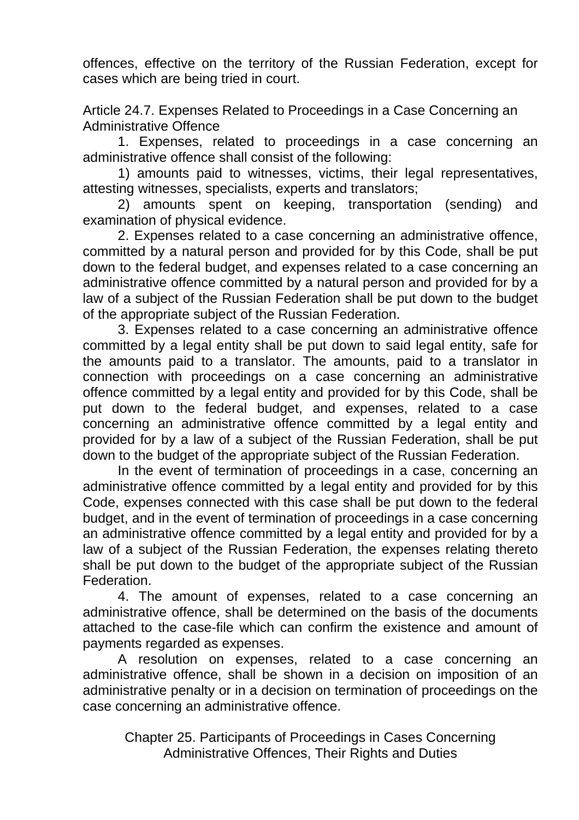offences, effective on the territory of the Russian Federation, except for cases which are being tried in court.

Article 24.7. Expenses Related to Proceedings in a Case Concerning an Administrative Offence

1. Expenses, related to proceedings in a case concerning an administrative offence shall consist of the following:

1) amounts paid to witnesses, victims, their legal representatives, attesting witnesses, specialists, experts and translators;

2) amounts spent on keeping, transportation (sending) and examination of physical evidence.

2. Expenses related to a case concerning an administrative offence, committed by a natural person and provided for by this Code, shall be put down to the federal budget, and expenses related to a case concerning an administrative offence committed by a natural person and provided for by a law of a subject of the Russian Federation shall be put down to the budget of the appropriate subject of the Russian Federation.

3. Expenses related to a case concerning an administrative offence committed by a legal entity shall be put down to said legal entity, safe for the amounts paid to a translator. The amounts, paid to a translator in connection with proceedings on a case concerning an administrative offence committed by a legal entity and provided for by this Code, shall be put down to the federal budget, and expenses, related to a case concerning an administrative offence committed by a legal entity and provided for by a law of a subject of the Russian Federation, shall be put down to the budget of the appropriate subject of the Russian Federation.

In the event of termination of proceedings in a case, concerning an administrative offence committed by a legal entity and provided for by this Code, expenses connected with this case shall be put down to the federal budget, and in the event of termination of proceedings in a case concerning an administrative offence committed by a legal entity and provided for by a law of a subject of the Russian Federation, the expenses relating thereto shall be put down to the budget of the appropriate subject of the Russian Federation.

4. The amount of expenses, related to a case concerning an administrative offence, shall be determined on the basis of the documents attached to the case-file which can confirm the existence and amount of payments regarded as expenses.

A resolution on expenses, related to a case concerning an administrative offence, shall be shown in a decision on imposition of an administrative penalty or in a decision on termination of proceedings on the case concerning an administrative offence.

Chapter 25. Participants of Proceedings in Cases Concerning Administrative Offences, Their Rights and Duties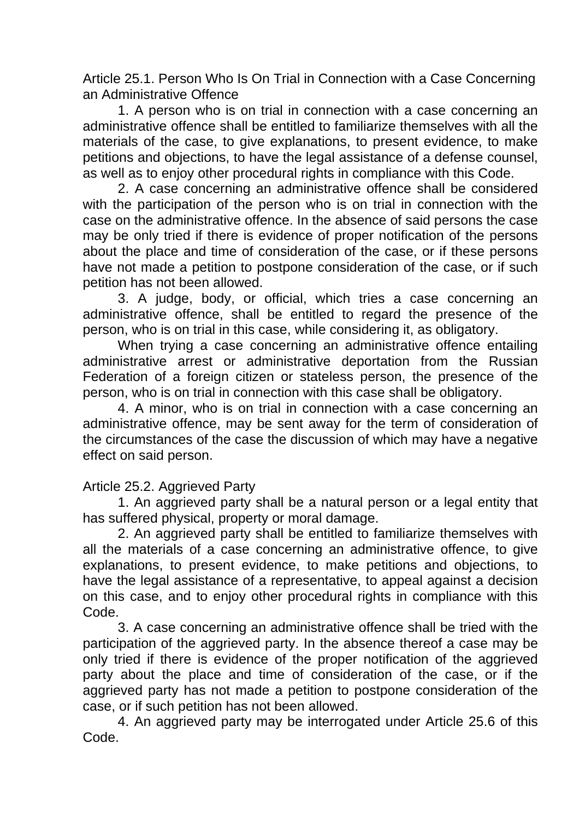Article 25.1. Person Who Is On Trial in Connection with a Case Concerning an Administrative Offence

1. A person who is on trial in connection with a case concerning an administrative offence shall be entitled to familiarize themselves with all the materials of the case, to give explanations, to present evidence, to make petitions and objections, to have the legal assistance of a defense counsel, as well as to enjoy other procedural rights in compliance with this Code.

2. A case concerning an administrative offence shall be considered with the participation of the person who is on trial in connection with the case on the administrative offence. In the absence of said persons the case may be only tried if there is evidence of proper notification of the persons about the place and time of consideration of the case, or if these persons have not made a petition to postpone consideration of the case, or if such petition has not been allowed.

3. A judge, body, or official, which tries a case concerning an administrative offence, shall be entitled to regard the presence of the person, who is on trial in this case, while considering it, as obligatory.

When trying a case concerning an administrative offence entailing administrative arrest or administrative deportation from the Russian Federation of a foreign citizen or stateless person, the presence of the person, who is on trial in connection with this case shall be obligatory.

4. A minor, who is on trial in connection with a case concerning an administrative offence, may be sent away for the term of consideration of the circumstances of the case the discussion of which may have a negative effect on said person.

# Article 25.2. Aggrieved Party

1. An aggrieved party shall be a natural person or a legal entity that has suffered physical, property or moral damage.

2. An aggrieved party shall be entitled to familiarize themselves with all the materials of a case concerning an administrative offence, to give explanations, to present evidence, to make petitions and objections, to have the legal assistance of a representative, to appeal against a decision on this case, and to enjoy other procedural rights in compliance with this Code.

3. A case concerning an administrative offence shall be tried with the participation of the aggrieved party. In the absence thereof a case may be only tried if there is evidence of the proper notification of the aggrieved party about the place and time of consideration of the case, or if the aggrieved party has not made a petition to postpone consideration of the case, or if such petition has not been allowed.

4. An aggrieved party may be interrogated under Article 25.6 of this Code.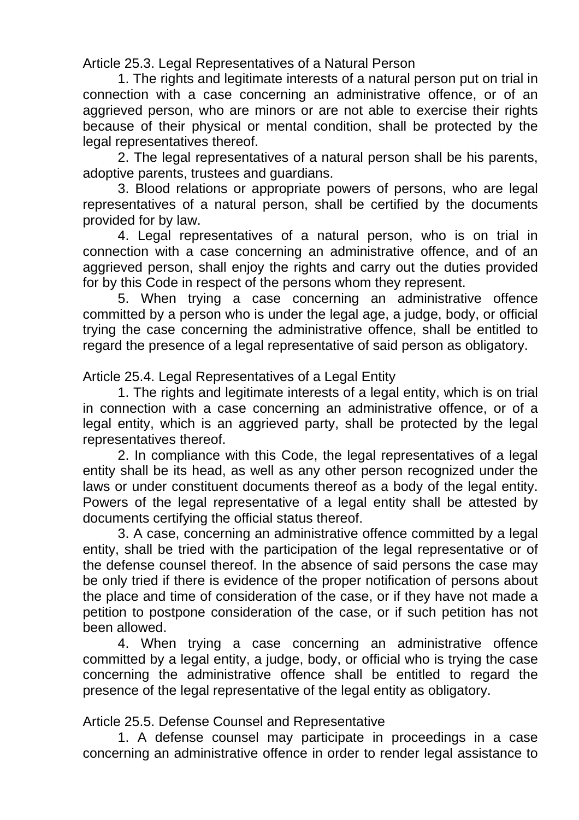Article 25.3. Legal Representatives of a Natural Person

1. The rights and legitimate interests of a natural person put on trial in connection with a case concerning an administrative offence, or of an aggrieved person, who are minors or are not able to exercise their rights because of their physical or mental condition, shall be protected by the legal representatives thereof.

2. The legal representatives of a natural person shall be his parents, adoptive parents, trustees and guardians.

3. Blood relations or appropriate powers of persons, who are legal representatives of a natural person, shall be certified by the documents provided for by law.

4. Legal representatives of a natural person, who is on trial in connection with a case concerning an administrative offence, and of an aggrieved person, shall enjoy the rights and carry out the duties provided for by this Code in respect of the persons whom they represent.

5. When trying a case concerning an administrative offence committed by a person who is under the legal age, a judge, body, or official trying the case concerning the administrative offence, shall be entitled to regard the presence of a legal representative of said person as obligatory.

Article 25.4. Legal Representatives of a Legal Entity

1. The rights and legitimate interests of a legal entity, which is on trial in connection with a case concerning an administrative offence, or of a legal entity, which is an aggrieved party, shall be protected by the legal representatives thereof.

2. In compliance with this Code, the legal representatives of a legal entity shall be its head, as well as any other person recognized under the laws or under constituent documents thereof as a body of the legal entity. Powers of the legal representative of a legal entity shall be attested by documents certifying the official status thereof.

3. A case, concerning an administrative offence committed by a legal entity, shall be tried with the participation of the legal representative or of the defense counsel thereof. In the absence of said persons the case may be only tried if there is evidence of the proper notification of persons about the place and time of consideration of the case, or if they have not made a petition to postpone consideration of the case, or if such petition has not been allowed.

4. When trying a case concerning an administrative offence committed by a legal entity, a judge, body, or official who is trying the case concerning the administrative offence shall be entitled to regard the presence of the legal representative of the legal entity as obligatory.

Article 25.5. Defense Counsel and Representative

1. A defense counsel may participate in proceedings in a case concerning an administrative offence in order to render legal assistance to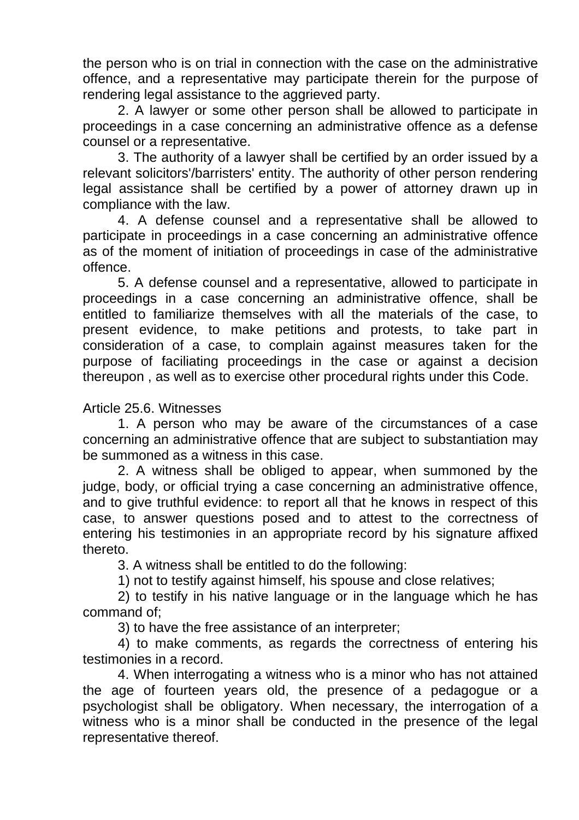the person who is on trial in connection with the case on the administrative offence, and a representative may participate therein for the purpose of rendering legal assistance to the aggrieved party.

2. A lawyer or some other person shall be allowed to participate in proceedings in a case concerning an administrative offence as a defense counsel or a representative.

3. The authority of a lawyer shall be certified by an order issued by a relevant solicitors'/barristers' entity. The authority of other person rendering legal assistance shall be certified by a power of attorney drawn up in compliance with the law.

4. A defense counsel and a representative shall be allowed to participate in proceedings in a case concerning an administrative offence as of the moment of initiation of proceedings in case of the administrative offence.

5. A defense counsel and a representative, allowed to participate in proceedings in a case concerning an administrative offence, shall be entitled to familiarize themselves with all the materials of the case, to present evidence, to make petitions and protests, to take part in consideration of a case, to complain against measures taken for the purpose of faciliating proceedings in the case or against a decision thereupon , as well as to exercise other procedural rights under this Code.

#### Article 25.6. Witnesses

1. A person who may be aware of the circumstances of a case concerning an administrative offence that are subject to substantiation may be summoned as a witness in this case.

2. A witness shall be obliged to appear, when summoned by the judge, body, or official trying a case concerning an administrative offence, and to give truthful evidence: to report all that he knows in respect of this case, to answer questions posed and to attest to the correctness of entering his testimonies in an appropriate record by his signature affixed thereto.

3. A witness shall be entitled to do the following:

1) not to testify against himself, his spouse and close relatives;

2) to testify in his native language or in the language which he has command of;

3) to have the free assistance of an interpreter;

4) to make comments, as regards the correctness of entering his testimonies in a record.

4. When interrogating a witness who is a minor who has not attained the age of fourteen years old, the presence of a pedagogue or a psychologist shall be obligatory. When necessary, the interrogation of a witness who is a minor shall be conducted in the presence of the legal representative thereof.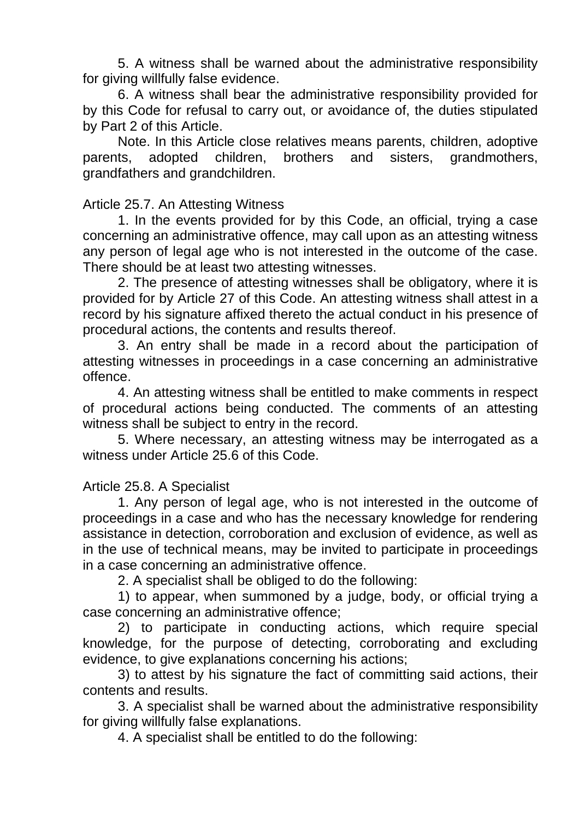5. A witness shall be warned about the administrative responsibility for giving willfully false evidence.

6. A witness shall bear the administrative responsibility provided for by this Code for refusal to carry out, or avoidance of, the duties stipulated by Part 2 of this Article.

Note. In this Article close relatives means parents, children, adoptive parents, adopted children, brothers and sisters, grandmothers, grandfathers and grandchildren.

## Article 25.7. An Attesting Witness

1. In the events provided for by this Code, an official, trying a case concerning an administrative offence, may call upon as an attesting witness any person of legal age who is not interested in the outcome of the case. There should be at least two attesting witnesses.

2. The presence of attesting witnesses shall be obligatory, where it is provided for by Article 27 of this Code. An attesting witness shall attest in a record by his signature affixed thereto the actual conduct in his presence of procedural actions, the contents and results thereof.

3. An entry shall be made in a record about the participation of attesting witnesses in proceedings in a case concerning an administrative offence.

4. An attesting witness shall be entitled to make comments in respect of procedural actions being conducted. The comments of an attesting witness shall be subject to entry in the record.

5. Where necessary, an attesting witness may be interrogated as a witness under Article 25.6 of this Code.

#### Article 25.8. A Specialist

1. Any person of legal age, who is not interested in the outcome of proceedings in a case and who has the necessary knowledge for rendering assistance in detection, corroboration and exclusion of evidence, as well as in the use of technical means, may be invited to participate in proceedings in a case concerning an administrative offence.

2. A specialist shall be obliged to do the following:

1) to appear, when summoned by a judge, body, or official trying a case concerning an administrative offence;

2) to participate in conducting actions, which require special knowledge, for the purpose of detecting, corroborating and excluding evidence, to give explanations concerning his actions;

3) to attest by his signature the fact of committing said actions, their contents and results.

3. A specialist shall be warned about the administrative responsibility for giving willfully false explanations.

4. A specialist shall be entitled to do the following: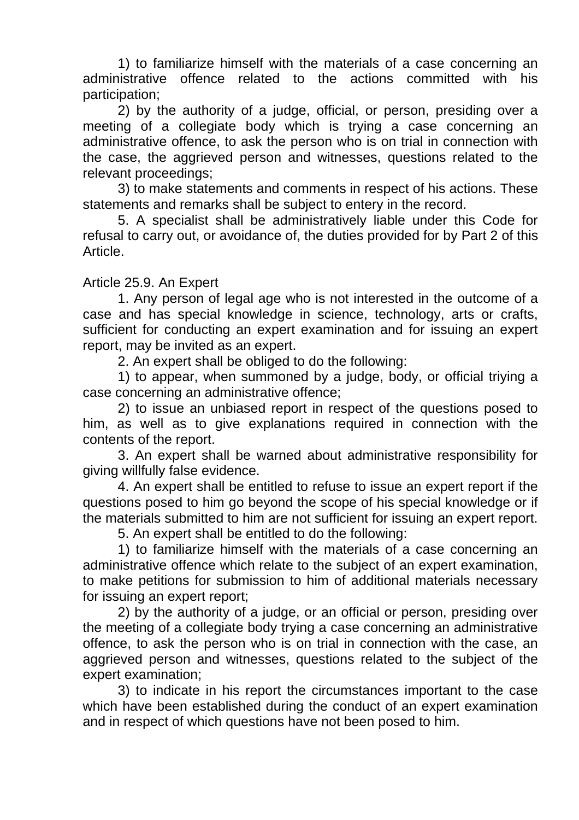1) to familiarize himself with the materials of a case concerning an administrative offence related to the actions committed with his participation;

2) by the authority of a judge, official, or person, presiding over a meeting of a collegiate body which is trying a case concerning an administrative offence, to ask the person who is on trial in connection with the case, the aggrieved person and witnesses, questions related to the relevant proceedings;

3) to make statements and comments in respect of his actions. These statements and remarks shall be subject to entery in the record.

5. A specialist shall be administratively liable under this Code for refusal to carry out, or avoidance of, the duties provided for by Part 2 of this Article.

#### Article 25.9. An Expert

1. Any person of legal age who is not interested in the outcome of a case and has special knowledge in science, technology, arts or crafts, sufficient for conducting an expert examination and for issuing an expert report, may be invited as an expert.

2. An expert shall be obliged to do the following:

1) to appear, when summoned by a judge, body, or official triying a case concerning an administrative offence;

2) to issue an unbiased report in respect of the questions posed to him, as well as to give explanations required in connection with the contents of the report.

3. An expert shall be warned about administrative responsibility for giving willfully false evidence.

4. An expert shall be entitled to refuse to issue an expert report if the questions posed to him go beyond the scope of his special knowledge or if the materials submitted to him are not sufficient for issuing an expert report.

5. An expert shall be entitled to do the following:

1) to familiarize himself with the materials of a case concerning an administrative offence which relate to the subject of an expert examination, to make petitions for submission to him of additional materials necessary for issuing an expert report;

2) by the authority of a judge, or an official or person, presiding over the meeting of a collegiate body trying a case concerning an administrative offence, to ask the person who is on trial in connection with the case, an aggrieved person and witnesses, questions related to the subject of the expert examination;

3) to indicate in his report the circumstances important to the case which have been established during the conduct of an expert examination and in respect of which questions have not been posed to him.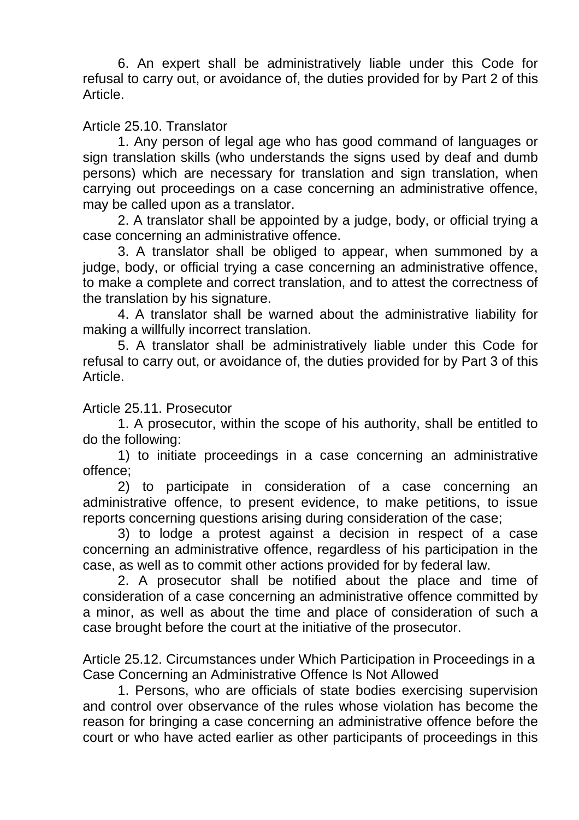6. An expert shall be administratively liable under this Code for refusal to carry out, or avoidance of, the duties provided for by Part 2 of this Article.

# Article 25.10. Translator

1. Any person of legal age who has good command of languages or sign translation skills (who understands the signs used by deaf and dumb persons) which are necessary for translation and sign translation, when carrying out proceedings on a case concerning an administrative offence, may be called upon as a translator.

2. A translator shall be appointed by a judge, body, or official trying a case concerning an administrative offence.

3. A translator shall be obliged to appear, when summoned by a judge, body, or official trying a case concerning an administrative offence, to make a complete and correct translation, and to attest the correctness of the translation by his signature.

4. A translator shall be warned about the administrative liability for making a willfully incorrect translation.

5. A translator shall be administratively liable under this Code for refusal to carry out, or avoidance of, the duties provided for by Part 3 of this Article.

#### Article 25.11. Prosecutor

1. A prosecutor, within the scope of his authority, shall be entitled to do the following:

1) to initiate proceedings in a case concerning an administrative offence;

2) to participate in consideration of a case concerning an administrative offence, to present evidence, to make petitions, to issue reports concerning questions arising during consideration of the case;

3) to lodge a protest against a decision in respect of a case concerning an administrative offence, regardless of his participation in the case, as well as to commit other actions provided for by federal law.

2. A prosecutor shall be notified about the place and time of consideration of a case concerning an administrative offence committed by a minor, as well as about the time and place of consideration of such a case brought before the court at the initiative of the prosecutor.

Article 25.12. Circumstances under Which Participation in Proceedings in a Case Concerning an Administrative Offence Is Not Allowed

1. Persons, who are officials of state bodies exercising supervision and control over observance of the rules whose violation has become the reason for bringing a case concerning an administrative offence before the court or who have acted earlier as other participants of proceedings in this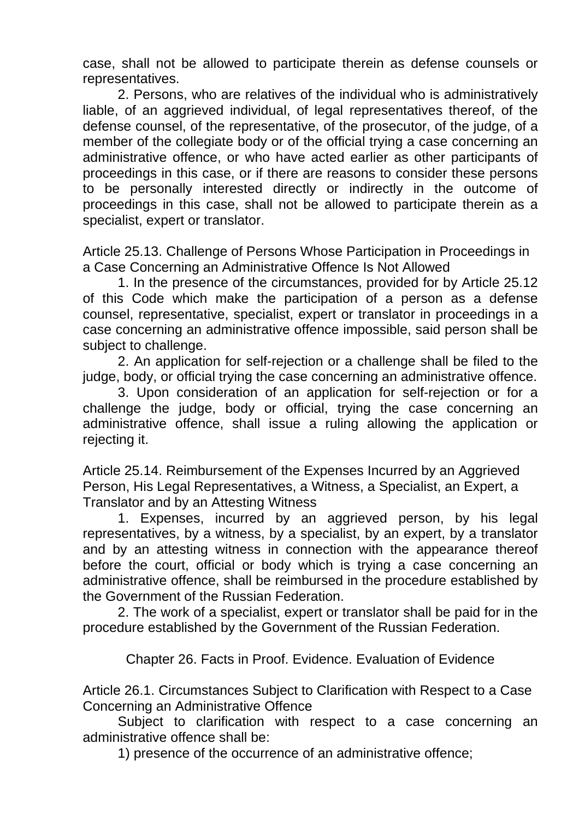case, shall not be allowed to participate therein as defense counsels or representatives.

2. Persons, who are relatives of the individual who is administratively liable, of an aggrieved individual, of legal representatives thereof, of the defense counsel, of the representative, of the prosecutor, of the judge, of a member of the collegiate body or of the official trying a case concerning an administrative offence, or who have acted earlier as other participants of proceedings in this case, or if there are reasons to consider these persons to be personally interested directly or indirectly in the outcome of proceedings in this case, shall not be allowed to participate therein as a specialist, expert or translator.

Article 25.13. Challenge of Persons Whose Participation in Proceedings in a Case Concerning an Administrative Offence Is Not Allowed

1. In the presence of the circumstances, provided for by Article 25.12 of this Code which make the participation of a person as a defense counsel, representative, specialist, expert or translator in proceedings in a case concerning an administrative offence impossible, said person shall be subject to challenge.

2. An application for self-rejection or a challenge shall be filed to the judge, body, or official trying the case concerning an administrative offence.

3. Upon consideration of an application for self-rejection or for a challenge the judge, body or official, trying the case concerning an administrative offence, shall issue a ruling allowing the application or rejecting it.

Article 25.14. Reimbursement of the Expenses Incurred by an Aggrieved Person, His Legal Representatives, a Witness, a Specialist, an Expert, a Translator and by an Attesting Witness

1. Expenses, incurred by an aggrieved person, by his legal representatives, by a witness, by a specialist, by an expert, by a translator and by an attesting witness in connection with the appearance thereof before the court, official or body which is trying a case concerning an administrative offence, shall be reimbursed in the procedure established by the Government of the Russian Federation.

2. The work of a specialist, expert or translator shall be paid for in the procedure established by the Government of the Russian Federation.

Chapter 26. Facts in Proof. Evidence. Evaluation of Evidence

Article 26.1. Circumstances Subject to Clarification with Respect to a Case Concerning an Administrative Offence

Subject to clarification with respect to a case concerning an administrative offence shall be:

1) presence of the occurrence of an administrative offence;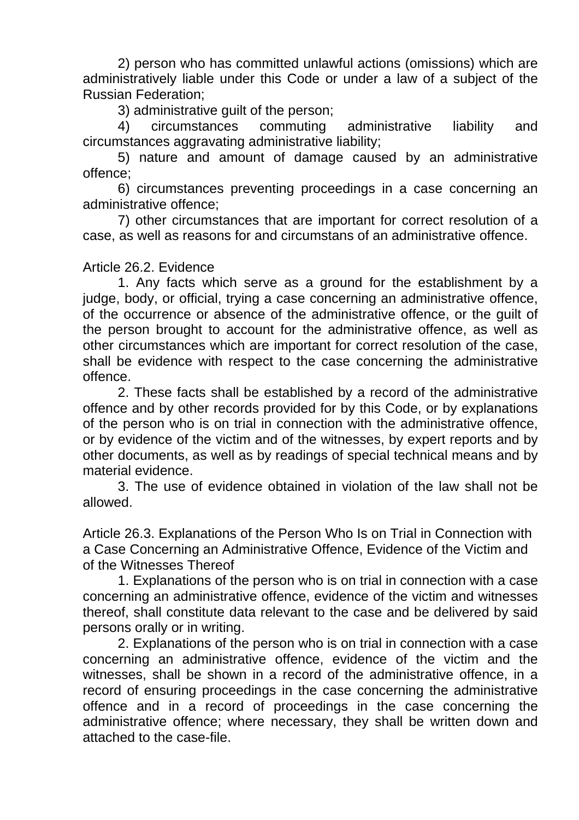2) person who has committed unlawful actions (omissions) which are administratively liable under this Code or under a law of a subject of the Russian Federation;

3) administrative guilt of the person;

4) circumstances commuting administrative liability and circumstances aggravating administrative liability;

5) nature and amount of damage caused by an administrative offence;

6) circumstances preventing proceedings in a case concerning an administrative offence;

7) other circumstances that are important for correct resolution of a case, as well as reasons for and circumstans of an administrative offence.

## Article 26.2. Evidence

1. Any facts which serve as a ground for the establishment by a judge, body, or official, trying a case concerning an administrative offence, of the occurrence or absence of the administrative offence, or the guilt of the person brought to account for the administrative offence, as well as other circumstances which are important for correct resolution of the case, shall be evidence with respect to the case concerning the administrative offence.

2. These facts shall be established by a record of the administrative offence and by other records provided for by this Code, or by explanations of the person who is on trial in connection with the administrative offence, or by evidence of the victim and of the witnesses, by expert reports and by other documents, as well as by readings of special technical means and by material evidence.

3. The use of evidence obtained in violation of the law shall not be allowed.

Article 26.3. Explanations of the Person Who Is on Trial in Connection with a Case Concerning an Administrative Offence, Evidence of the Victim and of the Witnesses Thereof

1. Explanations of the person who is on trial in connection with a case concerning an administrative offence, evidence of the victim and witnesses thereof, shall constitute data relevant to the case and be delivered by said persons orally or in writing.

2. Explanations of the person who is on trial in connection with a case concerning an administrative offence, evidence of the victim and the witnesses, shall be shown in a record of the administrative offence, in a record of ensuring proceedings in the case concerning the administrative offence and in a record of proceedings in the case concerning the administrative offence; where necessary, they shall be written down and attached to the case-file.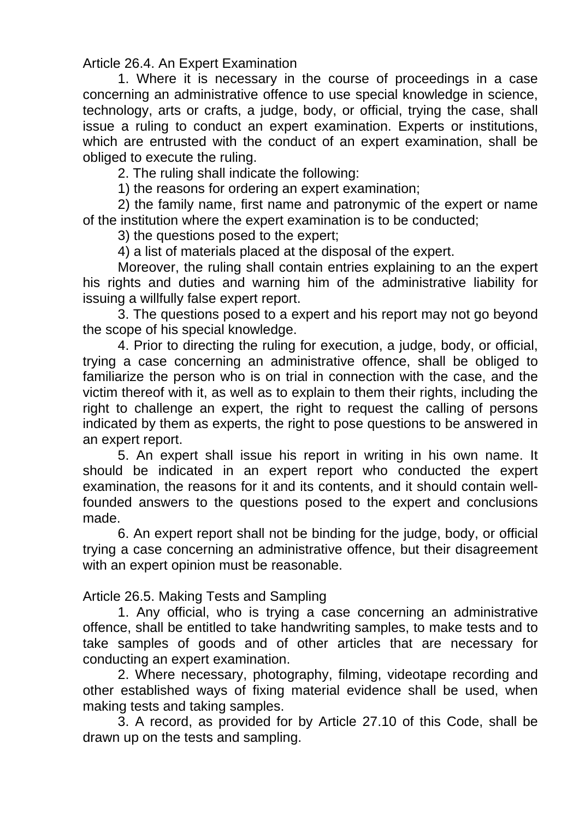Article 26.4. An Expert Examination

1. Where it is necessary in the course of proceedings in a case concerning an administrative offence to use special knowledge in science, technology, arts or crafts, a judge, body, or official, trying the case, shall issue a ruling to conduct an expert examination. Experts or institutions, which are entrusted with the conduct of an expert examination, shall be obliged to execute the ruling.

2. The ruling shall indicate the following:

1) the reasons for ordering an expert examination;

2) the family name, first name and patronymic of the expert or name of the institution where the expert examination is to be conducted;

3) the questions posed to the expert;

4) a list of materials placed at the disposal of the expert.

Moreover, the ruling shall contain entries explaining to an the expert his rights and duties and warning him of the administrative liability for issuing a willfully false expert report.

3. The questions posed to a expert and his report may not go beyond the scope of his special knowledge.

4. Prior to directing the ruling for execution, a judge, body, or official, trying a case concerning an administrative offence, shall be obliged to familiarize the person who is on trial in connection with the case, and the victim thereof with it, as well as to explain to them their rights, including the right to challenge an expert, the right to request the calling of persons indicated by them as experts, the right to pose questions to be answered in an expert report.

5. An expert shall issue his report in writing in his own name. It should be indicated in an expert report who conducted the expert examination, the reasons for it and its contents, and it should contain wellfounded answers to the questions posed to the expert and conclusions made.

6. An expert report shall not be binding for the judge, body, or official trying a case concerning an administrative offence, but their disagreement with an expert opinion must be reasonable.

Article 26.5. Making Tests and Sampling

1. Any official, who is trying a case concerning an administrative offence, shall be entitled to take handwriting samples, to make tests and to take samples of goods and of other articles that are necessary for conducting an expert examination.

2. Where necessary, photography, filming, videotape recording and other established ways of fixing material evidence shall be used, when making tests and taking samples.

3. A record, as provided for by Article 27.10 of this Code, shall be drawn up on the tests and sampling.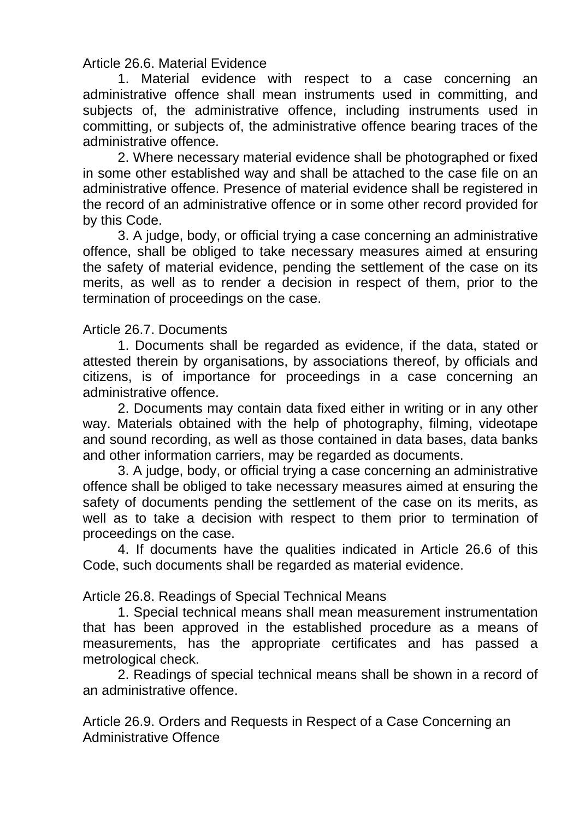Article 26.6. Material Evidence

1. Material evidence with respect to a case concerning an administrative offence shall mean instruments used in committing, and subjects of, the administrative offence, including instruments used in committing, or subjects of, the administrative offence bearing traces of the administrative offence.

2. Where necessary material evidence shall be photographed or fixed in some other established way and shall be attached to the case file on an administrative offence. Presence of material evidence shall be registered in the record of an administrative offence or in some other record provided for by this Code.

3. A judge, body, or official trying a case concerning an administrative offence, shall be obliged to take necessary measures aimed at ensuring the safety of material evidence, pending the settlement of the case on its merits, as well as to render a decision in respect of them, prior to the termination of proceedings on the case.

## Article 26.7. Documents

1. Documents shall be regarded as evidence, if the data, stated or attested therein by organisations, by associations thereof, by officials and citizens, is of importance for proceedings in a case concerning an administrative offence.

2. Documents may contain data fixed either in writing or in any other way. Materials obtained with the help of photography, filming, videotape and sound recording, as well as those contained in data bases, data banks and other information carriers, may be regarded as documents.

3. A judge, body, or official trying a case concerning an administrative offence shall be obliged to take necessary measures aimed at ensuring the safety of documents pending the settlement of the case on its merits, as well as to take a decision with respect to them prior to termination of proceedings on the case.

4. If documents have the qualities indicated in Article 26.6 of this Code, such documents shall be regarded as material evidence.

Article 26.8. Readings of Special Technical Means

1. Special technical means shall mean measurement instrumentation that has been approved in the established procedure as a means of measurements, has the appropriate certificates and has passed a metrological check.

2. Readings of special technical means shall be shown in a record of an administrative offence.

Article 26.9. Orders and Requests in Respect of a Case Concerning an Administrative Offence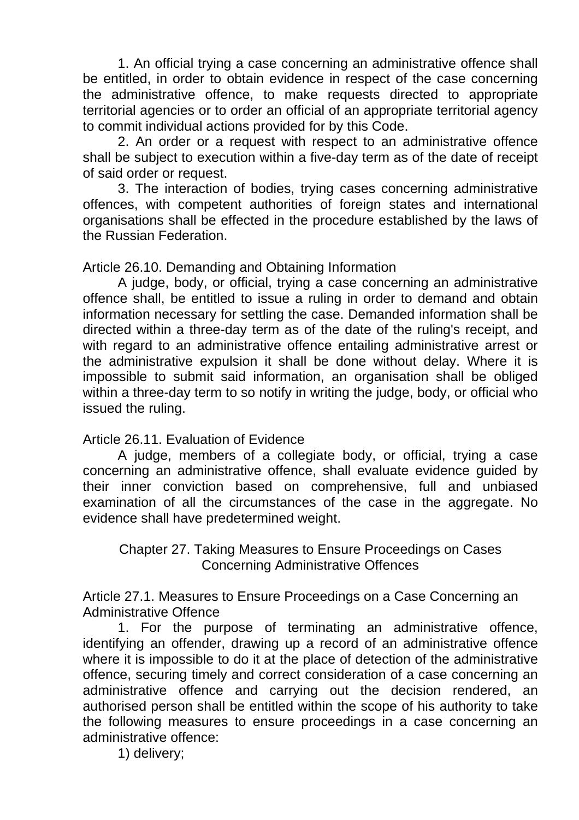1. An official trying a case concerning an administrative offence shall be entitled, in order to obtain evidence in respect of the case concerning the administrative offence, to make requests directed to appropriate territorial agencies or to order an official of an appropriate territorial agency to commit individual actions provided for by this Code.

2. An order or a request with respect to an administrative offence shall be subject to execution within a five-day term as of the date of receipt of said order or request.

3. The interaction of bodies, trying cases concerning administrative offences, with competent authorities of foreign states and international organisations shall be effected in the procedure established by the laws of the Russian Federation.

Article 26.10. Demanding and Obtaining Information

A judge, body, or official, trying a case concerning an administrative offence shall, be entitled to issue a ruling in order to demand and obtain information necessary for settling the case. Demanded information shall be directed within a three-day term as of the date of the ruling's receipt, and with regard to an administrative offence entailing administrative arrest or the administrative expulsion it shall be done without delay. Where it is impossible to submit said information, an organisation shall be obliged within a three-day term to so notify in writing the judge, body, or official who issued the ruling.

Article 26.11. Evaluation of Evidence

A judge, members of a collegiate body, or official, trying a case concerning an administrative offence, shall evaluate evidence guided by their inner conviction based on comprehensive, full and unbiased examination of all the circumstances of the case in the aggregate. No evidence shall have predetermined weight.

Chapter 27. Taking Measures to Ensure Proceedings on Cases Concerning Administrative Offences

Article 27.1. Measures to Ensure Proceedings on a Case Concerning an Administrative Offence

1. For the purpose of terminating an administrative offence, identifying an offender, drawing up a record of an administrative offence where it is impossible to do it at the place of detection of the administrative offence, securing timely and correct consideration of a case concerning an administrative offence and carrying out the decision rendered, an authorised person shall be entitled within the scope of his authority to take the following measures to ensure proceedings in a case concerning an administrative offence:

1) delivery;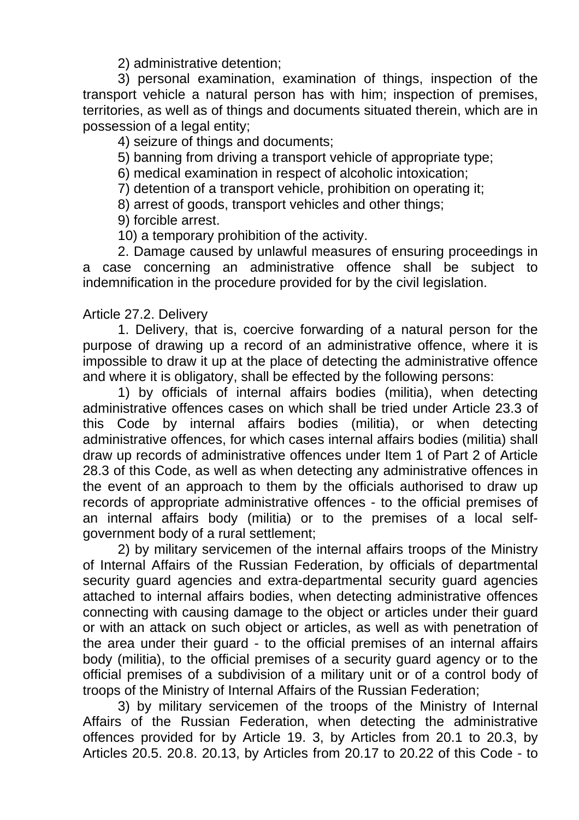2) administrative detention;

3) personal examination, examination of things, inspection of the transport vehicle a natural person has with him; inspection of premises, territories, as well as of things and documents situated therein, which are in possession of a legal entity;

4) seizure of things and documents;

5) banning from driving a transport vehicle of appropriate type;

6) medical examination in respect of alcoholic intoxication;

7) detention of a transport vehicle, prohibition on operating it;

8) arrest of goods, transport vehicles and other things;

9) forcible arrest.

10) a temporary prohibition of the activity.

2. Damage caused by unlawful measures of ensuring proceedings in a case concerning an administrative offence shall be subject to indemnification in the procedure provided for by the civil legislation.

## Article 27.2. Delivery

1. Delivery, that is, coercive forwarding of a natural person for the purpose of drawing up a record of an administrative offence, where it is impossible to draw it up at the place of detecting the administrative offence and where it is obligatory, shall be effected by the following persons:

1) by officials of internal affairs bodies (militia), when detecting administrative offences cases on which shall be tried under Article 23.3 of this Code by internal affairs bodies (militia), or when detecting administrative offences, for which cases internal affairs bodies (militia) shall draw up records of administrative offences under Item 1 of Part 2 of Article 28.3 of this Code, as well as when detecting any administrative offences in the event of an approach to them by the officials authorised to draw up records of appropriate administrative offences - to the official premises of an internal affairs body (militia) or to the premises of a local selfgovernment body of a rural settlement;

2) by military servicemen of the internal affairs troops of the Ministry of Internal Affairs of the Russian Federation, by officials of departmental security guard agencies and extra-departmental security guard agencies attached to internal affairs bodies, when detecting administrative offences connecting with causing damage to the object or articles under their guard or with an attack on such object or articles, as well as with penetration of the area under their guard - to the official premises of an internal affairs body (militia), to the official premises of a security guard agency or to the official premises of a subdivision of a military unit or of a control body of troops of the Ministry of Internal Affairs of the Russian Federation;

3) by military servicemen of the troops of the Ministry of Internal Affairs of the Russian Federation, when detecting the administrative offences provided for by Article 19. 3, by Articles from 20.1 to 20.3, by Articles 20.5. 20.8. 20.13, by Articles from 20.17 to 20.22 of this Code - to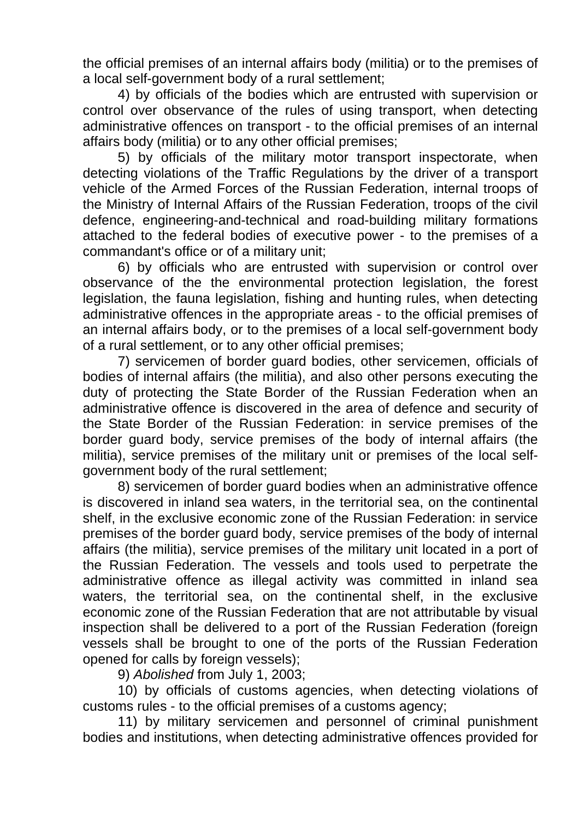the official premises of an internal affairs body (militia) or to the premises of a local self-government body of a rural settlement;

4) by officials of the bodies which are entrusted with supervision or control over observance of the rules of using transport, when detecting administrative offences on transport - to the official premises of an internal affairs body (militia) or to any other official premises;

5) by officials of the military motor transport inspectorate, when detecting violations of the Traffic Regulations by the driver of a transport vehicle of the Armed Forces of the Russian Federation, internal troops of the Ministry of Internal Affairs of the Russian Federation, troops of the civil defence, engineering-and-technical and road-building military formations attached to the federal bodies of executive power - to the premises of a commandant's office or of a military unit;

6) by officials who are entrusted with supervision or control over observance of the the environmental protection legislation, the forest legislation, the fauna legislation, fishing and hunting rules, when detecting administrative offences in the appropriate areas - to the official premises of an internal affairs body, or to the premises of a local self-government body of a rural settlement, or to any other official premises;

7) servicemen of border guard bodies, other servicemen, officials of bodies of internal affairs (the militia), and also other persons executing the duty of protecting the State Border of the Russian Federation when an administrative offence is discovered in the area of defence and security of the State Border of the Russian Federation: in service premises of the border guard body, service premises of the body of internal affairs (the militia), service premises of the military unit or premises of the local selfgovernment body of the rural settlement;

8) servicemen of border guard bodies when an administrative offence is discovered in inland sea waters, in the territorial sea, on the continental shelf, in the exclusive economic zone of the Russian Federation: in service premises of the border guard body, service premises of the body of internal affairs (the militia), service premises of the military unit located in a port of the Russian Federation. The vessels and tools used to perpetrate the administrative offence as illegal activity was committed in inland sea waters, the territorial sea, on the continental shelf, in the exclusive economic zone of the Russian Federation that are not attributable by visual inspection shall be delivered to a port of the Russian Federation (foreign vessels shall be brought to one of the ports of the Russian Federation opened for calls by foreign vessels);

9) *Abolished* from July 1, 2003;

10) by officials of customs agencies, when detecting violations of customs rules - to the official premises of a customs agency;

11) by military servicemen and personnel of criminal punishment bodies and institutions, when detecting administrative offences provided for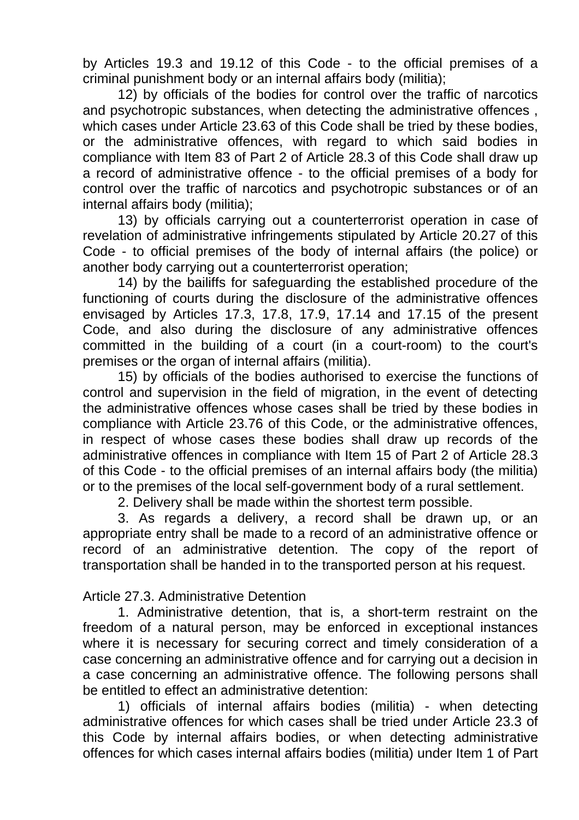by Articles 19.3 and 19.12 of this Code - to the official premises of a criminal punishment body or an internal affairs body (militia);

12) by officials of the bodies for control over the traffic of narcotics and psychotropic substances, when detecting the administrative offences , which cases under Article 23.63 of this Code shall be tried by these bodies, or the administrative offences, with regard to which said bodies in compliance with Item 83 of Part 2 of Article 28.3 of this Code shall draw up a record of administrative offence - to the official premises of a body for control over the traffic of narcotics and psychotropic substances or of an internal affairs body (militia);

13) by officials carrying out a counterterrorist operation in case of revelation of administrative infringements stipulated by Article 20.27 of this Code - to official premises of the body of internal affairs (the police) or another body carrying out a counterterrorist operation;

14) by the bailiffs for safeguarding the established procedure of the functioning of courts during the disclosure of the administrative offences envisaged by Articles 17.3, 17.8, 17.9, 17.14 and 17.15 of the present Code, and also during the disclosure of any administrative offences committed in the building of a court (in a court-room) to the court's premises or the organ of internal affairs (militia).

15) by officials of the bodies authorised to exercise the functions of control and supervision in the field of migration, in the event of detecting the administrative offences whose cases shall be tried by these bodies in compliance with Article 23.76 of this Code, or the administrative offences, in respect of whose cases these bodies shall draw up records of the administrative offences in compliance with Item 15 of Part 2 of Article 28.3 of this Code - to the official premises of an internal affairs body (the militia) or to the premises of the local self-government body of a rural settlement.

2. Delivery shall be made within the shortest term possible.

3. As regards a delivery, a record shall be drawn up, or an appropriate entry shall be made to a record of an administrative offence or record of an administrative detention. The copy of the report of transportation shall be handed in to the transported person at his request.

# Article 27.3. Administrative Detention

1. Administrative detention, that is, a short-term restraint on the freedom of a natural person, may be enforced in exceptional instances where it is necessary for securing correct and timely consideration of a case concerning an administrative offence and for carrying out a decision in a case concerning an administrative offence. The following persons shall be entitled to effect an administrative detention:

1) officials of internal affairs bodies (militia) - when detecting administrative offences for which cases shall be tried under Article 23.3 of this Code by internal affairs bodies, or when detecting administrative offences for which cases internal affairs bodies (militia) under Item 1 of Part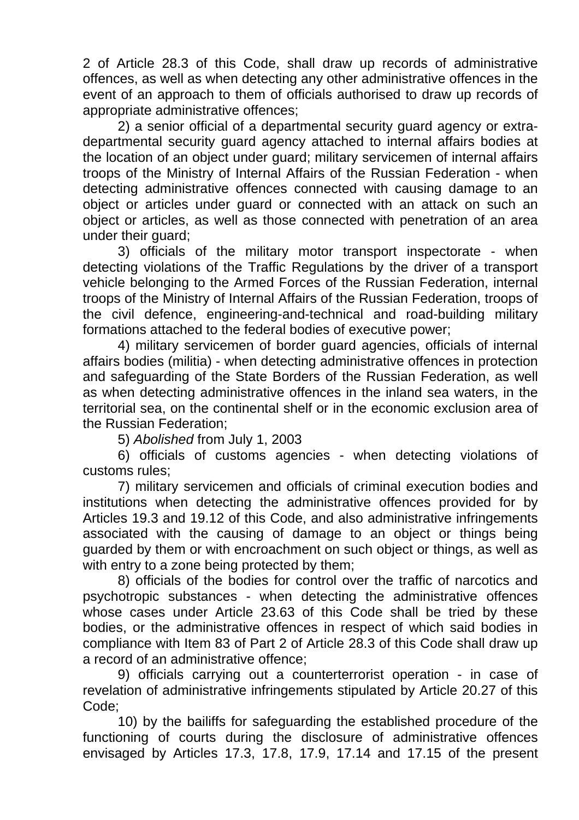2 of Article 28.3 of this Code, shall draw up records of administrative offences, as well as when detecting any other administrative offences in the event of an approach to them of officials authorised to draw up records of appropriate administrative offences;

2) a senior official of a departmental security guard agency or extradepartmental security guard agency attached to internal affairs bodies at the location of an object under guard; military servicemen of internal affairs troops of the Ministry of Internal Affairs of the Russian Federation - when detecting administrative offences connected with causing damage to an object or articles under guard or connected with an attack on such an object or articles, as well as those connected with penetration of an area under their guard;

3) officials of the military motor transport inspectorate - when detecting violations of the Traffic Regulations by the driver of a transport vehicle belonging to the Armed Forces of the Russian Federation, internal troops of the Ministry of Internal Affairs of the Russian Federation, troops of the civil defence, engineering-and-technical and road-building military formations attached to the federal bodies of executive power;

4) military servicemen of border guard agencies, officials of internal affairs bodies (militia) - when detecting administrative offences in protection and safeguarding of the State Borders of the Russian Federation, as well as when detecting administrative offences in the inland sea waters, in the territorial sea, on the continental shelf or in the economic exclusion area of the Russian Federation;

5) *Abolished* from July 1, 2003

6) officials of customs agencies - when detecting violations of customs rules;

7) military servicemen and officials of criminal execution bodies and institutions when detecting the administrative offences provided for by Articles 19.3 and 19.12 of this Code, and also administrative infringements associated with the causing of damage to an object or things being guarded by them or with encroachment on such object or things, as well as with entry to a zone being protected by them;

8) officials of the bodies for control over the traffic of narcotics and psychotropic substances - when detecting the administrative offences whose cases under Article 23.63 of this Code shall be tried by these bodies, or the administrative offences in respect of which said bodies in compliance with Item 83 of Part 2 of Article 28.3 of this Code shall draw up a record of an administrative offence;

9) officials carrying out a counterterrorist operation - in case of revelation of administrative infringements stipulated by Article 20.27 of this Code;

10) by the bailiffs for safeguarding the established procedure of the functioning of courts during the disclosure of administrative offences envisaged by Articles 17.3, 17.8, 17.9, 17.14 and 17.15 of the present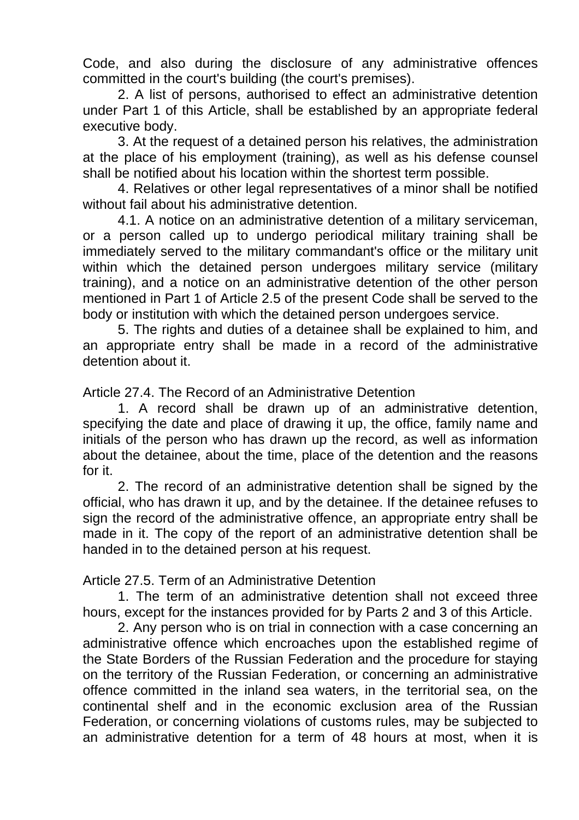Code, and also during the disclosure of any administrative offences committed in the court's building (the court's premises).

2. A list of persons, authorised to effect an administrative detention under Part 1 of this Article, shall be established by an appropriate federal executive body.

3. At the request of a detained person his relatives, the administration at the place of his employment (training), as well as his defense counsel shall be notified about his location within the shortest term possible.

4. Relatives or other legal representatives of a minor shall be notified without fail about his administrative detention.

4.1. A notice on an administrative detention of a military serviceman, or a person called up to undergo periodical military training shall be immediately served to the military commandant's office or the military unit within which the detained person undergoes military service (military training), and a notice on an administrative detention of the other person mentioned in Part 1 of Article 2.5 of the present Code shall be served to the body or institution with which the detained person undergoes service.

5. The rights and duties of a detainee shall be explained to him, and an appropriate entry shall be made in a record of the administrative detention about it.

Article 27.4. The Record of an Administrative Detention

1. A record shall be drawn up of an administrative detention, specifying the date and place of drawing it up, the office, family name and initials of the person who has drawn up the record, as well as information about the detainee, about the time, place of the detention and the reasons for it.

2. The record of an administrative detention shall be signed by the official, who has drawn it up, and by the detainee. If the detainee refuses to sign the record of the administrative offence, an appropriate entry shall be made in it. The copy of the report of an administrative detention shall be handed in to the detained person at his request.

Article 27.5. Term of an Administrative Detention

1. The term of an administrative detention shall not exceed three hours, except for the instances provided for by Parts 2 and 3 of this Article.

2. Any person who is on trial in connection with a case concerning an administrative offence which encroaches upon the established regime of the State Borders of the Russian Federation and the procedure for staying on the territory of the Russian Federation, or concerning an administrative offence committed in the inland sea waters, in the territorial sea, on the continental shelf and in the economic exclusion area of the Russian Federation, or concerning violations of customs rules, may be subjected to an administrative detention for a term of 48 hours at most, when it is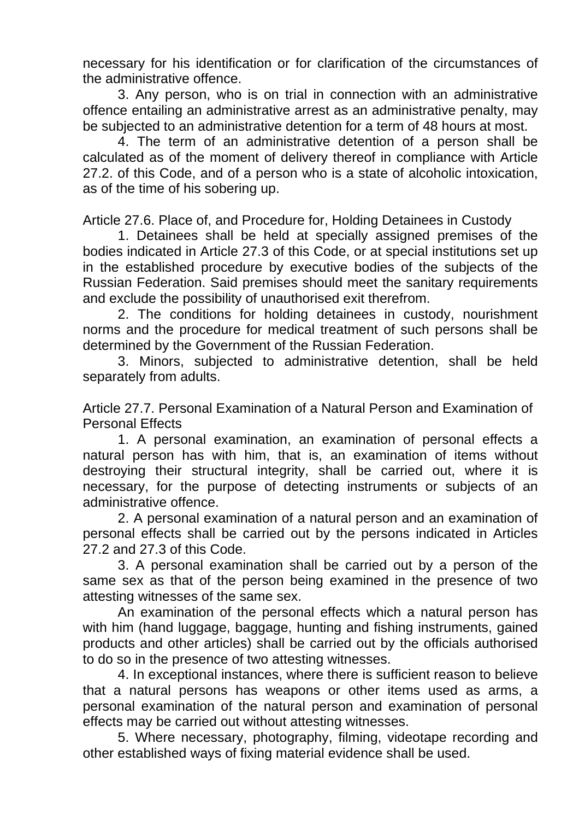necessary for his identification or for clarification of the circumstances of the administrative offence.

3. Any person, who is on trial in connection with an administrative offence entailing an administrative arrest as an administrative penalty, may be subjected to an administrative detention for a term of 48 hours at most.

4. The term of an administrative detention of a person shall be calculated as of the moment of delivery thereof in compliance with Article 27.2. of this Code, and of a person who is a state of alcoholic intoxication, as of the time of his sobering up.

Article 27.6. Place of, and Procedure for, Holding Detainees in Custody

1. Detainees shall be held at specially assigned premises of the bodies indicated in Article 27.3 of this Code, or at special institutions set up in the established procedure by executive bodies of the subjects of the Russian Federation. Said premises should meet the sanitary requirements and exclude the possibility of unauthorised exit therefrom.

2. The conditions for holding detainees in custody, nourishment norms and the procedure for medical treatment of such persons shall be determined by the Government of the Russian Federation.

3. Minors, subjected to administrative detention, shall be held separately from adults.

Article 27.7. Personal Examination of a Natural Person and Examination of Personal Effects

1. A personal examination, an examination of personal effects a natural person has with him, that is, an examination of items without destroying their structural integrity, shall be carried out, where it is necessary, for the purpose of detecting instruments or subjects of an administrative offence.

2. A personal examination of a natural person and an examination of personal effects shall be carried out by the persons indicated in Articles 27.2 and 27.3 of this Code.

3. A personal examination shall be carried out by a person of the same sex as that of the person being examined in the presence of two attesting witnesses of the same sex.

An examination of the personal effects which a natural person has with him (hand luggage, baggage, hunting and fishing instruments, gained products and other articles) shall be carried out by the officials authorised to do so in the presence of two attesting witnesses.

4. In exceptional instances, where there is sufficient reason to believe that a natural persons has weapons or other items used as arms, a personal examination of the natural person and examination of personal effects may be carried out without attesting witnesses.

5. Where necessary, photography, filming, videotape recording and other established ways of fixing material evidence shall be used.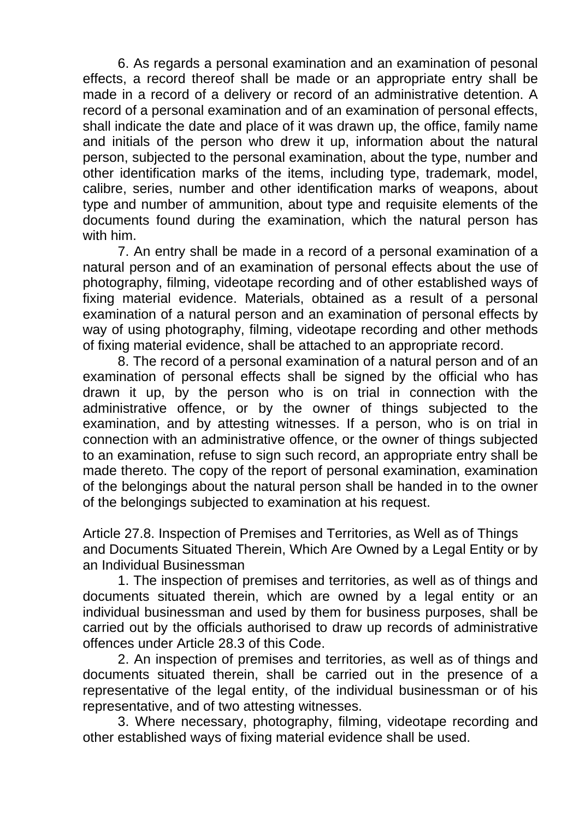6. As regards a personal examination and an examination of pesonal effects, a record thereof shall be made or an appropriate entry shall be made in a record of a delivery or record of an administrative detention. A record of a personal examination and of an examination of personal effects, shall indicate the date and place of it was drawn up, the office, family name and initials of the person who drew it up, information about the natural person, subjected to the personal examination, about the type, number and other identification marks of the items, including type, trademark, model, calibre, series, number and other identification marks of weapons, about type and number of ammunition, about type and requisite elements of the documents found during the examination, which the natural person has with him.

7. An entry shall be made in a record of a personal examination of a natural person and of an examination of personal effects about the use of photography, filming, videotape recording and of other established ways of fixing material evidence. Materials, obtained as a result of a personal examination of a natural person and an examination of personal effects by way of using photography, filming, videotape recording and other methods of fixing material evidence, shall be attached to an appropriate record.

8. The record of a personal examination of a natural person and of an examination of personal effects shall be signed by the official who has drawn it up, by the person who is on trial in connection with the administrative offence, or by the owner of things subjected to the examination, and by attesting witnesses. If a person, who is on trial in connection with an administrative offence, or the owner of things subjected to an examination, refuse to sign such record, an appropriate entry shall be made thereto. The copy of the report of personal examination, examination of the belongings about the natural person shall be handed in to the owner of the belongings subjected to examination at his request.

Article 27.8. Inspection of Premises and Territories, as Well as of Things and Documents Situated Therein, Which Are Owned by a Legal Entity or by an Individual Businessman

1. The inspection of premises and territories, as well as of things and documents situated therein, which are owned by a legal entity or an individual businessman and used by them for business purposes, shall be carried out by the officials authorised to draw up records of administrative offences under Article 28.3 of this Code.

2. An inspection of premises and territories, as well as of things and documents situated therein, shall be carried out in the presence of a representative of the legal entity, of the individual businessman or of his representative, and of two attesting witnesses.

3. Where necessary, photography, filming, videotape recording and other established ways of fixing material evidence shall be used.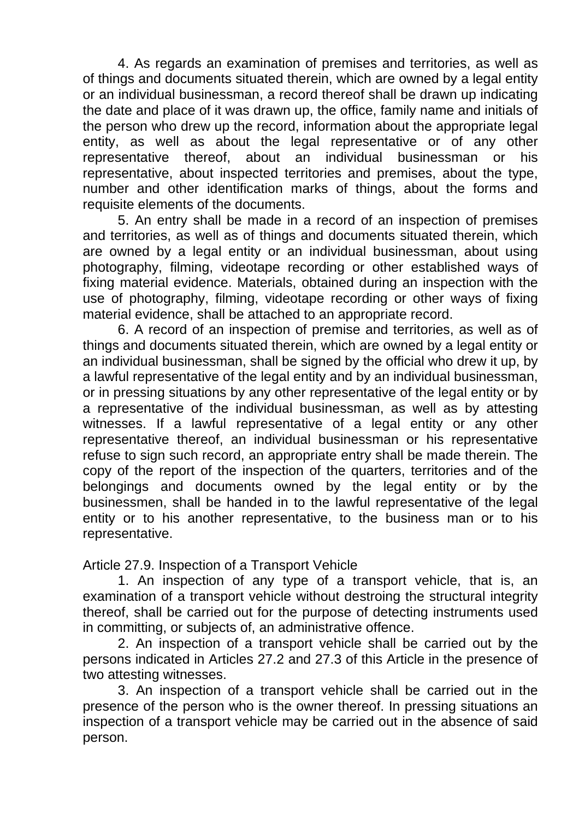4. As regards an examination of premises and territories, as well as of things and documents situated therein, which are owned by a legal entity or an individual businessman, a record thereof shall be drawn up indicating the date and place of it was drawn up, the office, family name and initials of the person who drew up the record, information about the appropriate legal entity, as well as about the legal representative or of any other representative thereof, about an individual businessman or his representative, about inspected territories and premises, about the type, number and other identification marks of things, about the forms and requisite elements of the documents.

5. An entry shall be made in a record of an inspection of premises and territories, as well as of things and documents situated therein, which are owned by a legal entity or an individual businessman, about using photography, filming, videotape recording or other established ways of fixing material evidence. Materials, obtained during an inspection with the use of photography, filming, videotape recording or other ways of fixing material evidence, shall be attached to an appropriate record.

6. A record of an inspection of premise and territories, as well as of things and documents situated therein, which are owned by a legal entity or an individual businessman, shall be signed by the official who drew it up, by a lawful representative of the legal entity and by an individual businessman, or in pressing situations by any other representative of the legal entity or by a representative of the individual businessman, as well as by attesting witnesses. If a lawful representative of a legal entity or any other representative thereof, an individual businessman or his representative refuse to sign such record, an appropriate entry shall be made therein. The copy of the report of the inspection of the quarters, territories and of the belongings and documents owned by the legal entity or by the businessmen, shall be handed in to the lawful representative of the legal entity or to his another representative, to the business man or to his representative.

Article 27.9. Inspection of a Transport Vehicle

1. An inspection of any type of a transport vehicle, that is, an examination of a transport vehicle without destroing the structural integrity thereof, shall be carried out for the purpose of detecting instruments used in committing, or subjects of, an administrative offence.

2. An inspection of a transport vehicle shall be carried out by the persons indicated in Articles 27.2 and 27.3 of this Article in the presence of two attesting witnesses.

3. An inspection of a transport vehicle shall be carried out in the presence of the person who is the owner thereof. In pressing situations an inspection of a transport vehicle may be carried out in the absence of said person.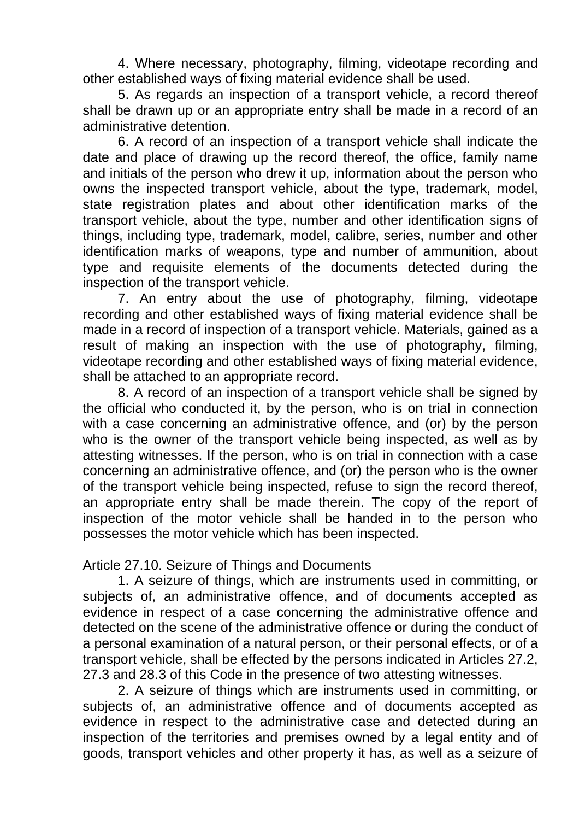4. Where necessary, photography, filming, videotape recording and other established ways of fixing material evidence shall be used.

5. As regards an inspection of a transport vehicle, a record thereof shall be drawn up or an appropriate entry shall be made in a record of an administrative detention.

6. A record of an inspection of a transport vehicle shall indicate the date and place of drawing up the record thereof, the office, family name and initials of the person who drew it up, information about the person who owns the inspected transport vehicle, about the type, trademark, model, state registration plates and about other identification marks of the transport vehicle, about the type, number and other identification signs of things, including type, trademark, model, calibre, series, number and other identification marks of weapons, type and number of ammunition, about type and requisite elements of the documents detected during the inspection of the transport vehicle.

7. An entry about the use of photography, filming, videotape recording and other established ways of fixing material evidence shall be made in a record of inspection of a transport vehicle. Materials, gained as a result of making an inspection with the use of photography, filming, videotape recording and other established ways of fixing material evidence, shall be attached to an appropriate record.

8. A record of an inspection of a transport vehicle shall be signed by the official who conducted it, by the person, who is on trial in connection with a case concerning an administrative offence, and (or) by the person who is the owner of the transport vehicle being inspected, as well as by attesting witnesses. If the person, who is on trial in connection with a case concerning an administrative offence, and (or) the person who is the owner of the transport vehicle being inspected, refuse to sign the record thereof, an appropriate entry shall be made therein. The copy of the report of inspection of the motor vehicle shall be handed in to the person who possesses the motor vehicle which has been inspected.

Article 27.10. Seizure of Things and Documents

1. A seizure of things, which are instruments used in committing, or subjects of, an administrative offence, and of documents accepted as evidence in respect of a case concerning the administrative offence and detected on the scene of the administrative offence or during the conduct of a personal examination of a natural person, or their personal effects, or of a transport vehicle, shall be effected by the persons indicated in Articles 27.2, 27.3 and 28.3 of this Code in the presence of two attesting witnesses.

2. A seizure of things which are instruments used in committing, or subjects of, an administrative offence and of documents accepted as evidence in respect to the administrative case and detected during an inspection of the territories and premises owned by a legal entity and of goods, transport vehicles and other property it has, as well as a seizure of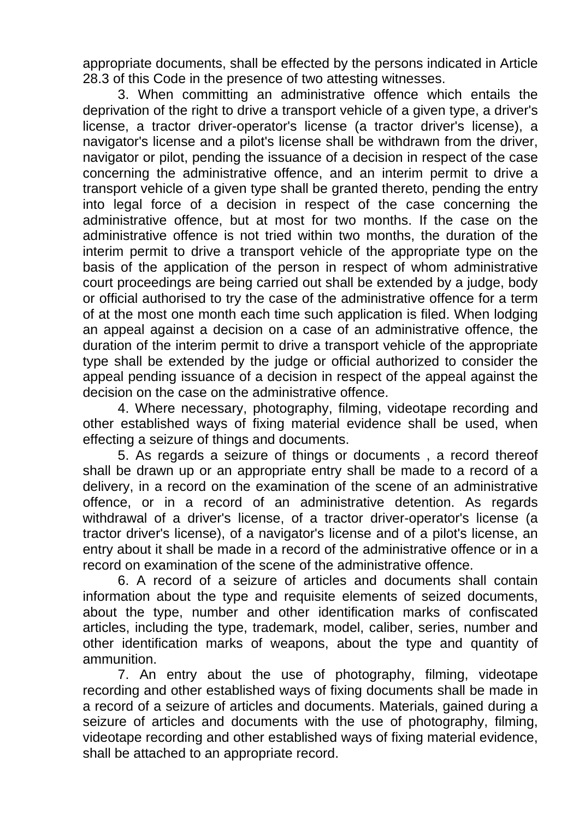appropriate documents, shall be effected by the persons indicated in Article 28.3 of this Code in the presence of two attesting witnesses.

3. When committing an administrative offence which entails the deprivation of the right to drive a transport vehicle of a given type, a driver's license, a tractor driver-operator's license (a tractor driver's license), a navigator's license and a pilot's license shall be withdrawn from the driver, navigator or pilot, pending the issuance of a decision in respect of the case concerning the administrative offence, and an interim permit to drive a transport vehicle of a given type shall be granted thereto, pending the entry into legal force of a decision in respect of the case concerning the administrative offence, but at most for two months. If the case on the administrative offence is not tried within two months, the duration of the interim permit to drive a transport vehicle of the appropriate type on the basis of the application of the person in respect of whom administrative court proceedings are being carried out shall be extended by a judge, body or official authorised to try the case of the administrative offence for a term of at the most one month each time such application is filed. When lodging an appeal against a decision on a case of an administrative offence, the duration of the interim permit to drive a transport vehicle of the appropriate type shall be extended by the judge or official authorized to consider the appeal pending issuance of a decision in respect of the appeal against the decision on the case on the administrative offence.

4. Where necessary, photography, filming, videotape recording and other established ways of fixing material evidence shall be used, when effecting a seizure of things and documents.

5. As regards a seizure of things or documents , a record thereof shall be drawn up or an appropriate entry shall be made to a record of a delivery, in a record on the examination of the scene of an administrative offence, or in a record of an administrative detention. As regards withdrawal of a driver's license, of a tractor driver-operator's license (a tractor driver's license), of a navigator's license and of a pilot's license, an entry about it shall be made in a record of the administrative offence or in a record on examination of the scene of the administrative offence.

6. A record of a seizure of articles and documents shall contain information about the type and requisite elements of seized documents, about the type, number and other identification marks of confiscated articles, including the type, trademark, model, caliber, series, number and other identification marks of weapons, about the type and quantity of ammunition.

7. An entry about the use of photography, filming, videotape recording and other established ways of fixing documents shall be made in a record of a seizure of articles and documents. Materials, gained during a seizure of articles and documents with the use of photography, filming, videotape recording and other established ways of fixing material evidence, shall be attached to an appropriate record.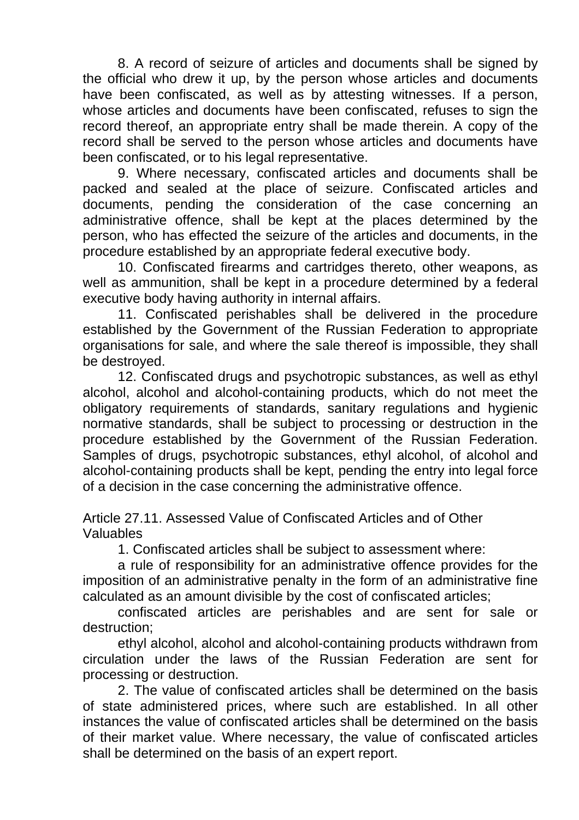8. A record of seizure of articles and documents shall be signed by the official who drew it up, by the person whose articles and documents have been confiscated, as well as by attesting witnesses. If a person, whose articles and documents have been confiscated, refuses to sign the record thereof, an appropriate entry shall be made therein. A copy of the record shall be served to the person whose articles and documents have been confiscated, or to his legal representative.

9. Where necessary, confiscated articles and documents shall be packed and sealed at the place of seizure. Confiscated articles and documents, pending the consideration of the case concerning an administrative offence, shall be kept at the places determined by the person, who has effected the seizure of the articles and documents, in the procedure established by an appropriate federal executive body.

10. Confiscated firearms and cartridges thereto, other weapons, as well as ammunition, shall be kept in a procedure determined by a federal executive body having authority in internal affairs.

11. Confiscated perishables shall be delivered in the procedure established by the Government of the Russian Federation to appropriate organisations for sale, and where the sale thereof is impossible, they shall be destroyed.

12. Confiscated drugs and psychotropic substances, as well as ethyl alcohol, alcohol and alcohol-containing products, which do not meet the obligatory requirements of standards, sanitary regulations and hygienic normative standards, shall be subject to processing or destruction in the procedure established by the Government of the Russian Federation. Samples of drugs, psychotropic substances, ethyl alcohol, of alcohol and alcohol-containing products shall be kept, pending the entry into legal force of a decision in the case concerning the administrative offence.

Article 27.11. Assessed Value of Confiscated Articles and of Other Valuables

1. Confiscated articles shall be subject to assessment where:

a rule of responsibility for an administrative offence provides for the imposition of an administrative penalty in the form of an administrative fine calculated as an amount divisible by the cost of confiscated articles;

confiscated articles are perishables and are sent for sale or destruction;

ethyl alcohol, alcohol and alcohol-containing products withdrawn from circulation under the laws of the Russian Federation are sent for processing or destruction.

2. The value of confiscated articles shall be determined on the basis of state administered prices, where such are established. In all other instances the value of confiscated articles shall be determined on the basis of their market value. Where necessary, the value of confiscated articles shall be determined on the basis of an expert report.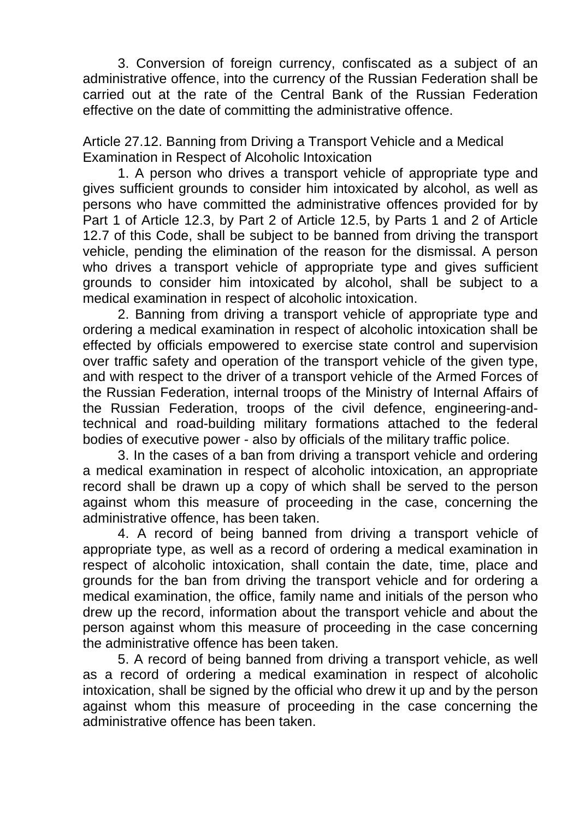3. Conversion of foreign currency, confiscated as a subject of an administrative offence, into the currency of the Russian Federation shall be carried out at the rate of the Central Bank of the Russian Federation effective on the date of committing the administrative offence.

Article 27.12. Banning from Driving a Transport Vehicle and a Medical Examination in Respect of Alcoholic Intoxication

1. A person who drives a transport vehicle of appropriate type and gives sufficient grounds to consider him intoxicated by alcohol, as well as persons who have committed the administrative offences provided for by Part 1 of Article 12.3, by Part 2 of Article 12.5, by Parts 1 and 2 of Article 12.7 of this Code, shall be subject to be banned from driving the transport vehicle, pending the elimination of the reason for the dismissal. A person who drives a transport vehicle of appropriate type and gives sufficient grounds to consider him intoxicated by alcohol, shall be subject to a medical examination in respect of alcoholic intoxication.

2. Banning from driving a transport vehicle of appropriate type and ordering a medical examination in respect of alcoholic intoxication shall be effected by officials empowered to exercise state control and supervision over traffic safety and operation of the transport vehicle of the given type, and with respect to the driver of a transport vehicle of the Armed Forces of the Russian Federation, internal troops of the Ministry of Internal Affairs of the Russian Federation, troops of the civil defence, engineering-andtechnical and road-building military formations attached to the federal bodies of executive power - also by officials of the military traffic police.

3. In the cases of a ban from driving a transport vehicle and ordering a medical examination in respect of alcoholic intoxication, an appropriate record shall be drawn up a copy of which shall be served to the person against whom this measure of proceeding in the case, concerning the administrative offence, has been taken.

4. A record of being banned from driving a transport vehicle of appropriate type, as well as a record of ordering a medical examination in respect of alcoholic intoxication, shall contain the date, time, place and grounds for the ban from driving the transport vehicle and for ordering a medical examination, the office, family name and initials of the person who drew up the record, information about the transport vehicle and about the person against whom this measure of proceeding in the case concerning the administrative offence has been taken.

5. A record of being banned from driving a transport vehicle, as well as a record of ordering a medical examination in respect of alcoholic intoxication, shall be signed by the official who drew it up and by the person against whom this measure of proceeding in the case concerning the administrative offence has been taken.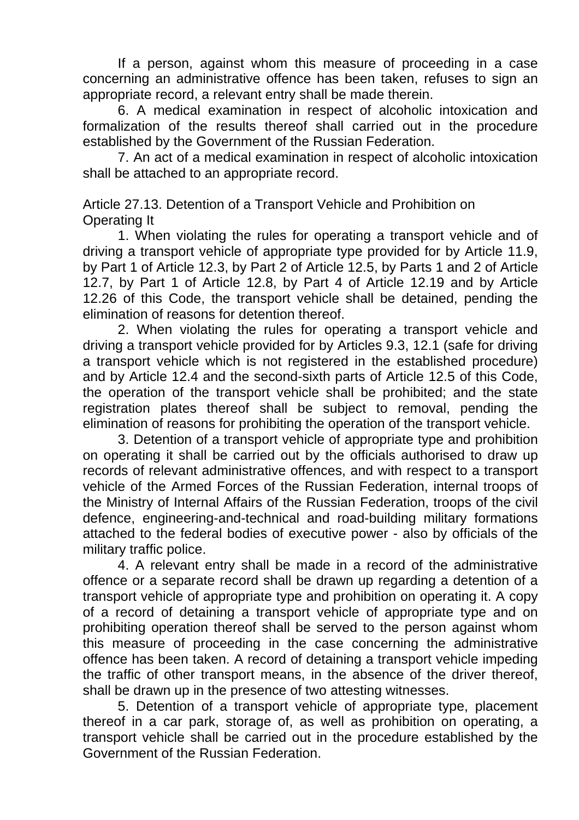If a person, against whom this measure of proceeding in a case concerning an administrative offence has been taken, refuses to sign an appropriate record, a relevant entry shall be made therein.

6. A medical examination in respect of alcoholic intoxication and formalization of the results thereof shall carried out in the procedure established by the Government of the Russian Federation.

7. An act of a medical examination in respect of alcoholic intoxication shall be attached to an appropriate record.

Article 27.13. Detention of a Transport Vehicle and Prohibition on Operating It

1. When violating the rules for operating a transport vehicle and of driving a transport vehicle of appropriate type provided for by Article 11.9, by Part 1 of Article 12.3, by Part 2 of Article 12.5, by Parts 1 and 2 of Article 12.7, by Part 1 of Article 12.8, by Part 4 of Article 12.19 and by Article 12.26 of this Code, the transport vehicle shall be detained, pending the elimination of reasons for detention thereof.

2. When violating the rules for operating a transport vehicle and driving a transport vehicle provided for by Articles 9.3, 12.1 (safe for driving a transport vehicle which is not registered in the established procedure) and by Article 12.4 and the second-sixth parts of Article 12.5 of this Code, the operation of the transport vehicle shall be prohibited; and the state registration plates thereof shall be subject to removal, pending the elimination of reasons for prohibiting the operation of the transport vehicle.

3. Detention of a transport vehicle of appropriate type and prohibition on operating it shall be carried out by the officials authorised to draw up records of relevant administrative offences, and with respect to a transport vehicle of the Armed Forces of the Russian Federation, internal troops of the Ministry of Internal Affairs of the Russian Federation, troops of the civil defence, engineering-and-technical and road-building military formations attached to the federal bodies of executive power - also by officials of the military traffic police.

4. A relevant entry shall be made in a record of the administrative offence or a separate record shall be drawn up regarding a detention of a transport vehicle of appropriate type and prohibition on operating it. A copy of a record of detaining a transport vehicle of appropriate type and on prohibiting operation thereof shall be served to the person against whom this measure of proceeding in the case concerning the administrative offence has been taken. A record of detaining a transport vehicle impeding the traffic of other transport means, in the absence of the driver thereof, shall be drawn up in the presence of two attesting witnesses.

5. Detention of a transport vehicle of appropriate type, placement thereof in a car park, storage of, as well as prohibition on operating, a transport vehicle shall be carried out in the procedure established by the Government of the Russian Federation.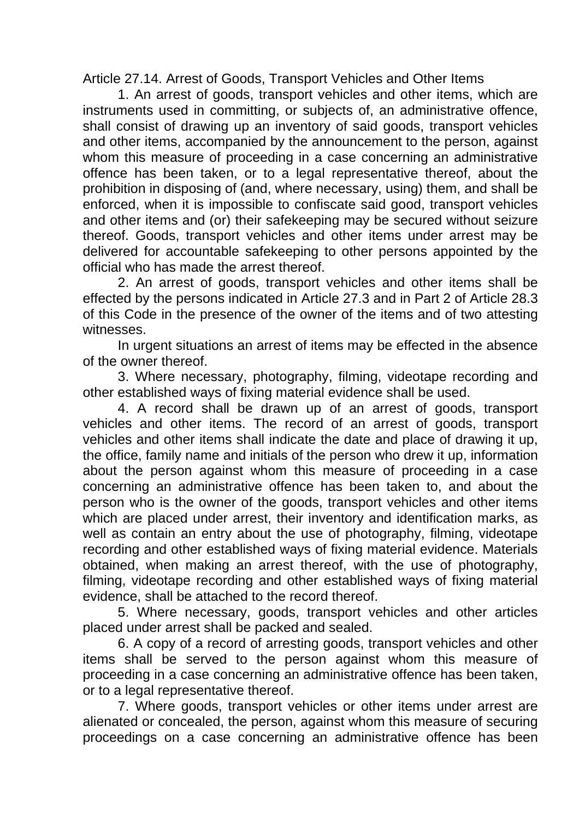Article 27.14. Arrest of Goods, Transport Vehicles and Other Items

1. An arrest of goods, transport vehicles and other items, which are instruments used in committing, or subjects of, an administrative offence, shall consist of drawing up an inventory of said goods, transport vehicles and other items, accompanied by the announcement to the person, against whom this measure of proceeding in a case concerning an administrative offence has been taken, or to a legal representative thereof, about the prohibition in disposing of (and, where necessary, using) them, and shall be enforced, when it is impossible to confiscate said good, transport vehicles and other items and (or) their safekeeping may be secured without seizure thereof. Goods, transport vehicles and other items under arrest may be delivered for accountable safekeeping to other persons appointed by the official who has made the arrest thereof.

2. An arrest of goods, transport vehicles and other items shall be effected by the persons indicated in Article 27.3 and in Part 2 of Article 28.3 of this Code in the presence of the owner of the items and of two attesting witnesses.

In urgent situations an arrest of items may be effected in the absence of the owner thereof.

3. Where necessary, photography, filming, videotape recording and other established ways of fixing material evidence shall be used.

4. A record shall be drawn up of an arrest of goods, transport vehicles and other items. The record of an arrest of goods, transport vehicles and other items shall indicate the date and place of drawing it up, the office, family name and initials of the person who drew it up, information about the person against whom this measure of proceeding in a case concerning an administrative offence has been taken to, and about the person who is the owner of the goods, transport vehicles and other items which are placed under arrest, their inventory and identification marks, as well as contain an entry about the use of photography, filming, videotape recording and other established ways of fixing material evidence. Materials obtained, when making an arrest thereof, with the use of photography, filming, videotape recording and other established ways of fixing material evidence, shall be attached to the record thereof.

5. Where necessary, goods, transport vehicles and other articles placed under arrest shall be packed and sealed.

6. A copy of a record of arresting goods, transport vehicles and other items shall be served to the person against whom this measure of proceeding in a case concerning an administrative offence has been taken, or to a legal representative thereof.

7. Where goods, transport vehicles or other items under arrest are alienated or concealed, the person, against whom this measure of securing proceedings on a case concerning an administrative offence has been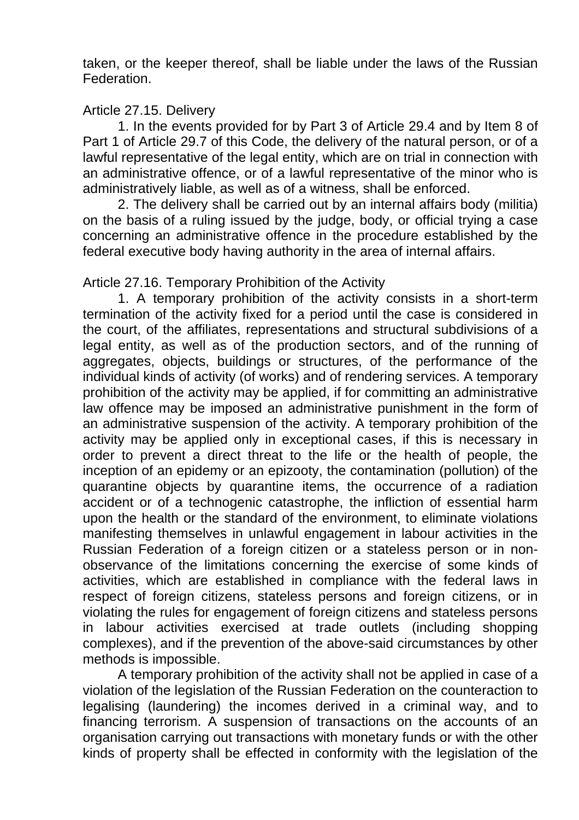taken, or the keeper thereof, shall be liable under the laws of the Russian Federation.

## Article 27.15. Delivery

1. In the events provided for by Part 3 of Article 29.4 and by Item 8 of Part 1 of Article 29.7 of this Code, the delivery of the natural person, or of a lawful representative of the legal entity, which are on trial in connection with an administrative offence, or of a lawful representative of the minor who is administratively liable, as well as of a witness, shall be enforced.

2. The delivery shall be carried out by an internal affairs body (militia) on the basis of a ruling issued by the judge, body, or official trying a case concerning an administrative offence in the procedure established by the federal executive body having authority in the area of internal affairs.

## Article 27.16. Temporary Prohibition of the Activity

1. A temporary prohibition of the activity consists in a short-term termination of the activity fixed for a period until the case is considered in the court, of the affiliates, representations and structural subdivisions of a legal entity, as well as of the production sectors, and of the running of aggregates, objects, buildings or structures, of the performance of the individual kinds of activity (of works) and of rendering services. A temporary prohibition of the activity may be applied, if for committing an administrative law offence may be imposed an administrative punishment in the form of an administrative suspension of the activity. A temporary prohibition of the activity may be applied only in exceptional cases, if this is necessary in order to prevent a direct threat to the life or the health of people, the inception of an epidemy or an epizooty, the contamination (pollution) of the quarantine objects by quarantine items, the occurrence of a radiation accident or of a technogenic catastrophe, the infliction of essential harm upon the health or the standard of the environment, to eliminate violations manifesting themselves in unlawful engagement in labour activities in the Russian Federation of a foreign citizen or a stateless person or in nonobservance of the limitations concerning the exercise of some kinds of activities, which are established in compliance with the federal laws in respect of foreign citizens, stateless persons and foreign citizens, or in violating the rules for engagement of foreign citizens and stateless persons in labour activities exercised at trade outlets (including shopping complexes), and if the prevention of the above-said circumstances by other methods is impossible.

A temporary prohibition of the activity shall not be applied in case of a violation of the legislation of the Russian Federation on the counteraction to legalising (laundering) the incomes derived in a criminal way, and to financing terrorism. A suspension of transactions on the accounts of an organisation carrying out transactions with monetary funds or with the other kinds of property shall be effected in conformity with the legislation of the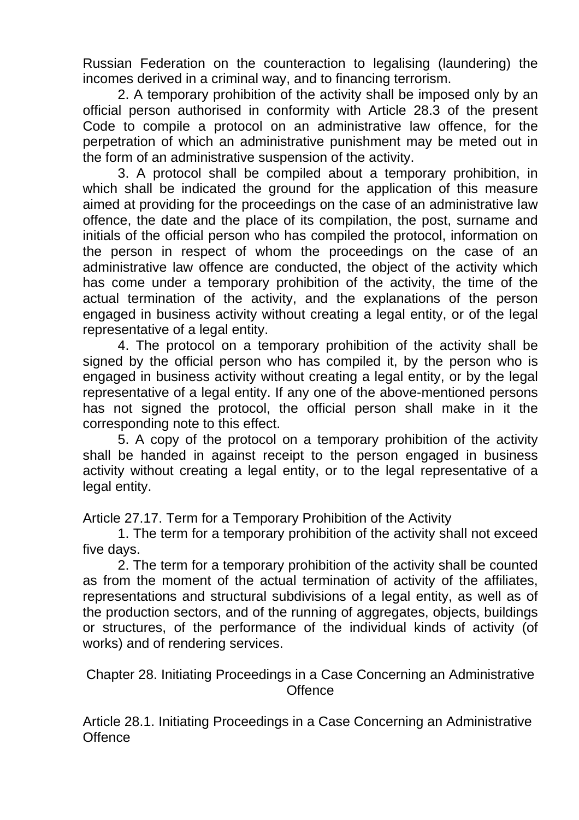Russian Federation on the counteraction to legalising (laundering) the incomes derived in a criminal way, and to financing terrorism.

2. A temporary prohibition of the activity shall be imposed only by an official person authorised in conformity with Article 28.3 of the present Code to compile a protocol on an administrative law offence, for the perpetration of which an administrative punishment may be meted out in the form of an administrative suspension of the activity.

3. A protocol shall be compiled about a temporary prohibition, in which shall be indicated the ground for the application of this measure aimed at providing for the proceedings on the case of an administrative law offence, the date and the place of its compilation, the post, surname and initials of the official person who has compiled the protocol, information on the person in respect of whom the proceedings on the case of an administrative law offence are conducted, the object of the activity which has come under a temporary prohibition of the activity, the time of the actual termination of the activity, and the explanations of the person engaged in business activity without creating a legal entity, or of the legal representative of a legal entity.

4. The protocol on a temporary prohibition of the activity shall be signed by the official person who has compiled it, by the person who is engaged in business activity without creating a legal entity, or by the legal representative of a legal entity. If any one of the above-mentioned persons has not signed the protocol, the official person shall make in it the corresponding note to this effect.

5. A copy of the protocol on a temporary prohibition of the activity shall be handed in against receipt to the person engaged in business activity without creating a legal entity, or to the legal representative of a legal entity.

Article 27.17. Term for a Temporary Prohibition of the Activity

1. The term for a temporary prohibition of the activity shall not exceed five days.

2. The term for a temporary prohibition of the activity shall be counted as from the moment of the actual termination of activity of the affiliates, representations and structural subdivisions of a legal entity, as well as of the production sectors, and of the running of aggregates, objects, buildings or structures, of the performance of the individual kinds of activity (of works) and of rendering services.

Chapter 28. Initiating Proceedings in a Case Concerning an Administrative **Offence** 

Article 28.1. Initiating Proceedings in a Case Concerning an Administrative **Offence**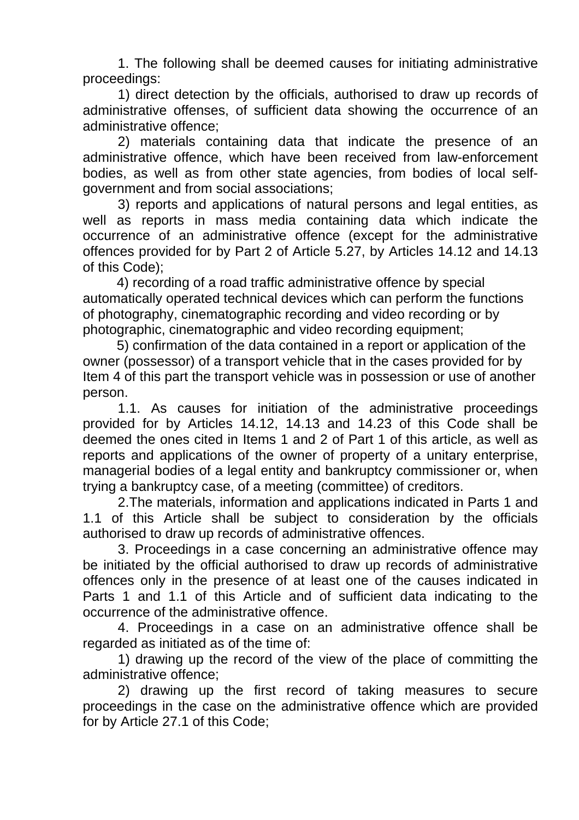1. The following shall be deemed causes for initiating administrative proceedings:

1) direct detection by the officials, authorised to draw up records of administrative offenses, of sufficient data showing the occurrence of an administrative offence;

2) materials containing data that indicate the presence of an administrative offence, which have been received from law-enforcement bodies, as well as from other state agencies, from bodies of local selfgovernment and from social associations;

3) reports and applications of natural persons and legal entities, as well as reports in mass media containing data which indicate the occurrence of an administrative offence (except for the administrative offences provided for by Part 2 of Article 5.27, by Articles 14.12 and 14.13 of this Code);

4) recording of a road traffic administrative offence by special automatically operated technical devices which can perform the functions of photography, cinematographic recording and video recording or by photographic, cinematographic and video recording equipment;

5) confirmation of the data contained in a report or application of the owner (possessor) of a transport vehicle that in the cases provided for by Item 4 of this part the transport vehicle was in possession or use of another person.

1.1. As causes for initiation of the administrative proceedings provided for by Articles 14.12, 14.13 and 14.23 of this Code shall be deemed the ones cited in Items 1 and 2 of Part 1 of this article, as well as reports and applications of the owner of property of a unitary enterprise, managerial bodies of a legal entity and bankruptcy commissioner or, when trying a bankruptcy case, of a meeting (committee) of creditors.

2.The materials, information and applications indicated in Parts 1 and 1.1 of this Article shall be subject to consideration by the officials authorised to draw up records of administrative offences.

3. Proceedings in a case concerning an administrative offence may be initiated by the official authorised to draw up records of administrative offences only in the presence of at least one of the causes indicated in Parts 1 and 1.1 of this Article and of sufficient data indicating to the occurrence of the administrative offence.

4. Proceedings in a case on an administrative offence shall be regarded as initiated as of the time of:

1) drawing up the record of the view of the place of committing the administrative offence;

2) drawing up the first record of taking measures to secure proceedings in the case on the administrative offence which are provided for by Article 27.1 of this Code;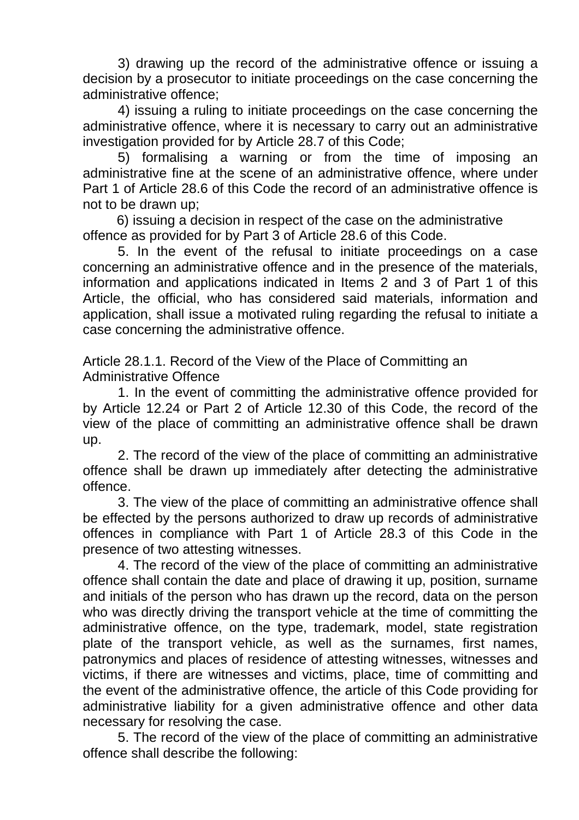3) drawing up the record of the administrative offence or issuing a decision by a prosecutor to initiate proceedings on the case concerning the administrative offence;

4) issuing a ruling to initiate proceedings on the case concerning the administrative offence, where it is necessary to carry out an administrative investigation provided for by Article 28.7 of this Code;

5) formalising a warning or from the time of imposing an administrative fine at the scene of an administrative offence, where under Part 1 of Article 28.6 of this Code the record of an administrative offence is not to be drawn up;

6) issuing a decision in respect of the case on the administrative offence as provided for by Part 3 of Article 28.6 of this Code.

5. In the event of the refusal to initiate proceedings on a case concerning an administrative offence and in the presence of the materials, information and applications indicated in Items 2 and 3 of Part 1 of this Article, the official, who has considered said materials, information and application, shall issue a motivated ruling regarding the refusal to initiate a case concerning the administrative offence.

Article 28.1.1. Record of the View of the Place of Committing an Administrative Offence

1. In the event of committing the administrative offence provided for by Article 12.24 or Part 2 of Article 12.30 of this Code, the record of the view of the place of committing an administrative offence shall be drawn up.

2. The record of the view of the place of committing an administrative offence shall be drawn up immediately after detecting the administrative offence.

3. The view of the place of committing an administrative offence shall be effected by the persons authorized to draw up records of administrative offences in compliance with Part 1 of Article 28.3 of this Code in the presence of two attesting witnesses.

4. The record of the view of the place of committing an administrative offence shall contain the date and place of drawing it up, position, surname and initials of the person who has drawn up the record, data on the person who was directly driving the transport vehicle at the time of committing the administrative offence, on the type, trademark, model, state registration plate of the transport vehicle, as well as the surnames, first names, patronymics and places of residence of attesting witnesses, witnesses and victims, if there are witnesses and victims, place, time of committing and the event of the administrative offence, the article of this Code providing for administrative liability for a given administrative offence and other data necessary for resolving the case.

5. The record of the view of the place of committing an administrative offence shall describe the following: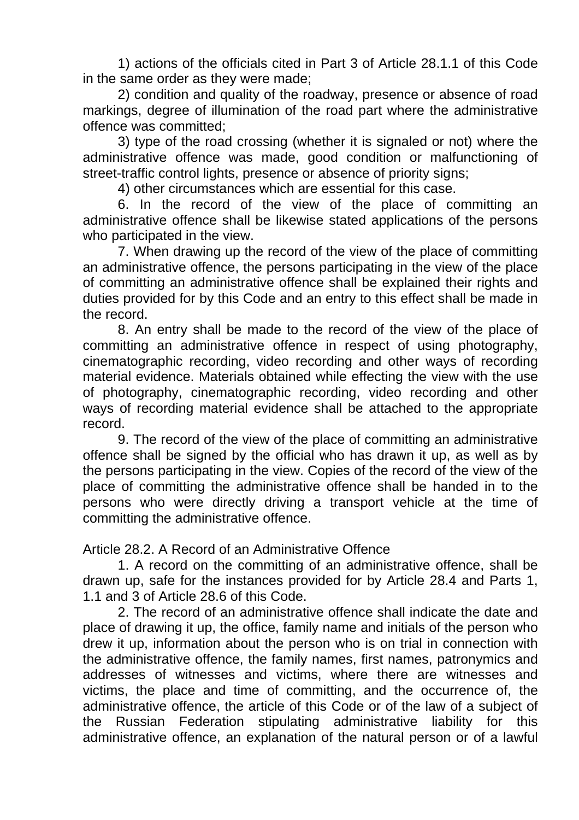1) actions of the officials cited in Part 3 of Article 28.1.1 of this Code in the same order as they were made;

2) condition and quality of the roadway, presence or absence of road markings, degree of illumination of the road part where the administrative offence was committed;

3) type of the road crossing (whether it is signaled or not) where the administrative offence was made, good condition or malfunctioning of street-traffic control lights, presence or absence of priority signs;

4) other circumstances which are essential for this case.

6. In the record of the view of the place of committing an administrative offence shall be likewise stated applications of the persons who participated in the view.

7. When drawing up the record of the view of the place of committing an administrative offence, the persons participating in the view of the place of committing an administrative offence shall be explained their rights and duties provided for by this Code and an entry to this effect shall be made in the record.

8. An entry shall be made to the record of the view of the place of committing an administrative offence in respect of using photography, cinematographic recording, video recording and other ways of recording material evidence. Materials obtained while effecting the view with the use of photography, cinematographic recording, video recording and other ways of recording material evidence shall be attached to the appropriate record.

9. The record of the view of the place of committing an administrative offence shall be signed by the official who has drawn it up, as well as by the persons participating in the view. Copies of the record of the view of the place of committing the administrative offence shall be handed in to the persons who were directly driving a transport vehicle at the time of committing the administrative offence.

Article 28.2. A Record of an Administrative Offence

1. A record on the committing of an administrative offence, shall be drawn up, safe for the instances provided for by Article 28.4 and Parts 1, 1.1 and 3 of Article 28.6 of this Code.

2. The record of an administrative offence shall indicate the date and place of drawing it up, the office, family name and initials of the person who drew it up, information about the person who is on trial in connection with the administrative offence, the family names, first names, patronymics and addresses of witnesses and victims, where there are witnesses and victims, the place and time of committing, and the occurrence of, the administrative offence, the article of this Code or of the law of a subject of the Russian Federation stipulating administrative liability for this administrative offence, an explanation of the natural person or of a lawful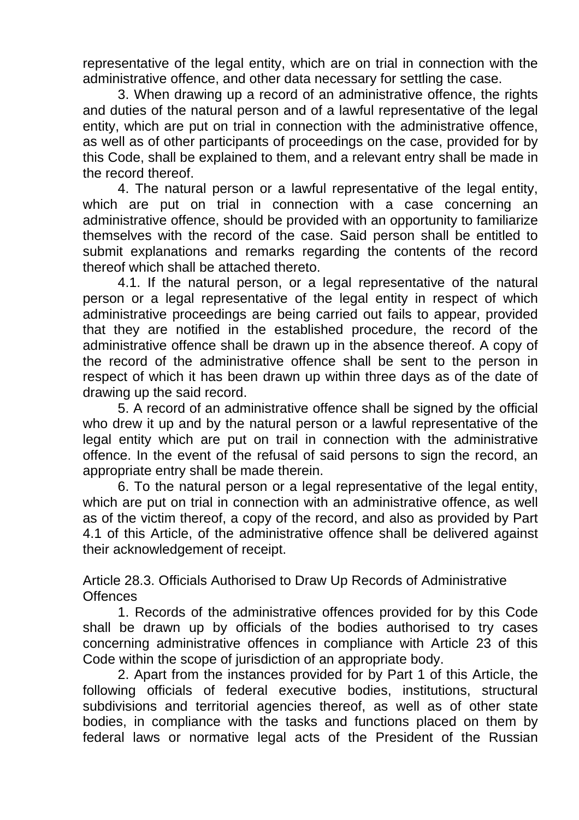representative of the legal entity, which are on trial in connection with the administrative offence, and other data necessary for settling the case.

3. When drawing up a record of an administrative offence, the rights and duties of the natural person and of a lawful representative of the legal entity, which are put on trial in connection with the administrative offence, as well as of other participants of proceedings on the case, provided for by this Code, shall be explained to them, and a relevant entry shall be made in the record thereof.

4. The natural person or a lawful representative of the legal entity, which are put on trial in connection with a case concerning an administrative offence, should be provided with an opportunity to familiarize themselves with the record of the case. Said person shall be entitled to submit explanations and remarks regarding the contents of the record thereof which shall be attached thereto.

4.1. If the natural person, or a legal representative of the natural person or a legal representative of the legal entity in respect of which administrative proceedings are being carried out fails to appear, provided that they are notified in the established procedure, the record of the administrative offence shall be drawn up in the absence thereof. A copy of the record of the administrative offence shall be sent to the person in respect of which it has been drawn up within three days as of the date of drawing up the said record.

5. A record of an administrative offence shall be signed by the official who drew it up and by the natural person or a lawful representative of the legal entity which are put on trail in connection with the administrative offence. In the event of the refusal of said persons to sign the record, an appropriate entry shall be made therein.

6. To the natural person or a legal representative of the legal entity, which are put on trial in connection with an administrative offence, as well as of the victim thereof, a copy of the record, and also as provided by Part 4.1 of this Article, of the administrative offence shall be delivered against their acknowledgement of receipt.

Article 28.3. Officials Authorised to Draw Up Records of Administrative **Offences** 

1. Records of the administrative offences provided for by this Code shall be drawn up by officials of the bodies authorised to try cases concerning administrative offences in compliance with Article 23 of this Code within the scope of jurisdiction of an appropriate body.

2. Apart from the instances provided for by Part 1 of this Article, the following officials of federal executive bodies, institutions, structural subdivisions and territorial agencies thereof, as well as of other state bodies, in compliance with the tasks and functions placed on them by federal laws or normative legal acts of the President of the Russian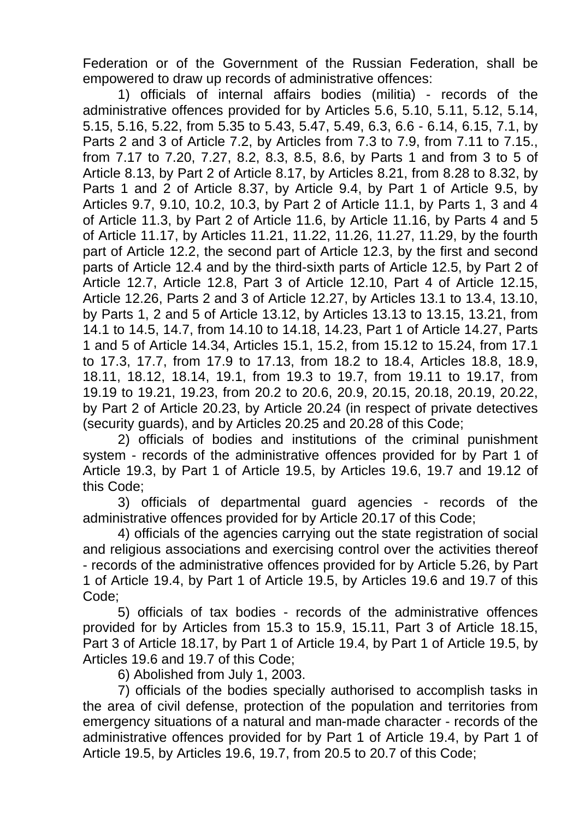Federation or of the Government of the Russian Federation, shall be empowered to draw up records of administrative offences:

1) officials of internal affairs bodies (militia) - records of the administrative offences provided for by Articles 5.6, 5.10, 5.11, 5.12, 5.14, 5.15, 5.16, 5.22, from 5.35 to 5.43, 5.47, 5.49, 6.3, 6.6 - 6.14, 6.15, 7.1, by Parts 2 and 3 of Article 7.2, by Articles from 7.3 to 7.9, from 7.11 to 7.15., from 7.17 to 7.20, 7.27, 8.2, 8.3, 8.5, 8.6, by Parts 1 and from 3 to 5 of Article 8.13, by Part 2 of Article 8.17, by Articles 8.21, from 8.28 to 8.32, by Parts 1 and 2 of Article 8.37, by Article 9.4, by Part 1 of Article 9.5, by Articles 9.7, 9.10, 10.2, 10.3, by Part 2 of Article 11.1, by Parts 1, 3 and 4 of Article 11.3, by Part 2 of Article 11.6, by Article 11.16, by Parts 4 and 5 of Article 11.17, by Articles 11.21, 11.22, 11.26, 11.27, 11.29, by the fourth part of Article 12.2, the second part of Article 12.3, by the first and second parts of Article 12.4 and by the third-sixth parts of Article 12.5, by Part 2 of Article 12.7, Article 12.8, Part 3 of Article 12.10, Part 4 of Article 12.15, Article 12.26, Parts 2 and 3 of Article 12.27, by Articles 13.1 to 13.4, 13.10, by Parts 1, 2 and 5 of Article 13.12, by Articles 13.13 to 13.15, 13.21, from 14.1 to 14.5, 14.7, from 14.10 to 14.18, 14.23, Part 1 of Article 14.27, Parts 1 and 5 of Article 14.34, Articles 15.1, 15.2, from 15.12 to 15.24, from 17.1 to 17.3, 17.7, from 17.9 to 17.13, from 18.2 to 18.4, Articles 18.8, 18.9, 18.11, 18.12, 18.14, 19.1, from 19.3 to 19.7, from 19.11 to 19.17, from 19.19 to 19.21, 19.23, from 20.2 to 20.6, 20.9, 20.15, 20.18, 20.19, 20.22, by Part 2 of Article 20.23, by Article 20.24 (in respect of private detectives (security guards), and by Articles 20.25 and 20.28 of this Code;

2) officials of bodies and institutions of the criminal punishment system - records of the administrative offences provided for by Part 1 of Article 19.3, by Part 1 of Article 19.5, by Articles 19.6, 19.7 and 19.12 of this Code;

3) officials of departmental guard agencies - records of the administrative offences provided for by Article 20.17 of this Code;

4) officials of the agencies carrying out the state registration of social and religious associations and exercising control over the activities thereof - records of the administrative offences provided for by Article 5.26, by Part 1 of Article 19.4, by Part 1 of Article 19.5, by Articles 19.6 and 19.7 of this Code;

5) officials of tax bodies - records of the administrative offences provided for by Articles from 15.3 to 15.9, 15.11, Part 3 of Article 18.15, Part 3 of Article 18.17, by Part 1 of Article 19.4, by Part 1 of Article 19.5, by Articles 19.6 and 19.7 of this Code;

6) Abolished from July 1, 2003.

7) officials of the bodies specially authorised to accomplish tasks in the area of civil defense, protection of the population and territories from emergency situations of a natural and man-made character - records of the administrative offences provided for by Part 1 of Article 19.4, by Part 1 of Article 19.5, by Articles 19.6, 19.7, from 20.5 to 20.7 of this Code;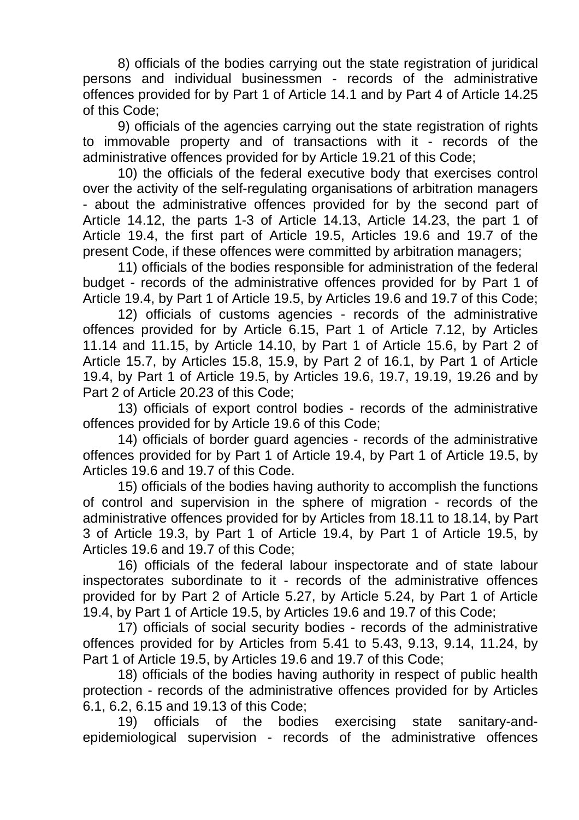8) officials of the bodies carrying out the state registration of juridical persons and individual businessmen - records of the administrative offences provided for by Part 1 of Article 14.1 and by Part 4 of Article 14.25 of this Code;

9) officials of the agencies carrying out the state registration of rights to immovable property and of transactions with it - records of the administrative offences provided for by Article 19.21 of this Code;

10) the officials of the federal executive body that exercises control over the activity of the self-regulating organisations of arbitration managers - about the administrative offences provided for by the second part of Article 14.12, the parts 1-3 of Article 14.13, Article 14.23, the part 1 of Article 19.4, the first part of Article 19.5, Articles 19.6 and 19.7 of the present Code, if these offences were committed by arbitration managers;

11) officials of the bodies responsible for administration of the federal budget - records of the administrative offences provided for by Part 1 of Article 19.4, by Part 1 of Article 19.5, by Articles 19.6 and 19.7 of this Code;

12) officials of customs agencies - records of the administrative offences provided for by Article 6.15, Part 1 of Article 7.12, by Articles 11.14 and 11.15, by Article 14.10, by Part 1 of Article 15.6, by Part 2 of Article 15.7, by Articles 15.8, 15.9, by Part 2 of 16.1, by Part 1 of Article 19.4, by Part 1 of Article 19.5, by Articles 19.6, 19.7, 19.19, 19.26 and by Part 2 of Article 20.23 of this Code;

13) officials of export control bodies - records of the administrative offences provided for by Article 19.6 of this Code;

14) officials of border guard agencies - records of the administrative offences provided for by Part 1 of Article 19.4, by Part 1 of Article 19.5, by Articles 19.6 and 19.7 of this Code.

15) officials of the bodies having authority to accomplish the functions of control and supervision in the sphere of migration - records of the administrative offences provided for by Articles from 18.11 to 18.14, by Part 3 of Article 19.3, by Part 1 of Article 19.4, by Part 1 of Article 19.5, by Articles 19.6 and 19.7 of this Code;

16) officials of the federal labour inspectorate and of state labour inspectorates subordinate to it - records of the administrative offences provided for by Part 2 of Article 5.27, by Article 5.24, by Part 1 of Article 19.4, by Part 1 of Article 19.5, by Articles 19.6 and 19.7 of this Code;

17) officials of social security bodies - records of the administrative offences provided for by Articles from 5.41 to 5.43, 9.13, 9.14, 11.24, by Part 1 of Article 19.5, by Articles 19.6 and 19.7 of this Code;

18) officials of the bodies having authority in respect of public health protection - records of the administrative offences provided for by Articles 6.1, 6.2, 6.15 and 19.13 of this Code;

19) officials of the bodies exercising state sanitary-andepidemiological supervision - records of the administrative offences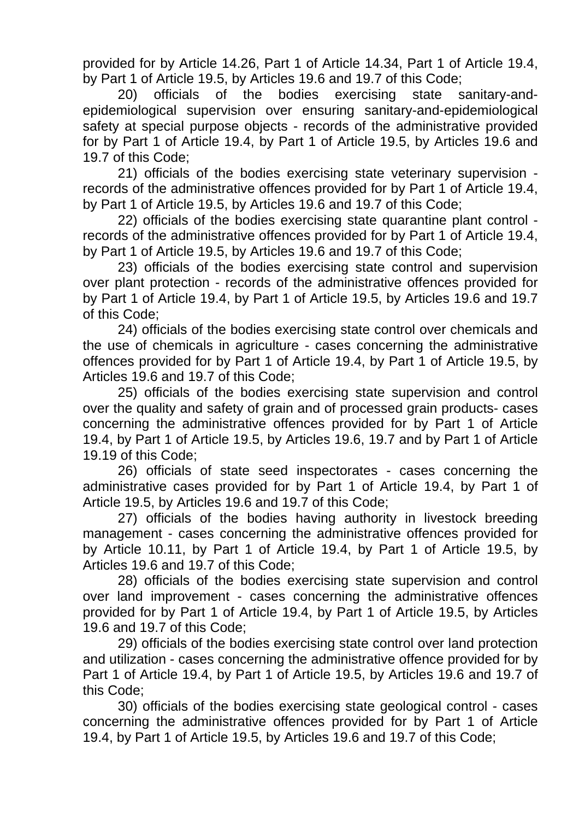provided for by Article 14.26, Part 1 of Article 14.34, Part 1 of Article 19.4, by Part 1 of Article 19.5, by Articles 19.6 and 19.7 of this Code;

20) officials of the bodies exercising state sanitary-andepidemiological supervision over ensuring sanitary-and-epidemiological safety at special purpose objects - records of the administrative provided for by Part 1 of Article 19.4, by Part 1 of Article 19.5, by Articles 19.6 and 19.7 of this Code;

21) officials of the bodies exercising state veterinary supervision records of the administrative offences provided for by Part 1 of Article 19.4, by Part 1 of Article 19.5, by Articles 19.6 and 19.7 of this Code;

22) officials of the bodies exercising state quarantine plant control records of the administrative offences provided for by Part 1 of Article 19.4, by Part 1 of Article 19.5, by Articles 19.6 and 19.7 of this Code;

23) officials of the bodies exercising state control and supervision over plant protection - records of the administrative offences provided for by Part 1 of Article 19.4, by Part 1 of Article 19.5, by Articles 19.6 and 19.7 of this Code;

24) officials of the bodies exercising state control over chemicals and the use of chemicals in agriculture - cases concerning the administrative offences provided for by Part 1 of Article 19.4, by Part 1 of Article 19.5, by Articles 19.6 and 19.7 of this Code;

25) officials of the bodies exercising state supervision and control over the quality and safety of grain and of processed grain products- cases concerning the administrative offences provided for by Part 1 of Article 19.4, by Part 1 of Article 19.5, by Articles 19.6, 19.7 and by Part 1 of Article 19.19 of this Code;

26) officials of state seed inspectorates - cases concerning the administrative cases provided for by Part 1 of Article 19.4, by Part 1 of Article 19.5, by Articles 19.6 and 19.7 of this Code;

27) officials of the bodies having authority in livestock breeding management - cases concerning the administrative offences provided for by Article 10.11, by Part 1 of Article 19.4, by Part 1 of Article 19.5, by Articles 19.6 and 19.7 of this Code;

28) officials of the bodies exercising state supervision and control over land improvement - cases concerning the administrative offences provided for by Part 1 of Article 19.4, by Part 1 of Article 19.5, by Articles 19.6 and 19.7 of this Code;

29) officials of the bodies exercising state control over land protection and utilization - cases concerning the administrative offence provided for by Part 1 of Article 19.4, by Part 1 of Article 19.5, by Articles 19.6 and 19.7 of this Code;

30) officials of the bodies exercising state geological control - cases concerning the administrative offences provided for by Part 1 of Article 19.4, by Part 1 of Article 19.5, by Articles 19.6 and 19.7 of this Code;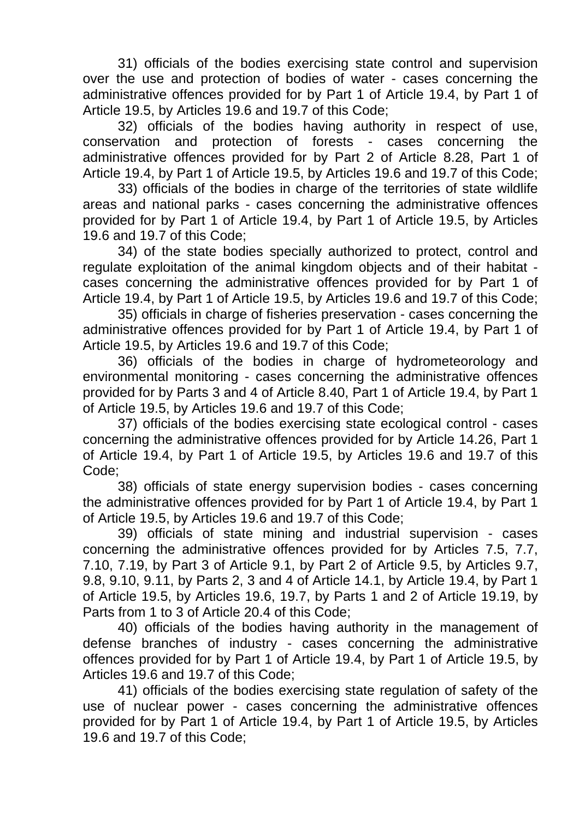31) officials of the bodies exercising state control and supervision over the use and protection of bodies of water - cases concerning the administrative offences provided for by Part 1 of Article 19.4, by Part 1 of Article 19.5, by Articles 19.6 and 19.7 of this Code;

32) officials of the bodies having authority in respect of use, conservation and protection of forests - cases concerning the administrative offences provided for by Part 2 of Article 8.28, Part 1 of Article 19.4, by Part 1 of Article 19.5, by Articles 19.6 and 19.7 of this Code;

33) officials of the bodies in charge of the territories of state wildlife areas and national parks - cases concerning the administrative offences provided for by Part 1 of Article 19.4, by Part 1 of Article 19.5, by Articles 19.6 and 19.7 of this Code;

34) of the state bodies specially authorized to protect, control and regulate exploitation of the animal kingdom objects and of their habitat cases concerning the administrative offences provided for by Part 1 of Article 19.4, by Part 1 of Article 19.5, by Articles 19.6 and 19.7 of this Code;

35) officials in charge of fisheries preservation - cases concerning the administrative offences provided for by Part 1 of Article 19.4, by Part 1 of Article 19.5, by Articles 19.6 and 19.7 of this Code;

36) officials of the bodies in charge of hydrometeorology and environmental monitoring - cases concerning the administrative offences provided for by Parts 3 and 4 of Article 8.40, Part 1 of Article 19.4, by Part 1 of Article 19.5, by Articles 19.6 and 19.7 of this Code;

37) officials of the bodies exercising state ecological control - cases concerning the administrative offences provided for by Article 14.26, Part 1 of Article 19.4, by Part 1 of Article 19.5, by Articles 19.6 and 19.7 of this Code;

38) officials of state energy supervision bodies - cases concerning the administrative offences provided for by Part 1 of Article 19.4, by Part 1 of Article 19.5, by Articles 19.6 and 19.7 of this Code;

39) officials of state mining and industrial supervision - cases concerning the administrative offences provided for by Articles 7.5, 7.7, 7.10, 7.19, by Part 3 of Article 9.1, by Part 2 of Article 9.5, by Articles 9.7, 9.8, 9.10, 9.11, by Parts 2, 3 and 4 of Article 14.1, by Article 19.4, by Part 1 of Article 19.5, by Articles 19.6, 19.7, by Parts 1 and 2 of Article 19.19, by Parts from 1 to 3 of Article 20.4 of this Code;

40) officials of the bodies having authority in the management of defense branches of industry - cases concerning the administrative offences provided for by Part 1 of Article 19.4, by Part 1 of Article 19.5, by Articles 19.6 and 19.7 of this Code;

41) officials of the bodies exercising state regulation of safety of the use of nuclear power - cases concerning the administrative offences provided for by Part 1 of Article 19.4, by Part 1 of Article 19.5, by Articles 19.6 and 19.7 of this Code;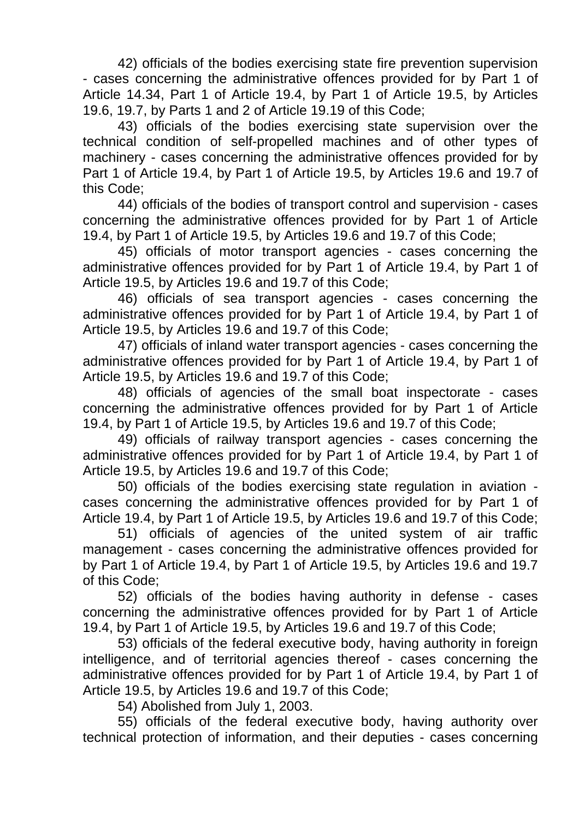42) officials of the bodies exercising state fire prevention supervision - cases concerning the administrative offences provided for by Part 1 of Article 14.34, Part 1 of Article 19.4, by Part 1 of Article 19.5, by Articles 19.6, 19.7, by Parts 1 and 2 of Article 19.19 of this Code;

43) officials of the bodies exercising state supervision over the technical condition of self-propelled machines and of other types of machinery - cases concerning the administrative offences provided for by Part 1 of Article 19.4, by Part 1 of Article 19.5, by Articles 19.6 and 19.7 of this Code;

44) officials of the bodies of transport control and supervision - cases concerning the administrative offences provided for by Part 1 of Article 19.4, by Part 1 of Article 19.5, by Articles 19.6 and 19.7 of this Code;

45) officials of motor transport agencies - cases concerning the administrative offences provided for by Part 1 of Article 19.4, by Part 1 of Article 19.5, by Articles 19.6 and 19.7 of this Code;

46) officials of sea transport agencies - cases concerning the administrative offences provided for by Part 1 of Article 19.4, by Part 1 of Article 19.5, by Articles 19.6 and 19.7 of this Code;

47) officials of inland water transport agencies - cases concerning the administrative offences provided for by Part 1 of Article 19.4, by Part 1 of Article 19.5, by Articles 19.6 and 19.7 of this Code;

48) officials of agencies of the small boat inspectorate - cases concerning the administrative offences provided for by Part 1 of Article 19.4, by Part 1 of Article 19.5, by Articles 19.6 and 19.7 of this Code;

49) officials of railway transport agencies - cases concerning the administrative offences provided for by Part 1 of Article 19.4, by Part 1 of Article 19.5, by Articles 19.6 and 19.7 of this Code;

50) officials of the bodies exercising state regulation in aviation cases concerning the administrative offences provided for by Part 1 of Article 19.4, by Part 1 of Article 19.5, by Articles 19.6 and 19.7 of this Code;

51) officials of agencies of the united system of air traffic management - cases concerning the administrative offences provided for by Part 1 of Article 19.4, by Part 1 of Article 19.5, by Articles 19.6 and 19.7 of this Code;

52) officials of the bodies having authority in defense - cases concerning the administrative offences provided for by Part 1 of Article 19.4, by Part 1 of Article 19.5, by Articles 19.6 and 19.7 of this Code;

53) officials of the federal executive body, having authority in foreign intelligence, and of territorial agencies thereof - cases concerning the administrative offences provided for by Part 1 of Article 19.4, by Part 1 of Article 19.5, by Articles 19.6 and 19.7 of this Code;

54) Abolished from July 1, 2003.

55) officials of the federal executive body, having authority over technical protection of information, and their deputies - cases concerning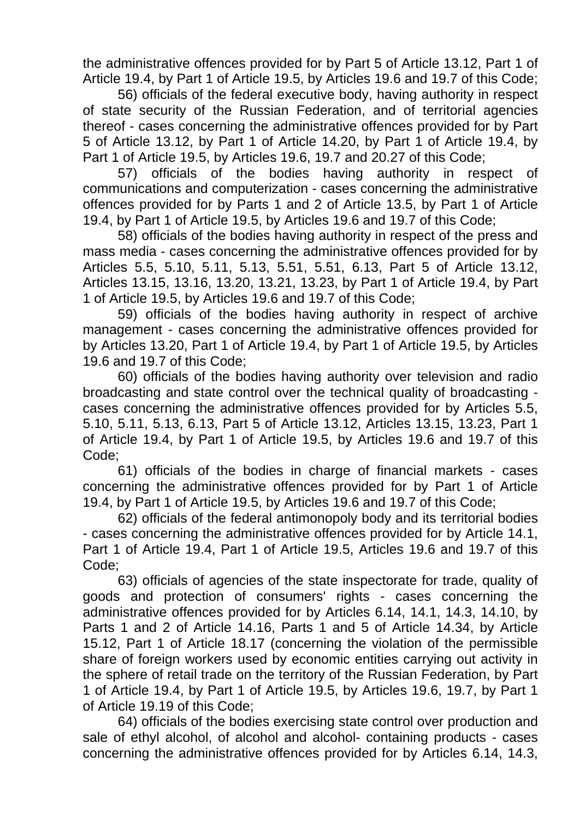the administrative offences provided for by Part 5 of Article 13.12, Part 1 of Article 19.4, by Part 1 of Article 19.5, by Articles 19.6 and 19.7 of this Code;

56) officials of the federal executive body, having authority in respect of state security of the Russian Federation, and of territorial agencies thereof - cases concerning the administrative offences provided for by Part 5 of Article 13.12, by Part 1 of Article 14.20, by Part 1 of Article 19.4, by Part 1 of Article 19.5, by Articles 19.6, 19.7 and 20.27 of this Code;

57) officials of the bodies having authority in respect of communications and computerization - cases concerning the administrative offences provided for by Parts 1 and 2 of Article 13.5, by Part 1 of Article 19.4, by Part 1 of Article 19.5, by Articles 19.6 and 19.7 of this Code;

58) officials of the bodies having authority in respect of the press and mass media - cases concerning the administrative offences provided for by Articles 5.5, 5.10, 5.11, 5.13, 5.51, 5.51, 6.13, Part 5 of Article 13.12, Articles 13.15, 13.16, 13.20, 13.21, 13.23, by Part 1 of Article 19.4, by Part 1 of Article 19.5, by Articles 19.6 and 19.7 of this Code;

59) officials of the bodies having authority in respect of archive management - cases concerning the administrative offences provided for by Articles 13.20, Part 1 of Article 19.4, by Part 1 of Article 19.5, by Articles 19.6 and 19.7 of this Code;

60) officials of the bodies having authority over television and radio broadcasting and state control over the technical quality of broadcasting cases concerning the administrative offences provided for by Articles 5.5, 5.10, 5.11, 5.13, 6.13, Part 5 of Article 13.12, Articles 13.15, 13.23, Part 1 of Article 19.4, by Part 1 of Article 19.5, by Articles 19.6 and 19.7 of this Code;

61) officials of the bodies in charge of financial markets - cases concerning the administrative offences provided for by Part 1 of Article 19.4, by Part 1 of Article 19.5, by Articles 19.6 and 19.7 of this Code;

62) officials of the federal antimonopoly body and its territorial bodies - cases concerning the administrative offences provided for by Article 14.1, Part 1 of Article 19.4, Part 1 of Article 19.5, Articles 19.6 and 19.7 of this Code;

63) officials of agencies of the state inspectorate for trade, quality of goods and protection of consumers' rights - cases concerning the administrative offences provided for by Articles 6.14, 14.1, 14.3, 14.10, by Parts 1 and 2 of Article 14.16, Parts 1 and 5 of Article 14.34, by Article 15.12, Part 1 of Article 18.17 (concerning the violation of the permissible share of foreign workers used by economic entities carrying out activity in the sphere of retail trade on the territory of the Russian Federation, by Part 1 of Article 19.4, by Part 1 of Article 19.5, by Articles 19.6, 19.7, by Part 1 of Article 19.19 of this Code;

64) officials of the bodies exercising state control over production and sale of ethyl alcohol, of alcohol and alcohol- containing products - cases concerning the administrative offences provided for by Articles 6.14, 14.3,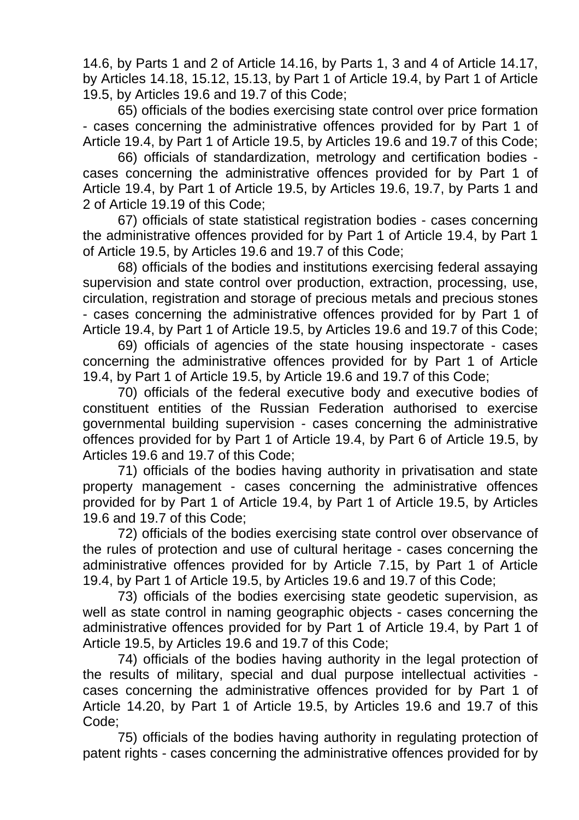14.6, by Parts 1 and 2 of Article 14.16, by Parts 1, 3 and 4 of Article 14.17, by Articles 14.18, 15.12, 15.13, by Part 1 of Article 19.4, by Part 1 of Article 19.5, by Articles 19.6 and 19.7 of this Code;

65) officials of the bodies exercising state control over price formation - cases concerning the administrative offences provided for by Part 1 of Article 19.4, by Part 1 of Article 19.5, by Articles 19.6 and 19.7 of this Code;

66) officials of standardization, metrology and certification bodies cases concerning the administrative offences provided for by Part 1 of Article 19.4, by Part 1 of Article 19.5, by Articles 19.6, 19.7, by Parts 1 and 2 of Article 19.19 of this Code;

67) officials of state statistical registration bodies - cases concerning the administrative offences provided for by Part 1 of Article 19.4, by Part 1 of Article 19.5, by Articles 19.6 and 19.7 of this Code;

68) officials of the bodies and institutions exercising federal assaying supervision and state control over production, extraction, processing, use, circulation, registration and storage of precious metals and precious stones - cases concerning the administrative offences provided for by Part 1 of Article 19.4, by Part 1 of Article 19.5, by Articles 19.6 and 19.7 of this Code;

69) officials of agencies of the state housing inspectorate - cases concerning the administrative offences provided for by Part 1 of Article 19.4, by Part 1 of Article 19.5, by Article 19.6 and 19.7 of this Code;

70) officials of the federal executive body and executive bodies of constituent entities of the Russian Federation authorised to exercise governmental building supervision - cases concerning the administrative offences provided for by Part 1 of Article 19.4, by Part 6 of Article 19.5, by Articles 19.6 and 19.7 of this Code;

71) officials of the bodies having authority in privatisation and state property management - cases concerning the administrative offences provided for by Part 1 of Article 19.4, by Part 1 of Article 19.5, by Articles 19.6 and 19.7 of this Code;

72) officials of the bodies exercising state control over observance of the rules of protection and use of cultural heritage - cases concerning the administrative offences provided for by Article 7.15, by Part 1 of Article 19.4, by Part 1 of Article 19.5, by Articles 19.6 and 19.7 of this Code;

73) officials of the bodies exercising state geodetic supervision, as well as state control in naming geographic objects - cases concerning the administrative offences provided for by Part 1 of Article 19.4, by Part 1 of Article 19.5, by Articles 19.6 and 19.7 of this Code;

74) officials of the bodies having authority in the legal protection of the results of military, special and dual purpose intellectual activities cases concerning the administrative offences provided for by Part 1 of Article 14.20, by Part 1 of Article 19.5, by Articles 19.6 and 19.7 of this Code;

75) officials of the bodies having authority in regulating protection of patent rights - cases concerning the administrative offences provided for by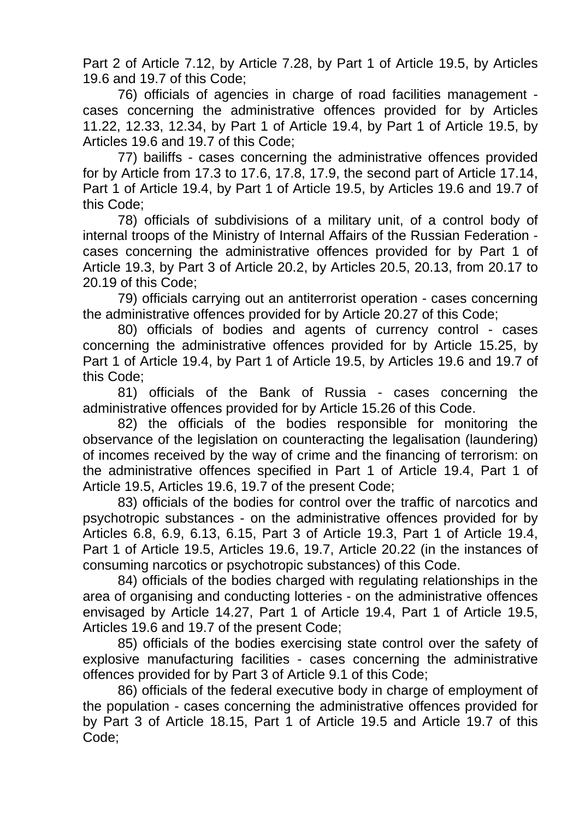Part 2 of Article 7.12, by Article 7.28, by Part 1 of Article 19.5, by Articles 19.6 and 19.7 of this Code;

76) officials of agencies in charge of road facilities management cases concerning the administrative offences provided for by Articles 11.22, 12.33, 12.34, by Part 1 of Article 19.4, by Part 1 of Article 19.5, by Articles 19.6 and 19.7 of this Code;

77) bailiffs - cases concerning the administrative offences provided for by Article from 17.3 to 17.6, 17.8, 17.9, the second part of Article 17.14, Part 1 of Article 19.4, by Part 1 of Article 19.5, by Articles 19.6 and 19.7 of this Code;

78) officials of subdivisions of a military unit, of a control body of internal troops of the Ministry of Internal Affairs of the Russian Federation cases concerning the administrative offences provided for by Part 1 of Article 19.3, by Part 3 of Article 20.2, by Articles 20.5, 20.13, from 20.17 to 20.19 of this Code;

79) officials carrying out an antiterrorist operation - cases concerning the administrative offences provided for by Article 20.27 of this Code;

80) officials of bodies and agents of currency control - cases concerning the administrative offences provided for by Article 15.25, by Part 1 of Article 19.4, by Part 1 of Article 19.5, by Articles 19.6 and 19.7 of this Code;

81) officials of the Bank of Russia - cases concerning the administrative offences provided for by Article 15.26 of this Code.

82) the officials of the bodies responsible for monitoring the observance of the legislation on counteracting the legalisation (laundering) of incomes received by the way of crime and the financing of terrorism: on the administrative offences specified in Part 1 of Article 19.4, Part 1 of Article 19.5, Articles 19.6, 19.7 of the present Code;

83) officials of the bodies for control over the traffic of narcotics and psychotropic substances - on the administrative offences provided for by Articles 6.8, 6.9, 6.13, 6.15, Part 3 of Article 19.3, Part 1 of Article 19.4, Part 1 of Article 19.5, Articles 19.6, 19.7, Article 20.22 (in the instances of consuming narcotics or psychotropic substances) of this Code.

84) officials of the bodies charged with regulating relationships in the area of organising and conducting lotteries - on the administrative offences envisaged by Article 14.27, Part 1 of Article 19.4, Part 1 of Article 19.5, Articles 19.6 and 19.7 of the present Code;

85) officials of the bodies exercising state control over the safety of explosive manufacturing facilities - cases concerning the administrative offences provided for by Part 3 of Article 9.1 of this Code;

86) officials of the federal executive body in charge of employment of the population - cases concerning the administrative offences provided for by Part 3 of Article 18.15, Part 1 of Article 19.5 and Article 19.7 of this Code;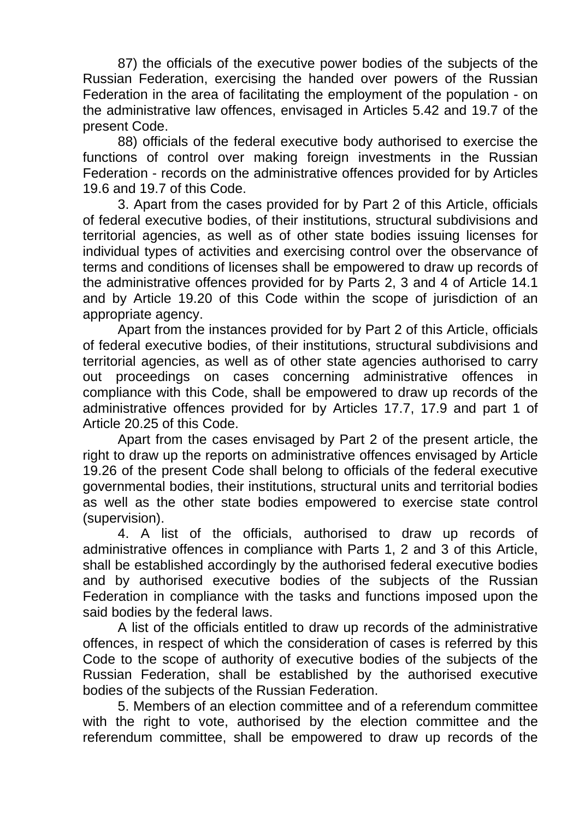87) the officials of the executive power bodies of the subjects of the Russian Federation, exercising the handed over powers of the Russian Federation in the area of facilitating the employment of the population - on the administrative law offences, envisaged in Articles 5.42 and 19.7 of the present Code.

88) officials of the federal executive body authorised to exercise the functions of control over making foreign investments in the Russian Federation - records on the administrative offences provided for by Articles 19.6 and 19.7 of this Code.

3. Apart from the cases provided for by Part 2 of this Article, officials of federal executive bodies, of their institutions, structural subdivisions and territorial agencies, as well as of other state bodies issuing licenses for individual types of activities and exercising control over the observance of terms and conditions of licenses shall be empowered to draw up records of the administrative offences provided for by Parts 2, 3 and 4 of Article 14.1 and by Article 19.20 of this Code within the scope of jurisdiction of an appropriate agency.

Apart from the instances provided for by Part 2 of this Article, officials of federal executive bodies, of their institutions, structural subdivisions and territorial agencies, as well as of other state agencies authorised to carry out proceedings on cases concerning administrative offences in compliance with this Code, shall be empowered to draw up records of the administrative offences provided for by Articles 17.7, 17.9 and part 1 of Article 20.25 of this Code.

Apart from the cases envisaged by Part 2 of the present article, the right to draw up the reports on administrative offences envisaged by Article 19.26 of the present Code shall belong to officials of the federal executive governmental bodies, their institutions, structural units and territorial bodies as well as the other state bodies empowered to exercise state control (supervision).

4. A list of the officials, authorised to draw up records of administrative offences in compliance with Parts 1, 2 and 3 of this Article, shall be established accordingly by the authorised federal executive bodies and by authorised executive bodies of the subjects of the Russian Federation in compliance with the tasks and functions imposed upon the said bodies by the federal laws.

A list of the officials entitled to draw up records of the administrative offences, in respect of which the consideration of cases is referred by this Code to the scope of authority of executive bodies of the subjects of the Russian Federation, shall be established by the authorised executive bodies of the subjects of the Russian Federation.

5. Members of an election committee and of a referendum committee with the right to vote, authorised by the election committee and the referendum committee, shall be empowered to draw up records of the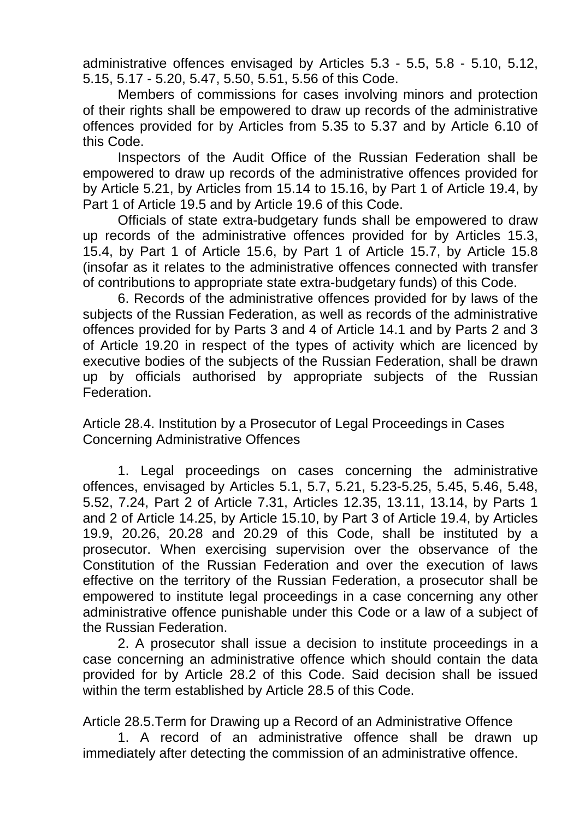administrative offences envisaged by Articles 5.3 - 5.5, 5.8 - 5.10, 5.12, 5.15, 5.17 - 5.20, 5.47, 5.50, 5.51, 5.56 of this Code.

Members of commissions for cases involving minors and protection of their rights shall be empowered to draw up records of the administrative offences provided for by Articles from 5.35 to 5.37 and by Article 6.10 of this Code.

Inspectors of the Audit Office of the Russian Federation shall be empowered to draw up records of the administrative offences provided for by Article 5.21, by Articles from 15.14 to 15.16, by Part 1 of Article 19.4, by Part 1 of Article 19.5 and by Article 19.6 of this Code.

Officials of state extra-budgetary funds shall be empowered to draw up records of the administrative offences provided for by Articles 15.3, 15.4, by Part 1 of Article 15.6, by Part 1 of Article 15.7, by Article 15.8 (insofar as it relates to the administrative offences connected with transfer of contributions to appropriate state extra-budgetary funds) of this Code.

6. Records of the administrative offences provided for by laws of the subjects of the Russian Federation, as well as records of the administrative offences provided for by Parts 3 and 4 of Article 14.1 and by Parts 2 and 3 of Article 19.20 in respect of the types of activity which are licenced by executive bodies of the subjects of the Russian Federation, shall be drawn up by officials authorised by appropriate subjects of the Russian Federation.

Article 28.4. Institution by a Prosecutor of Legal Proceedings in Cases Concerning Administrative Offences

1. Legal proceedings on cases concerning the administrative offences, envisaged by Articles 5.1, 5.7, 5.21, 5.23-5.25, 5.45, 5.46, 5.48, 5.52, 7.24, Part 2 of Article 7.31, Articles 12.35, 13.11, 13.14, by Parts 1 and 2 of Article 14.25, by Article 15.10, by Part 3 of Article 19.4, by Articles 19.9, 20.26, 20.28 and 20.29 of this Code, shall be instituted by a prosecutor. When exercising supervision over the observance of the Constitution of the Russian Federation and over the execution of laws effective on the territory of the Russian Federation, a prosecutor shall be empowered to institute legal proceedings in a case concerning any other administrative offence punishable under this Code or a law of a subject of the Russian Federation.

2. A prosecutor shall issue a decision to institute proceedings in a case concerning an administrative offence which should contain the data provided for by Article 28.2 of this Code. Said decision shall be issued within the term established by Article 28.5 of this Code.

Article 28.5.Term for Drawing up a Record of an Administrative Offence

1. A record of an administrative offence shall be drawn up immediately after detecting the commission of an administrative offence.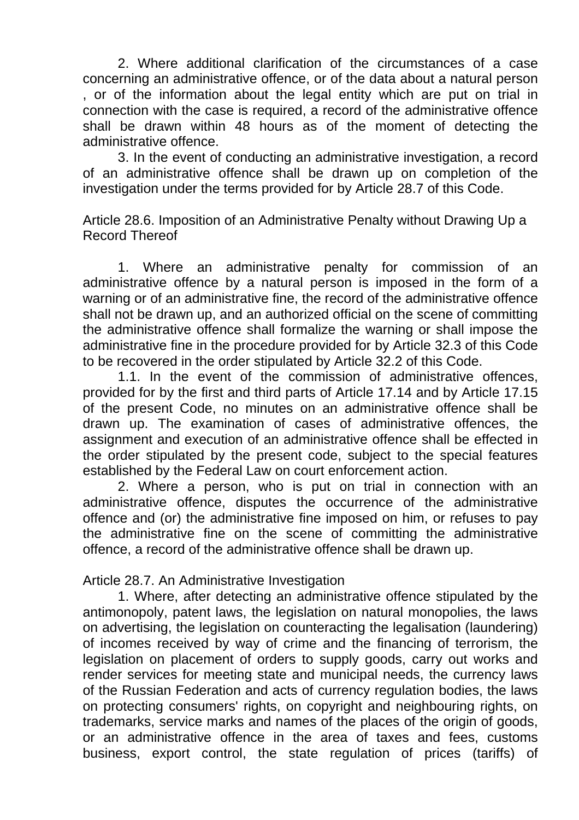2. Where additional clarification of the circumstances of a case concerning an administrative offence, or of the data about a natural person , or of the information about the legal entity which are put on trial in connection with the case is required, a record of the administrative offence shall be drawn within 48 hours as of the moment of detecting the administrative offence.

3. In the event of conducting an administrative investigation, a record of an administrative offence shall be drawn up on completion of the investigation under the terms provided for by Article 28.7 of this Code.

Article 28.6. Imposition of an Administrative Penalty without Drawing Up a Record Thereof

1. Where an administrative penalty for commission of an administrative offence by a natural person is imposed in the form of a warning or of an administrative fine, the record of the administrative offence shall not be drawn up, and an authorized official on the scene of committing the administrative offence shall formalize the warning or shall impose the administrative fine in the procedure provided for by Article 32.3 of this Code to be recovered in the order stipulated by Article 32.2 of this Code.

1.1. In the event of the commission of administrative offences, provided for by the first and third parts of Article 17.14 and by Article 17.15 of the present Code, no minutes on an administrative offence shall be drawn up. The examination of cases of administrative offences, the assignment and execution of an administrative offence shall be effected in the order stipulated by the present code, subject to the special features established by the Federal Law on court enforcement action.

2. Where a person, who is put on trial in connection with an administrative offence, disputes the occurrence of the administrative offence and (or) the administrative fine imposed on him, or refuses to pay the administrative fine on the scene of committing the administrative offence, a record of the administrative offence shall be drawn up.

Article 28.7. An Administrative Investigation

1. Where, after detecting an administrative offence stipulated by the antimonopoly, patent laws, the legislation on natural monopolies, the laws on advertising, the legislation on counteracting the legalisation (laundering) of incomes received by way of crime and the financing of terrorism, the legislation on placement of orders to supply goods, carry out works and render services for meeting state and municipal needs, the currency laws of the Russian Federation and acts of currency regulation bodies, the laws on protecting consumers' rights, on copyright and neighbouring rights, on trademarks, service marks and names of the places of the origin of goods, or an administrative offence in the area of taxes and fees, customs business, export control, the state regulation of prices (tariffs) of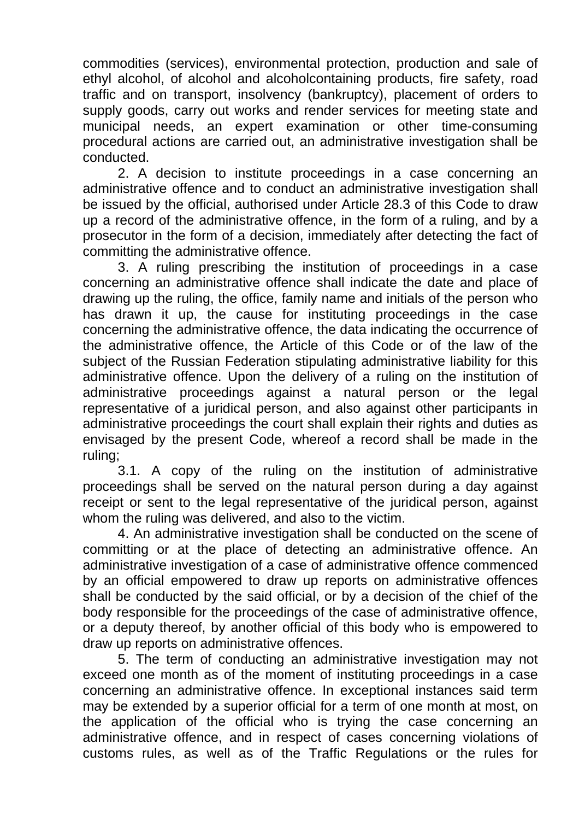commodities (services), environmental protection, production and sale of ethyl alcohol, of alcohol and alcoholcontaining products, fire safety, road traffic and on transport, insolvency (bankruptcy), placement of orders to supply goods, carry out works and render services for meeting state and municipal needs, an expert examination or other time-consuming procedural actions are carried out, an administrative investigation shall be conducted.

2. A decision to institute proceedings in a case concerning an administrative offence and to conduct an administrative investigation shall be issued by the official, authorised under Article 28.3 of this Code to draw up a record of the administrative offence, in the form of a ruling, and by a prosecutor in the form of a decision, immediately after detecting the fact of committing the administrative offence.

3. A ruling prescribing the institution of proceedings in a case concerning an administrative offence shall indicate the date and place of drawing up the ruling, the office, family name and initials of the person who has drawn it up, the cause for instituting proceedings in the case concerning the administrative offence, the data indicating the occurrence of the administrative offence, the Article of this Code or of the law of the subject of the Russian Federation stipulating administrative liability for this administrative offence. Upon the delivery of a ruling on the institution of administrative proceedings against a natural person or the legal representative of a juridical person, and also against other participants in administrative proceedings the court shall explain their rights and duties as envisaged by the present Code, whereof a record shall be made in the ruling;

3.1. A copy of the ruling on the institution of administrative proceedings shall be served on the natural person during a day against receipt or sent to the legal representative of the juridical person, against whom the ruling was delivered, and also to the victim.

4. An administrative investigation shall be conducted on the scene of committing or at the place of detecting an administrative offence. An administrative investigation of a case of administrative offence commenced by an official empowered to draw up reports on administrative offences shall be conducted by the said official, or by a decision of the chief of the body responsible for the proceedings of the case of administrative offence, or a deputy thereof, by another official of this body who is empowered to draw up reports on administrative offences.

5. The term of conducting an administrative investigation may not exceed one month as of the moment of instituting proceedings in a case concerning an administrative offence. In exceptional instances said term may be extended by a superior official for a term of one month at most, on the application of the official who is trying the case concerning an administrative offence, and in respect of cases concerning violations of customs rules, as well as of the Traffic Regulations or the rules for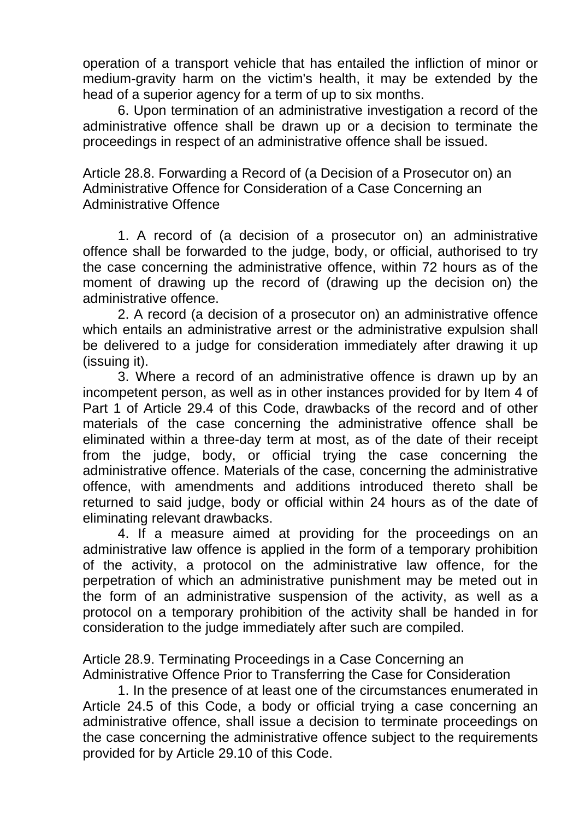operation of a transport vehicle that has entailed the infliction of minor or medium-gravity harm on the victim's health, it may be extended by the head of a superior agency for a term of up to six months.

6. Upon termination of an administrative investigation a record of the administrative offence shall be drawn up or a decision to terminate the proceedings in respect of an administrative offence shall be issued.

Article 28.8. Forwarding a Record of (a Decision of a Prosecutor on) an Administrative Offence for Consideration of a Case Concerning an Administrative Offence

1. A record of (a decision of a prosecutor on) an administrative offence shall be forwarded to the judge, body, or official, authorised to try the case concerning the administrative offence, within 72 hours as of the moment of drawing up the record of (drawing up the decision on) the administrative offence.

2. A record (a decision of a prosecutor on) an administrative offence which entails an administrative arrest or the administrative expulsion shall be delivered to a judge for consideration immediately after drawing it up (issuing it).

3. Where a record of an administrative offence is drawn up by an incompetent person, as well as in other instances provided for by Item 4 of Part 1 of Article 29.4 of this Code, drawbacks of the record and of other materials of the case concerning the administrative offence shall be eliminated within a three-day term at most, as of the date of their receipt from the judge, body, or official trying the case concerning the administrative offence. Materials of the case, concerning the administrative offence, with amendments and additions introduced thereto shall be returned to said judge, body or official within 24 hours as of the date of eliminating relevant drawbacks.

4. If a measure aimed at providing for the proceedings on an administrative law offence is applied in the form of a temporary prohibition of the activity, a protocol on the administrative law offence, for the perpetration of which an administrative punishment may be meted out in the form of an administrative suspension of the activity, as well as a protocol on a temporary prohibition of the activity shall be handed in for consideration to the judge immediately after such are compiled.

Article 28.9. Terminating Proceedings in a Case Concerning an Administrative Offence Prior to Transferring the Case for Consideration

1. In the presence of at least one of the circumstances enumerated in Article 24.5 of this Code, a body or official trying a case concerning an administrative offence, shall issue a decision to terminate proceedings on the case concerning the administrative offence subject to the requirements provided for by Article 29.10 of this Code.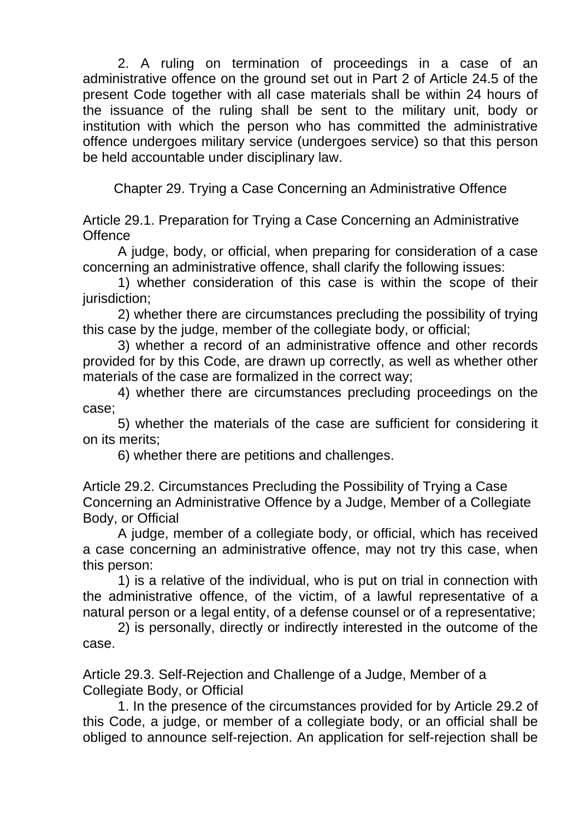2. A ruling on termination of proceedings in a case of an administrative offence on the ground set out in Part 2 of Article 24.5 of the present Code together with all case materials shall be within 24 hours of the issuance of the ruling shall be sent to the military unit, body or institution with which the person who has committed the administrative offence undergoes military service (undergoes service) so that this person be held accountable under disciplinary law.

Chapter 29. Trying a Case Concerning an Administrative Offence

Article 29.1. Preparation for Trying a Case Concerning an Administrative **Offence** 

A judge, body, or official, when preparing for consideration of a case concerning an administrative offence, shall clarify the following issues:

1) whether consideration of this case is within the scope of their jurisdiction;

2) whether there are circumstances precluding the possibility of trying this case by the judge, member of the collegiate body, or official;

3) whether a record of an administrative offence and other records provided for by this Code, are drawn up correctly, as well as whether other materials of the case are formalized in the correct way;

4) whether there are circumstances precluding proceedings on the case;

5) whether the materials of the case are sufficient for considering it on its merits;

6) whether there are petitions and challenges.

Article 29.2. Circumstances Precluding the Possibility of Trying a Case Concerning an Administrative Offence by a Judge, Member of a Collegiate Body, or Official

A judge, member of a collegiate body, or official, which has received a case concerning an administrative offence, may not try this case, when this person:

1) is a relative of the individual, who is put on trial in connection with the administrative offence, of the victim, of a lawful representative of a natural person or a legal entity, of a defense counsel or of a representative;

2) is personally, directly or indirectly interested in the outcome of the case.

Article 29.3. Self-Rejection and Challenge of a Judge, Member of a Collegiate Body, or Official

1. In the presence of the circumstances provided for by Article 29.2 of this Code, a judge, or member of a collegiate body, or an official shall be obliged to announce self-rejection. An application for self-rejection shall be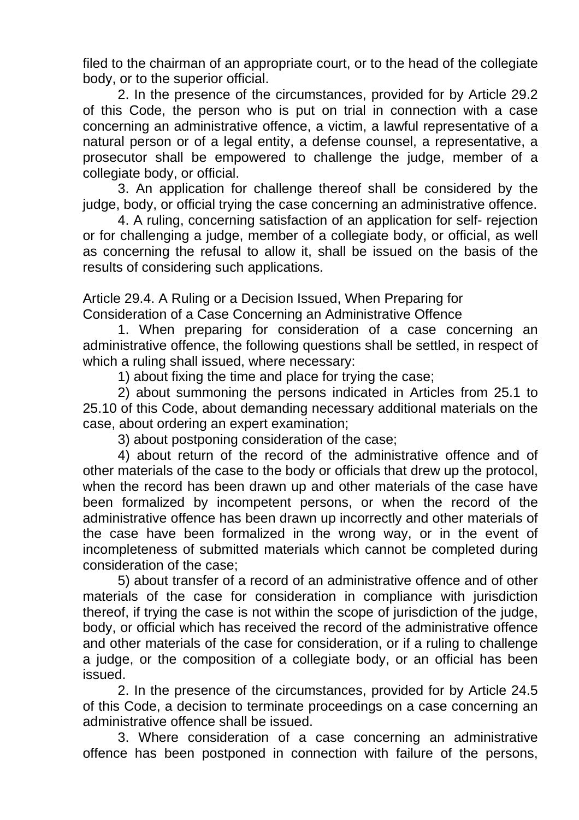filed to the chairman of an appropriate court, or to the head of the collegiate body, or to the superior official.

2. In the presence of the circumstances, provided for by Article 29.2 of this Code, the person who is put on trial in connection with a case concerning an administrative offence, a victim, a lawful representative of a natural person or of a legal entity, a defense counsel, a representative, a prosecutor shall be empowered to challenge the judge, member of a collegiate body, or official.

3. An application for challenge thereof shall be considered by the judge, body, or official trying the case concerning an administrative offence.

4. A ruling, concerning satisfaction of an application for self- rejection or for challenging a judge, member of a collegiate body, or official, as well as concerning the refusal to allow it, shall be issued on the basis of the results of considering such applications.

Article 29.4. A Ruling or a Decision Issued, When Preparing for Consideration of a Case Concerning an Administrative Offence

1. When preparing for consideration of a case concerning an administrative offence, the following questions shall be settled, in respect of which a ruling shall issued, where necessary:

1) about fixing the time and place for trying the case;

2) about summoning the persons indicated in Articles from 25.1 to 25.10 of this Code, about demanding necessary additional materials on the case, about ordering an expert examination;

3) about postponing consideration of the case;

4) about return of the record of the administrative offence and of other materials of the case to the body or officials that drew up the protocol, when the record has been drawn up and other materials of the case have been formalized by incompetent persons, or when the record of the administrative offence has been drawn up incorrectly and other materials of the case have been formalized in the wrong way, or in the event of incompleteness of submitted materials which cannot be completed during consideration of the case;

5) about transfer of a record of an administrative offence and of other materials of the case for consideration in compliance with jurisdiction thereof, if trying the case is not within the scope of jurisdiction of the judge, body, or official which has received the record of the administrative offence and other materials of the case for consideration, or if a ruling to challenge a judge, or the composition of a collegiate body, or an official has been issued.

2. In the presence of the circumstances, provided for by Article 24.5 of this Code, a decision to terminate proceedings on a case concerning an administrative offence shall be issued.

3. Where consideration of a case concerning an administrative offence has been postponed in connection with failure of the persons,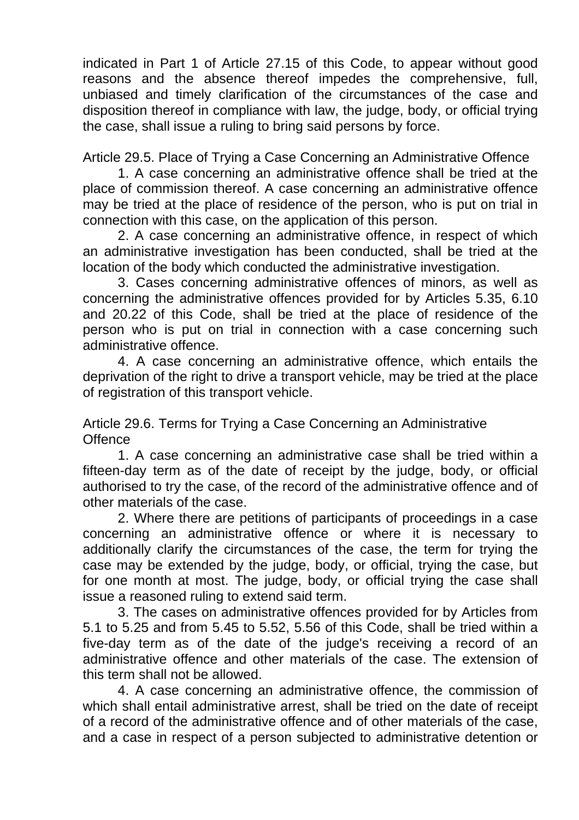indicated in Part 1 of Article 27.15 of this Code, to appear without good reasons and the absence thereof impedes the comprehensive, full, unbiased and timely clarification of the circumstances of the case and disposition thereof in compliance with law, the judge, body, or official trying the case, shall issue a ruling to bring said persons by force.

Article 29.5. Place of Trying a Case Concerning an Administrative Offence

1. A case concerning an administrative offence shall be tried at the place of commission thereof. A case concerning an administrative offence may be tried at the place of residence of the person, who is put on trial in connection with this case, on the application of this person.

2. A case concerning an administrative offence, in respect of which an administrative investigation has been conducted, shall be tried at the location of the body which conducted the administrative investigation.

3. Cases concerning administrative offences of minors, as well as concerning the administrative offences provided for by Articles 5.35, 6.10 and 20.22 of this Code, shall be tried at the place of residence of the person who is put on trial in connection with a case concerning such administrative offence.

4. A case concerning an administrative offence, which entails the deprivation of the right to drive a transport vehicle, may be tried at the place of registration of this transport vehicle.

Article 29.6. Terms for Trying a Case Concerning an Administrative **Offence** 

1. A case concerning an administrative case shall be tried within a fifteen-day term as of the date of receipt by the judge, body, or official authorised to try the case, of the record of the administrative offence and of other materials of the case.

2. Where there are petitions of participants of proceedings in a case concerning an administrative offence or where it is necessary to additionally clarify the circumstances of the case, the term for trying the case may be extended by the judge, body, or official, trying the case, but for one month at most. The judge, body, or official trying the case shall issue a reasoned ruling to extend said term.

3. The cases on administrative offences provided for by Articles from 5.1 to 5.25 and from 5.45 to 5.52, 5.56 of this Code, shall be tried within a five-day term as of the date of the judge's receiving a record of an administrative offence and other materials of the case. The extension of this term shall not be allowed.

4. A case concerning an administrative offence, the commission of which shall entail administrative arrest, shall be tried on the date of receipt of a record of the administrative offence and of other materials of the case, and a case in respect of a person subjected to administrative detention or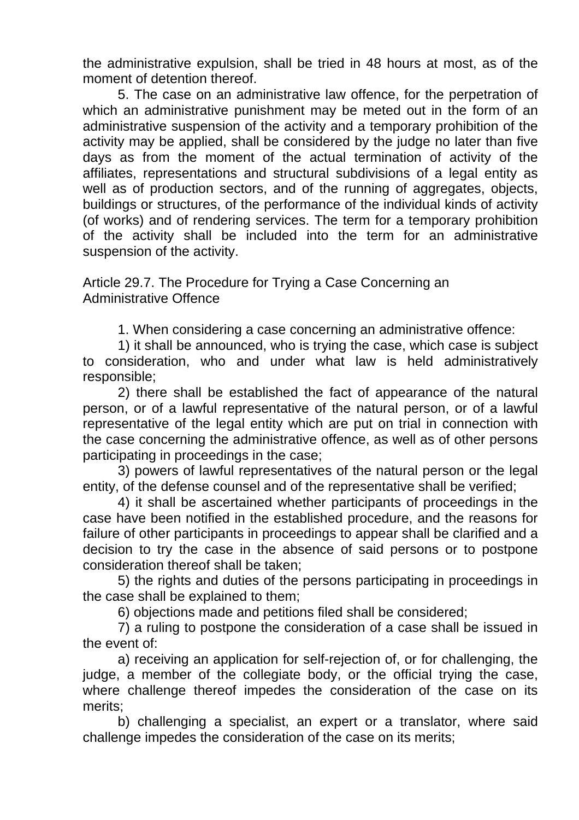the administrative expulsion, shall be tried in 48 hours at most, as of the moment of detention thereof.

5. The case on an administrative law offence, for the perpetration of which an administrative punishment may be meted out in the form of an administrative suspension of the activity and a temporary prohibition of the activity may be applied, shall be considered by the judge no later than five days as from the moment of the actual termination of activity of the affiliates, representations and structural subdivisions of a legal entity as well as of production sectors, and of the running of aggregates, objects, buildings or structures, of the performance of the individual kinds of activity (of works) and of rendering services. The term for a temporary prohibition of the activity shall be included into the term for an administrative suspension of the activity.

Article 29.7. The Procedure for Trying a Case Concerning an Administrative Offence

1. When considering a case concerning an administrative offence:

1) it shall be announced, who is trying the case, which case is subject to consideration, who and under what law is held administratively responsible;

2) there shall be established the fact of appearance of the natural person, or of a lawful representative of the natural person, or of a lawful representative of the legal entity which are put on trial in connection with the case concerning the administrative offence, as well as of other persons participating in proceedings in the case;

3) powers of lawful representatives of the natural person or the legal entity, of the defense counsel and of the representative shall be verified;

4) it shall be ascertained whether participants of proceedings in the case have been notified in the established procedure, and the reasons for failure of other participants in proceedings to appear shall be clarified and a decision to try the case in the absence of said persons or to postpone consideration thereof shall be taken;

5) the rights and duties of the persons participating in proceedings in the case shall be explained to them;

6) objections made and petitions filed shall be considered;

7) a ruling to postpone the consideration of a case shall be issued in the event of:

a) receiving an application for self-rejection of, or for challenging, the judge, a member of the collegiate body, or the official trying the case, where challenge thereof impedes the consideration of the case on its merits;

b) challenging a specialist, an expert or a translator, where said challenge impedes the consideration of the case on its merits;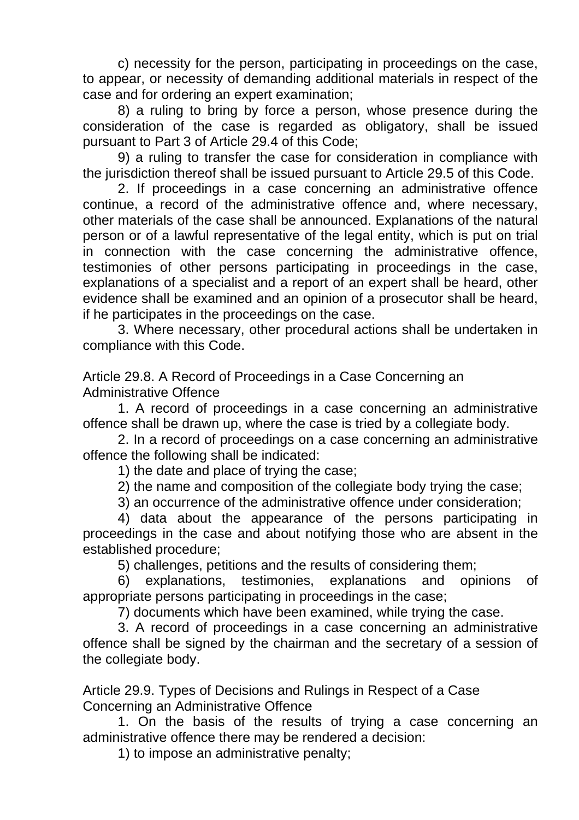c) necessity for the person, participating in proceedings on the case, to appear, or necessity of demanding additional materials in respect of the case and for ordering an expert examination;

8) a ruling to bring by force a person, whose presence during the consideration of the case is regarded as obligatory, shall be issued pursuant to Part 3 of Article 29.4 of this Code;

9) a ruling to transfer the case for consideration in compliance with the jurisdiction thereof shall be issued pursuant to Article 29.5 of this Code.

2. If proceedings in a case concerning an administrative offence continue, a record of the administrative offence and, where necessary, other materials of the case shall be announced. Explanations of the natural person or of a lawful representative of the legal entity, which is put on trial in connection with the case concerning the administrative offence, testimonies of other persons participating in proceedings in the case, explanations of a specialist and a report of an expert shall be heard, other evidence shall be examined and an opinion of a prosecutor shall be heard, if he participates in the proceedings on the case.

3. Where necessary, other procedural actions shall be undertaken in compliance with this Code.

Article 29.8. A Record of Proceedings in a Case Concerning an Administrative Offence

1. A record of proceedings in a case concerning an administrative offence shall be drawn up, where the case is tried by a collegiate body.

2. In a record of proceedings on a case concerning an administrative offence the following shall be indicated:

1) the date and place of trying the case;

2) the name and composition of the collegiate body trying the case;

3) an occurrence of the administrative offence under consideration;

4) data about the appearance of the persons participating in proceedings in the case and about notifying those who are absent in the established procedure;

5) challenges, petitions and the results of considering them;

6) explanations, testimonies, explanations and opinions of appropriate persons participating in proceedings in the case;

7) documents which have been examined, while trying the case.

3. A record of proceedings in a case concerning an administrative offence shall be signed by the chairman and the secretary of a session of the collegiate body.

Article 29.9. Types of Decisions and Rulings in Respect of a Case Concerning an Administrative Offence

1. On the basis of the results of trying a case concerning an administrative offence there may be rendered a decision:

1) to impose an administrative penalty;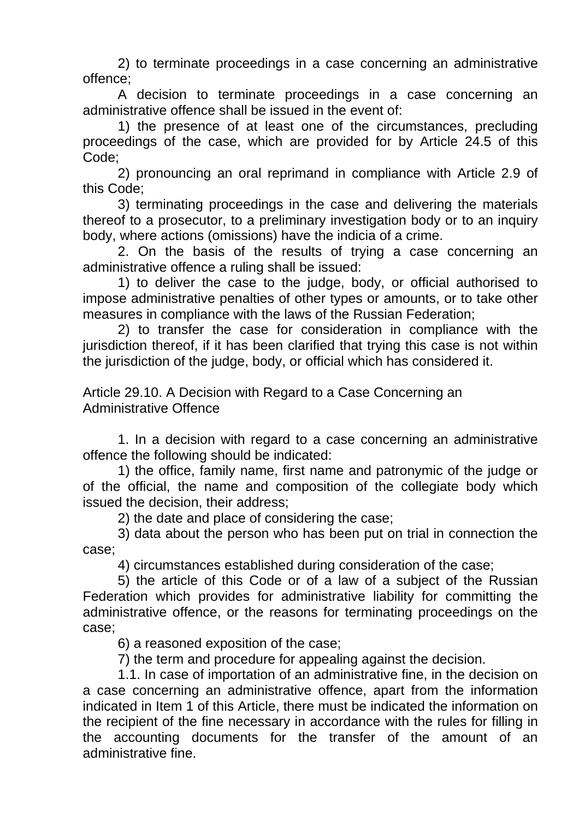2) to terminate proceedings in a case concerning an administrative offence;

A decision to terminate proceedings in a case concerning an administrative offence shall be issued in the event of:

1) the presence of at least one of the circumstances, precluding proceedings of the case, which are provided for by Article 24.5 of this Code;

2) pronouncing an oral reprimand in compliance with Article 2.9 of this Code;

3) terminating proceedings in the case and delivering the materials thereof to a prosecutor, to a preliminary investigation body or to an inquiry body, where actions (omissions) have the indicia of a crime.

2. On the basis of the results of trying a case concerning an administrative offence a ruling shall be issued:

1) to deliver the case to the judge, body, or official authorised to impose administrative penalties of other types or amounts, or to take other measures in compliance with the laws of the Russian Federation;

2) to transfer the case for consideration in compliance with the jurisdiction thereof, if it has been clarified that trying this case is not within the jurisdiction of the judge, body, or official which has considered it.

Article 29.10. A Decision with Regard to a Case Concerning an Administrative Offence

1. In a decision with regard to a case concerning an administrative offence the following should be indicated:

1) the office, family name, first name and patronymic of the judge or of the official, the name and composition of the collegiate body which issued the decision, their address;

2) the date and place of considering the case;

3) data about the person who has been put on trial in connection the case;

4) circumstances established during consideration of the case;

5) the article of this Code or of a law of a subject of the Russian Federation which provides for administrative liability for committing the administrative offence, or the reasons for terminating proceedings on the case;

6) a reasoned exposition of the case;

7) the term and procedure for appealing against the decision.

1.1. In case of importation of an administrative fine, in the decision on a case concerning an administrative offence, apart from the information indicated in Item 1 of this Article, there must be indicated the information on the recipient of the fine necessary in accordance with the rules for filling in the accounting documents for the transfer of the amount of an administrative fine.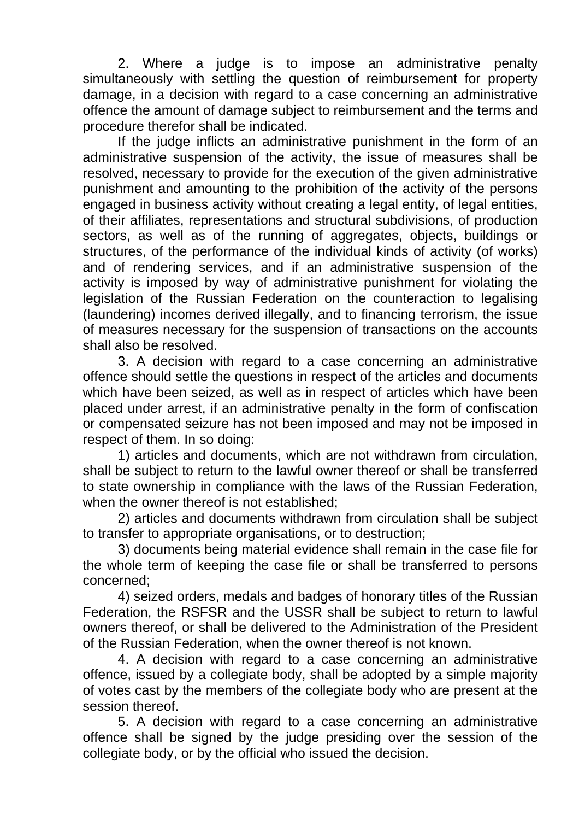2. Where a judge is to impose an administrative penalty simultaneously with settling the question of reimbursement for property damage, in a decision with regard to a case concerning an administrative offence the amount of damage subject to reimbursement and the terms and procedure therefor shall be indicated.

If the judge inflicts an administrative punishment in the form of an administrative suspension of the activity, the issue of measures shall be resolved, necessary to provide for the execution of the given administrative punishment and amounting to the prohibition of the activity of the persons engaged in business activity without creating a legal entity, of legal entities, of their affiliates, representations and structural subdivisions, of production sectors, as well as of the running of aggregates, objects, buildings or structures, of the performance of the individual kinds of activity (of works) and of rendering services, and if an administrative suspension of the activity is imposed by way of administrative punishment for violating the legislation of the Russian Federation on the counteraction to legalising (laundering) incomes derived illegally, and to financing terrorism, the issue of measures necessary for the suspension of transactions on the accounts shall also be resolved.

3. A decision with regard to a case concerning an administrative offence should settle the questions in respect of the articles and documents which have been seized, as well as in respect of articles which have been placed under arrest, if an administrative penalty in the form of confiscation or compensated seizure has not been imposed and may not be imposed in respect of them. In so doing:

1) articles and documents, which are not withdrawn from circulation, shall be subject to return to the lawful owner thereof or shall be transferred to state ownership in compliance with the laws of the Russian Federation, when the owner thereof is not established:

2) articles and documents withdrawn from circulation shall be subject to transfer to appropriate organisations, or to destruction;

3) documents being material evidence shall remain in the case file for the whole term of keeping the case file or shall be transferred to persons concerned;

4) seized orders, medals and badges of honorary titles of the Russian Federation, the RSFSR and the USSR shall be subject to return to lawful owners thereof, or shall be delivered to the Administration of the President of the Russian Federation, when the owner thereof is not known.

4. A decision with regard to a case concerning an administrative offence, issued by a collegiate body, shall be adopted by a simple majority of votes cast by the members of the collegiate body who are present at the session thereof.

5. A decision with regard to a case concerning an administrative offence shall be signed by the judge presiding over the session of the collegiate body, or by the official who issued the decision.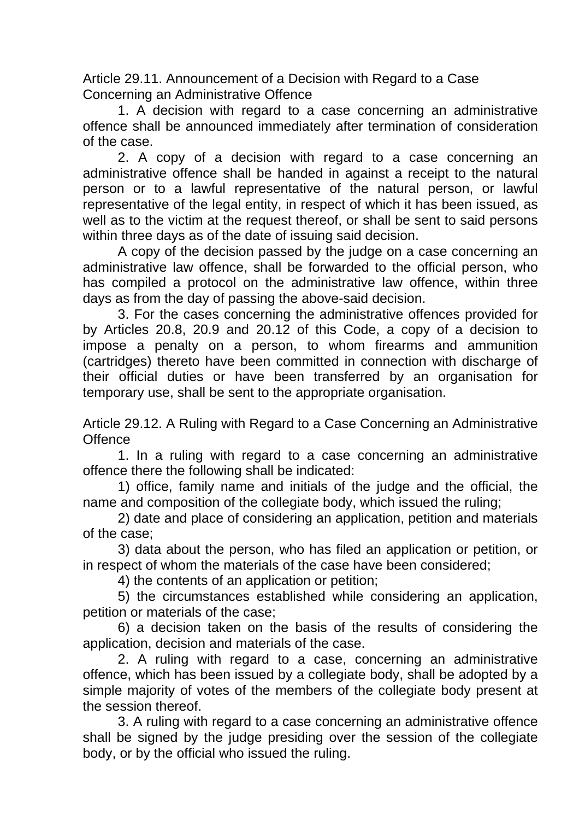Article 29.11. Announcement of a Decision with Regard to a Case Concerning an Administrative Offence

1. A decision with regard to a case concerning an administrative offence shall be announced immediately after termination of consideration of the case.

2. A copy of a decision with regard to a case concerning an administrative offence shall be handed in against a receipt to the natural person or to a lawful representative of the natural person, or lawful representative of the legal entity, in respect of which it has been issued, as well as to the victim at the request thereof, or shall be sent to said persons within three days as of the date of issuing said decision.

A copy of the decision passed by the judge on a case concerning an administrative law offence, shall be forwarded to the official person, who has compiled a protocol on the administrative law offence, within three days as from the day of passing the above-said decision.

3. For the cases concerning the administrative offences provided for by Articles 20.8, 20.9 and 20.12 of this Code, a copy of a decision to impose a penalty on a person, to whom firearms and ammunition (cartridges) thereto have been committed in connection with discharge of their official duties or have been transferred by an organisation for temporary use, shall be sent to the appropriate organisation.

Article 29.12. A Ruling with Regard to a Case Concerning an Administrative **Offence** 

1. In a ruling with regard to a case concerning an administrative offence there the following shall be indicated:

1) office, family name and initials of the judge and the official, the name and composition of the collegiate body, which issued the ruling;

2) date and place of considering an application, petition and materials of the case;

3) data about the person, who has filed an application or petition, or in respect of whom the materials of the case have been considered;

4) the contents of an application or petition;

5) the circumstances established while considering an application, petition or materials of the case;

6) a decision taken on the basis of the results of considering the application, decision and materials of the case.

2. A ruling with regard to a case, concerning an administrative offence, which has been issued by a collegiate body, shall be adopted by a simple majority of votes of the members of the collegiate body present at the session thereof.

3. A ruling with regard to a case concerning an administrative offence shall be signed by the judge presiding over the session of the collegiate body, or by the official who issued the ruling.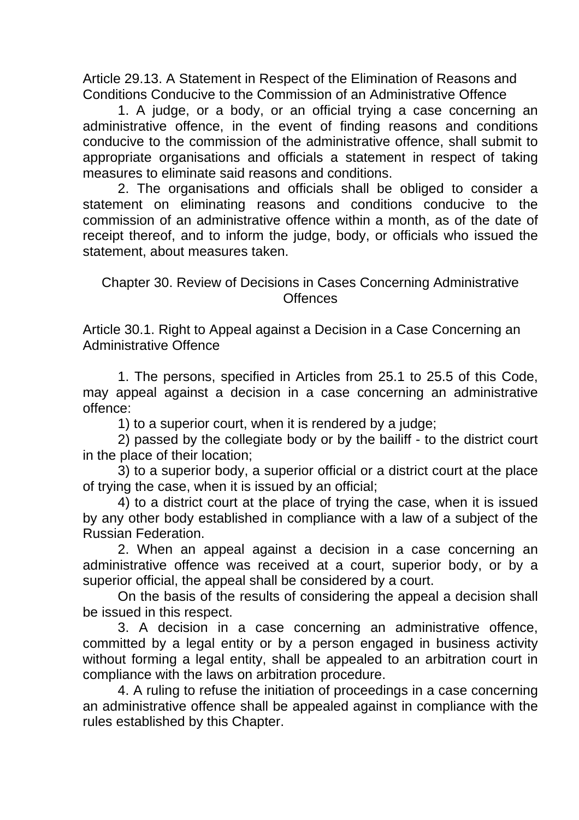Article 29.13. A Statement in Respect of the Elimination of Reasons and Conditions Conducive to the Commission of an Administrative Offence

1. A judge, or a body, or an official trying a case concerning an administrative offence, in the event of finding reasons and conditions conducive to the commission of the administrative offence, shall submit to appropriate organisations and officials a statement in respect of taking measures to eliminate said reasons and conditions.

2. The organisations and officials shall be obliged to consider a statement on eliminating reasons and conditions conducive to the commission of an administrative offence within a month, as of the date of receipt thereof, and to inform the judge, body, or officials who issued the statement, about measures taken.

## Chapter 30. Review of Decisions in Cases Concerning Administrative **Offences**

Article 30.1. Right to Appeal against a Decision in a Case Concerning an Administrative Offence

1. The persons, specified in Articles from 25.1 to 25.5 of this Code, may appeal against a decision in a case concerning an administrative offence:

1) to a superior court, when it is rendered by a judge;

2) passed by the collegiate body or by the bailiff - to the district court in the place of their location;

3) to a superior body, a superior official or a district court at the place of trying the case, when it is issued by an official;

4) to a district court at the place of trying the case, when it is issued by any other body established in compliance with a law of a subject of the Russian Federation.

2. When an appeal against a decision in a case concerning an administrative offence was received at a court, superior body, or by a superior official, the appeal shall be considered by a court.

On the basis of the results of considering the appeal a decision shall be issued in this respect.

3. A decision in a case concerning an administrative offence, committed by a legal entity or by a person engaged in business activity without forming a legal entity, shall be appealed to an arbitration court in compliance with the laws on arbitration procedure.

4. A ruling to refuse the initiation of proceedings in a case concerning an administrative offence shall be appealed against in compliance with the rules established by this Chapter.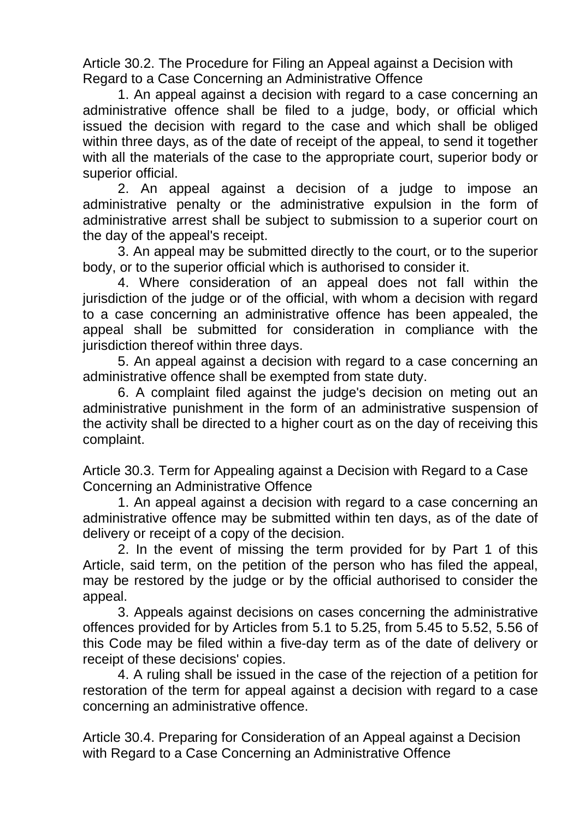Article 30.2. The Procedure for Filing an Appeal against a Decision with Regard to a Case Concerning an Administrative Offence

1. An appeal against a decision with regard to a case concerning an administrative offence shall be filed to a judge, body, or official which issued the decision with regard to the case and which shall be obliged within three days, as of the date of receipt of the appeal, to send it together with all the materials of the case to the appropriate court, superior body or superior official.

2. An appeal against a decision of a judge to impose an administrative penalty or the administrative expulsion in the form of administrative arrest shall be subject to submission to a superior court on the day of the appeal's receipt.

3. An appeal may be submitted directly to the court, or to the superior body, or to the superior official which is authorised to consider it.

4. Where consideration of an appeal does not fall within the jurisdiction of the judge or of the official, with whom a decision with regard to a case concerning an administrative offence has been appealed, the appeal shall be submitted for consideration in compliance with the jurisdiction thereof within three days.

5. An appeal against a decision with regard to a case concerning an administrative offence shall be exempted from state duty.

6. A complaint filed against the judge's decision on meting out an administrative punishment in the form of an administrative suspension of the activity shall be directed to a higher court as on the day of receiving this complaint.

Article 30.3. Term for Appealing against a Decision with Regard to a Case Concerning an Administrative Offence

1. An appeal against a decision with regard to a case concerning an administrative offence may be submitted within ten days, as of the date of delivery or receipt of a copy of the decision.

2. In the event of missing the term provided for by Part 1 of this Article, said term, on the petition of the person who has filed the appeal, may be restored by the judge or by the official authorised to consider the appeal.

3. Appeals against decisions on cases concerning the administrative offences provided for by Articles from 5.1 to 5.25, from 5.45 to 5.52, 5.56 of this Code may be filed within a five-day term as of the date of delivery or receipt of these decisions' copies.

4. A ruling shall be issued in the case of the rejection of a petition for restoration of the term for appeal against a decision with regard to a case concerning an administrative offence.

Article 30.4. Preparing for Consideration of an Appeal against a Decision with Regard to a Case Concerning an Administrative Offence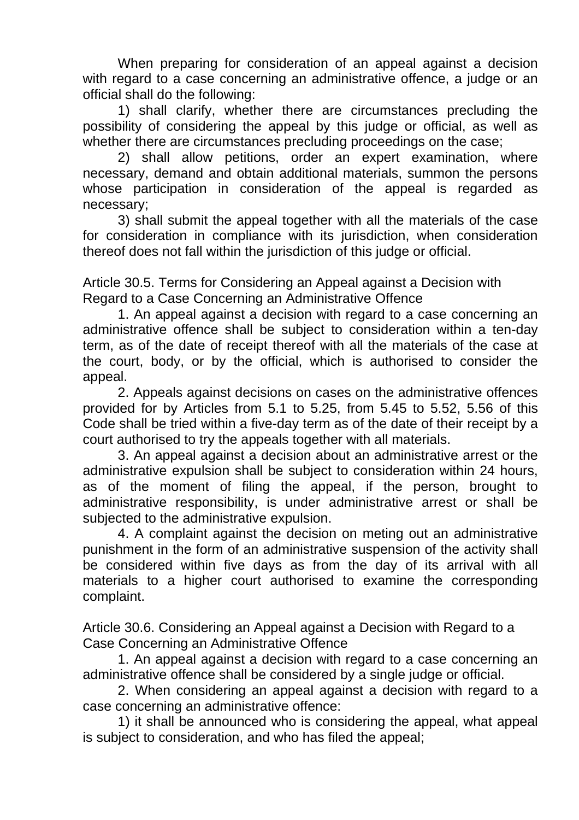When preparing for consideration of an appeal against a decision with regard to a case concerning an administrative offence, a judge or an official shall do the following:

1) shall clarify, whether there are circumstances precluding the possibility of considering the appeal by this judge or official, as well as whether there are circumstances precluding proceedings on the case;

2) shall allow petitions, order an expert examination, where necessary, demand and obtain additional materials, summon the persons whose participation in consideration of the appeal is regarded as necessary;

3) shall submit the appeal together with all the materials of the case for consideration in compliance with its jurisdiction, when consideration thereof does not fall within the jurisdiction of this judge or official.

Article 30.5. Terms for Considering an Appeal against a Decision with Regard to a Case Concerning an Administrative Offence

1. An appeal against a decision with regard to a case concerning an administrative offence shall be subject to consideration within a ten-day term, as of the date of receipt thereof with all the materials of the case at the court, body, or by the official, which is authorised to consider the appeal.

2. Appeals against decisions on cases on the administrative offences provided for by Articles from 5.1 to 5.25, from 5.45 to 5.52, 5.56 of this Code shall be tried within a five-day term as of the date of their receipt by a court authorised to try the appeals together with all materials.

3. An appeal against a decision about an administrative arrest or the administrative expulsion shall be subject to consideration within 24 hours, as of the moment of filing the appeal, if the person, brought to administrative responsibility, is under administrative arrest or shall be subjected to the administrative expulsion.

4. A complaint against the decision on meting out an administrative punishment in the form of an administrative suspension of the activity shall be considered within five days as from the day of its arrival with all materials to a higher court authorised to examine the corresponding complaint.

Article 30.6. Considering an Appeal against a Decision with Regard to a Case Concerning an Administrative Offence

1. An appeal against a decision with regard to a case concerning an administrative offence shall be considered by a single judge or official.

2. When considering an appeal against a decision with regard to a case concerning an administrative offence:

1) it shall be announced who is considering the appeal, what appeal is subject to consideration, and who has filed the appeal;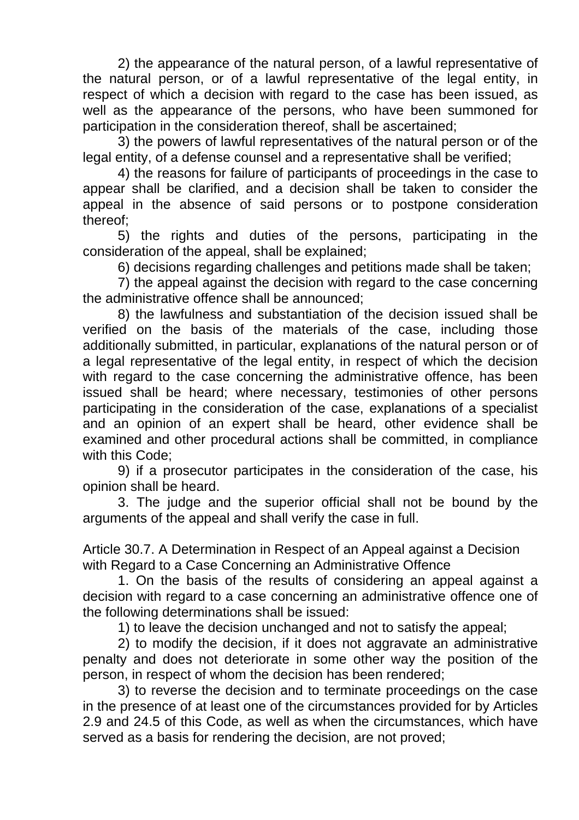2) the appearance of the natural person, of a lawful representative of the natural person, or of a lawful representative of the legal entity, in respect of which a decision with regard to the case has been issued, as well as the appearance of the persons, who have been summoned for participation in the consideration thereof, shall be ascertained;

3) the powers of lawful representatives of the natural person or of the legal entity, of a defense counsel and a representative shall be verified;

4) the reasons for failure of participants of proceedings in the case to appear shall be clarified, and a decision shall be taken to consider the appeal in the absence of said persons or to postpone consideration thereof;

5) the rights and duties of the persons, participating in the consideration of the appeal, shall be explained;

6) decisions regarding challenges and petitions made shall be taken;

7) the appeal against the decision with regard to the case concerning the administrative offence shall be announced;

8) the lawfulness and substantiation of the decision issued shall be verified on the basis of the materials of the case, including those additionally submitted, in particular, explanations of the natural person or of a legal representative of the legal entity, in respect of which the decision with regard to the case concerning the administrative offence, has been issued shall be heard; where necessary, testimonies of other persons participating in the consideration of the case, explanations of a specialist and an opinion of an expert shall be heard, other evidence shall be examined and other procedural actions shall be committed, in compliance with this Code;

9) if a prosecutor participates in the consideration of the case, his opinion shall be heard.

3. The judge and the superior official shall not be bound by the arguments of the appeal and shall verify the case in full.

Article 30.7. A Determination in Respect of an Appeal against a Decision with Regard to a Case Concerning an Administrative Offence

1. On the basis of the results of considering an appeal against a decision with regard to a case concerning an administrative offence one of the following determinations shall be issued:

1) to leave the decision unchanged and not to satisfy the appeal;

2) to modify the decision, if it does not aggravate an administrative penalty and does not deteriorate in some other way the position of the person, in respect of whom the decision has been rendered;

3) to reverse the decision and to terminate proceedings on the case in the presence of at least one of the circumstances provided for by Articles 2.9 and 24.5 of this Code, as well as when the circumstances, which have served as a basis for rendering the decision, are not proved;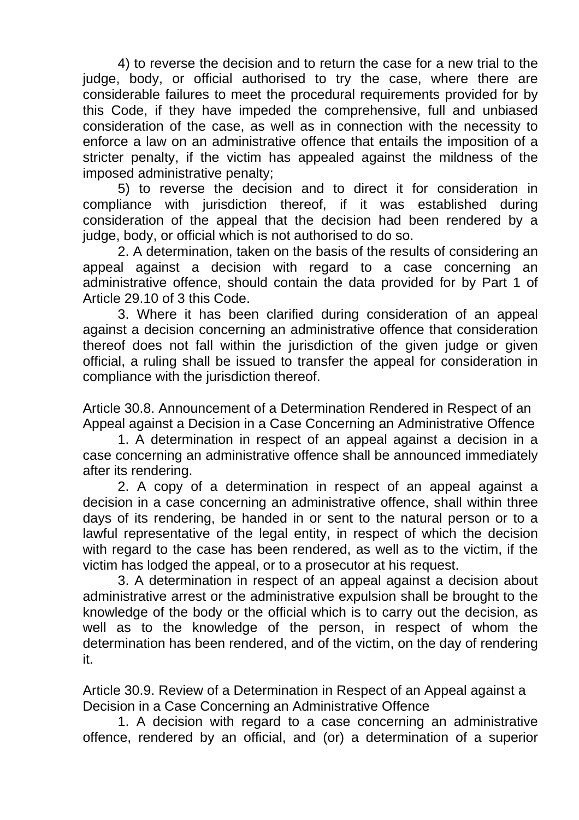4) to reverse the decision and to return the case for a new trial to the judge, body, or official authorised to try the case, where there are considerable failures to meet the procedural requirements provided for by this Code, if they have impeded the comprehensive, full and unbiased consideration of the case, as well as in connection with the necessity to enforce a law on an administrative offence that entails the imposition of a stricter penalty, if the victim has appealed against the mildness of the imposed administrative penalty;

5) to reverse the decision and to direct it for consideration in compliance with jurisdiction thereof, if it was established during consideration of the appeal that the decision had been rendered by a judge, body, or official which is not authorised to do so.

2. A determination, taken on the basis of the results of considering an appeal against a decision with regard to a case concerning an administrative offence, should contain the data provided for by Part 1 of Article 29.10 of 3 this Code.

3. Where it has been clarified during consideration of an appeal against a decision concerning an administrative offence that consideration thereof does not fall within the jurisdiction of the given judge or given official, a ruling shall be issued to transfer the appeal for consideration in compliance with the jurisdiction thereof.

Article 30.8. Announcement of a Determination Rendered in Respect of an Appeal against a Decision in a Case Concerning an Administrative Offence

1. A determination in respect of an appeal against a decision in a case concerning an administrative offence shall be announced immediately after its rendering.

2. A copy of a determination in respect of an appeal against a decision in a case concerning an administrative offence, shall within three days of its rendering, be handed in or sent to the natural person or to a lawful representative of the legal entity, in respect of which the decision with regard to the case has been rendered, as well as to the victim, if the victim has lodged the appeal, or to a prosecutor at his request.

3. A determination in respect of an appeal against a decision about administrative arrest or the administrative expulsion shall be brought to the knowledge of the body or the official which is to carry out the decision, as well as to the knowledge of the person, in respect of whom the determination has been rendered, and of the victim, on the day of rendering it.

Article 30.9. Review of a Determination in Respect of an Appeal against a Decision in a Case Concerning an Administrative Offence

1. A decision with regard to a case concerning an administrative offence, rendered by an official, and (or) a determination of a superior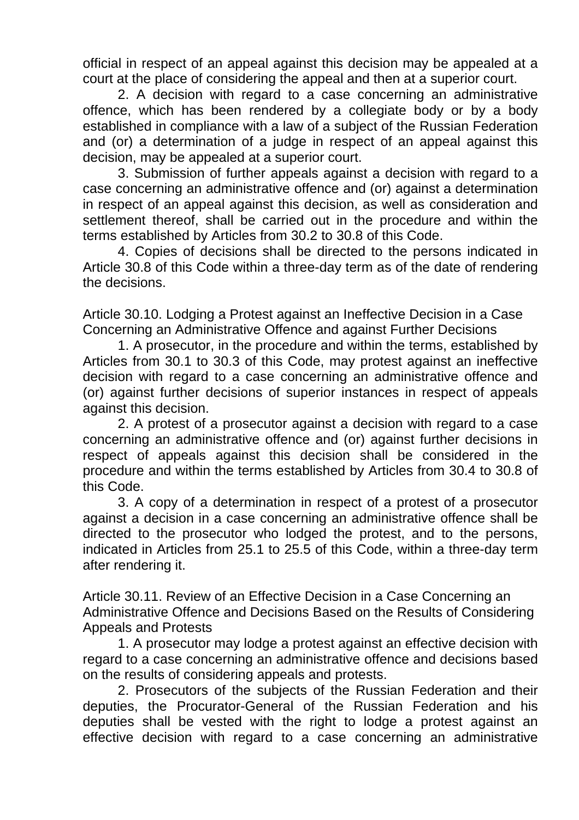official in respect of an appeal against this decision may be appealed at a court at the place of considering the appeal and then at a superior court.

2. A decision with regard to a case concerning an administrative offence, which has been rendered by a collegiate body or by a body established in compliance with a law of a subject of the Russian Federation and (or) a determination of a judge in respect of an appeal against this decision, may be appealed at a superior court.

3. Submission of further appeals against a decision with regard to a case concerning an administrative offence and (or) against a determination in respect of an appeal against this decision, as well as consideration and settlement thereof, shall be carried out in the procedure and within the terms established by Articles from 30.2 to 30.8 of this Code.

4. Copies of decisions shall be directed to the persons indicated in Article 30.8 of this Code within a three-day term as of the date of rendering the decisions.

Article 30.10. Lodging a Protest against an Ineffective Decision in a Case Concerning an Administrative Offence and against Further Decisions

1. A prosecutor, in the procedure and within the terms, established by Articles from 30.1 to 30.3 of this Code, may protest against an ineffective decision with regard to a case concerning an administrative offence and (or) against further decisions of superior instances in respect of appeals against this decision.

2. A protest of a prosecutor against a decision with regard to a case concerning an administrative offence and (or) against further decisions in respect of appeals against this decision shall be considered in the procedure and within the terms established by Articles from 30.4 to 30.8 of this Code.

3. A copy of a determination in respect of a protest of a prosecutor against a decision in a case concerning an administrative offence shall be directed to the prosecutor who lodged the protest, and to the persons, indicated in Articles from 25.1 to 25.5 of this Code, within a three-day term after rendering it.

Article 30.11. Review of an Effective Decision in a Case Concerning an Administrative Offence and Decisions Based on the Results of Considering Appeals and Protests

1. A prosecutor may lodge a protest against an effective decision with regard to a case concerning an administrative offence and decisions based on the results of considering appeals and protests.

2. Prosecutors of the subjects of the Russian Federation and their deputies, the Procurator-General of the Russian Federation and his deputies shall be vested with the right to lodge a protest against an effective decision with regard to a case concerning an administrative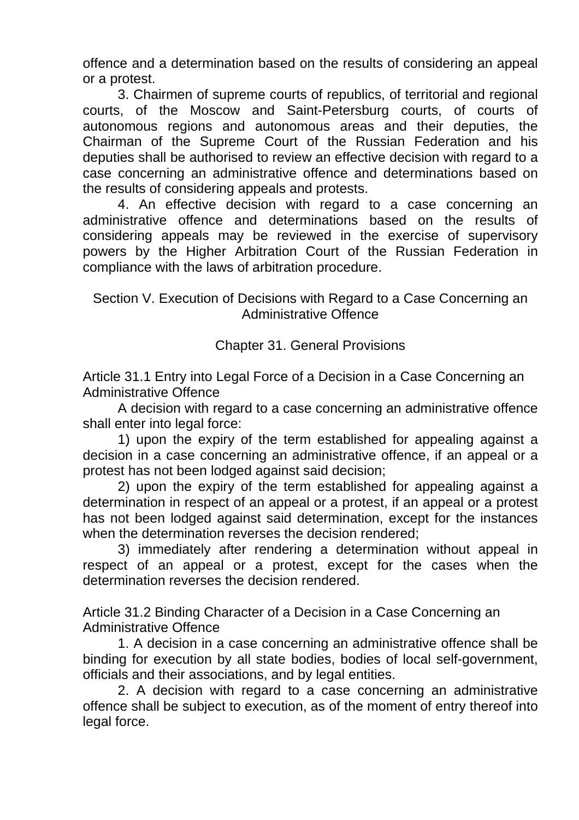offence and a determination based on the results of considering an appeal or a protest.

3. Chairmen of supreme courts of republics, of territorial and regional courts, of the Moscow and Saint-Petersburg courts, of courts of autonomous regions and autonomous areas and their deputies, the Chairman of the Supreme Court of the Russian Federation and his deputies shall be authorised to review an effective decision with regard to a case concerning an administrative offence and determinations based on the results of considering appeals and protests.

4. An effective decision with regard to a case concerning an administrative offence and determinations based on the results of considering appeals may be reviewed in the exercise of supervisory powers by the Higher Arbitration Court of the Russian Federation in compliance with the laws of arbitration procedure.

Section V. Execution of Decisions with Regard to a Case Concerning an Administrative Offence

Chapter 31. General Provisions

Article 31.1 Entry into Legal Force of a Decision in a Case Concerning an Administrative Offence

A decision with regard to a case concerning an administrative offence shall enter into legal force:

1) upon the expiry of the term established for appealing against a decision in a case concerning an administrative offence, if an appeal or a protest has not been lodged against said decision;

2) upon the expiry of the term established for appealing against a determination in respect of an appeal or a protest, if an appeal or a protest has not been lodged against said determination, except for the instances when the determination reverses the decision rendered;

3) immediately after rendering a determination without appeal in respect of an appeal or a protest, except for the cases when the determination reverses the decision rendered.

Article 31.2 Binding Character of a Decision in a Case Concerning an Administrative Offence

1. A decision in a case concerning an administrative offence shall be binding for execution by all state bodies, bodies of local self-government, officials and their associations, and by legal entities.

2. A decision with regard to a case concerning an administrative offence shall be subject to execution, as of the moment of entry thereof into legal force.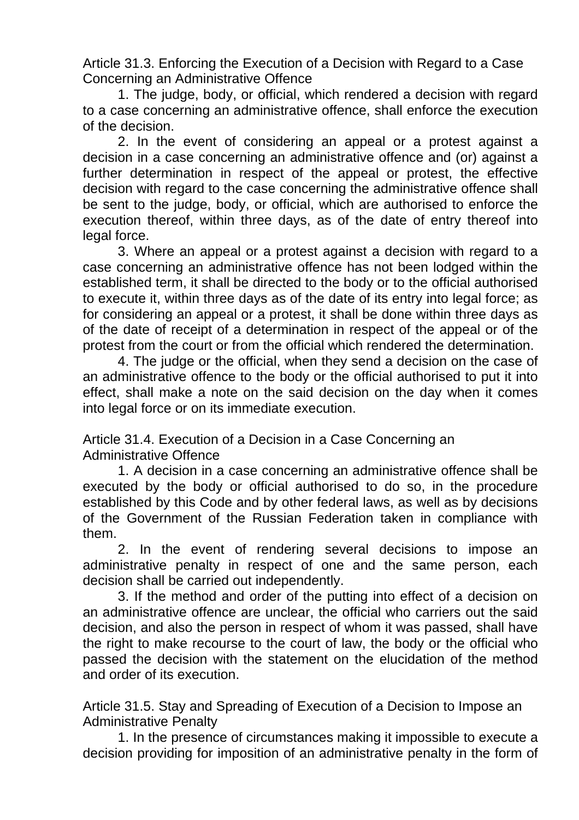Article 31.3. Enforcing the Execution of a Decision with Regard to a Case Concerning an Administrative Offence

1. The judge, body, or official, which rendered a decision with regard to a case concerning an administrative offence, shall enforce the execution of the decision.

2. In the event of considering an appeal or a protest against a decision in a case concerning an administrative offence and (or) against a further determination in respect of the appeal or protest, the effective decision with regard to the case concerning the administrative offence shall be sent to the judge, body, or official, which are authorised to enforce the execution thereof, within three days, as of the date of entry thereof into legal force.

3. Where an appeal or a protest against a decision with regard to a case concerning an administrative offence has not been lodged within the established term, it shall be directed to the body or to the official authorised to execute it, within three days as of the date of its entry into legal force; as for considering an appeal or a protest, it shall be done within three days as of the date of receipt of a determination in respect of the appeal or of the protest from the court or from the official which rendered the determination.

4. The judge or the official, when they send a decision on the case of an administrative offence to the body or the official authorised to put it into effect, shall make a note on the said decision on the day when it comes into legal force or on its immediate execution.

Article 31.4. Execution of a Decision in a Case Concerning an Administrative Offence

1. A decision in a case concerning an administrative offence shall be executed by the body or official authorised to do so, in the procedure established by this Code and by other federal laws, as well as by decisions of the Government of the Russian Federation taken in compliance with them.

2. In the event of rendering several decisions to impose an administrative penalty in respect of one and the same person, each decision shall be carried out independently.

3. If the method and order of the putting into effect of a decision on an administrative offence are unclear, the official who carriers out the said decision, and also the person in respect of whom it was passed, shall have the right to make recourse to the court of law, the body or the official who passed the decision with the statement on the elucidation of the method and order of its execution.

Article 31.5. Stay and Spreading of Execution of a Decision to Impose an Administrative Penalty

1. In the presence of circumstances making it impossible to execute a decision providing for imposition of an administrative penalty in the form of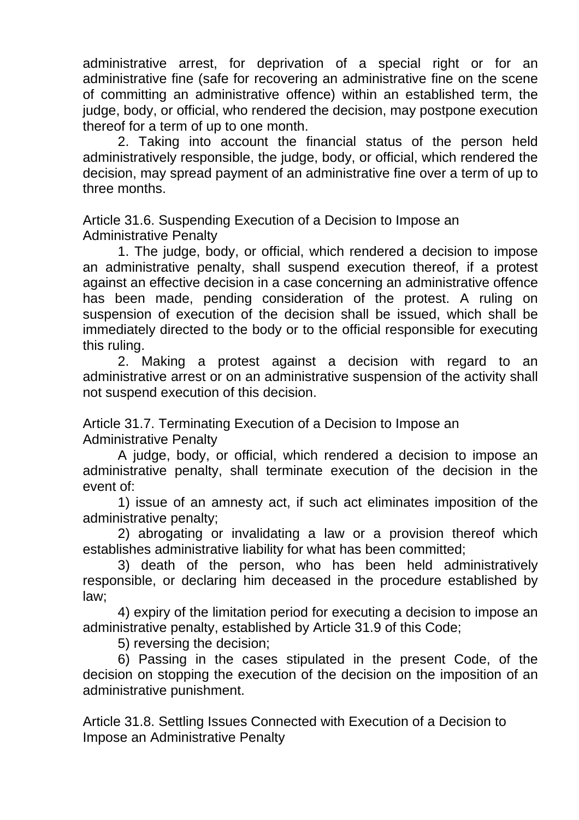administrative arrest, for deprivation of a special right or for an administrative fine (safe for recovering an administrative fine on the scene of committing an administrative offence) within an established term, the judge, body, or official, who rendered the decision, may postpone execution thereof for a term of up to one month.

2. Taking into account the financial status of the person held administratively responsible, the judge, body, or official, which rendered the decision, may spread payment of an administrative fine over a term of up to three months.

Article 31.6. Suspending Execution of a Decision to Impose an Administrative Penalty

1. The judge, body, or official, which rendered a decision to impose an administrative penalty, shall suspend execution thereof, if a protest against an effective decision in a case concerning an administrative offence has been made, pending consideration of the protest. A ruling on suspension of execution of the decision shall be issued, which shall be immediately directed to the body or to the official responsible for executing this ruling.

2. Making a protest against a decision with regard to an administrative arrest or on an administrative suspension of the activity shall not suspend execution of this decision.

Article 31.7. Terminating Execution of a Decision to Impose an Administrative Penalty

A judge, body, or official, which rendered a decision to impose an administrative penalty, shall terminate execution of the decision in the event of:

1) issue of an amnesty act, if such act eliminates imposition of the administrative penalty;

2) abrogating or invalidating a law or a provision thereof which establishes administrative liability for what has been committed;

3) death of the person, who has been held administratively responsible, or declaring him deceased in the procedure established by law;

4) expiry of the limitation period for executing a decision to impose an administrative penalty, established by Article 31.9 of this Code;

5) reversing the decision;

6) Passing in the cases stipulated in the present Code, of the decision on stopping the execution of the decision on the imposition of an administrative punishment.

Article 31.8. Settling Issues Connected with Execution of a Decision to Impose an Administrative Penalty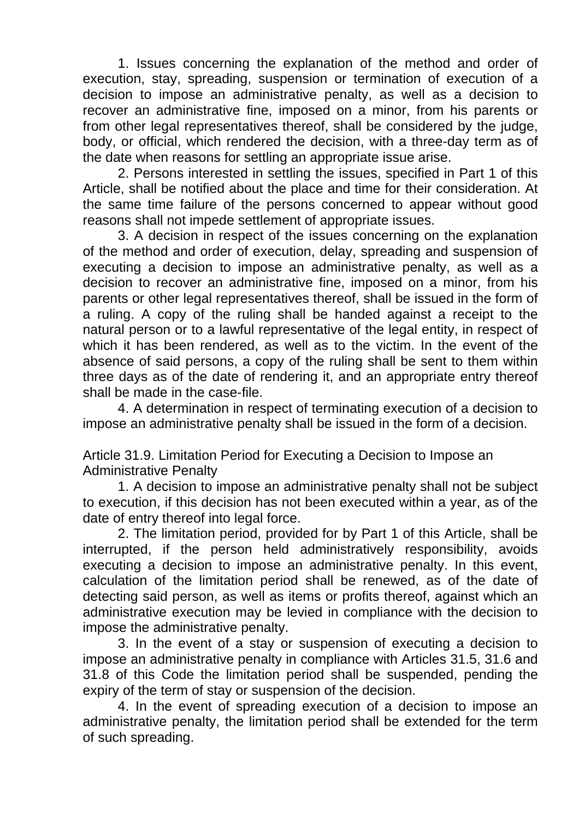1. Issues concerning the explanation of the method and order of execution, stay, spreading, suspension or termination of execution of a decision to impose an administrative penalty, as well as a decision to recover an administrative fine, imposed on a minor, from his parents or from other legal representatives thereof, shall be considered by the judge, body, or official, which rendered the decision, with a three-day term as of the date when reasons for settling an appropriate issue arise.

2. Persons interested in settling the issues, specified in Part 1 of this Article, shall be notified about the place and time for their consideration. At the same time failure of the persons concerned to appear without good reasons shall not impede settlement of appropriate issues.

3. A decision in respect of the issues concerning on the explanation of the method and order of execution, delay, spreading and suspension of executing a decision to impose an administrative penalty, as well as a decision to recover an administrative fine, imposed on a minor, from his parents or other legal representatives thereof, shall be issued in the form of a ruling. A copy of the ruling shall be handed against a receipt to the natural person or to a lawful representative of the legal entity, in respect of which it has been rendered, as well as to the victim. In the event of the absence of said persons, a copy of the ruling shall be sent to them within three days as of the date of rendering it, and an appropriate entry thereof shall be made in the case-file.

4. A determination in respect of terminating execution of a decision to impose an administrative penalty shall be issued in the form of a decision.

Article 31.9. Limitation Period for Executing a Decision to Impose an Administrative Penalty

1. A decision to impose an administrative penalty shall not be subject to execution, if this decision has not been executed within a year, as of the date of entry thereof into legal force.

2. The limitation period, provided for by Part 1 of this Article, shall be interrupted, if the person held administratively responsibility, avoids executing a decision to impose an administrative penalty. In this event, calculation of the limitation period shall be renewed, as of the date of detecting said person, as well as items or profits thereof, against which an administrative execution may be levied in compliance with the decision to impose the administrative penalty.

3. In the event of a stay or suspension of executing a decision to impose an administrative penalty in compliance with Articles 31.5, 31.6 and 31.8 of this Code the limitation period shall be suspended, pending the expiry of the term of stay or suspension of the decision.

4. In the event of spreading execution of a decision to impose an administrative penalty, the limitation period shall be extended for the term of such spreading.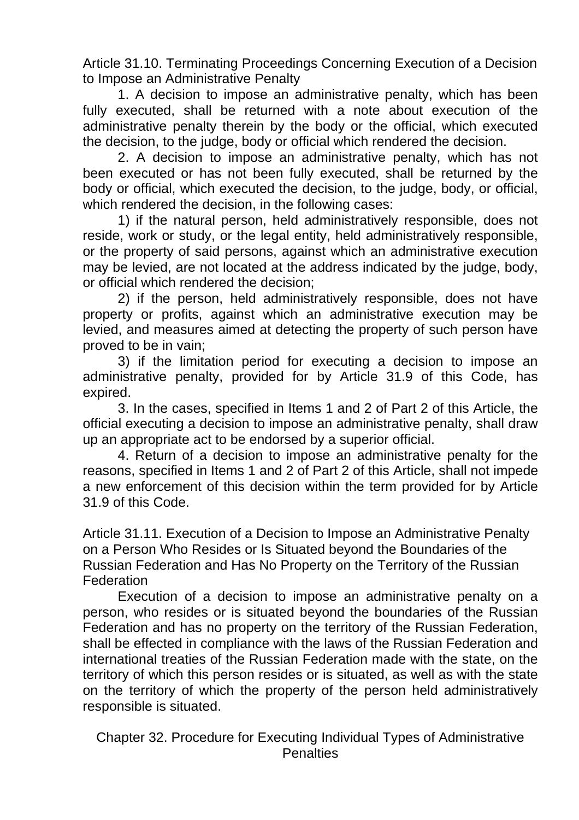Article 31.10. Terminating Proceedings Concerning Execution of a Decision to Impose an Administrative Penalty

1. A decision to impose an administrative penalty, which has been fully executed, shall be returned with a note about execution of the administrative penalty therein by the body or the official, which executed the decision, to the judge, body or official which rendered the decision.

2. A decision to impose an administrative penalty, which has not been executed or has not been fully executed, shall be returned by the body or official, which executed the decision, to the judge, body, or official, which rendered the decision, in the following cases:

1) if the natural person, held administratively responsible, does not reside, work or study, or the legal entity, held administratively responsible, or the property of said persons, against which an administrative execution may be levied, are not located at the address indicated by the judge, body, or official which rendered the decision;

2) if the person, held administratively responsible, does not have property or profits, against which an administrative execution may be levied, and measures aimed at detecting the property of such person have proved to be in vain;

3) if the limitation period for executing a decision to impose an administrative penalty, provided for by Article 31.9 of this Code, has expired.

3. In the cases, specified in Items 1 and 2 of Part 2 of this Article, the official executing a decision to impose an administrative penalty, shall draw up an appropriate act to be endorsed by a superior official.

4. Return of a decision to impose an administrative penalty for the reasons, specified in Items 1 and 2 of Part 2 of this Article, shall not impede a new enforcement of this decision within the term provided for by Article 31.9 of this Code.

Article 31.11. Execution of a Decision to Impose an Administrative Penalty on a Person Who Resides or Is Situated beyond the Boundaries of the Russian Federation and Has No Property on the Territory of the Russian **Federation** 

Execution of a decision to impose an administrative penalty on a person, who resides or is situated beyond the boundaries of the Russian Federation and has no property on the territory of the Russian Federation, shall be effected in compliance with the laws of the Russian Federation and international treaties of the Russian Federation made with the state, on the territory of which this person resides or is situated, as well as with the state on the territory of which the property of the person held administratively responsible is situated.

Chapter 32. Procedure for Executing Individual Types of Administrative **Penalties**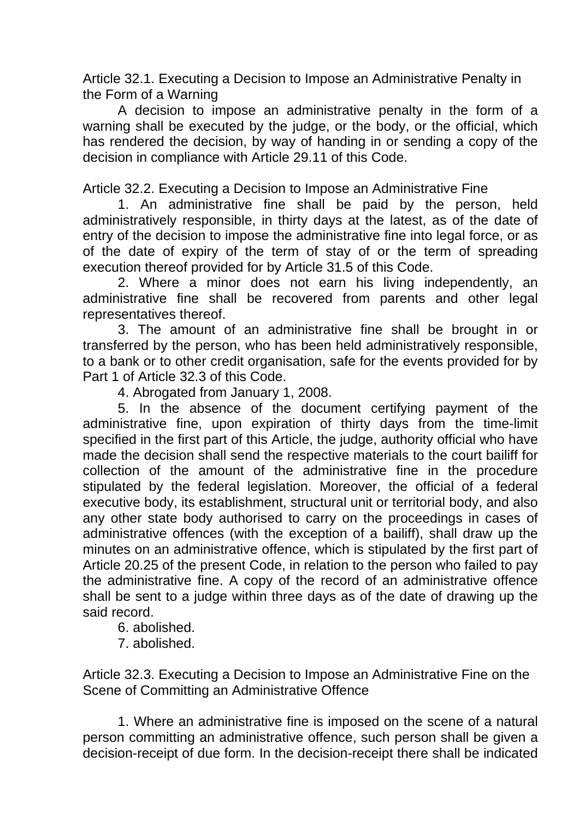Article 32.1. Executing a Decision to Impose an Administrative Penalty in the Form of a Warning

A decision to impose an administrative penalty in the form of a warning shall be executed by the judge, or the body, or the official, which has rendered the decision, by way of handing in or sending a copy of the decision in compliance with Article 29.11 of this Code.

Article 32.2. Executing a Decision to Impose an Administrative Fine

1. An administrative fine shall be paid by the person, held administratively responsible, in thirty days at the latest, as of the date of entry of the decision to impose the administrative fine into legal force, or as of the date of expiry of the term of stay of or the term of spreading execution thereof provided for by Article 31.5 of this Code.

2. Where a minor does not earn his living independently, an administrative fine shall be recovered from parents and other legal representatives thereof.

3. The amount of an administrative fine shall be brought in or transferred by the person, who has been held administratively responsible, to a bank or to other credit organisation, safe for the events provided for by Part 1 of Article 32.3 of this Code.

4. Abrogated from January 1, 2008.

5. In the absence of the document certifying payment of the administrative fine, upon expiration of thirty days from the time-limit specified in the first part of this Article, the judge, authority official who have made the decision shall send the respective materials to the court bailiff for collection of the amount of the administrative fine in the procedure stipulated by the federal legislation. Moreover, the official of a federal executive body, its establishment, structural unit or territorial body, and also any other state body authorised to carry on the proceedings in cases of administrative offences (with the exception of a bailiff), shall draw up the minutes on an administrative offence, which is stipulated by the first part of Article 20.25 of the present Code, in relation to the person who failed to pay the administrative fine. A copy of the record of an administrative offence shall be sent to a judge within three days as of the date of drawing up the said record.

6. abolished.

7. abolished.

Article 32.3. Executing a Decision to Impose an Administrative Fine on the Scene of Committing an Administrative Offence

1. Where an administrative fine is imposed on the scene of a natural person committing an administrative offence, such person shall be given a decision-receipt of due form. In the decision-receipt there shall be indicated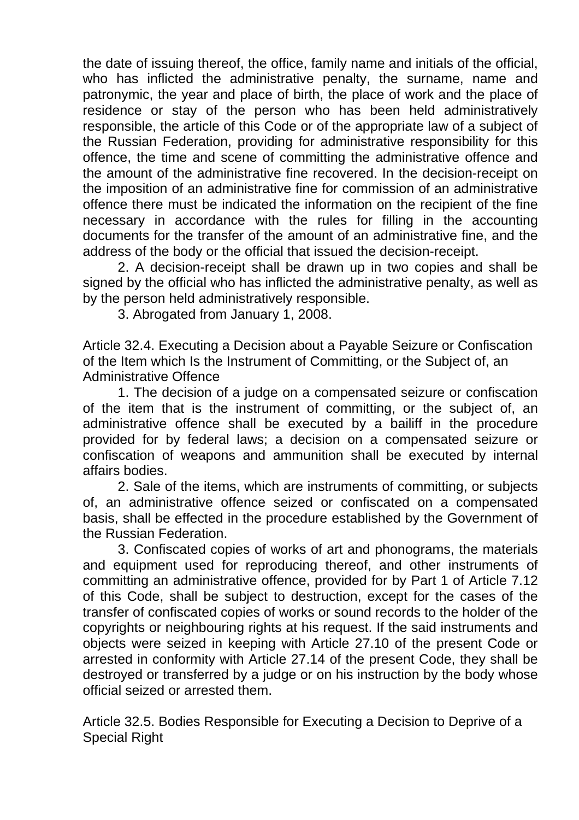the date of issuing thereof, the office, family name and initials of the official, who has inflicted the administrative penalty, the surname, name and patronymic, the year and place of birth, the place of work and the place of residence or stay of the person who has been held administratively responsible, the article of this Code or of the appropriate law of a subject of the Russian Federation, providing for administrative responsibility for this offence, the time and scene of committing the administrative offence and the amount of the administrative fine recovered. In the decision-receipt on the imposition of an administrative fine for commission of an administrative offence there must be indicated the information on the recipient of the fine necessary in accordance with the rules for filling in the accounting documents for the transfer of the amount of an administrative fine, and the address of the body or the official that issued the decision-receipt.

2. A decision-receipt shall be drawn up in two copies and shall be signed by the official who has inflicted the administrative penalty, as well as by the person held administratively responsible.

3. Abrogated from January 1, 2008.

Article 32.4. Executing a Decision about a Payable Seizure or Confiscation of the Item which Is the Instrument of Committing, or the Subject of, an Administrative Offence

1. The decision of a judge on a compensated seizure or confiscation of the item that is the instrument of committing, or the subject of, an administrative offence shall be executed by a bailiff in the procedure provided for by federal laws; a decision on a compensated seizure or confiscation of weapons and ammunition shall be executed by internal affairs bodies.

2. Sale of the items, which are instruments of committing, or subjects of, an administrative offence seized or confiscated on a compensated basis, shall be effected in the procedure established by the Government of the Russian Federation.

3. Confiscated copies of works of art and phonograms, the materials and equipment used for reproducing thereof, and other instruments of committing an administrative offence, provided for by Part 1 of Article 7.12 of this Code, shall be subject to destruction, except for the cases of the transfer of confiscated copies of works or sound records to the holder of the copyrights or neighbouring rights at his request. If the said instruments and objects were seized in keeping with Article 27.10 of the present Code or arrested in conformity with Article 27.14 of the present Code, they shall be destroyed or transferred by a judge or on his instruction by the body whose official seized or arrested them.

Article 32.5. Bodies Responsible for Executing a Decision to Deprive of a Special Right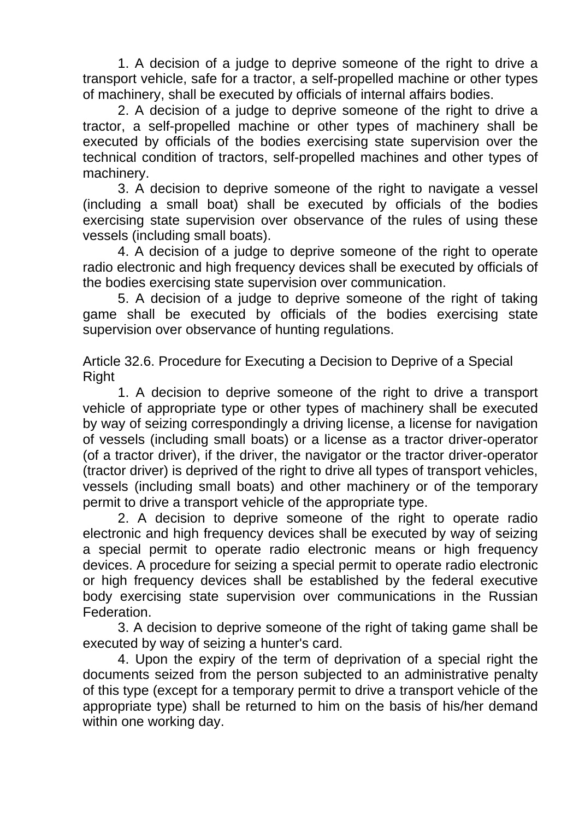1. A decision of a judge to deprive someone of the right to drive a transport vehicle, safe for a tractor, a self-propelled machine or other types of machinery, shall be executed by officials of internal affairs bodies.

2. A decision of a judge to deprive someone of the right to drive a tractor, a self-propelled machine or other types of machinery shall be executed by officials of the bodies exercising state supervision over the technical condition of tractors, self-propelled machines and other types of machinery.

3. A decision to deprive someone of the right to navigate a vessel (including a small boat) shall be executed by officials of the bodies exercising state supervision over observance of the rules of using these vessels (including small boats).

4. A decision of a judge to deprive someone of the right to operate radio electronic and high frequency devices shall be executed by officials of the bodies exercising state supervision over communication.

5. A decision of a judge to deprive someone of the right of taking game shall be executed by officials of the bodies exercising state supervision over observance of hunting regulations.

Article 32.6. Procedure for Executing a Decision to Deprive of a Special Right

1. A decision to deprive someone of the right to drive a transport vehicle of appropriate type or other types of machinery shall be executed by way of seizing correspondingly a driving license, a license for navigation of vessels (including small boats) or a license as a tractor driver-operator (of a tractor driver), if the driver, the navigator or the tractor driver-operator (tractor driver) is deprived of the right to drive all types of transport vehicles, vessels (including small boats) and other machinery or of the temporary permit to drive a transport vehicle of the appropriate type.

2. A decision to deprive someone of the right to operate radio electronic and high frequency devices shall be executed by way of seizing a special permit to operate radio electronic means or high frequency devices. A procedure for seizing a special permit to operate radio electronic or high frequency devices shall be established by the federal executive body exercising state supervision over communications in the Russian Federation.

3. A decision to deprive someone of the right of taking game shall be executed by way of seizing a hunter's card.

4. Upon the expiry of the term of deprivation of a special right the documents seized from the person subjected to an administrative penalty of this type (except for a temporary permit to drive a transport vehicle of the appropriate type) shall be returned to him on the basis of his/her demand within one working day.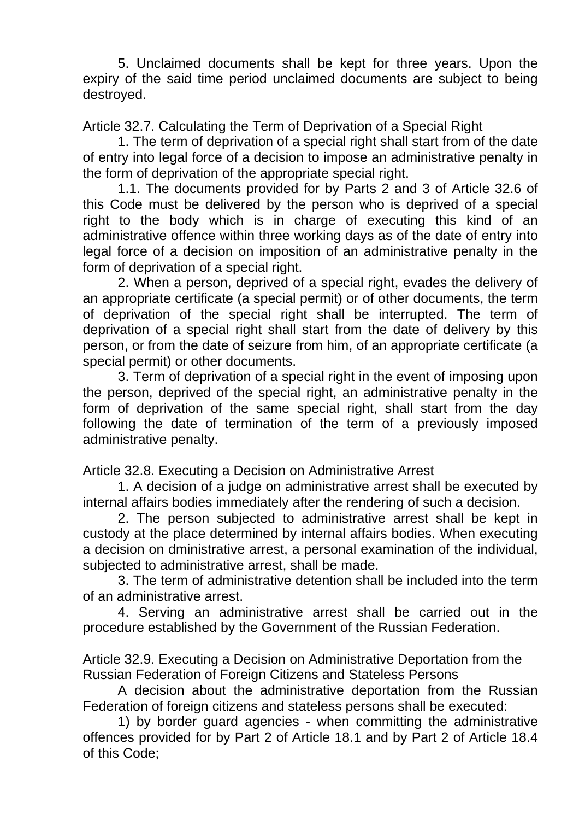5. Unclaimed documents shall be kept for three years. Upon the expiry of the said time period unclaimed documents are subject to being destroyed.

Article 32.7. Calculating the Term of Deprivation of a Special Right

1. The term of deprivation of a special right shall start from of the date of entry into legal force of a decision to impose an administrative penalty in the form of deprivation of the appropriate special right.

1.1. The documents provided for by Parts 2 and 3 of Article 32.6 of this Code must be delivered by the person who is deprived of a special right to the body which is in charge of executing this kind of an administrative offence within three working days as of the date of entry into legal force of a decision on imposition of an administrative penalty in the form of deprivation of a special right.

2. When a person, deprived of a special right, evades the delivery of an appropriate certificate (a special permit) or of other documents, the term of deprivation of the special right shall be interrupted. The term of deprivation of a special right shall start from the date of delivery by this person, or from the date of seizure from him, of an appropriate certificate (a special permit) or other documents.

3. Term of deprivation of a special right in the event of imposing upon the person, deprived of the special right, an administrative penalty in the form of deprivation of the same special right, shall start from the day following the date of termination of the term of a previously imposed administrative penalty.

Article 32.8. Executing a Decision on Administrative Arrest

1. A decision of a judge on administrative arrest shall be executed by internal affairs bodies immediately after the rendering of such a decision.

2. The person subjected to administrative arrest shall be kept in custody at the place determined by internal affairs bodies. When executing a decision on dministrative arrest, a personal examination of the individual, subjected to administrative arrest, shall be made.

3. The term of administrative detention shall be included into the term of an administrative arrest.

4. Serving an administrative arrest shall be carried out in the procedure established by the Government of the Russian Federation.

Article 32.9. Executing a Decision on Administrative Deportation from the Russian Federation of Foreign Citizens and Stateless Persons

A decision about the administrative deportation from the Russian Federation of foreign citizens and stateless persons shall be executed:

1) by border guard agencies - when committing the administrative offences provided for by Part 2 of Article 18.1 and by Part 2 of Article 18.4 of this Code;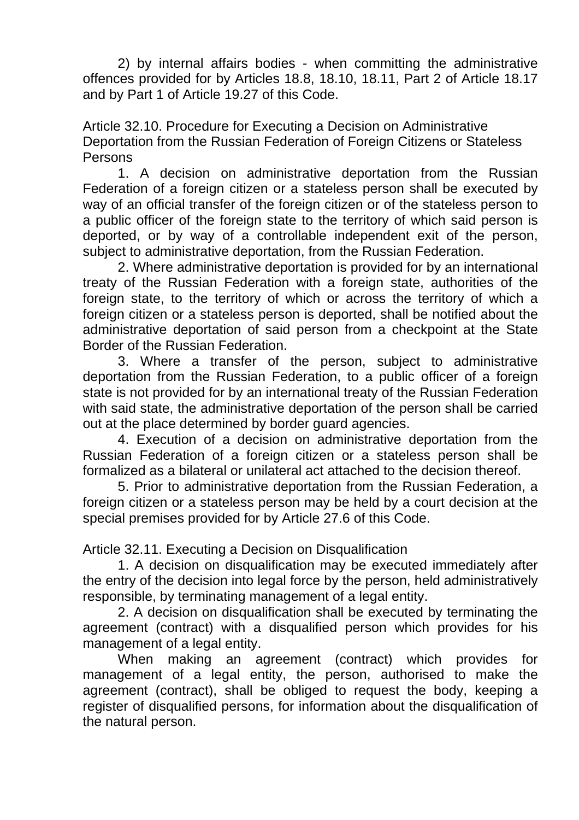2) by internal affairs bodies - when committing the administrative offences provided for by Articles 18.8, 18.10, 18.11, Part 2 of Article 18.17 and by Part 1 of Article 19.27 of this Code.

Article 32.10. Procedure for Executing a Decision on Administrative Deportation from the Russian Federation of Foreign Citizens or Stateless **Persons** 

1. A decision on administrative deportation from the Russian Federation of a foreign citizen or a stateless person shall be executed by way of an official transfer of the foreign citizen or of the stateless person to a public officer of the foreign state to the territory of which said person is deported, or by way of a controllable independent exit of the person, subject to administrative deportation, from the Russian Federation.

2. Where administrative deportation is provided for by an international treaty of the Russian Federation with a foreign state, authorities of the foreign state, to the territory of which or across the territory of which a foreign citizen or a stateless person is deported, shall be notified about the administrative deportation of said person from a checkpoint at the State Border of the Russian Federation.

3. Where a transfer of the person, subject to administrative deportation from the Russian Federation, to a public officer of a foreign state is not provided for by an international treaty of the Russian Federation with said state, the administrative deportation of the person shall be carried out at the place determined by border guard agencies.

4. Execution of a decision on administrative deportation from the Russian Federation of a foreign citizen or a stateless person shall be formalized as a bilateral or unilateral act attached to the decision thereof.

5. Prior to administrative deportation from the Russian Federation, a foreign citizen or a stateless person may be held by a court decision at the special premises provided for by Article 27.6 of this Code.

Article 32.11. Executing a Decision on Disqualification

1. A decision on disqualification may be executed immediately after the entry of the decision into legal force by the person, held administratively responsible, by terminating management of a legal entity.

2. A decision on disqualification shall be executed by terminating the agreement (contract) with a disqualified person which provides for his management of a legal entity.

When making an agreement (contract) which provides for management of a legal entity, the person, authorised to make the agreement (contract), shall be obliged to request the body, keeping a register of disqualified persons, for information about the disqualification of the natural person.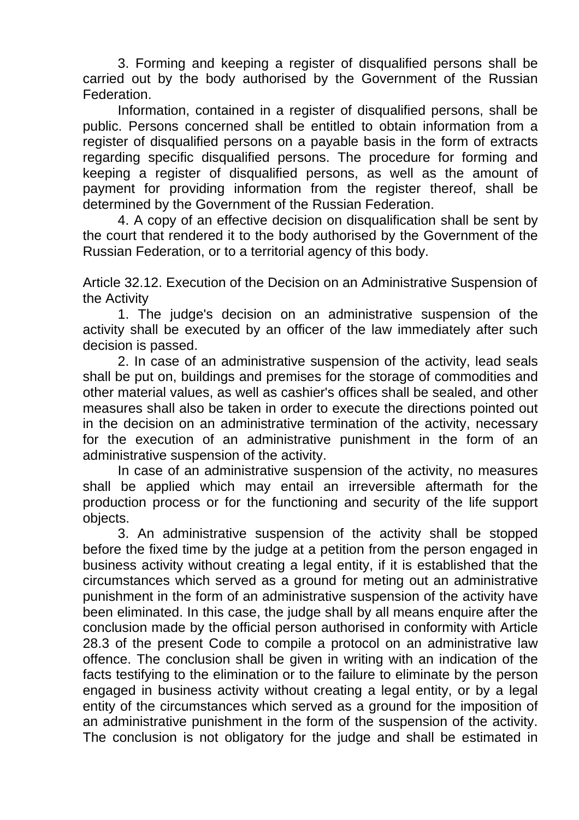3. Forming and keeping a register of disqualified persons shall be carried out by the body authorised by the Government of the Russian Federation.

Information, contained in a register of disqualified persons, shall be public. Persons concerned shall be entitled to obtain information from a register of disqualified persons on a payable basis in the form of extracts regarding specific disqualified persons. The procedure for forming and keeping a register of disqualified persons, as well as the amount of payment for providing information from the register thereof, shall be determined by the Government of the Russian Federation.

4. A copy of an effective decision on disqualification shall be sent by the court that rendered it to the body authorised by the Government of the Russian Federation, or to a territorial agency of this body.

Article 32.12. Execution of the Decision on an Administrative Suspension of the Activity

1. The judge's decision on an administrative suspension of the activity shall be executed by an officer of the law immediately after such decision is passed.

2. In case of an administrative suspension of the activity, lead seals shall be put on, buildings and premises for the storage of commodities and other material values, as well as cashier's offices shall be sealed, and other measures shall also be taken in order to execute the directions pointed out in the decision on an administrative termination of the activity, necessary for the execution of an administrative punishment in the form of an administrative suspension of the activity.

In case of an administrative suspension of the activity, no measures shall be applied which may entail an irreversible aftermath for the production process or for the functioning and security of the life support objects.

3. An administrative suspension of the activity shall be stopped before the fixed time by the judge at a petition from the person engaged in business activity without creating a legal entity, if it is established that the circumstances which served as a ground for meting out an administrative punishment in the form of an administrative suspension of the activity have been eliminated. In this case, the judge shall by all means enquire after the conclusion made by the official person authorised in conformity with Article 28.3 of the present Code to compile a protocol on an administrative law offence. The conclusion shall be given in writing with an indication of the facts testifying to the elimination or to the failure to eliminate by the person engaged in business activity without creating a legal entity, or by a legal entity of the circumstances which served as a ground for the imposition of an administrative punishment in the form of the suspension of the activity. The conclusion is not obligatory for the judge and shall be estimated in